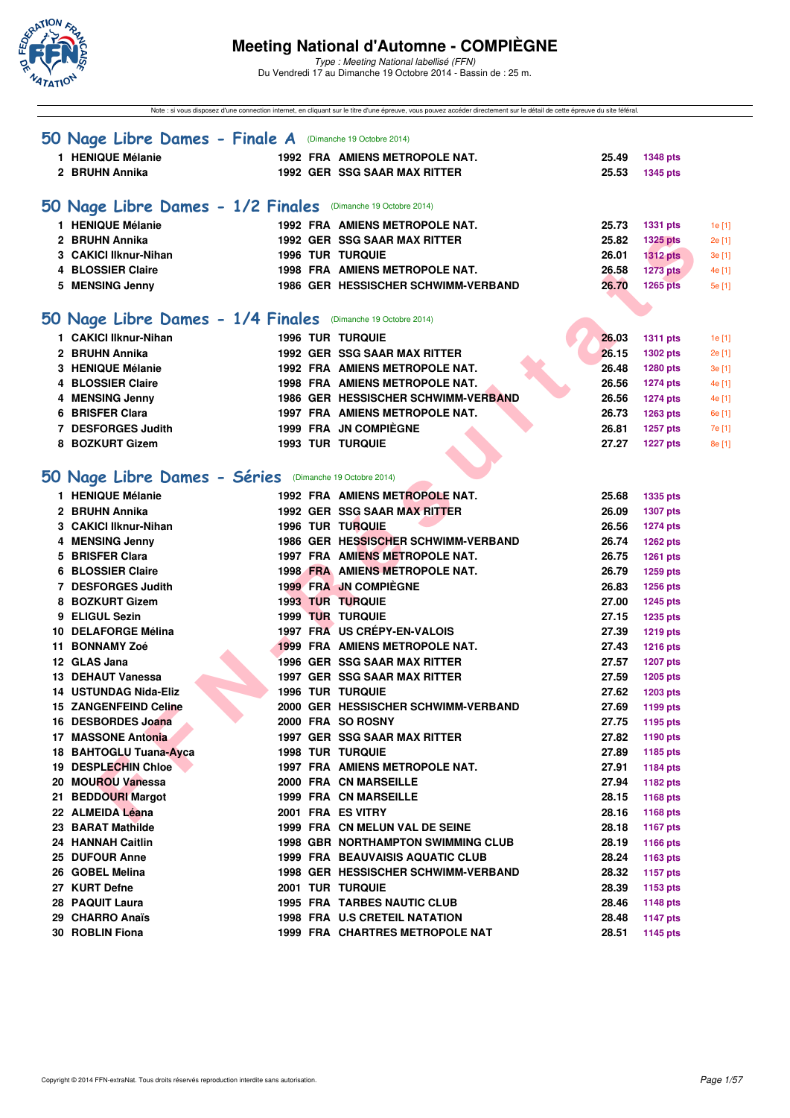

Type : Meeting National labellisé (FFN) Du Vendredi 17 au Dimanche 19 Octobre 2014 - Bassin de : 25 m.

Note : si vous disposez d'une connection internet, en cliquant sur le titre d'une épreuve, vous pouvez accéder directement sur le détail de cette épreuve du site féféral.

| 50 Nage Libre Dames - Finale A (Dimanche 19 Octobre 2014)    |  |                                           |       |                 |                  |
|--------------------------------------------------------------|--|-------------------------------------------|-------|-----------------|------------------|
| 1 HENIQUE Mélanie                                            |  | 1992 FRA AMIENS METROPOLE NAT.            | 25.49 | <b>1348 pts</b> |                  |
| 2 BRUHN Annika                                               |  | <b>1992 GER SSG SAAR MAX RITTER</b>       | 25.53 | <b>1345 pts</b> |                  |
|                                                              |  |                                           |       |                 |                  |
| 50 Nage Libre Dames - 1/2 Finales (Dimanche 19 Octobre 2014) |  |                                           |       |                 |                  |
| 1 HENIQUE Mélanie                                            |  | 1992 FRA AMIENS METROPOLE NAT.            | 25.73 | <b>1331 pts</b> |                  |
| 2 BRUHN Annika                                               |  | 1992 GER SSG SAAR MAX RITTER              | 25.82 | <b>1325 pts</b> | 1e [1]<br>2e [1] |
| 3 CAKICI Ilknur-Nihan                                        |  | <b>1996 TUR TURQUIE</b>                   | 26.01 | <b>1312 pts</b> | 3e [1]           |
| 4 BLOSSIER Claire                                            |  | 1998 FRA AMIENS METROPOLE NAT.            | 26.58 | 1273 pts        | 4e [1]           |
| 5 MENSING Jenny                                              |  | 1986 GER HESSISCHER SCHWIMM-VERBAND       | 26.70 | <b>1265 pts</b> | 5e [1]           |
|                                                              |  |                                           |       |                 |                  |
| 50 Nage Libre Dames - 1/4 Finales (Dimanche 19 Octobre 2014) |  |                                           |       |                 |                  |
|                                                              |  |                                           |       |                 |                  |
| 1 CAKICI Ilknur-Nihan                                        |  | <b>1996 TUR TURQUIE</b>                   | 26.03 | <b>1311 pts</b> | 1e [1]           |
| 2 BRUHN Annika                                               |  | 1992 GER SSG SAAR MAX RITTER              | 26.15 | <b>1302 pts</b> | 2e [1]           |
| 3 HENIQUE Mélanie                                            |  | 1992 FRA AMIENS METROPOLE NAT.            | 26.48 | <b>1280 pts</b> | 3e [1]           |
| 4 BLOSSIER Claire                                            |  | 1998 FRA AMIENS METROPOLE NAT.            | 26.56 | <b>1274 pts</b> | 4e [1]           |
| 4 MENSING Jenny                                              |  | 1986 GER HESSISCHER SCHWIMM-VERBAND       | 26.56 | <b>1274 pts</b> | 4e [1]           |
| 6 BRISFER Clara                                              |  | 1997 FRA AMIENS METROPOLE NAT.            | 26.73 | <b>1263 pts</b> | 6e [1]           |
| 7 DESFORGES Judith                                           |  | 1999 FRA JN COMPIÈGNE                     | 26.81 | <b>1257 pts</b> | 7e [1]           |
| 8 BOZKURT Gizem                                              |  | <b>1993 TUR TURQUIE</b>                   | 27.27 | <b>1227 pts</b> | 8e [1]           |
|                                                              |  |                                           |       |                 |                  |
| 50 Nage Libre Dames - Séries (Dimanche 19 Octobre 2014)      |  |                                           |       |                 |                  |
| 1 HENIQUE Mélanie                                            |  | 1992 FRA AMIENS METROPOLE NAT.            | 25.68 | <b>1335 pts</b> |                  |
| 2 BRUHN Annika                                               |  | 1992 GER SSG SAAR MAX RITTER              | 26.09 | <b>1307 pts</b> |                  |
| 3 CAKICI Ilknur-Nihan                                        |  | 1996 TUR TURQUIE                          | 26.56 | <b>1274 pts</b> |                  |
| 4 MENSING Jenny                                              |  | 1986 GER HESSISCHER SCHWIMM-VERBAND       | 26.74 | <b>1262 pts</b> |                  |
| 5 BRISFER Clara                                              |  | 1997 FRA AMIENS METROPOLE NAT.            | 26.75 | <b>1261 pts</b> |                  |
| 6 BLOSSIER Claire                                            |  | 1998 FRA AMIENS METROPOLE NAT.            | 26.79 | 1259 pts        |                  |
| 7 DESFORGES Judith                                           |  | <b>1999 FRA JN COMPIEGNE</b>              | 26.83 | <b>1256 pts</b> |                  |
| 8 BOZKURT Gizem                                              |  | <b>1993 TUR TURQUIE</b>                   | 27.00 | <b>1245 pts</b> |                  |
| 9 ELIGUL Sezin                                               |  | 1999 TUR TURQUIE                          | 27.15 | <b>1235 pts</b> |                  |
| 10 DELAFORGE Mélina                                          |  | 1997 FRA US CRÉPY-EN-VALOIS               | 27.39 | <b>1219 pts</b> |                  |
| 11 BONNAMY Zoé                                               |  | <b>1999 FRA AMIENS METROPOLE NAT.</b>     | 27.43 | <b>1216 pts</b> |                  |
| 12 GLAS Jana                                                 |  | 1996 GER SSG SAAR MAX RITTER              | 27.57 | <b>1207 pts</b> |                  |
| 13 DEHAUT Vanessa                                            |  | 1997 GER SSG SAAR MAX RITTER              | 27.59 | <b>1205 pts</b> |                  |
| <b>14 USTUNDAG Nida-Eliz</b>                                 |  | <b>1996 TUR TURQUIE</b>                   | 27.62 | <b>1203 pts</b> |                  |
| <b>15 ZANGENFEIND Celine</b>                                 |  | 2000 GER HESSISCHER SCHWIMM-VERBAND       | 27.69 | 1199 pts        |                  |
| 16 DESBORDES Joana                                           |  | 2000 FRA SO ROSNY                         | 27.75 | 1195 pts        |                  |
| 17 MASSONE Antonia                                           |  | 1997 GER SSG SAAR MAX RITTER              | 27.82 | <b>1190 pts</b> |                  |
| 18 BAHTOGLU Tuana-Ayca                                       |  | <b>1998 TUR TURQUIE</b>                   | 27.89 | 1185 pts        |                  |
| <b>19 DESPLECHIN Chloe</b>                                   |  | 1997 FRA AMIENS METROPOLE NAT.            | 27.91 | 1184 pts        |                  |
| 20 MOUROU Vanessa                                            |  | 2000 FRA CN MARSEILLE                     | 27.94 | 1182 pts        |                  |
| 21 BEDDOURI Margot                                           |  | <b>1999 FRA CN MARSEILLE</b>              | 28.15 | 1168 pts        |                  |
| 22 ALMEIDA Léana                                             |  | 2001 FRA ES VITRY                         | 28.16 | <b>1168 pts</b> |                  |
| 23 BARAT Mathilde                                            |  | 1999 FRA CN MELUN VAL DE SEINE            | 28.18 | <b>1167 pts</b> |                  |
| 24 HANNAH Caitlin                                            |  | <b>1998 GBR NORTHAMPTON SWIMMING CLUB</b> | 28.19 | <b>1166 pts</b> |                  |
| 25 DUFOUR Anne                                               |  | <b>1999 FRA BEAUVAISIS AQUATIC CLUB</b>   | 28.24 | 1163 $pts$      |                  |
| 26 GOBEL Melina                                              |  | 1998 GER HESSISCHER SCHWIMM-VERBAND       | 28.32 | <b>1157 pts</b> |                  |
| 27 KURT Defne                                                |  | <b>2001 TUR TURQUIE</b>                   | 28.39 | 1153 pts        |                  |
| 28 PAQUIT Laura                                              |  | <b>1995 FRA TARBES NAUTIC CLUB</b>        | 28.46 | <b>1148 pts</b> |                  |
| 29 CHARRO Anaïs                                              |  | 1998 FRA U.S CRETEIL NATATION             | 28.48 | <b>1147 pts</b> |                  |
| 30 ROBLIN Fiona                                              |  | 1999 FRA CHARTRES METROPOLE NAT           | 28.51 | 1145 pts        |                  |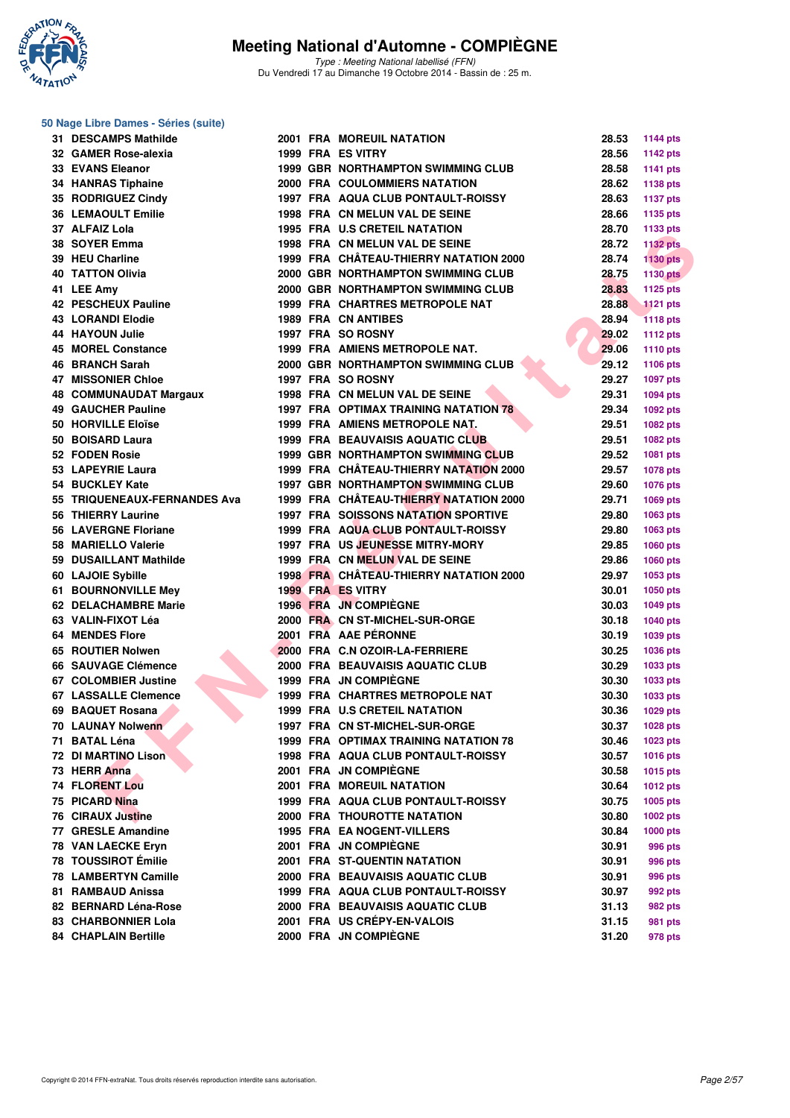

Type : Meeting National labellisé (FFN) Du Vendredi 17 au Dimanche 19 Octobre 2014 - Bassin de : 25 m.

| 50 Nage Libre Dames - Séries (suite) |  |                                                                         |       |                 |
|--------------------------------------|--|-------------------------------------------------------------------------|-------|-----------------|
| 31 DESCAMPS Mathilde                 |  | <b>2001 FRA MOREUIL NATATION</b>                                        | 28.53 | <b>1144 pts</b> |
| 32 GAMER Rose-alexia                 |  | 1999 FRA ES VITRY                                                       | 28.56 | <b>1142 pts</b> |
| <b>33 EVANS Eleanor</b>              |  | <b>1999 GBR NORTHAMPTON SWIMMING CLUB</b>                               | 28.58 | <b>1141 pts</b> |
| 34 HANRAS Tiphaine                   |  | 2000 FRA COULOMMIERS NATATION                                           | 28.62 | <b>1138 pts</b> |
| 35 RODRIGUEZ Cindy                   |  | <b>1997 FRA AQUA CLUB PONTAULT-ROISSY</b>                               | 28.63 | <b>1137 pts</b> |
| <b>36 LEMAOULT Emilie</b>            |  | 1998 FRA CN MELUN VAL DE SEINE                                          | 28.66 | 1135 pts        |
| 37 ALFAIZ Lola                       |  | 1995 FRA U.S CRETEIL NATATION                                           | 28.70 | 1133 pts        |
| 38 SOYER Emma                        |  | 1998 FRA CN MELUN VAL DE SEINE                                          | 28.72 | <b>1132 pts</b> |
| 39 HEU Charline                      |  | 1999 FRA CHÂTEAU-THIERRY NATATION 2000                                  | 28.74 | <b>1130 pts</b> |
| <b>40 TATTON Olivia</b>              |  | 2000 GBR NORTHAMPTON SWIMMING CLUB                                      | 28.75 | <b>1130 pts</b> |
| 41 LEE Amy                           |  | 2000 GBR NORTHAMPTON SWIMMING CLUB                                      | 28.83 | 1125 pts        |
| 42 PESCHEUX Pauline                  |  | 1999 FRA CHARTRES METROPOLE NAT                                         | 28.88 | <b>1121 pts</b> |
| <b>43 LORANDI Elodie</b>             |  | <b>1989 FRA CN ANTIBES</b>                                              | 28.94 | <b>1118 pts</b> |
| 44 HAYOUN Julie                      |  | 1997 FRA SO ROSNY                                                       | 29.02 | <b>1112 pts</b> |
| 45 MOREL Constance                   |  | 1999 FRA AMIENS METROPOLE NAT.                                          | 29.06 | <b>1110 pts</b> |
| 46 BRANCH Sarah                      |  | <b>2000 GBR NORTHAMPTON SWIMMING CLUB</b>                               | 29.12 | 1106 pts        |
| <b>47 MISSONIER Chloe</b>            |  | 1997 FRA SO ROSNY                                                       | 29.27 | 1097 pts        |
| 48 COMMUNAUDAT Margaux               |  | 1998 FRA CN MELUN VAL DE SEINE                                          | 29.31 | 1094 pts        |
| 49 GAUCHER Pauline                   |  | 1997 FRA OPTIMAX TRAINING NATATION 78                                   | 29.34 | 1092 pts        |
| 50 HORVILLE Eloïse                   |  | 1999 FRA AMIENS METROPOLE NAT.                                          | 29.51 | 1082 pts        |
| 50 BOISARD Laura                     |  | 1999 FRA BEAUVAISIS AQUATIC CLUB                                        | 29.51 | 1082 pts        |
| 52 FODEN Rosie                       |  | <b>1999 GBR NORTHAMPTON SWIMMING CLUB</b>                               | 29.52 | 1081 pts        |
| 53 LAPEYRIE Laura                    |  | 1999 FRA CHÂTEAU-THIERRY NATATION 2000                                  | 29.57 | 1078 pts        |
| 54 BUCKLEY Kate                      |  | <b>1997 GBR NORTHAMPTON SWIMMING CLUB</b>                               | 29.60 | 1076 pts        |
| 55 TRIQUENEAUX-FERNANDES Ava         |  | 1999 FRA CHÂTEAU-THIERRY NATATION 2000                                  | 29.71 | <b>1069 pts</b> |
| 56 THIERRY Laurine                   |  | <b>1997 FRA SOISSONS NATATION SPORTIVE</b>                              | 29.80 | 1063 pts        |
| <b>56 LAVERGNE Floriane</b>          |  | 1999 FRA AQUA CLUB PONTAULT-ROISSY                                      | 29.80 | 1063 pts        |
| 58 MARIELLO Valerie                  |  | 1997 FRA US JEUNESSE MITRY-MORY                                         | 29.85 | 1060 pts        |
| 59 DUSAILLANT Mathilde               |  | 1999 FRA CN MELUN VAL DE SEINE                                          | 29.86 | <b>1060 pts</b> |
| 60 LAJOIE Sybille                    |  | 1998 FRA CHÂTEAU-THIERRY NATATION 2000                                  | 29.97 | 1053 pts        |
| 61 BOURNONVILLE Mey                  |  | 1999 FRA ES VITRY                                                       | 30.01 | 1050 pts        |
| 62 DELACHAMBRE Marie                 |  | 1996 FRA JN COMPIEGNE                                                   | 30.03 | <b>1049 pts</b> |
| 63 VALIN-FIXOT Léa                   |  | 2000 FRA CN ST-MICHEL-SUR-ORGE                                          | 30.18 | <b>1040 pts</b> |
| <b>64 MENDES Flore</b>               |  | 2001 FRA AAE PÉRONNE                                                    | 30.19 | 1039 pts        |
| 65 ROUTIER Nolwen                    |  | 2000 FRA C.N OZOIR-LA-FERRIERE                                          | 30.25 | 1036 pts        |
| 66 SAUVAGE Clémence                  |  | 2000 FRA BEAUVAISIS AQUATIC CLUB                                        | 30.29 | 1033 pts        |
| 67 COLOMBIER Justine                 |  | 1999 FRA JN COMPIEGNE                                                   | 30.30 | 1033 pts        |
| 67 LASSALLE Clemence                 |  | 1999 FRA CHARTRES METROPOLE NAT                                         | 30.30 | 1033 pts        |
| 69 BAQUET Rosana                     |  | 1999 FRA U.S CRETEIL NATATION                                           | 30.36 | 1029 pts        |
| 70 LAUNAY Nolwenn                    |  | 1997 FRA CN ST-MICHEL-SUR-ORGE                                          | 30.37 | 1028 pts        |
| 71 BATAL Léna                        |  | 1999 FRA OPTIMAX TRAINING NATATION 78                                   | 30.46 | 1023 pts        |
| 72 DI MARTINO Lison                  |  | 1998 FRA AQUA CLUB PONTAULT-ROISSY                                      | 30.57 | 1016 pts        |
| 73 HERR Anna                         |  | 2001 FRA JN COMPIÈGNE                                                   | 30.58 | 1015 pts        |
| <b>74 FLORENT Lou</b>                |  | <b>2001 FRA MOREUIL NATATION</b>                                        | 30.64 | <b>1012 pts</b> |
| 75 PICARD Nina                       |  | 1999 FRA AQUA CLUB PONTAULT-ROISSY                                      | 30.75 | 1005 pts        |
| <b>76 CIRAUX Justine</b>             |  | <b>2000 FRA THOUROTTE NATATION</b>                                      | 30.80 | 1002 pts        |
| 77 GRESLE Amandine                   |  | <b>1995 FRA EA NOGENT-VILLERS</b>                                       | 30.84 |                 |
| 78 VAN LAECKE Eryn                   |  | 2001 FRA JN COMPIÈGNE                                                   | 30.91 | $1000$ pts      |
| 78 TOUSSIROT Émilie                  |  |                                                                         |       | 996 pts         |
| <b>78 LAMBERTYN Camille</b>          |  | <b>2001 FRA ST-QUENTIN NATATION</b><br>2000 FRA BEAUVAISIS AQUATIC CLUB | 30.91 | 996 pts         |
|                                      |  |                                                                         | 30.91 | 996 pts         |
| 81 RAMBAUD Anissa                    |  | 1999 FRA AQUA CLUB PONTAULT-ROISSY                                      | 30.97 | 992 pts         |
| 82 BERNARD Léna-Rose                 |  | 2000 FRA BEAUVAISIS AQUATIC CLUB                                        | 31.13 | 982 pts         |
| 83 CHARBONNIER Lola                  |  | 2001 FRA US CRÉPY-EN-VALOIS                                             | 31.15 | 981 pts         |

**84 CHAPLAIN Bertille 2000 FRA JN COMPIÈGNE 31.20 978 pts**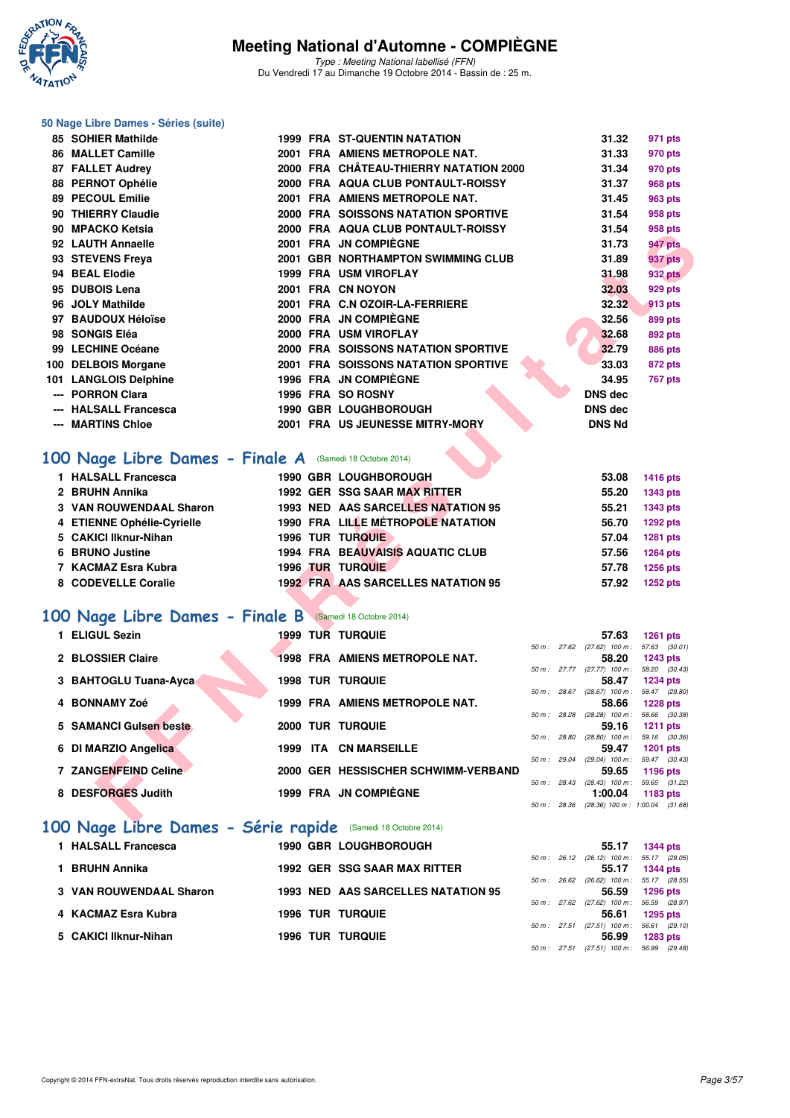

Type : Meeting National labellisé (FFN) Du Vendredi 17 au Dimanche 19 Octobre 2014 - Bassin de : 25 m.

#### **50 Nage Libre Dames - Séries (suite)**

| 85 SOHIER Mathilde                                                                                                                                                       |       |     | <b>1999 FRA ST-QUENTIN NATATION</b>                                                                                                                                                                                               |  | 31.32                                                       | 971 pts                                                                                               |
|--------------------------------------------------------------------------------------------------------------------------------------------------------------------------|-------|-----|-----------------------------------------------------------------------------------------------------------------------------------------------------------------------------------------------------------------------------------|--|-------------------------------------------------------------|-------------------------------------------------------------------------------------------------------|
| <b>86 MALLET Camille</b>                                                                                                                                                 |       |     | 2001 FRA AMIENS METROPOLE NAT.                                                                                                                                                                                                    |  | 31.33                                                       | 970 pts                                                                                               |
| 87 FALLET Audrey                                                                                                                                                         |       |     | 2000 FRA CHÂTEAU-THIERRY NATATION 2000                                                                                                                                                                                            |  | 31.34                                                       | 970 pts                                                                                               |
| 88 PERNOT Ophélie                                                                                                                                                        |       |     | 2000 FRA AQUA CLUB PONTAULT-ROISSY                                                                                                                                                                                                |  | 31.37                                                       | <b>968 pts</b>                                                                                        |
| 89 PECOUL Emilie                                                                                                                                                         |       |     | 2001 FRA AMIENS METROPOLE NAT.                                                                                                                                                                                                    |  | 31.45                                                       | 963 pts                                                                                               |
| 90 THIERRY Claudie                                                                                                                                                       |       |     | <b>2000 FRA SOISSONS NATATION SPORTIVE</b>                                                                                                                                                                                        |  | 31.54                                                       | 958 pts                                                                                               |
| 90 MPACKO Ketsia                                                                                                                                                         |       |     | 2000 FRA AQUA CLUB PONTAULT-ROISSY                                                                                                                                                                                                |  | 31.54                                                       | 958 pts                                                                                               |
| 92 LAUTH Annaelle                                                                                                                                                        |       |     | 2001 FRA JN COMPIEGNE                                                                                                                                                                                                             |  | 31.73                                                       | 947 pts                                                                                               |
| 93 STEVENS Freya                                                                                                                                                         |       |     | 2001 GBR NORTHAMPTON SWIMMING CLUB                                                                                                                                                                                                |  | 31.89                                                       | 937 pts                                                                                               |
| 94 BEAL Elodie                                                                                                                                                           |       |     | <b>1999 FRA USM VIROFLAY</b>                                                                                                                                                                                                      |  | 31.98                                                       | <b>932 pts</b>                                                                                        |
| 95 DUBOIS Lena                                                                                                                                                           |       |     | 2001 FRA CN NOYON                                                                                                                                                                                                                 |  | 32.03                                                       | 929 pts                                                                                               |
| 96 JOLY Mathilde                                                                                                                                                         |       |     | 2001 FRA C.N OZOIR-LA-FERRIERE                                                                                                                                                                                                    |  | 32.32                                                       | 913 pts                                                                                               |
| 97 BAUDOUX Héloïse                                                                                                                                                       |       |     | 2000 FRA JN COMPIEGNE                                                                                                                                                                                                             |  | 32.56                                                       | 899 pts                                                                                               |
| 98 SONGIS Eléa                                                                                                                                                           |       |     | 2000 FRA USM VIROFLAY                                                                                                                                                                                                             |  | 32.68                                                       | <b>892 pts</b>                                                                                        |
| 99 LECHINE Océane                                                                                                                                                        |       |     | <b>2000 FRA SOISSONS NATATION SPORTIVE</b>                                                                                                                                                                                        |  | 32.79                                                       | <b>886 pts</b>                                                                                        |
| 100 DELBOIS Morgane                                                                                                                                                      |       |     | <b>2001 FRA SOISSONS NATATION SPORTIVE</b>                                                                                                                                                                                        |  | 33.03                                                       | <b>872 pts</b>                                                                                        |
| 101 LANGLOIS Delphine                                                                                                                                                    |       |     | 1996 FRA JN COMPIÈGNE                                                                                                                                                                                                             |  | 34.95                                                       | 767 pts                                                                                               |
| --- PORRON Clara                                                                                                                                                         |       |     | 1996 FRA SO ROSNY                                                                                                                                                                                                                 |  | <b>DNS dec</b>                                              |                                                                                                       |
| --- HALSALL Francesca                                                                                                                                                    |       |     | 1990 GBR LOUGHBOROUGH                                                                                                                                                                                                             |  | <b>DNS dec</b>                                              |                                                                                                       |
| --- MARTINS Chloe                                                                                                                                                        |       |     | 2001 FRA US JEUNESSE MITRY-MORY                                                                                                                                                                                                   |  | <b>DNS Nd</b>                                               |                                                                                                       |
| 1 HALSALL Francesca<br>2 BRUHN Annika<br><b>3 VAN ROUWENDAAL Sharon</b><br>4 ETIENNE Ophélie-Cyrielle<br>5 CAKICI Ilknur-Nihan<br>6 BRUNO Justine<br>7 KACMAZ Esra Kubra |       |     | 1990 GBR LOUGHBOROUGH<br>1992 GER SSG SAAR MAX RITTER<br>1993 NED AAS SARCELLES NATATION 95<br>1990 FRA LILLE MÉTROPOLE NATATION<br><b>1996 TUR TURQUIE</b><br><b>1994 FRA BEAUVAISIS AQUATIC CLUB</b><br><b>1996 TUR TURQUIE</b> |  | 53.08<br>55.20<br>55.21<br>56.70<br>57.04<br>57.56<br>57.78 | <b>1416 pts</b><br><b>1343 pts</b><br>1343 pts<br>1292 pts<br>1281 pts<br><b>1264 pts</b><br>1256 pts |
| 8 CODEVELLE Coralie                                                                                                                                                      |       |     | <b>1992 FRA AAS SARCELLES NATATION 95</b>                                                                                                                                                                                         |  | 57.92                                                       | <b>1252 pts</b>                                                                                       |
| 00 Nage Libre Dames - Finale B (Samedi 18 Octobre 2014)                                                                                                                  |       |     |                                                                                                                                                                                                                                   |  |                                                             |                                                                                                       |
| 1 ELIGUL Sezin                                                                                                                                                           |       |     | 1999 TUR TURQUIE                                                                                                                                                                                                                  |  | 57.63                                                       |                                                                                                       |
|                                                                                                                                                                          |       |     |                                                                                                                                                                                                                                   |  | 50 m: 27.62 (27.62) 100 m: 57.63 (30.01)                    | <b>1261 pts</b>                                                                                       |
| 2 BLOSSIER Claire                                                                                                                                                        |       |     | 1998 FRA AMIENS METROPOLE NAT.                                                                                                                                                                                                    |  | 58.20                                                       | 1243 pts                                                                                              |
|                                                                                                                                                                          |       |     | <b>1998 TUR TURQUIE</b>                                                                                                                                                                                                           |  | 50 m: 27.77 (27.77) 100 m: 58.20 (30.43)<br>58.47           | <b>1234 pts</b>                                                                                       |
| 3 BAHTOGLU Tuana-Ayca                                                                                                                                                    |       |     |                                                                                                                                                                                                                                   |  | 50 m: 28.67 (28.67) 100 m: 58.47 (29.80)                    |                                                                                                       |
| 4 BONNAMY Zoé                                                                                                                                                            |       |     | 1999 FRA AMIENS METROPOLE NAT.                                                                                                                                                                                                    |  | 58.66                                                       | <b>1228 pts</b>                                                                                       |
| <b>5 SAMANCI Guisen beste</b>                                                                                                                                            |       |     | <b>2000 TUR TURQUIE</b>                                                                                                                                                                                                           |  | 50 m: 28.28 (28.28) 100 m: 58.66 (30.38)<br>59.16           |                                                                                                       |
|                                                                                                                                                                          |       |     |                                                                                                                                                                                                                                   |  | 50 m : 28.80 (28.80) 100 m : 59.16 (30.36)                  | <b>1211 pts</b>                                                                                       |
| 6 DI MARZIO Angelica                                                                                                                                                     |       |     | 1999 ITA CN MARSEILLE                                                                                                                                                                                                             |  | 59.47                                                       | <b>1201 pts</b>                                                                                       |
| 7 ZANGENFEIND Celine                                                                                                                                                     |       |     | 2000 GER HESSISCHER SCHWIMM-VERBAND                                                                                                                                                                                               |  | 50 m: 29.04 (29.04) 100 m: 59.47 (30.43)<br>59.65           | 1196 pts                                                                                              |
|                                                                                                                                                                          |       |     |                                                                                                                                                                                                                                   |  | 50 m: 28.43 (28.43) 100 m: 59.65 (31.22)                    |                                                                                                       |
| 8 DESFORGES Judith                                                                                                                                                       |       |     | 1999 FRA JN COMPIÈGNE                                                                                                                                                                                                             |  | 1:00.04                                                     | 1183 pts                                                                                              |
|                                                                                                                                                                          |       |     |                                                                                                                                                                                                                                   |  | 50 m: 28.36 (28.36) 100 m: 1:00.04 (31.68)                  |                                                                                                       |
| <b>All Seat</b><br>.                                                                                                                                                     | - - - | . . |                                                                                                                                                                                                                                   |  |                                                             |                                                                                                       |

#### **[100 Nage Libre Dames - Finale A](http://www.ffnatation.fr/webffn/resultats.php?idact=nat&go=epr&idcpt=24767&idepr=2)** (Samedi 18 Octobre 2014)

| 1 HALSALL Francesca            |  | 1990 GBR LOUGHBOROUGH                     | 53.08 | <b>1416 pts</b> |
|--------------------------------|--|-------------------------------------------|-------|-----------------|
| 2 BRUHN Annika                 |  | <b>1992 GER SSG SAAR MAX RITTER</b>       | 55.20 | 1343 pts        |
| <b>3 VAN ROUWENDAAL Sharon</b> |  | <b>1993 NED AAS SARCELLES NATATION 95</b> | 55.21 | 1343 pts        |
| 4 ETIENNE Ophélie-Cyrielle     |  | <b>1990 FRA LILLE MÉTROPOLE NATATION</b>  | 56.70 | <b>1292 pts</b> |
| 5 CAKICI Ilknur-Nihan          |  | <b>1996 TUR TURQUIE</b>                   | 57.04 | <b>1281 pts</b> |
| 6 BRUNO Justine                |  | <b>1994 FRA BEAUVAISIS AQUATIC CLUB</b>   | 57.56 | <b>1264 pts</b> |
| 7 KACMAZ Esra Kubra            |  | <b>1996 TUR TURQUIE</b>                   | 57.78 | <b>1256 pts</b> |
| 8 CODEVELLE Coralie            |  | <b>1992 FRA AAS SARCELLES NATATION 95</b> | 57.92 | <b>1252 pts</b> |

#### **[100 Nage Libre Dames - Finale B](http://www.ffnatation.fr/webffn/resultats.php?idact=nat&go=epr&idcpt=24767&idepr=2)** (Samedi 18 Octobre 2014)

| 1 ELIGUL Sezin         | <b>1999 TUR TURQUIE</b>               |                        | 57.63                                          | <b>1261 pts</b>                  |
|------------------------|---------------------------------------|------------------------|------------------------------------------------|----------------------------------|
| 2 BLOSSIER Claire      | <b>1998 FRA AMIENS METROPOLE NAT.</b> | 50 m: 27.62            | $(27.62)$ 100 m :<br>58.20                     | 57.63 (30.01)<br><b>1243 pts</b> |
| 3 BAHTOGLU Tuana-Ayca  | <b>1998 TUR TURQUIE</b>               |                        | 50 m: 27.77 (27.77) 100 m:<br>58.47            | 58.20 (30.43)<br><b>1234 pts</b> |
| 4 BONNAMY Zoé          | 1999 FRA AMIENS METROPOLE NAT.        | 50 m: 28.67            | $(28.67)$ 100 m :<br>58.66                     | 58.47 (29.80)<br><b>1228 pts</b> |
| 5 SAMANCI Guisen beste | 2000 TUR TURQUIE                      | $50 \text{ m}$ : 28.28 | $(28.28)$ 100 m :<br>59.16                     | 58.66 (30.38)<br><b>1211 pts</b> |
| 6 DI MARZIO Angelica   | <b>CN MARSEILLE</b><br>ITA.<br>1999   | 50 m: 28.80            | $(28.80)$ 100 m :<br>59.47                     | 59.16 (30.36)<br><b>1201 pts</b> |
| 7 ZANGENFEIND Celine   | 2000 GER HESSISCHER SCHWIMM-VERBAND   | 50 m: 29.04            | $(29.04)$ 100 m :<br>59.65                     | 59.47 (30.43)                    |
|                        |                                       | 50 m: 28.43            | $(28.43)$ 100 m :                              | 1196 pts<br>59.65 (31.22)        |
| 8 DESFORGES Judith     | 1999 FRA JN COMPIÈGNE                 | 50 m: 28.36            | 1:00.04<br>$(28.36)$ 100 m : 1:00.04 $(31.68)$ | 1183 pts                         |

## **[100 Nage Libre Dames - Série rapide](http://www.ffnatation.fr/webffn/resultats.php?idact=nat&go=epr&idcpt=24767&idepr=2)** (Samedi 18 Octobre 2014)

| 1 HALSALL Francesca     |  | <b>1990 GBR LOUGHBOROUGH</b>       |                        | 55.17                             | <b>1344 pts</b> |  |
|-------------------------|--|------------------------------------|------------------------|-----------------------------------|-----------------|--|
|                         |  |                                    | 50 m : 26.12           | $(26.12)$ 100 m : 55.17 $(29.05)$ |                 |  |
| 1 BRUHN Annika          |  | 1992 GER SSG SAAR MAX RITTER       |                        | 55.17                             | <b>1344 pts</b> |  |
|                         |  |                                    | 50 m : 26.62           | $(26.62)$ 100 m : 55.17 $(28.55)$ |                 |  |
| 3 VAN ROUWENDAAL Sharon |  | 1993 NED AAS SARCELLES NATATION 95 |                        | 56.59                             | <b>1296 pts</b> |  |
|                         |  |                                    | 50 m : 27.62           | $(27.62)$ 100 m : 56.59 $(28.97)$ |                 |  |
| 4 KACMAZ Esra Kubra     |  | <b>1996 TUR TURQUIE</b>            |                        | 56.61                             | 1295 pts        |  |
|                         |  |                                    | $50 \text{ m}$ : 27.51 | $(27.51)$ 100 m : 56.61 $(29.10)$ |                 |  |
| 5 CAKICI Ilknur-Nihan   |  | <b>1996 TUR TURQUIE</b>            |                        | 56.99                             | 1283 pts        |  |
|                         |  |                                    | $50 \text{ m}$ : 27.51 | $(27.51)$ 100 m : 56.99 $(29.48)$ |                 |  |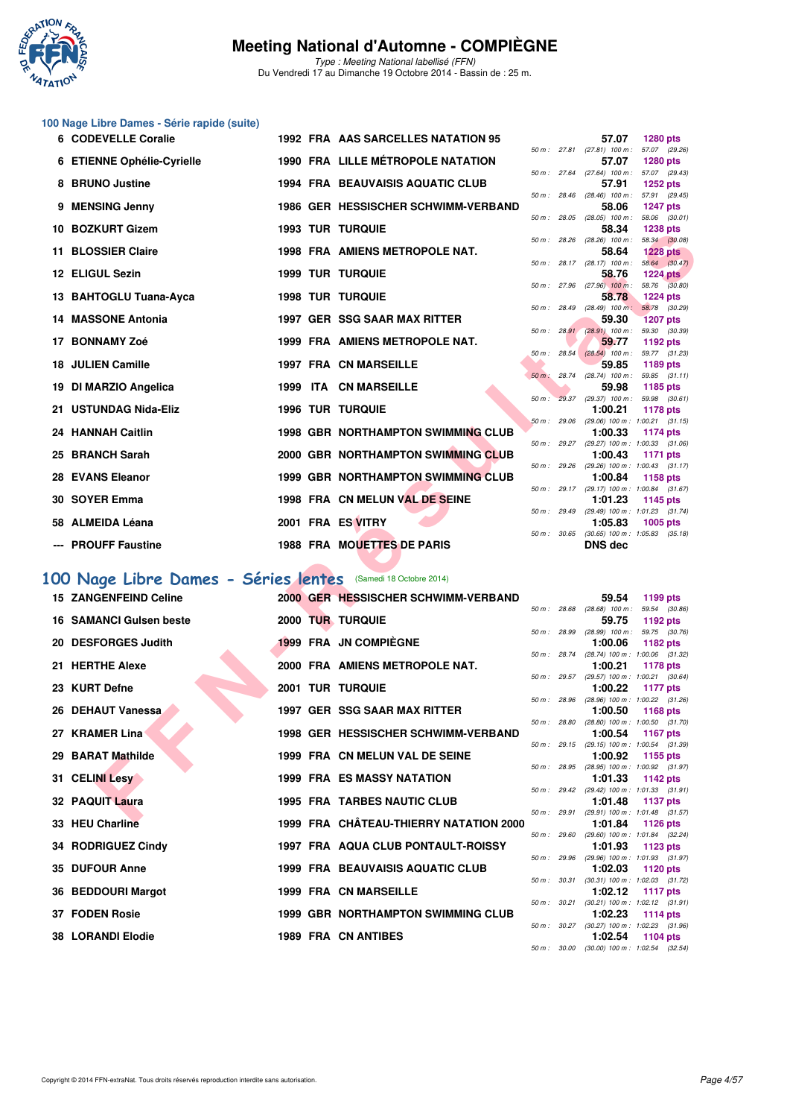

Type : Meeting National labellisé (FFN) Du Vendredi 17 au Dimanche 19 Octobre 2014 - Bassin de : 25 m.

## **100 Nage Libre Dames - Série rapide (suite)**

| 6 CODEVELLE Coralie                                          |  | 1992 FRA AAS SARCELLES NATATION 95             |             | 57.07                                                        | <b>1280 pts</b>                  |  |
|--------------------------------------------------------------|--|------------------------------------------------|-------------|--------------------------------------------------------------|----------------------------------|--|
| 6 ETIENNE Ophélie-Cyrielle                                   |  | <b>1990 FRA LILLE MÉTROPOLE NATATION</b>       |             | 50 m: 27.81 (27.81) 100 m: 57.07 (29.26)<br>57.07            | <b>1280 pts</b>                  |  |
| 8 BRUNO Justine                                              |  | <b>1994 FRA BEAUVAISIS AQUATIC CLUB</b>        |             | 50 m: 27.64 (27.64) 100 m: 57.07 (29.43)<br>57.91            | <b>1252 pts</b>                  |  |
| 9 MENSING Jenny                                              |  | 1986 GER HESSISCHER SCHWIMM-VERBAND            |             | 50 m: 28.46 (28.46) 100 m: 57.91 (29.45)<br>58.06            | <b>1247 pts</b>                  |  |
|                                                              |  |                                                |             | 50 m : 28.05 (28.05) 100 m : 58.06 (30.01)                   |                                  |  |
| 10 BOZKURT Gizem                                             |  | <b>1993 TUR TURQUIE</b>                        |             | 58.34<br>50 m : 28.26 (28.26) 100 m :                        | <b>1238 pts</b><br>58.34 (30.08) |  |
| 11 BLOSSIER Claire                                           |  | 1998 FRA AMIENS METROPOLE NAT.                 |             | 58.64                                                        | <b>1228 pts</b>                  |  |
| 12 ELIGUL Sezin                                              |  | <b>1999 TUR TURQUIE</b>                        |             | 50 m: 28.17 (28.17) 100 m: 58.64 (30.47)<br>58.76            | <b>1224 pts</b>                  |  |
| 13 BAHTOGLU Tuana-Ayca                                       |  | <b>1998 TUR TURQUIE</b>                        |             | 50 m : 27.96 (27.96) 100 m : 58.76 (30.80)<br>58.78          | <b>1224 pts</b>                  |  |
| <b>14 MASSONE Antonia</b>                                    |  | 1997 GER SSG SAAR MAX RITTER                   |             | 50 m: 28.49 (28.49) 100 m: 58.78 (30.29)<br>59.30            | <b>1207 pts</b>                  |  |
|                                                              |  |                                                |             | 50 m : 28.91 (28.91) 100 m : 59.30 (30.39)                   |                                  |  |
| 17 BONNAMY Zoé                                               |  | 1999 FRA AMIENS METROPOLE NAT.                 |             | 59.77<br>50 m: 28.54 (28.54) 100 m: 59.77 (31.23)            | 1192 pts                         |  |
| <b>18 JULIEN Camille</b>                                     |  | <b>1997 FRA CN MARSEILLE</b>                   |             | 59.85                                                        | 1189 pts                         |  |
| 19 DI MARZIO Angelica                                        |  | 1999 ITA CN MARSEILLE                          |             | 50 m: 28.74 (28.74) 100 m: 59.85 (31.11)<br>59.98            | 1185 pts                         |  |
|                                                              |  |                                                |             | 50 m: 29.37 (29.37) 100 m: 59.98 (30.61)                     |                                  |  |
| 21 USTUNDAG Nida-Eliz                                        |  | <b>1996 TUR TURQUIE</b>                        |             | 1:00.21<br>50 m : 29.06 (29.06) 100 m : 1:00.21 (31.15)      | 1178 pts                         |  |
| 24 HANNAH Caitlin                                            |  | <b>1998 GBR NORTHAMPTON SWIMMING CLUB</b>      |             | 1:00.33                                                      | 1174 pts                         |  |
| 25 BRANCH Sarah                                              |  | 2000 GBR NORTHAMPTON SWIMMING CLUB             |             | 50 m: 29.27 (29.27) 100 m: 1:00.33 (31.06)<br>1:00.43        | 1171 pts                         |  |
| 28 EVANS Eleanor                                             |  | 1999 GBR NORTHAMPTON SWIMMING CLUB             |             | 50 m: 29.26 (29.26) 100 m: 1:00.43 (31.17)<br>1:00.84        | 1158 pts                         |  |
|                                                              |  |                                                |             | 50 m: 29.17 (29.17) 100 m: 1:00.84 (31.67)                   |                                  |  |
| 30 SOYER Emma                                                |  | 1998 FRA CN MELUN VAL DE SEINE                 |             | 1:01.23<br>50 m: 29.49 (29.49) 100 m: 1:01.23 (31.74)        | 1145 pts                         |  |
| 58 ALMEIDA Léana                                             |  | 2001 FRA ES VITRY                              |             | 1:05.83                                                      | 1005 pts                         |  |
| --- PROUFF Faustine                                          |  | 1988 FRA MOUETTES DE PARIS                     |             | 50 m: 30.65 (30.65) 100 m: 1:05.83 (35.18)<br><b>DNS</b> dec |                                  |  |
|                                                              |  |                                                |             |                                                              |                                  |  |
| 00 Nage Libre Dames - Séries lentes (Samedi 18 Octobre 2014) |  |                                                |             |                                                              |                                  |  |
| <b>15 ZANGENFEIND Celine</b>                                 |  | 2000 GER HESSISCHER SCHWIMM-VERBAND            |             | 59.54<br>50 m: 28.68 (28.68) 100 m: 59.54 (30.86)            | 1199 pts                         |  |
| <b>16 SAMANCI Guisen beste</b>                               |  | 2000 TUR TURQUIE                               |             | 59.75                                                        | 1192 pts                         |  |
| 20 DESFORGES Judith                                          |  | <b>1999 FRA JN COMPIEGNE</b>                   |             | 50 m: 28.99 (28.99) 100 m: 59.75 (30.76)<br>1:00.06          | 1182 pts                         |  |
|                                                              |  |                                                |             | 50 m : $28.74$ (28.74) 100 m : 1:00.06 (31.32)               |                                  |  |
| 21 HERTHE Alexe                                              |  | 2000 FRA AMIENS METROPOLE NAT.                 |             | 1:00.21<br>50 m: 29.57 (29.57) 100 m: 1:00.21 (30.64)        | 1178 pts                         |  |
| 23 KURT Defne                                                |  | <b>2001 TUR TURQUIE</b>                        |             | 1:00.22                                                      | <b>1177 pts</b>                  |  |
|                                                              |  |                                                |             | 50 m: 28.96 (28.96) 100 m: 1:00.22 (31.26)                   |                                  |  |
| 26 DEHAUT Vanessa                                            |  | 1997 GER SSG SAAR MAX RITTER                   | 50 m: 28.80 | 1:00.50<br>$(28.80)$ 100 m : 1:00.50 $(31.70)$               | 1168 pts                         |  |
| 27 KRAMER Lina                                               |  | 1998 GER HESSISCHER SCHWIMM-VERBAND            |             | 1:00.54                                                      | <b>1167 pts</b>                  |  |
| 29 BARAT Mathilde                                            |  | 1999 FRA CN MELUN VAL DE SEINE                 |             | 50 m: 29.15 (29.15) 100 m: 1:00.54 (31.39)<br>1:00.92        | 1155 pts                         |  |
| 31 CELINI Lesy                                               |  | <b>1999 FRA ES MASSY NATATION</b>              |             | 50 m: 28.95 (28.95) 100 m: 1:00.92 (31.97)<br>1:01.33        | 1142 pts                         |  |
|                                                              |  |                                                |             | 50 m: 29.42 (29.42) 100 m: 1:01.33 (31.91)                   |                                  |  |
| 32 PAQUIT Laura                                              |  | <b>1995 FRA TARBES NAUTIC CLUB</b>             |             | 1:01.48<br>50 m: 29.91 (29.91) 100 m: 1:01.48 (31.57)        | 1137 pts                         |  |
| 00 HEH OLAHIMA                                               |  | <b>1000 FBA, QUÂTEAU TULEDDV NATATION 0000</b> |             | 4.04.04                                                      | $-4400 -$                        |  |

#### **[100 Nage Libre Dames - Séries lentes](http://www.ffnatation.fr/webffn/resultats.php?idact=nat&go=epr&idcpt=24767&idepr=2)** (Samedi 18 Octobre 2014)

| <b>15 ZANGENFEIND Celine</b> |  | 2000 GER HESSISCHER SCHWIMM-VERBAND       |                          |              | 59.54                                                            | 1199 pts      |  |
|------------------------------|--|-------------------------------------------|--------------------------|--------------|------------------------------------------------------------------|---------------|--|
|                              |  |                                           | 50 m: 28.68              |              | $(28.68)$ 100 m :                                                | 59.54 (30.86) |  |
| 16 SAMANCI Gulsen beste      |  | 2000 TUR TURQUIE                          |                          |              | 59.75                                                            | 1192 $pts$    |  |
| 20 DESFORGES Judith          |  | 1999 FRA JN COMPIÈGNE                     | $50 m$ : 28.99           |              | $(28.99)$ 100 m : 59.75 $(30.76)$<br>1:00.06                     |               |  |
|                              |  |                                           | $50 m$ : 28.74           |              | $(28.74)$ 100 m : 1:00.06 $(31.32)$                              | 1182 pts      |  |
| 21 HERTHE Alexe              |  | 2000 FRA AMIENS METROPOLE NAT.            |                          |              | 1:00.21                                                          | 1178 pts      |  |
|                              |  |                                           |                          |              | 50 m: 29.57 (29.57) 100 m: 1:00.21 (30.64)                       |               |  |
| 23 KURT Defne                |  | <b>2001 TUR TURQUIE</b>                   |                          |              | 1:00.22                                                          | 1177 pts      |  |
|                              |  |                                           | 50 m : 28.96             |              | $(28.96)$ 100 m : 1:00.22 $(31.26)$                              |               |  |
| 26 DEHAUT Vanessa            |  | 1997 GER SSG SAAR MAX RITTER              |                          |              | 1:00.50                                                          | 1168 pts      |  |
|                              |  |                                           |                          | 50 m : 28.80 | $(28.80)$ 100 m : 1:00.50 $(31.70)$                              |               |  |
| 27 KRAMER Lina               |  | 1998 GER HESSISCHER SCHWIMM-VERBAND       |                          |              | 1:00.54 1167 pts                                                 |               |  |
|                              |  |                                           |                          |              | 50 m: 29.15 (29.15) 100 m: 1:00.54 (31.39)                       |               |  |
| 29 BARAT Mathilde            |  | 1999 FRA CN MELUN VAL DE SEINE            |                          |              | 1:00.92 1155 pts                                                 |               |  |
|                              |  |                                           | 50 m : 28.95             |              | (28.95) 100 m: 1:00.92 (31.97)                                   |               |  |
| 31 CELINI Lesy               |  | <b>1999 FRA ES MASSY NATATION</b>         |                          |              | $1:01.33$ 1142 pts<br>50 m: 29.42 (29.42) 100 m: 1:01.33 (31.91) |               |  |
| 32 PAQUIT Laura              |  | <b>1995 FRA TARBES NAUTIC CLUB</b>        |                          |              | 1:01.48 $1137 \text{ pts}$                                       |               |  |
|                              |  |                                           |                          |              | 50 m: 29.91 (29.91) 100 m: 1:01.48 (31.57)                       |               |  |
| 33 HEU Charline              |  | 1999 FRA CHÂTEAU-THIERRY NATATION 2000    |                          |              | 1:01.84 1126 pts                                                 |               |  |
|                              |  |                                           |                          |              | 50 m: 29.60 (29.60) 100 m: 1:01.84 (32.24)                       |               |  |
| 34 RODRIGUEZ Cindy           |  | 1997 FRA AQUA CLUB PONTAULT-ROISSY        |                          |              | $1:01.93$ 1123 pts                                               |               |  |
|                              |  |                                           |                          |              | 50 m: 29.96 (29.96) 100 m: 1:01.93 (31.97)                       |               |  |
| 35 DUFOUR Anne               |  | <b>1999 FRA BEAUVAISIS AQUATIC CLUB</b>   |                          |              | 1:02.03                                                          | 1120 pts      |  |
|                              |  |                                           |                          |              | 50 m: 30.31 (30.31) 100 m: 1:02.03 (31.72)                       |               |  |
| 36 BEDDOURI Margot           |  | <b>1999 FRA CN MARSEILLE</b>              |                          |              | 1:02.12                                                          | 1117 pts      |  |
|                              |  |                                           | $50 \text{ m}$ : $30.21$ |              | $(30.21)$ 100 m : 1:02.12 $(31.91)$                              |               |  |
| 37 FODEN Rosie               |  | <b>1999 GBR NORTHAMPTON SWIMMING CLUB</b> |                          |              | $1:02.23$ 1114 pts<br>50 m: 30.27 (30.27) 100 m: 1:02.23 (31.96) |               |  |
| <b>38 LORANDI Elodie</b>     |  | <b>1989 FRA CN ANTIBES</b>                |                          |              | 1:02.54                                                          | 1104 pts      |  |
|                              |  |                                           |                          |              | 50 m: 30.00 (30.00) 100 m: 1:02.54 (32.54)                       |               |  |
|                              |  |                                           |                          |              |                                                                  |               |  |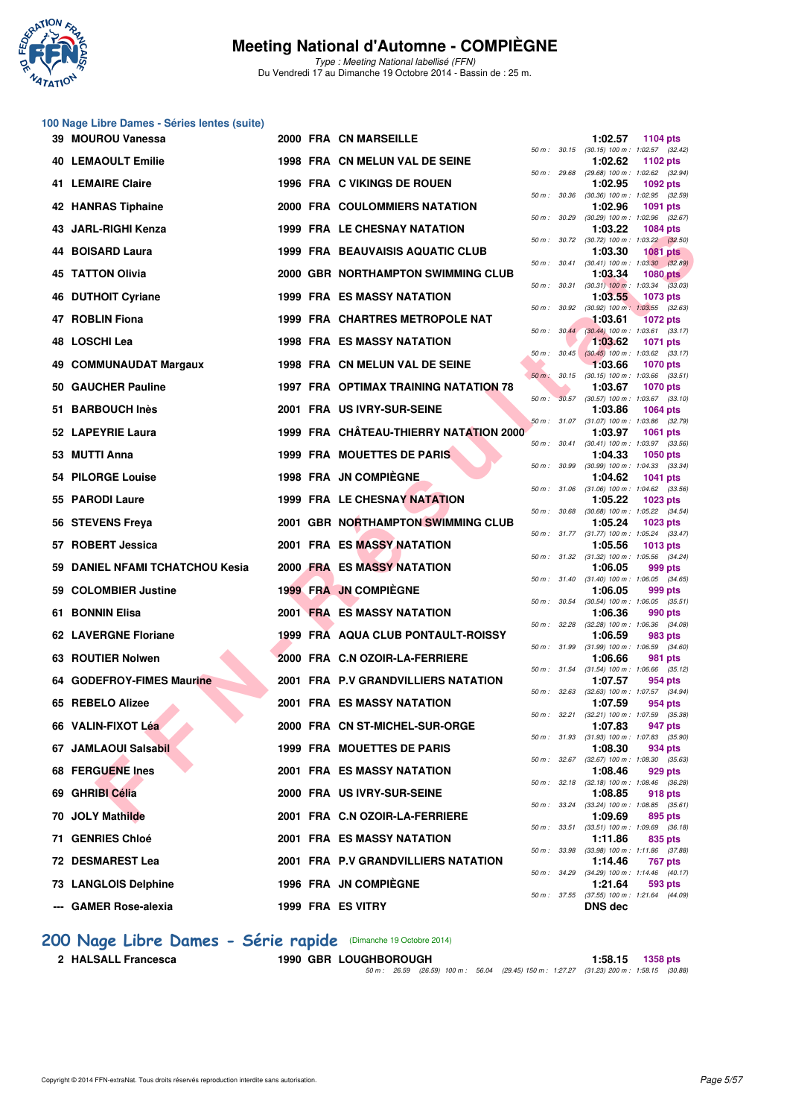

Type : Meeting National labellisé (FFN) Du Vendredi 17 au Dimanche 19 Octobre 2014 - Bassin de : 25 m.

## **100 Nage Libre Dames - Séries lentes (suite)**

| 39 MOUROU Vanessa               |  | 2000 FRA CN MARSEILLE                  |              | 1:02.57                                                 | 1104 pts        |  |
|---------------------------------|--|----------------------------------------|--------------|---------------------------------------------------------|-----------------|--|
| <b>40 LEMAOULT Emilie</b>       |  | 1998 FRA CN MELUN VAL DE SEINE         |              | 50 m: 30.15 (30.15) 100 m: 1:02.57 (32.42)<br>1:02.62   | 1102 pts        |  |
| 41 LEMAIRE Claire               |  | 1996 FRA C VIKINGS DE ROUEN            |              | 50 m : 29.68 (29.68) 100 m : 1:02.62 (32.94)<br>1:02.95 | <b>1092 pts</b> |  |
| <b>42 HANRAS Tiphaine</b>       |  | 2000 FRA COULOMMIERS NATATION          |              | 50 m : 30.36 (30.36) 100 m : 1:02.95 (32.59)<br>1:02.96 | 1091 pts        |  |
| 43 JARL-RIGHI Kenza             |  | 1999 FRA LE CHESNAY NATATION           |              | 50 m : 30.29 (30.29) 100 m : 1:02.96 (32.67)<br>1:03.22 | <b>1084 pts</b> |  |
| 44 BOISARD Laura                |  | 1999 FRA BEAUVAISIS AQUATIC CLUB       |              | 50 m : 30.72 (30.72) 100 m : 1:03.22 (32.50)<br>1:03.30 | <b>1081 pts</b> |  |
| 45 TATTON Olivia                |  | 2000 GBR NORTHAMPTON SWIMMING CLUB     |              | 50 m : 30.41 (30.41) 100 m : 1:03.30 (32.89)<br>1:03.34 | <b>1080 pts</b> |  |
| 46 DUTHOIT Cyriane              |  | <b>1999 FRA ES MASSY NATATION</b>      | 50 m : 30.31 | $(30.31)$ 100 m : 1:03.34 $(33.03)$<br>1:03.55          | 1073 pts        |  |
| 47 ROBLIN Fiona                 |  | 1999 FRA CHARTRES METROPOLE NAT        | 50 m : 30.92 | $(30.92)$ 100 m : 1:03.55 $(32.63)$<br>1:03.61          | <b>1072 pts</b> |  |
| 48 LOSCHI Lea                   |  | <b>1998 FRA ES MASSY NATATION</b>      |              | 50 m : 30.44 (30.44) 100 m : 1:03.61 (33.17)<br>1:03.62 | <b>1071 pts</b> |  |
| 49 COMMUNAUDAT Margaux          |  | 1998 FRA CN MELUN VAL DE SEINE         |              | 50 m : 30.45 (30.45) 100 m : 1:03.62 (33.17)<br>1:03.66 | <b>1070 pts</b> |  |
| 50 GAUCHER Pauline              |  | 1997 FRA OPTIMAX TRAINING NATATION 78  |              | 50 m: 30.15 (30.15) 100 m: 1:03.66 (33.51)<br>1:03.67   | <b>1070 pts</b> |  |
| 51 BARBOUCH Inès                |  | 2001 FRA US IVRY-SUR-SEINE             |              | 50 m : 30.57 (30.57) 100 m : 1:03.67 (33.10)<br>1:03.86 | <b>1064 pts</b> |  |
| 52 LAPEYRIE Laura               |  | 1999 FRA CHÂTEAU-THIERRY NATATION 2000 |              | 50 m: 31.07 (31.07) 100 m: 1:03.86 (32.79)<br>1:03.97   | <b>1061 pts</b> |  |
| 53 MUTTI Anna                   |  | 1999 FRA MOUETTES DE PARIS             |              | 50 m: 30.41 (30.41) 100 m: 1:03.97 (33.56)              |                 |  |
|                                 |  | 1998 FRA JN COMPIÈGNE                  |              | 1:04.33<br>50 m : 30.99 (30.99) 100 m : 1:04.33 (33.34) | 1050 pts        |  |
| 54 PILORGE Louise               |  |                                        |              | 1:04.62<br>50 m: 31.06 (31.06) 100 m: 1:04.62 (33.56)   | <b>1041 pts</b> |  |
| 55 PARODI Laure                 |  | 1999 FRA LE CHESNAY NATATION           |              | 1:05.22<br>50 m : 30.68 (30.68) 100 m : 1:05.22 (34.54) | <b>1023 pts</b> |  |
| 56 STEVENS Freya                |  | 2001 GBR NORTHAMPTON SWIMMING CLUB     |              | 1:05.24<br>50 m: 31.77 (31.77) 100 m: 1:05.24 (33.47)   | <b>1023 pts</b> |  |
| 57 ROBERT Jessica               |  | 2001 FRA ES MASSY NATATION             |              | 1:05.56<br>50 m: 31.32 (31.32) 100 m: 1:05.56 (34.24)   | <b>1013 pts</b> |  |
| 59 DANIEL NFAMI TCHATCHOU Kesia |  | 2000 FRA ES MASSY NATATION             |              | 1:06.05<br>50 m: 31.40 (31.40) 100 m: 1:06.05 (34.65)   | 999 pts         |  |
| 59 COLOMBIER Justine            |  | <b>1999 FRA JN COMPIEGNE</b>           |              | 1:06.05<br>50 m: 30.54 (30.54) 100 m: 1:06.05 (35.51)   | 999 pts         |  |
| 61 BONNIN Elisa                 |  | <b>2001 FRA ES MASSY NATATION</b>      |              | 1:06.36<br>50 m: 32.28 (32.28) 100 m: 1:06.36 (34.08)   | 990 pts         |  |
| 62 LAVERGNE Floriane            |  | 1999 FRA AQUA CLUB PONTAULT-ROISSY     |              | 1:06.59<br>50 m: 31.99 (31.99) 100 m: 1:06.59 (34.60)   | 983 pts         |  |
| 63 ROUTIER Nolwen               |  | 2000 FRA C.N OZOIR-LA-FERRIERE         |              | 1:06.66<br>50 m: 31.54 (31.54) 100 m: 1:06.66 (35.12)   | 981 pts         |  |
| 64 GODEFROY-FIMES Maurine       |  | 2001 FRA P.V GRANDVILLIERS NATATION    |              | 1:07.57<br>50 m: 32.63 (32.63) 100 m: 1:07.57 (34.94)   | 954 pts         |  |
| 65 REBELO Alizee                |  | <b>2001 FRA ES MASSY NATATION</b>      |              | 1:07.59<br>50 m: 32.21 (32.21) 100 m: 1:07.59 (35.38)   | 954 pts         |  |
| 66 VALIN-FIXOT Léa              |  | 2000 FRA CN ST-MICHEL-SUR-ORGE         |              | 1:07.83                                                 | 947 pts         |  |
| 67 JAMLAOUI Salsabil            |  | 1999 FRA MOUETTES DE PARIS             |              | 50 m: 31.93 (31.93) 100 m: 1:07.83 (35.90)<br>1:08.30   | 934 pts         |  |
| 68 FERGUENE Ines                |  | <b>2001 FRA ES MASSY NATATION</b>      |              | 50 m : 32.67 (32.67) 100 m : 1:08.30 (35.63)<br>1:08.46 | 929 pts         |  |
| 69 GHRIBI Célia                 |  | 2000 FRA US IVRY-SUR-SEINE             |              | 50 m : 32.18 (32.18) 100 m : 1:08.46 (36.28)<br>1:08.85 | 918 pts         |  |
| 70 JOLY Mathilde                |  | 2001 FRA C.N OZOIR-LA-FERRIERE         |              | 50 m: 33.24 (33.24) 100 m: 1:08.85 (35.61)<br>1:09.69   | 895 pts         |  |
| 71 GENRIES Chloé                |  | <b>2001 FRA ES MASSY NATATION</b>      |              | 50 m: 33.51 (33.51) 100 m: 1:09.69 (36.18)<br>1:11.86   | 835 pts         |  |
| 72 DESMAREST Lea                |  | 2001 FRA P.V GRANDVILLIERS NATATION    |              | 50 m : 33.98 (33.98) 100 m : 1:11.86 (37.88)<br>1:14.46 | 767 pts         |  |
| <b>73 LANGLOIS Delphine</b>     |  | 1996 FRA JN COMPIÈGNE                  |              | 50 m : 34.29 (34.29) 100 m : 1:14.46 (40.17)<br>1:21.64 | 593 pts         |  |
| --- GAMER Rose-alexia           |  | 1999 FRA ES VITRY                      |              | 50 m: 37.55 (37.55) 100 m: 1:21.64 (44.09)<br>DNS dec   |                 |  |

# **200 Nage Libre Dames - Série rapide** (Dimanche 19 Octobre 2014)<br>2 HALSALL Francesca 1990 GBR LOUGHBOROUGH

**2 1990 GBR LOUGHBOROUGH 1:58.15 1:58.15 1358 pts** 50 m : 26.59 (26.59) 100 m : 56.04 (29.45) 150 m : 1:27.27 (31.23) 200 m : 1:58.15 (30.88)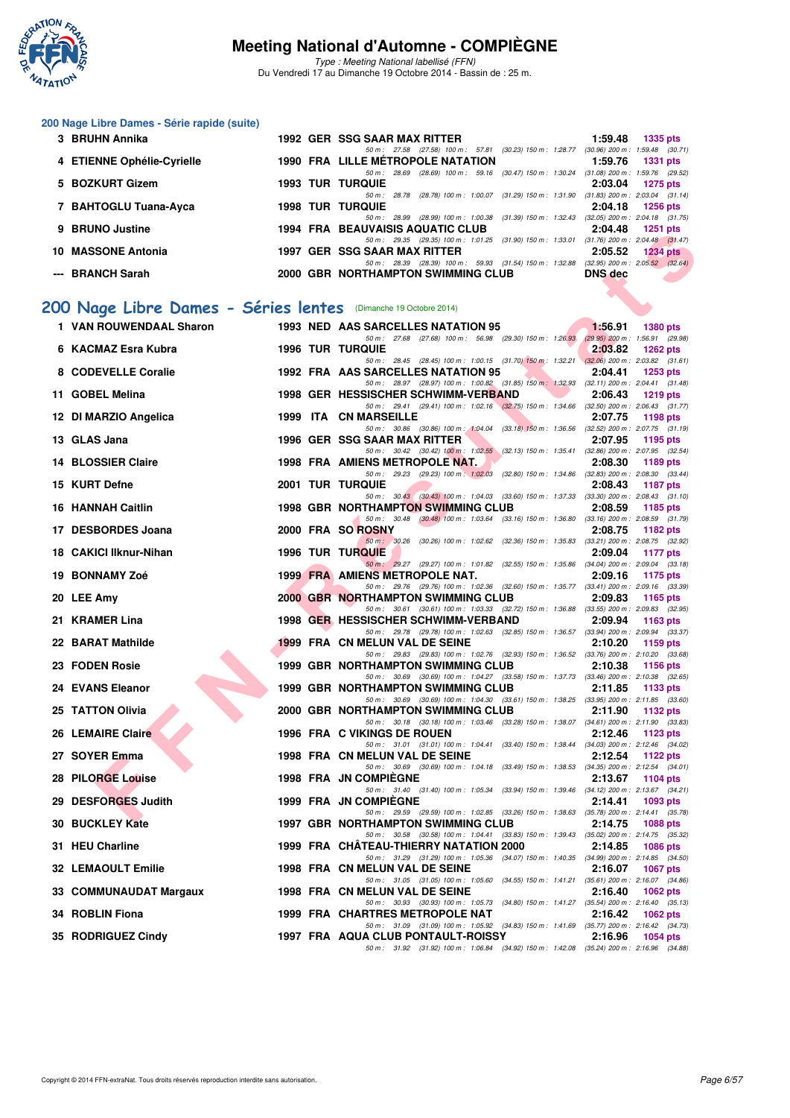

Type : Meeting National labellisé (FFN) Du Vendredi 17 au Dimanche 19 Octobre 2014 - Bassin de : 25 m.

#### **200 Nage Libre Dames - Série rapide (suite)**

| 3 BRUHN Annika             | <b>1992 GER SSG SAAR MAX RITTER</b>                                            | 1:59.48 | 1335 pts                              |
|----------------------------|--------------------------------------------------------------------------------|---------|---------------------------------------|
|                            | 50 m: 27.58 (27.58) 100 m: 57.81 (30.23) 150 m: 1:28.77                        |         | $(30.96)$ 200 m : 1:59.48 $(30.71)$   |
| 4 ETIENNE Ophélie-Cyrielle | <b>1990 FRA LILLE MÉTROPOLE NATATION</b>                                       | 1:59.76 | <b>1331 pts</b>                       |
|                            | (30.47) 150 m : 1:30.24<br>$(28.69)$ 100 m : 59.16<br>50 m: 28.69              |         | $(31.08)$ 200 m : 1:59.76 $(29.52)$   |
| 5 BOZKURT Gizem            | <b>1993 TUR TURQUIE</b>                                                        | 2:03.04 | $1275$ pts                            |
|                            | $(31.29)$ 150 m : 1:31.90<br>(28.78) 100 m : 1:00.07<br>$50 \text{ m}$ : 28.78 |         | $(31.83)$ 200 m : 2:03.04 $(31.14)$   |
| 7 BAHTOGLU Tuana-Ayca      | <b>1998 TUR TURQUIE</b>                                                        | 2:04.18 | <b>1256 pts</b>                       |
|                            | 50 m: 28.99 (28.99) 100 m: 1:00.38 (31.39) 150 m: 1:32.43                      |         | $(32.05)$ 200 m : 2:04.18 $(31.75)$   |
| 9 BRUNO Justine            | <b>1994 FRA BEAUVAISIS AQUATIC CLUB</b>                                        | 2:04.48 | $1251$ pts                            |
|                            | 50 m: 29.35 (29.35) 100 m: 1:01.25 (31.90) 150 m: 1:33.01                      |         | $(31.76)$ 200 m : 2:04.48 $(31.47)$   |
| 10 MASSONE Antonia         | 1997 GER SSG SAAR MAX RITTER                                                   | 2:05.52 | $1234$ pts                            |
|                            | (28.39) 100 m : 59.93 (31.54) 150 m : 1:32.88<br>50 m : 28.39                  |         | $(32.95)$ 200 m : $2.05.52$ $(32.64)$ |
| --- BRANCH Sarah           | 2000 GBR NORTHAMPTON SWIMMING CLUB                                             | DNS dec |                                       |

## **[200 Nage Libre Dames - Séries lentes](http://www.ffnatation.fr/webffn/resultats.php?idact=nat&go=epr&idcpt=24767&idepr=3)** (Dimanche 19 Octobre 2014)

| <b>DRUIVO JUSLING</b>                                           |  | 1994 FRA BEAUVAISIS AGUATIC CLUB                                                                                                      | 4.04.40        | ו נב <i>ו</i>    |
|-----------------------------------------------------------------|--|---------------------------------------------------------------------------------------------------------------------------------------|----------------|------------------|
| 10 MASSONE Antonia                                              |  | 50 m: 29.35 (29.35) 100 m: 1:01.25 (31.90) 150 m: 1:33.01 (31.76) 200 m: 2:04.48 (31.47)<br>1997 GER SSG SAAR MAX RITTER              | 2:05.52        | 1234 $pts$       |
| --- BRANCH Sarah                                                |  | 50 m: 28.39 (28.39) 100 m: 59.93 (31.54) 150 m: 1:32.88 (32.95) 200 m: 2:05.52 (32.64)<br>2000 GBR NORTHAMPTON SWIMMING CLUB          | <b>DNS</b> dec |                  |
|                                                                 |  |                                                                                                                                       |                |                  |
| '00 Nage Libre Dames - Séries lentes (Dimanche 19 Octobre 2014) |  |                                                                                                                                       |                |                  |
| 1 VAN ROUWENDAAL Sharon                                         |  | 1993 NED AAS SARCELLES NATATION 95                                                                                                    | 1.56.91        | <b>1380 pts</b>  |
|                                                                 |  | 50 m: 27.68 (27.68) 100 m: 56.98 (29.30) 150 m: 1:26.93 (29.95) 200 m: 1:56.91 (29.98)                                                |                |                  |
| 6 KACMAZ Esra Kubra                                             |  | <b>1996 TUR TURQUIE</b>                                                                                                               | 2:03.82        | <b>1262 pts</b>  |
| 8 CODEVELLE Coralie                                             |  | 50 m: 28.45 (28.45) 100 m: 1:00.15 (31.70) 150 m: 1:32.21 (32.06) 200 m: 2:03.82 (31.61)<br>1992 FRA AAS SARCELLES NATATION 95        | 2:04.41        | $1253$ pts       |
|                                                                 |  | 50 m: 28.97 (28.97) 100 m: 1:00.82 (31.85) 150 m: 1:32.93 (32.11) 200 m: 2:04.41 (31.48)                                              |                |                  |
| 11 GOBEL Melina                                                 |  | 1998 GER HESSISCHER SCHWIMM-VERBAND                                                                                                   | 2:06.43        | 1219 pts         |
| 12 DI MARZIO Angelica                                           |  | 50 m: 29.41 (29.41) 100 m: 1:02.16 (32.75) 150 m: 1:34.66 (32.50) 200 m: 2:06.43 (31.77)<br>1999 ITA CN MARSEILLE                     | 2:07.75        | 1198 pts         |
|                                                                 |  | 50 m: 30.86 (30.86) 100 m: 1:04.04 (33.18) 150 m: 1:36.56 (32.52) 200 m: 2:07.75 (31.19)                                              |                |                  |
| 13 GLAS Jana                                                    |  | 1996 GER SSG SAAR MAX RITTER                                                                                                          | 2:07.95        | 1195 pts         |
|                                                                 |  | 50 m: 30.42 (30.42) 100 m: 1:02.55 (32.13) 150 m: 1:35.41 (32.86) 200 m: 2:07.95 (32.54)                                              |                |                  |
| 14 BLOSSIER Claire                                              |  | 1998 FRA AMIENS METROPOLE NAT.<br>50 m: 29.23 (29.23) 100 m: 1:02.03 (32.80) 150 m: 1:34.86 (32.83) 200 m: 2:08.30 (33.44)            | 2:08.30        | 1189 pts         |
| 15 KURT Defne                                                   |  | <b>2001 TUR TURQUIE</b>                                                                                                               | 2:08.43        | 1187 pts         |
|                                                                 |  | 50 m: 30.43 (30.43) 100 m: 1:04.03 (33.60) 150 m: 1:37.33 (33.30) 200 m: 2:08.43 (31.10)                                              |                |                  |
| <b>16 HANNAH Caitlin</b>                                        |  | <b>1998 GBR NORTHAMPTON SWIMMING CLUB</b><br>50 m: 30.48 (30.48) 100 m: 1:03.64 (33.16) 150 m: 1:36.80 (33.16) 200 m: 2:08.59 (31.79) | 2:08.59        | 1185 pts         |
| 17 DESBORDES Joana                                              |  | 2000 FRA SO ROSNY                                                                                                                     | 2:08.75        | 1182 pts         |
|                                                                 |  | 50 m: 30.26 (30.26) 100 m: 1:02.62 (32.36) 150 m: 1:35.83 (33.21) 200 m: 2:08.75 (32.92)                                              |                |                  |
| 18 CAKICI Ilknur-Nihan                                          |  | <b>1996 TUR TURQUIE</b>                                                                                                               | 2:09.04        | 1177 pts         |
| 19 BONNAMY Zoé                                                  |  | 50 m: 29.27 (29.27) 100 m: 1:01.82 (32.55) 150 m: 1:35.86 (34.04) 200 m: 2:09.04 (33.18)<br><b>1999 FRA AMIENS METROPOLE NAT.</b>     | 2:09.16        | 1175 pts         |
|                                                                 |  | 50 m: 29.76 (29.76) 100 m: 1:02.36 (32.60) 150 m: 1:35.77 (33.41) 200 m: 2:09.16 (33.39)                                              |                |                  |
| 20 LEE Amy                                                      |  | 2000 GBR NORTHAMPTON SWIMMING CLUB                                                                                                    | 2:09.83        | 1165 $pts$       |
| 21 KRAMER Lina                                                  |  | 50 m: 30.61 (30.61) 100 m: 1:03.33 (32.72) 150 m: 1:36.88 (33.55) 200 m: 2:09.83 (32.95)<br>1998 GER HESSISCHER SCHWIMM-VERBAND       | 2:09.94        | 1163 pts         |
|                                                                 |  | 50 m: 29.78 (29.78) 100 m: 1:02.63 (32.85) 150 m: 1:36.57 (33.94) 200 m: 2:09.94 (33.37)                                              |                |                  |
| 22 BARAT Mathilde                                               |  | 1999 FRA CN MELUN VAL DE SEINE                                                                                                        | 2:10.20        | 1159 pts         |
| 23 FODEN Rosie                                                  |  | 50 m: 29.83 (29.83) 100 m: 1:02.76 (32.93) 150 m: 1:36.52 (33.76) 200 m: 2:10.20 (33.68)<br><b>1999 GBR NORTHAMPTON SWIMMING CLUB</b> | 2:10.38        | 1156 pts         |
|                                                                 |  | 50 m: 30.69 (30.69) 100 m: 1:04.27 (33.58) 150 m: 1:37.73 (33.46) 200 m: 2:10.38 (32.65)                                              |                |                  |
| 24 EVANS Eleanor                                                |  | 1999 GBR NORTHAMPTON SWIMMING CLUB                                                                                                    | 2:11.85        | 1133 pts         |
| 25 TATTON Olivia                                                |  | 50 m: 30.69 (30.69) 100 m: 1:04.30 (33.61) 150 m: 1:38.25 (33.95) 200 m: 2:11.85 (33.60)<br>2000 GBR NORTHAMPTON SWIMMING CLUB        | 2:11.90        | 1132 pts         |
|                                                                 |  | 50 m: 30.18 (30.18) 100 m: 1:03.46 (33.28) 150 m: 1:38.07 (34.61) 200 m: 2:11.90 (33.83)                                              |                |                  |
| 26 LEMAIRE Claire                                               |  | 1996 FRA C VIKINGS DE ROUEN                                                                                                           | 2:12.46        | 1123 pts         |
| 27 SOYER Emma                                                   |  | 50 m: 31.01 (31.01) 100 m: 1:04.41 (33.40) 150 m: 1:38.44 (34.03) 200 m: 2:12.46 (34.02)<br>1998 FRA CN MELUN VAL DE SEINE            | 2:12.54        | 1122 $pts$       |
|                                                                 |  | 50 m: 30.69 (30.69) 100 m: 1:04.18 (33.49) 150 m: 1:38.53 (34.35) 200 m: 2:12.54 (34.01)                                              |                |                  |
| 28 PILORGE Louise                                               |  | <b>1998 FRA JN COMPIEGNE</b>                                                                                                          | 2:13.67        | 1104 pts         |
| 29 DESFORGES Judith                                             |  | 50 m: 31.40 (31.40) 100 m: 1:05.34 (33.94) 150 m: 1:39.46 (34.12) 200 m: 2:13.67 (34.21)<br>1999 FRA JN COMPIEGNE                     | 2:14.41        | 1093 pts         |
|                                                                 |  | 50 m: 29.59 (29.59) 100 m: 1:02.85 (33.26) 150 m: 1:38.63 (35.78) 200 m: 2:14.41 (35.78)                                              |                |                  |
| 30 BUCKLEY Kate                                                 |  | <b>1997 GBR NORTHAMPTON SWIMMING CLUB</b>                                                                                             |                | 2:14.75 1088 pts |
| 31 HEU Charline                                                 |  | 50 m: 30.58 (30.58) 100 m: 1:04.41 (33.83) 150 m: 1:39.43 (35.02) 200 m: 2:14.75 (35.32)<br>1999 FRA CHATEAU-THIERRY NATATION 2000    | 2:14.85        |                  |
|                                                                 |  | 50 m: 31.29 (31.29) 100 m: 1:05.36 (34.07) 150 m: 1:40.35 (34.99) 200 m: 2:14.85 (34.50)                                              |                | <b>1086 pts</b>  |
| 32 LEMAOULT Emilie                                              |  | 1998 FRA CN MELUN VAL DE SEINE                                                                                                        | 2:16.07        | <b>1067 pts</b>  |
|                                                                 |  | 50 m: 31.05 (31.05) 100 m: 1:05.60 (34.55) 150 m: 1:41.21 (35.61) 200 m: 2:16.07 (34.86)                                              |                |                  |
| 33 COMMUNAUDAT Margaux                                          |  | 1998 FRA CN MELUN VAL DE SEINE<br>50 m: 30.93 (30.93) 100 m: 1:05.73 (34.80) 150 m: 1:41.27 (35.54) 200 m: 2:16.40 (35.13)            | 2:16.40        | 1062 pts         |
| 34 ROBLIN Fiona                                                 |  | 1999 FRA CHARTRES METROPOLE NAT                                                                                                       | 2:16.42        | 1062 pts         |
|                                                                 |  | 50 m: 31.09 (31.09) 100 m: 1:05.92 (34.83) 150 m: 1:41.69 (35.77) 200 m: 2:16.42 (34.73)                                              |                |                  |
| 35 RODRIGUEZ Cindy                                              |  | 1997 FRA AQUA CLUB PONTAULT-ROISSY<br>50 m: 31.92 (31.92) 100 m: 1:06.84 (34.92) 150 m: 1:42.08 (35.24) 200 m: 2:16.96 (34.88)        | 2:16.96        | <b>1054 pts</b>  |
|                                                                 |  |                                                                                                                                       |                |                  |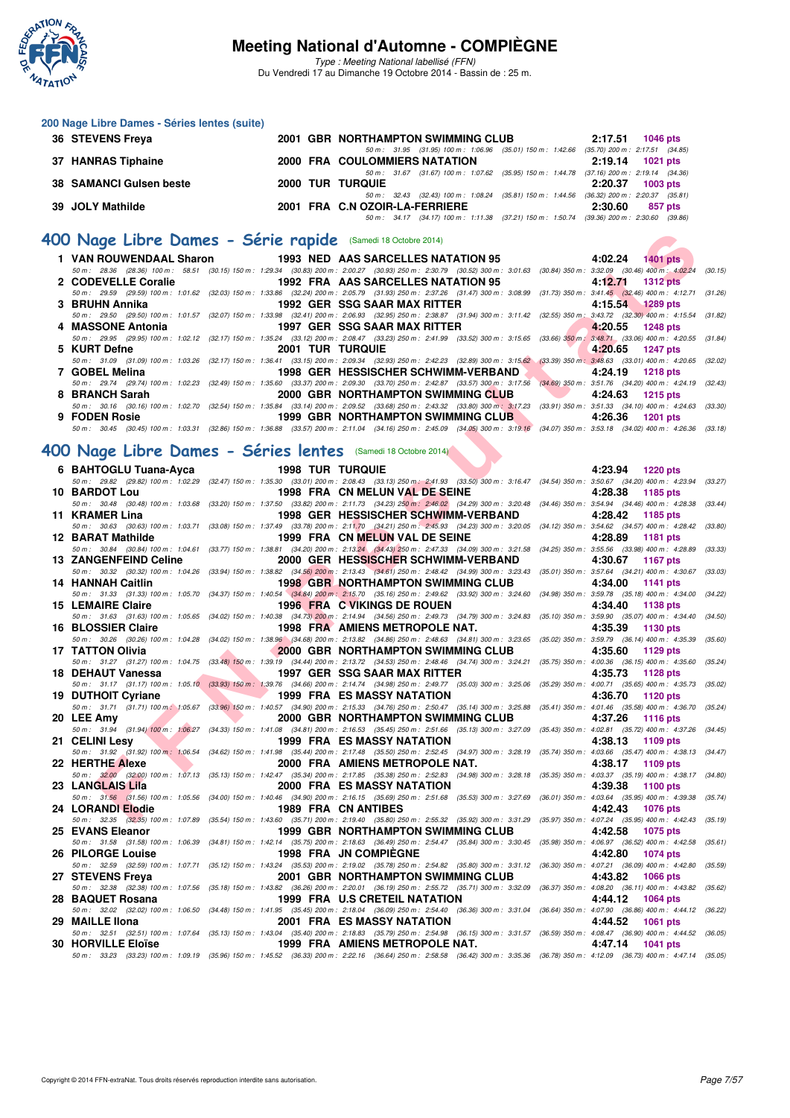

Type : Meeting National labellisé (FFN) Du Vendredi 17 au Dimanche 19 Octobre 2014 - Bassin de : 25 m.

| 200 Nage Libre Dames - Séries lentes (suite) |  |                                                           |         |                                     |
|----------------------------------------------|--|-----------------------------------------------------------|---------|-------------------------------------|
| 36 STEVENS Freya                             |  | 2001 GBR NORTHAMPTON SWIMMING CLUB                        | 2:17.51 | <b>1046 pts</b>                     |
|                                              |  | 50 m: 31.95 (31.95) 100 m: 1:06.96 (35.01) 150 m: 1:42.66 |         | $(35.70)$ 200 m : 2:17.51 $(34.85)$ |
| 37 HANRAS Tiphaine                           |  | 2000 FRA COULOMMIERS NATATION                             | 2:19.14 | 1021 pts                            |
|                                              |  | 50 m: 31.67 (31.67) 100 m: 1:07.62 (35.95) 150 m: 1:44.78 |         | $(37.16)$ 200 m : 2:19.14 $(34.36)$ |
| 38 SAMANCI Gulsen beste                      |  | 2000 TUR TURQUIE                                          | 2:20.37 | $1003$ pts                          |
|                                              |  | 50 m: 32.43 (32.43) 100 m: 1:08.24 (35.81) 150 m: 1:44.56 |         | $(36.32)$ 200 m : 2:20.37 $(35.81)$ |
| 39 JOLY Mathilde                             |  | 2001 FRA C.N OZOIR-LA-FERRIERE                            | 2:30.60 | 857 pts                             |
|                                              |  | 50 m: 34.17 (34.17) 100 m: 1:11.38 (37.21) 150 m: 1:50.74 |         | $(39.36)$ 200 m : 2:30.60 $(39.86)$ |

#### **[400 Nage Libre Dames - Série rapide](http://www.ffnatation.fr/webffn/resultats.php?idact=nat&go=epr&idcpt=24767&idepr=4)** (Samedi 18 Octobre 2014)

| 1 VAN ROUWENDAAL Sharon 1993 NED AAS SARCELLES NATATION 95 4:02.24 1401 pts                                                          |                         |                                    |                                                      |                                                                                                                                                                                              |
|--------------------------------------------------------------------------------------------------------------------------------------|-------------------------|------------------------------------|------------------------------------------------------|----------------------------------------------------------------------------------------------------------------------------------------------------------------------------------------------|
|                                                                                                                                      |                         |                                    |                                                      | 50 m : 28.36 (28.36) 100 m : 58.51 (30.15) 150 m : 1:29.34 (30.83) 200 m : 2:00.27 (30.93) 250 m : 2:30.79 (30.52) 300 m : 3:01.63 (30.84) 350 m : 3:32.09 (30.46) 400 m : 4:02.24 (30.15)   |
| 2 CODEVELLE Coralie          1992 FRA AAS SARCELLES NATATION 95                                                                      |                         |                                    |                                                      | 4:12.71 1312 pts                                                                                                                                                                             |
|                                                                                                                                      |                         |                                    |                                                      | 50 m : 29.59 (29.59) 100 m : 1:01.62 (32.03) 150 m : 1:33.86 (32.24) 200 m : 2:05.79 (31.93) 250 m : 2:37.26 (31.47) 300 m : 3:08.99 (31.73) 350 m : 3:41.45 (32.46) 400 m : 4:12.71 (31.26) |
| 3 BRUHN Annika                                                                                                                       |                         |                                    | 1992 GER SSG SAAR MAX RITTER                         | 4:15.54 1289 pts                                                                                                                                                                             |
|                                                                                                                                      |                         |                                    |                                                      | 50 m : 29.50 (29.50) 100 m : 1:01.57 (32.07) 150 m : 1:33.98 (32.41) 200 m : 2:06.93 (32.95) 250 m : 2:38.87 (31.94) 300 m : 3:11.42 (32.55) 350 m : 3:43.72 (32.30) 400 m : 4:15.54 (31.82) |
| 4 MASSONE Antonia 1997 GER SSG SAAR MAX RITTER 4:20.55 1248 pts                                                                      |                         |                                    |                                                      |                                                                                                                                                                                              |
|                                                                                                                                      |                         |                                    |                                                      | 50 m: 29.95 (29.95) 100 m: 1:02.12 (32.17) 150 m: 1:35.24 (33.12) 200 m: 2:08.47 (33.23) 250 m: 2:41.99 (33.52) 300 m: 3:15.65 (33.66) 350 m; 3:48.71 (33.06) 400 m: 4:20.55 (31.84)         |
| 5 KURT Defne                                                                                                                         | <b>2001 TUR TURQUIE</b> |                                    |                                                      | $4:20.65$ 1247 pts                                                                                                                                                                           |
|                                                                                                                                      |                         |                                    |                                                      | 50 m : 31.09 (31.09) 100 m : 1:03.26 (32.17) 150 m : 1:36.41 (33.15) 200 m : 2:09.34 (32.93) 250 m : 2:42.23 (32.89) 300 m : 3:15.62 (33.39) 350 m : 3:48.63 (33.01) 400 m : 4:20.65 (32.02) |
| 7 GOBEL Melina                                                                                                                       |                         |                                    | 1998 GER HESSISCHER SCHWIMM-VERBAND 4:24.19 1218 pts |                                                                                                                                                                                              |
| 50 m: 29.74 (29.74) 100 m: 1:02.23 (32.49) 150 m: 1:35.60 (33.37) 200 m: 2:09.30 (33.70) 250 m: 2:42.87 (33.57) 300 m: 3:17.56       |                         |                                    |                                                      | $(34.69)$ 350 m : 3:51.76 $(34.20)$ 400 m : 4:24.19 $(32.43)$                                                                                                                                |
| 8 BRANCH Sarah                                                                                                                       |                         |                                    | 2000 GBR NORTHAMPTON SWIMMING CLUB 4:24.63 1215 pts  |                                                                                                                                                                                              |
| 50 m: 30.16 (30.16) 100 m: 1:02.70 (32.54) 150 m: 1:35.84 (33.14) 200 m: 2:09.52 (33.68) 250 m: 2:43.32 (33.80) 300 m: 3:17.23       |                         |                                    |                                                      | $(33.91)$ 350 m : 3:51.33 $(34.10)$ 400 m : 4:24.63 $(33.30)$                                                                                                                                |
| 9 FODEN Rosie                                                                                                                        |                         | 1999 GBR NORTHAMPTON SWIMMING CLUB |                                                      | 4:26.36<br><b>1201 pts</b>                                                                                                                                                                   |
| 50 m : 30.45 (30.45) 100 m : 1:03.31 (32.86) 150 m : 1:36.88 (33.57) 200 m : 2:11.04 (34.16) 250 m : 2:45.09 (34.05) 300 m : 3:19.16 |                         |                                    |                                                      | $(34.07)$ 350 m : 3:53.18 $(34.02)$ 400 m : 4:26.36 $(33.18)$                                                                                                                                |

## **[400 Nage Libre Dames - Séries lentes](http://www.ffnatation.fr/webffn/resultats.php?idact=nat&go=epr&idcpt=24767&idepr=4)** (Samedi 18 Octobre 2014)

| 00 Nage Libre Dames - Série rapide (Samedi 18 Octobre 2014)  |                         |                                                                                                                                                                                                                                      |                                                                                        |
|--------------------------------------------------------------|-------------------------|--------------------------------------------------------------------------------------------------------------------------------------------------------------------------------------------------------------------------------------|----------------------------------------------------------------------------------------|
| 1 VAN ROUWENDAAL Sharon                                      |                         | 1993 NED AAS SARCELLES NATATION 95                                                                                                                                                                                                   | 4:02.24 1401 pts                                                                       |
| 2 CODEVELLE Coralie                                          |                         | 50 m : 28.36 (28.36) 100 m : 58.51 (30.15) 150 m : 1:29.34 (30.83) 200 m : 2:00.27 (30.93) 250 m : 2:30.79 (30.52) 300 m : 3:01.63 (30.84) 350 m : 3:32.09 (30.46) 400 m : 4:02.24<br>1992 FRA AAS SARCELLES NATATION 95             | (30.15)<br>4:12.71<br><b>1312 pts</b>                                                  |
| 3 BRUHN Annika                                               |                         | 50 m: 29.59 (29.59) 100 m: 1:01.62 (32.03) 150 m: 1:33.86 (32.24) 200 m: 2:05.79 (31.93) 250 m: 2:37.26 (31.47) 300 m: 3:08.99 (31.73) 350 m: 3:41.45 (32.46) 400 m: 4:12.71<br><b>1992 GER SSG SAAR MAX RITTER</b>                  | (31.26)<br>4:15.54<br>1289 pts                                                         |
| 4 MASSONE Antonia                                            |                         | 50 m: 29.50 (29.50) 100 m: 1:01.57 (32.07) 150 m: 1:33.98 (32.41) 200 m: 2:06.93 (32.95) 250 m: 2:38.87 (31.94) 300 m: 3:11.42 (32.55) 350 m; 3:43.72 (32.30) 400 m: 4:15.54 (31.82)<br>1997 GER SSG SAAR MAX RITTER                 | 4:20.55<br><b>1248 pts</b>                                                             |
| 5 KURT Defne                                                 | <b>2001 TUR TURQUIE</b> | 50 m: 29.95 (29.95) 100 m: 1:02.12 (32.17) 150 m: 1:35.24 (33.12) 200 m: 2:08.47 (33.23) 250 m: 2:41.99 (33.52) 300 m: 3:15.65 (33.66) 350 m; 3:48.71 (33.06) 400 m: 4:20.55                                                         | (31.84)<br>4:20.65<br><b>1247 pts</b>                                                  |
| 7 GOBEL Melina                                               |                         | 50 m: 31.09 (31.09) 100 m: 1:03.26 (32.17) 150 m: 1:36.41 (33.15) 200 m: 2:09.34 (32.93) 250 m: 2:42.23 (32.89) 300 m: 3:15.62 (33.39) 350 m: 3:48.63 (33.01) 400 m: 4:20.65 (32.02)<br>1998 GER HESSISCHER SCHWIMM-VERBAND          | 4:24.19<br><b>1218 pts</b>                                                             |
|                                                              |                         | 50 m: 29.74 (29.74) 100 m: 1:02.23 (32.49) 150 m: 1:35.60 (33.37) 200 m: 2:09.30 (33.70) 250 m: 2:42.87 (33.57) 300 m: 3:17.56 (34.69) 350 m: 3:51.76 (34.20) 400 m: 4:24.19 (32.43)                                                 |                                                                                        |
| 8 BRANCH Sarah                                               |                         | 2000 GBR NORTHAMPTON SWIMMING CLUB<br>50 m: 30.16 (30.16) 100 m: 1:02.70 (32.54) 150 m: 1:35.84 (33.14) 200 m: 2:09.52 (33.68) 250 m: 2:43.32 (33.80) 300 m: 3:17.23 (33.91) 350 m: 3:51.33 (34.10) 400 m: 4:24.63 (33.30)           | $\mathbf{v}$<br>4:24.63<br><b>1215 pts</b>                                             |
| 9 FODEN Rosie                                                |                         | 1999 GBR NORTHAMPTON SWIMMING CLUB<br>50 m: 30.45 (30.45) 100 m: 1:03.31 (32.86) 150 m: 1:36.88 (33.57) 200 m: 2:11.04 (34.16) 250 m: 2:45.09 (34.05) 300 m: 3:19.16 (34.07) 350 m: 3:53.18 (34.02) 400 m: 4:26.36 (33.18)           | 4:26.36<br><b>1201 pts</b>                                                             |
| 00 Nage Libre Dames - Séries lentes (Samedi 18 Octobre 2014) |                         |                                                                                                                                                                                                                                      |                                                                                        |
| 6 BAHTOGLU Tuana-Ayca                                        | <b>1998 TUR TURQUIE</b> |                                                                                                                                                                                                                                      | 4:23.94 1220 pts                                                                       |
|                                                              |                         | 50 m : 29.82 (29.82) 100 m : 1:02.29 (32.47) 150 m : 1:35.30 (33.01) 200 m : 2:08.43 (33.13) 250 m : 2:41.93 (33.50) 300 m : 3:16.47 (34.54) 350 m : 3:50.67 (34.20) 400 m : 4:23.94                                                 | (33.27)                                                                                |
| 10 BARDOT Lou                                                |                         | 1998 FRA CN MELUN VAL DE SEINE<br>50 m: 30.48 (30.48) 100 m: 1:03.68 (33.20) 150 m: 1:37.50 (33.82) 200 m: 2:11.73 (34.23) 250 m: 2:46.02 (34.29) 300 m: 3:20.48 (34.46) 350 m: 3:54.94 (34.46) 400 m: 4:28.38                       | 4:28.38<br>1185 pts<br>(33.44)                                                         |
| 11 KRAMER Lina                                               |                         | 1998 GER HESSISCHER SCHWIMM-VERBAND                                                                                                                                                                                                  | 4:28.42<br>1185 pts                                                                    |
|                                                              |                         | 50 m: 30.63 (30.63) 100 m: 1:03.71 (33.08) 150 m: 1:37.49 (33.78) 200 m: 2:11.70 (34.21) 250 m: 2:45.93 (34.23) 300 m: 3:20.05 (34.12) 350 m: 3:54.62 (34.57) 400 m: 4:28.42 (33.80)                                                 |                                                                                        |
| 12 BARAT Mathilde                                            |                         | 1999 FRA CN MELUN VAL DE SEINE<br>50 m: 30.84 (30.84) 100 m: 1:04.61 (33.77) 150 m: 1:38.81 (34.20) 200 m: 2:13.24 (34.43) 250 m: 2:47.33 (34.09) 300 m: 3:21.58 (34.25) 350 m: 3:55.56 (33.98) 400 m: 4:28.89                       | 4:28.89<br>1181 pts<br>(33.33)                                                         |
| <b>13 ZANGENFEIND Celine</b>                                 |                         | 2000 GER HESSISCHER SCHWIMM-VERBAND                                                                                                                                                                                                  | 4:30.67<br><b>1167 pts</b>                                                             |
| 14 HANNAH Caitlin                                            |                         | 50 m: 30.32 (30.32) 100 m: 1:04.26 (33.94) 150 m: 1:38.82 (34.56) 200 m: 2:13.43 (34.61) 250 m: 2:48.42 (34.99) 300 m: 3:23.43 (35.01) 350 m: 3:57.64 (34.21) 400 m: 4:30.67<br><b>1998 GBR NORTHAMPTON SWIMMING CLUB</b>            | (33.03)<br>4:34.00<br>1141 pts                                                         |
|                                                              |                         | 50 m : 31.33 (31.33) 100 m : 1:05.70 (34.37) 150 m : 1:40.54 (34.84) 200 m : 2:15.70 (35.16) 250 m : 2:49.62 (33.92) 300 m : 3:24.60 (34.98) 350 m : 3:59.78 (35.18) 400 m : 4:34.00 (34.22)                                         |                                                                                        |
| <b>15 LEMAIRE Claire</b>                                     |                         | 1996 FRA C VIKINGS DE ROUEN                                                                                                                                                                                                          | 4:34.40<br>1138 pts                                                                    |
| 16 BLOSSIER Claire                                           |                         | 50 m: 31.63 (31.63) 100 m: 1:05.65 (34.02) 150 m: 1:40.38 (34.73) 200 m: 2:14.94 (34.56) 250 m: 2:49.73 (34.79) 300 m: 3:24.83 (35.10) 350 m: 3:59.90 (35.07) 400 m: 4:34.40 (34.50)<br>1998 FRA AMIENS METROPOLE NAT.               | 4:35.39<br>1130 pts                                                                    |
| 17 TATTON Olivia                                             |                         | 50 m : 30.26 (30.26) 100 m : 1:04.28 (34.02) 150 m : 1:38.96 (34.68) 200 m : 2:13.82 (34.86) 250 m : 2:48.63 (34.81) 300 m : 3:23.65 (35.02) 350 m : 3:59.79 (36.14) 400 m : 4:35.39<br>2000 GBR NORTHAMPTON SWIMMING CLUB           | (35.60)<br>4:35.60<br>1129 pts                                                         |
|                                                              |                         | 50 m: 31.27 (31.27) 100 m: 1:04.75 (33.48) 150 m: 1:39.19 (34.44) 200 m: 2:13.72 (34.53) 250 m: 2:48.46 (34.74) 300 m: 3:24.21 (35.75) 350 m: 4:00.36 (36.15) 400 m: 4:35.60 (35.24)                                                 |                                                                                        |
| 18 DEHAUT Vanessa                                            |                         | 1997 GER SSG SAAR MAX RITTER<br>50 m : 31.17 (31.17) 100 m : 1:05.10 (33.93) 150 m : 1:39.76 (34.66) 200 m : 2:14.74 (34.98) 250 m : 2:49.77 (35.03) 300 m : 3:25.06                                                                 | 4:35.73<br>1128 pts<br>(35.29) 350 m : 4:00.71 (35.65) 400 m : 4:35.73 (35.02)         |
| 19 DUTHOIT Cyriane                                           |                         | 1999 FRA ES MASSY NATATION                                                                                                                                                                                                           | 4:36.70<br>1120 pts                                                                    |
| 20 LEE Amv                                                   |                         | 50 m: 31.71 (31.71) 100 m: 1:05.67 (33.96) 150 m: 1:40.57 (34.90) 200 m: 2:15.33 (34.76) 250 m: 2:50.47 (35.14) 300 m: 3:25.88<br>2000 GBR NORTHAMPTON SWIMMING CLUB                                                                 | (35.41) 350 m: 4:01.46 (35.58) 400 m: 4:36.70<br>(35.24)<br>4:37.26<br><b>1116 pts</b> |
|                                                              |                         | 50 m: 31.94 (31.94) 100 m: 1:06,27 (34.33) 150 m: 1:41.08 (34.81) 200 m: 2:16.53 (35.45) 250 m: 2:51.66 (35.13) 300 m: 3:27.09 (35.43) 350 m: 4:02.81 (35.72) 400 m: 4:37.26 (34.45)                                                 |                                                                                        |
| 21 CELINI Lesv                                               |                         | 1999 FRA ES MASSY NATATION<br>50 m: 31.92 (31.92) 100 m: 1:06.54 (34.62) 150 m: 1:41.98 (35.44) 200 m: 2:17.48 (35.50) 250 m: 2:52.45 (34.97) 300 m: 3:28.19 (35.74) 350 m: 4:03.66 (35.47) 400 m: 4:38.13 (34.47)                   | 4:38.13<br>1109 pts                                                                    |
| 22 HERTHE Alexe                                              |                         | 2000 FRA AMIENS METROPOLE NAT.                                                                                                                                                                                                       | 4:38.17<br>1109 pts                                                                    |
|                                                              |                         | 50 m: 32.00 (32.00) 100 m: 1:07.13 (35.13) 150 m: 1:42.47 (35.34) 200 m: 2:17.85 (35.38) 250 m: 2:52.83 (34.98) 300 m: 3:28.18 (35.35) 350 m: 4:03.37 (35.19) 400 m: 4:38.17 (34.80)                                                 |                                                                                        |
| 23 LANGLAIS Lila                                             |                         | <b>2000 FRA ES MASSY NATATION</b><br>50 m: 31.56 (31.56) 100 m: 1:05.56 (34.00) 150 m: 1:40.46 (34.90) 200 m: 2:16.15 (35.69) 250 m: 2:51.68 (35.53) 300 m: 3:27.69 (36.01) 350 m: 4:03.64 (35.95) 400 m: 4:39.38 (35.74)            | 4:39.38<br>1100 pts                                                                    |
| 24 LORANDI Elodie                                            |                         | 1989 FRA CN ANTIBES                                                                                                                                                                                                                  | 4:42.43<br>1076 pts                                                                    |
| 25 EVANS Eleanor                                             |                         | 50 m: 32.35 (32.35) 100 m: 1:07.89 (35.54) 150 m: 1:43.60 (35.71) 200 m: 2:19.40 (35.80) 250 m: 2:55.32 (35.92) 300 m: 3:31.29 (35.97) 350 m: 4:07.24 (35.95) 400 m: 4:42.43 (35.19)<br><b>1999 GBR NORTHAMPTON SWIMMING CLUB</b>    | 4:42.58<br>1075 pts                                                                    |
|                                                              |                         | 50 m : 31.58 (31.58) 100 m : 1:06.39 (34.81) 150 m : 1:42.14 (35.75) 200 m : 2:18.63 (36.49) 250 m : 2:54.47 (35.84) 300 m : 3:30.45                                                                                                 | (35.98) 350 m : 4:06.97 (36.52) 400 m : 4:42.58<br>(35.61)                             |
| 26 PILORGE Louise                                            |                         | <b>1998 FRA JN COMPIEGNE</b>                                                                                                                                                                                                         | 4:42.80<br><b>1074 pts</b>                                                             |
| 27 STEVENS Freya                                             |                         | 50 m : 32.59 (32.59) 100 m : 1:07.71 (35.12) 150 m : 1:43.24 (35.53) 200 m : 2:19.02 (35.78) 250 m : 2:54.82 (35.80) 300 m : 3:31.12 (36.30) 350 m : 4:07.21 (36.09) 400 m : 4:42.80<br>2001 GBR NORTHAMPTON SWIMMING CLUB           | (35.59)<br>4:43.82<br><b>1066 pts</b>                                                  |
|                                                              |                         | 50 m : 32.38 (32.38) 100 m : 1:07.56 (35.18) 150 m : 1:43.82 (36.26) 200 m : 2:20.01 (36.19) 250 m : 2:55.72 (35.71) 300 m : 3:32.09                                                                                                 | (36.37) 350 m : 4:08.20 (36.11) 400 m : 4:43.82<br>(35.62)                             |
| 28 BAQUET Rosana                                             |                         | <b>1999 FRA U.S CRETEIL NATATION</b><br>50 m : 32.02 (32.02) 100 m : 1:06.50 (34.48) 150 m : 1:41.95 (35.45) 200 m : 2:18.04 (36.09) 250 m : 2:54.40 (36.36) 300 m : 3:31.04 (36.64) 350 m : 4:07.90 (36.86) 400 m : 4:44.12 (36.22) | 4:44.12<br>1064 pts                                                                    |
| 29 MAILLE IIona                                              |                         | <b>2001 FRA ES MASSY NATATION</b>                                                                                                                                                                                                    | 4:44.52<br>1061 pts                                                                    |
| <b>30 HORVILLE Eloïse</b>                                    |                         | 50 m : 32.51 (32.51) 100 m : 1:07.64 (35.13) 150 m : 1:43.04 (35.40) 200 m : 2:18.83 (35.79) 250 m : 2:54.98 (36.15) 300 m : 3:31.57 (36.59) 350 m : 4:08.47 (36.90) 400 m : 4:44.52 (36.05)                                         |                                                                                        |
|                                                              |                         | 1999 FRA AMIENS METROPOLE NAT.<br>50 m : 33.23 (33.23) 100 m : 1:09.19 (35.96) 150 m : 1:45.52 (36.33) 200 m : 2:22.16 (36.64) 250 m : 2:58.58 (36.42) 300 m : 3:35.36 (36.78) 350 m : 4:12.09 (36.73) 400 m : 4:47.14 (35.05)       | 4:47.14<br><b>1041 pts</b>                                                             |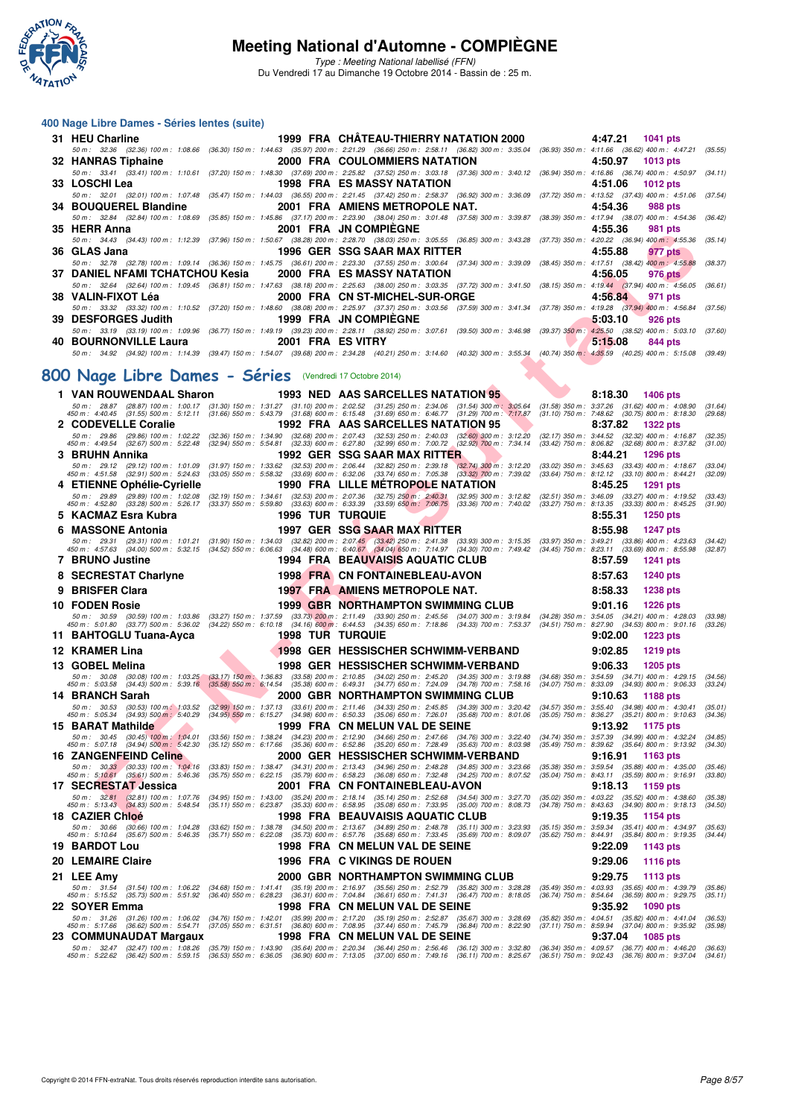

Type : Meeting National labellisé (FFN) Du Vendredi 17 au Dimanche 19 Octobre 2014 - Bassin de : 25 m.

#### **400 Nage Libre Dames - Séries lentes (suite)**

| 31 HEU Charline                           | 1999 FRA CHATEAU-THIERRY NATATION 2000 4:47.21 1041 pts                                                                                                                              |         |            |
|-------------------------------------------|--------------------------------------------------------------------------------------------------------------------------------------------------------------------------------------|---------|------------|
|                                           | 50 m: 32.36 (32.36) 100 m: 1:08.66 (36.30) 150 m: 1:44.63 (35.97) 200 m: 2:21.29 (36.66) 250 m: 2:58.11 (36.82) 300 m: 3:35.04 (36.93) 350 m: 4:11.66 (36.62) 400 m: 4:47.21 (35.55) |         |            |
| 32 HANRAS Tiphaine                        | 2000 FRA COULOMMIERS NATATION                                                                                                                                                        | 4:50.97 | $1013$ pts |
|                                           | 50 m: 33.41 (33.41) 100 m: 1:10.61 (37.20) 150 m: 1:48.30 (37.69) 200 m: 2:25.82 (37.52) 250 m: 3:03.18 (37.36) 300 m: 3:40.12 (36.94) 350 m: 4:16.86 (36.74) 400 m: 4:50.97 (34.11) |         |            |
| 33 LOSCHI Lea                             | 1998 FRA ES MASSY NATATION                                                                                                                                                           | 4:51.06 | $1012$ pts |
|                                           | 50 m: 32.01 (32.01) 100 m: 1:07.48 (35.47) 150 m: 1:44.03 (36.55) 200 m: 2:21.45 (37.42) 250 m: 2:58.37 (36.92) 300 m: 3:36.09 (37.72) 350 m: 4:13.52 (37.43) 400 m: 4:51.06 (37.54) |         |            |
|                                           | 34 BOUQUEREL Blandine 2001 FRA AMIENS METROPOLE NAT. 4:54.36                                                                                                                         |         | 988 pts    |
|                                           | 50 m: 32.84 (32.84) 100 m: 1:08.69 (35.85) 150 m: 1:45.86 (37.17) 200 m: 2:23.90 (38.04) 250 m: 3:01.48 (37.58) 300 m: 3:39.87 (38.39) 350 m: 4:17.94 (38.07) 400 m: 4:54.36 (36.42) |         |            |
| 35 HERR Anna                              | 2001 FRA JN COMPIEGNE                                                                                                                                                                | 4:55.36 | 981 pts    |
|                                           | 50 m: 34.43 (34.43) 100 m: 1:12.39 (37.96) 150 m: 1:50.67 (38.28) 200 m: 2:28.70 (38.03) 250 m: 3:05.55 (36.85) 300 m: 3:43.28 (37.73) 350 m: 4:20.22 (36.94) 400 m: 4:55.36 (35.14) |         |            |
| 36 GLAS Jana                              | 1996 GER SSG SAAR MAX RITTER                                                                                                                                                         | 4:55.88 | 977 pts    |
|                                           | 50 m: 32.78 (32.78) 100 m: 1:09.14 (36.36) 150 m: 1:45.75 (36.61) 200 m: 2:23.30 (37.55) 250 m: 3:00.64 (37.34) 300 m: 3:39.09 (38.45) 350 m: 4:17.51 (38.42) 400 m: 4:55.88 (38.37) |         |            |
|                                           |                                                                                                                                                                                      | 4:56.05 | 976 pts    |
|                                           | 50 m: 32.64 (32.64) 100 m: 1:09.45 (36.81) 150 m: 1:47.63 (38.18) 200 m: 2:25.63 (38.00) 250 m: 3:03.35 (37.72) 300 m: 3:41.50 (38.15) 350 m: 4:19.44 (37.94) 400 m: 4:56.05 (36.61) |         |            |
|                                           |                                                                                                                                                                                      | 4:56.84 | 971 pts    |
|                                           | 50 m: 33.32 (33.32) 100 m: 1:10.52 (37.20) 150 m: 1:48.60 (38.08) 200 m: 2:25.97 (37.37) 250 m: 3:03.56 (37.59) 300 m: 3:41.34 (37.78) 350 m: 4:19.28 (37.94) 400 m: 4:56.84 (37.56) |         |            |
| 39 DESFORGES Judith 1999 FRA JN COMPIEGNE |                                                                                                                                                                                      | 5:03.10 | $926$ pts  |
|                                           | 50 m: 33.19 (33.19) 100 m: 1:09.96 (36.77) 150 m: 1:49.19 (39.23) 200 m: 2:28.11 (38.92) 250 m: 3:07.61 (39.50) 300 m: 3:46.98 (39.37) 350 m: 4:25.50 (38.52) 400 m: 5:03.10 (37.60) |         |            |
| 40 BOURNONVILLE Laura 2001 FRA ES VITRY   |                                                                                                                                                                                      | 5:15.08 | 844 pts    |
|                                           | 50 m: 34.92 (34.92) 100 m: 1:14.39 (39.47) 150 m: 1:54.07 (39.68) 200 m: 2:34.28 (40.21) 250 m: 3:14.60 (40.32) 300 m: 3:55.34 (40.74) 350 m: 4:35.59 (40.25) 400 m: 5:15.08 (39.49) |         |            |

## **[800 Nage Libre Dames - Séries](http://www.ffnatation.fr/webffn/resultats.php?idact=nat&go=epr&idcpt=24767&idepr=5)** (Vendredi 17 Octobre 2014)

| TIENN AIIII                                                                                                                                                                                                                                                                     |                                                                                                                                                                                                                            | ZUUI FRA UN COMFIECINE                    |                             |                             | 4.JJ.JU<br>ี ฮิง เ  มเจ                                                                                    |                    |
|---------------------------------------------------------------------------------------------------------------------------------------------------------------------------------------------------------------------------------------------------------------------------------|----------------------------------------------------------------------------------------------------------------------------------------------------------------------------------------------------------------------------|-------------------------------------------|-----------------------------|-----------------------------|------------------------------------------------------------------------------------------------------------|--------------------|
| 50 m : 34.43 (34.43) 100 m : 1:12.39 (37.96) 150 m : 1:50.67 (38.28) 200 m : 2:28.70 (38.03) 250 m : 3:05.55 (36.85) 300 m : 3:43.28 (37.73) 350 m : 4:20.22 (36.94) 400 m : 4:55.36<br>36   GLAS Jana                                                                          |                                                                                                                                                                                                                            | 1996 GER SSG SAAR MAX RITTER              |                             |                             | 4:55.88<br>977 pts                                                                                         | (35.14)            |
| 50 m : 32.78 (32.78) 100 m : 1:09.14 (36.36) 150 m : 1:45.75 (36.61) 200 m : 2:23.30 (37.55) 250 m : 3:00.64 (37.34) 300 m : 3:39.09                                                                                                                                            |                                                                                                                                                                                                                            |                                           |                             |                             | (38.45) 350 m : 4:17.51 (38.42) 400 m : 4:55.88                                                            | (38.37)            |
| 37   DANIEL NFAMI TCHATCHOU Kesia                                                                                                                                                                                                                                               |                                                                                                                                                                                                                            | <b>2000 FRA ES MASSY NATATION</b>         |                             |                             | 4:56.05<br>976 pts                                                                                         |                    |
| 50 m :   32.64    (32.64) 100 m :  1:09.45    (36.81) 150 m :  1:47.63    (38.18) 200 m :  2:25.63    (38.00) 250 m :  3:03.35   (37.72) 300 m :   3:41.50    (38.15) 350 m :   4:19.44    (37.94) 400 m :  4:56.05<br>38   VALIN-FIXOT Léa                                     |                                                                                                                                                                                                                            | 2000 FRA CN ST-MICHEL-SUR-ORGE            |                             |                             | 4:56.84<br>971 pts                                                                                         | (36.61)            |
| 50 m: 33.32 (33.32) 100 m: 1:10.52 (37.20) 150 m: 1:48.60 (38.08) 200 m: 2:25.97 (37.37) 250 m: 3:03.56 (37.59) 300 m: 3:41.34 (37.78) 350 m: 4:19.28 (37.94) 400 m: 4:56.84                                                                                                    |                                                                                                                                                                                                                            |                                           |                             |                             |                                                                                                            | (37.56)            |
| <b>39 DESFORGES Judith</b>                                                                                                                                                                                                                                                      |                                                                                                                                                                                                                            | <b>1999 FRA JN COMPIEGNE</b>              |                             |                             | 5:03.10<br>926 pts                                                                                         |                    |
| 50 m :    33.19    (33.19) 100 m :   1:09.96    (36.77) 150 m :   1:49.19    (39.23) 200 m :   2:28.11    (38.92) 250 m :   3:07.61    (39.50) 300 m :   3:46.98<br>40 BOURNONVILLE Laura                                                                                       | 2001 FRA ES VITRY                                                                                                                                                                                                          |                                           |                             |                             | (39.37) 350 m : 4:25.50 (38.52) 400 m : 5:03.10<br>5:15.08<br>844 pts                                      | (37.60)            |
| 50 m : 34.92 (34.92) 100 m : 1:14.39 (39.47) 150 m : 1:54.07 (39.68) 200 m : 2:34.28 (40.21) 250 m : 3:14.60 (40.32) 300 m : 3:55.34 (40.74) 350 m : 4:35.59 (40.25) 400 m : 5:15.08                                                                                            |                                                                                                                                                                                                                            |                                           |                             |                             |                                                                                                            | (39.49)            |
|                                                                                                                                                                                                                                                                                 |                                                                                                                                                                                                                            |                                           |                             |                             |                                                                                                            |                    |
| 00 Nage Libre Dames - Séries (Vendredi 17 Octobre 2014)                                                                                                                                                                                                                         |                                                                                                                                                                                                                            |                                           |                             |                             |                                                                                                            |                    |
| 1 VAN ROUWENDAAL Sharon                                                                                                                                                                                                                                                         |                                                                                                                                                                                                                            | <b>1993 NED AAS SARCELLES NATATION 95</b> |                             |                             | 8:18.30<br><b>1406 pts</b><br>$(31.58)$ 350 m : 3:37.26 $(31.62)$ 400 m : 4:08.90                          |                    |
| 50 m : 28.87 (28.87) 100 m : 1:00.17 (31.30) 150 m : 1:31.27 (31.10) 200 m : 2:02.52 (31.25) 250 m : 2:34.06 (31.54) 300 m : 3:05.64<br>450 m : 4:40.45 (31.55) 500 m : 5:12.11 (31.66) 550 m : 5:43.79 (31.68) 600 m : 6:15.48 (                                               |                                                                                                                                                                                                                            |                                           |                             |                             | $(31.10)$ 750 m : 7:48.62 $(30.75)$ 800 m : 8:18.30                                                        | (31.64)<br>(29.68) |
| 2 CODEVELLE Coralie                                                                                                                                                                                                                                                             |                                                                                                                                                                                                                            | 1992 FRA AAS SARCELLES NATATION 95        |                             |                             | 8:37.82<br><b>1322 pts</b><br>(32.17) 350 m: 3:44.52 (32.32) 400 m: 4:16.87                                |                    |
| 50 m: 29.86 (29.86) 100 m: 1:02.22 (32.36) 150 m: 1:34.90 (32.68) 200 m: 2:07.43 (32.53) 250 m: 2:40.03 (32.60) 300 m: 3:12.20<br>50 m: 4:49.54 (32.67) 500 m: 5:22.48 (32.94) 550 m: 5:54.81 (32.33) 600 m: 6:27.80 (32.99) 650<br>450 m : 4:49.54 (32.67) 500 m : 5:22.48     |                                                                                                                                                                                                                            |                                           |                             |                             | (33.42) 750 m : 8:06.82 (32.68) 800 m : 8:37.82                                                            | (32.35)<br>(31.00) |
| 3 BRUHN Annika                                                                                                                                                                                                                                                                  |                                                                                                                                                                                                                            | 1992 GER SSG SAAR MAX RITTER              |                             |                             | 8:44.21<br>1296 pts                                                                                        |                    |
| 50 m: 29.12 (29.12) 100 m: 1:01.09<br>450 m : 4:51.58 (32.91) 500 m : 5:24.63                                                                                                                                                                                                   | $(31.97)$ 150 m : 1:33.62 $(32.53)$ 200 m : 2:06.44 $(32.82)$ 250 m : 2:39.18 $(32.74)$ 300 m : 3:12.20<br>$(33.05)$ 550 m $: 5.58.32$ $(33.69)$ 600 m $: 6.32.06$ $(33.74)$ 650 m $: 7.05.38$ $(33.32)$ 700 m $: 7.39.02$ |                                           |                             |                             | $(33.02)$ 350 m : 3:45.63 $(33.43)$ 400 m : 4:18.67<br>$(33.64)$ 750 m : 8:12.12 $(33.10)$ 800 m : 8:44.21 | (33.04)<br>(32.09) |
| 4 ETIENNE Ophelie-Cyrielle                                                                                                                                                                                                                                                      |                                                                                                                                                                                                                            | <b>1990 FRA LILLE METROPOLE NATATION</b>  |                             |                             | 8:45.25<br>1291 pts                                                                                        |                    |
| 50 m :   29.89    (29.89) 100 m :  1:02.08    (32.19) 150 m :  1:34.61    (32.53) 200 m :  2:07.36    (32.75) 250 m :  2:40.31   (32.95) 300 m :  3:12.82<br>450 m :  4:52.80    (33.28) 500 m :  5:26.17    (33.37) 550 m :  5:5                                               |                                                                                                                                                                                                                            |                                           |                             |                             | (32.51) 350 m : 3:46.09 (33.27) 400 m : 4:19.52<br>(33.27) 750 m: 8:13.35 (33.33) 800 m: 8:45.25           | (33.43)<br>(31.90) |
| 5 KACMAZ Esra Kubra                                                                                                                                                                                                                                                             | <b>1996 TUR TURQUIE</b>                                                                                                                                                                                                    |                                           |                             |                             | 8:55.31<br>1250 pts                                                                                        |                    |
| 6 MASSONE Antonia                                                                                                                                                                                                                                                               |                                                                                                                                                                                                                            | 1997 GER SSG SAAR MAX RITTER              |                             |                             | 8:55.98<br><b>1247 pts</b>                                                                                 |                    |
| 50 m: 29.31 (29.31) 100 m: 1.01.21 (31.90) 150 m: 1.34.03 (32.82) 200 m: 2:07.45 (33.42) 250 m: 2:41.38 (33.93) 300 m: 3:15.35 (33.97) 350 m: 3:49.21 (33.86) 400 m: 4:23.63<br>450 m: 4:57.63 (34.00) 500 m: 5:32.15 (34.52) 550                                               |                                                                                                                                                                                                                            |                                           |                             |                             |                                                                                                            | (34.42)<br>(32.87) |
| 7 BRUNO Justine                                                                                                                                                                                                                                                                 |                                                                                                                                                                                                                            | 1994 FRA BEAUVAISIS AQUATIC CLUB          |                             |                             | 8:57.59<br>1241 pts                                                                                        |                    |
| 8 SECRESTAT Charlyne                                                                                                                                                                                                                                                            |                                                                                                                                                                                                                            | <b>1998 FRA CN FONTAINEBLEAU-AVON</b>     |                             |                             | 8:57.63<br><b>1240 pts</b>                                                                                 |                    |
| 9 BRISFER Clara                                                                                                                                                                                                                                                                 |                                                                                                                                                                                                                            | 1997 FRA AMIENS METROPOLE NAT.            |                             |                             | 8:58.33<br><b>1238 pts</b>                                                                                 |                    |
| 10 FODEN Rosie                                                                                                                                                                                                                                                                  |                                                                                                                                                                                                                            | 1999 GBR NORTHAMPTON SWIMMING CLUB        |                             |                             | 9:01.16<br><b>1226 pts</b>                                                                                 |                    |
| 50 m : 30.59 (30.59) 100 m : 1:03.86<br>450 m : 5:01.80 (33.77) 500 m : 5:36.02 (34.22) 550 m : 6:10.18 (34.16) 600 m : 6:44.53 (34.35) 650 m : 7:18.86 (34.33) 700 m : 7:53.37                                                                                                 | (33.27) 150 m : 1:37.59 (33.73) 200 m : 2:11.49 (33.90) 250 m : 2:45.56 (34.07) 300 m : 3:19.84                                                                                                                            |                                           |                             |                             | (34.28) 350 m: 3:54.05 (34.21) 400 m: 4:28.03<br>$(34.51)$ 750 m : 8:27.90 $(34.53)$ 800 m : 9:01.16       | (33.98)<br>(33.26) |
| 11 BAHTOGLU Tuana-Ayca                                                                                                                                                                                                                                                          | <b>1998 TUR TURQUIE</b>                                                                                                                                                                                                    |                                           |                             |                             | 9:02.00<br><b>1223 pts</b>                                                                                 |                    |
| 12 KRAMER Lina                                                                                                                                                                                                                                                                  |                                                                                                                                                                                                                            | 1998 GER HESSISCHER SCHWIMM-VERBAND       |                             |                             | 9:02.85<br><b>1219 pts</b>                                                                                 |                    |
| 13 GOBEL Melina                                                                                                                                                                                                                                                                 |                                                                                                                                                                                                                            | 1998 GER HESSISCHER SCHWIMM-VERBAND       |                             |                             | 9:06.33<br><b>1205 pts</b>                                                                                 |                    |
| 50 m: 30.08 (30.08) 100 m: 1:03.25 (33.17) 150 m: 1:36.83 (33.58) 200 m: 2:10.85 (34.02) 250 m: 2:45.20 (34.35) 300 m: 3:19.88<br>50 m: 5:03.58 (34.43) 500 m: 5:39.16 (35.58) 550 m: 6:14.54 (35.38) 600 m: 6:49.31 (34.77) 650<br>450 m : 5:03.58 (34.43) 500 m : 5:39.16     |                                                                                                                                                                                                                            |                                           |                             |                             | (34.68) 350 m : 3:54.59 (34.71) 400 m : 4:29.15<br>$(34.07)$ 750 m : 8:33.09 $(34.93)$ 800 m : 9:06.33     | (34.56)<br>(33.24) |
| 14 BRANCH Sarah                                                                                                                                                                                                                                                                 |                                                                                                                                                                                                                            | 2000  GBR  NORTHAMPTON SWIMMING CLUB      |                             |                             | 9:10.63<br>1188 pts                                                                                        |                    |
| 50 m : 30.53 (30.53) 100 m : 1:03.52<br>450 m : 5:05.34 (34.93) 500 m : 5:40.29                                                                                                                                                                                                 | $(32.99)$ 150 m : 1:37.13 $(33.61)$ 200 m : 2:11.46 $(34.33)$ 250 m : 2:45.85 $(34.39)$ 300 m : 3:20.42<br>(34.95) 550 m : 6:15.27 (34.98) 600 m : 6:50.33 (35.06) 650 m : 7:26.01                                         |                                           | $(35.68)$ 700 m : $8.01.06$ | $(35.05)$ 750 m : $8:36.27$ | $(34.57)$ 350 m : 3:55.40 $(34.98)$ 400 m : 4:30.41<br>$(35.21)$ 800 m : 9:10.63                           | (35.01)<br>(34.36) |
| 15 BARAT Mathilde                                                                                                                                                                                                                                                               |                                                                                                                                                                                                                            | 1999 FRA CN MELUN VAL DE SEINE            |                             |                             | 9:13.92<br><b>1175 pts</b>                                                                                 |                    |
| 50 m : 30.45 (30.45) 100 m : 1:04.01<br>450 m : 5:07.18 (34.94) 500 m : 5:42.30                                                                                                                                                                                                 | $(33.56)$ 150 m : 1:38.24 $(34.23)$ 200 m : 2:12.90 $(34.66)$ 250 m : 2:47.66 $(34.76)$ 300 m : 3:22.40<br>(35.12) 550 m : 6:17.66 (35.36) 600 m : 6:52.86 (35.20) 650 m : 7:28.49 (35.63) 700 m : 8:03.98                 |                                           |                             |                             | (34.74) 350 m: 3:57.39 (34.99) 400 m: 4:32.24<br>(35.49) 750 m : 8:39.62 (35.64) 800 m : 9:13.92           | (34.85)<br>(34.30) |
| <b>16 ZANGENFEIND Celine</b>                                                                                                                                                                                                                                                    |                                                                                                                                                                                                                            | 2000  GER  HESSISCHER SCHWIMM-VERBAND     |                             |                             | 9:16.91<br>1163 pts                                                                                        |                    |
| 50 m: 30.33 (30.33) 100 m: 1:04.16<br>450 m : 5:10.61 (35.61) 500 m : 5:46.36                                                                                                                                                                                                   | $(33.83)$ 150 m : 1:38.47 $(34.31)$ 200 m : 2:13.43 $(34.96)$ 250 m : 2:48.28 $(34.85)$ 300 m : 3:23.66<br>(35.75) 550 m : 6:22.15 (35.79) 600 m : 6:58.23 (36.08) 650 m : 7:32.48 (34.25) 700 m : 8:07.52                 |                                           |                             |                             | (35.38) 350 m : 3:59.54 (35.88) 400 m : 4:35.00<br>(35.04) 750 m : 8:43.11 (35.59) 800 m : 9:16.91         | (35.46)<br>(33.80) |
| 17 SECRESTAT Jessica                                                                                                                                                                                                                                                            |                                                                                                                                                                                                                            | 2001 FRA CN FONTAINEBLEAU-AVON            |                             |                             | 9:18.13<br>1159 pts                                                                                        |                    |
| 50 m : 32.81 (32.81) 100 m : 1:07.76 (34.95) 150 m : 1:43.00 (35.24) 200 m : 2:18.14 (35.14) 250 m : 2:52.68 (34.54) 300 m : 3:27.70<br>450 m : 5:13.43 (34.83) 500 m : 5:48.54 (35.11) 550 m : 6:23.87 (35.33) 600 m : 6:58.95 (35.08) 650 m : 7:33.95 (35.00) 700 m : 8:08.73 |                                                                                                                                                                                                                            |                                           |                             |                             | (35.02) 350 m : 4:03.22 (35.52) 400 m : 4:38.60<br>$(34.78)$ 750 m $: 8.43.63$ $(34.90)$ 800 m $: 9.18.13$ | (35.38)<br>(34.50) |
| 18 CAZIER Chloé                                                                                                                                                                                                                                                                 |                                                                                                                                                                                                                            | 1998 FRA BEAUVAISIS AQUATIC CLUB          |                             |                             | 9:19.35<br>1154 pts                                                                                        |                    |
| 50 m: 30.66 (30.66) 100 m: 1:04.28 (33.62) 150 m: 1:38.78 (34.50) 200 m: 2:13.67 (34.89) 250 m: 2:48.78 (35.11) 300 m: 3:23.93 (35.15) 350 m: 3:59.34 (35.41) 400 m: 4:34.97                                                                                                    |                                                                                                                                                                                                                            |                                           |                             |                             |                                                                                                            | (35.63)            |
| 450 m : 5:10.64 (35.67) 500 m : 5:46.35 (35.71) 550 m : 6:22.08 (35.73) 600 m : 6:57.76 (35.68) 650 m : 7:33.45 (35.69) 700 m : 8:09.07 (35.62) 750 m : 8:44.91 (35.84) 800 m : 9:19.35<br>19 BARDOT Lou                                                                        |                                                                                                                                                                                                                            | 1998 FRA CN MELUN VAL DE SEINE            |                             |                             | 9:22.09<br>1143 pts                                                                                        | (34.44)            |
| 20 LEMAIRE Claire                                                                                                                                                                                                                                                               |                                                                                                                                                                                                                            | <b>1996 FRA C VIKINGS DE ROUEN</b>        |                             |                             | 9:29.06<br><b>1116 pts</b>                                                                                 |                    |
| 21 LEE Amy                                                                                                                                                                                                                                                                      |                                                                                                                                                                                                                            | 2000 GBR NORTHAMPTON SWIMMING CLUB        |                             |                             | 9:29.75<br>1113 pts                                                                                        |                    |
| 50 m: 31.54 (31.54) 100 m: 1:06.22 (34.68) 150 m: 1:41.41 (35.19) 200 m: 2:16.97 (35.56) 250 m: 2:52.79 (35.82) 300 m: 3:28.28                                                                                                                                                  |                                                                                                                                                                                                                            |                                           |                             |                             | (35.49) 350 m : 4:03.93 (35.65) 400 m : 4:39.79                                                            | (35.86)            |
| 450 m : 5:15.52 (35.73) 500 m : 5:51.92 (36.40) 550 m : 6:28.23 (36.31) 600 m : 7:04.84 (36.61) 650 m : 7:41.31 (36.47) 700 m : 8:18.05<br>22 SOYER Emma                                                                                                                        |                                                                                                                                                                                                                            | 1998 FRA CN MELUN VAL DE SEINE            |                             |                             | (36.74) 750 m : 8:54.64 (36.59) 800 m : 9:29.75<br>9:35.92<br>1090 pts                                     | (35.11)            |
| 50 m: 31.26 (31.26) 100 m: 1:06.02                                                                                                                                                                                                                                              | (34.76) 150 m : 1:42.01 (35.99) 200 m : 2:17.20 (35.19) 250 m : 2:52.87 (35.67) 300 m : 3:28.69                                                                                                                            |                                           |                             |                             | $(35.82)$ 350 m : 4:04.51 $(35.82)$ 400 m : 4:41.04                                                        | (36.53)            |
| 450 m : 5:17.66 (36.62) 500 m : 5:54.71<br>23 COMMUNAUDAT Margaux                                                                                                                                                                                                               | $(37.05)$ 550 m : 6:31.51 $(36.80)$ 600 m : 7:08.95 $(37.44)$ 650 m : 7:45.79 $(36.84)$ 700 m : 8:22.90                                                                                                                    | 1998 FRA CN MELUN VAL DE SEINE            |                             |                             | $(37.11)$ 750 m : 8:59.94 $(37.04)$ 800 m : 9:35.92<br>9:37.04<br>1085 pts                                 | (35.98)            |
| 50 m : 32.47 (32.47) 100 m : 1:08.26 (35.79) 150 m : 1:43.90 (35.64) 200 m : 2:20.34 (36.44) 250 m : 2:56.46 (36.12) 300 m : 3:32.80                                                                                                                                            |                                                                                                                                                                                                                            |                                           |                             |                             | (36.34) 350 m : 4:09.57 (36.77) 400 m : 4:46.20                                                            | (36.63)            |
| 450 m : 5:22.62 (36.42) 500 m : 5:59.15 (36.53) 550 m : 6:36.05 (36.90) 600 m : 7:13.05 (37.00) 650 m : 7:49.16 (36.11) 700 m : 8:25.67 (36.51) 750 m : 9:02.43 (36.76) 800 m : 9:37.04                                                                                         |                                                                                                                                                                                                                            |                                           |                             |                             |                                                                                                            | (34.61)            |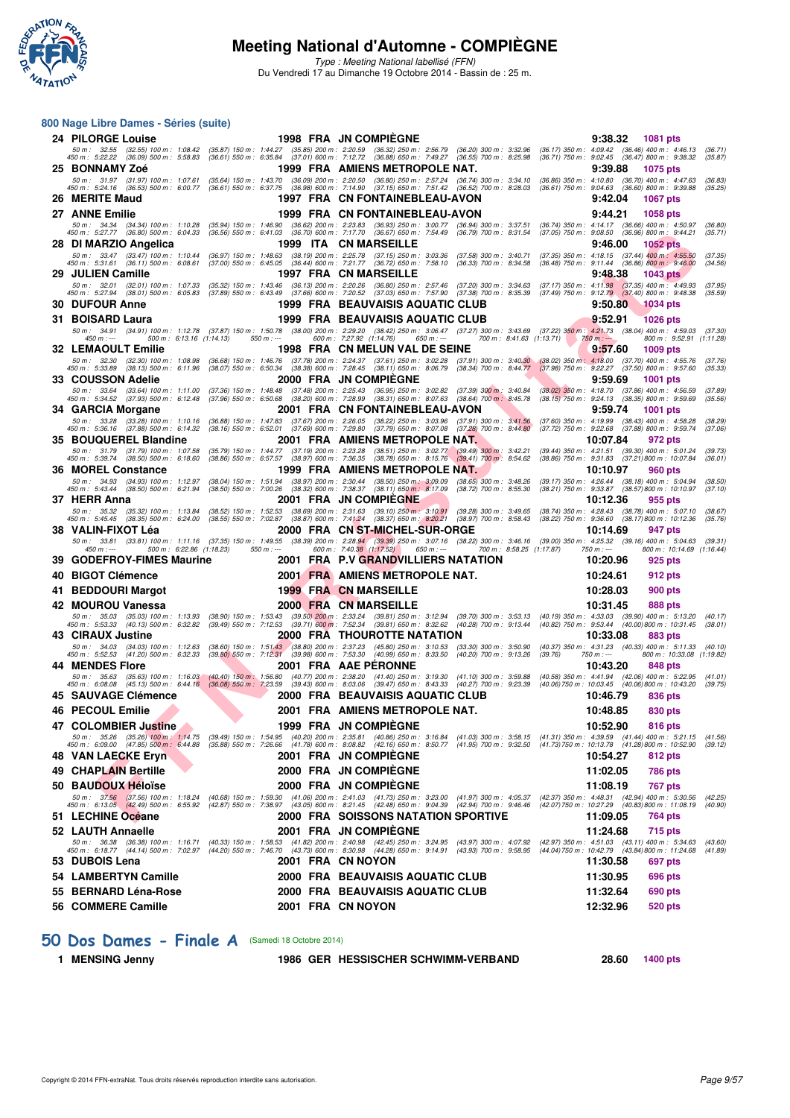

**800 Nage Libre Dames - Séries (suite)**

### **Meeting National d'Automne - COMPIÈGNE**

Type : Meeting National labellisé (FFN) Du Vendredi 17 au Dimanche 19 Octobre 2014 - Bassin de : 25 m.

#### $\begin{smallmatrix} 2.76 & 0.74 & 0.74 & 0.74 & 0.74 & 0.74 & 0.74 & 0.74 & 0.74 & 0.74 & 0.74 & 0.74 & 0.74 & 0.74 & 0.74 & 0.74 & 0.74 & 0.74 & 0.74 & 0.74 & 0.74 & 0.74 & 0.74 & 0.74 & 0.74 & 0.74 & 0.74 & 0.74 & 0.74 & 0.74 & 0.74 & 0.74 & 0.74 & 0.74 & 0.74 & 0.7$ **24 PILORGE Louise 1998 FRA JN COMPIÈGNE 1998 9:38.32 1081 pts**<br>50 m : 32.55 (32.55) 100 m : 1:08.42 (35.87) 150 m : 1:44.27 (35.85) 200 m : 2:20.59 (36.32) 250 m : 2:56.79 (36.20) 300 m : 3:32.96 (36.17) 350 m : 4:09.42 ( – 50 m : 32.55 (32.55) 100 m : 1:08.42 (35.87) 150 m : 1:4.427 (35.89) 200 m : 2:20.59 (36.20) 37.87 (36.20) 300 m : 3:2.96 (36.17) 350 m : 4:09.42 (36.49) 400 m : 4:46.13 (36.47) 800 m : 4:36.82 (36.47) 800 m : 4:38.32 **25 BONNAMY Zoé 1999 FRA AMIENS METROPOLE NAT. 9:39.88 1075 pts** 50 m: 31.97 (31.97) 100 m: 1:07.61 (35.64) 150 m: 1:43.70 (36.09) 200 m: 2:20.50 (36.80) 250 m: 2:57.24 (36.74) 300 m: 3:34.10 (36.86) 350 m: 4:10.80 (36.70) 400 m: 4:47.63 (36.83)<br>450 m: 5:24.16 (36.53) 500 m: 6:00.77 (36 **26 MERITE Maud 1997 FRA CN FONTAINEBLEAU-AVON 9:42.04 1067 pts 27 ANNE Emilie 1999 FRA CN FONTAINEBLEAU-AVON 9:44.21 1058 pts** 50 m: 34.34 (34.34) 100 m: 1:10.28 (35.94) 150 m: 1:46.90 (36.62) 200 m: 2:23.83 (36.93) 250 m: 3:00.77 (36.94) 300 m: 3:37.51 (36.74) 350 m: 4:14.17 (36.66) 400 m: 4:50.97 (36.80)<br>450 m: 5:27.77 (36.80) 500 m: 6:04.33 (36 **28 DI MARZIO Angelica**<br> **28 DI MARZIO Angelica**<br> **28 DI MARZIO Angelica**<br> **28 DI MARZIO Angelica**<br> **28 DI MARZIO Angelica**<br> **28 DI MARZIO Angelica**<br> **28 DI MARZIO Angelica**<br> **28 DI MARZIO Angelica**<br> **29 DI MARZIO Angelica** 50 m; 33.47 (33.47) 100 m; 1:10.44 (36.97) 150 m; 1:48.63 (38.19) 200 m; 225.78 (37.69) 300, 3000, 300 m; 30.71 (37.35) 350 m; 4:18.15 (37.49) 400 m; 4:55.50 (37.45,69 (37.69) 560 m; 4:15.50 (37.66) 57.000 (37.456,00 m; 4: **29 JULIEN Camille 1997 FRA CN MARSEILLE 9:48.38 1043 pts** 50 m: 32.01 (32.01) 100 m: 1:07.33 (35.32) 150 m: 1:43.46 (36.13) 200 m: 2:20.26 (36.80) 250 m: 2:57.46 (37.20) 300 m: 3:34.63 (37.17) 350 m: 4:11.98 (37.35) 400 m: 4:49.93 (37.95)<br>450 m: 5:27.94 (38.01) 500 m: 6:05.83 (37 **30 DUFOUR Anne 30 DUFOUR Anne 1999 FRA BEAUVAISIS AQUATIC CLUB** 9:50.80 **9:50.80 9:50.80 1034 pts**<br>31 BOISARD Laura **1999 FRA BEAUVAISIS AQUATIC CLUB** 9:52.91 **1026 pts 31 BOISARD Laura 1999 FRA BEAUVAISIS AQUATIC CLUB** 50 m: 34.91 (34.91) 100 m: 1:12.78 (37.87 i50 m; 1:50.78 (38.00) 200 m: 2:29.20 (38.42) 250 m: 340.39 (37.27) 300m: 450, 77.3 (38.04) 400 m: 451,73 (38.04) 400 m: 459.03 (37.30) 37.40<br>450 m; — 450 m :--- 500 m : 6:13.16 (1:14.13) 550 m :--- 600 m : 7:27.92 (1:14.76) 650 m :--- 700 m : 8.41.63 (1:13.71) 750 m :-- 800 m : 9:52.91<br>**32 LEMAOULT Emilie** 1998 FRA CN MELUN VAL DE SEINE 9:57.60 1009 pts<br>500 m : 32.389 ( 50 m: 32.30 (32.30) 100 m: 1.08.98 (36.68) 150 m: 1.46.76 (37.78) 200 m: 2:24.37 (37.61) 250 m: 3:02.28 (37.91) 300 m: 3:40.30 (38.02) 350 m: 4:18.00 (37.70) 400 m: 4:55.76 (37.76)<br>450 m: 5:33.89 (38.13) 500 m: 6:11.96 (38 **33 COUSSON Adelie** 2000 FRA JN COMPIÈGNE 32.69 9:59.69 1001 pts<br>53 m: 33.64 (33.64) 100 m: 1:11.00 (37.36) 150 m: 1:48.48 (37.48) 200 m: 2:25.43 (36.95) 250 m: 3:02.82 (37.39) 300 m: 3:40.84 (38.02) 350 m: 4:18.70 (37.86) 50 m; 33.64 (33.64) 100 m; 1:11.00 (37.36) 150 m; 1:48.48 (38.20) am; 2:25.43 (38.9) am; 3:3.69 (39.00 m; 3:40.84 (38.02) 350 m; 3:40.84 (37.86) 400 m; 4:52.69 400 m; 4:55.69 47.89)<br>450 m; 5:34.52 (37.93) 500 m; 6:12.48 (3 **34 GARCIA Morgane** 2001 FRA CN FONTAINEBLEAU-AVON 9:59.74 1001 pts<br>53 m: 33.28 (33.28) 100 m: 1:10.16 (36.88) 150 m: 1:47.83 (37.67) 200 m: 2:26.05 (38.22) 250 m: 3:03.96 (37.91) 300 m: 3:41.56 (37.60) 350 m: 4:19.99 (38. 50 m: 33.28 (33.28) 100 m: 1:10.16 (36.88) 150 m: 1:47.83 (37.67) 200 m: 2:26.05 (38.22) 250 m: 3:03.96 (37.91) 300 m: 3:41.56 (37.60) 350 m: 4:19.99 (38.43) 400 m: 4:56.28 (38.29)<br>450 m: 5:36.16 (37.88) 500 m: 6:14.32 (38 **35 BOUQUEREL Blandine 2001 FRA AMIENS METROPOLE NAT. 10:07.84 972 pts** 50 m; 31.79 (31.79) 100 m; 1.07.58 (35.79) 150 m; 1.44.77 (38.19 (30.79) 223.28 (38.51) 250.77 (39.49) 300 m; 34.2.21 (38.60) 4.21.51 (39.80) 400 m; 5:39.74 (38.50) 500 m; 5:01.68 (3.21) 600 m; 5:01.89 m; 5:01.89 m; 5:01.8 **36 MOREL Constance 1999 FRA AMIENS METROPOLE NAT. 10:10.97 960 pts** 50 m: 34.93 (34.93) 100 m: 1:12.97 (38.04) 150 m: 1:51.94 (38.97) 200 m: 2:30.44 (38.50) 250 m: 3:40.09 (38.65) 300 m: 3:48.26 (39.17) 350 m: 4:26.44 (38.18) 400 m: 5:04.94 (38.50)<br>450 m: 5:43.44 (38.50) 500 m: 6:21.94 (38 **37 HERR Anna 2001 FRA JN COMPIÈGNE 10:12.36 955 pts** 50 m; 35.32 (35.32) 100 m; 1:13.84 (38.52) 150 m; 1:52.53 (38.69) 200 m; 2:31.63 (39.70) 250 m; 3:10,91 (39.28) 300 m; 3:49.65 (38.74) 350 m; 4:28.43 (38.75) 400 m; 5:05.45 (38.75) 500 m; 5:05.60 (38.17) 800 m; 5:0:12.36 ( **38 VALIN-FIXOT Léa** 2000 FRA CN ST-MICHEL-SUR-ORGE 10:14.69 947 pts<br>
50 m: 33.81 (33.81) 100 m: 1:11.16 (37.35) 150 m: 1:49.55 (38.39) 200 m: 2:28.94 (39.39) 250 m: 3:07.16 (38.22) 300 m: 3:46.16 (39.00) 350 m: 4:25.32 (3 50 m: 33.81 (33.81) 100 m: 1:11.16 (37.35) 150 m: 1:49.55 (38.39) 200 m: 2:28.94 (39.39) 250 m: 3:07.16 (38.22) 300 m: 3:46.16 (39.00) 350 m: 4:25.32 (39.16) 400 m: 5:04.63 (39.31)<br>450 m: --- **39 GODEFROY-FIMES Maurine 2001 FRA P.V GRANDVILLIERS NATATION 10:20.96 925 pts 40 BIGOT Clémence 2001 FRA AMIENS METROPOLE NAT. 10:24.61 912 pts 41 BEDDOURI Margot 1999 FRA CN MARSEILLE 10:28.03 900 pts 42 MOUROU Vanessa 2000 FRA CN MARSEILLE 10:31.45 888 pts** 50 m; 35.03 (35.03) 100 m; 1:13.93 (38.90) 150 m; 1:53.43 (39.50) 200 m; 2:33.24 (39.81) 250 m; 35.33 (40.19) 350 m; 35.33 (40.10) 500 m; 5:53.43 (40.00) 800 m; 5:13.45 (39.89) 400 m; 5:13.45 (30.01) 500 m; 5:13.45 (38.01) **43 CIRAUX Justine 2000 FRA THOUROTTE NATATION**<br>**50 m : 34.03 (34.03) 100 m : 1:12.63** (38.60) 150 m : 1:51.43 (38.80) 200 m : 2:37.23 (45.80) 250 m : 3:10.53 (33.30) 300 m : 3:50.90 (40.37) 350 m : 4:31.23 (40.33) 400 m : 50 m; 34.03 (34.03) 100 m; 1:12.63 (38.60) 150 m; 1:51,43 (38.60) 2:23:23 (45.60) 250 m; 3:10.53 (33.00) 300 m; 35.0.90 m; 35.00 m; 5:12.8 (40.33) 400 m; 5:11.33 (40.33) 400 m; 16:31.33 (40.83) 400 m; 16:32.33 (39.76) m; -**44 MENDES Flore 10:43.20 848 pts**<br>
50 m : 35.63 (35.63) 100 m : 1:16.03 (40.40) 150 m : 1:56.80 (40.77) 200 m : 2:38.20 (41.40) 250 m : 3:19.30 (41.10) 300 m : 3:59.88 (40.58) 350 m : 4:41.94 (42.06) 400 m : 5:22.95<br> 50 m; 35.63 (35.63) 100 m; 1:16.03 (40.40) 150 m; 1:56.80 (40.77) 200 m; 2:38.20 (41.40) 300 m; 359.88 (40.59 350 m; 4:41.94 (40.06) 4006) 40.06) 4006) 4006) 400 m; 5:44.16 (40.06) 550 m; 4:41.94 (40.06) 400 m; 5:42 **45 SAUVAGE Clémence 2000 FRA BEAUVAISIS AQUATIC CLUB 10:46.79 836 pts 46 PECOUL Emilie 2001 FRA AMIENS METROPOLE NAT. 10:48.85 830 pts 47 COLOMBIER Justine** 1999 FRA JN COMPIÈGNE 10:52.90 816 pts<br>
50 m : 35.26 (35.26) 100 m : 1:14.75 (39.49) 150 m : 1:54.95 (40.20) 200 m : 2:35.81 (40.86) 250 m : 3:16.84 (41.03) 300 m : 3:58.15 (41.31) 350 m : 4:39.59 (4 50 m; 35.26 (35.26) 100 m; 134.75 (39.49) 150 m; 1:54.95 (40.20) 200 m; 2:35.81 (40.86) 300 m; 35.80 m; 35.815 (41.31) 350 m; 4:39.59 (41.49) 400 m; 5:4.85 (41.49) 400 m; 5:4.88 (45.89) 550 m; 7:25.86 (41.28) 550 m; 5:45.8 **48 VAN LAECKE Eryn 2001 FRA JN COMPIÈGNE 10:54.27 812 pts 49 CHAPLAIN Bertille 2000 FRA JN COMPIÈGNE 11:02.05 786 pts 50 BAUDOUX Héloïse 2000 FRA JN COMPIÈGNE 11:08.19 767 pts** 50 m; 37.56 (37.56) 100 m; 1:18.24 (40.68) 150 m; 1:59.30 (41.06) 200 m; 2:41.03 (41.73) 250 m; 37.300 m; 4.95.37 (42.37) 350 m; 4:48.31 (42.49) 400 m; 5:3592 (42.87) 560 m; 5:30.5 (42.49) 400 m; 5:30.5 (42.49) 400 m; 1:30 **51 LECHINE Océane 2000 FRA SOISSONS NATATION SPORTIVE 11:09.05 764 pts 52 LAUTH Annaelle 2001 FRA JN COMPIÈGNE** 42.457 900 m: 4:07.92 (42.45) 11:24.68 715 pts<br>52 .m: 36.38 (36.38) 100 m: 1:16.71 (40.33) 150 m: 1:58.53 (41.82) 200 m: 2:40.98 (42.45) 250 m: 3:24.95 (43.97 300 m: 4:07.92 (42.97 50 m: 36.38 (36.38) 100 m: 1:16.71 (40.33) 150 m: 1:58.53 (41.82) 200 m: 2:40.98 (42.45) 250 m: 3:24.95 (43.97) 300 m: 4:07.92 (42.97) 350 m: 4:51.03 (43.11) 400 m: 5:34.63 (43.60)<br>450 m: 6:18.77 (44.14) 500 m: 7:02.97 (44 **53 DUBOIS Lena 2001 FRA CN NOYON 11:30.58 697 pts 54 LAMBERTYN Camille 2000 FRA BEAUVAISIS AQUATIC CLUB 11:30.95 696 pts 55 BERNARD Léna-Rose 2000 FRA BEAUVAISIS AQUATIC CLUB 11:32.64 690 pts 56 COMMERE Camille 2001 FRA CN NOYON 12:32.96 520 pts**

#### **[50 Dos Dames - Finale A](http://www.ffnatation.fr/webffn/resultats.php?idact=nat&go=epr&idcpt=24767&idepr=11)** (Samedi 18 Octobre 2014)

**1 MENSING Jenny 1986 GER HESSISCHER SCHWIMM-VERBAND 28.60 1400 pts**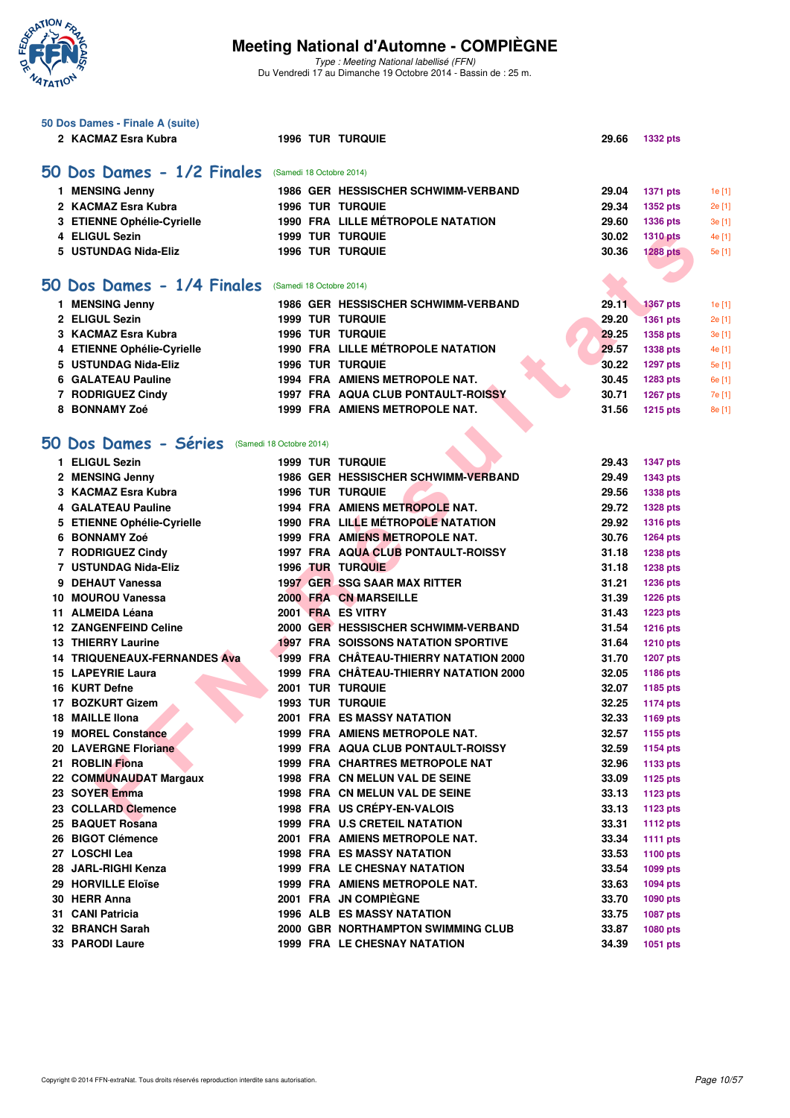

Type : Meeting National labellisé (FFN) Du Vendredi 17 au Dimanche 19 Octobre 2014 - Bassin de : 25 m.

|   | 50 Dos Dames - Finale A (suite)                   |  |                                            |       |                 |        |
|---|---------------------------------------------------|--|--------------------------------------------|-------|-----------------|--------|
|   | 2 KACMAZ Esra Kubra                               |  | <b>1996 TUR TURQUIE</b>                    | 29.66 | <b>1332 pts</b> |        |
|   | 50 Dos Dames - 1/2 Finales                        |  | (Samedi 18 Octobre 2014)                   |       |                 |        |
|   | 1 MENSING Jenny                                   |  | 1986 GER HESSISCHER SCHWIMM-VERBAND        | 29.04 | <b>1371 pts</b> | 1e[1]  |
|   | 2 KACMAZ Esra Kubra                               |  | <b>1996 TUR TURQUIE</b>                    | 29.34 | <b>1352 pts</b> | 2e [1] |
|   | 3 ETIENNE Ophélie-Cyrielle                        |  | 1990 FRA LILLE MÉTROPOLE NATATION          | 29.60 | 1336 pts        | 3e [1] |
|   | 4 ELIGUL Sezin                                    |  | <b>1999 TUR TURQUIE</b>                    | 30.02 | <b>1310 pts</b> | 4e [1] |
|   | 5 USTUNDAG Nida-Eliz                              |  | <b>1996 TUR TURQUIE</b>                    | 30.36 | <b>1288 pts</b> | 5e [1] |
|   |                                                   |  |                                            |       |                 |        |
|   | 50 Dos Dames - 1/4 Finales                        |  | (Samedi 18 Octobre 2014)                   |       |                 |        |
|   | 1 MENSING Jenny                                   |  | 1986 GER HESSISCHER SCHWIMM-VERBAND        | 29.11 | <b>1367 pts</b> | 1e [1] |
|   | 2 ELIGUL Sezin                                    |  | <b>1999 TUR TURQUIE</b>                    | 29.20 | <b>1361 pts</b> | 2e [1] |
|   | 3 KACMAZ Esra Kubra                               |  | <b>1996 TUR TURQUIE</b>                    | 29.25 | 1358 pts        | 3e [1] |
|   | 4 ETIENNE Ophélie-Cyrielle                        |  | 1990 FRA LILLE MÉTROPOLE NATATION          | 29.57 | 1338 pts        | 4e [1] |
|   | 5 USTUNDAG Nida-Eliz                              |  | <b>1996 TUR TURQUIE</b>                    | 30.22 | <b>1297 pts</b> | 5e [1] |
|   | 6 GALATEAU Pauline                                |  | 1994 FRA AMIENS METROPOLE NAT.             | 30.45 | 1283 pts        | 6e [1] |
|   | 7 RODRIGUEZ Cindy                                 |  | 1997 FRA AQUA CLUB PONTAULT-ROISSY         | 30.71 | 1267 pts        | 7e [1] |
|   | 8 BONNAMY Zoé                                     |  | 1999 FRA AMIENS METROPOLE NAT.             | 31.56 | <b>1215 pts</b> | 8e [1] |
|   |                                                   |  |                                            |       |                 |        |
|   | 50 Dos Dames - Séries<br>(Samedi 18 Octobre 2014) |  |                                            |       |                 |        |
|   | 1 ELIGUL Sezin                                    |  | <b>1999 TUR TURQUIE</b>                    | 29.43 | <b>1347 pts</b> |        |
|   | 2 MENSING Jenny                                   |  | 1986 GER HESSISCHER SCHWIMM-VERBAND        | 29.49 | <b>1343 pts</b> |        |
|   | 3 KACMAZ Esra Kubra                               |  | <b>1996 TUR TURQUIE</b>                    | 29.56 | <b>1338 pts</b> |        |
|   | 4 GALATEAU Pauline                                |  | 1994 FRA AMIENS METROPOLE NAT.             | 29.72 | <b>1328 pts</b> |        |
|   | 5 ETIENNE Ophélie-Cyrielle                        |  | 1990 FRA LILLE MÉTROPOLE NATATION          | 29.92 | <b>1316 pts</b> |        |
|   | 6 BONNAMY Zoé                                     |  | 1999 FRA AMIENS METROPOLE NAT.             | 30.76 | <b>1264 pts</b> |        |
|   | 7 RODRIGUEZ Cindy                                 |  | 1997 FRA AQUA CLUB PONTAULT-ROISSY         | 31.18 | <b>1238 pts</b> |        |
|   | 7 USTUNDAG Nida-Eliz                              |  | <b>1996 TUR TURQUIE</b>                    | 31.18 | 1238 pts        |        |
| 9 | <b>DEHAUT Vanessa</b>                             |  | 1997 GER SSG SAAR MAX RITTER               | 31.21 | <b>1236 pts</b> |        |
|   | 10 MOUROU Vanessa                                 |  | <b>2000 FRA CN MARSEILLE</b>               | 31.39 | <b>1226 pts</b> |        |
|   | 11 ALMEIDA Léana                                  |  | 2001 FRA ES VITRY                          | 31.43 | <b>1223 pts</b> |        |
|   | <b>12 ZANGENFEIND Celine</b>                      |  | 2000 GER HESSISCHER SCHWIMM-VERBAND        | 31.54 | <b>1216 pts</b> |        |
|   | <b>13 THIERRY Laurine</b>                         |  | <b>1997 FRA SOISSONS NATATION SPORTIVE</b> | 31.64 | <b>1210 pts</b> |        |
|   | <b>14 TRIQUENEAUX-FERNANDES Ava</b>               |  | 1999 FRA CHÂTEAU-THIERRY NATATION 2000     | 31.70 | <b>1207 pts</b> |        |
|   | 15 LAPEYRIE Laura                                 |  | 1999 FRA CHÂTEAU-THIERRY NATATION 2000     | 32.05 | 1186 pts        |        |
|   | 16 KURT Defne                                     |  | 2001 TUR TURQUIE                           | 32.07 | 1185 pts        |        |
|   | 17 BOZKURT Gizem                                  |  | <b>1993 TUR TURQUIE</b>                    | 32.25 | <b>1174 pts</b> |        |
|   | 18 MAILLE IIona                                   |  | 2001 FRA ES MASSY NATATION                 | 32.33 | 1169 pts        |        |
|   | <b>19 MOREL Constance</b>                         |  | 1999 FRA AMIENS METROPOLE NAT.             | 32.57 | 1155 pts        |        |
|   | 20 LAVERGNE Floriane                              |  | 1999 FRA AQUA CLUB PONTAULT-ROISSY         | 32.59 | <b>1154 pts</b> |        |
|   | 21 ROBLIN Fiona                                   |  | <b>1999 FRA CHARTRES METROPOLE NAT</b>     | 32.96 | 1133 pts        |        |
|   | 22 COMMUNAUDAT Margaux                            |  | 1998 FRA CN MELUN VAL DE SEINE             | 33.09 | <b>1125 pts</b> |        |
|   | 23 SOYER Emma                                     |  | 1998 FRA CN MELUN VAL DE SEINE             | 33.13 | <b>1123 pts</b> |        |
|   | 23 COLLARD Clemence                               |  | 1998 FRA US CREPY-EN-VALOIS                | 33.13 | <b>1123 pts</b> |        |
|   | 25 BAQUET Rosana                                  |  | 1999 FRA U.S CRETEIL NATATION              | 33.31 | <b>1112 pts</b> |        |
|   | 26 BIGOT Clémence                                 |  | 2001 FRA AMIENS METROPOLE NAT.             | 33.34 | <b>1111 pts</b> |        |
|   | 27 LOSCHI Lea                                     |  | 1998 FRA ES MASSY NATATION                 | 33.53 | <b>1100 pts</b> |        |
|   | 28 JARL-RIGHI Kenza                               |  | <b>1999 FRA LE CHESNAY NATATION</b>        | 33.54 | 1099 pts        |        |
|   | 29 HORVILLE Eloïse                                |  | 1999 FRA AMIENS METROPOLE NAT.             | 33.63 | <b>1094 pts</b> |        |
|   | 30 HERR Anna                                      |  | 2001 FRA JN COMPIÈGNE                      | 33.70 | <b>1090 pts</b> |        |
|   | 31 CANI Patricia                                  |  | <b>1996 ALB ES MASSY NATATION</b>          | 33.75 | <b>1087 pts</b> |        |
|   | 32 BRANCH Sarah                                   |  | 2000 GBR NORTHAMPTON SWIMMING CLUB         | 33.87 | 1080 pts        |        |
|   | 33 PARODI Laure                                   |  | <b>1999 FRA LE CHESNAY NATATION</b>        | 34.39 | 1051 pts        |        |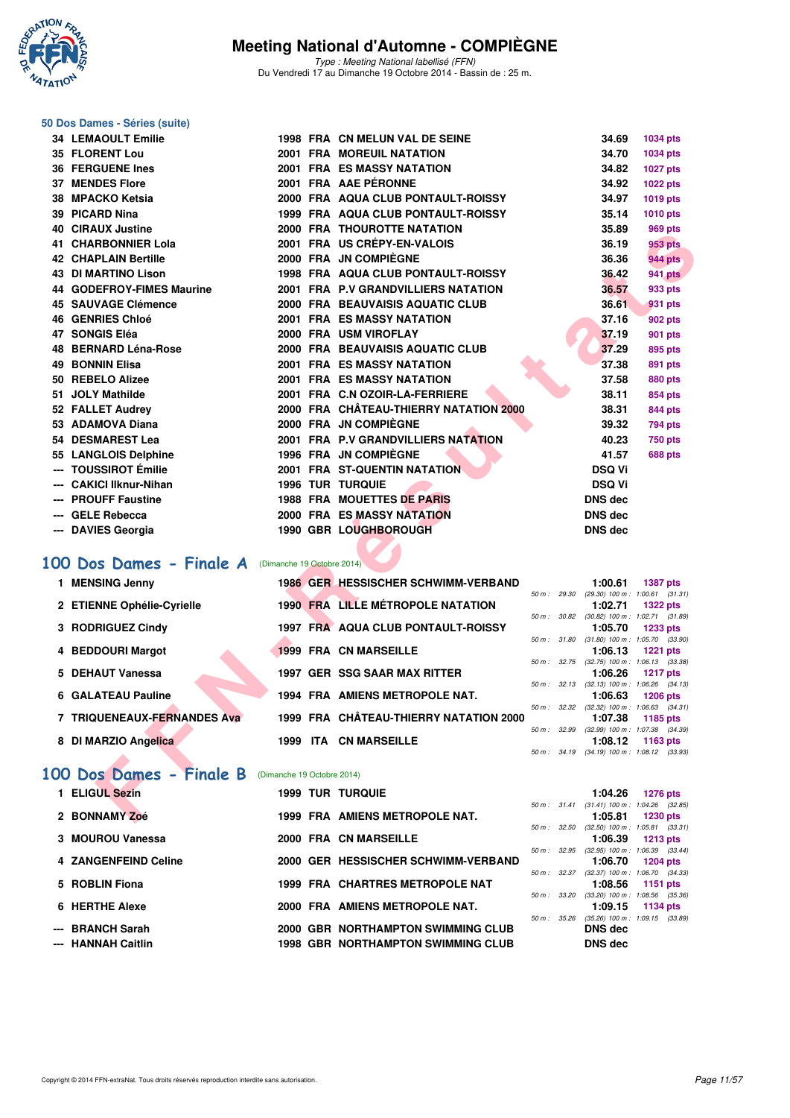

Type : Meeting National labellisé (FFN) Du Vendredi 17 au Dimanche 19 Octobre 2014 - Bassin de : 25 m.

#### **50 Dos Dames - Séries (suite)**

| <b>34 LEMAOULT Emilie</b>                          |                            | 1998 FRA CN MELUN VAL DE SEINE            |             | 34.69          | <b>1034 pts</b>                                                 |
|----------------------------------------------------|----------------------------|-------------------------------------------|-------------|----------------|-----------------------------------------------------------------|
| <b>35 FLORENT Lou</b>                              |                            | <b>2001 FRA MOREUIL NATATION</b>          |             | 34.70          | 1034 pts                                                        |
| <b>36 FERGUENE Ines</b>                            |                            | 2001 FRA ES MASSY NATATION                |             | 34.82          | <b>1027 pts</b>                                                 |
| <b>37 MENDES Flore</b>                             |                            | 2001 FRA AAE PÉRONNE                      |             | 34.92          | 1022 pts                                                        |
| 38 MPACKO Ketsia                                   |                            | 2000 FRA AQUA CLUB PONTAULT-ROISSY        |             | 34.97          | 1019 pts                                                        |
| 39 PICARD Nina                                     |                            | 1999 FRA AQUA CLUB PONTAULT-ROISSY        |             | 35.14          | 1010 pts                                                        |
| <b>40 CIRAUX Justine</b>                           |                            | <b>2000 FRA THOUROTTE NATATION</b>        |             | 35.89          | <b>969 pts</b>                                                  |
| 41 CHARBONNIER Lola                                |                            | 2001 FRA US CRÉPY-EN-VALOIS               |             | 36.19          | 953 pts                                                         |
| <b>42 CHAPLAIN Bertille</b>                        |                            | 2000 FRA JN COMPIEGNE                     |             | 36.36          | <b>944 pts</b>                                                  |
| <b>43 DI MARTINO Lison</b>                         |                            | <b>1998 FRA AQUA CLUB PONTAULT-ROISSY</b> |             | 36.42          | <b>941 pts</b>                                                  |
| 44 GODEFROY-FIMES Maurine                          |                            | 2001 FRA P.V GRANDVILLIERS NATATION       |             | 36.57          | 933 pts                                                         |
| 45 SAUVAGE Clémence                                |                            | 2000 FRA BEAUVAISIS AQUATIC CLUB          |             | 36.61          | 931 pts                                                         |
| <b>46 GENRIES Chloé</b>                            |                            | <b>2001 FRA ES MASSY NATATION</b>         |             | 37.16          | 902 pts                                                         |
| 47 SONGIS Eléa                                     |                            | 2000 FRA USM VIROFLAY                     |             | 37.19          | 901 pts                                                         |
| 48 BERNARD Léna-Rose                               |                            | 2000 FRA BEAUVAISIS AQUATIC CLUB          |             | 37.29          | 895 pts                                                         |
| <b>49 BONNIN Elisa</b>                             |                            | <b>2001 FRA ES MASSY NATATION</b>         |             | 37.38          | 891 pts                                                         |
| 50 REBELO Alizee                                   |                            | <b>2001 FRA ES MASSY NATATION</b>         |             | 37.58          | <b>880 pts</b>                                                  |
| 51 JOLY Mathilde                                   |                            | 2001 FRA C.N OZOIR-LA-FERRIERE            |             | 38.11          | 854 pts                                                         |
| 52 FALLET Audrey                                   |                            | 2000 FRA CHÂTEAU-THIERRY NATATION 2000    |             | 38.31          | 844 pts                                                         |
| 53 ADAMOVA Diana                                   |                            | 2000 FRA JN COMPIEGNE                     |             | 39.32          | <b>794 pts</b>                                                  |
| 54 DESMAREST Lea                                   |                            | 2001 FRA P.V GRANDVILLIERS NATATION       |             | 40.23          | <b>750 pts</b>                                                  |
| 55 LANGLOIS Delphine                               |                            | 1996 FRA JN COMPIEGNE                     |             | 41.57          | <b>688 pts</b>                                                  |
| --- TOUSSIROT Émilie                               |                            | <b>2001 FRA ST-QUENTIN NATATION</b>       |             | <b>DSQ Vi</b>  |                                                                 |
| <b>CAKICI Ilknur-Nihan</b>                         |                            | <b>1996 TUR TURQUIE</b>                   |             | <b>DSQ Vi</b>  |                                                                 |
| <b>PROUFF Faustine</b>                             |                            | <b>1988 FRA MOUETTES DE PARIS</b>         |             | <b>DNS</b> dec |                                                                 |
| <b>GELE Rebecca</b>                                |                            | <b>2000 FRA ES MASSY NATATION</b>         |             | <b>DNS dec</b> |                                                                 |
| <b>DAVIES Georgia</b>                              |                            | 1990 GBR LOUGHBOROUGH                     |             | <b>DNS dec</b> |                                                                 |
|                                                    |                            |                                           |             |                |                                                                 |
| 00 Dos Dames - Finale A                            | (Dimanche 19 Octobre 2014) |                                           |             |                |                                                                 |
| 1 MENSING Jenny                                    |                            | 1986 GER HESSISCHER SCHWIMM-VERBAND       |             | 1:00.61        | <b>1387 pts</b>                                                 |
|                                                    |                            |                                           |             |                | 50 m: 29.30 (29.30) 100 m: 1:00.61 (31.31)                      |
| 2 ETIENNE Ophélie-Cyrielle                         |                            | <b>1990 FRA LILLE MÉTROPOLE NATATION</b>  |             | 1:02.71        | <b>1322 pts</b><br>50 m : 30.82 (30.82) 100 m : 1:02.71 (31.89) |
| 3 RODRIGUEZ Cindy                                  |                            | <b>1997 FRA AQUA CLUB PONTAULT-ROISSY</b> |             | 1:05.70        | 1233 pts                                                        |
|                                                    |                            |                                           | 50 m: 31.80 |                | $(31.80)$ 100 m : 1:05.70 $(33.90)$                             |
| 4 BEDDOURI Margot                                  |                            | <b>1999 FRA CN MARSEILLE</b>              |             | 1:06.13        | <b>1221 pts</b><br>50 m: 32.75 (32.75) 100 m: 1:06.13 (33.38)   |
| 5 DEHAUT Vanessa                                   |                            | 1997 GER SSG SAAR MAX RITTER              |             | 1:06.26        | <b>1217 pts</b>                                                 |
|                                                    |                            |                                           |             |                | 50 m: 32.13 (32.13) 100 m: 1:06.26 (34.13)                      |
| 6 GALATEAU Pauline                                 |                            | <b>1994 FRA AMIENS METROPOLE NAT.</b>     |             | 1:06.63        | <b>1206 pts</b><br>50 m: 32.32 (32.32) 100 m: 1:06.63 (34.31)   |
| 7 TRIQUENEAUX-FERNANDES Ava                        |                            | 1999 FRA CHÂTEAU-THIERRY NATATION 2000    |             | 1:07.38        | 1185 pts                                                        |
|                                                    |                            | 1999 ITA CN MARSEILLE                     |             |                | 50 m : 32.99 (32.99) 100 m : 1:07.38 (34.39)                    |
| 8 DI MARZIO Angelica                               |                            |                                           |             | 1:08.12        | 1163 pts<br>50 m: 34.19 (34.19) 100 m: 1:08.12 (33.93)          |
|                                                    |                            |                                           |             |                |                                                                 |
| 00 Dos Dames - Finale B (Dimanche 19 Octobre 2014) |                            |                                           |             |                |                                                                 |
| 1 ELIGUL Sezin                                     |                            | <b>1999 TUR TURQUIE</b>                   |             | 1:04.26        | <b>1276 pts</b>                                                 |
| 2 BONNAMY Zoé                                      |                            | 1999 FRA AMIENS METROPOLE NAT.            |             | 1:05.81        | 50 m: 31.41 (31.41) 100 m: 1:04.26 (32.85)<br>1230 pts          |
|                                                    |                            |                                           |             |                |                                                                 |

## [100 Dos Dames - Finale A](http://www.ffnatation.fr/webffn/resultats.php?idact=nat&go=epr&idcpt=24767&idepr=12) (Dimanche 19 Octobre 2014)

| 1 MENSING Jenny                                                                                                                                                                                                                            |      |      | <b>1986 GER HESSISCHER SCHWIMM-VERBAND</b> |                  |                          | 1:00.61                                        | <b>1387 pts</b> |  |
|--------------------------------------------------------------------------------------------------------------------------------------------------------------------------------------------------------------------------------------------|------|------|--------------------------------------------|------------------|--------------------------|------------------------------------------------|-----------------|--|
|                                                                                                                                                                                                                                            |      |      |                                            | 50 m: 29.30      |                          | $(29.30)$ 100 m : 1:00.61 $(31.31)$            |                 |  |
| 2 ETIENNE Ophélie-Cyrielle                                                                                                                                                                                                                 |      |      | <b>1990 FRA LILLE MÉTROPOLE NATATION</b>   |                  |                          | 1:02.71                                        | <b>1322 pts</b> |  |
|                                                                                                                                                                                                                                            |      |      |                                            |                  | 50 m : 30.82             | $(30.82)$ 100 m : 1:02.71 $(31.89)$            |                 |  |
| 3 RODRIGUEZ Cindy                                                                                                                                                                                                                          |      |      | 1997 FRA AQUA CLUB PONTAULT-ROISSY         |                  |                          | 1:05.70                                        | <b>1233 pts</b> |  |
| 4 BEDDOURI Margot                                                                                                                                                                                                                          |      |      | <b>1999 FRA CN MARSEILLE</b>               |                  | 50 m : 31.80             | $(31.80)$ 100 m : 1:05.70 $(33.90)$<br>1:06.13 | $1221$ pts      |  |
|                                                                                                                                                                                                                                            |      |      |                                            | $50 m$ : $32.75$ |                          | $(32.75)$ 100 m : 1:06.13 $(33.38)$            |                 |  |
| 5 DEHAUT Vanessa                                                                                                                                                                                                                           |      |      | <b>1997 GER SSG SAAR MAX RITTER</b>        |                  |                          | 1:06.26                                        | 1217 pts        |  |
|                                                                                                                                                                                                                                            |      |      |                                            |                  | 50 m: 32.13              | $(32.13)$ 100 m : 1:06.26 $(34.13)$            |                 |  |
| 6 GALATEAU Pauline                                                                                                                                                                                                                         |      |      | 1994 FRA AMIENS METROPOLE NAT.             |                  |                          | 1:06.63                                        | <b>1206 pts</b> |  |
|                                                                                                                                                                                                                                            |      |      |                                            | 50 m: 32.32      |                          | $(32.32)$ 100 m : 1:06.63 $(34.31)$            |                 |  |
| 7 TRIQUENEAUX-FERNANDES Ava                                                                                                                                                                                                                |      |      | 1999 FRA CHÂTEAU-THIERRY NATATION 2000     |                  |                          | 1:07.38                                        | 1185 pts        |  |
|                                                                                                                                                                                                                                            |      |      |                                            | 50 m: 32.99      |                          | (32.99) 100 m: 1:07.38 (34.39)                 |                 |  |
| 8 DI MARZIO Angelica                                                                                                                                                                                                                       | 1999 | ITA. | <b>CN MARSEILLE</b>                        |                  |                          | 1:08.12                                        | 1163 pts        |  |
| <b><i>Contract Contract Contract Contract Contract Contract Contract Contract Contract Contract Contract Contract Contract Contract Contract Contract Contract Contract Contract Contract Contract Contract Contract Contract Cont</i></b> |      |      |                                            |                  | $50 \text{ m}$ : $34.19$ | $(34.19)$ 100 m : 1:08.12 $(33.93)$            |                 |  |

## **[100 Dos Dames - Finale B](http://www.ffnatation.fr/webffn/resultats.php?idact=nat&go=epr&idcpt=24767&idepr=12)** (Dimanche 19 Octobre 2014)

| 1 ELIGUL Sezin       |  | <b>1999 TUR TURQUIE</b>                   |                        |              | 1:04.26                                                   |                 | 1276 pts |
|----------------------|--|-------------------------------------------|------------------------|--------------|-----------------------------------------------------------|-----------------|----------|
|                      |  |                                           | $50 \text{ m}$ : 31.41 |              | $(31.41)$ 100 m : 1:04.26 $(32.85)$                       |                 |          |
| 2 BONNAMY Zoé        |  | 1999 FRA AMIENS METROPOLE NAT.            |                        |              | 1:05.81                                                   | <b>1230 pts</b> |          |
|                      |  |                                           | 50 m: 32.50            |              | $(32.50)$ 100 m : 1:05.81 $(33.31)$                       |                 |          |
| 3 MOUROU Vanessa     |  | 2000 FRA CN MARSEILLE                     |                        |              | 1:06.39                                                   | 1213 pts        |          |
|                      |  |                                           |                        | 50 m : 32.95 | $(32.95)$ 100 m : 1:06.39 $(33.44)$                       |                 |          |
| 4 ZANGENFEIND Celine |  | 2000 GER HESSISCHER SCHWIMM-VERBAND       |                        |              | 1:06.70                                                   | 1204 pts        |          |
|                      |  |                                           |                        | 50 m: 32.37  | (32.37) 100 m : 1:06.70 (34.33                            |                 |          |
| 5 ROBLIN Fiona       |  | <b>1999 FRA CHARTRES METROPOLE NAT</b>    |                        |              | $1:08.56$ 1151 pts                                        |                 |          |
| 6 HERTHE Alexe       |  | 2000 FRA AMIENS METROPOLE NAT.            | 50 m: 33.20            |              | $(33.20)$ 100 m : 1.08.56 $(35.36)$<br>$1:09.15$ 1134 pts |                 |          |
|                      |  |                                           | 50 m: 35.26            |              | (35.26) 100 m : 1:09.15 (33.89                            |                 |          |
| --- BRANCH Sarah     |  | 2000 GBR NORTHAMPTON SWIMMING CLUB        |                        |              | <b>DNS</b> dec                                            |                 |          |
|                      |  |                                           |                        |              |                                                           |                 |          |
| --- HANNAH Caitlin   |  | <b>1998 GBR NORTHAMPTON SWIMMING CLUB</b> |                        |              | <b>DNS dec</b>                                            |                 |          |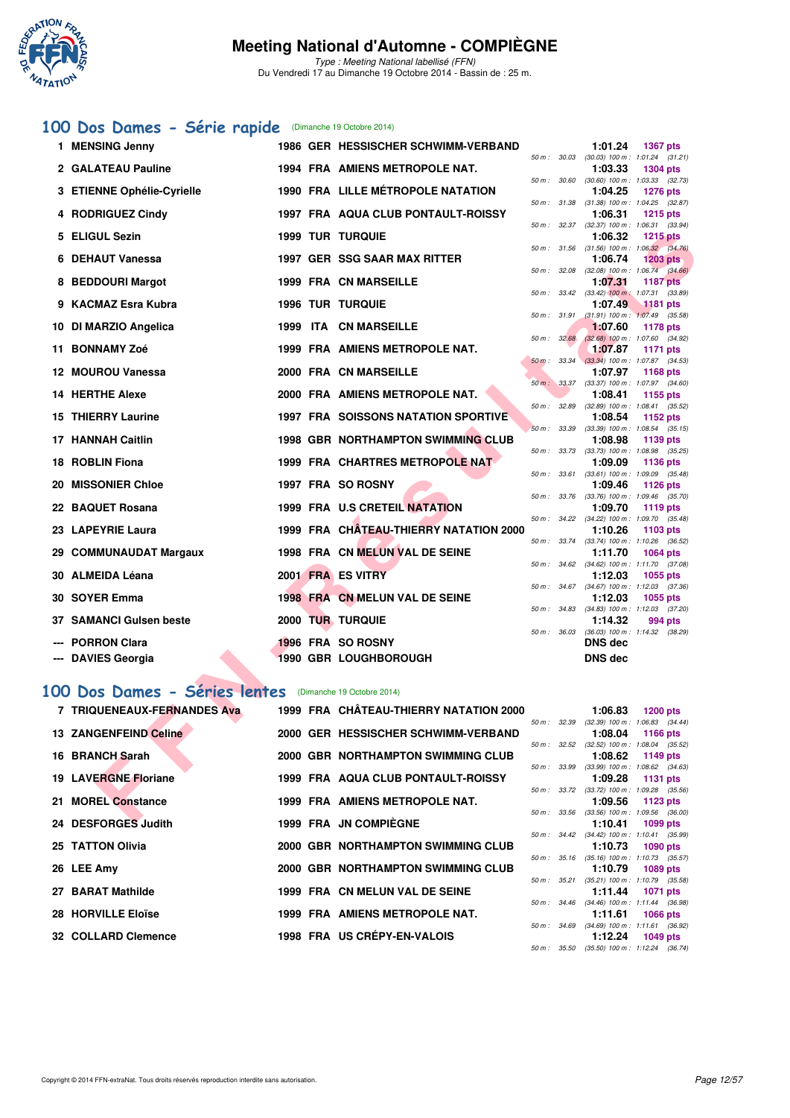

Type : Meeting National labellisé (FFN) Du Vendredi 17 au Dimanche 19 Octobre 2014 - Bassin de : 25 m.

### **[100 Dos Dames - Série rapide](http://www.ffnatation.fr/webffn/resultats.php?idact=nat&go=epr&idcpt=24767&idepr=12)** (Dimanche 19 Octobre 2014)

| 1 MENSING Jenny              |  | 1986 GER HESSISCHER SCHWIMM-VERBAND        |                  | 1:01.24                                               | 1367 pts        |  |
|------------------------------|--|--------------------------------------------|------------------|-------------------------------------------------------|-----------------|--|
| 2 GALATEAU Pauline           |  | 1994 FRA AMIENS METROPOLE NAT.             |                  | 50 m: 30.03 (30.03) 100 m: 1:01.24 (31.21)<br>1:03.33 | <b>1304 pts</b> |  |
| 3 ETIENNE Ophélie-Cyrielle   |  | 1990 FRA LILLE MÉTROPOLE NATATION          | 50 m: 30.60      | $(30.60)$ 100 m : 1:03.33 $(32.73)$<br>1:04.25        | <b>1276 pts</b> |  |
| 4 RODRIGUEZ Cindy            |  | 1997 FRA AQUA CLUB PONTAULT-ROISSY         |                  | 50 m: 31.38 (31.38) 100 m: 1:04.25 (32.87)<br>1:06.31 | <b>1215 pts</b> |  |
|                              |  |                                            |                  | 50 m: 32.37 (32.37) 100 m: 1:06.31 (33.94)            |                 |  |
| 5 ELIGUL Sezin               |  | <b>1999 TUR TURQUIE</b>                    |                  | 1:06.32<br>50 m: 31.56 (31.56) 100 m: 1:06.32 (34.76) | <b>1215 pts</b> |  |
| 6 DEHAUT Vanessa             |  | 1997 GER SSG SAAR MAX RITTER               |                  | 1:06.74                                               | $1203$ pts      |  |
| 8 BEDDOURI Margot            |  | <b>1999 FRA CN MARSEILLE</b>               |                  | 50 m: 32.08 (32.08) 100 m: 1:06.74 (34.66)<br>1:07.31 | <b>1187 pts</b> |  |
| 9 KACMAZ Esra Kubra          |  | <b>1996 TUR TURQUIE</b>                    |                  | 50 m: 33.42 (33.42) 100 m: 1:07.31 (33.89)<br>1:07.49 | $1181$ pts      |  |
|                              |  |                                            | 50 m: 31.91      | $(31.91)$ 100 m : 1:07.49 $(35.58)$                   |                 |  |
| 10 DI MARZIO Angelica        |  | 1999 ITA CN MARSEILLE                      | 50 m: 32.68      | 1:07.60<br>$(32.68)$ 100 m : 1:07.60 $(34.92)$        | 1178 pts        |  |
| 11 BONNAMY Zoé               |  | 1999 FRA AMIENS METROPOLE NAT.             |                  | 1:07.87                                               | 1171 pts        |  |
| 12 MOUROU Vanessa            |  | 2000 FRA CN MARSEILLE                      | 50 m: 33.34      | $(33.34)$ 100 m : 1:07.87 $(34.53)$                   |                 |  |
|                              |  |                                            | 50 m: 33.37      | 1:07.97<br>$(33.37)$ 100 m : 1:07.97 $(34.60)$        | 1168 pts        |  |
| 14 HERTHE Alexe              |  | 2000 FRA AMIENS METROPOLE NAT.             |                  | 1:08.41                                               | 1155 pts        |  |
| <b>15 THIERRY Laurine</b>    |  | <b>1997 FRA SOISSONS NATATION SPORTIVE</b> | 50 m : 32.89     | $(32.89)$ 100 m : 1:08.41 $(35.52)$<br>1:08.54        | 1152 pts        |  |
|                              |  |                                            | 50 m : 33.39     | $(33.39)$ 100 m : 1:08.54 $(35.15)$                   |                 |  |
| <b>17 HANNAH Caitlin</b>     |  | <b>1998 GBR NORTHAMPTON SWIMMING CLUB</b>  |                  | 1:08.98<br>50 m: 33.73 (33.73) 100 m: 1:08.98 (35.25) | 1139 pts        |  |
| 18 ROBLIN Fiona              |  | 1999 FRA CHARTRES METROPOLE NAT            |                  | 1:09.09                                               | 1136 pts        |  |
| 20 MISSONIER Chloe           |  | 1997 FRA SO ROSNY                          | 50 m: 33.61      | $(33.61)$ 100 m : 1:09.09 $(35.48)$<br>1:09.46        | <b>1126 pts</b> |  |
|                              |  |                                            |                  | 50 m: 33.76 (33.76) 100 m: 1:09.46 (35.70)            |                 |  |
| 22 BAQUET Rosana             |  | <b>1999 FRA U.S CRETEIL NATATION</b>       |                  | 1:09.70                                               | <b>1119 pts</b> |  |
| 23 LAPEYRIE Laura            |  | 1999 FRA CHATEAU-THIERRY NATATION 2000     |                  | 50 m: 34.22 (34.22) 100 m: 1:09.70 (35.48)<br>1:10.26 | 1103 pts        |  |
|                              |  |                                            |                  | 50 m: 33.74 (33.74) 100 m: 1:10.26 (36.52)            |                 |  |
| 29 COMMUNAUDAT Margaux       |  | 1998 FRA CN MELUN VAL DE SEINE             |                  | 1:11.70<br>50 m: 34.62 (34.62) 100 m: 1:11.70 (37.08) | <b>1064 pts</b> |  |
| 30 ALMEIDA Léana             |  | 2001 FRA ES VITRY                          |                  | 1:12.03                                               | 1055 pts        |  |
| 30 SOYER Emma                |  | 1998 FRA CN MELUN VAL DE SEINE             |                  | 50 m: 34.67 (34.67) 100 m: 1:12.03 (37.36)<br>1:12.03 | 1055 pts        |  |
|                              |  |                                            |                  | 50 m: 34.83 (34.83) 100 m: 1:12.03 (37.20)            |                 |  |
| 37 SAMANCI Gulsen beste      |  | 2000 TUR TURQUIE                           | $50 m$ : $36.03$ | 1:14.32<br>$(36.03)$ 100 m : 1:14.32 $(38.29)$        | 994 pts         |  |
| --- PORRON Clara             |  | 1996 FRA SO ROSNY                          |                  | DNS dec                                               |                 |  |
| --- DAVIES Georgia           |  | <b>1990 GBR LOUGHBOROUGH</b>               |                  | <b>DNS dec</b>                                        |                 |  |
|                              |  |                                            |                  |                                                       |                 |  |
| 00 Dos Dames - Séries lentes |  | (Dimanche 19 Octobre 2014)                 |                  |                                                       |                 |  |
| 7 TRIQUENEAUX-FERNANDES Ava  |  | 1999 FRA CHÂTEAU-THIERRY NATATION 2000     |                  | 1:06.83                                               | <b>1200 pts</b> |  |
| 13 ZANGENFEIND Celine        |  | 2000 GER HESSISCHER SCHWIMM-VERBAND        | 50 m: 32.39      | $(32.39)$ 100 m : 1:06.83 $(34.44)$<br>1:08.04        | <b>1166 pts</b> |  |
|                              |  |                                            |                  | 50 m: 32.52 (32.52) 100 m: 1:08.04 (35.52)            |                 |  |
| 16 BRANCH Sarah              |  | 2000 GBR NORTHAMPTON SWIMMING CLUB         |                  | 1:08.62                                               | 1149 pts        |  |
| <b>19 LAVERGNE Floriane</b>  |  | 1999 FRA AQUA CLUB PONTAULT-ROISSY         | 50 m : 33.99     | $(33.99)$ 100 m : 1:08.62 $(34.63)$<br>1:09.28        | <b>1131 pts</b> |  |
|                              |  |                                            |                  | 50 m: 33.72 (33.72) 100 m: 1:09.28 (35.56)            |                 |  |
| 21 MOREL Constance           |  | 1999 FRA AMIENS METROPOLE NAT.             |                  | 1:09.56<br>50 m: 33.56 (33.56) 100 m: 1:09.56 (36.00) | 1123 pts        |  |
| <b>04 BECEOBOED LUBB</b>     |  | $1000 FBA$ IN COMBICANT                    |                  | $-1.40.44$                                            | $1000 -$        |  |

#### **[100 Dos Dames - Séries lentes](http://www.ffnatation.fr/webffn/resultats.php?idact=nat&go=epr&idcpt=24767&idepr=12)** (Dimanche 19 Octobre 2014)

| 7 TRIQUENEAUX-FERNANDES Ava  |  | 1999 FRA CHÂTEAU-THIERRY NATATION 2000 |                          | 1:06.83                                        | $1200$ pts |  |
|------------------------------|--|----------------------------------------|--------------------------|------------------------------------------------|------------|--|
|                              |  |                                        | 50 m : 32.39             | $(32.39)$ 100 m : 1:06.83 $(34.44)$            |            |  |
| <b>13 ZANGENFEIND Celine</b> |  | 2000 GER HESSISCHER SCHWIMM-VERBAND    |                          | $1:08.04$ 1166 pts                             |            |  |
| 16 BRANCH Sarah              |  | 2000 GBR NORTHAMPTON SWIMMING CLUB     | $50 \text{ m}$ : $32.52$ | $(32.52)$ 100 m : 1:08.04 $(35.52)$<br>1:08.62 |            |  |
|                              |  |                                        | 50 m: 33.99              | $(33.99)$ 100 m : 1:08.62 $(34.63)$            | 1149 pts   |  |
| <b>19 LAVERGNE Floriane</b>  |  | 1999 FRA AQUA CLUB PONTAULT-ROISSY     |                          | $1:09.28$ 1131 pts                             |            |  |
|                              |  |                                        | 50 m : 33.72             | $(33.72)$ 100 m : 1:09.28 $(35.56)$            |            |  |
| 21 MOREL Constance           |  | 1999 FRA AMIENS METROPOLE NAT.         |                          | $1:09.56$ 1123 pts                             |            |  |
|                              |  |                                        |                          | 50 m: 33.56 (33.56) 100 m: 1:09.56 (36.00)     |            |  |
| 24 DESFORGES Judith          |  | 1999 FRA JN COMPIÈGNE                  |                          | $1:10.41$ 1099 pts                             |            |  |
|                              |  |                                        |                          | 50 m: 34.42 (34.42) 100 m: 1:10.41 (35.99)     |            |  |
| 25 TATTON Olivia             |  | 2000 GBR NORTHAMPTON SWIMMING CLUB     |                          | $1:10.73$ 1090 pts                             |            |  |
|                              |  |                                        |                          | 50 m: 35.16 (35.16) 100 m: 1:10.73 (35.57)     |            |  |
| 26 LEE Amy                   |  | 2000 GBR NORTHAMPTON SWIMMING CLUB     |                          | 1:10.79                                        | 1089 pts   |  |
|                              |  |                                        | 50 m : 35.21             | $(35.21)$ 100 m : 1:10.79 $(35.58)$            |            |  |
| 27 BARAT Mathilde            |  | 1999 FRA CN MELUN VAL DE SEINE         |                          | $1:11.44$ 1071 pts                             |            |  |
|                              |  |                                        |                          | 50 m: 34.46 (34.46) 100 m: 1:11.44 (36.98)     |            |  |
| 28 HORVILLE Eloïse           |  | 1999 FRA AMIENS METROPOLE NAT.         |                          | 1:11.61                                        | 1066 pts   |  |
|                              |  |                                        | 50 m : 34.69             | $(34.69)$ 100 m : 1:11.61 $(36.92)$            |            |  |
| 32 COLLARD Clemence          |  | 1998 FRA US CRÉPY-EN-VALOIS            |                          | 1:12.24 $1049 \text{ pts}$                     |            |  |
|                              |  |                                        |                          | 50 m: 35.50 (35.50) 100 m: 1:12.24 (36.74)     |            |  |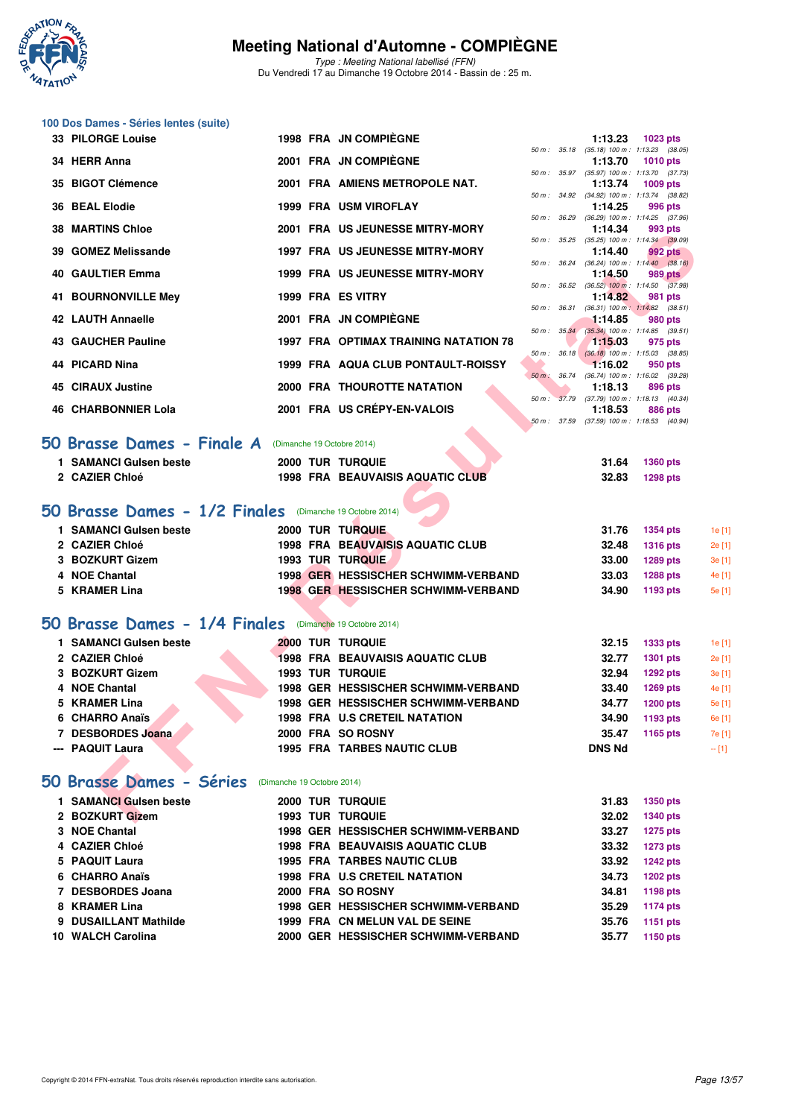

Type : Meeting National labellisé (FFN) Du Vendredi 17 au Dimanche 19 Octobre 2014 - Bassin de : 25 m.

| 100 Dos Dames - Séries lentes (suite)                    |                            |                                                                    |                  |                        |                                                               |                 |
|----------------------------------------------------------|----------------------------|--------------------------------------------------------------------|------------------|------------------------|---------------------------------------------------------------|-----------------|
| <b>33 PILORGE Louise</b>                                 |                            | <b>1998 FRA JN COMPIEGNE</b>                                       |                  | 1:13.23                | 1023 pts                                                      |                 |
| 34 HERR Anna                                             |                            | 2001 FRA JN COMPIÈGNE                                              |                  | 1:13.70                | 50 m: 35.18 (35.18) 100 m: 1:13.23 (38.05)<br><b>1010 pts</b> |                 |
| 35 BIGOT Clémence                                        |                            | 2001 FRA AMIENS METROPOLE NAT.                                     |                  | 1:13.74                | 50 m: 35.97 (35.97) 100 m: 1:13.70 (37.73)<br>1009 pts        |                 |
|                                                          |                            | 1999 FRA USM VIROFLAY                                              |                  |                        | 50 m: 34.92 (34.92) 100 m: 1:13.74 (38.82)                    |                 |
| 36 BEAL Elodie                                           |                            |                                                                    | 50 m : 36.29     | 1:14.25                | 996 pts<br>$(36.29)$ 100 m : 1:14.25 $(37.96)$                |                 |
| <b>38 MARTINS Chloe</b>                                  |                            | 2001 FRA US JEUNESSE MITRY-MORY                                    |                  | 1:14.34                | 993 pts<br>50 m: 35.25 (35.25) 100 m: 1:14.34 (39.09)         |                 |
| 39 GOMEZ Melissande                                      |                            | <b>1997 FRA US JEUNESSE MITRY-MORY</b>                             |                  | 1:14.40                | 992 pts                                                       |                 |
| <b>40 GAULTIER Emma</b>                                  |                            | <b>1999 FRA US JEUNESSE MITRY-MORY</b>                             | 50 m : 36.24     | 1:14.50                | $(36.24)$ 100 m : 1:14.40 $(38.16)$<br>989 pts                |                 |
| 41 BOURNONVILLE Mey                                      |                            | 1999 FRA ES VITRY                                                  |                  | 1:14.82                | 50 m : 36.52 (36.52) 100 m : 1:14.50 (37.98)<br>981 pts       |                 |
| 42 LAUTH Annaelle                                        |                            | 2001 FRA JN COMPIEGNE                                              | 50 m : 36.31     | 1:14.85                | $(36.31)$ 100 m : 1:14.82 $(38.51)$<br>980 pts                |                 |
|                                                          |                            |                                                                    | 50 m: 35.34      |                        | $(35.34)$ 100 m : 1:14.85 $(39.51)$                           |                 |
| <b>43 GAUCHER Pauline</b>                                |                            | <b>1997 FRA OPTIMAX TRAINING NATATION 78</b>                       |                  | 1:15.03                | 975 pts<br>50 m : 36.18 (36.18) 100 m : 1:15.03 (38.85)       |                 |
| 44 PICARD Nina                                           |                            | <b>1999 FRA AQUA CLUB PONTAULT-ROISSY</b>                          |                  | 1:16.02                | 950 pts                                                       |                 |
| <b>45 CIRAUX Justine</b>                                 |                            | <b>2000 FRA THOUROTTE NATATION</b>                                 | $50 m$ : $36.74$ | 1:18.13                | $(36.74)$ 100 m : 1:16.02 $(39.28)$<br>896 pts                |                 |
| <b>46 CHARBONNIER Lola</b>                               |                            | 2001 FRA US CRÉPY-EN-VALOIS                                        |                  | 1:18.53                | 50 m: 37.79 (37.79) 100 m: 1:18.13 (40.34)<br>886 pts         |                 |
|                                                          |                            |                                                                    | 50 m : 37.59     |                        | $(37.59)$ 100 m : 1:18.53 $(40.94)$                           |                 |
| 50 Brasse Dames - Finale A                               |                            | (Dimanche 19 Octobre 2014)                                         |                  |                        |                                                               |                 |
| 1 SAMANCI Gulsen beste                                   |                            | <b>2000 TUR TURQUIE</b>                                            |                  | 31.64                  | <b>1360 pts</b>                                               |                 |
| 2 CAZIER Chloé                                           |                            | <b>1998 FRA BEAUVAISIS AQUATIC CLUB</b>                            |                  | 32.83                  | <b>1298 pts</b>                                               |                 |
|                                                          |                            |                                                                    |                  |                        |                                                               |                 |
| 50 Brasse Dames - 1/2 Finales (Dimanche 19 Octobre 2014) |                            |                                                                    |                  |                        |                                                               |                 |
| 1 SAMANCI Gulsen beste                                   |                            | 2000 TUR TURQUIE                                                   |                  | 31.76                  | <b>1354 pts</b>                                               | 1e [1]          |
| 2 CAZIER Chloé<br>3 BOZKURT Gizem                        |                            | <b>1998 FRA BEAUVAISIS AQUATIC CLUB</b><br><b>1993 TUR TURQUIE</b> |                  | 32.48<br>33.00         | <b>1316 pts</b>                                               | 2e [1]          |
| 4 NOE Chantal                                            |                            | 1998 GER HESSISCHER SCHWIMM-VERBAND                                |                  | 33.03                  | <b>1289 pts</b><br><b>1288 pts</b>                            | 3e [1]<br>4e [1 |
| 5 KRAMER Lina                                            |                            | 1998 GER HESSISCHER SCHWIMM-VERBAND                                |                  | 34.90                  | 1193 pts                                                      | 5e [1]          |
|                                                          |                            |                                                                    |                  |                        |                                                               |                 |
| 50 Brasse Dames - 1/4 Finales (Dimanche 19 Octobre 2014) |                            |                                                                    |                  |                        |                                                               |                 |
| 1 SAMANCI Gulsen beste                                   |                            | <b>2000 TUR TURQUIE</b>                                            |                  | 32.15                  | <b>1333 pts</b>                                               | 1e [1]          |
| 2 CAZIER Chloé                                           |                            | <b>1998 FRA BEAUVAISIS AQUATIC CLUB</b>                            |                  | 32.77                  | 1301 pts                                                      | 2e [1]          |
| 3 BOZKURT Gizem                                          |                            | <b>1993 TUR TURQUIE</b>                                            |                  | 32.94                  | <b>1292 pts</b>                                               | 3e [1]          |
| 4 NOE Chantal                                            |                            | 1998 GER HESSISCHER SCHWIMM-VERBAND                                |                  | 33.40                  | <b>1269 pts</b>                                               | 4e [1]          |
| 5 KRAMER Lina                                            |                            | 1998 GER HESSISCHER SCHWIMM-VERBAND                                |                  | 34.77                  | <b>1200 pts</b>                                               | 5e [1]          |
| 6 CHARRO Anaïs                                           |                            | 1998 FRA U.S CRETEIL NATATION                                      |                  | 34.90                  | 1193 pts                                                      | 6e [1           |
| 7 DESBORDES Joana<br>--- PAQUIT Laura                    |                            | 2000 FRA SO ROSNY<br><b>1995 FRA TARBES NAUTIC CLUB</b>            |                  | 35.47<br><b>DNS Nd</b> | 1165 pts                                                      | 7e [1]          |
|                                                          |                            |                                                                    |                  |                        |                                                               | $-$ [1]         |
| 50 Brasse Dames - Séries                                 | (Dimanche 19 Octobre 2014) |                                                                    |                  |                        |                                                               |                 |
| 1 SAMANCI Gulsen beste                                   |                            | <b>2000 TUR TURQUIE</b>                                            |                  | 31.83                  | 1350 pts                                                      |                 |
| 2 BOZKURT Gizem                                          |                            | <b>1993 TUR TURQUIE</b>                                            |                  | 32.02                  | <b>1340 pts</b>                                               |                 |
| 3 NOE Chantal                                            |                            | 1998 GER HESSISCHER SCHWIMM-VERBAND                                |                  | 33.27                  | <b>1275 pts</b>                                               |                 |
| 4 CAZIER Chloé                                           |                            | <b>1998 FRA BEAUVAISIS AQUATIC CLUB</b>                            |                  | 33.32                  | <b>1273 pts</b>                                               |                 |
| 5 PAQUIT Laura                                           |                            | <b>1995 FRA TARBES NAUTIC CLUB</b>                                 |                  | 33.92                  | <b>1242 pts</b>                                               |                 |
| 6 CHARRO Anaïs                                           |                            | 1998 FRA U.S CRETEIL NATATION                                      |                  | 34.73                  | <b>1202 pts</b>                                               |                 |
| 7 DESBORDES Joana                                        |                            | 2000 FRA SO ROSNY                                                  |                  | 34.81                  | 1198 pts                                                      |                 |
| 8 KRAMER Lina                                            |                            | 1998 GER HESSISCHER SCHWIMM-VERBAND                                |                  | 35.29                  | <b>1174 pts</b>                                               |                 |

**9 DUSAILLANT Mathilde 1999 FRA CN MELUN VAL DE SEINE 35.76 1151 pts 10 WALCH Carolina 2000 GER HESSISCHER SCHWIMM-VERBAND 35.77 1150 pts**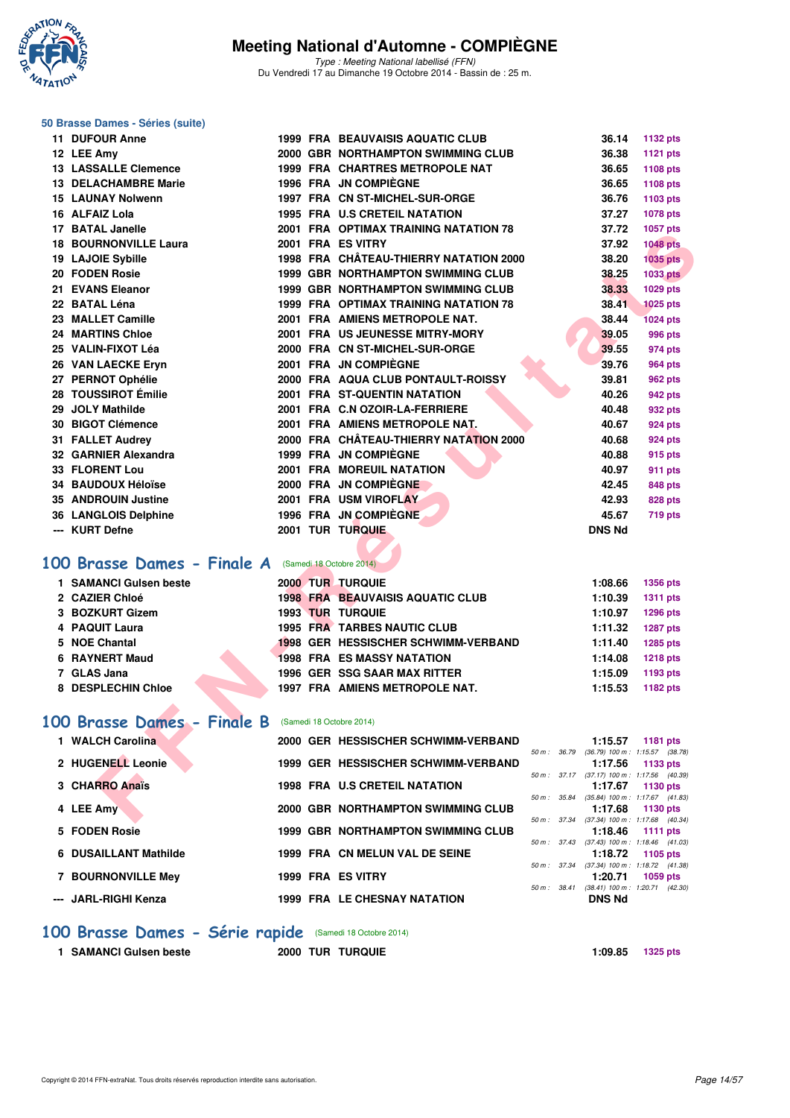

Type : Meeting National labellisé (FFN) Du Vendredi 17 au Dimanche 19 Octobre 2014 - Bassin de : 25 m.

#### **50 Brasse Dames - Séries (suite)**

| <b>11 DUFOUR Anne</b>                                      |  | <b>1999 FRA BEAUVAISIS AQUATIC CLUB</b>      | 36.14                                                 | <b>1132 pts</b> |
|------------------------------------------------------------|--|----------------------------------------------|-------------------------------------------------------|-----------------|
| 12 LEE Amy                                                 |  | 2000 GBR NORTHAMPTON SWIMMING CLUB           | 36.38                                                 | 1121 pts        |
| <b>13 LASSALLE Clemence</b>                                |  | <b>1999 FRA CHARTRES METROPOLE NAT</b>       | 36.65                                                 | 1108 pts        |
| <b>13 DELACHAMBRE Marie</b>                                |  | 1996 FRA JN COMPIEGNE                        | 36.65                                                 | 1108 pts        |
| <b>15 LAUNAY Nolwenn</b>                                   |  | 1997 FRA CN ST-MICHEL-SUR-ORGE               | 36.76                                                 | 1103 pts        |
| 16 ALFAIZ Lola                                             |  | <b>1995 FRA U.S CRETEIL NATATION</b>         | 37.27                                                 | 1078 pts        |
| 17 BATAL Janelle                                           |  | 2001 FRA OPTIMAX TRAINING NATATION 78        | 37.72                                                 | 1057 pts        |
| <b>18 BOURNONVILLE Laura</b>                               |  | 2001 FRA ES VITRY                            | 37.92                                                 | <b>1048 pts</b> |
| 19 LAJOIE Sybille                                          |  | 1998 FRA CHÂTEAU-THIERRY NATATION 2000       | 38.20                                                 | <b>1035 pts</b> |
| 20 FODEN Rosie                                             |  | 1999 GBR NORTHAMPTON SWIMMING CLUB           | 38.25                                                 | <b>1033 pts</b> |
| 21 EVANS Eleanor                                           |  | 1999 GBR NORTHAMPTON SWIMMING CLUB           | 38.33                                                 | 1029 pts        |
| 22 BATAL Léna                                              |  | <b>1999 FRA OPTIMAX TRAINING NATATION 78</b> | 38.41                                                 | 1025 pts        |
| 23 MALLET Camille                                          |  | 2001 FRA AMIENS METROPOLE NAT.               | 38.44                                                 | <b>1024 pts</b> |
| <b>24 MARTINS Chloe</b>                                    |  | 2001 FRA US JEUNESSE MITRY-MORY              | 39.05                                                 | 996 pts         |
| 25 VALIN-FIXOT Léa                                         |  | 2000 FRA CN ST-MICHEL-SUR-ORGE               | 39.55                                                 | 974 pts         |
| 26 VAN LAECKE Eryn                                         |  | 2001 FRA JN COMPIÈGNE                        | 39.76                                                 | 964 pts         |
| 27 PERNOT Ophélie                                          |  | 2000 FRA AQUA CLUB PONTAULT-ROISSY           | 39.81                                                 | 962 pts         |
| 28 TOUSSIROT Émilie                                        |  | 2001 FRA ST-QUENTIN NATATION                 | 40.26                                                 | 942 pts         |
| 29 JOLY Mathilde                                           |  | 2001 FRA C.N OZOIR-LA-FERRIERE               | 40.48                                                 | 932 pts         |
| 30 BIGOT Clémence                                          |  | 2001 FRA AMIENS METROPOLE NAT.               | 40.67                                                 | <b>924 pts</b>  |
| 31 FALLET Audrey                                           |  | 2000 FRA CHÂTEAU-THIERRY NATATION 2000       | 40.68                                                 | 924 pts         |
| 32 GARNIER Alexandra                                       |  | 1999 FRA JN COMPIEGNE                        | 40.88                                                 | 915 pts         |
| <b>33 FLORENT Lou</b>                                      |  | <b>2001 FRA MOREUIL NATATION</b>             | 40.97                                                 | 911 pts         |
| <b>34 BAUDOUX Héloïse</b>                                  |  | 2000 FRA JN COMPIÈGNE                        | 42.45                                                 | <b>848 pts</b>  |
| 35 ANDROUIN Justine                                        |  | 2001 FRA USM VIROFLAY                        | 42.93                                                 | <b>828 pts</b>  |
| 36 LANGLOIS Delphine                                       |  | 1996 FRA JN COMPIÈGNE                        | 45.67                                                 | 719 pts         |
| --- KURT Defne                                             |  | 2001 TUR TURQUIE                             | <b>DNS Nd</b>                                         |                 |
|                                                            |  |                                              |                                                       |                 |
| 00 Brasse Dames - Finale A (Samedi 18 Octobre 2014)        |  |                                              |                                                       |                 |
| 1 SAMANCI Gulsen beste                                     |  | 2000 TUR TURQUIE                             | 1:08.66                                               | <b>1356 pts</b> |
| 2 CAZIER Chloé                                             |  | <b>1998 FRA BEAUVAISIS AQUATIC CLUB</b>      | 1:10.39                                               | <b>1311 pts</b> |
| 3 BOZKURT Gizem                                            |  | <b>1993 TUR TURQUIE</b>                      | 1:10.97                                               | 1296 pts        |
| 4 PAQUIT Laura                                             |  | <b>1995 FRA TARBES NAUTIC CLUB</b>           | 1:11.32                                               | <b>1287 pts</b> |
| 5 NOE Chantal                                              |  | 1998 GER HESSISCHER SCHWIMM-VERBAND          | 1:11.40                                               | 1285 pts        |
| 6 RAYNERT Maud                                             |  | <b>1998 FRA ES MASSY NATATION</b>            | 1:14.08                                               | <b>1218 pts</b> |
| 7 GLAS Jana                                                |  | 1996 GER SSG SAAR MAX RITTER                 | 1:15.09                                               | 1193 pts        |
| 8 DESPLECHIN Chloe                                         |  | 1997 FRA AMIENS METROPOLE NAT.               | 1:15.53                                               | 1182 pts        |
|                                                            |  |                                              |                                                       |                 |
| <b>00 Brasse Dames - Finale B</b> (Samedi 18 Octobre 2014) |  |                                              |                                                       |                 |
| 1 WALCH Carolina                                           |  | 2000 GER HESSISCHER SCHWIMM-VERBAND          | 1:15.57<br>50 m: 36.79 (36.79) 100 m: 1:15.57 (38.78) | 1181 pts        |
| 2 HUGENELL Leonie                                          |  | 1999 GER HESSISCHER SCHWIMM-VERBAND          | 1:17.56                                               | 1133 pts        |
| 3 CHARRO Anaïs                                             |  | <b>1998 FRA U.S CRETEIL NATATION</b>         | 50 m: 37.17 (37.17) 100 m: 1:17.56 (40.39)<br>1:17.67 | 1130 pts        |
|                                                            |  |                                              | 50 m: 35.84 (35.84) 100 m: 1:17.67 (41.83)            |                 |
| 4 LEE Amy                                                  |  | 2000 GBR NORTHAMPTON SWIMMING CLUB           | 1:17.68                                               | 1130 pts        |
|                                                            |  |                                              | 50 m: 37.34 (37.34) 100 m: 1:17.68 (40.34)            |                 |

## **[100 Brasse Dames - Finale A](http://www.ffnatation.fr/webffn/resultats.php?idact=nat&go=epr&idcpt=24767&idepr=22)** (Samedi 18 Octobre 2014)

| 1 SAMANCI Gulsen beste |  | 2000 TUR TURQUIE                        | 1:08.66 | <b>1356 pts</b> |
|------------------------|--|-----------------------------------------|---------|-----------------|
| 2 CAZIER Chloé         |  | <b>1998 FRA BEAUVAISIS AQUATIC CLUB</b> | 1:10.39 | 1311 pts        |
| 3 BOZKURT Gizem        |  | <b>1993 TUR TURQUIE</b>                 | 1:10.97 | 1296 pts        |
| 4 PAQUIT Laura         |  | <b>1995 FRA TARBES NAUTIC CLUB</b>      | 1:11.32 | <b>1287 pts</b> |
| 5 NOE Chantal          |  | 1998 GER HESSISCHER SCHWIMM-VERBAND     | 1:11.40 | 1285 pts        |
| 6 RAYNERT Maud         |  | <b>1998 FRA ES MASSY NATATION</b>       | 1:14.08 | <b>1218 pts</b> |
| 7 $~$ GLAS Jana        |  | 1996 GER SSG SAAR MAX RITTER            | 1:15.09 | 1193 pts        |
| 8 DESPLECHIN Chloe     |  | 1997 FRA AMIENS METROPOLE NAT.          | 1:15.53 | 1182 pts        |
|                        |  |                                         |         |                 |

### **[100 Brasse Dames - Finale B](http://www.ffnatation.fr/webffn/resultats.php?idact=nat&go=epr&idcpt=24767&idepr=22)** (Samedi 18 Octobre 2014)

| 1 WALCH Carolina          |  | 2000 GER HESSISCHER SCHWIMM-VERBAND       |                  |             | 1:15.57                             | 1181 pts |  |
|---------------------------|--|-------------------------------------------|------------------|-------------|-------------------------------------|----------|--|
|                           |  |                                           | $50 m$ : $36.79$ |             | (36.79) 100 m : 1:15.57 (38.78      |          |  |
| 2 HUGENELL Leonie         |  | 1999 GER HESSISCHER SCHWIMM-VERBAND       |                  |             | 1:17.56                             | 1133 pts |  |
|                           |  |                                           | $50 m$ : $37.17$ |             | (37.17) 100 m : 1:17.56 (40.39      |          |  |
| 3 CHARRO Anaïs            |  | <b>1998 FRA U.S CRETEIL NATATION</b>      |                  |             | 1:17.67                             | 1130 pts |  |
|                           |  |                                           | 50 m: 35.84      |             | (35.84) 100 m: 1:17.67 (41.83       |          |  |
| 4 LEE Amy                 |  | 2000 GBR NORTHAMPTON SWIMMING CLUB        |                  |             | 1:17.68 1130 pts                    |          |  |
|                           |  |                                           |                  | 50 m: 37.34 | (37.34) 100 m: 1:17.68 (40.34       |          |  |
| 5 FODEN Rosie             |  | <b>1999 GBR NORTHAMPTON SWIMMING CLUB</b> |                  |             | 1:18.46 $1111 \text{ pts}$          |          |  |
|                           |  |                                           | 50 m: 37.43      |             | $(37.43)$ 100 m : 1:18.46 $(41.03)$ |          |  |
| 6 DUSAILLANT Mathilde     |  | 1999 FRA CN MELUN VAL DE SEINE            |                  |             | 1:18.72 $1105 \text{ pts}$          |          |  |
|                           |  |                                           | 50 m : 37.34     |             | (37.34) 100 m : 1:18.72 (41.38      |          |  |
| <b>7 BOURNONVILLE Mey</b> |  | 1999 FRA ES VITRY                         |                  |             | 1:20.71                             | 1059 pts |  |
|                           |  |                                           | 50 m: 38.41      |             | $(38.41)$ 100 m : 1:20.71 $(42.30)$ |          |  |
| --- JARL-RIGHI Kenza      |  | <b>1999 FRA LE CHESNAY NATATION</b>       |                  |             | <b>DNS Nd</b>                       |          |  |

#### **[100 Brasse Dames - Série rapide](http://www.ffnatation.fr/webffn/resultats.php?idact=nat&go=epr&idcpt=24767&idepr=22)** (Samedi 18 Octobre 2014)

**1 SAMANCI Gulsen beste 2000 TUR TURQUIE 1:09.85 1325 pts**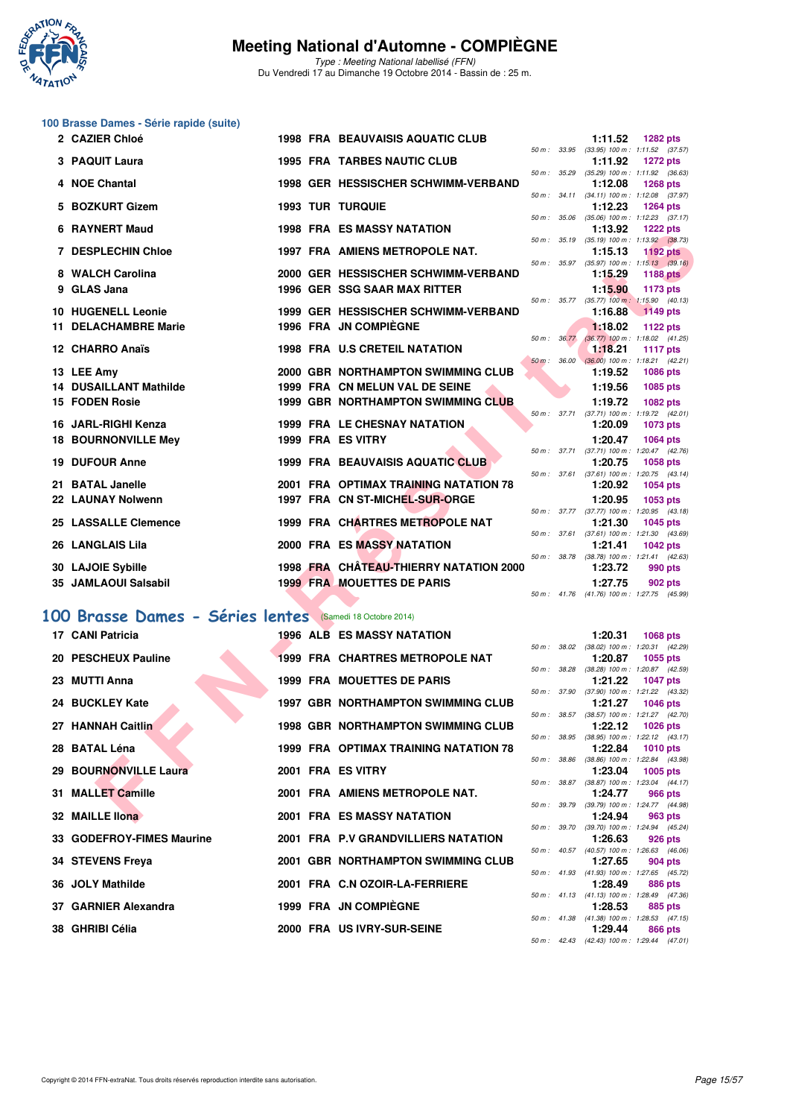

Type : Meeting National labellisé (FFN) Du Vendredi 17 au Dimanche 19 Octobre 2014 - Bassin de : 25 m.

#### **100 Brasse Dames - Série rapide (suite)**

| 2 CAZIER Chloé                                           |  | <b>1998 FRA BEAUVAISIS AQUATIC CLUB</b>   |                | 1:11.52            | <b>1282 pts</b>                                               |  |
|----------------------------------------------------------|--|-------------------------------------------|----------------|--------------------|---------------------------------------------------------------|--|
| 3 PAQUIT Laura                                           |  | <b>1995 FRA TARBES NAUTIC CLUB</b>        |                | 1:11.92            | 50 m: 33.95 (33.95) 100 m: 1:11.52 (37.57)<br><b>1272 pts</b> |  |
| 4 NOE Chantal                                            |  | 1998 GER HESSISCHER SCHWIMM-VERBAND       |                | 1:12.08            | 50 m: 35.29 (35.29) 100 m: 1:11.92 (36.63)<br><b>1268 pts</b> |  |
| 5 BOZKURT Gizem                                          |  | <b>1993 TUR TURQUIE</b>                   | 50 m: 34.11    | 1:12.23            | $(34.11)$ 100 m : 1:12.08 $(37.97)$<br><b>1264 pts</b>        |  |
| 6 RAYNERT Maud                                           |  | <b>1998 FRA ES MASSY NATATION</b>         |                | 1:13.92            | 50 m: 35.06 (35.06) 100 m: 1:12.23 (37.17)<br><b>1222 pts</b> |  |
| <b>7 DESPLECHIN Chloe</b>                                |  | 1997 FRA AMIENS METROPOLE NAT.            | 50 m : 35.19   | 1:15.13            | $(35.19)$ 100 m : 1:13.92 $(38.73)$<br><b>1192 pts</b>        |  |
| 8 WALCH Carolina                                         |  | 2000 GER HESSISCHER SCHWIMM-VERBAND       |                | 1:15.29            | 50 m: 35.97 (35.97) 100 m: 1:15.13 (39.16)<br>1188 pts        |  |
| 9 GLAS Jana                                              |  | <b>1996 GER SSG SAAR MAX RITTER</b>       |                | 1:15.90            | 1173 pts<br>50 m: 35.77 (35.77) 100 m: 1:15.90 (40.13)        |  |
| <b>10 HUGENELL Leonie</b>                                |  | 1999 GER HESSISCHER SCHWIMM-VERBAND       |                | 1:16.88            | $1149$ pts                                                    |  |
| <b>11 DELACHAMBRE Marie</b>                              |  | 1996 FRA JN COMPIEGNE                     | 50 m: 36.77    | 1:18.02            | 1122 pts<br>$(36.77)$ 100 m : 1:18.02 $(41.25)$               |  |
| 12 CHARRO Anaïs                                          |  | <b>1998 FRA U.S CRETEIL NATATION</b>      | $50 m$ : 36.00 | 1:18.21            | <b>1117 pts</b><br>$(36.00)$ 100 m : 1:18.21 $(42.21)$        |  |
| 13 LEE Amy                                               |  | 2000 GBR NORTHAMPTON SWIMMING CLUB        |                | 1:19.52            | <b>1086 pts</b>                                               |  |
| <b>14 DUSAILLANT Mathilde</b>                            |  | 1999 FRA CN MELUN VAL DE SEINE            |                | 1:19.56            | 1085 pts                                                      |  |
| <b>15 FODEN Rosie</b>                                    |  | <b>1999 GBR NORTHAMPTON SWIMMING CLUB</b> | 50 m : 37.71   | 1:19.72            | <b>1082 pts</b><br>$(37.71)$ 100 m : 1:19.72 $(42.01)$        |  |
| 16 JARL-RIGHI Kenza                                      |  | 1999 FRA LE CHESNAY NATATION              |                | 1:20.09            | 1073 pts                                                      |  |
| <b>18 BOURNONVILLE Mey</b>                               |  | 1999 FRA ES VITRY                         |                | 1:20.47            | <b>1064 pts</b><br>50 m: 37.71 (37.71) 100 m: 1:20.47 (42.76) |  |
| <b>19 DUFOUR Anne</b>                                    |  | <b>1999 FRA BEAUVAISIS AQUATIC CLUB</b>   | 50 m : 37.61   | 1:20.75            | 1058 pts                                                      |  |
| 21 BATAL Janelle                                         |  | 2001 FRA OPTIMAX TRAINING NATATION 78     |                | 1:20.92            | $(37.61)$ 100 m : 1:20.75 $(43.14)$<br>1054 pts               |  |
| 22 LAUNAY Nolwenn                                        |  | 1997 FRA CN ST-MICHEL-SUR-ORGE            |                | 1:20.95            | 1053 pts                                                      |  |
| 25 LASSALLE Clemence                                     |  | 1999 FRA CHARTRES METROPOLE NAT           |                | 1:21.30            | 50 m: 37.77 (37.77) 100 m: 1:20.95 (43.18)<br>1045 pts        |  |
| 26 LANGLAIS Lila                                         |  | 2000 FRA ES MASSY NATATION                |                | 1:21.41            | 50 m: 37.61 (37.61) 100 m: 1:21.30 (43.69)<br><b>1042 pts</b> |  |
| 30 LAJOIE Sybille                                        |  | 1998 FRA CHATEAU-THIERRY NATATION 2000    |                |                    | 50 m: 38.78 (38.78) 100 m: 1:21.41 (42.63)                    |  |
| 35 JAMLAOUI Salsabil                                     |  | <b>1999 FRAMOUETTES DE PARIS</b>          |                | 1:23.72<br>1:27.75 | 990 pts<br>902 pts                                            |  |
|                                                          |  |                                           |                |                    | 50 m: 41.76 (41.76) 100 m: 1:27.75 (45.99)                    |  |
| 00 Brasse Dames - Séries lentes (Samedi 18 Octobre 2014) |  |                                           |                |                    |                                                               |  |
| 17 CANI Patricia                                         |  | <b>1996 ALB ES MASSY NATATION</b>         |                | 1:20.31            | <b>1068 pts</b>                                               |  |
| 20 PESCHEUX Pauline                                      |  | 1999 FRA CHARTRES METROPOLE NAT           |                | 1:20.87            | 50 m: 38.02 (38.02) 100 m: 1:20.31 (42.29)<br>1055 pts        |  |
| 23 MUTTI Anna                                            |  | <b>1999 FRA MOUETTES DE PARIS</b>         | 50 m : 38.28   | 1:21.22            | $(38.28)$ 100 m : 1:20.87 $(42.59)$<br><b>1047 pts</b>        |  |
|                                                          |  |                                           |                |                    | 50 m: 37.90 (37.90) 100 m: 1:21.22 (43.32)                    |  |
| 24 BUCKLEY Kate                                          |  | <b>1997 GBR NORTHAMPTON SWIMMING CLUB</b> |                | 1:21.27            | <b>1046 pts</b><br>50 m: 38.57 (38.57) 100 m: 1:21.27 (42.70) |  |
| 27 HANNAH Caitlin                                        |  | <b>1998 GBR NORTHAMPTON SWIMMING CLUB</b> |                | 1:22.12            | 1026 pts                                                      |  |
| 28 BATAL Léna                                            |  | 1999 FRA OPTIMAX TRAINING NATATION 78     |                | 1:22.84            | 50 m: 38.95 (38.95) 100 m: 1:22.12 (43.17)<br><b>1010 pts</b> |  |
| 29 BOURNONVILLE Laura                                    |  | 2001 FRA ES VITRY                         |                | 1:23.04            | 50 m : 38.86 (38.86) 100 m : 1:22.84 (43.98)<br>1005 pts      |  |
| 31 MALLET Camille                                        |  | 2001 FRA AMIENS METROPOLE NAT.            |                |                    | 50 m : 38.87 (38.87) 100 m : 1:23.04 (44.17)                  |  |
|                                                          |  |                                           |                | 1:24.77            | 966 pts<br>50 m: 39.79 (39.79) 100 m: 1:24.77 (44.98)         |  |
| 32 MAILLE IIona                                          |  | <b>2001 FRA ES MASSY NATATION</b>         |                | 1:24.94            | 963 pts                                                       |  |

#### **[100 Brasse Dames - Séries lentes](http://www.ffnatation.fr/webffn/resultats.php?idact=nat&go=epr&idcpt=24767&idepr=22)** (Samedi 18 Octobre 2014)

| 17 CANI Patricia          |  | <b>1996 ALB ES MASSY NATATION</b>         |              | 1:20.31 1068 pts                                            |         |  |
|---------------------------|--|-------------------------------------------|--------------|-------------------------------------------------------------|---------|--|
| 20 PESCHEUX Pauline       |  | <b>1999 FRA CHARTRES METROPOLE NAT</b>    | 50 m : 38.02 | $(38.02)$ 100 m : 1:20.31 (42.<br>1:20.87 1055 pts          |         |  |
| 23 MUTTI Anna             |  | <b>1999 FRA MOUETTES DE PARIS</b>         |              | 50 m: 38.28 (38.28) 100 m: 1:20.87 (42.<br>1:21.22 1047 pts |         |  |
| 24 BUCKLEY Kate           |  | <b>1997 GBR NORTHAMPTON SWIMMING CLUB</b> |              | 50 m: 37.90 (37.90) 100 m: 1:21.22 (43.<br>1:21.27 1046 pts |         |  |
| 27 HANNAH Caitlin         |  | 1998 GBR NORTHAMPTON SWIMMING CLUB        |              | 50 m: 38.57 (38.57) 100 m: 1:21.27 (42.<br>1:22.12 1026 pts |         |  |
|                           |  |                                           |              | 50 m: 38.95 (38.95) 100 m: 1:22.12 (43.                     |         |  |
| 28 BATAL Léna             |  | 1999 FRA OPTIMAX TRAINING NATATION 78     |              | 1:22.84 1010 pts<br>50 m: 38.86 (38.86) 100 m: 1:22.84 (43. |         |  |
| 29 BOURNONVILLE Laura     |  | 2001 FRA ES VITRY                         |              | 1:23.04 1005 pts<br>50 m: 38.87 (38.87) 100 m: 1:23.04 (44. |         |  |
| 31 MALLET Camille         |  | 2001 FRA AMIENS METROPOLE NAT.            |              | 1:24.77 966 pts<br>50 m: 39.79 (39.79) 100 m: 1:24.77 (44.  |         |  |
| 32 MAILLE IIona           |  | <b>2001 FRA ES MASSY NATATION</b>         |              | 1:24.94<br>50 m: 39.70 (39.70) 100 m: 1:24.94 (45.          | 963 pts |  |
| 33 GODEFROY-FIMES Maurine |  | 2001 FRA P.V GRANDVILLIERS NATATION       |              | 1:26.63 926 pts<br>50 m: 40.57 (40.57) 100 m: 1:26.63 (46.  |         |  |
| 34 STEVENS Freya          |  | 2001 GBR NORTHAMPTON SWIMMING CLUB        |              | 1:27.65                                                     | 904 pts |  |
| 36 JOLY Mathilde          |  | 2001 FRA C.N OZOIR-LA-FERRIERE            |              | 50 m: 41.93 (41.93) 100 m: 1:27.65 (45.<br>1:28.49          | 886 pts |  |
| 37 GARNIER Alexandra      |  | 1999 FRA JN COMPIÈGNE                     |              | 50 m: 41.13 (41.13) 100 m: 1:28.49 (47.<br>1:28.53 885 pts  |         |  |
| 38 GHRIBI Célia           |  | 2000 FRA US IVRY-SUR-SEINE                |              | 50 m: 41.38 (41.38) 100 m: 1:28.53 (47.<br>1:29.44 866 pts  |         |  |
|                           |  |                                           |              | استناد مصادر الممتادة والمتصدر المسامع                      |         |  |

|                  |       | 1:20.31                             | 1068 pts            |  |
|------------------|-------|-------------------------------------|---------------------|--|
| 50 m: 38.02      |       | $(38.02)$ 100 m :                   | 1:20.31 (42.29)     |  |
|                  |       | 1:20.87                             | 1055 pts            |  |
| 50 m :           | 38.28 | $(38.28)$ 100 m :                   | 1:20.87 (42.59)     |  |
|                  |       | 1:21.22                             | <b>1047 pts</b>     |  |
| 50 m: 37.90      |       | $(37.90)$ 100 m :                   | 1:21.22 (43.32)     |  |
|                  |       | 1:21.27                             | 1046 pts            |  |
| 50 m: 38.57      |       | $(38.57)$ 100 m :                   | 1:21.27 (42.70)     |  |
|                  |       | 1:22.12                             | 1026 pts            |  |
| 50 m: 38.95      |       | $(38.95) 100 m$ :                   | $1:22.12$ $(43.17)$ |  |
|                  |       | 1:22.84                             | 1010 pts            |  |
| 50 m : 38.86     |       | $(38.86) 100 m$ :                   | 1:22.84 (43.98)     |  |
|                  |       | 1:23.04                             | 1005 pts            |  |
| 50 m: 38.87      |       | $(38.87) 100 m$ :                   | $1:23.04$ $(44.17)$ |  |
|                  |       | 1:24.77                             | 966 pts             |  |
| 50 m : 39.79     |       | $(39.79)$ 100 m :                   | 1:24.77 (44.98)     |  |
|                  |       | 1:24.94                             | 963 pts             |  |
| 50 m : 39.70     |       | $(39.70)$ 100 m :                   | 1:24.94 (45.24)     |  |
|                  |       | 1:26.63                             | 926 pts             |  |
| $50 m$ : $40.57$ |       | $(40.57)$ 100 m :                   | 1:26.63 (46.06)     |  |
|                  |       | 1:27.65                             | 904 pts             |  |
| $50 m$ : 41.93   |       | $(41.93) 100 m$ :                   | 1:27.65 (45.72)     |  |
|                  |       | 1:28.49                             | 886 pts             |  |
| $50 m$ : 41.13   |       | (41.13) 100 m:                      | 1:28.49 (47.36)     |  |
|                  |       | 1:28.53                             | 885 pts             |  |
| 50 m : 41.38     |       | $(41.38)$ 100 m : 1:28.53 $(47.15)$ |                     |  |
|                  |       | 1:29.44                             | 866 pts             |  |
| 50 m :           | 42.43 | $(42.43) 100 m$ :                   | $1:29.44$ $(47.01)$ |  |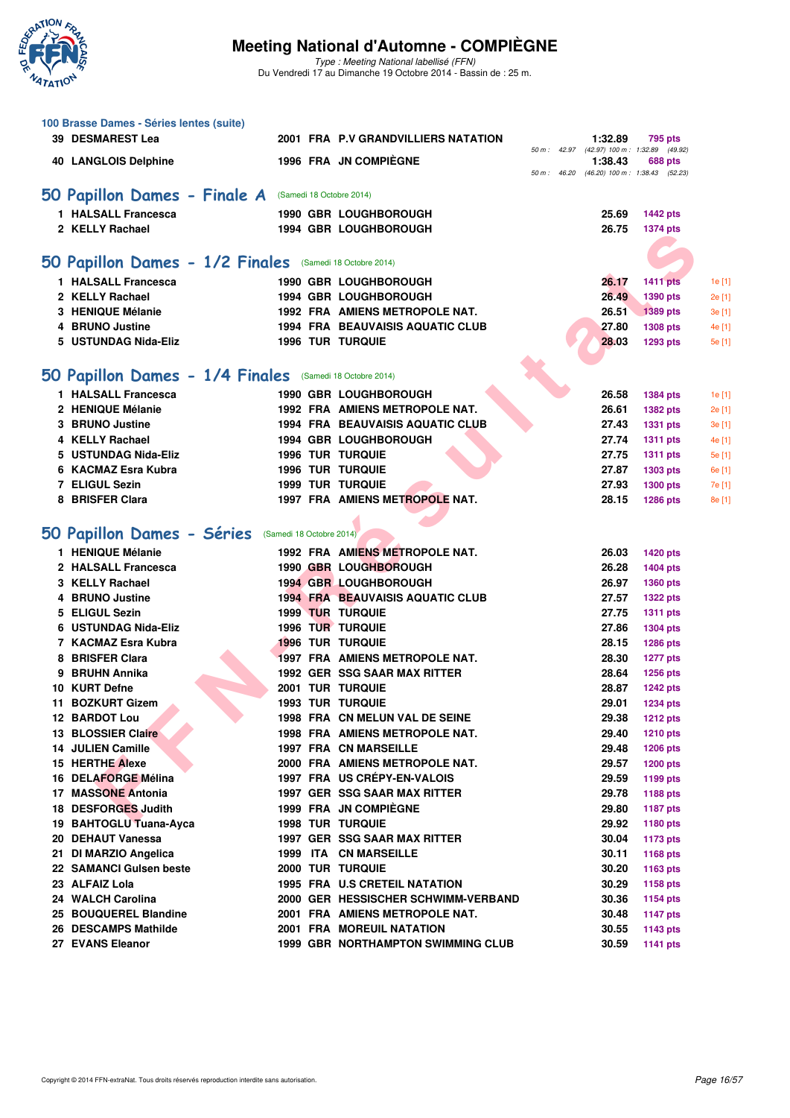

Type : Meeting National labellisé (FFN) Du Vendredi 17 au Dimanche 19 Octobre 2014 - Bassin de : 25 m.

| 100 Brasse Dames - Séries lentes (suite)                 |  |                                                                |              |                                                 |                                    |        |
|----------------------------------------------------------|--|----------------------------------------------------------------|--------------|-------------------------------------------------|------------------------------------|--------|
| 39 DESMAREST Lea                                         |  | 2001 FRA P.V GRANDVILLIERS NATATION                            |              | 1:32.89                                         | 795 pts                            |        |
| <b>40 LANGLOIS Delphine</b>                              |  | 1996 FRA JN COMPIÈGNE                                          |              | 50 m : 42.97 (42.97) 100 m : 1:32.89<br>1:38.43 | (49.92)<br>688 pts                 |        |
|                                                          |  |                                                                | 50 m : 46.20 |                                                 | (46.20) 100 m: 1:38.43 (52.23)     |        |
| 50 Papillon Dames - Finale A (Samedi 18 Octobre 2014)    |  |                                                                |              |                                                 |                                    |        |
| 1 HALSALL Francesca                                      |  | 1990 GBR LOUGHBOROUGH                                          |              | 25.69                                           | <b>1442 pts</b>                    |        |
| 2 KELLY Rachael                                          |  | <b>1994 GBR LOUGHBOROUGH</b>                                   |              | 26.75                                           | 1374 pts                           |        |
|                                                          |  |                                                                |              |                                                 |                                    |        |
| 50 Papillon Dames - 1/2 Finales (Samedi 18 Octobre 2014) |  |                                                                |              |                                                 |                                    |        |
| 1 HALSALL Francesca                                      |  | 1990 GBR LOUGHBOROUGH                                          |              | 26.17                                           | <b>1411 pts</b>                    | 1e [1] |
| 2 KELLY Rachael                                          |  | 1994 GBR LOUGHBOROUGH                                          |              | 26.49                                           | 1390 pts                           | 2e [1] |
| 3 HENIQUE Mélanie                                        |  | 1992 FRA AMIENS METROPOLE NAT.                                 |              | 26.51                                           | 1389 pts                           | 3e [1] |
| 4 BRUNO Justine                                          |  | <b>1994 FRA BEAUVAISIS AQUATIC CLUB</b>                        |              | 27.80                                           | <b>1308 pts</b>                    | 4e [1  |
| 5 USTUNDAG Nida-Eliz                                     |  | <b>1996 TUR TURQUIE</b>                                        |              | 28.03                                           | <b>1293 pts</b>                    | 5e [1] |
|                                                          |  |                                                                |              |                                                 |                                    |        |
| 50 Papillon Dames - 1/4 Finales (Samedi 18 Octobre 2014) |  |                                                                |              |                                                 |                                    |        |
| 1 HALSALL Francesca                                      |  | 1990 GBR LOUGHBOROUGH                                          |              | 26.58                                           | <b>1384 pts</b>                    | 1e [1] |
| 2 HENIQUE Mélanie                                        |  | 1992 FRA AMIENS METROPOLE NAT.                                 |              | 26.61                                           | <b>1382 pts</b>                    | 2e [1] |
| 3 BRUNO Justine                                          |  | <b>1994 FRA BEAUVAISIS AQUATIC CLUB</b>                        |              | 27.43                                           | <b>1331 pts</b>                    | 3e [1] |
| 4 KELLY Rachael                                          |  | 1994 GBR LOUGHBOROUGH                                          |              | 27.74                                           | <b>1311 pts</b>                    | 4e [1] |
| 5 USTUNDAG Nida-Eliz                                     |  | <b>1996 TUR TURQUIE</b>                                        |              | 27.75                                           | <b>1311 pts</b>                    | 5e [1] |
| 6 KACMAZ Esra Kubra                                      |  | <b>1996 TUR TURQUIE</b>                                        |              | 27.87                                           | <b>1303 pts</b>                    | 6e [1] |
| 7 ELIGUL Sezin                                           |  | <b>1999 TUR TURQUIE</b>                                        |              | 27.93                                           | <b>1300 pts</b>                    | 7e [1  |
| 8 BRISFER Clara                                          |  | 1997 FRA AMIENS METROPOLE NAT.                                 |              | 28.15                                           | <b>1286 pts</b>                    | 8e [1] |
|                                                          |  |                                                                |              |                                                 |                                    |        |
| 50 Papillon Dames - Séries (Samedi 18 Octobre 2014)      |  |                                                                |              |                                                 |                                    |        |
| 1 HENIQUE Mélanie                                        |  | 1992 FRA AMIENS METROPOLE NAT.                                 |              | 26.03                                           | <b>1420 pts</b>                    |        |
| 2 HALSALL Francesca                                      |  | 1990 GBR LOUGHBOROUGH                                          |              | 26.28                                           | <b>1404 pts</b>                    |        |
| 3 KELLY Rachael                                          |  | <b>1994 GBR LOUGHBOROUGH</b>                                   |              | 26.97                                           | <b>1360 pts</b>                    |        |
| 4 BRUNO Justine                                          |  | <b>1994 FRA BEAUVAISIS AQUATIC CLUB</b>                        |              | 27.57                                           | <b>1322 pts</b>                    |        |
| 5 ELIGUL Sezin                                           |  | <b>1999 TUR TURQUIE</b>                                        |              | 27.75                                           | <b>1311 pts</b>                    |        |
| 6 USTUNDAG Nida-Eliz                                     |  | <b>1996 TUR TURQUIE</b>                                        |              | 27.86                                           | <b>1304 pts</b>                    |        |
| 7 KACMAZ Esra Kubra                                      |  | <b>1996 TUR TURQUIE</b>                                        |              | 28.15                                           | <b>1286 pts</b>                    |        |
| 8 BRISFER Clara                                          |  | 1997 FRA AMIENS METROPOLE NAT.                                 |              | 28.30                                           | <b>1277 pts</b>                    |        |
| 9 BRUHN Annika                                           |  | 1992 GER SSG SAAR MAX RITTER                                   |              | 28.64                                           | 1256 pts                           |        |
| 10 KURT Defne                                            |  | <b>2001 TUR TURQUIE</b>                                        |              | 28.87                                           | <b>1242 pts</b>                    |        |
| 11 BOZKURT Gizem                                         |  | 1993 TUR TURQUIE                                               |              | 29.01                                           | <b>1234 pts</b>                    |        |
| <b>12 BARDOT Lou</b>                                     |  | 1998 FRA CN MELUN VAL DE SEINE                                 |              | 29.38                                           | <b>1212 pts</b>                    |        |
| 13 BLOSSIER Claire<br>14 JULIEN Camille                  |  | 1998 FRA AMIENS METROPOLE NAT.<br><b>1997 FRA CN MARSEILLE</b> |              | 29.40<br>29.48                                  | <b>1210 pts</b>                    |        |
| <b>15 HERTHE Alexe</b>                                   |  | 2000 FRA AMIENS METROPOLE NAT.                                 |              | 29.57                                           | <b>1206 pts</b><br><b>1200 pts</b> |        |
| 16 DELAFORGE Mélina                                      |  | 1997 FRA US CRÉPY-EN-VALOIS                                    |              | 29.59                                           | 1199 pts                           |        |
| 17 MASSONE Antonia                                       |  | 1997 GER SSG SAAR MAX RITTER                                   |              | 29.78                                           | 1188 pts                           |        |
| 18 DESFORGES Judith                                      |  | 1999 FRA JN COMPIEGNE                                          |              | 29.80                                           | <b>1187 pts</b>                    |        |
| 19 BAHTOGLU Tuana-Ayca                                   |  | <b>1998 TUR TURQUIE</b>                                        |              | 29.92                                           | 1180 pts                           |        |
| 20 DEHAUT Vanessa                                        |  | 1997 GER SSG SAAR MAX RITTER                                   |              | 30.04                                           | <b>1173 pts</b>                    |        |
| 21 DI MARZIO Angelica                                    |  | 1999 ITA CN MARSEILLE                                          |              | 30.11                                           | 1168 pts                           |        |
| 22 SAMANCI Gulsen beste                                  |  | 2000 TUR TURQUIE                                               |              | 30.20                                           | 1163 pts                           |        |
| 23 ALFAIZ Lola                                           |  | 1995 FRA U.S CRETEIL NATATION                                  |              | 30.29                                           | 1158 pts                           |        |
| 24 WALCH Carolina                                        |  | 2000 GER HESSISCHER SCHWIMM-VERBAND                            |              | 30.36                                           | <b>1154 pts</b>                    |        |
| 25 BOUQUEREL Blandine                                    |  | 2001 FRA AMIENS METROPOLE NAT.                                 |              | 30.48                                           | <b>1147 pts</b>                    |        |
| 26 DESCAMPS Mathilde                                     |  | 2001 FRA MOREUIL NATATION                                      |              | 30.55                                           | 1143 pts                           |        |
| 27 EVANS Eleanor                                         |  | <b>1999 GBR NORTHAMPTON SWIMMING CLUB</b>                      |              | 30.59                                           | <b>1141 pts</b>                    |        |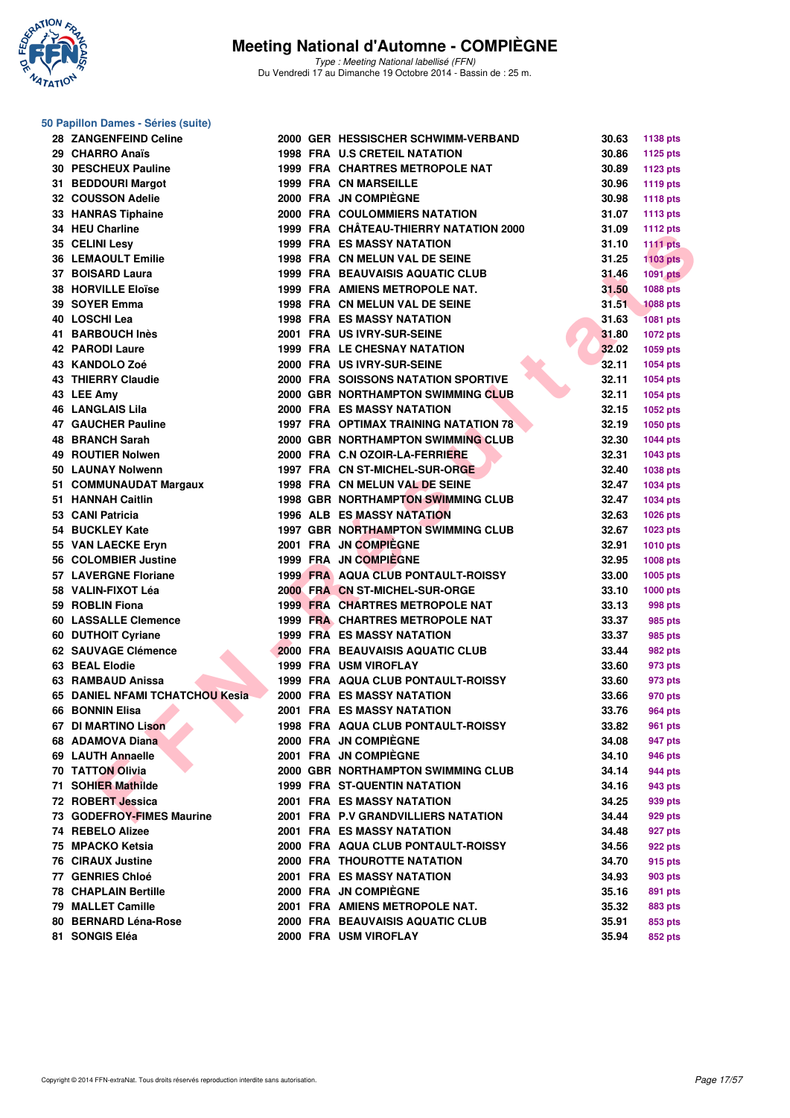

**50 Papillon Dames - Séries (suite)**

### **Meeting National d'Automne - COMPIÈGNE**

Type : Meeting National labellisé (FFN) Du Vendredi 17 au Dimanche 19 Octobre 2014 - Bassin de : 25 m.

| 29 CHARRO Anaïs<br>30 PESCHEUX Pauline |                                                                                                                                                                                                                                                                                                                                                                                                                                                                                                                                                                                                                                                                                                                                                                                                                                                                                                                                                  | <b>1998 FRA U.S CRETEIL NATATION</b> | 30.86                                                                                                                                                                                                                                                                                                                                                                                                                                                                                                                                                                                                                                                                                                                                                                                                                                                                                                                                                                                                                                                                                                                                                                                                                                                                                                                                                                                                                                                                                                              | 1125 pts                                                                                                                                                                                                             |
|----------------------------------------|--------------------------------------------------------------------------------------------------------------------------------------------------------------------------------------------------------------------------------------------------------------------------------------------------------------------------------------------------------------------------------------------------------------------------------------------------------------------------------------------------------------------------------------------------------------------------------------------------------------------------------------------------------------------------------------------------------------------------------------------------------------------------------------------------------------------------------------------------------------------------------------------------------------------------------------------------|--------------------------------------|--------------------------------------------------------------------------------------------------------------------------------------------------------------------------------------------------------------------------------------------------------------------------------------------------------------------------------------------------------------------------------------------------------------------------------------------------------------------------------------------------------------------------------------------------------------------------------------------------------------------------------------------------------------------------------------------------------------------------------------------------------------------------------------------------------------------------------------------------------------------------------------------------------------------------------------------------------------------------------------------------------------------------------------------------------------------------------------------------------------------------------------------------------------------------------------------------------------------------------------------------------------------------------------------------------------------------------------------------------------------------------------------------------------------------------------------------------------------------------------------------------------------|----------------------------------------------------------------------------------------------------------------------------------------------------------------------------------------------------------------------|
|                                        |                                                                                                                                                                                                                                                                                                                                                                                                                                                                                                                                                                                                                                                                                                                                                                                                                                                                                                                                                  |                                      |                                                                                                                                                                                                                                                                                                                                                                                                                                                                                                                                                                                                                                                                                                                                                                                                                                                                                                                                                                                                                                                                                                                                                                                                                                                                                                                                                                                                                                                                                                                    |                                                                                                                                                                                                                      |
|                                        |                                                                                                                                                                                                                                                                                                                                                                                                                                                                                                                                                                                                                                                                                                                                                                                                                                                                                                                                                  | 1999 FRA CHARTRES METROPOLE NAT      | 30.89                                                                                                                                                                                                                                                                                                                                                                                                                                                                                                                                                                                                                                                                                                                                                                                                                                                                                                                                                                                                                                                                                                                                                                                                                                                                                                                                                                                                                                                                                                              | <b>1123 pts</b>                                                                                                                                                                                                      |
| 31 BEDDOURI Margot                     |                                                                                                                                                                                                                                                                                                                                                                                                                                                                                                                                                                                                                                                                                                                                                                                                                                                                                                                                                  | <b>1999 FRA CN MARSEILLE</b>         | 30.96                                                                                                                                                                                                                                                                                                                                                                                                                                                                                                                                                                                                                                                                                                                                                                                                                                                                                                                                                                                                                                                                                                                                                                                                                                                                                                                                                                                                                                                                                                              | <b>1119 pts</b>                                                                                                                                                                                                      |
| 32 COUSSON Adelie                      |                                                                                                                                                                                                                                                                                                                                                                                                                                                                                                                                                                                                                                                                                                                                                                                                                                                                                                                                                  | 2000 FRA JN COMPIEGNE                | 30.98                                                                                                                                                                                                                                                                                                                                                                                                                                                                                                                                                                                                                                                                                                                                                                                                                                                                                                                                                                                                                                                                                                                                                                                                                                                                                                                                                                                                                                                                                                              | <b>1118 pts</b>                                                                                                                                                                                                      |
| 33 HANRAS Tiphaine                     |                                                                                                                                                                                                                                                                                                                                                                                                                                                                                                                                                                                                                                                                                                                                                                                                                                                                                                                                                  | 2000 FRA COULOMMIERS NATATION        | 31.07                                                                                                                                                                                                                                                                                                                                                                                                                                                                                                                                                                                                                                                                                                                                                                                                                                                                                                                                                                                                                                                                                                                                                                                                                                                                                                                                                                                                                                                                                                              | <b>1113 pts</b>                                                                                                                                                                                                      |
|                                        |                                                                                                                                                                                                                                                                                                                                                                                                                                                                                                                                                                                                                                                                                                                                                                                                                                                                                                                                                  |                                      | 31.09                                                                                                                                                                                                                                                                                                                                                                                                                                                                                                                                                                                                                                                                                                                                                                                                                                                                                                                                                                                                                                                                                                                                                                                                                                                                                                                                                                                                                                                                                                              | <b>1112 pts</b>                                                                                                                                                                                                      |
|                                        |                                                                                                                                                                                                                                                                                                                                                                                                                                                                                                                                                                                                                                                                                                                                                                                                                                                                                                                                                  |                                      | 31.10                                                                                                                                                                                                                                                                                                                                                                                                                                                                                                                                                                                                                                                                                                                                                                                                                                                                                                                                                                                                                                                                                                                                                                                                                                                                                                                                                                                                                                                                                                              | <b>1111 pts</b>                                                                                                                                                                                                      |
|                                        |                                                                                                                                                                                                                                                                                                                                                                                                                                                                                                                                                                                                                                                                                                                                                                                                                                                                                                                                                  |                                      | 31.25                                                                                                                                                                                                                                                                                                                                                                                                                                                                                                                                                                                                                                                                                                                                                                                                                                                                                                                                                                                                                                                                                                                                                                                                                                                                                                                                                                                                                                                                                                              | <b>1103 pts</b>                                                                                                                                                                                                      |
|                                        |                                                                                                                                                                                                                                                                                                                                                                                                                                                                                                                                                                                                                                                                                                                                                                                                                                                                                                                                                  |                                      | 31.46                                                                                                                                                                                                                                                                                                                                                                                                                                                                                                                                                                                                                                                                                                                                                                                                                                                                                                                                                                                                                                                                                                                                                                                                                                                                                                                                                                                                                                                                                                              | <b>1091 pts</b>                                                                                                                                                                                                      |
|                                        |                                                                                                                                                                                                                                                                                                                                                                                                                                                                                                                                                                                                                                                                                                                                                                                                                                                                                                                                                  |                                      |                                                                                                                                                                                                                                                                                                                                                                                                                                                                                                                                                                                                                                                                                                                                                                                                                                                                                                                                                                                                                                                                                                                                                                                                                                                                                                                                                                                                                                                                                                                    | 1088 pts                                                                                                                                                                                                             |
|                                        |                                                                                                                                                                                                                                                                                                                                                                                                                                                                                                                                                                                                                                                                                                                                                                                                                                                                                                                                                  |                                      |                                                                                                                                                                                                                                                                                                                                                                                                                                                                                                                                                                                                                                                                                                                                                                                                                                                                                                                                                                                                                                                                                                                                                                                                                                                                                                                                                                                                                                                                                                                    | <b>1088 pts</b>                                                                                                                                                                                                      |
|                                        |                                                                                                                                                                                                                                                                                                                                                                                                                                                                                                                                                                                                                                                                                                                                                                                                                                                                                                                                                  |                                      |                                                                                                                                                                                                                                                                                                                                                                                                                                                                                                                                                                                                                                                                                                                                                                                                                                                                                                                                                                                                                                                                                                                                                                                                                                                                                                                                                                                                                                                                                                                    | <b>1081 pts</b>                                                                                                                                                                                                      |
|                                        |                                                                                                                                                                                                                                                                                                                                                                                                                                                                                                                                                                                                                                                                                                                                                                                                                                                                                                                                                  |                                      |                                                                                                                                                                                                                                                                                                                                                                                                                                                                                                                                                                                                                                                                                                                                                                                                                                                                                                                                                                                                                                                                                                                                                                                                                                                                                                                                                                                                                                                                                                                    | 1072 pts                                                                                                                                                                                                             |
|                                        |                                                                                                                                                                                                                                                                                                                                                                                                                                                                                                                                                                                                                                                                                                                                                                                                                                                                                                                                                  |                                      |                                                                                                                                                                                                                                                                                                                                                                                                                                                                                                                                                                                                                                                                                                                                                                                                                                                                                                                                                                                                                                                                                                                                                                                                                                                                                                                                                                                                                                                                                                                    | 1059 pts                                                                                                                                                                                                             |
|                                        |                                                                                                                                                                                                                                                                                                                                                                                                                                                                                                                                                                                                                                                                                                                                                                                                                                                                                                                                                  |                                      |                                                                                                                                                                                                                                                                                                                                                                                                                                                                                                                                                                                                                                                                                                                                                                                                                                                                                                                                                                                                                                                                                                                                                                                                                                                                                                                                                                                                                                                                                                                    | 1054 pts                                                                                                                                                                                                             |
|                                        |                                                                                                                                                                                                                                                                                                                                                                                                                                                                                                                                                                                                                                                                                                                                                                                                                                                                                                                                                  |                                      |                                                                                                                                                                                                                                                                                                                                                                                                                                                                                                                                                                                                                                                                                                                                                                                                                                                                                                                                                                                                                                                                                                                                                                                                                                                                                                                                                                                                                                                                                                                    | 1054 pts                                                                                                                                                                                                             |
|                                        |                                                                                                                                                                                                                                                                                                                                                                                                                                                                                                                                                                                                                                                                                                                                                                                                                                                                                                                                                  |                                      |                                                                                                                                                                                                                                                                                                                                                                                                                                                                                                                                                                                                                                                                                                                                                                                                                                                                                                                                                                                                                                                                                                                                                                                                                                                                                                                                                                                                                                                                                                                    | 1054 pts                                                                                                                                                                                                             |
|                                        |                                                                                                                                                                                                                                                                                                                                                                                                                                                                                                                                                                                                                                                                                                                                                                                                                                                                                                                                                  |                                      |                                                                                                                                                                                                                                                                                                                                                                                                                                                                                                                                                                                                                                                                                                                                                                                                                                                                                                                                                                                                                                                                                                                                                                                                                                                                                                                                                                                                                                                                                                                    | 1052 pts                                                                                                                                                                                                             |
|                                        |                                                                                                                                                                                                                                                                                                                                                                                                                                                                                                                                                                                                                                                                                                                                                                                                                                                                                                                                                  |                                      |                                                                                                                                                                                                                                                                                                                                                                                                                                                                                                                                                                                                                                                                                                                                                                                                                                                                                                                                                                                                                                                                                                                                                                                                                                                                                                                                                                                                                                                                                                                    | 1050 pts                                                                                                                                                                                                             |
|                                        |                                                                                                                                                                                                                                                                                                                                                                                                                                                                                                                                                                                                                                                                                                                                                                                                                                                                                                                                                  |                                      |                                                                                                                                                                                                                                                                                                                                                                                                                                                                                                                                                                                                                                                                                                                                                                                                                                                                                                                                                                                                                                                                                                                                                                                                                                                                                                                                                                                                                                                                                                                    |                                                                                                                                                                                                                      |
|                                        |                                                                                                                                                                                                                                                                                                                                                                                                                                                                                                                                                                                                                                                                                                                                                                                                                                                                                                                                                  |                                      |                                                                                                                                                                                                                                                                                                                                                                                                                                                                                                                                                                                                                                                                                                                                                                                                                                                                                                                                                                                                                                                                                                                                                                                                                                                                                                                                                                                                                                                                                                                    | <b>1044 pts</b>                                                                                                                                                                                                      |
|                                        |                                                                                                                                                                                                                                                                                                                                                                                                                                                                                                                                                                                                                                                                                                                                                                                                                                                                                                                                                  |                                      |                                                                                                                                                                                                                                                                                                                                                                                                                                                                                                                                                                                                                                                                                                                                                                                                                                                                                                                                                                                                                                                                                                                                                                                                                                                                                                                                                                                                                                                                                                                    | 1043 pts                                                                                                                                                                                                             |
|                                        |                                                                                                                                                                                                                                                                                                                                                                                                                                                                                                                                                                                                                                                                                                                                                                                                                                                                                                                                                  |                                      |                                                                                                                                                                                                                                                                                                                                                                                                                                                                                                                                                                                                                                                                                                                                                                                                                                                                                                                                                                                                                                                                                                                                                                                                                                                                                                                                                                                                                                                                                                                    | 1038 pts                                                                                                                                                                                                             |
|                                        |                                                                                                                                                                                                                                                                                                                                                                                                                                                                                                                                                                                                                                                                                                                                                                                                                                                                                                                                                  |                                      |                                                                                                                                                                                                                                                                                                                                                                                                                                                                                                                                                                                                                                                                                                                                                                                                                                                                                                                                                                                                                                                                                                                                                                                                                                                                                                                                                                                                                                                                                                                    | 1034 pts                                                                                                                                                                                                             |
|                                        |                                                                                                                                                                                                                                                                                                                                                                                                                                                                                                                                                                                                                                                                                                                                                                                                                                                                                                                                                  |                                      |                                                                                                                                                                                                                                                                                                                                                                                                                                                                                                                                                                                                                                                                                                                                                                                                                                                                                                                                                                                                                                                                                                                                                                                                                                                                                                                                                                                                                                                                                                                    | 1034 pts                                                                                                                                                                                                             |
|                                        |                                                                                                                                                                                                                                                                                                                                                                                                                                                                                                                                                                                                                                                                                                                                                                                                                                                                                                                                                  |                                      |                                                                                                                                                                                                                                                                                                                                                                                                                                                                                                                                                                                                                                                                                                                                                                                                                                                                                                                                                                                                                                                                                                                                                                                                                                                                                                                                                                                                                                                                                                                    | 1026 pts                                                                                                                                                                                                             |
|                                        |                                                                                                                                                                                                                                                                                                                                                                                                                                                                                                                                                                                                                                                                                                                                                                                                                                                                                                                                                  |                                      |                                                                                                                                                                                                                                                                                                                                                                                                                                                                                                                                                                                                                                                                                                                                                                                                                                                                                                                                                                                                                                                                                                                                                                                                                                                                                                                                                                                                                                                                                                                    | 1023 pts                                                                                                                                                                                                             |
|                                        |                                                                                                                                                                                                                                                                                                                                                                                                                                                                                                                                                                                                                                                                                                                                                                                                                                                                                                                                                  |                                      |                                                                                                                                                                                                                                                                                                                                                                                                                                                                                                                                                                                                                                                                                                                                                                                                                                                                                                                                                                                                                                                                                                                                                                                                                                                                                                                                                                                                                                                                                                                    | 1010 pts                                                                                                                                                                                                             |
|                                        |                                                                                                                                                                                                                                                                                                                                                                                                                                                                                                                                                                                                                                                                                                                                                                                                                                                                                                                                                  |                                      |                                                                                                                                                                                                                                                                                                                                                                                                                                                                                                                                                                                                                                                                                                                                                                                                                                                                                                                                                                                                                                                                                                                                                                                                                                                                                                                                                                                                                                                                                                                    | 1008 pts                                                                                                                                                                                                             |
|                                        |                                                                                                                                                                                                                                                                                                                                                                                                                                                                                                                                                                                                                                                                                                                                                                                                                                                                                                                                                  |                                      |                                                                                                                                                                                                                                                                                                                                                                                                                                                                                                                                                                                                                                                                                                                                                                                                                                                                                                                                                                                                                                                                                                                                                                                                                                                                                                                                                                                                                                                                                                                    | 1005 pts                                                                                                                                                                                                             |
|                                        |                                                                                                                                                                                                                                                                                                                                                                                                                                                                                                                                                                                                                                                                                                                                                                                                                                                                                                                                                  |                                      |                                                                                                                                                                                                                                                                                                                                                                                                                                                                                                                                                                                                                                                                                                                                                                                                                                                                                                                                                                                                                                                                                                                                                                                                                                                                                                                                                                                                                                                                                                                    | 1000 pts                                                                                                                                                                                                             |
|                                        |                                                                                                                                                                                                                                                                                                                                                                                                                                                                                                                                                                                                                                                                                                                                                                                                                                                                                                                                                  |                                      |                                                                                                                                                                                                                                                                                                                                                                                                                                                                                                                                                                                                                                                                                                                                                                                                                                                                                                                                                                                                                                                                                                                                                                                                                                                                                                                                                                                                                                                                                                                    | 998 pts                                                                                                                                                                                                              |
|                                        |                                                                                                                                                                                                                                                                                                                                                                                                                                                                                                                                                                                                                                                                                                                                                                                                                                                                                                                                                  |                                      |                                                                                                                                                                                                                                                                                                                                                                                                                                                                                                                                                                                                                                                                                                                                                                                                                                                                                                                                                                                                                                                                                                                                                                                                                                                                                                                                                                                                                                                                                                                    | 985 pts                                                                                                                                                                                                              |
|                                        |                                                                                                                                                                                                                                                                                                                                                                                                                                                                                                                                                                                                                                                                                                                                                                                                                                                                                                                                                  |                                      |                                                                                                                                                                                                                                                                                                                                                                                                                                                                                                                                                                                                                                                                                                                                                                                                                                                                                                                                                                                                                                                                                                                                                                                                                                                                                                                                                                                                                                                                                                                    | 985 pts                                                                                                                                                                                                              |
|                                        |                                                                                                                                                                                                                                                                                                                                                                                                                                                                                                                                                                                                                                                                                                                                                                                                                                                                                                                                                  |                                      | 33.44                                                                                                                                                                                                                                                                                                                                                                                                                                                                                                                                                                                                                                                                                                                                                                                                                                                                                                                                                                                                                                                                                                                                                                                                                                                                                                                                                                                                                                                                                                              | 982 pts                                                                                                                                                                                                              |
|                                        |                                                                                                                                                                                                                                                                                                                                                                                                                                                                                                                                                                                                                                                                                                                                                                                                                                                                                                                                                  |                                      | 33.60                                                                                                                                                                                                                                                                                                                                                                                                                                                                                                                                                                                                                                                                                                                                                                                                                                                                                                                                                                                                                                                                                                                                                                                                                                                                                                                                                                                                                                                                                                              | 973 pts                                                                                                                                                                                                              |
|                                        |                                                                                                                                                                                                                                                                                                                                                                                                                                                                                                                                                                                                                                                                                                                                                                                                                                                                                                                                                  |                                      | 33.60                                                                                                                                                                                                                                                                                                                                                                                                                                                                                                                                                                                                                                                                                                                                                                                                                                                                                                                                                                                                                                                                                                                                                                                                                                                                                                                                                                                                                                                                                                              | 973 pts                                                                                                                                                                                                              |
|                                        |                                                                                                                                                                                                                                                                                                                                                                                                                                                                                                                                                                                                                                                                                                                                                                                                                                                                                                                                                  |                                      | 33.66                                                                                                                                                                                                                                                                                                                                                                                                                                                                                                                                                                                                                                                                                                                                                                                                                                                                                                                                                                                                                                                                                                                                                                                                                                                                                                                                                                                                                                                                                                              | 970 pts                                                                                                                                                                                                              |
|                                        |                                                                                                                                                                                                                                                                                                                                                                                                                                                                                                                                                                                                                                                                                                                                                                                                                                                                                                                                                  |                                      | 33.76                                                                                                                                                                                                                                                                                                                                                                                                                                                                                                                                                                                                                                                                                                                                                                                                                                                                                                                                                                                                                                                                                                                                                                                                                                                                                                                                                                                                                                                                                                              | <b>964 pts</b>                                                                                                                                                                                                       |
|                                        |                                                                                                                                                                                                                                                                                                                                                                                                                                                                                                                                                                                                                                                                                                                                                                                                                                                                                                                                                  |                                      | 33.82                                                                                                                                                                                                                                                                                                                                                                                                                                                                                                                                                                                                                                                                                                                                                                                                                                                                                                                                                                                                                                                                                                                                                                                                                                                                                                                                                                                                                                                                                                              | 961 pts                                                                                                                                                                                                              |
|                                        |                                                                                                                                                                                                                                                                                                                                                                                                                                                                                                                                                                                                                                                                                                                                                                                                                                                                                                                                                  |                                      | 34.08                                                                                                                                                                                                                                                                                                                                                                                                                                                                                                                                                                                                                                                                                                                                                                                                                                                                                                                                                                                                                                                                                                                                                                                                                                                                                                                                                                                                                                                                                                              | 947 pts                                                                                                                                                                                                              |
|                                        |                                                                                                                                                                                                                                                                                                                                                                                                                                                                                                                                                                                                                                                                                                                                                                                                                                                                                                                                                  |                                      | 34.10                                                                                                                                                                                                                                                                                                                                                                                                                                                                                                                                                                                                                                                                                                                                                                                                                                                                                                                                                                                                                                                                                                                                                                                                                                                                                                                                                                                                                                                                                                              | 946 pts                                                                                                                                                                                                              |
|                                        |                                                                                                                                                                                                                                                                                                                                                                                                                                                                                                                                                                                                                                                                                                                                                                                                                                                                                                                                                  |                                      | 34.14                                                                                                                                                                                                                                                                                                                                                                                                                                                                                                                                                                                                                                                                                                                                                                                                                                                                                                                                                                                                                                                                                                                                                                                                                                                                                                                                                                                                                                                                                                              | 944 pts                                                                                                                                                                                                              |
|                                        |                                                                                                                                                                                                                                                                                                                                                                                                                                                                                                                                                                                                                                                                                                                                                                                                                                                                                                                                                  |                                      | 34.16                                                                                                                                                                                                                                                                                                                                                                                                                                                                                                                                                                                                                                                                                                                                                                                                                                                                                                                                                                                                                                                                                                                                                                                                                                                                                                                                                                                                                                                                                                              | 943 pts                                                                                                                                                                                                              |
|                                        |                                                                                                                                                                                                                                                                                                                                                                                                                                                                                                                                                                                                                                                                                                                                                                                                                                                                                                                                                  |                                      | 34.25                                                                                                                                                                                                                                                                                                                                                                                                                                                                                                                                                                                                                                                                                                                                                                                                                                                                                                                                                                                                                                                                                                                                                                                                                                                                                                                                                                                                                                                                                                              | 939 pts                                                                                                                                                                                                              |
|                                        |                                                                                                                                                                                                                                                                                                                                                                                                                                                                                                                                                                                                                                                                                                                                                                                                                                                                                                                                                  |                                      | 34.44                                                                                                                                                                                                                                                                                                                                                                                                                                                                                                                                                                                                                                                                                                                                                                                                                                                                                                                                                                                                                                                                                                                                                                                                                                                                                                                                                                                                                                                                                                              | 929 pts                                                                                                                                                                                                              |
| 74 REBELO Alizee                       |                                                                                                                                                                                                                                                                                                                                                                                                                                                                                                                                                                                                                                                                                                                                                                                                                                                                                                                                                  |                                      | 34.48                                                                                                                                                                                                                                                                                                                                                                                                                                                                                                                                                                                                                                                                                                                                                                                                                                                                                                                                                                                                                                                                                                                                                                                                                                                                                                                                                                                                                                                                                                              | 927 pts                                                                                                                                                                                                              |
| 75 MPACKO Ketsia                       |                                                                                                                                                                                                                                                                                                                                                                                                                                                                                                                                                                                                                                                                                                                                                                                                                                                                                                                                                  | 2000 FRA AQUA CLUB PONTAULT-ROISSY   | 34.56                                                                                                                                                                                                                                                                                                                                                                                                                                                                                                                                                                                                                                                                                                                                                                                                                                                                                                                                                                                                                                                                                                                                                                                                                                                                                                                                                                                                                                                                                                              | 922 pts                                                                                                                                                                                                              |
|                                        |                                                                                                                                                                                                                                                                                                                                                                                                                                                                                                                                                                                                                                                                                                                                                                                                                                                                                                                                                  | <b>2000 FRA THOUROTTE NATATION</b>   | 34.70                                                                                                                                                                                                                                                                                                                                                                                                                                                                                                                                                                                                                                                                                                                                                                                                                                                                                                                                                                                                                                                                                                                                                                                                                                                                                                                                                                                                                                                                                                              | 915 pts                                                                                                                                                                                                              |
| <b>76 CIRAUX Justine</b>               |                                                                                                                                                                                                                                                                                                                                                                                                                                                                                                                                                                                                                                                                                                                                                                                                                                                                                                                                                  |                                      |                                                                                                                                                                                                                                                                                                                                                                                                                                                                                                                                                                                                                                                                                                                                                                                                                                                                                                                                                                                                                                                                                                                                                                                                                                                                                                                                                                                                                                                                                                                    |                                                                                                                                                                                                                      |
| 77 GENRIES Chloé                       |                                                                                                                                                                                                                                                                                                                                                                                                                                                                                                                                                                                                                                                                                                                                                                                                                                                                                                                                                  | <b>2001 FRA ES MASSY NATATION</b>    | 34.93                                                                                                                                                                                                                                                                                                                                                                                                                                                                                                                                                                                                                                                                                                                                                                                                                                                                                                                                                                                                                                                                                                                                                                                                                                                                                                                                                                                                                                                                                                              | 903 pts                                                                                                                                                                                                              |
| <b>78 CHAPLAIN Bertille</b>            |                                                                                                                                                                                                                                                                                                                                                                                                                                                                                                                                                                                                                                                                                                                                                                                                                                                                                                                                                  | 2000 FRA JN COMPIÈGNE                | 35.16                                                                                                                                                                                                                                                                                                                                                                                                                                                                                                                                                                                                                                                                                                                                                                                                                                                                                                                                                                                                                                                                                                                                                                                                                                                                                                                                                                                                                                                                                                              | 891 pts                                                                                                                                                                                                              |
| 79 MALLET Camille                      |                                                                                                                                                                                                                                                                                                                                                                                                                                                                                                                                                                                                                                                                                                                                                                                                                                                                                                                                                  | 2001 FRA AMIENS METROPOLE NAT.       | 35.32                                                                                                                                                                                                                                                                                                                                                                                                                                                                                                                                                                                                                                                                                                                                                                                                                                                                                                                                                                                                                                                                                                                                                                                                                                                                                                                                                                                                                                                                                                              | 883 pts                                                                                                                                                                                                              |
| 80 BERNARD Léna-Rose                   |                                                                                                                                                                                                                                                                                                                                                                                                                                                                                                                                                                                                                                                                                                                                                                                                                                                                                                                                                  | 2000 FRA BEAUVAISIS AQUATIC CLUB     | 35.91                                                                                                                                                                                                                                                                                                                                                                                                                                                                                                                                                                                                                                                                                                                                                                                                                                                                                                                                                                                                                                                                                                                                                                                                                                                                                                                                                                                                                                                                                                              | 853 pts                                                                                                                                                                                                              |
|                                        | 34 HEU Charline<br>35 CELINI Lesy<br><b>36 LEMAOULT Emilie</b><br>37 BOISARD Laura<br><b>38 HORVILLE Eloïse</b><br>39 SOYER Emma<br>40 LOSCHI Lea<br>41 BARBOUCH Inès<br><b>42 PARODI Laure</b><br>43 KANDOLO Zoé<br>43 THIERRY Claudie<br>43 LEE Amy<br><b>46 LANGLAIS Lila</b><br><b>47 GAUCHER Pauline</b><br><b>48 BRANCH Sarah</b><br><b>49 ROUTIER Nolwen</b><br>50 LAUNAY Nolwenn<br>51 COMMUNAUDAT Margaux<br>51 HANNAH Caitlin<br>53 CANI Patricia<br>54 BUCKLEY Kate<br>55 VAN LAECKE Eryn<br>56 COLOMBIER Justine<br><b>57 LAVERGNE Floriane</b><br>58 VALIN-FIXOT Léa<br>59 ROBLIN Fiona<br>60 LASSALLE Clemence<br>60 DUTHOIT Cyriane<br><b>62 SAUVAGE Clémence</b><br>63 BEAL Elodie<br>63 RAMBAUD Anissa<br>65 DANIEL NFAMI TCHATCHOU Kesia<br>66 BONNIN Elisa<br>67 DI MARTINO Lison<br>68 ADAMOVA Diana<br>69 LAUTH Annaelle<br><b>70 TATTON Olivia</b><br>71 SOHIER Mathilde<br>72 ROBERT Jessica<br>73 GODEFROY-FIMES Maurine |                                      | 1999 FRA CHÂTEAU-THIERRY NATATION 2000<br><b>1999 FRA ES MASSY NATATION</b><br>1998 FRA CN MELUN VAL DE SEINE<br><b>1999 FRA BEAUVAISIS AQUATIC CLUB</b><br>1999 FRA AMIENS METROPOLE NAT.<br>1998 FRA CN MELUN VAL DE SEINE<br><b>1998 FRA ES MASSY NATATION</b><br>2001 FRA US IVRY-SUR-SEINE<br><b>1999 FRA LE CHESNAY NATATION</b><br>2000 FRA US IVRY-SUR-SEINE<br>2000 FRA SOISSONS NATATION SPORTIVE<br>2000 GBR NORTHAMPTON SWIMMING CLUB<br><b>2000 FRA ES MASSY NATATION</b><br>1997 FRA OPTIMAX TRAINING NATATION 78<br>2000 GBR NORTHAMPTON SWIMMING CLUB<br>2000 FRA C.N OZOIR-LA-FERRIERE<br>1997 FRA CN ST-MICHEL-SUR-ORGE<br>1998 FRA CN MELUN VAL DE SEINE<br><b>1998 GBR NORTHAMPTON SWIMMING CLUB</b><br><b>1996 ALB ES MASSY NATATION</b><br><b>1997 GBR NORTHAMPTON SWIMMING CLUB</b><br>2001 FRA JN COMPIEGNE<br>1999 FRA JN COMPIEGNE<br><b>1999 FRA AQUA CLUB PONTAULT-ROISSY</b><br>2000 FRA CN ST-MICHEL-SUR-ORGE<br>1999 FRA CHARTRES METROPOLE NAT<br><b>1999 FRA CHARTRES METROPOLE NAT</b><br><b>1999 FRA ES MASSY NATATION</b><br>2000 FRA BEAUVAISIS AQUATIC CLUB<br>1999 FRA USM VIROFLAY<br>1999 FRA AQUA CLUB PONTAULT-ROISSY<br>2000 FRA ES MASSY NATATION<br><b>2001 FRA ES MASSY NATATION</b><br>1998 FRA AQUA CLUB PONTAULT-ROISSY<br>2000 FRA JN COMPIEGNE<br>2001 FRA JN COMPIEGNE<br>2000 GBR NORTHAMPTON SWIMMING CLUB<br><b>1999 FRA ST-QUENTIN NATATION</b><br>2001 FRA ES MASSY NATATION<br>2001 FRA P.V GRANDVILLIERS NATATION<br><b>2001 FRA ES MASSY NATATION</b> | 31.50<br>31.51<br>31.63<br>31.80<br>32.02<br>32.11<br>32.11<br>32.11<br>32.15<br>32.19<br>32.30<br>32.31<br>32.40<br>32.47<br>32.47<br>32.63<br>32.67<br>32.91<br>32.95<br>33.00<br>33.10<br>33.13<br>33.37<br>33.37 |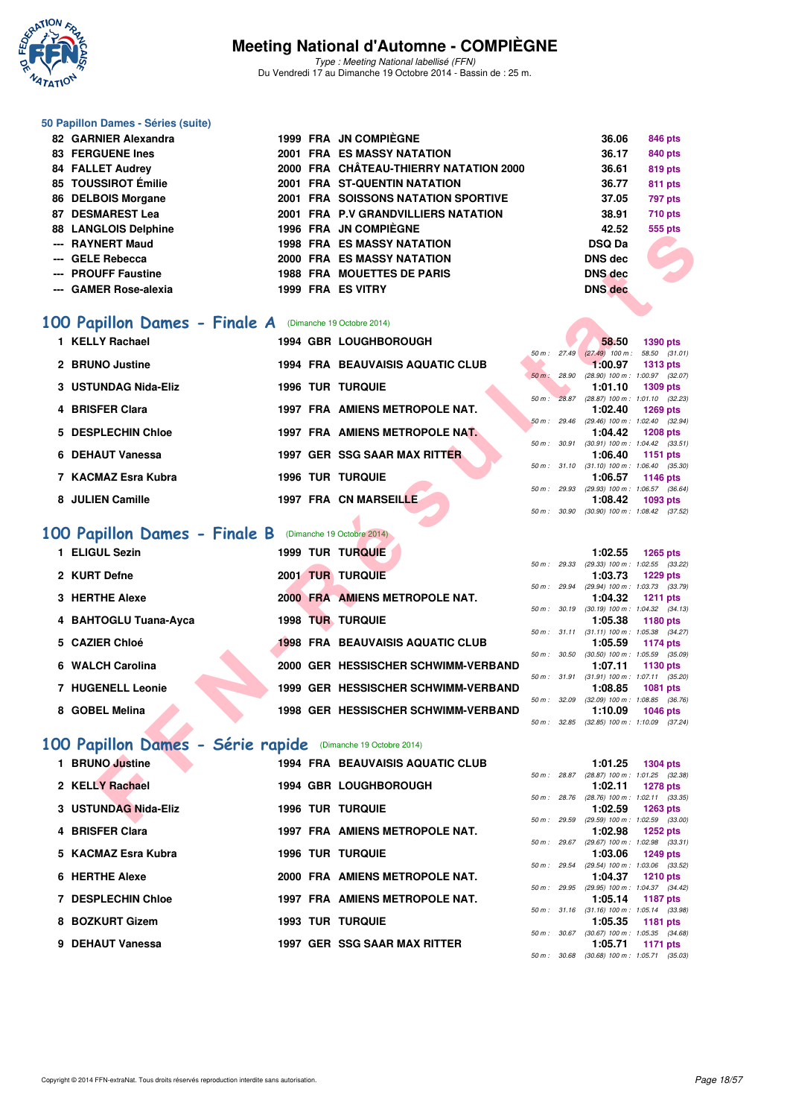

Type : Meeting National labellisé (FFN) Du Vendredi 17 au Dimanche 19 Octobre 2014 - Bassin de : 25 m.

#### **50 Papillon Dames - Séries (suite)**

| 82 GARNIER Alexandra        |  | 1999 FRA JN COMPIÈGNE                  | 36.06          | 846 pts                           |
|-----------------------------|--|----------------------------------------|----------------|-----------------------------------|
| <b>83 FERGUENE Ines</b>     |  | <b>2001 FRA ES MASSY NATATION</b>      | 36.17          | 840 pts                           |
| <b>84 FALLET Audrey</b>     |  | 2000 FRA CHÂTEAU-THIERRY NATATION 2000 | 36.61          | 819 pts                           |
| 85 TOUSSIROT Émilie         |  | 2001 FRA ST-QUENTIN NATATION           | 36.77          | 811 pts                           |
| 86 DELBOIS Morgane          |  | 2001 FRA SOISSONS NATATION SPORTIVE    | 37.05          | 797 pts                           |
| 87 DESMAREST Lea            |  | 2001 FRA P.V GRANDVILLIERS NATATION    | 38.91          | <b>710 pts</b>                    |
| <b>88 LANGLOIS Delphine</b> |  | 1996 FRA JN COMPIÈGNE                  | 42.52          | 555 pts                           |
| --- RAYNERT Maud            |  | <b>1998 FRA ES MASSY NATATION</b>      | <b>DSQ Da</b>  |                                   |
| --- GELE Rebecca            |  | 2000 FRA ES MASSY NATATION             | <b>DNS</b> dec |                                   |
| --- PROUFF Faustine         |  | <b>1988 FRA MOUETTES DE PARIS</b>      | <b>DNS</b> dec | <b>Contract Contract Contract</b> |
| --- GAMER Rose-alexia       |  | 1999 FRA ES VITRY                      | <b>DNS</b> dec |                                   |

### **[100 Papillon Dames - Finale A](http://www.ffnatation.fr/webffn/resultats.php?idact=nat&go=epr&idcpt=24767&idepr=32)** (Dimanche 19 Octobre 2014)

| 1 KELLY Rachael      | <b>1994 GBR LOUGHBOROUGH</b>            |                   | 58.50<br>1390 pts                                       |
|----------------------|-----------------------------------------|-------------------|---------------------------------------------------------|
|                      |                                         | $50 m$ : 27.49    | $(27.49)$ 100 m :<br>58.50 (31.                         |
| 2 BRUNO Justine      | <b>1994 FRA BEAUVAISIS AQUATIC CLUB</b> | 28.90<br>$50 m$ : | 1:00.97<br>1313 pts<br>$(28.90)$ 100 m : 1:00.97 (32.   |
| 3 USTUNDAG Nida-Eliz | <b>1996 TUR TURQUIE</b>                 |                   | 1:01.10<br>1309 pts                                     |
|                      |                                         | 50 m: 28.87       | $(28.87)$ 100 m : 1:01.10 (32.                          |
| 4 BRISFER Clara      | 1997 FRA AMIENS METROPOLE NAT.          | 50 m: 29.46       | 1:02.40<br>1269 pts<br>$(29.46)$ 100 m : 1:02.40 $(32.$ |
| 5 DESPLECHIN Chloe   | 1997 FRA AMIENS METROPOLE NAT.          |                   | 1:04.42<br>1208 pts                                     |
|                      |                                         | 50 m: 30.91       | $(30.91)$ 100 m : 1:04.42 (33.                          |
| 6 DEHAUT Vanessa     | 1997 GER SSG SAAR MAX RITTER            | 50 m: 31.10       | 1:06.40<br>1151 pts<br>$(31.10)$ 100 m : 1:06.40 $(35.$ |
| 7 KACMAZ Esra Kubra  | <b>1996 TUR TURQUIE</b>                 |                   | 1:06.57<br>1146 pts                                     |
|                      |                                         | 50 m: 29.93       | (29.93) 100 m: 1:06.57 (36.                             |
| 8 JULIEN Camille     | <b>1997 FRA CN MARSEILLE</b>            |                   | 1:08.42<br>1093 pts                                     |

## **[100 Papillon Dames - Finale B](http://www.ffnatation.fr/webffn/resultats.php?idact=nat&go=epr&idcpt=24767&idepr=32)** (Dimanche 19 Octobre 2014)

| <b>1998 FRA ES MASSY NATATION</b><br>--- RAYNERT Maud          | <b>DSQ Da</b>                                                              |
|----------------------------------------------------------------|----------------------------------------------------------------------------|
|                                                                |                                                                            |
| --- GELE Rebecca<br>2000 FRA ES MASSY NATATION                 | <b>DNS dec</b>                                                             |
| --- PROUFF Faustine<br><b>1988 FRA MOUETTES DE PARIS</b>       | <b>DNS</b> dec                                                             |
| --- GAMER Rose-alexia<br>1999 FRA ES VITRY                     | <b>DNS</b> dec                                                             |
|                                                                |                                                                            |
|                                                                |                                                                            |
| <b>00 Papillon Dames - Finale A</b> (Dimanche 19 Octobre 2014) |                                                                            |
| 1 KELLY Rachael<br><b>1994 GBR LOUGHBOROUGH</b>                | 58.50<br><b>1390 pts</b>                                                   |
| 2 BRUNO Justine<br>1994 FRA BEAUVAISIS AQUATIC CLUB            | 50 m: 27.49 (27.49) 100 m: 58.50 (31.01)<br>1:00.97<br><b>1313 pts</b>     |
| 50 m: 28.90                                                    | (28.90) 100 m: 1:00.97 (32.07)                                             |
| 3 USTUNDAG Nida-Eliz<br><b>1996 TUR TURQUIE</b>                | 1:01.10<br><b>1309 pts</b>                                                 |
|                                                                | 50 m: 28.87 (28.87) 100 m: 1:01.10 (32.23)                                 |
| 1997 FRA AMIENS METROPOLE NAT.<br>4 BRISFER Clara              | 1:02.40<br><b>1269 pts</b><br>50 m: 29.46 (29.46) 100 m: 1:02.40 (32.94)   |
| 5 DESPLECHIN Chloe<br>1997 FRA AMIENS METROPOLE NAT            | 1:04.42<br><b>1208 pts</b>                                                 |
|                                                                | 50 m: 30.91 (30.91) 100 m: 1:04.42 (33.51)                                 |
| 6 DEHAUT Vanessa<br>1997 GER SSG SAAR MAX RITTER               | 1:06.40<br>1151 pts                                                        |
|                                                                | 50 m: 31.10 (31.10) 100 m: 1:06.40 (35.30)                                 |
| 7 KACMAZ Esra Kubra<br><b>1996 TUR TURQUIE</b>                 | 1:06.57<br><b>1146 pts</b><br>50 m : 29.93 (29.93) 100 m : 1:06.57 (36.64) |
| 8 JULIEN Camille<br>1997 FRA CN MARSEILLE                      | 1:08.42<br>1093 pts                                                        |
|                                                                | 50 m: 30.90 (30.90) 100 m: 1:08.42 (37.52)                                 |
|                                                                |                                                                            |
| <b>00 Papillon Dames - Finale B</b> (Dimanche 19 Octobre 2014) |                                                                            |
| 1 ELIGUL Sezin<br>1999 TUR TURQUIE                             | 1:02.55<br><b>1265 pts</b>                                                 |
|                                                                | 50 m: 29.33 (29.33) 100 m: 1:02.55 (33.22)                                 |
| 2 KURT Defne<br><b>2001 TUR TURQUIE</b>                        | 1:03.73<br><b>1229 pts</b><br>50 m: 29.94 (29.94) 100 m: 1:03.73 (33.79)   |
| 2000 FRA AMIENS METROPOLE NAT.<br>3 HERTHE Alexe               | 1:04.32<br><b>1211 pts</b>                                                 |
| 50 m : 30.19                                                   | $(30.19)$ 100 m : 1:04.32 $(34.13)$                                        |
| 4 BAHTOGLU Tuana-Ayca<br>1998 TUR TURQUIE                      | 1:05.38<br>1180 pts                                                        |
| 5 CAZIER Chloé<br><b>1998 FRA BEAUVAISIS AQUATIC CLUB</b>      | 50 m: 31.11 (31.11) 100 m: 1:05.38 (34.27)<br>1:05.59                      |
|                                                                | 1174 pts<br>50 m: 30.50 (30.50) 100 m: 1:05.59 (35.09)                     |
| 6 WALCH Carolina<br>2000  GER  HESSISCHER SCHWIMM-VERBAND      | 1:07.11<br>1130 pts                                                        |
|                                                                | 50 m: 31.91 (31.91) 100 m: 1:07.11 (35.20)                                 |
| 1999 GER HESSISCHER SCHWIMM-VERBAND<br>7 HUGENELL Leonie       | 1:08.85<br>1081 pts                                                        |
| 8 GOBEL Melina<br><b>1998 GER HESSISCHER SCHWIMM-VERBAND</b>   | 50 m : 32.09 (32.09) 100 m : 1:08.85 (36.76)<br>1:10.09<br><b>1046 pts</b> |
|                                                                | 50 m: 32.85 (32.85) 100 m: 1:10.09 (37.24)                                 |
|                                                                |                                                                            |
| 00 Papillon Dames - Série rapide (Dimanche 19 Octobre 2014)    |                                                                            |
| 1 BRUNO Justine<br><b>1994 FRA BEAUVAISIS AQUATIC CLUB</b>     | 1:01.25<br><b>1304 pts</b>                                                 |
|                                                                | 50 m: 28.87 (28.87) 100 m: 1:01.25 (32.38)                                 |
| 2 KELLY Rachael<br><b>1994 GBR LOUGHBOROUGH</b>                | 1:02.11<br><b>1278 pts</b>                                                 |
| 3 USTUNDAG Nida-Eliz<br><b>1996 TUR TURQUIE</b>                | 50 m: 28.76 (28.76) 100 m: 1:02.11 (33.35)<br>1:02.59<br>1263 pts          |
|                                                                | 50 m : 29.59 (29.59) 100 m : 1:02.59 (33.00)                               |

## **[100 Papillon Dames - Série rapide](http://www.ffnatation.fr/webffn/resultats.php?idact=nat&go=epr&idcpt=24767&idepr=32)** (Dimanche 19 Octobre 2014)

| 1 BRUNO Justine           | <b>1994 FRA BEAUVAISIS AQUATIC CLUB</b> |              | 1:01.25                                     | 1304 pts        |  |
|---------------------------|-----------------------------------------|--------------|---------------------------------------------|-----------------|--|
| 2 KELLY Rachael           | <b>1994 GBR LOUGHBOROUGH</b>            | 50 m: 28.87  | (28.87) 100 m: 1:01.25 (32.<br>1:02.11      | 1278 pts        |  |
| 3 USTUNDAG Nida-Eliz      | <b>1996 TUR TURQUIE</b>                 | 50 m : 28.76 | $(28.76)$ 100 m : 1:02.11 (33.<br>1:02.59   | 1263 pts        |  |
| 4 BRISFER Clara           | 1997 FRA AMIENS METROPOLE NAT.          | 50 m: 29.59  | (29.59) 100 m : 1:02.59 (33.<br>1:02.98     |                 |  |
|                           |                                         | 50 m : 29.67 | (29.67) 100 m : 1:02.98 (33.                | 1252 pts        |  |
| 5 KACMAZ Esra Kubra       | <b>1996 TUR TURQUIE</b>                 | 50 m : 29.54 | 1:03.06<br>$(29.54)$ 100 m : 1:03.06 (33.   | 1249 pts        |  |
| 6 HERTHE Alexe            | 2000 FRA AMIENS METROPOLE NAT.          | 50 m: 29.95  | 1:04.37<br>(29.95) 100 m : 1:04.37 (34.     | <b>1210 pts</b> |  |
| <b>7 DESPLECHIN Chloe</b> | 1997 FRA AMIENS METROPOLE NAT.          | 50 m : 31.16 | 1:05.14<br>$(31.16)$ 100 m : 1:05.14 $(33.$ | 1187 pts        |  |
| 8 BOZKURT Gizem           | <b>1993 TUR TURQUIE</b>                 |              | 1:05.35                                     | 1181 pts        |  |
| 9 DEHAUT Vanessa          | 1997 GER SSG SAAR MAX RITTER            | 50 m : 30.67 | $(30.67)$ 100 m : 1:05.35 (34.<br>1:05.71   | 1171 pts        |  |
|                           |                                         |              |                                             |                 |  |

|                        |              | 58.50                                      | <b>1390 pts</b>     |  |
|------------------------|--------------|--------------------------------------------|---------------------|--|
| 50 m: 27.49            |              | $(27.49)$ 100 m :                          | 58.50 (31.01)       |  |
|                        |              | $1:00.97$ 1313 pts                         |                     |  |
| $50 \text{ m}$ : 28.90 |              | $(28.90)$ 100 m :                          | 1:00.97 (32.07)     |  |
|                        |              | 1:01.10                                    | 1309 pts            |  |
|                        |              | 50 m: 28.87 (28.87) 100 m:                 | $1:01.10$ $(32.23)$ |  |
|                        |              | $1:02.40$ 1269 pts                         |                     |  |
|                        |              | 50 m: 29.46 (29.46) 100 m:                 | $1:02.40$ $(32.94)$ |  |
|                        |              |                                            |                     |  |
|                        |              | $1:04.42$ 1208 pts                         |                     |  |
|                        |              | 50 m: 30.91 (30.91) 100 m:                 | $1:04.42$ $(33.51)$ |  |
|                        |              | $1:06.40$ 1151 pts                         |                     |  |
|                        | 50 m : 31.10 | $(31.10) 100 m$ :                          | 1:06.40 (35.30)     |  |
|                        |              | $1:06.57$ 1146 pts                         |                     |  |
|                        |              | 50 m: 29.93 (29.93) 100 m: 1:06.57 (36.64) |                     |  |
|                        |              | $1:08.42$ 1093 pts                         |                     |  |

|                |              | 1:02.55           | $1265$ pts          |
|----------------|--------------|-------------------|---------------------|
| $50 m$ : 29.33 |              | $(29.33)$ 100 m : | $1:02.55$ $(33.22)$ |
|                |              | 1:03.73           | 1229 pts            |
| 50 m: 29.94    |              | $(29.94)$ 100 m : | 1:03.73 (33.79)     |
|                |              | 1:04.32           | 1211 pts            |
| 50 m: 30.19    |              | $(30.19)$ 100 m : | $1:04.32$ $(34.13)$ |
|                |              | 1:05.38           | 1180 pts            |
|                | 50 m : 31.11 | $(31.11)$ 100 m : | 1:05.38 (34.27)     |
|                |              |                   |                     |
|                |              | 1:05.59           | 1174 pts            |
| 50 m: 30.50    |              | $(30.50)$ 100 m : | 1:05.59 (35.09)     |
|                |              | 1:07.11           | 1130 pts            |
| $50 m$ :       | 31.91        | $(31.91)$ 100 m : | $1:07.11$ $(35.20)$ |
|                |              | 1:08.85           | 1081 pts            |
| 50 m: 32.09    |              | $(32.09)$ 100 m : | 1:08.85 (36.76)     |
|                |              |                   | 1:10.09 1046 pts    |

|                |              | 1:01.25                                    | <b>1304 pts</b>     |  |
|----------------|--------------|--------------------------------------------|---------------------|--|
|                | 50 m : 28.87 | $(28.87)$ 100 m :                          | 1:01.25 (32.38)     |  |
|                |              | $1:02.11$ 1278 pts                         |                     |  |
|                |              | 50 m: 28.76 (28.76) 100 m:                 | $1:02.11$ $(33.35)$ |  |
|                |              | 1:02.59                                    | 1263 pts            |  |
| $50 m$ : 29.59 |              | $(29.59)$ 100 m :                          | 1:02.59 (33.00)     |  |
|                |              | 1:02.98                                    | 1252 pts            |  |
| $50 m$ : 29.67 |              | $(29.67)$ 100 m :                          | 1:02.98 (33.31)     |  |
|                |              | 1:03.06                                    | 1249 pts            |  |
| $50 m$ : 29.54 |              | $(29.54)$ 100 m :                          | 1:03.06 (33.52)     |  |
|                |              | 1:04.37 1210 pts                           |                     |  |
|                |              | 50 m: 29.95 (29.95) 100 m:                 | $1:04.37$ $(34.42)$ |  |
|                |              | 1:05.14 1187 pts                           |                     |  |
|                |              | 50 m: 31.16 (31.16) 100 m:                 | 1:05.14 (33.98)     |  |
|                |              | 1:05.35                                    | 1181 pts            |  |
|                |              | 50 m: 30.67 (30.67) 100 m:                 | 1:05.35 (34.68)     |  |
|                |              | 1:05.71 1171 pts                           |                     |  |
|                |              | 50 m: 30.68 (30.68) 100 m: 1:05.71 (35.03) |                     |  |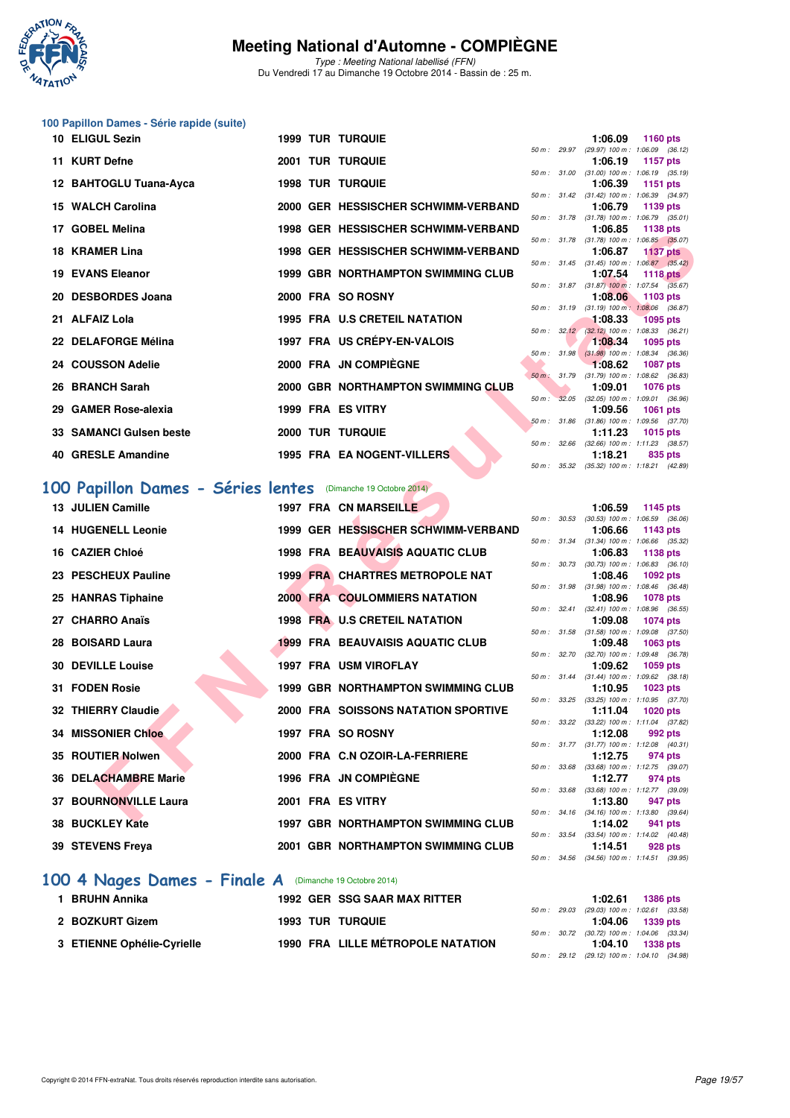

Type : Meeting National labellisé (FFN) Du Vendredi 17 au Dimanche 19 Octobre 2014 - Bassin de : 25 m.

## **100 Papillon Dames - Série rapide (suite)**

| 10 ELIGUL Sezin         |  | <b>1999 TUR TURQUIE</b>                   |  | 1:06.09                                                          |         | 1160 $pts$      |
|-------------------------|--|-------------------------------------------|--|------------------------------------------------------------------|---------|-----------------|
|                         |  |                                           |  | 50 m: 29.97 (29.97) 100 m: 1:06.09 (36.12                        |         |                 |
| 11 KURT Defne           |  | <b>2001 TUR TURQUIE</b>                   |  | 1:06.19                                                          |         | 1157 pts        |
|                         |  | <b>1998 TUR TURQUIE</b>                   |  | 50 m: 31.00 (31.00) 100 m: 1:06.19 (35.19)<br>$1:06.39$ 1151 pts |         |                 |
| 12 BAHTOGLU Tuana-Ayca  |  |                                           |  | 50 m: 31.42 (31.42) 100 m: 1:06.39 (34.97                        |         |                 |
| 15 WALCH Carolina       |  | 2000 GER HESSISCHER SCHWIMM-VERBAND       |  | 1:06.79                                                          |         | 1139 $pts$      |
|                         |  |                                           |  | 50 m: 31.78 (31.78) 100 m: 1:06.79 (35.01)                       |         |                 |
| 17 GOBEL Melina         |  | 1998 GER HESSISCHER SCHWIMM-VERBAND       |  | 1:06.85                                                          |         | 1138 pts        |
|                         |  |                                           |  | 50 m: 31.78 (31.78) 100 m: 1:06.85 (35.07                        |         |                 |
| 18 KRAMER Lina          |  | 1998 GER HESSISCHER SCHWIMM-VERBAND       |  | 1:06.87 1137 pts                                                 |         |                 |
|                         |  |                                           |  | 50 m: 31.45 (31.45) 100 m: 1:06.87 (35.42)                       |         |                 |
| 19 EVANS Eleanor        |  | <b>1999 GBR NORTHAMPTON SWIMMING CLUB</b> |  | $1:07.54$ 1118 pts                                               |         |                 |
|                         |  |                                           |  | 50 m: 31.87 (31.87) 100 m: 1:07.54 (35.67                        |         |                 |
| 20 DESBORDES Joana      |  | 2000 FRA SO ROSNY                         |  | $1:08.06$ 1103 pts<br>50 m: 31.19 (31.19) 100 m: 1:08.06 (36.87  |         |                 |
| 21 ALFAIZ Lola          |  | <b>1995 FRA U.S CRETEIL NATATION</b>      |  | $1:08.33$ 1095 pts                                               |         |                 |
|                         |  |                                           |  | 50 m: 32.12 (32.12) 100 m: 1:08.33 (36.21                        |         |                 |
| 22 DELAFORGE Mélina     |  | 1997 FRA US CRÉPY-EN-VALOIS               |  | $1:08.34$ 1095 pts                                               |         |                 |
|                         |  |                                           |  | 50 m: 31.98 (31.98) 100 m: 1:08.34 (36.36                        |         |                 |
| 24 COUSSON Adelie       |  | 2000 FRA JN COMPIÈGNE                     |  | $1:08.62$ 1087 pts                                               |         |                 |
|                         |  |                                           |  | 50 m : 31.79 (31.79) 100 m : 1:08.62 (36.83                      |         |                 |
| 26 BRANCH Sarah         |  | 2000 GBR NORTHAMPTON SWIMMING CLUB        |  | 1:09.01                                                          |         | <b>1076 pts</b> |
| 29 GAMER Rose-alexia    |  | 1999 FRA ES VITRY                         |  | 50 m : 32.05 (32.05) 100 m : 1:09.01 (36.96)<br>1:09.56          |         |                 |
|                         |  |                                           |  | 50 m: 31.86 (31.86) 100 m: 1:09.56 (37.70)                       |         | 1061 pts        |
| 33 SAMANCI Gulsen beste |  | <b>2000 TUR TURQUIE</b>                   |  | 1:11.23                                                          |         | 1015 $pts$      |
|                         |  |                                           |  | 50 m: 32.66 (32.66) 100 m: 1:11.23 (38.57)                       |         |                 |
| 40 GRESLE Amandine      |  | <b>1995 FRA EA NOGENT-VILLERS</b>         |  | 1:18.21                                                          | 835 pts |                 |
|                         |  |                                           |  | 50 : 05.00 (05.00) 100 : 110.01 (10.00                           |         |                 |

# [100 Papillon Dames - Séries lentes](http://www.ffnatation.fr/webffn/resultats.php?idact=nat&go=epr&idcpt=24767&idepr=32) **(Dimanche 19 Octobre 2014)**<br>13 JULIEN Camille 1997 FRA CN MARSEILLE

| GUDEL MEIIII                                                 |  | <u>UCH TIESSISCHEN SCHWIMM-VENDANI</u>     |                  |              | 1.00.00                                               | <b>1130 pm</b>  |  |
|--------------------------------------------------------------|--|--------------------------------------------|------------------|--------------|-------------------------------------------------------|-----------------|--|
| 18 KRAMER Lina                                               |  | 1998 GER HESSISCHER SCHWIMM-VERBAND        |                  |              | 50 m: 31.78 (31.78) 100 m: 1:06.85 (35.07)<br>1:06.87 | <b>1137 pts</b> |  |
| 19 EVANS Eleanor                                             |  | <b>1999 GBR NORTHAMPTON SWIMMING CLUB</b>  | 50 m: 31.45      |              | $(31.45)$ 100 m : 1:06.87 $(35.42)$<br>1:07.54        | <b>1118 pts</b> |  |
|                                                              |  |                                            |                  |              | 50 m: 31.87 (31.87) 100 m: 1:07.54 (35.67)            |                 |  |
| 20 DESBORDES Joana                                           |  | 2000 FRA SO ROSNY                          |                  |              | 1:08.06<br>50 m: 31.19 (31.19) 100 m: 1:08.06 (36.87) | 1103 pts        |  |
| 21 ALFAIZ Lola                                               |  | <b>1995 FRA U.S CRETEIL NATATION</b>       |                  |              | 1:08.33                                               | 1095 pts        |  |
|                                                              |  |                                            |                  | 50 m: 32.12  | $(32.12)$ 100 m : 1:08.33 $(36.21)$                   |                 |  |
| 22 DELAFORGE Mélina                                          |  | 1997 FRA US CRÉPY-EN-VALOIS                |                  | 50 m: 31.98  | 1:08.34<br>$(31.98)$ 100 m : 1:08.34 $(36.36)$        | 1095 pts        |  |
| 24 COUSSON Adelie                                            |  | 2000 FRA JN COMPIEGNE                      |                  |              | 1:08.62                                               | <b>1087 pts</b> |  |
| 26 BRANCH Sarah                                              |  | 2000 GBR NORTHAMPTON SWIMMING CLUB         |                  |              | 50 m: 31.79 (31.79) 100 m: 1:08.62 (36.83)<br>1:09.01 | <b>1076 pts</b> |  |
|                                                              |  |                                            | $50 m$ :         | 32.05        | $(32.05)$ 100 m : 1:09.01 $(36.96)$                   |                 |  |
| 29 GAMER Rose-alexia                                         |  | 1999 FRA ES VITRY                          |                  |              | 1:09.56                                               | <b>1061 pts</b> |  |
| 33 SAMANCI Gulsen beste                                      |  | <b>2000 TUR TURQUIE</b>                    |                  | 50 m : 31.86 | $(31.86)$ 100 m : 1:09.56 $(37.70)$<br>1:11.23        | <b>1015 pts</b> |  |
|                                                              |  |                                            |                  |              | 50 m: 32.66 (32.66) 100 m: 1:11.23 (38.57)            |                 |  |
| 40 GRESLE Amandine                                           |  | 1995 FRA EA NOGENT-VILLERS                 |                  |              | 1:18.21                                               | 835 pts         |  |
|                                                              |  |                                            | 50 m: 35.32      |              | $(35.32)$ 100 m : 1:18.21 $(42.89)$                   |                 |  |
| 00 Papillon Dames - Séries lentes (Dimanche 19 Octobre 2014) |  |                                            |                  |              |                                                       |                 |  |
| <b>13 JULIEN Camille</b>                                     |  | <b>1997 FRA CN MARSEILLE</b>               |                  |              | 1:06.59                                               | 1145 pts        |  |
|                                                              |  |                                            |                  |              | 50 m : 30.53 (30.53) 100 m : 1:06.59 (36.06)          |                 |  |
| <b>14 HUGENELL Leonie</b>                                    |  | 1999 GER HESSISCHER SCHWIMM-VERBAND        |                  |              | 1:06.66<br>50 m: 31.34 (31.34) 100 m: 1:06.66 (35.32) | 1143 pts        |  |
| 16 CAZIER Chloé                                              |  | <b>1998 FRA BEAUVAISIS AQUATIC CLUB</b>    |                  |              | 1:06.83                                               | 1138 pts        |  |
| 23 PESCHEUX Pauline                                          |  | <b>1999 FRA CHARTRES METROPOLE NAT</b>     |                  | 50 m : 30.73 | $(30.73)$ 100 m : 1:06.83 $(36.10)$<br>1:08.46        |                 |  |
|                                                              |  |                                            | 50 m : 31.98     |              | $(31.98)$ 100 m : 1:08.46 $(36.48)$                   | <b>1092 pts</b> |  |
| 25 HANRAS Tiphaine                                           |  | <b>2000 FRA COULOMMIERS NATATION</b>       |                  |              | 1:08.96                                               | <b>1078 pts</b> |  |
| 27 CHARRO Anaïs                                              |  | 1998 FRA U.S CRETEIL NATATION              |                  | 50 m: 32.41  | $(32.41)$ 100 m : 1:08.96 $(36.55)$<br>1:09.08        | <b>1074 pts</b> |  |
|                                                              |  |                                            | 50 m: 31.58      |              | $(31.58)$ 100 m : 1:09.08 $(37.50)$                   |                 |  |
| 28 BOISARD Laura                                             |  | <b>1999 FRA BEAUVAISIS AQUATIC CLUB</b>    |                  |              | 1:09.48                                               | 1063 pts        |  |
| 30 DEVILLE Louise                                            |  | <b>1997 FRA USM VIROFLAY</b>               | 50 m: 32.70      |              | $(32.70)$ 100 m : 1:09.48 $(36.78)$<br>1:09.62        | 1059 pts        |  |
|                                                              |  |                                            |                  |              | 50 m: 31.44 (31.44) 100 m: 1:09.62 (38.18)            |                 |  |
| <b>31 FODEN Rosie</b>                                        |  | <b>1999 GBR NORTHAMPTON SWIMMING CLUB</b>  |                  |              | 1:10.95                                               | 1023 pts        |  |
| <b>32 THIERRY Claudie</b>                                    |  | <b>2000 FRA SOISSONS NATATION SPORTIVE</b> | $50 m$ : $33.25$ |              | $(33.25)$ 100 m : 1:10.95 $(37.70)$<br>1:11.04        | <b>1020 pts</b> |  |
|                                                              |  |                                            |                  |              | 50 m: 33.22 (33.22) 100 m: 1:11.04 (37.82)            |                 |  |
| <b>34 MISSONIER Chloe</b>                                    |  | 1997 FRA SO ROSNY                          |                  |              | 1:12.08<br>50 m: 31.77 (31.77) 100 m: 1:12.08 (40.31) | 992 pts         |  |
| 35 ROUTIER Nolwen                                            |  | 2000 FRA C.N OZOIR-LA-FERRIERE             |                  |              | 1:12.75                                               | 974 pts         |  |
|                                                              |  |                                            | 50 m: 33.68      |              | (33.68) 100 m: 1:12.75 (39.07)                        |                 |  |
| <b>36 DELACHAMBRE Marie</b>                                  |  | <b>1996 FRA JN COMPIEGNE</b>               | 50 m: 33.68      |              | 1:12.77<br>$(33.68)$ 100 m : 1:12.77 $(39.09)$        | 974 pts         |  |
| 37 BOURNONVILLE Laura                                        |  | 2001 FRA ES VITRY                          |                  |              | 1:13.80                                               | 947 pts         |  |
|                                                              |  |                                            |                  |              | 50 m: 34.16 (34.16) 100 m: 1:13.80 (39.64)            |                 |  |
| 38 BUCKLEY Kate                                              |  | <b>1997 GBR NORTHAMPTON SWIMMING CLUB</b>  |                  | 50 m : 33.54 | 1:14.02<br>$(33.54)$ 100 m : 1:14.02 $(40.48)$        | 941 pts         |  |
| 39 STEVENS Freya                                             |  | <b>2001 GBR NORTHAMPTON SWIMMING CLUB</b>  |                  |              | 1:14.51                                               | 928 pts         |  |
|                                                              |  |                                            |                  |              | 50 m: 34.56 (34.56) 100 m: 1:14.51 (39.95)            |                 |  |

#### **[100 4 Nages Dames - Finale A](http://www.ffnatation.fr/webffn/resultats.php?idact=nat&go=epr&idcpt=24767&idepr=40)** (Dimanche 19 Octobre 2014)

| BRUHN Annika               | <b>1992 GER SSG SAAR MAX RITTER</b> |  | 1:02.61                                      | 1386 pts |  |
|----------------------------|-------------------------------------|--|----------------------------------------------|----------|--|
|                            |                                     |  | 50 m : 29.03 (29.03) 100 m : 1:02.61 (33.58) |          |  |
| 2 BOZKURT Gizem            | <b>1993 TUR TURQUIE</b>             |  | $1:04.06$ 1339 pts                           |          |  |
|                            |                                     |  | 50 m : 30.72 (30.72) 100 m : 1:04.06 (33.34) |          |  |
| 3 ETIENNE Ophélie-Cyrielle | 1990 FRA LILLE MÉTROPOLE NATATION   |  | $1:04.10$ 1338 pts                           |          |  |
|                            |                                     |  | 50 m : 29.12 (29.12) 100 m : 1:04.10 (34.98) |          |  |

| $(31.78) 100 m$ :<br>1:06.85 (35.07)<br>50 m : 31.78<br>1:06.87<br><b>1137 pts</b><br>$(31.45)$ 100 m :<br>1:06.87 (35.42)<br>$50 m$ : $31.45$<br>1:07.54<br>1118 pts<br>$(31.87)$ 100 m :<br>1:07.54 (35.67)<br>50 m: 31.87<br>1:08.06<br>1103 pts<br>$(31.19) 100 m$ :<br>1:08.06 (36.87)<br>50 m: 31.19<br>1:08.33<br>1095 pts<br>$(32.12)$ 100 m :<br>32.12<br>1:08.33 (36.21)<br>$50 m$ :<br>1:08.34<br>1095 pts<br>$(31.98) 100 m$ :<br>1:08.34 (36.36)<br>50 m: 31.98<br>$1:08.62$ 1087 pts<br>$(31.79) 100 m$ :<br>1:08.62 (36.83)<br>$50 \text{ m}$ : 31.79<br>1:09.01<br>1076 pts<br>$(32.05)$ 100 m :<br>1:09.01 (36.96)<br>32.05<br>$50 m$ :<br>1:09.56 1061 pts<br>$(31.86) 100 m$ :<br>1:09.56 (37.70)<br>50 m: 31.86<br>1:11.23 $1015 \text{ pts}$<br>(32.66) 100 m: 1:11.23 (38.57)<br>$50 m$ : 32.66<br>$1:18.21$ 835 pts<br>(35.32) 100 m: 1:18.21 (42.89)<br>$50 m$ : 35.32<br>$1:06.59$ 1145 pts<br>50 m: 30.53 (30.53) 100 m: 1:06.59 (36.06)<br>1:06.66 1143 pts<br>$50 m$ : $31.34$ $(31.34) 100 m$ :<br>1:06.66 (35.32)<br>1:06.83<br>1138 pts |  | 1:06.85 | 1138 pts |  |
|------------------------------------------------------------------------------------------------------------------------------------------------------------------------------------------------------------------------------------------------------------------------------------------------------------------------------------------------------------------------------------------------------------------------------------------------------------------------------------------------------------------------------------------------------------------------------------------------------------------------------------------------------------------------------------------------------------------------------------------------------------------------------------------------------------------------------------------------------------------------------------------------------------------------------------------------------------------------------------------------------------------------------------------------------------------------|--|---------|----------|--|
|                                                                                                                                                                                                                                                                                                                                                                                                                                                                                                                                                                                                                                                                                                                                                                                                                                                                                                                                                                                                                                                                        |  |         |          |  |
|                                                                                                                                                                                                                                                                                                                                                                                                                                                                                                                                                                                                                                                                                                                                                                                                                                                                                                                                                                                                                                                                        |  |         |          |  |
|                                                                                                                                                                                                                                                                                                                                                                                                                                                                                                                                                                                                                                                                                                                                                                                                                                                                                                                                                                                                                                                                        |  |         |          |  |
|                                                                                                                                                                                                                                                                                                                                                                                                                                                                                                                                                                                                                                                                                                                                                                                                                                                                                                                                                                                                                                                                        |  |         |          |  |
|                                                                                                                                                                                                                                                                                                                                                                                                                                                                                                                                                                                                                                                                                                                                                                                                                                                                                                                                                                                                                                                                        |  |         |          |  |
|                                                                                                                                                                                                                                                                                                                                                                                                                                                                                                                                                                                                                                                                                                                                                                                                                                                                                                                                                                                                                                                                        |  |         |          |  |
|                                                                                                                                                                                                                                                                                                                                                                                                                                                                                                                                                                                                                                                                                                                                                                                                                                                                                                                                                                                                                                                                        |  |         |          |  |
|                                                                                                                                                                                                                                                                                                                                                                                                                                                                                                                                                                                                                                                                                                                                                                                                                                                                                                                                                                                                                                                                        |  |         |          |  |
|                                                                                                                                                                                                                                                                                                                                                                                                                                                                                                                                                                                                                                                                                                                                                                                                                                                                                                                                                                                                                                                                        |  |         |          |  |
|                                                                                                                                                                                                                                                                                                                                                                                                                                                                                                                                                                                                                                                                                                                                                                                                                                                                                                                                                                                                                                                                        |  |         |          |  |
|                                                                                                                                                                                                                                                                                                                                                                                                                                                                                                                                                                                                                                                                                                                                                                                                                                                                                                                                                                                                                                                                        |  |         |          |  |
|                                                                                                                                                                                                                                                                                                                                                                                                                                                                                                                                                                                                                                                                                                                                                                                                                                                                                                                                                                                                                                                                        |  |         |          |  |
|                                                                                                                                                                                                                                                                                                                                                                                                                                                                                                                                                                                                                                                                                                                                                                                                                                                                                                                                                                                                                                                                        |  |         |          |  |
|                                                                                                                                                                                                                                                                                                                                                                                                                                                                                                                                                                                                                                                                                                                                                                                                                                                                                                                                                                                                                                                                        |  |         |          |  |
|                                                                                                                                                                                                                                                                                                                                                                                                                                                                                                                                                                                                                                                                                                                                                                                                                                                                                                                                                                                                                                                                        |  |         |          |  |
|                                                                                                                                                                                                                                                                                                                                                                                                                                                                                                                                                                                                                                                                                                                                                                                                                                                                                                                                                                                                                                                                        |  |         |          |  |
|                                                                                                                                                                                                                                                                                                                                                                                                                                                                                                                                                                                                                                                                                                                                                                                                                                                                                                                                                                                                                                                                        |  |         |          |  |
|                                                                                                                                                                                                                                                                                                                                                                                                                                                                                                                                                                                                                                                                                                                                                                                                                                                                                                                                                                                                                                                                        |  |         |          |  |
|                                                                                                                                                                                                                                                                                                                                                                                                                                                                                                                                                                                                                                                                                                                                                                                                                                                                                                                                                                                                                                                                        |  |         |          |  |
|                                                                                                                                                                                                                                                                                                                                                                                                                                                                                                                                                                                                                                                                                                                                                                                                                                                                                                                                                                                                                                                                        |  |         |          |  |
|                                                                                                                                                                                                                                                                                                                                                                                                                                                                                                                                                                                                                                                                                                                                                                                                                                                                                                                                                                                                                                                                        |  |         |          |  |
|                                                                                                                                                                                                                                                                                                                                                                                                                                                                                                                                                                                                                                                                                                                                                                                                                                                                                                                                                                                                                                                                        |  |         |          |  |
|                                                                                                                                                                                                                                                                                                                                                                                                                                                                                                                                                                                                                                                                                                                                                                                                                                                                                                                                                                                                                                                                        |  |         |          |  |
|                                                                                                                                                                                                                                                                                                                                                                                                                                                                                                                                                                                                                                                                                                                                                                                                                                                                                                                                                                                                                                                                        |  |         |          |  |
|                                                                                                                                                                                                                                                                                                                                                                                                                                                                                                                                                                                                                                                                                                                                                                                                                                                                                                                                                                                                                                                                        |  |         |          |  |
|                                                                                                                                                                                                                                                                                                                                                                                                                                                                                                                                                                                                                                                                                                                                                                                                                                                                                                                                                                                                                                                                        |  |         |          |  |
|                                                                                                                                                                                                                                                                                                                                                                                                                                                                                                                                                                                                                                                                                                                                                                                                                                                                                                                                                                                                                                                                        |  |         |          |  |

| 50 m : 30.53 |       | $(30.53)$ 100 m : | 1:06.59 (36.06)     |  |
|--------------|-------|-------------------|---------------------|--|
|              |       | 1:06.66           | 1143 pts            |  |
| 50 m: 31.34  |       | $(31.34) 100 m$ : | 1:06.66 (35.32)     |  |
|              |       | 1:06.83           | 1138 pts            |  |
| $50 m$ :     | 30.73 | $(30.73)$ 100 m : | 1:06.83 (36.10)     |  |
|              |       | 1:08.46           | <b>1092 pts</b>     |  |
| 50 m: 31.98  |       | $(31.98) 100 m$ : | $1:08.46$ $(36.48)$ |  |
|              |       | 1:08.96           | 1078 pts            |  |
| $50 m$ :     | 32.41 | $(32.41)$ 100 m : | 1:08.96 (36.55)     |  |
|              |       | 1:09.08           | 1074 pts            |  |
| 50 m: 31.58  |       | $(31.58) 100 m$ : | 1:09.08 (37.50)     |  |
|              |       | 1:09.48           | 1063 pts            |  |
| $50 m$ :     | 32.70 | $(32.70)$ 100 m : | 1:09.48 (36.78)     |  |
|              |       | 1:09.62           | 1059 pts            |  |
| 50 m: 31.44  |       | $(31.44) 100 m$ : | 1:09.62 (38.18)     |  |
|              |       | 1:10.95           | 1023 pts            |  |
| 50 m :       | 33.25 | $(33.25)$ 100 m : | $1:10.95$ (37.70)   |  |
|              |       | 1:11.04           | 1020 pts            |  |
| 50 m: 33.22  |       | $(33.22)$ 100 m : | 1:11.04 (37.82)     |  |
|              |       | 1:12.08           | 992 pts             |  |
| 50 m: 31.77  |       | $(31.77) 100 m$ : | $1:12.08$ $(40.31)$ |  |
|              |       | 1:12.75           | 974 pts             |  |
| 50 m :       | 33.68 | $(33.68) 100 m$ : | 1:12.75 (39.07)     |  |
|              |       | 1:12.77           | 974 pts             |  |
| 50 m: 33.68  |       | $(33.68) 100 m$ : | 1:12.77 (39.09)     |  |
|              |       | 1:13.80           | 947 pts             |  |
| $50 m$ :     | 34.16 | $(34.16) 100 m$ : | 1:13.80 (39.64)     |  |
|              |       | 1:14.02           | 941 pts             |  |
| 50 m: 33.54  |       | $(33.54) 100 m$ : | $1:14.02$ $(40.48)$ |  |
|              |       | 1:14.51           | 928 pts             |  |
| $50 m$ :     | 34.56 | $(34.56)$ 100 m : | $1:14.51$ (39.95)   |  |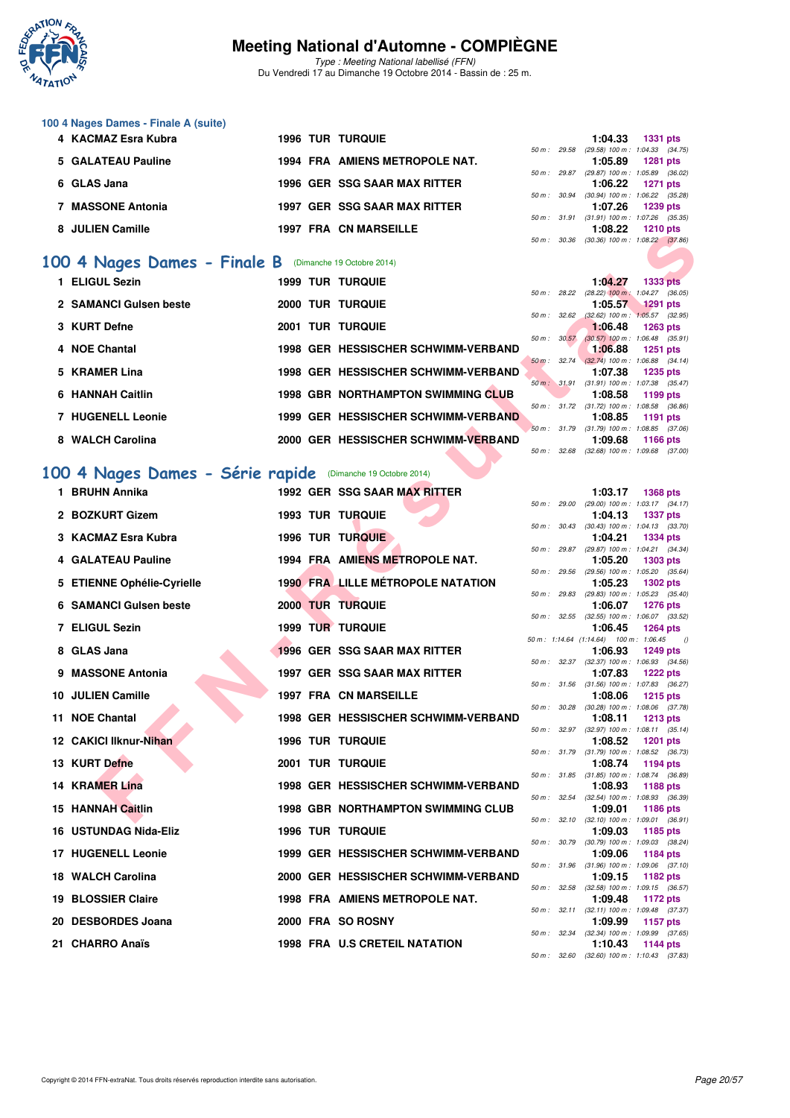

Type : Meeting National labellisé (FFN) Du Vendredi 17 au Dimanche 19 Octobre 2014 - Bassin de : 25 m.

| 100 4 Nages Dames - Finale A (suite) |  |                                |                        |                                     |                 |  |
|--------------------------------------|--|--------------------------------|------------------------|-------------------------------------|-----------------|--|
| 4 KACMAZ Esra Kubra                  |  | <b>1996 TUR TURQUIE</b>        |                        | 1:04.33                             | <b>1331 pts</b> |  |
|                                      |  |                                | 50 m : 29.58           | $(29.58)$ 100 m : 1:04.33 $(34.75)$ |                 |  |
| 5 GALATEAU Pauline                   |  | 1994 FRA AMIENS METROPOLE NAT. |                        | 1:05.89                             | 1281 pts        |  |
|                                      |  |                                | 50 m : 29.87           | $(29.87)$ 100 m : 1:05.89 $(36.02)$ |                 |  |
| 6 GLAS Jana                          |  | 1996 GER SSG SAAR MAX RITTER   |                        | 1:06.22                             | <b>1271 pts</b> |  |
|                                      |  |                                | 50 m : 30.94           | $(30.94)$ 100 m : 1:06.22 $(35.28)$ |                 |  |
| <b>MASSONE Antonia</b>               |  | 1997 GER SSG SAAR MAX RITTER   |                        | 1:07.26                             | 1239 pts        |  |
|                                      |  |                                | $50 \text{ m}$ : 31.91 | $(31.91)$ 100 m : 1:07.26 $(35.35)$ |                 |  |
| 8 JULIEN Camille                     |  | <b>1997 FRA CN MARSEILLE</b>   |                        | 1:08.22                             | $1210$ pts      |  |
|                                      |  |                                | 50 m : 30.36           | $(30.36)$ 100 m : 1.08.22 $(37.86)$ |                 |  |

#### **[100 4 Nages Dames - Finale B](http://www.ffnatation.fr/webffn/resultats.php?idact=nat&go=epr&idcpt=24767&idepr=40)** (Dimanche 19 Octobre 2014)

|  |                                                                                                                                                                                                                                                                          |                                                            | 1:04.27                                                                  | <b>1333 pts</b>                                                                |                                                                                                                                                                                                                                                                                                                                                                                        |
|--|--------------------------------------------------------------------------------------------------------------------------------------------------------------------------------------------------------------------------------------------------------------------------|------------------------------------------------------------|--------------------------------------------------------------------------|--------------------------------------------------------------------------------|----------------------------------------------------------------------------------------------------------------------------------------------------------------------------------------------------------------------------------------------------------------------------------------------------------------------------------------------------------------------------------------|
|  |                                                                                                                                                                                                                                                                          |                                                            |                                                                          |                                                                                |                                                                                                                                                                                                                                                                                                                                                                                        |
|  |                                                                                                                                                                                                                                                                          |                                                            | 1:05.57                                                                  | <b>1291 pts</b>                                                                |                                                                                                                                                                                                                                                                                                                                                                                        |
|  |                                                                                                                                                                                                                                                                          |                                                            |                                                                          |                                                                                |                                                                                                                                                                                                                                                                                                                                                                                        |
|  |                                                                                                                                                                                                                                                                          |                                                            |                                                                          | $1263$ pts                                                                     |                                                                                                                                                                                                                                                                                                                                                                                        |
|  |                                                                                                                                                                                                                                                                          |                                                            |                                                                          |                                                                                |                                                                                                                                                                                                                                                                                                                                                                                        |
|  |                                                                                                                                                                                                                                                                          |                                                            |                                                                          | 1251 pts                                                                       |                                                                                                                                                                                                                                                                                                                                                                                        |
|  |                                                                                                                                                                                                                                                                          |                                                            |                                                                          |                                                                                |                                                                                                                                                                                                                                                                                                                                                                                        |
|  |                                                                                                                                                                                                                                                                          |                                                            |                                                                          |                                                                                |                                                                                                                                                                                                                                                                                                                                                                                        |
|  |                                                                                                                                                                                                                                                                          |                                                            |                                                                          |                                                                                |                                                                                                                                                                                                                                                                                                                                                                                        |
|  |                                                                                                                                                                                                                                                                          |                                                            |                                                                          |                                                                                |                                                                                                                                                                                                                                                                                                                                                                                        |
|  |                                                                                                                                                                                                                                                                          |                                                            |                                                                          |                                                                                |                                                                                                                                                                                                                                                                                                                                                                                        |
|  |                                                                                                                                                                                                                                                                          |                                                            |                                                                          |                                                                                |                                                                                                                                                                                                                                                                                                                                                                                        |
|  |                                                                                                                                                                                                                                                                          |                                                            |                                                                          |                                                                                |                                                                                                                                                                                                                                                                                                                                                                                        |
|  |                                                                                                                                                                                                                                                                          |                                                            |                                                                          |                                                                                |                                                                                                                                                                                                                                                                                                                                                                                        |
|  |                                                                                                                                                                                                                                                                          |                                                            |                                                                          |                                                                                |                                                                                                                                                                                                                                                                                                                                                                                        |
|  | <b>1999 TUR TURQUIE</b><br>2000 TUR TURQUIE<br>2001 TUR TURQUIE<br>1998 GER HESSISCHER SCHWIMM-VERBAND<br>1998 GER HESSISCHER SCHWIMM-VERBAND<br><b>1998 GBR NORTHAMPTON SWIMMING CLUB</b><br>1999 GER HESSISCHER SCHWIMM-VERBAND<br>2000 GER HESSISCHER SCHWIMM-VERBAND | 00 4 Nages Dames - Série rapide (Dimanche 19 Octobre 2014) | 50 m : 28.22<br>50 m: 32.62<br>50 m: 30.57<br>50 m: 31.79<br>50 m: 32.68 | 1:06.48<br>1:06.88<br>1:07.38<br>1:08.58<br>50 m : 31.72<br>1:08.85<br>1:09.68 | $(28.22)$ 100 m : 1:04.27 $(36.05)$<br>$(32.62)$ 100 m : 1:05.57 $(32.95)$<br>$(30.57)$ 100 m : 1:06.48 $(35.91)$<br>50 m : 32.74 (32.74) 100 m : 1:06.88 (34.14)<br>1235 pts<br>50 m : 31.91 (31.91) 100 m : 1:07.38 (35.47)<br>1199 pts<br>$(31.72)$ 100 m : 1:08.58 $(36.86)$<br>1191 pts<br>$(31.79)$ 100 m : 1:08.85 $(37.06)$<br>1166 pts<br>$(32.68)$ 100 m : 1:09.68 $(37.00)$ |

#### **[100 4 Nages Dames - Série rapide](http://www.ffnatation.fr/webffn/resultats.php?idact=nat&go=epr&idcpt=24767&idepr=40)** (Dimanche 19 Octobre 2014)

| <b>JULIEN CATTLE</b>                                       |  |                                           | 50 m : 30.36           | 1.00.ZZ                                           | ם או 14 Dis<br>$(30.36)$ 100 m : 1:08.22 $(37.86)$            |
|------------------------------------------------------------|--|-------------------------------------------|------------------------|---------------------------------------------------|---------------------------------------------------------------|
| 00 4 Nages Dames - Finale B (Dimanche 19 Octobre 2014)     |  |                                           |                        |                                                   |                                                               |
|                                                            |  |                                           |                        |                                                   |                                                               |
| 1 ELIGUL Sezin                                             |  | <b>1999 TUR TURQUIE</b>                   | 50 m : 28.22           | 1:04.27                                           | <b>1333 pts</b><br>$(28.22)$ 100 m : 1:04.27 $(36.05)$        |
| 2 SAMANCI Gulsen beste                                     |  | <b>2000 TUR TURQUIE</b>                   |                        | 1:05.57                                           | <b>1291 pts</b>                                               |
|                                                            |  |                                           | 50 m: 32.62            |                                                   | $(32.62)$ 100 m : 1:05.57 $(32.95)$                           |
| 3 KURT Defne                                               |  | <b>2001 TUR TURQUIE</b>                   | 50 m: 30.57            | 1:06.48                                           | <b>1263 pts</b>                                               |
| 4 NOE Chantal                                              |  | 1998 GER HESSISCHER SCHWIMM-VERBAND       |                        | 1:06.88                                           | $(30.57)$ 100 m : 1:06.48 $(35.91)$<br><b>1251 pts</b>        |
|                                                            |  |                                           | $50 \text{ m}$ : 32.74 |                                                   | $(32.74)$ 100 m : 1:06.88 $(34.14)$                           |
| 5 KRAMER Lina                                              |  | 1998 GER HESSISCHER SCHWIMM-VERBAND       |                        | 1:07.38                                           | 1235 pts<br>50 m: 31.91 (31.91) 100 m: 1:07.38 (35.47)        |
| 6 HANNAH Caitlin                                           |  | <b>1998 GBR NORTHAMPTON SWIMMING CLUB</b> |                        | 1:08.58                                           | 1199 pts                                                      |
| <b>7 HUGENELL Leonie</b>                                   |  | 1999 GER HESSISCHER SCHWIMM-VERBAND       |                        | 1:08.85                                           | 50 m: 31.72 (31.72) 100 m: 1:08.58 (36.86)<br>1191 pts        |
|                                                            |  |                                           |                        |                                                   | 50 m: 31.79 (31.79) 100 m: 1:08.85 (37.06)                    |
| 8 WALCH Carolina                                           |  | 2000 GER HESSISCHER SCHWIMM-VERBAND       |                        | 1:09.68                                           | <b>1166 pts</b>                                               |
|                                                            |  |                                           | 50 m : 32.68           |                                                   | $(32.68)$ 100 m : 1:09.68 $(37.00)$                           |
| 00 4 Nages Dames - Série rapide (Dimanche 19 Octobre 2014) |  |                                           |                        |                                                   |                                                               |
| 1 BRUHN Annika                                             |  | 1992 GER SSG SAAR MAX RITTER              |                        | 1:03.17                                           | <b>1368 pts</b>                                               |
| 2 BOZKURT Gizem                                            |  | <b>1993 TUR TURQUIE</b>                   |                        | 1:04.13                                           | 50 m: 29.00 (29.00) 100 m: 1:03.17 (34.17)<br><b>1337 pts</b> |
|                                                            |  |                                           |                        |                                                   | 50 m: 30.43 (30.43) 100 m: 1:04.13 (33.70)                    |
| 3 KACMAZ Esra Kubra                                        |  | 1996 TUR TURQUIE                          |                        | 1:04.21                                           | <b>1334 pts</b>                                               |
| 4 GALATEAU Pauline                                         |  | 1994 FRA AMIENS METROPOLE NAT.            | 50 m : 29.87           | 1:05.20                                           | (29.87) 100 m: 1:04.21 (34.34)<br>1303 pts                    |
|                                                            |  |                                           | 50 m : 29.56           |                                                   | $(29.56)$ 100 m : 1:05.20 $(35.64)$                           |
| 5 ETIENNE Ophélie-Cyrielle                                 |  | <b>1990 FRA LILLE MÉTROPOLE NATATION</b>  |                        | 1:05.23                                           | <b>1302 pts</b>                                               |
| <b>6 SAMANCI Guisen beste</b>                              |  | 2000 TUR TURQUIE                          |                        | 1:06.07                                           | 50 m: 29.83 (29.83) 100 m: 1:05.23 (35.40)<br><b>1276 pts</b> |
|                                                            |  |                                           |                        |                                                   | 50 m: 32.55 (32.55) 100 m: 1:06.07 (33.52)                    |
| 7 ELIGUL Sezin                                             |  | 1999 TUR TURQUIE                          |                        | 1:06.45<br>50 m: 1:14.64 (1:14.64) 100 m: 1:06.45 | <b>1264 pts</b><br>$\theta$                                   |
| 8 GLAS Jana                                                |  | 1996 GER SSG SAAR MAX RITTER              |                        | 1:06.93                                           | <b>1249 pts</b>                                               |
|                                                            |  |                                           |                        |                                                   | 50 m: 32.37 (32.37) 100 m: 1:06.93 (34.56)                    |
| 9 MASSONE Antonia                                          |  | 1997 GER SSG SAAR MAX RITTER              |                        | 1:07.83                                           | <b>1222 pts</b><br>50 m: 31.56 (31.56) 100 m: 1:07.83 (36.27) |
| 10 JULIEN Camille                                          |  | 1997 FRA CN MARSEILLE                     |                        | 1:08.06                                           | <b>1215 pts</b>                                               |
| 11 NOE Chantal                                             |  | 1998 GER HESSISCHER SCHWIMM-VERBAND       | 50 m: 30.28            | 1:08.11                                           | $(30.28)$ 100 m : 1:08.06 $(37.78)$<br>1213 pts               |
|                                                            |  |                                           |                        |                                                   | 50 m: 32.97 (32.97) 100 m: 1:08.11 (35.14)                    |
| 12 CAKICI Ilknur-Nihan                                     |  | <b>1996 TUR TURQUIE</b>                   |                        | 1:08.52                                           | <b>1201 pts</b>                                               |
| 13 KURT Defne                                              |  | <b>2001 TUR TURQUIE</b>                   |                        | 1:08.74                                           | 50 m: 31.79 (31.79) 100 m: 1:08.52 (36.73)<br>1194 pts        |
|                                                            |  |                                           |                        |                                                   | 50 m: 31.85 (31.85) 100 m: 1:08.74 (36.89)                    |
| 14 KRAMER Lina                                             |  | 1998 GER HESSISCHER SCHWIMM-VERBAND       |                        | 1:08.93                                           | 1188 pts<br>50 m: 32.54 (32.54) 100 m: 1:08.93 (36.39)        |
| 15 HANNAH Caitlin                                          |  | <b>1998 GBR NORTHAMPTON SWIMMING CLUB</b> |                        | 1:09.01                                           | <b>1186 pts</b>                                               |
|                                                            |  |                                           |                        |                                                   | 50 m: 32.10 (32.10) 100 m: 1:09.01 (36.91)                    |
| 16 USTUNDAG Nida-Eliz                                      |  | <b>1996 TUR TURQUIE</b>                   | 50 m: 30.79            | 1:09.03                                           | 1185 pts<br>$(30.79)$ 100 m : 1:09.03 $(38.24)$               |
| 17 HUGENELL Leonie                                         |  | 1999 GER HESSISCHER SCHWIMM-VERBAND       |                        | 1:09.06                                           | <b>1184 pts</b>                                               |
| 18 WALCH Carolina                                          |  | 2000 GER HESSISCHER SCHWIMM-VERBAND       |                        |                                                   | 50 m: 31.96 (31.96) 100 m: 1:09.06 (37.10)                    |
|                                                            |  |                                           |                        | 1:09.15                                           | 1182 pts<br>50 m: 32.58 (32.58) 100 m: 1:09.15 (36.57)        |
| 19 BLOSSIER Claire                                         |  | 1998 FRA AMIENS METROPOLE NAT.            |                        | 1:09.48                                           | 1172 pts                                                      |
| 20 DESBORDES Joana                                         |  | 2000 FRA SO ROSNY                         |                        | 1:09.99                                           | 50 m: 32.11 (32.11) 100 m: 1:09.48 (37.37)<br>1157 pts        |
|                                                            |  |                                           |                        |                                                   | 50 m: 32.34 (32.34) 100 m: 1:09.99 (37.65)                    |
| 21 CHARRO Anaïs                                            |  | 1998 FRA U.S CRETEIL NATATION             |                        | 1:10.43                                           | <b>1144 pts</b>                                               |

|          |              | 1:03.17                                | 1368 pts            |          |
|----------|--------------|----------------------------------------|---------------------|----------|
|          | 50 m : 29.00 | $(29.00)$ 100 m :                      | $1:03.17$ $(34.17)$ |          |
|          |              | 1:04.13                                | 1337 pts            |          |
| $50 m$ : | 30.43        | $(30.43) 100 m$ :                      | $1:04.13$ $(33.70)$ |          |
|          |              | 1:04.21                                | 1334 pts            |          |
| $50 m$ : | 29.87        | $(29.87) 100 m$ :                      | $1:04.21$ $(34.34)$ |          |
|          |              | 1:05.20                                | <b>1303 pts</b>     |          |
| $50 m$ : | 29.56        | $(29.56)$ 100 m :                      | $1:05.20$ $(35.64)$ |          |
|          |              | 1:05.23                                | 1302 pts            |          |
| $50 m$ : | 29.83        | $(29.83) 100 m$ :                      | $1:05.23$ $(35.40)$ |          |
|          |              | 1:06.07                                | 1276 pts            |          |
| $50 m$ : | 32.55        | $(32.55)$ 100 m :                      | 1:06.07 (33.52)     |          |
|          |              | 1:06.45                                | <b>1264 pts</b>     |          |
|          |              | 50 m: 1:14.64 (1:14.64) 100 m: 1:06.45 |                     | $\theta$ |
|          |              | 1:06.93                                | 1249 pts            |          |
| $50 m$ : | 32.37        | $(32.37) 100 m$ :                      | 1:06.93 (34.56)     |          |
|          |              | 1:07.83                                | <b>1222 pts</b>     |          |
| $50 m$ : | 31.56        | $(31.56) 100 m$ :                      | 1:07.83 (36.27)     |          |
|          |              | 1:08.06                                | <b>1215 pts</b>     |          |
| $50 m$ : | 30.28        | $(30.28) 100 m$ :                      | 1:08.06 (37.78)     |          |
|          |              | 1:08.11                                | <b>1213 pts</b>     |          |
| $50 m$ : | 32.97        | $(32.97) 100 m$ :                      | $1:08.11$ $(35.14)$ |          |
|          |              | 1:08.52                                | 1201 pts            |          |
| $50 m$ : | 31.79        | $(31.79) 100 m$ :                      | 1:08.52 (36.73)     |          |
|          |              | 1:08.74                                | 1194 pts            |          |
| $50 m$ : | 31.85        | $(31.85) 100 m$ :                      | 1:08.74 (36.89)     |          |
|          |              | 1:08.93                                | 1188 pts            |          |
| $50 m$ : | 32.54        | $(32.54) 100 m$ :                      | 1:08.93 (36.39)     |          |
|          |              | 1:09.01                                | 1186 pts            |          |
| $50 m$ : | 32.10        | $(32.10)$ 100 m :                      | 1:09.01 (36.91)     |          |
|          |              | 1:09.03                                | 1185 pts            |          |
| $50 m$ : | 30.79        | $(30.79)$ 100 m :                      | 1:09.03 (38.24)     |          |
|          |              | 1:09.06                                | <b>1184 pts</b>     |          |
| $50 m$ : | 31.96        | $(31.96) 100 m$ :                      | 1:09.06 (37.10)     |          |
|          |              | 1:09.15                                | 1182 pts            |          |
| $50 m$ : | 32.58        | $(32.58) 100 m$ :                      | 1:09.15 (36.57)     |          |
|          |              | 1:09.48                                | 1172 pts            |          |
| $50 m$ : | 32.11        | $(32.11)$ 100 m :                      | 1:09.48 (37.37)     |          |
|          |              | 1:09.99                                | 1157 pts            |          |
| $50 m$ : | 32.34        | $(32.34) 100 m$ :                      | 1:09.99 (37.65)     |          |
|          |              | 1:10.43                                | <b>1144 pts</b>     |          |
| $50 m$ : | 32.60        | $(32.60)$ 100 m :                      | $1:10.43$ (37.83)   |          |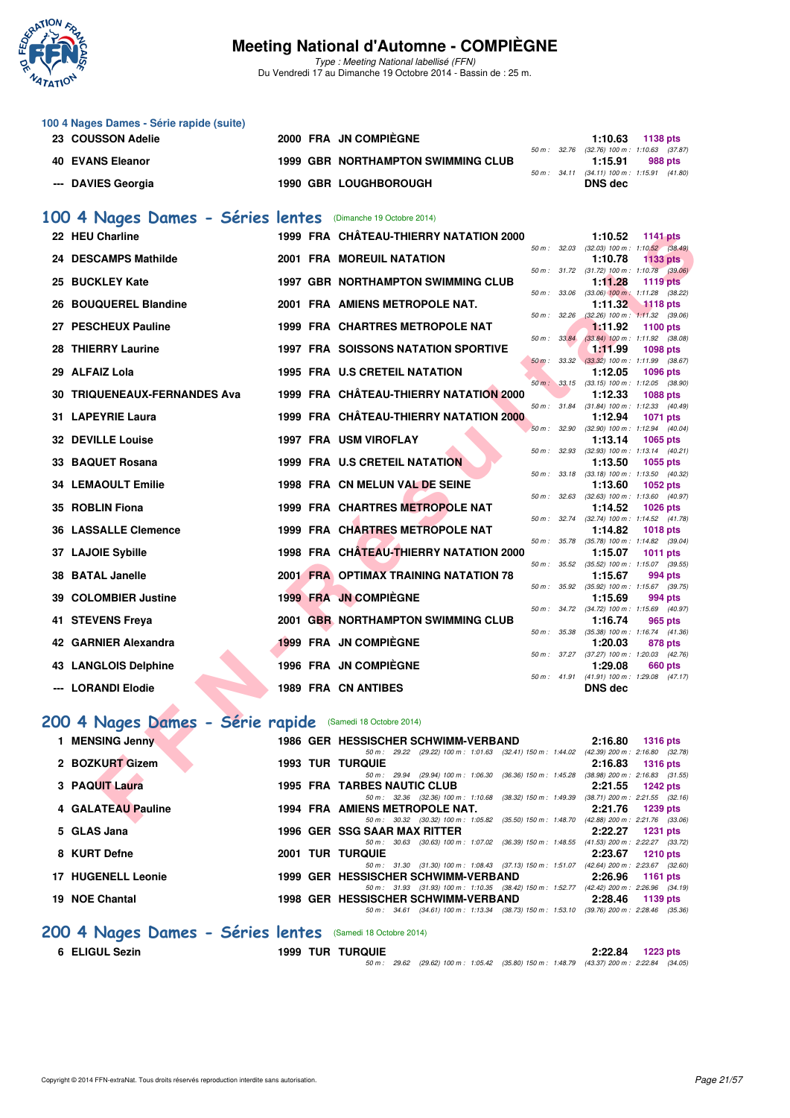

Type : Meeting National labellisé (FFN) Du Vendredi 17 au Dimanche 19 Octobre 2014 - Bassin de : 25 m.

|                                                                                                         |  |                                                                                                    | 1:10.63        | 1138 pts |                                                                                  |
|---------------------------------------------------------------------------------------------------------|--|----------------------------------------------------------------------------------------------------|----------------|----------|----------------------------------------------------------------------------------|
|                                                                                                         |  |                                                                                                    |                |          |                                                                                  |
|                                                                                                         |  |                                                                                                    | 1:15.91        |          | 988 pts                                                                          |
|                                                                                                         |  |                                                                                                    |                |          |                                                                                  |
|                                                                                                         |  |                                                                                                    | DNS dec        |          |                                                                                  |
| 100 4 Nages Dames - Série rapide (suite)<br>23 COUSSON Adelie<br>40 EVANS Eleanor<br>--- DAVIES Georgia |  | 2000 FRA JN COMPIÈGNE<br><b>1999 GBR NORTHAMPTON SWIMMING CLUB</b><br><b>1990 GBR LOUGHBOROUGH</b> | $50 m$ : 34.11 |          | 50 m: 32.76 (32.76) 100 m: 1:10.63 (37.87<br>$(34.11)$ 100 m : 1:15.91 $(41.80)$ |

#### [100 4 Nages Dames - Séries lentes](http://www.ffnatation.fr/webffn/resultats.php?idact=nat&go=epr&idcpt=24767&idepr=40) (Dimanche 19 Octobre 2014)

| 22 HEU Charline                     |  | 1999 FRA CHÂTEAU-THIERRY NATATION 2000                                                                                          |              | 1:10.52                                                      | <b>1141 pts</b> |  |
|-------------------------------------|--|---------------------------------------------------------------------------------------------------------------------------------|--------------|--------------------------------------------------------------|-----------------|--|
| 24 DESCAMPS Mathilde                |  | <b>2001 FRA MOREUIL NATATION</b>                                                                                                | 50 m: 32.03  | $(32.03)$ 100 m : 1:10.52 $(38.49)$<br>1:10.78               | <b>1133 pts</b> |  |
|                                     |  |                                                                                                                                 |              | 50 m: 31.72 (31.72) 100 m: 1:10.78 (39.06)                   |                 |  |
| 25 BUCKLEY Kate                     |  | <b>1997 GBR NORTHAMPTON SWIMMING CLUB</b>                                                                                       |              | 1:11.28                                                      | <b>1119 pts</b> |  |
| 26 BOUQUEREL Blandine               |  | 2001 FRA AMIENS METROPOLE NAT.                                                                                                  | 50 m : 33.06 | $(33.06)$ 100 m : 1:11.28 $(38.22)$<br>1:11.32               | $-1118$ pts     |  |
|                                     |  |                                                                                                                                 | 50 m: 32.26  | $(32.26)$ 100 m : 1:11.32 $(39.06)$                          |                 |  |
| 27 PESCHEUX Pauline                 |  | 1999 FRA CHARTRES METROPOLE NAT                                                                                                 |              | 1:11.92                                                      | 1100 pts        |  |
|                                     |  |                                                                                                                                 | 50 m : 33.84 | $(33.84)$ 100 m : 1:11.92 $(38.08)$                          |                 |  |
| 28 THIERRY Laurine                  |  | 1997 FRA SOISSONS NATATION SPORTIVE                                                                                             | 50 m: 33.32  | <u>1:11.99</u><br>$(33.32)$ 100 m : 1:11.99 $(38.67)$        | <b>1098 pts</b> |  |
| 29 ALFAIZ Lola                      |  | 1995 FRA U.S CRETEIL NATATION                                                                                                   |              | 1:12.05                                                      | 1096 pts        |  |
|                                     |  |                                                                                                                                 | 50 m: 33.15  | $(33.15)$ 100 m : 1:12.05 $(38.90)$                          |                 |  |
| <b>30 TRIQUENEAUX-FERNANDES Ava</b> |  | 1999 FRA CHÂTEAU-THIERRY NATATION 2000                                                                                          |              | 1:12.33                                                      | <b>1088 pts</b> |  |
|                                     |  |                                                                                                                                 |              | 50 m: 31.84 (31.84) 100 m: 1:12.33 (40.49)                   |                 |  |
| 31 LAPEYRIE Laura                   |  | 1999 FRA CHÂTEAU-THIERRY NATATION 2000                                                                                          |              | 1:12.94                                                      | <b>1071 pts</b> |  |
| <b>32 DEVILLE Louise</b>            |  | 1997 FRA USM VIROFLAY                                                                                                           |              | 50 m: 32.90 (32.90) 100 m: 1:12.94 (40.04)<br>1:13.14        | 1065 pts        |  |
|                                     |  |                                                                                                                                 | 50 m: 32.93  | $(32.93)$ 100 m : 1:13.14 $(40.21)$                          |                 |  |
| 33 BAQUET Rosana                    |  | 1999 FRA U.S CRETEIL NATATION                                                                                                   |              | 1:13.50                                                      | 1055 pts        |  |
|                                     |  |                                                                                                                                 |              | 50 m: 33.18 (33.18) 100 m: 1:13.50 (40.32)                   |                 |  |
| <b>34 LEMAOULT Emilie</b>           |  | 1998 FRA CN MELUN VAL DE SEINE                                                                                                  |              | 1:13.60                                                      | 1052 pts        |  |
|                                     |  |                                                                                                                                 | 50 m: 32.63  | $(32.63)$ 100 m : 1:13.60 $(40.97)$                          |                 |  |
| 35 ROBLIN Fiona                     |  | 1999 FRA CHARTRES METROPOLE NAT                                                                                                 |              | 1:14.52                                                      | <b>1026 pts</b> |  |
| <b>36 LASSALLE Clemence</b>         |  | 1999 FRA CHARTRES METROPOLE NAT                                                                                                 | 50 m : 32.74 | (32.74) 100 m: 1:14.52 (41.78)<br>1:14.82                    | <b>1018 pts</b> |  |
|                                     |  |                                                                                                                                 |              | 50 m: 35.78 (35.78) 100 m: 1:14.82 (39.04)                   |                 |  |
| 37 LAJOIE Sybille                   |  | 1998 FRA CHATEAU-THIERRY NATATION 2000                                                                                          |              | 1:15.07                                                      | <b>1011 pts</b> |  |
|                                     |  |                                                                                                                                 | 50 m: 35.52  | $(35.52)$ 100 m : 1:15.07 $(39.55)$                          |                 |  |
| 38 BATAL Janelle                    |  | 2001 FRA OPTIMAX TRAINING NATATION 78                                                                                           |              | 1:15.67                                                      | 994 pts         |  |
|                                     |  |                                                                                                                                 |              | 50 m: 35.92 (35.92) 100 m: 1:15.67 (39.75)                   |                 |  |
| 39 COLOMBIER Justine                |  | 1999 FRA JN COMPIEGNE                                                                                                           |              | 1:15.69<br>50 m: 34.72 (34.72) 100 m: 1:15.69 (40.97)        | 994 pts         |  |
| 41 STEVENS Freya                    |  | 2001 GBR NORTHAMPTON SWIMMING CLUB                                                                                              |              | 1:16.74                                                      | 965 pts         |  |
|                                     |  |                                                                                                                                 | 50 m : 35.38 | $(35.38)$ 100 m : 1:16.74 $(41.36)$                          |                 |  |
| 42 GARNIER Alexandra                |  | 1999 FRA JN COMPIEGNE                                                                                                           |              | 1:20.03                                                      | 878 pts         |  |
|                                     |  |                                                                                                                                 |              | 50 m: 37.27 (37.27) 100 m: 1:20.03 (42.76)                   |                 |  |
| 43 LANGLOIS Delphine                |  | 1996 FRA JN COMPIEGNE                                                                                                           |              | 1:29.08                                                      | 660 pts         |  |
| --- LORANDI Elodie                  |  | 1989 FRA CN ANTIBES                                                                                                             |              | 50 m: 41.91 (41.91) 100 m: 1:29.08 (47.17)<br><b>DNS dec</b> |                 |  |
|                                     |  |                                                                                                                                 |              |                                                              |                 |  |
|                                     |  |                                                                                                                                 |              |                                                              |                 |  |
| 200 4 Nages Dames - Série rapide    |  | (Samedi 18 Octobre 2014)                                                                                                        |              |                                                              |                 |  |
|                                     |  |                                                                                                                                 |              | 2:16.80                                                      | <b>1316 pts</b> |  |
|                                     |  |                                                                                                                                 |              |                                                              |                 |  |
| 1 MENSING Jenny                     |  | 1986 GER HESSISCHER SCHWIMM-VERBAND<br>50 m: 29.22 (29.22) 100 m: 1:01.63 (32.41) 150 m: 1:44.02 (42.39) 200 m: 2:16.80 (32.78) |              |                                                              |                 |  |
| 2 BOZKURT Gizem                     |  | <b>1993 TUR TURQUIE</b>                                                                                                         |              | 2:16.83                                                      | <b>1316 pts</b> |  |
|                                     |  | 50 m: 29.94 (29.94) 100 m: 1:06.30 (36.36) 150 m: 1:45.28 (38.98) 200 m: 2:16.83 (31.55)                                        |              |                                                              |                 |  |
| 3 PAQUIT Laura                      |  | <b>1995 FRA TARBES NAUTIC CLUB</b>                                                                                              |              | 2:21.55                                                      | <b>1242 pts</b> |  |
| 4 GALATEAU Pauline                  |  | 50 m: 32.36 (32.36) 100 m: 1:10.68 (38.32) 150 m: 1:49.39 (38.71) 200 m: 2:21.55 (32.16)<br>1994 FRA AMIENS METROPOLE NAT.      |              | 2:21.76                                                      | 1239 pts        |  |

## **[200 4 Nages Dames - Série rapide](http://www.ffnatation.fr/webffn/resultats.php?idact=nat&go=epr&idcpt=24767&idepr=41)** (Samedi 18 Octobre 2014)

| <b>MENSING Jenny</b>      |      | 1986 GER HESSISCHER SCHWIMM-VERBAND                                     | 2:16.80                             | $1316$ pts      |  |
|---------------------------|------|-------------------------------------------------------------------------|-------------------------------------|-----------------|--|
|                           |      | 50 m: 29.22 (29.22) 100 m: 1:01.63 (32.41) 150 m: 1:44.02               | $(42.39)$ 200 m : 2:16.80 $(32.78)$ |                 |  |
| 2 BOZKURT Gizem           |      | <b>1993 TUR TURQUIE</b>                                                 | 2:16.83                             | <b>1316 pts</b> |  |
|                           |      | 50 m: 29.94 (29.94) 100 m: 1:06.30 (36.36) 150 m: 1:45.28               | $(38.98)$ 200 m : 2:16.83 $(31.55)$ |                 |  |
| 3 PAQUIT Laura            |      | <b>1995 FRA TARBES NAUTIC CLUB</b>                                      | 2:21.55                             | 1242 pts        |  |
|                           |      | 50 m: 32.36 (32.36) 100 m: 1:10.68 (38.32) 150 m: 1:49.39               | $(38.71)$ 200 m : 2:21.55 $(32.16)$ |                 |  |
| 4 GALATEAU Pauline        |      | 1994 FRA AMIENS METROPOLE NAT.                                          | 2:21.76                             | <b>1239 pts</b> |  |
|                           |      | 50 m : 30.32 (30.32) 100 m : 1:05.82 (35.50) 150 m : 1:48.70            | $(42.88)$ 200 m : 2:21.76 $(33.06)$ |                 |  |
| 5 GLAS Jana               |      | 1996 GER SSG SAAR MAX RITTER                                            | 2:22.27                             | <b>1231 pts</b> |  |
|                           |      | $(30.63)$ 100 m : 1:07.02 $(36.39)$ 150 m : 1:48.55<br>50 m: 30.63      | $(41.53)$ 200 m : 2:22.27 $(33.72)$ |                 |  |
| 8 KURT Defne              | 2001 | <b>TUR TURQUIE</b>                                                      | 2:23.67                             | 1210 pts        |  |
|                           |      | 50 m: 31.30 (31.30) 100 m: 1:08.43 (37.13) 150 m: 1:51.07               | $(42.64)$ 200 m : 2:23.67 $(32.60)$ |                 |  |
| <b>17 HUGENELL Leonie</b> |      | 1999 GER HESSISCHER SCHWIMM-VERBAND                                     | 2:26.96                             | 1161 $pts$      |  |
|                           |      | 50 m: 31.93 (31.93) 100 m: 1:10.35 (38.42) 150 m: 1:52.77               | $(42.42)$ 200 m : 2:26.96 $(34.19)$ |                 |  |
| 19 NOE Chantal            |      | 1998 GER HESSISCHER SCHWIMM-VERBAND                                     | 2:28.46                             | 1139 pts        |  |
|                           |      | $(34.61)$ 100 m : 1:13.34 $(38.73)$ 150 m : 1:53.10<br>$50 m$ : $34.61$ | $(39.76)$ 200 m : 2:28.46 $(35.36)$ |                 |  |
|                           |      |                                                                         |                                     |                 |  |

### **[200 4 Nages Dames - Séries lentes](http://www.ffnatation.fr/webffn/resultats.php?idact=nat&go=epr&idcpt=24767&idepr=41)** (Samedi 18 Octobre 2014)

| 6 ELIGUL Sezin |  | <b>1999 TUR TURQUIE</b> |  |                                                                                              | 2:22.84 1223 pts |  |
|----------------|--|-------------------------|--|----------------------------------------------------------------------------------------------|------------------|--|
|                |  |                         |  | 50 m : 29.62 (29.62) 100 m : 1:05.42 (35.80) 150 m : 1:48.79 (43.37) 200 m : 2:22.84 (34.05) |                  |  |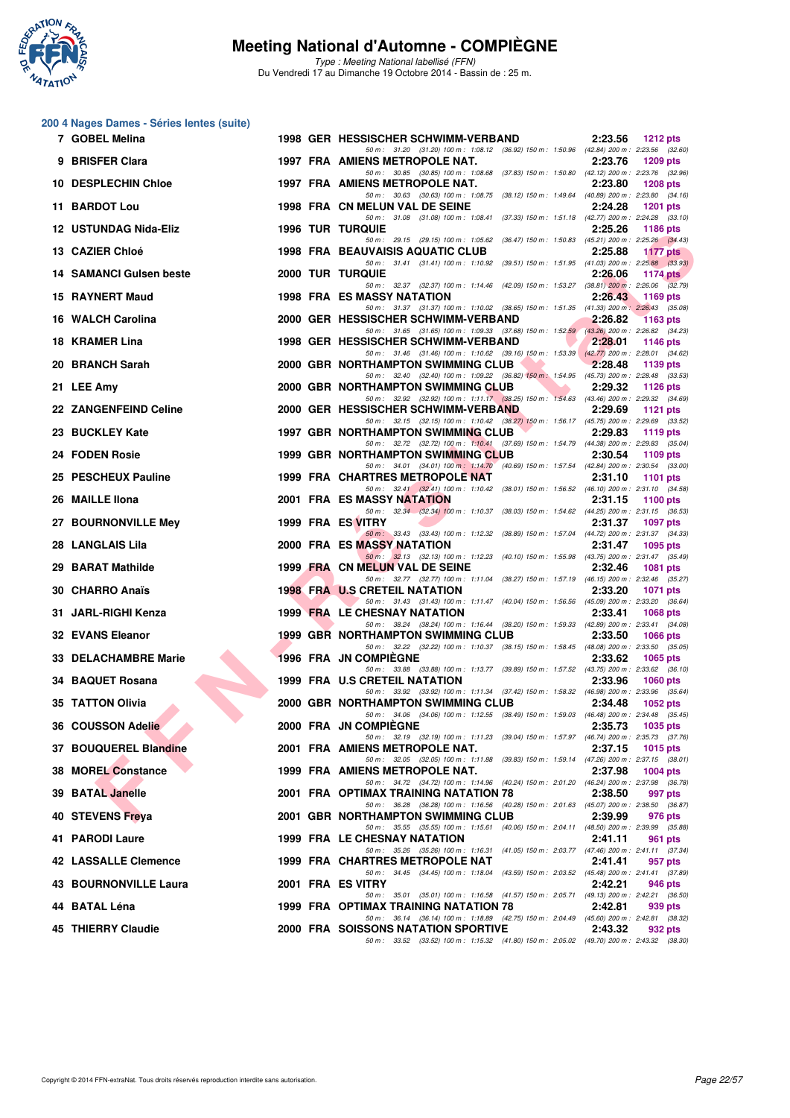

Type : Meeting National labellisé (FFN) Du Vendredi 17 au Dimanche 19 Octobre 2014 - Bassin de : 25 m.

## **200 4 Nages Dames - Séries lentes (suite)**

| 7 GOBEL Melina                 |  | 1998 GER HESSISCHER SCHWIMM-VERBAND                                                                                                                                                                                    | 2:23.56<br><b>1212 pts</b> |  |
|--------------------------------|--|------------------------------------------------------------------------------------------------------------------------------------------------------------------------------------------------------------------------|----------------------------|--|
| 9 BRISFER Clara                |  | 50 m: 31.20 (31.20) 100 m: 1:08.12 (36.92) 150 m: 1:50.96 (42.84) 200 m: 2:23.56 (32.60)<br>1997 FRA AMIENS METROPOLE NAT.                                                                                             | 2:23.76<br>1209 pts        |  |
| 10 DESPLECHIN Chloe            |  | 50 m: 30.85 (30.85) 100 m: 1:08.68 (37.83) 150 m: 1:50.80 (42.12) 200 m: 2:23.76 (32.96)<br>1997 FRA AMIENS METROPOLE NAT.<br>50 m: 30.63 (30.63) 100 m: 1:08.75 (38.12) 150 m: 1:49.64 (40.89) 200 m: 2:23.80 (34.16) | 2:23.80<br><b>1208 pts</b> |  |
| 11 BARDOT Lou                  |  | 1998 FRA CN MELUN VAL DE SEINE                                                                                                                                                                                         | 2:24.28<br><b>1201 pts</b> |  |
| 12 USTUNDAG Nida-Eliz          |  | 50 m: 31.08 (31.08) 100 m: 1:08.41 (37.33) 150 m: 1:51.18 (42.77) 200 m: 2:24.28 (33.10)<br><b>1996 TUR TURQUIE</b>                                                                                                    | 2:25.26<br><b>1186 pts</b> |  |
| 13 CAZIER Chloé                |  | 50 m: 29.15 (29.15) 100 m: 1:05.62 (36.47) 150 m: 1:50.83 (45.21) 200 m: 2:25.26 (34.43)<br><b>1998 FRA BEAUVAISIS AQUATIC CLUB</b>                                                                                    | 2:25.88<br>1177 $pts$      |  |
| <b>14 SAMANCI Guisen beste</b> |  | 50 m: 31.41 (31.41) 100 m: 1:10.92 (39.51) 150 m: 1:51.95 (41.03) 200 m: 2:25.88 (33.93)<br><b>2000 TUR TURQUIE</b>                                                                                                    | 2:26.06<br>1174 $pts$      |  |
| 15 RAYNERT Maud                |  | 50 m: 32.37 (32.37) 100 m: 1:14.46 (42.09) 150 m: 1:53.27 (38.81) 200 m: 2:26.06 (32.79)<br><b>1998 FRA ES MASSY NATATION</b>                                                                                          | 2:26.43<br>1169 pts        |  |
| 16 WALCH Carolina              |  | 50 m: 31.37 (31.37) 100 m: 1:10.02 (38.65) 150 m: 1:51.35 (41.33) 200 m: 2:26.43 (35.08)<br>2000 GER HESSISCHER SCHWIMM-VERBAND                                                                                        | 2:26.82<br><b>1163 pts</b> |  |
| 18 KRAMER Lina                 |  | 50 m: 31.65 (31.65) 100 m: 1:09.33 (37.68) 150 m: 1:52.59 (43.26) 200 m: 2:26.82 (34.23)<br>1998 GER HESSISCHER SCHWIMM-VERBAND                                                                                        | 2:28.01<br>1146 pts        |  |
| 20 BRANCH Sarah                |  | 50 m: 31.46 (31.46) 100 m: 1:10.62 (39.16) 150 m: 1:53.39 (42.77) 200 m: 2:28.01 (34.62)<br>2000 GBR NORTHAMPTON SWIMMING CLUB                                                                                         | 2:28.48<br>1139 pts        |  |
| 21 LEE Amy                     |  | 50 m: 32.40 (32.40) 100 m: 1:09.22 (36.82) 150 m: 1:54.95 (45.73) 200 m: 2:28.48 (33.53)<br><b>The Second Service</b><br>2000 GBR NORTHAMPTON SWIMMING CLUB                                                            | 2:29.32<br>1126 pts        |  |
| 22 ZANGENFEIND Celine          |  | 50 m: 32.92 (32.92) 100 m: 1:11.17 (38.25) 150 m: 1:54.63 (43.46) 200 m: 2:29.32 (34.69)<br>2000 GER HESSISCHER SCHWIMM-VERBAND                                                                                        | 2:29.69<br>1121 $pts$      |  |
| 23 BUCKLEY Kate                |  | 50 m: 32.15 (32.15) 100 m: 1:10.42 (38.27) 150 m: 1:56.17 (45.75) 200 m: 2:29.69 (33.52)<br>1997 GBR NORTHAMPTON SWIMMING CLUB                                                                                         | 2:29.83<br>1119 $pts$      |  |
| 24 FODEN Rosie                 |  | 50 m: 32.72 (32.72) 100 m: 1:10.41 (37.69) 150 m: 1:54.79 (44.38) 200 m: 2:29.83 (35.04)<br>1999 GBR NORTHAMPTON SWIMMING CLUB                                                                                         | 2:30.54<br>1109 pts        |  |
| 25 PESCHEUX Pauline            |  | 50 m: 34.01 (34.01) 100 m: 1:14.70 (40.69) 150 m: 1:57.54 (42.84) 200 m: 2:30.54 (33.00)<br>1999 FRA CHARTRES METROPOLE NAT                                                                                            | 2:31.10<br><b>1101 pts</b> |  |
| 26 MAILLE IIona                |  | 50 m: 32.41 (32.41) 100 m: 1:10.42 (38.01) 150 m: 1:56.52 (46.10) 200 m: 2:31.10 (34.58)<br>2001 FRA ES MASSY NATATION                                                                                                 | 2:31.15<br>1100 $pts$      |  |
| 27 BOURNONVILLE Mey            |  | 50 m: 32.34 (32.34) 100 m: 1:10.37 (38.03) 150 m: 1:54.62 (44.25) 200 m: 2:31.15 (36.53)<br>1999 FRA ES VITRY                                                                                                          | 2:31.37<br><b>1097 pts</b> |  |
| 28 LANGLAIS Lila               |  | 50 m: 33.43 (33.43) 100 m: 1:12.32 (38.89) 150 m: 1:57.04 (44.72) 200 m: 2:31.37 (34.33)<br>2000 FRA ES MASSY NATATION                                                                                                 | 2:31.47<br>1095 pts        |  |
| 29 BARAT Mathilde              |  | 50 m: 32.13 (32.13) 100 m: 1:12.23 (40.10) 150 m: 1:55.98 (43.75) 200 m: 2:31.47 (35.49)<br>1999 FRA CN MELUN VAL DE SEINE                                                                                             | 2:32.46<br><b>1081 pts</b> |  |
| 30 CHARRO Anaïs                |  | 50 m: 32.77 (32.77) 100 m: 1:11.04 (38.27) 150 m: 1:57.19 (46.15) 200 m: 2:32.46 (35.27)<br><b>1998 FRA U.S CRETEIL NATATION</b>                                                                                       | 2:33.20<br><b>1071 pts</b> |  |
| 31 JARL-RIGHI Kenza            |  | 50 m: 31.43 (31.43) 100 m: 1:11.47 (40.04) 150 m: 1:56.56 (45.09) 200 m: 2:33.20 (36.64)<br>1999 FRA LE CHESNAY NATATION                                                                                               | 2:33.41<br><b>1068 pts</b> |  |
| 32 EVANS Eleanor               |  | 50 m: 38.24 (38.24) 100 m: 1:16.44 (38.20) 150 m: 1:59.33 (42.89) 200 m: 2:33.41 (34.08)<br><b>1999 GBR NORTHAMPTON SWIMMING CLUB</b>                                                                                  | 2:33.50<br><b>1066 pts</b> |  |
| <b>33 DELACHAMBRE Marie</b>    |  | 50 m: 32.22 (32.22) 100 m: 1:10.37 (38.15) 150 m: 1:58.45 (48.08) 200 m: 2:33.50 (35.05)<br>1996 FRA JN COMPIEGNE                                                                                                      | 2:33.62<br>1065 pts        |  |
| 34 BAQUET Rosana               |  | 50 m: 33.88 (33.88) 100 m: 1:13.77 (39.89) 150 m: 1:57.52 (43.75) 200 m: 2:33.62 (36.10)<br>1999 FRA U.S CRETEIL NATATION                                                                                              | 2:33.96<br>1060 $pts$      |  |
| 35 TATTON Olivia               |  | 50 m: 33.92 (33.92) 100 m: 1:11.34 (37.42) 150 m: 1:58.32 (46.98) 200 m: 2:33.96 (35.64)<br>2000 GBR NORTHAMPTON SWIMMING CLUB                                                                                         | 2:34.48<br>1052 $pts$      |  |
| 36 COUSSON Adelie              |  | 50 m: 34.06 (34.06) 100 m: 1:12.55 (38.49) 150 m: 1:59.03 (46.48) 200 m: 2:34.48 (35.45)<br>2000 FRA JN COMPIÈGNE                                                                                                      | 2:35.73<br>1035 pts        |  |
| 37 BOUQUEREL Blandine          |  | 50 m: 32.19 (32.19) 100 m: 1:11.23 (39.04) 150 m: 1:57.97 (46.74) 200 m: 2:35.73 (37.76)<br>2001 FRA AMIENS METROPOLE NAT.                                                                                             | 2:37.15<br>1015 pts        |  |
| <b>38 MOREL Constance</b>      |  | 50 m: 32.05 (32.05) 100 m: 1:11.88 (39.83) 150 m: 1:59.14 (47.26) 200 m: 2:37.15 (38.01)<br>1999 FRA AMIENS METROPOLE NAT.                                                                                             | 2:37.98<br>1004 pts        |  |
| 39 BATAL Janelle               |  | 50 m: 34.72 (34.72) 100 m: 1:14.96 (40.24) 150 m: 2:01.20 (46.24) 200 m: 2:37.98 (36.78)<br>2001 FRA OPTIMAX TRAINING NATATION 78                                                                                      | 2:38.50<br>997 pts         |  |
| 40 STEVENS Freya               |  | 50 m: 36.28 (36.28) 100 m: 1:16.56 (40.28) 150 m: 2:01.63 (45.07) 200 m: 2:38.50 (36.87)<br>2001 GBR NORTHAMPTON SWIMMING CLUB                                                                                         | 2:39.99<br>976 pts         |  |
| 41 PARODI Laure                |  | 50 m: 35.55 (35.55) 100 m: 1:15.61 (40.06) 150 m: 2:04.11 (48.50) 200 m: 2:39.99 (35.88)<br>1999 FRA LE CHESNAY NATATION                                                                                               | 2:41.11<br>961 pts         |  |
| 42 LASSALLE Clemence           |  | 50 m: 35.26 (35.26) 100 m: 1:16.31 (41.05) 150 m: 2:03.77 (47.46) 200 m: 2:41.11 (37.34)<br>1999 FRA CHARTRES METROPOLE NAT                                                                                            | 2:41.41<br>957 pts         |  |
| <b>43 BOURNONVILLE Laura</b>   |  | 50 m: 34.45 (34.45) 100 m: 1:18.04 (43.59) 150 m: 2:03.52 (45.48) 200 m: 2:41.41 (37.89)<br>2001 FRA ES VITRY                                                                                                          | 2:42.21<br>946 pts         |  |
| 44 BATAL Léna                  |  | 50 m: 35.01 (35.01) 100 m: 1:16.58 (41.57) 150 m: 2:05.71 (49.13) 200 m: 2:42.21 (36.50)<br>1999 FRA OPTIMAX TRAINING NATATION 78                                                                                      | 2:42.81<br>939 pts         |  |
| 45 THIERRY Claudie             |  | 50 m: 36.14 (36.14) 100 m: 1:18.89 (42.75) 150 m: 2:04.49 (45.60) 200 m: 2:42.81 (38.32)<br><b>2000 FRA SOISSONS NATATION SPORTIVE</b>                                                                                 | 2:43.32<br>932 pts         |  |
|                                |  | 50 m: 33.52 (33.52) 100 m: 1:15.32 (41.80) 150 m: 2:05.02 (49.70) 200 m: 2:43.32 (38.30)                                                                                                                               |                            |  |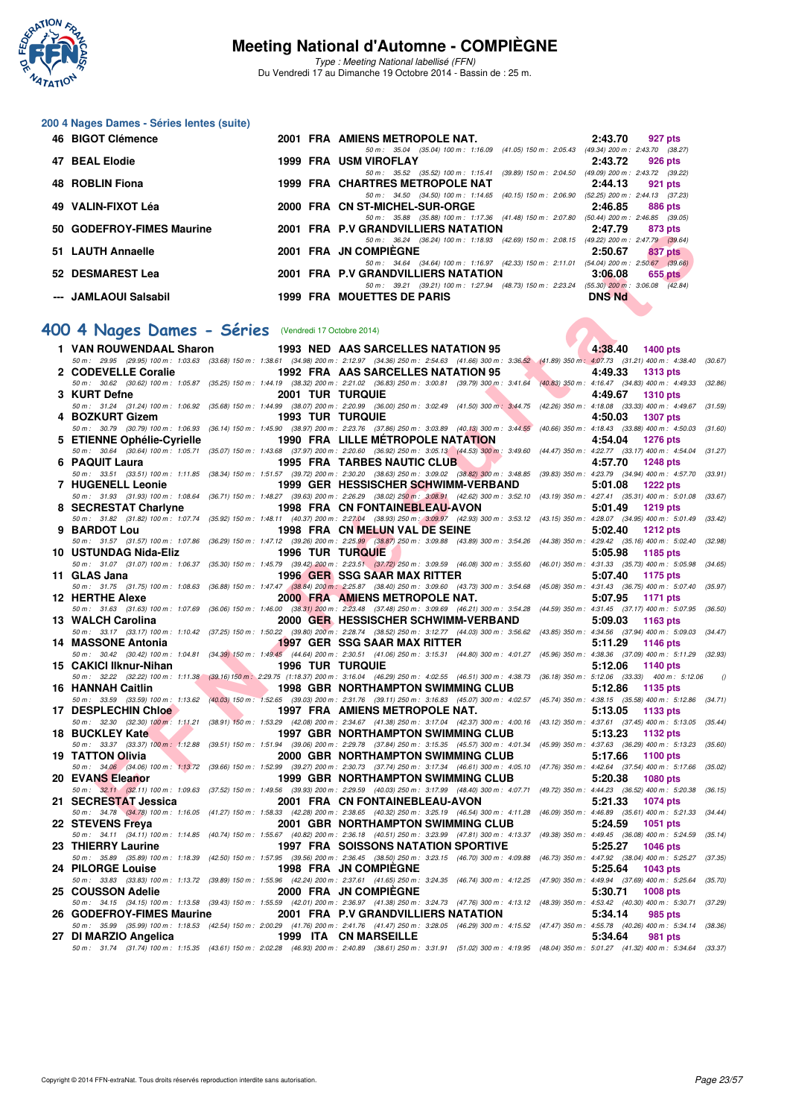

Type : Meeting National labellisé (FFN) Du Vendredi 17 au Dimanche 19 Octobre 2014 - Bassin de : 25 m.

| 200 4 Nages Dames - Séries lentes (suite) |  |  |  |
|-------------------------------------------|--|--|--|
|-------------------------------------------|--|--|--|

| 46 BIGOT Clémence         |  | 2001 FRA AMIENS METROPOLE NAT.                            | 2:43.70                             | 927 pts                         |
|---------------------------|--|-----------------------------------------------------------|-------------------------------------|---------------------------------|
|                           |  | 50 m: 35.04 (35.04) 100 m: 1:16.09 (41.05) 150 m: 2:05.43 | (49.34) 200 m : 2:43.70 (38.27      |                                 |
| 47 BEAL Elodie            |  | 1999 FRA USM VIROFLAY                                     | 2:43.72                             | 926 pts                         |
|                           |  | 50 m: 35.52 (35.52) 100 m: 1:15.41 (39.89) 150 m: 2:04.50 | (49.09) 200 m : 2:43.72 (39.22)     |                                 |
| 48 ROBLIN Fiona           |  | 1999 FRA CHARTRES METROPOLE NAT                           | 2:44.13                             | 921 pts                         |
|                           |  | 50 m: 34.50 (34.50) 100 m: 1:14.65 (40.15) 150 m: 2:06.90 | (52.25) 200 m : 2:44.13 (37.23      |                                 |
| 49 VALIN-FIXOT Léa        |  | 2000 FRA CN ST-MICHEL-SUR-ORGE                            | 2:46.85                             | 886 pts                         |
|                           |  | 50 m: 35.88 (35.88) 100 m: 1:17.36 (41.48) 150 m: 2:07.80 | $(50.44)$ 200 m : 2:46.85 $(39.05)$ |                                 |
| 50 GODEFROY-FIMES Maurine |  | 2001 FRA P.V GRANDVILLIERS NATATION                       | 2:47.79                             | 873 pts                         |
|                           |  | 50 m: 36.24 (36.24) 100 m: 1:18.93 (42.69) 150 m: 2:08.15 |                                     | (49.22) 200 m : 2:47.79 (39.64) |
| 51 LAUTH Annaelle         |  | 2001 FRA JN COMPIEGNE                                     | 2:50.67                             | 837 pts                         |
|                           |  | 50 m: 34.64 (34.64) 100 m: 1:16.97 (42.33) 150 m: 2:11.01 | $(54.04)$ 200 m : 2:50.67 $(39.66)$ |                                 |
| 52 DESMAREST Lea          |  | 2001 FRA P.V GRANDVILLIERS NATATION                       | 3:06.08                             | $655$ pts                       |
|                           |  | 50 m: 39.21 (39.21) 100 m: 1:27.94 (48.73) 150 m: 2:23.24 | $(55.30)$ 200 m : 3:06.08 $(42.84)$ |                                 |
| --- JAMLAOUI Salsabil     |  | <b>1999 FRA MOUETTES DE PARIS</b>                         | <b>DNS Nd</b>                       |                                 |

#### **[400 4 Nages Dames - Séries](http://www.ffnatation.fr/webffn/resultats.php?idact=nat&go=epr&idcpt=24767&idepr=42)** (Vendredi 17 Octobre 2014)

| <b>JU GUDEFRUTTIMES MAUTHE</b>                       |                                       | <b>2001 THA F.V GRANDVILLIERS IVATATION</b>                                                                                                                                                                                                     | 2.41.19<br>oro pis         |          |
|------------------------------------------------------|---------------------------------------|-------------------------------------------------------------------------------------------------------------------------------------------------------------------------------------------------------------------------------------------------|----------------------------|----------|
| 51 LAUTH Annaelle                                    |                                       | 50 m: 36.24 (36.24) 100 m: 1:18.93 (42.69) 150 m: 2:08.15 (49.22) 200 m: 2:47.79 (39.64)<br>2001 FRA JN COMPIEGNE                                                                                                                               | 2:50.67<br>837 pts         |          |
| 52 DESMAREST Lea                                     |                                       | 50 m: 34.64 (34.64) 100 m: 1:16.97 (42.33) 150 m: 2:11.01 (54.04) 200 m: 2:50.67 (39.66)<br>2001 FRA P.V GRANDVILLIERS NATATION                                                                                                                 | 3:06.08<br>655 pts         |          |
| --- JAMLAOUI Salsabil                                |                                       | 50 m: 39.21 (39.21) 100 m: 1:27.94 (48.73) 150 m: 2:23.24 (55.30) 200 m: 3:06.08 (42.84)<br><b>1999 FRA MOUETTES DE PARIS</b>                                                                                                                   | <b>DNS Nd</b>              |          |
|                                                      |                                       |                                                                                                                                                                                                                                                 |                            |          |
| 00 4 Nages Dames - Séries (Vendredi 17 Octobre 2014) |                                       |                                                                                                                                                                                                                                                 |                            |          |
| 1 VAN ROUWENDAAL Sharon                              |                                       | 1993 NED AAS SARCELLES NATATION 95                                                                                                                                                                                                              | 4:38.40 1400 pts           |          |
|                                                      |                                       | 50 m: 29.95 (29.95) 100 m: 1:03.63 (33.68) 150 m: 1:38.61 (34.98) 200 m: 2:12.97 (34.36) 250 m: 2:54.63 (41.66) 300 m: 3:36.52 (41.89) 350 m: 4:07.73 (31.21) 400 m: 4:38.40 (30.67)                                                            |                            |          |
| 2 CODEVELLE Coralie                                  |                                       | 1992 FRA AAS SARCELLES NATATION 95                                                                                                                                                                                                              | 4:49.33<br><b>1313 pts</b> |          |
| 3 KURT Defne                                         |                                       | 50 m : 30.62 (30.62) 100 m : 1:05.87 (35.25) 150 m : 1:44.19 (38.32) 200 m : 2:21.02 (36.83) 250 m : 3:00.81 (39.79) 300 m : 3:41.64 (40.83) 350 m : 4:16.47 (34.83) 400 m : 4:49.33 (32.86)<br><b>2001 TUR TURQUIE</b>                         | 4:49.67<br><b>1310 pts</b> |          |
|                                                      |                                       | 50 m: 31.24 (31.24) 100 m: 1:06.92 (35.68) 150 m: 1:44.99 (38.07) 200 m: 2:20.99 (36.00) 250 m: 3:02.49 (41.50) 300 m; 3:44.75 (42.26) 350 m: 4:18.08 (33.33) 400 m: 4:49.67                                                                    |                            | (31.59)  |
| 4 BOZKURT Gizem                                      |                                       | <b>1993 TUR TURQUIE</b>                                                                                                                                                                                                                         | 4:50.03<br><b>1307 pts</b> |          |
| 5 ETIENNE Ophélie-Cyrielle                           |                                       | 50 m: 30.79 (30.79) 100 m: 1:06.93 (36.14) 150 m: 1:45.90 (38.97) 200 m: 2:23.76 (37.86) 250 m: 3:03.89 (40.13) 300 m: 3:44.55 (40.66) 350 m: 4:18.43 (33.88) 400 m: 4:50.03 (31.60)<br>1990 FRA LILLE METROPOLE NATATION                       | 4:54.04<br><b>1276 pts</b> |          |
|                                                      |                                       | 50 m : 30.64 (30.64) 100 m : 1:05.71 (35.07) 150 m : 1:43.68 (37.97) 200 m : 2:20.60 (36.92) 250 m : 3:05.13 (44.53) 300 m : 3:49.60 (44.47) 350 m : 4:22.77 (33.17) 400 m : 4:54.04 (31.27)                                                    |                            |          |
| 6 PAQUIT Laura                                       |                                       | $\sim$ 10 $\times$<br>1995 FRA TARBES NAUTIC CLUB                                                                                                                                                                                               | 4:57.70<br><b>1248 pts</b> |          |
|                                                      |                                       | 50 m: 33.51 (33.51) 100 m: 1:11.85 (38.34) 150 m: 1:51.57 (39.72) 200 m: 2:30.20 (38.63) 250 m: 3:09.02 (38.82) 300 m: 3:48.85 (39.83) 350 m: 4:23.79 (34.94) 400 m: 4:57.70                                                                    |                            | (33.91)  |
| 7 HUGENELL Leonie                                    |                                       | 1999   GER   HESSISCHER <b>SCH</b> WIMM-VERBAND<br>50 m : 31.93 (31.93) 100 m : 1:08.64 (36.71) 150 m : 1:48.27 (39.63) 200 m : 2:26.29 (38.02) 250 m : 3:08.91 (42.62) 300 m : 3:52.10 (43.19) 350 m : 4:27.41 (35.31) 400 m : 5:01.08 (33.67) | 5:01.08<br><b>1222 pts</b> |          |
| 8 SECRESTAT Charlyne                                 |                                       | 1998 FRA CN FONTAINEBLEAU-AVON                                                                                                                                                                                                                  | 5:01.49<br>1219 pts        |          |
|                                                      |                                       | 50 m: 31.82 (31.82) 100 m: 1:07.74 (35.92) 150 m: 1:48.11 (40.37) 200 m: 2:27.04 (38.93) 250 m: 3:09.97 (42.93) 300 m: 3:53.12 (43.15) 350 m: 4:28.07 (34.95) 400 m: 5:01.49 (33.42)                                                            |                            |          |
| 9 BARDOT Lou                                         |                                       | 1998 FRA CN MELUN VAL DE SEINE<br>50 m : 31.57 (31.57) 100 m : 1:07.86 (36.29) 150 m : 1:47.12 (39.26) 200 m : 2:25.99 (38.87) 250 m : 3:09.88 (43.89) 300 m : 3:54.26 (44.38) 350 m : 4:29.42 (35.16) 400 m : 5:02.40 (32.98)                  | 5:02.40<br>1212 pts        |          |
| 10 USTUNDAG Nida-Eliz                                |                                       | <b>1996 TUR TURQUIE</b>                                                                                                                                                                                                                         | 5:05.98<br>1185 pts        |          |
|                                                      |                                       | 50 m: 31.07 (31.07) 100 m: 1:06.37 (35.30) 150 m: 1:45.79 (39.42) 200 m: 2:23.51 (37.72) 250 m: 3:09.59 (46.08) 300 m: 3:55.60 (46.01) 350 m: 4:31.33 (35.73) 400 m: 5:05.98                                                                    |                            | (34.65)  |
| 11 GLAS Jana                                         |                                       | <b>1996 GER SSG SAAR MAX RITTER</b>                                                                                                                                                                                                             | 5:07.40<br>1175 pts        |          |
| <b>12 HERTHE Alexe</b>                               |                                       | 50 m : 31.75 (31.75) 100 m : 1:08.63 (36.88) 150 m : 1:47.47 (38.84) 200 m : 2:25.87 (38.40) 250 m : 3:09.60 (43.73) 300 m : 3:54.68 (45.08) 350 m : 4:31.43 (36.75) 400 m : 5:07.40 (35.97)<br>2000 FRA AMIENS METROPOLE NAT.                  | 5:07.95<br>1171 pts        |          |
|                                                      |                                       | 50 m: 31.63 (31.63) 100 m: 1:07.69 (36.06) 150 m: 1:46.00 (38.31) 200 m: 2:23.48 (37.48) 250 m: 3:09.69 (46.21) 300 m: 3:54.28 (44.59) 350 m: 4:31.45 (37.17) 400 m: 5:07.95 (36.50)                                                            |                            |          |
| 13 WALCH Carolina                                    |                                       | 2000 GER, HESSISCHER SCHWIMM-VERBAND                                                                                                                                                                                                            | 5:09.03<br>1163 pts        |          |
|                                                      |                                       | 50 m: 33.17 (33.17) 100 m: 1:10.42 (37.25) 150 m: 1:50.22 (39.80) 200 m: 2:28.74 (38.52) 250 m: 3:12.77 (44.03) 300 m: 3:56.62 (43.85) 350 m: 4:34.56 (37.94) 400 m: 5:09.03 (34.47)                                                            |                            |          |
| 14 MASSONE Antonia                                   |                                       | <b>19</b> 97 GER SSG SAAR MAX RITTER<br>50 m : 30.42 (30.42) 100 m : 1:04.81 (34.39) 150 m : 1:49.45 (44.64) 200 m : 2:30.51 (41.06) 250 m : 3:15.31 (44.80) 300 m : 4:01.27 (45.96) 350 m : 4:38.36 (37.09) 400 m : 5:11.29 (32.93)            | 5:11.29<br><b>1146 pts</b> |          |
| 15 CAKICI Ilknur-Nihan                               | <b>The Contract of Street</b>         | <b>1996 TUR TURQUIE</b>                                                                                                                                                                                                                         | 5:12.06<br>1140 pts        |          |
|                                                      |                                       | 50 m: 32.22 (32.22) 100 m: 1:11.38 (39.16) 150 m: 2:29.75 (1:18.37) 200 m: 3:16.04 (46.29) 250 m: 4:02.55 (46.51) 300 m: 4:38.73 (36.18) 350 m: 5:12.06 (33.33) 400 m: 5:12.06                                                                  |                            | $\theta$ |
| 16 HANNAH Caitlin                                    |                                       | 1998 GBR NORTHAMPTON SWIMMING CLUB<br>50 m: 33.59 (33.59) 100 m: 1:13.62 (40.03) 150 m: 1:52.65 (39.03) 200 m: 2:31.76 (39.11) 250 m: 3:16.83 (45.07) 300 m: 4:02.57 (45.74) 350 m: 4:38.15 (35.58) 400 m: 5:12.86 (34.71)                      | 5:12.86<br>1135 pts        |          |
| 17 DESPLECHIN Chloe                                  | <b>The Contract of Contract State</b> | 1997 FRA AMIENS METROPOLE NAT.                                                                                                                                                                                                                  | 5:13.05<br>1133 pts        |          |
|                                                      |                                       | 50 m: 32.30 (32.30) 100 m: 1:11.21 (38.91) 150 m: 1:53.29 (42.08) 200 m: 2:34.67 (41.38) 250 m: 3:17.04 (42.37) 300 m: 4:00.16 (43.12) 350 m: 4:37.61 (37.45) 400 m: 5:13.05 (35.44)                                                            |                            |          |
| 18 BUCKLEY Kate                                      |                                       | 1997 GBR NORTHAMPTON SWIMMING CLUB<br>50 m: 33.37 (33.37) 100 m: 1.12.88 (39.51) 150 m: 1:51.94 (39.06) 200 m: 2:29.78 (37.84) 250 m: 3:15.35 (45.57) 300 m: 4:01.34 (45.99) 350 m: 4:37.63 (36.29) 400 m: 5:13.23 (35.60)                      | 5:13.23<br>1132 pts        |          |
| 19 TATTON Olivia                                     |                                       | 2000 GBR NORTHAMPTON SWIMMING CLUB                                                                                                                                                                                                              | 5:17.66<br>1100 pts        |          |
|                                                      |                                       | 50 m: 34,06 (34.06) 100 m: 1:13.72 (39.66) 150 m: 1:52.99 (39.27) 200 m: 2:30.73 (37.74) 250 m: 3:17.34 (46.61) 300 m: 4:05.10 (47.76) 350 m: 4:42.64 (37.54) 400 m: 5:17.66 (35.02)                                                            |                            |          |
| 20 EVANS Eleanor                                     |                                       | 1999 GBR NORTHAMPTON SWIMMING CLUB                                                                                                                                                                                                              | 5:20.38<br><b>1080 pts</b> |          |
| 21 SECRESTAT Jessica                                 |                                       | 50 m: 32.11 (32.11) 100 m: 1:09.63 (37.52) 150 m: 1:49.56 (39.93) 200 m: 2:29.59 (40.03) 250 m: 3:17.99 (48.40) 300 m: 4:07.71 (49.72) 350 m: 4:44.23 (36.52) 400 m: 5:20.38 (36.15)<br>2001 FRA CN FONTAINEBLEAU-AVON                          | 5:21.33<br>1074 pts        |          |
|                                                      |                                       | 50 m: 34.78 (34.78) 100 m: 1:16.05 (41.27) 150 m: 1:58.33 (42.28) 200 m: 2:38.65 (40.32) 250 m: 3:25.19 (46.54) 300 m: 4:11.28 (46.09) 350 m: 4:46.89 (35.61) 400 m: 5:21.33 (34.44)                                                            |                            |          |
| 22 STEVENS Freya                                     |                                       | 2001 GBR NORTHAMPTON SWIMMING CLUB                                                                                                                                                                                                              | 5:24.59 1051 pts           |          |
|                                                      |                                       | 50 m: 34.11 (34.11) 100 m: 1:14.85 (40.74) 150 m: 1:55.67 (40.82) 200 m: 2:36.18 (40.51) 250 m: 3:23.99 (47.81) 300 m: 4:13.37 (49.38) 350 m: 4:49.45 (36.08) 400 m: 5:24.59 (35.14)                                                            |                            |          |
| 23 THIERRY Laurine                                   |                                       | <b>1997 FRA SOISSONS NATATION SPORTIVE</b><br>50 m : 35.89 (35.89) 100 m : 1:18.39 (42.50) 150 m : 1:57.95 (39.56) 200 m : 2:36.45 (38.50) 250 m : 3:23.15 (46.70) 300 m : 4:09.88 (46.73) 350 m : 4:47.92 (38.04) 400 m : 5:25.27 (37.35)      | 5:25.27<br><b>1046 pts</b> |          |
| 24 PILORGE Louise                                    |                                       | 1998 FRA JN COMPIEGNE                                                                                                                                                                                                                           | 5:25.64<br>1043 pts        |          |
|                                                      |                                       | 50 m: 33.83 (33.83) 100 m: 1:13.72 (39.89) 150 m: 1:55.96 (42.24) 200 m: 2:37.61 (41.65) 250 m: 3:24.35 (46.74) 300 m: 4:12.25 (47.90) 350 m: 4:49.94 (37.69) 400 m: 5:25.64 (35.70)                                                            |                            |          |
| 25   COUSSON Adelie                                  |                                       | 2000 FRA JN COMPIEGNE<br>50 m: 34.15 (34.15) 100 m: 1:13.58 (39.43) 150 m: 1:55.59 (42.01) 200 m: 2:36.97 (41.38) 250 m: 3:24.73 (47.76) 300 m: 4:13.12 (48.39) 350 m: 4:53.42 (40.30) 400 m: 5:30.71 (37.29)                                   | 5:30.71<br><b>1008 pts</b> |          |
| 26 GODEFROY-FIMES Maurine                            |                                       | 2001 FRA P.V GRANDVILLIERS NATATION                                                                                                                                                                                                             | 5:34.14<br>985 pts         |          |
|                                                      |                                       | 50 m: 35.99 (35.99) 100 m: 1:18.53 (42.54) 150 m: 2:00.29 (41.76) 200 m: 2:41.76 (41.47) 250 m: 3:28.05 (46.29) 300 m: 4:15.52 (47.47) 350 m: 4:55.78 (40.26) 400 m: 5:34.14 (38.36)                                                            |                            |          |
| 27 DI MARZIO Angelica                                |                                       | 1999 ITA CN MARSEILLE                                                                                                                                                                                                                           | 5:34.64<br>981 pts         |          |
|                                                      |                                       | 50 m: 31.74 (31.74) 100 m: 1:15.35 (43.61) 150 m: 2:02.28 (46.93) 200 m: 2:40.89 (38.61) 250 m: 3:31.91 (51.02) 300 m: 4:19.95 (48.04) 350 m: 5:01.27 (41.32) 400 m: 5:34.64 (33.37)                                                            |                            |          |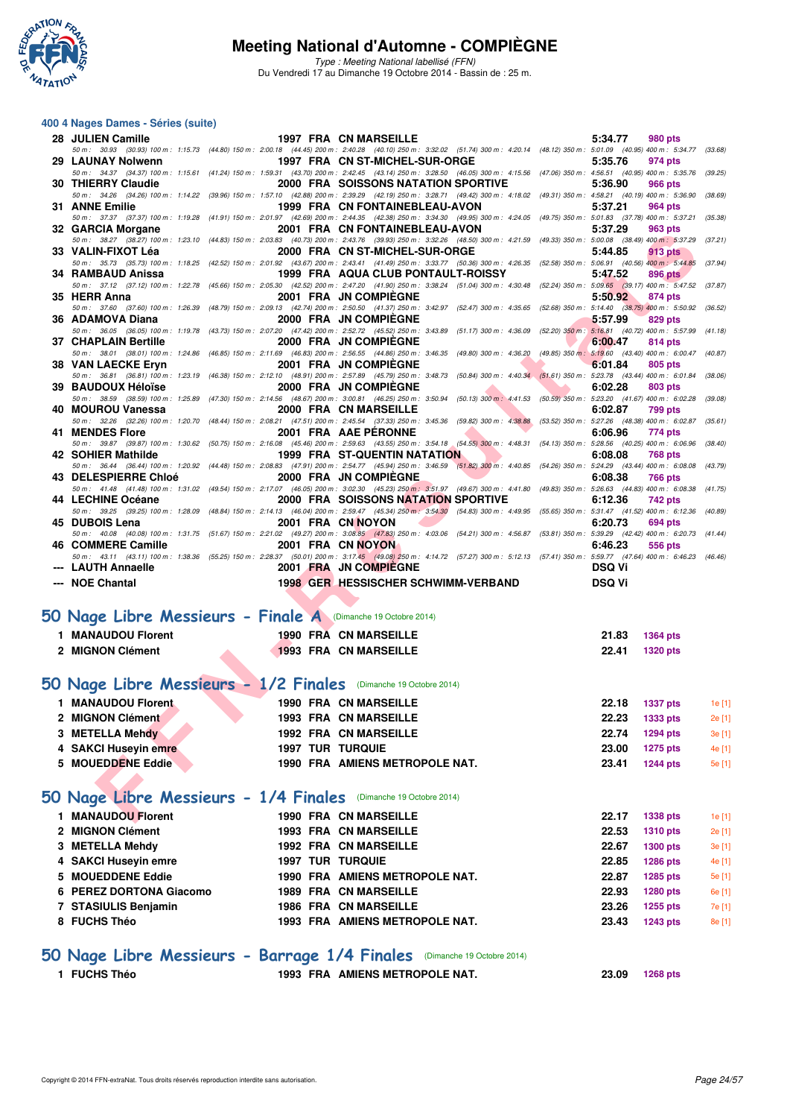

Type : Meeting National labellisé (FFN) Du Vendredi 17 au Dimanche 19 Octobre 2014 - Bassin de : 25 m.

#### **400 4 Nages Dames - Séries (suite)**

| 28 JULIEN Camille                                                |                         | 1997 FRA CN MARSEILLE                                                                                                                                                                                                       | 5:34.77        | 980 pts                            |                  |
|------------------------------------------------------------------|-------------------------|-----------------------------------------------------------------------------------------------------------------------------------------------------------------------------------------------------------------------------|----------------|------------------------------------|------------------|
| 29 LAUNAY Nolwenn                                                |                         | 50 m: 30.93 (30.93) 100 m: 1:15.73 (44.80) 150 m: 2:00.18 (44.45) 200 m: 2:40.28 (40.10) 250 m: 3:32.02 (51.74) 300 m: 4:20.14 (48.12) 350 m: 5:01.09 (40.95) 400 m: 5:34.77 (33.68)<br>1997 FRA CN ST-MICHEL-SUR-ORGE      | 5:35.76        | 974 pts                            |                  |
| 30 THIERRY Claudie                                               |                         | 50 m: 34.37 (34.37) 100 m: 1:15.61 (41.24) 150 m: 1:59.31 (43.70) 200 m: 2:42.45 (43.14) 250 m: 3:28.50 (46.05) 300 m: 4:15.56 (47.06) 350 m: 4:56.51 (40.95) 400 m: 5:35.76 (39.25)<br>2000 FRA SOISSONS NATATION SPORTIVE | 5:36.90        | 966 pts                            |                  |
|                                                                  |                         | 50 m: 34.26 (34.26) 100 m: 1:14.22 (39.96) 150 m: 1:57.10 (42.88) 200 m: 2:39.29 (42.19) 250 m: 3:28.71 (49.42) 300 m: 4:18.02 (49.31) 350 m: 4:58.21 (40.19) 400 m: 5:36.90                                                |                |                                    | (38.69)          |
| 31 ANNE Emilie                                                   |                         | 1999 FRA CN FONTAINEBLEAU-AVON<br>50 m: 37.37 (37.37) 100 m: 1:19.28 (41.91) 150 m: 2:01.97 (42.69) 200 m: 2:44.35 (42.38) 250 m: 3:34.30 (49.95) 300 m: 4:24.05 (49.75) 350 m: 5:01.83 (37.78) 400 m: 5:37.21 (35.38)      | 5:37.21        | 964 pts                            |                  |
| 32 GARCIA Morgane                                                |                         | 2001 FRA CN FONTAINEBLEAU-AVON                                                                                                                                                                                              | 5:37.29        | 963 pts                            |                  |
| 33 VALIN-FIXOT Léa                                               |                         | 50 m: 38.27 (38.27) 100 m: 1:23.10 (44.83) 150 m: 2:03.83 (40.73) 200 m: 2:43.76 (39.93) 250 m: 3:32.26 (48.50) 300 m: 4:21.59 (49.33) 350 m: 5:00.08 (38.49) 400 m: 5:37.29<br>2000 FRA CN ST-MICHEL-SUR-ORGE              | 5:44.85        | 913 pts                            | (37.21)          |
| 34 RAMBAUD Anissa                                                |                         | 50 m: 35.73 (35.73) 100 m: 1:18.25 (42.52) 150 m: 2:01.92 (43.67) 200 m: 2:43.41 (41.49) 250 m: 3:33.77 (50.36) 300 m: 4:26.35 (52.58) 350 m: 5:06.91 (40.56) 400 m: 5:44.85 (37.94)<br>1999 FRA AQUA CLUB PONTAULT-ROISSY  | 5:47.52        |                                    |                  |
|                                                                  |                         | 50 m: 37.12 (37.12) 100 m: 1:22.78 (45.66) 150 m: 2:05.30 (42.52) 200 m: 2:47.20 (41.90) 250 m: 3:38.24 (51.04) 300 m: 4:30.48 (52.24) 350 m: 5:09.65 (39.17) 400 m: 5:47.52 (37.87)                                        |                | 896 pts                            |                  |
| 35 HERR Anna                                                     |                         | 2001 FRA JN COMPIEGNE<br>50 m: 37.60 (37.60) 100 m: 1:26.39 (48.79) 150 m: 2:09.13 (42.74) 200 m: 2:50.50 (41.37) 250 m: 3:42.97 (52.47) 300 m: 4:35.65 (52.68) 350 m: 5:14.40 (38.75) 400 m: 5:50.92 (36.52)               | 5:50.92        | 874 pts                            |                  |
| 36 ADAMOVA Diana                                                 |                         | 2000 FRA JN COMPIEGNE                                                                                                                                                                                                       | 5:57.99        | 829 pts                            |                  |
| 37 CHAPLAIN Bertille                                             |                         | 50 m: 36.05 (36.05) 100 m: 1:19.78 (43.73) 150 m: 2:07.20 (47.42) 200 m: 2:52.72 (45.52) 250 m: 3:43.89 (51.17) 300 m: 4:36.09 (52.20) 350 m: 5:16.81 (40.72) 400 m: 5:57.99 (41.18)<br>2000 FRA JN COMPIEGNE               | 6:00.47        | 814 pts                            |                  |
|                                                                  |                         | 50 m: 38.01 (38.01) 100 m: 1:24.86 (46.85) 150 m: 2:11.69 (46.83) 200 m: 2:56.55 (44.86) 250 m: 3:46.35 (49.80) 300 m: 4:36.20 (49.85) 350 m: 5:19.60 (43.40) 400 m: 6:00.47 (40.87)                                        |                |                                    |                  |
| 38 VAN LAECKE Eryn                                               |                         | 2001 FRA JN COMPIEGNE<br>50 m : 36.81 (36.81) 100 m : 1:23.19 (46.38) 150 m : 2:12.10 (48.91) 200 m : 2:57.89 (45.79) 250 m : 3:48.73 (50.84) 300 m : 4:40.34 (51.61) 350 m : 5:23.78 (43.44) 400 m : 6:01.84 (38.06)       | 6:01.84        | 805 pts                            |                  |
| 39 BAUDOUX Héloïse                                               |                         | 2000 FRA JN COMPIEGNE                                                                                                                                                                                                       | 6:02.28        | <b>803 pts</b>                     |                  |
| 40 MOUROU Vanessa                                                |                         | 50 m: 38.59 (38.59) 100 m: 1:25.89 (47.30) 150 m: 2:14.56 (48.67) 200 m: 3:00.81 (46.25) 250 m: 3:50.94 (50.13) 300 m: 4:41.53 (50.59) 350 m: 5:23.20 (41.67) 400 m: 6:02.28 (39.08)<br>2000 FRA CN MARSEILLE               | 6:02.87        | <b>799 pts</b>                     |                  |
| 41 MENDES Flore                                                  |                         | 50 m: 32.26 (32.26) 100 m: 1:20.70 (48.44) 150 m: 2:08.21 (47.51) 200 m: 2:45.54 (37.33) 250 m: 3:45.36 (59.82) 300 m: 4:38.88 (53.52) 350 m: 5:27.26 (48.38) 400 m: 6:02.87 (35.61)<br>2001 FRA AAE PERONNE                | 6:06.96        |                                    |                  |
|                                                                  |                         | 50 m : 39.87 (39.87) 100 m : 1:30.62 (50.75) 150 m : 2:16.08 (45.46) 200 m : 2:59.63 (43.55) 250 m : 354.18 (54.55) 300 m : 4:48.31 (54.13) 350 m : 5:28.56 (40.25) 400 m : 6:06.96 (38.40)                                 |                | 774 pts                            |                  |
| 42 SOHIER Mathilde                                               |                         | <b>1999 FRA ST-QUENTIN NATATION</b><br>50 m: 36.44 (36.44) 100 m: 1:20.92 (44.48) 150 m: 2:08.83 (47.91) 200 m: 2:54.77 (45.94) 250 m: 3:46.59 (51.82) 300 m: 4:40.85 (54.26) 350 m: 5:24.29 (43.44) 400 m: 6:08.08 (43.79) | 6:08.08        | 768 pts                            |                  |
| 43 DELESPIERRE Chloé                                             |                         | 2000 FRA JN COMPIEGNE                                                                                                                                                                                                       | 6:08.38        | 766 pts                            |                  |
| 44 LECHINE Océane                                                |                         | 50 m: 41.48 (41.48) 100 m: 1:31.02 (49.54) 150 m: 2:17.07 (46.05) 200 m: 3:02.30 (45.23) 250 m: 3:51.97 (49.67) 300 m: 4:41.80 (49.83) 350 m: 5:26.63 (44.83) 400 m: 6:08.38 (41.75)<br>2000 FRA SOISSONS NATATION SPORTIVE | 6:12.36        | 742 pts                            |                  |
|                                                                  |                         | 50 m : 39.25 (39.25) 100 m : 1:28.09 (48.84) 150 m : 2:14.13 (46.04) 200 m : 2:59.47 (45.34) 250 m : 354.30 (54.83) 300 m : 4:49.95 (55.65) 350 m : 5:31.47 (41.52) 400 m : 6:12.36 (40.89)                                 |                |                                    |                  |
| 45 DUBOIS Lena                                                   |                         | 2001 FRA CN NOYON<br>50 m: 40.08 (40.08) 100 m: 1:31.75 (51.67) 150 m: 2:21.02 (49.27) 200 m: 3:08.85 (47.83) 250 m: 4:03.06 (54.21) 300 m: 4:56.87 (53.81) 350 m: 5:39.29 (42.42) 400 m: 6:20.73 (41.44)                   | 6:20.73        | 694 pts                            |                  |
| 46 COMMERE Camille                                               |                         | 2001 FRA CN NOYON                                                                                                                                                                                                           | 6:46.23        | 556 pts                            |                  |
|                                                                  |                         | 50 m: 43.11 (43.11) 100 m: 1:38.36 (55.25) 150 m: 2:28.37 (50.01) 200 m: 3:17.45 (49.08) 250 m: 4:14.72 (57.27) 300 m: 5:12.13 (57.41) 350 m: 5:59.77 (47.64) 400 m: 6:46.23 (46.46)                                        |                |                                    |                  |
|                                                                  |                         |                                                                                                                                                                                                                             | <b>DSQ Vi</b>  |                                    |                  |
| --- LAUTH Annaelle<br>--- NOE Chantal                            |                         | 2001 FRA JN COMPIEGNE<br><b>1998 GER HESSISCHER SCHWIMM-VERBAND</b>                                                                                                                                                         | <b>DSQ Vi</b>  |                                    |                  |
|                                                                  |                         |                                                                                                                                                                                                                             |                |                                    |                  |
| 50 Nage Libre Messieurs - Finale A (Dimanche 19 Octobre 2014)    |                         |                                                                                                                                                                                                                             |                |                                    |                  |
| 1 MANAUDOU Florent                                               |                         | 1990 FRA CN MARSEILLE                                                                                                                                                                                                       | 21.83          | <b>1364 pts</b>                    |                  |
| 2 MIGNON Clément                                                 |                         | <b>1993 FRA CN MARSEILLE</b>                                                                                                                                                                                                | 22.41          | 1320 pts                           |                  |
|                                                                  |                         |                                                                                                                                                                                                                             |                |                                    |                  |
| 50 Nage Libre Messieurs - 1/2 Finales (Dimanche 19 Octobre 2014) |                         |                                                                                                                                                                                                                             |                |                                    |                  |
| 1 MANAUDOU Florent                                               |                         | <b>1990 FRA CN MARSEILLE</b>                                                                                                                                                                                                | 22.18          | 1337 pts                           | 1e [1]           |
| 2 MIGNON Clément                                                 |                         | <b>1993 FRA CN MARSEILLE</b>                                                                                                                                                                                                | 22.23          | <b>1333 pts</b>                    | 2e [1]           |
| 3 METELLA Mehdy                                                  |                         | <b>1992 FRA CN MARSEILLE</b>                                                                                                                                                                                                | 22.74          | <b>1294 pts</b>                    | 3e [1]           |
| 4 SAKCI Huseyin emre                                             | <b>1997 TUR TURQUIE</b> |                                                                                                                                                                                                                             | 23.00          | <b>1275 pts</b>                    | 4e [1]           |
| 5 MOUEDDENE Eddie                                                |                         | 1990 FRA AMIENS METROPOLE NAT.                                                                                                                                                                                              | 23.41          | 1244 pts                           | 5e [1]           |
|                                                                  |                         |                                                                                                                                                                                                                             |                |                                    |                  |
| 50 Nage Libre Messieurs - 1/4 Finales (Dimanche 19 Octobre 2014) |                         |                                                                                                                                                                                                                             |                |                                    |                  |
| 1 MANAUDOU Florent<br>2 MIGNON Clément                           |                         | <b>1990 FRA CN MARSEILLE</b><br><b>1993 FRA CN MARSEILLE</b>                                                                                                                                                                | 22.17<br>22.53 | <b>1338 pts</b>                    | 1e [1]<br>2e [1] |
| 3 METELLA Mehdy                                                  |                         | 1992 FRA CN MARSEILLE                                                                                                                                                                                                       | 22.67          | <b>1310 pts</b><br><b>1300 pts</b> | 3e [1]           |
| 4 SAKCI Huseyin emre                                             | <b>1997 TUR TURQUIE</b> |                                                                                                                                                                                                                             | 22.85          | <b>1286 pts</b>                    | 4e [1]           |
| 5 MOUEDDENE Eddie                                                |                         | 1990 FRA AMIENS METROPOLE NAT.                                                                                                                                                                                              | 22.87          | <b>1285 pts</b>                    | 5e [1]           |
| 6 PEREZ DORTONA Giacomo                                          |                         | <b>1989 FRA CN MARSEILLE</b>                                                                                                                                                                                                | 22.93          | <b>1280 pts</b>                    | 6e [1]           |
| 7 STASIULIS Benjamin                                             |                         | <b>1986 FRA CN MARSEILLE</b>                                                                                                                                                                                                | 23.26          | 1255 pts                           | 7e [1]           |
| 8 FUCHS Théo                                                     |                         | 1993 FRA AMIENS METROPOLE NAT.                                                                                                                                                                                              | 23.43          | <b>1243 pts</b>                    | 8e [1]           |
|                                                                  |                         | 50 Nage Libre Messieurs - Barrage 1/4 Finales (Dimanche 19 Octobre 2014)                                                                                                                                                    |                |                                    |                  |

**1 FUCHS Théo 1993 FRA AMIENS METROPOLE NAT. 23.09 1268 pts**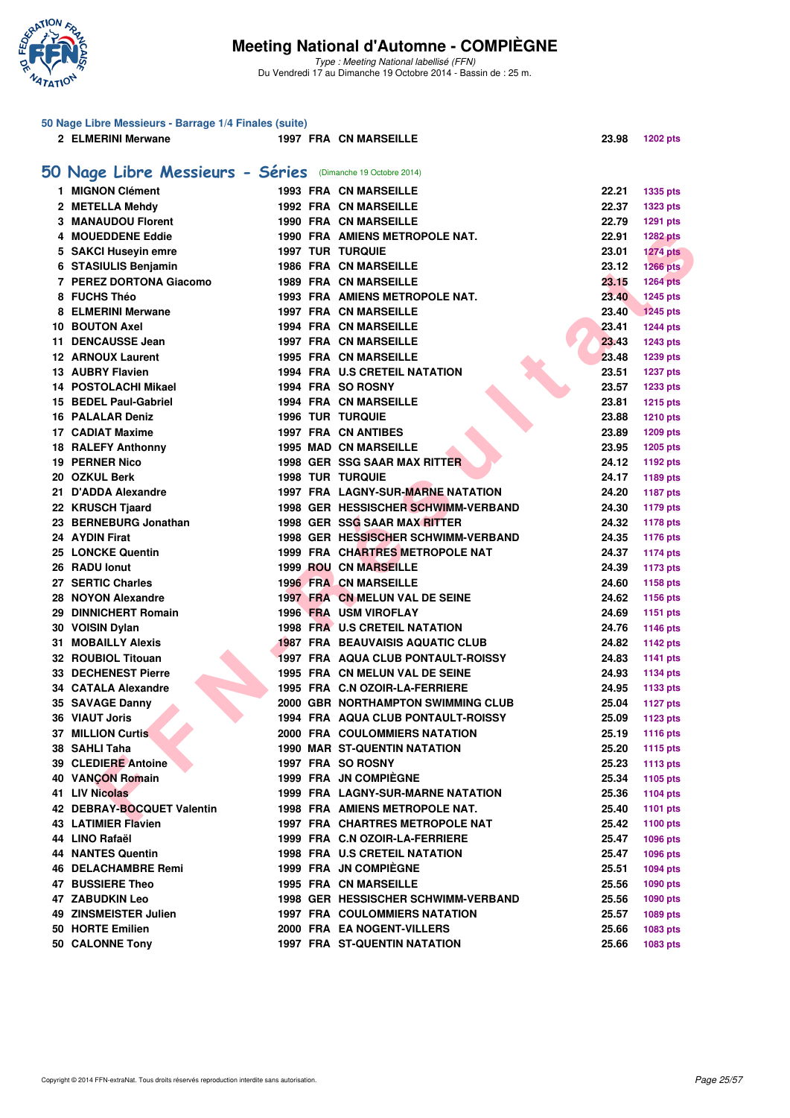

Type : Meeting National labellisé (FFN) Du Vendredi 17 au Dimanche 19 Octobre 2014 - Bassin de : 25 m.

|    | 50 Nage Libre Messieurs - Barrage 1/4 Finales (suite) |  |                                         |                |                 |
|----|-------------------------------------------------------|--|-----------------------------------------|----------------|-----------------|
|    | 2 ELMERINI Merwane                                    |  | <b>1997 FRA CN MARSEILLE</b>            | 23.98          | <b>1202 pts</b> |
|    |                                                       |  |                                         |                |                 |
|    | 50 Nage Libre Messieurs - Séries                      |  | (Dimanche 19 Octobre 2014)              |                |                 |
|    | 1 MIGNON Clément                                      |  | <b>1993 FRA CN MARSEILLE</b>            | 22.21          | 1335 pts        |
|    | 2 METELLA Mehdy                                       |  | <b>1992 FRA CN MARSEILLE</b>            | 22.37          | <b>1323 pts</b> |
|    | 3 MANAUDOU Florent                                    |  | <b>1990 FRA CN MARSEILLE</b>            | 22.79          | 1291 pts        |
|    | 4 MOUEDDENE Eddie                                     |  | 1990 FRA AMIENS METROPOLE NAT.          | 22.91          | <b>1282 pts</b> |
|    | 5 SAKCI Huseyin emre                                  |  | <b>1997 TUR TURQUIE</b>                 | 23.01          | <b>1274 pts</b> |
|    | 6 STASIULIS Benjamin                                  |  | 1986 FRA CN MARSEILLE                   | 23.12          | $1266$ pts      |
|    | 7 PEREZ DORTONA Giacomo                               |  | <b>1989 FRA CN MARSEILLE</b>            | 23.15          | <b>1264 pts</b> |
|    | 8 FUCHS Théo                                          |  | 1993 FRA AMIENS METROPOLE NAT.          | 23.40          | 1245 pts        |
|    | 8 ELMERINI Merwane                                    |  | <b>1997 FRA CN MARSEILLE</b>            | 23.40          | <b>1245 pts</b> |
|    | 10 BOUTON Axel                                        |  | <b>1994 FRA CN MARSEILLE</b>            | 23.41          | <b>1244 pts</b> |
| 11 | <b>DENCAUSSE Jean</b>                                 |  | 1997 FRA CN MARSEILLE                   | 23.43          | <b>1243 pts</b> |
|    | <b>12 ARNOUX Laurent</b>                              |  | <b>1995 FRA CN MARSEILLE</b>            | 23.48          | 1239 pts        |
|    | <b>13 AUBRY Flavien</b>                               |  | 1994 FRA U.S CRETEIL NATATION           | 23.51          | <b>1237 pts</b> |
|    | 14 POSTOLACHI Mikael                                  |  | 1994 FRA SO ROSNY                       | 23.57          | 1233 pts        |
|    | 15 BEDEL Paul-Gabriel                                 |  | <b>1994 FRA CN MARSEILLE</b>            | 23.81          | <b>1215 pts</b> |
|    | <b>16 PALALAR Deniz</b>                               |  | <b>1996 TUR TURQUIE</b>                 | 23.88          | <b>1210 pts</b> |
|    | 17 CADIAT Maxime                                      |  | <b>1997 FRA CN ANTIBES</b>              | 23.89          | 1209 pts        |
|    | <b>18 RALEFY Anthonny</b>                             |  | <b>1995 MAD CN MARSEILLE</b>            | 23.95          |                 |
|    | <b>19 PERNER Nico</b>                                 |  | 1998 GER SSG SAAR MAX RITTER            | 24.12          | 1205 pts        |
|    | 20 OZKUL Berk                                         |  | <b>1998 TUR TURQUIE</b>                 |                | 1192 pts        |
|    |                                                       |  | 1997 FRA LAGNY-SUR-MARNE NATATION       | 24.17          | 1189 pts        |
|    | 21 D'ADDA Alexandre                                   |  | 1998 GER HESSISCHER SCHWIMM-VERBAND     | 24.20<br>24.30 | <b>1187 pts</b> |
|    | 22 KRUSCH Tjaard                                      |  |                                         |                | <b>1179 pts</b> |
|    | 23 BERNEBURG Jonathan                                 |  | 1998 GER SSG SAAR MAX RITTER            | 24.32          | <b>1178 pts</b> |
|    | 24 AYDIN Firat                                        |  | 1998 GER HESSISCHER SCHWIMM-VERBAND     | 24.35          | 1176 pts        |
|    | 25 LONCKE Quentin                                     |  | 1999 FRA CHARTRES METROPOLE NAT         | 24.37          | 1174 pts        |
|    | 26 RADU lonut                                         |  | <b>1999 ROU CN MARSEILLE</b>            | 24.39          | 1173 pts        |
|    | 27 SERTIC Charles                                     |  | <b>1996 FRA CN MARSEILLE</b>            | 24.60          | 1158 pts        |
|    | 28 NOYON Alexandre                                    |  | 1997 FRA CN MELUN VAL DE SEINE          | 24.62          | 1156 pts        |
|    | 29 DINNICHERT Romain                                  |  | <b>1996 FRA USM VIROFLAY</b>            | 24.69          | <b>1151 pts</b> |
|    | 30 VOISIN Dylan                                       |  | 1998 FRA U.S CRETEIL NATATION           | 24.76          | 1146 pts        |
|    | <b>31 MOBAILLY Alexis</b>                             |  | <b>1987 FRA BEAUVAISIS AQUATIC CLUB</b> | 24.82          | <b>1142 pts</b> |
|    | 32 ROUBIOL Titouan                                    |  | 1997 FRA AQUA CLUB PONTAULT-ROISSY      | 24.83          | 1141 pts        |
|    | <b>33 DECHENEST Pierre</b>                            |  | 1995 FRA CN MELUN VAL DE SEINE          | 24.93          | <b>1134 pts</b> |
|    | 34 CATALA Alexandre                                   |  | 1995 FRA C.N OZOIR-LA-FERRIERE          | 24.95          | 1133 pts        |
|    | 35 SAVAGE Danny                                       |  | 2000 GBR NORTHAMPTON SWIMMING CLUB      | 25.04          | <b>1127 pts</b> |
|    | 36 VIAUT Joris                                        |  | 1994 FRA AQUA CLUB PONTAULT-ROISSY      | 25.09          | 1123 pts        |
|    | 37 MILLION Curtis                                     |  | <b>2000 FRA COULOMMIERS NATATION</b>    | 25.19          | 1116 pts        |
|    | 38 SAHLI Taha                                         |  | <b>1990 MAR ST-QUENTIN NATATION</b>     | 25.20          | 1115 pts        |
|    | 39 CLEDIERE Antoine                                   |  | 1997 FRA SO ROSNY                       | 25.23          | <b>1113 pts</b> |
|    | <b>40 VANCON Romain</b>                               |  | <b>1999 FRA JN COMPIEGNE</b>            | 25.34          | 1105 pts        |
|    | 41 LIV Nicolas                                        |  | 1999 FRA LAGNY-SUR-MARNE NATATION       | 25.36          | 1104 pts        |
|    | 42 DEBRAY-BOCQUET Valentin                            |  | 1998 FRA AMIENS METROPOLE NAT.          | 25.40          | <b>1101 pts</b> |
|    | <b>43 LATIMIER Flavien</b>                            |  | 1997 FRA CHARTRES METROPOLE NAT         | 25.42          | 1100 pts        |
|    | 44 LINO Rafaël                                        |  | 1999 FRA C.N OZOIR-LA-FERRIERE          | 25.47          | 1096 pts        |
|    | <b>44 NANTES Quentin</b>                              |  | <b>1998 FRA U.S CRETEIL NATATION</b>    | 25.47          | 1096 pts        |
|    | <b>46 DELACHAMBRE Remi</b>                            |  | <b>1999 FRA JN COMPIEGNE</b>            | 25.51          | 1094 pts        |
|    | 47 BUSSIERE Theo                                      |  | <b>1995 FRA CN MARSEILLE</b>            | 25.56          | 1090 pts        |
|    | 47 ZABUDKIN Leo                                       |  | 1998 GER HESSISCHER SCHWIMM-VERBAND     | 25.56          | 1090 pts        |
|    | 49 ZINSMEISTER Julien                                 |  | <b>1997 FRA COULOMMIERS NATATION</b>    | 25.57          | 1089 pts        |
|    | 50 HORTE Emilien                                      |  | 2000 FRA EA NOGENT-VILLERS              | 25.66          | 1083 pts        |
|    | 50 CALONNE Tony                                       |  | <b>1997 FRA ST-QUENTIN NATATION</b>     | 25.66          | 1083 pts        |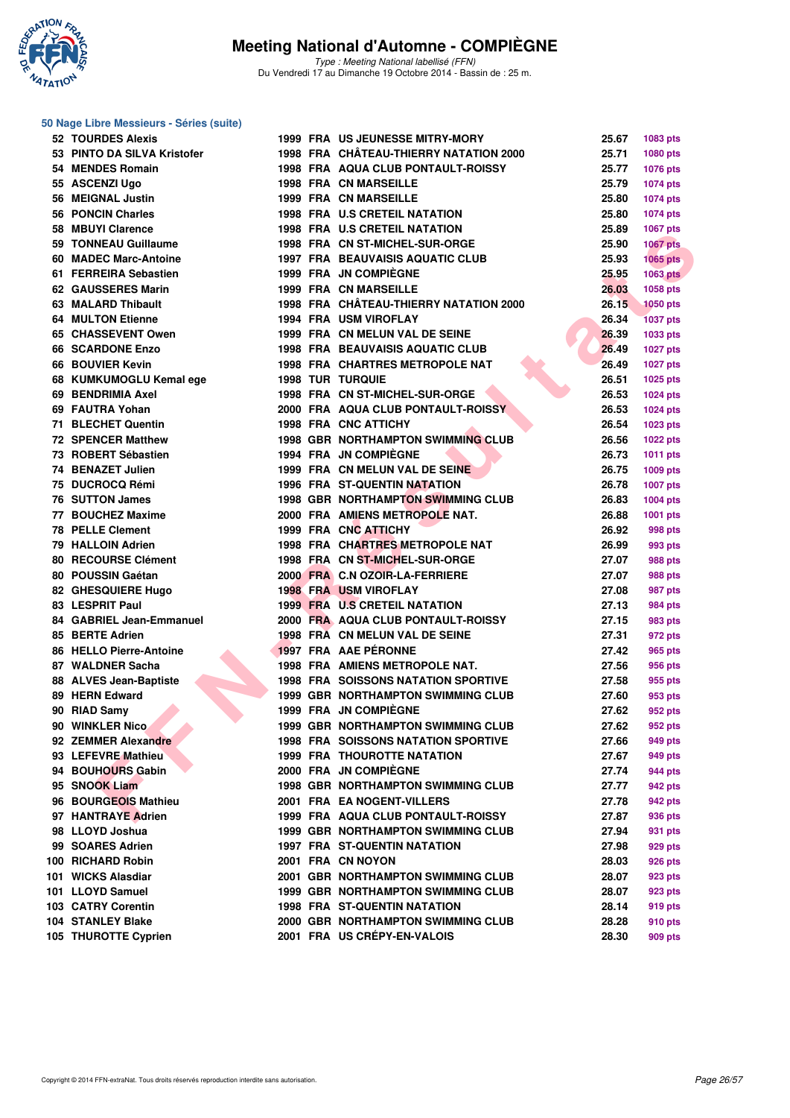

Type : Meeting National labellisé (FFN) Du Vendredi 17 au Dimanche 19 Octobre 2014 - Bassin de : 25 m.

#### **50 Nage Libre Messieurs - Séries (suite)**

| <b>52 TOURDES Alexis</b>    |  | 1999 FRA US JEUNESSE MITRY-MORY            | 25.67 | 1083 pts        |
|-----------------------------|--|--------------------------------------------|-------|-----------------|
| 53 PINTO DA SILVA Kristofer |  | 1998 FRA CHÂTEAU-THIERRY NATATION 2000     | 25.71 | 1080 pts        |
| 54 MENDES Romain            |  | <b>1998 FRA AQUA CLUB PONTAULT-ROISSY</b>  | 25.77 | 1076 pts        |
| 55 ASCENZI Ugo              |  | <b>1998 FRA CN MARSEILLE</b>               | 25.79 | 1074 pts        |
| 56 MEIGNAL Justin           |  | <b>1999 FRA CN MARSEILLE</b>               | 25.80 | 1074 pts        |
| 56 PONCIN Charles           |  | <b>1998 FRA U.S CRETEIL NATATION</b>       | 25.80 | <b>1074 pts</b> |
| 58 MBUYI Clarence           |  | 1998 FRA U.S CRETEIL NATATION              | 25.89 | 1067 pts        |
| 59 TONNEAU Guillaume        |  | 1998 FRA CN ST-MICHEL-SUR-ORGE             | 25.90 | <b>1067 pts</b> |
| 60 MADEC Marc-Antoine       |  | <b>1997 FRA BEAUVAISIS AQUATIC CLUB</b>    | 25.93 | $1065$ pts      |
| 61 FERREIRA Sebastien       |  | 1999 FRA JN COMPIÈGNE                      | 25.95 | <b>1063 pts</b> |
| 62 GAUSSERES Marin          |  | <b>1999 FRA CN MARSEILLE</b>               | 26.03 | 1058 pts        |
| 63 MALARD Thibault          |  | 1998 FRA CHÂTEAU-THIERRY NATATION 2000     | 26.15 | <b>1050 pts</b> |
| <b>64 MULTON Etienne</b>    |  | <b>1994 FRA USM VIROFLAY</b>               | 26.34 | <b>1037 pts</b> |
| 65 CHASSEVENT Owen          |  | 1999 FRA CN MELUN VAL DE SEINE             | 26.39 | 1033 pts        |
| <b>66 SCARDONE Enzo</b>     |  | <b>1998 FRA BEAUVAISIS AQUATIC CLUB</b>    | 26.49 | <b>1027 pts</b> |
| 66 BOUVIER Kevin            |  | 1998 FRA CHARTRES METROPOLE NAT            | 26.49 | <b>1027 pts</b> |
| 68 KUMKUMOGLU Kemal ege     |  | <b>1998 TUR TURQUIE</b>                    | 26.51 | <b>1025 pts</b> |
| 69 BENDRIMIA Axel           |  | 1998 FRA CN ST-MICHEL-SUR-ORGE             | 26.53 | <b>1024 pts</b> |
| 69 FAUTRA Yohan             |  | <b>2000 FRA AQUA CLUB PONTAULT-ROISSY</b>  | 26.53 | <b>1024 pts</b> |
| 71 BLECHET Quentin          |  | 1998 FRA CNC ATTICHY                       | 26.54 | <b>1023 pts</b> |
| <b>72 SPENCER Matthew</b>   |  | 1998 GBR NORTHAMPTON SWIMMING CLUB         | 26.56 | <b>1022 pts</b> |
| 73 ROBERT Sébastien         |  | 1994 FRA JN COMPIÈGNE                      | 26.73 | 1011 pts        |
| 74 BENAZET Julien           |  | 1999 FRA CN MELUN VAL DE SEINE             | 26.75 | 1009 pts        |
| 75 DUCROCQ Rémi             |  | 1996 FRA ST-QUENTIN NATATION               | 26.78 | 1007 pts        |
| 76 SUTTON James             |  | 1998 GBR NORTHAMPTON SWIMMING CLUB         | 26.83 | 1004 pts        |
| 77 BOUCHEZ Maxime           |  | 2000 FRA AMIENS METROPOLE NAT.             | 26.88 | 1001 pts        |
| <b>78 PELLE Clement</b>     |  | 1999 FRA CNC ATTICHY                       | 26.92 | 998 pts         |
| 79 HALLOIN Adrien           |  | 1998 FRA CHARTRES METROPOLE NAT            | 26.99 | 993 pts         |
| 80 RECOURSE Clément         |  | 1998 FRA CN ST-MICHEL-SUR-ORGE             | 27.07 | 988 pts         |
| 80 POUSSIN Gaétan           |  | 2000 FRA C.N OZOIR-LA-FERRIERE             | 27.07 | 988 pts         |
| 82 GHESQUIERE Hugo          |  | <b>1998 FRA USM VIROFLAY</b>               | 27.08 | 987 pts         |
| 83 LESPRIT Paul             |  | <b>1999 FRA U.S CRETEIL NATATION</b>       | 27.13 | 984 pts         |
| 84 GABRIEL Jean-Emmanuel    |  | 2000 FRA AQUA CLUB PONTAULT-ROISSY         | 27.15 | 983 pts         |
| 85 BERTE Adrien             |  | 1998 FRA CN MELUN VAL DE SEINE             | 27.31 | 972 pts         |
| 86 HELLO Pierre-Antoine     |  | 1997 FRA AAE PÉRONNE                       | 27.42 | 965 pts         |
| 87 WALDNER Sacha            |  | 1998 FRA AMIENS METROPOLE NAT.             | 27.56 | 956 pts         |
| 88 ALVES Jean-Baptiste      |  | <b>1998 FRA SOISSONS NATATION SPORTIVE</b> | 27.58 | 955 pts         |
| 89 HERN Edward              |  | <b>1999 GBR NORTHAMPTON SWIMMING CLUB</b>  | 27.60 | 953 pts         |
| 90 RIAD Samy                |  | 1999 FRA JN COMPIÈGNE                      | 27.62 | 952 pts         |
| 90 WINKLER Nico             |  | <b>1999 GBR NORTHAMPTON SWIMMING CLUB</b>  | 27.62 | 952 pts         |
| 92 ZEMMER Alexandre         |  | <b>1998 FRA SOISSONS NATATION SPORTIVE</b> | 27.66 | 949 pts         |
| 93 LEFEVRE Mathieu          |  | <b>1999 FRA THOUROTTE NATATION</b>         | 27.67 | 949 pts         |
| 94 BOUHOURS Gabin           |  | 2000 FRA JN COMPIÈGNE                      | 27.74 | 944 pts         |
| 95 SNOOK Liam               |  | <b>1998 GBR NORTHAMPTON SWIMMING CLUB</b>  | 27.77 | 942 pts         |
| 96 BOURGEOIS Mathieu        |  | 2001 FRA EA NOGENT-VILLERS                 | 27.78 | 942 pts         |
| 97 HANTRAYE Adrien          |  | 1999 FRA AQUA CLUB PONTAULT-ROISSY         | 27.87 | 936 pts         |
| 98 LLOYD Joshua             |  | <b>1999 GBR NORTHAMPTON SWIMMING CLUB</b>  | 27.94 | 931 pts         |
| 99 SOARES Adrien            |  | <b>1997 FRA ST-QUENTIN NATATION</b>        | 27.98 | 929 pts         |
| 100 RICHARD Robin           |  | 2001 FRA CN NOYON                          | 28.03 | 926 pts         |
| 101 WICKS Alasdiar          |  | 2001 GBR NORTHAMPTON SWIMMING CLUB         | 28.07 | 923 pts         |
| 101 LLOYD Samuel            |  | <b>1999 GBR NORTHAMPTON SWIMMING CLUB</b>  | 28.07 | 923 pts         |
| 103 CATRY Corentin          |  | <b>1998 FRA ST-QUENTIN NATATION</b>        | 28.14 | 919 pts         |
| 104 STANLEY Blake           |  | 2000 GBR NORTHAMPTON SWIMMING CLUB         | 28.28 | 910 pts         |
| 105 THUROTTE Cyprien        |  | 2001 FRA US CRÉPY-EN-VALOIS                | 28.30 | 909 pts         |
|                             |  |                                            |       |                 |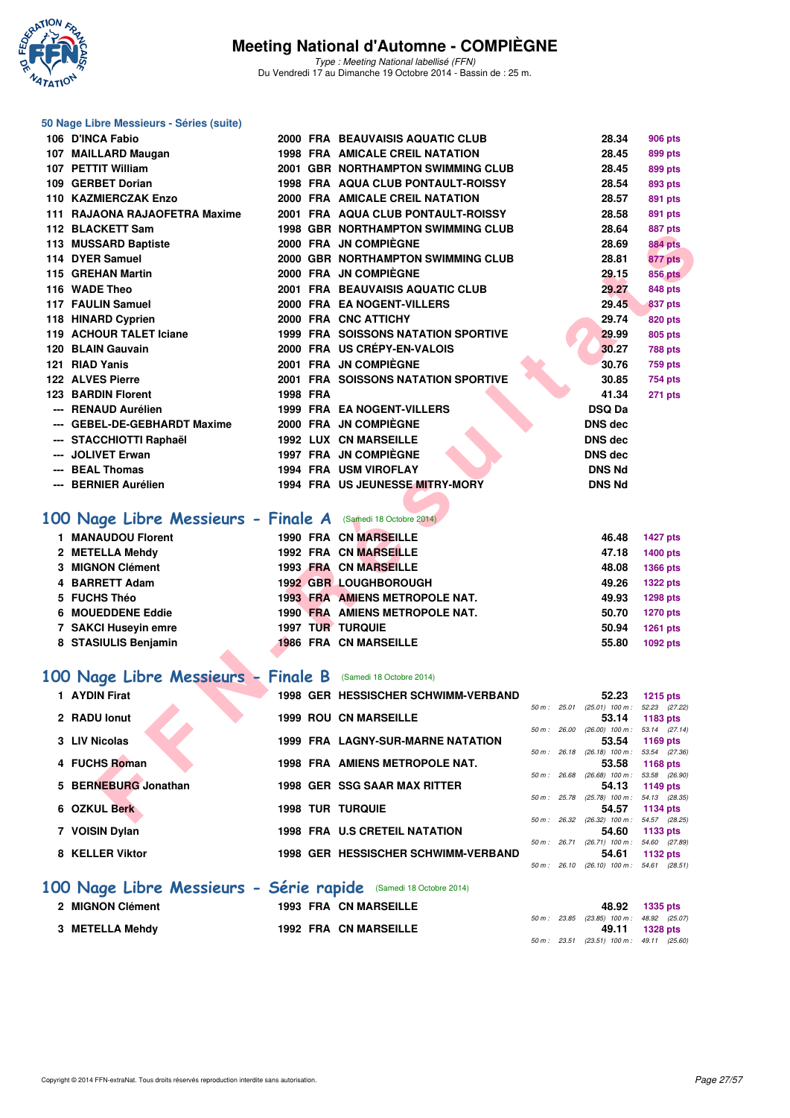

**50 Nage Libre Messieurs - Séries (suite)**

Type : Meeting National labellisé (FFN) Du Vendredi 17 au Dimanche 19 Octobre 2014 - Bassin de : 25 m.

| 106 D'INCA Fabio                                                 |          | 2000 FRA BEAUVAISIS AQUATIC CLUB                           |              | 28.34                                               | <b>906 pts</b>            |
|------------------------------------------------------------------|----------|------------------------------------------------------------|--------------|-----------------------------------------------------|---------------------------|
| 107 MAILLARD Maugan                                              |          | 1998 FRA AMICALE CREIL NATATION                            |              | 28.45                                               | 899 pts                   |
| 107 PETTIT William                                               |          | 2001 GBR NORTHAMPTON SWIMMING CLUB                         |              | 28.45                                               | 899 pts                   |
| 109 GERBET Dorian                                                |          | 1998 FRA AQUA CLUB PONTAULT-ROISSY                         |              | 28.54                                               | 893 pts                   |
| 110 KAZMIERCZAK Enzo                                             |          | 2000 FRA AMICALE CREIL NATATION                            |              | 28.57                                               | 891 pts                   |
| 111 RAJAONA RAJAOFETRA Maxime                                    |          | 2001 FRA AQUA CLUB PONTAULT-ROISSY                         |              | 28.58                                               | 891 pts                   |
| 112 BLACKETT Sam                                                 |          | <b>1998 GBR NORTHAMPTON SWIMMING CLUB</b>                  |              | 28.64                                               | 887 pts                   |
| 113 MUSSARD Baptiste                                             |          | 2000 FRA JN COMPIEGNE                                      |              | 28.69                                               | <b>884 pts</b>            |
| 114 DYER Samuel                                                  |          | 2000 GBR NORTHAMPTON SWIMMING CLUB                         |              | 28.81                                               | 877 pts                   |
| 115 GREHAN Martin                                                |          | 2000 FRA JN COMPIÈGNE                                      |              | 29.15                                               | <b>856 pts</b>            |
| 116 WADE Theo                                                    |          | 2001 FRA BEAUVAISIS AQUATIC CLUB                           |              | 29.27                                               | 848 pts                   |
| 117 FAULIN Samuel                                                |          | <b>2000 FRA EA NOGENT-VILLERS</b>                          |              | 29.45                                               | 837 pts                   |
| 118 HINARD Cyprien                                               |          | 2000 FRA CNC ATTICHY                                       |              | 29.74                                               | 820 pts                   |
| 119 ACHOUR TALET Iciane                                          |          | <b>1999 FRA SOISSONS NATATION SPORTIVE</b>                 |              | 29.99                                               | 805 pts                   |
| 120 BLAIN Gauvain                                                |          | 2000 FRA US CRÉPY-EN-VALOIS                                |              | 30.27                                               | <b>788 pts</b>            |
| 121 RIAD Yanis                                                   |          | 2001 FRA JN COMPIÈGNE                                      |              | 30.76                                               | <b>759 pts</b>            |
| 122 ALVES Pierre<br><b>123 BARDIN Florent</b>                    |          | <b>2001 FRA SOISSONS NATATION SPORTIVE</b>                 |              | 30.85                                               | 754 pts                   |
|                                                                  | 1998 FRA |                                                            |              | 41.34                                               | 271 pts                   |
| --- RENAUD Aurélien<br>--- GEBEL-DE-GEBHARDT Maxime              |          | <b>1999 FRA EA NOGENT-VILLERS</b><br>2000 FRA JN COMPIÈGNE |              | <b>DSQ Da</b><br>DNS dec                            |                           |
| --- STACCHIOTTI Raphaël                                          |          | <b>1992 LUX CN MARSEILLE</b>                               |              | DNS dec                                             |                           |
| --- JOLIVET Erwan                                                |          | 1997 FRA JN COMPIÈGNE                                      |              | <b>DNS dec</b>                                      |                           |
| --- BEAL Thomas                                                  |          | 1994 FRA USM VIROFLAY                                      |              | <b>DNS Nd</b>                                       |                           |
| --- BERNIER Aurélien                                             |          | 1994 FRA US JEUNESSE MITRY-MORY                            |              | <b>DNS Nd</b>                                       |                           |
|                                                                  |          |                                                            |              |                                                     |                           |
|                                                                  |          |                                                            |              |                                                     |                           |
| 100 Nage Libre Messieurs - Finale A (Samedi 18 Octobre 2014)     |          |                                                            |              |                                                     |                           |
| 1 MANAUDOU Florent                                               |          | <b>1990 FRA CN MARSEILLE</b>                               |              | 46.48                                               | <b>1427 pts</b>           |
| 2 METELLA Mehdy                                                  |          | 1992 FRA CN MARSEILLE                                      |              | 47.18                                               | 1400 pts                  |
| 3 MIGNON Clément                                                 |          | <b>1993 FRA CN MARSEILLE</b>                               |              | 48.08                                               | 1366 pts                  |
| 4 BARRETT Adam                                                   |          | 1992 GBR LOUGHBOROUGH                                      |              | 49.26                                               | <b>1322 pts</b>           |
| 5 FUCHS Théo                                                     |          | 1993 FRA AMIENS METROPOLE NAT.                             |              | 49.93                                               | <b>1298 pts</b>           |
| 6 MOUEDDENE Eddie                                                |          | 1990 FRA AMIENS METROPOLE NAT.                             |              | 50.70                                               | <b>1270 pts</b>           |
| 7 SAKCI Huseyin emre                                             |          | 1997 TUR TURQUIE                                           |              | 50.94                                               | <b>1261 pts</b>           |
| 8 STASIULIS Benjamin                                             |          | <b>1986 FRA CN MARSEILLE</b>                               |              | 55.80                                               | 1092 pts                  |
|                                                                  |          |                                                            |              |                                                     |                           |
| 100 Nage Libre Messieurs - Finale B                              |          | (Samedi 18 Octobre 2014)                                   |              |                                                     |                           |
| 1 AYDIN Firat                                                    |          | 1998 GER HESSISCHER SCHWIMM-VERBAND                        |              | 52.23                                               | 1215 pts                  |
| 2 RADU lonut                                                     |          | <b>1999 ROU CN MARSEILLE</b>                               |              | 50 m: 25.01 (25.01) 100 m:<br>53.14                 | 52.23 (27.22)<br>1183 pts |
|                                                                  |          |                                                            | 50 m : 26.00 | (26.00) 100 m : 53.14 (27.14)                       |                           |
| 3 LIV Nicolas                                                    |          | 1999 FRA LAGNY-SUR-MARNE NATATION                          |              | 53.54                                               | 1169 pts                  |
| 4 FUCHS Roman                                                    |          | 1998 FRA AMIENS METROPOLE NAT.                             |              | 50 m : 26.18 (26.18) 100 m : 53.54 (27.36)<br>53.58 | 1168 pts                  |
|                                                                  |          |                                                            |              | 50 m : 26.68 (26.68) 100 m : 53.58 (26.90)          |                           |
| 5 BERNEBURG Jonathan                                             |          | 1998 GER SSG SAAR MAX RITTER                               |              | 54.13<br>50 m: 25.78 (25.78) 100 m: 54.13 (28.35)   | 1149 pts                  |
| 6 OZKUL Berk                                                     |          | <b>1998 TUR TURQUIE</b>                                    |              | 54.57                                               | 1134 pts                  |
|                                                                  |          |                                                            |              | 50 m: 26.32 (26.32) 100 m: 54.57 (28.25)            |                           |
| 7 VOISIN Dylan                                                   |          | 1998 FRA U.S CRETEIL NATATION                              |              | 54.60<br>50 m: 26.71 (26.71) 100 m: 54.60 (27.89)   | 1133 pts                  |
| 8 KELLER Viktor                                                  |          | 1998 GER HESSISCHER SCHWIMM-VERBAND                        |              | 54.61                                               | 1132 pts                  |
|                                                                  |          |                                                            |              | 50 m: 26.10 (26.10) 100 m: 54.61 (28.51)            |                           |
| 100 Nage Libre Messieurs - Série rapide (Samedi 18 Octobre 2014) |          |                                                            |              |                                                     |                           |
| 2 MIGNON Clément                                                 |          | <b>1993 FRA CN MARSEILLE</b>                               |              |                                                     |                           |
|                                                                  |          |                                                            | 50 m : 23.85 | 48.92<br>(23.85) 100 m : 48.92 (25.07)              | <b>1335 pts</b>           |
| 3 METELLA Mehdy                                                  |          | <b>1992 FRA CN MARSEILLE</b>                               |              | 49.11                                               | <b>1328 pts</b>           |
|                                                                  |          |                                                            |              | 50 m: 23.51 (23.51) 100 m: 49.11 (25.60)            |                           |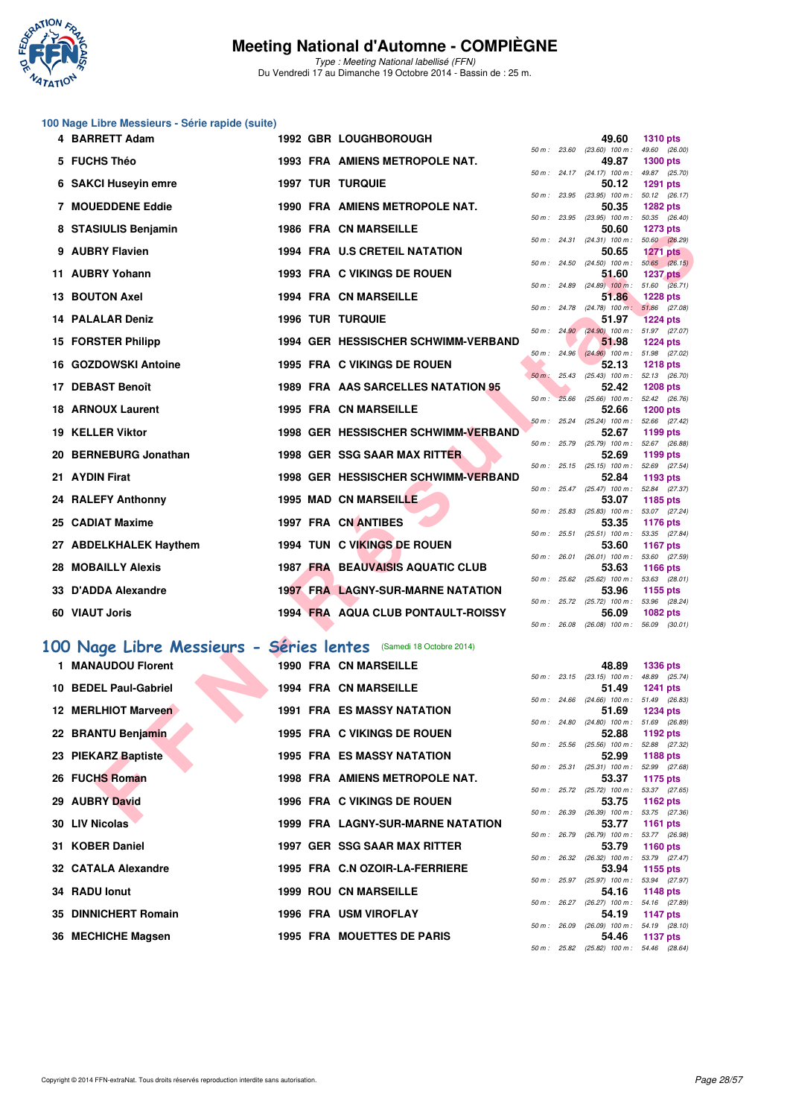

Type : Meeting National labellisé (FFN) Du Vendredi 17 au Dimanche 19 Octobre 2014 - Bassin de : 25 m.

## **100 Nage Libre Messieurs - Série rapide (suite)**

| 4 BARRETT Adam                                                   |  | 1992 GBR LOUGHBOROUGH                    |  | 49.60                                                    | 1310 pts        |               |
|------------------------------------------------------------------|--|------------------------------------------|--|----------------------------------------------------------|-----------------|---------------|
| 5 FUCHS Théo                                                     |  | 1993 FRA AMIENS METROPOLE NAT.           |  | 50 m: 23.60 (23.60) 100 m: 49.60 (26.00)<br>49.87        | <b>1300 pts</b> |               |
|                                                                  |  | <b>1997 TUR TURQUIE</b>                  |  | 50 m: 24.17 (24.17) 100 m: 49.87 (25.70)<br>50.12        | <b>1291 pts</b> |               |
| 6 SAKCI Huseyin emre                                             |  |                                          |  | 50 m: 23.95 (23.95) 100 m: 50.12 (26.17)                 |                 |               |
| 7 MOUEDDENE Eddie                                                |  | 1990 FRA AMIENS METROPOLE NAT.           |  | 50.35<br>50 m: 23.95 (23.95) 100 m: 50.35 (26.40)        | <b>1282 pts</b> |               |
| 8 STASIULIS Benjamin                                             |  | 1986 FRA CN MARSEILLE                    |  | 50.60                                                    | <b>1273 pts</b> |               |
| 9 AUBRY Flavien                                                  |  | <b>1994 FRA U.S CRETEIL NATATION</b>     |  | 50 m: 24.31 (24.31) 100 m: 50.60 (26.29)<br>50.65        | <b>1271 pts</b> |               |
|                                                                  |  |                                          |  | 50 m : 24.50 (24.50) 100 m : 50.65 (26.15)               |                 |               |
| 11 AUBRY Yohann                                                  |  | 1993 FRA C VIKINGS DE ROUEN              |  | 51.60<br>50 m: 24.89 (24.89) 100 m: 51.60 (26.71)        | <b>1237 pts</b> |               |
| <b>13 BOUTON Axel</b>                                            |  | <b>1994 FRA CN MARSEILLE</b>             |  | 51.86                                                    | <b>1228 pts</b> |               |
| <b>14 PALALAR Deniz</b>                                          |  | <b>1996 TUR TURQUIE</b>                  |  | 50 m: 24.78 (24.78) 100 m: 51.86 (27.08)<br>51.97        | <b>1224 pts</b> |               |
|                                                                  |  |                                          |  | 50 m: 24.90 (24.90) 100 m: 51.97 (27.07)                 |                 |               |
| 15 FORSTER Philipp                                               |  | 1994 GER HESSISCHER SCHWIMM-VERBAND      |  | 51.98<br>50 m: 24.96 (24.96) 100 m: 51.98 (27.02)        | <b>1224 pts</b> |               |
| 16 GOZDOWSKI Antoine                                             |  | 1995 FRA C VIKINGS DE ROUEN              |  | 52.13                                                    | <b>1218 pts</b> |               |
| 17 DEBAST Benoît                                                 |  | 1989 FRA AAS SARCELLES NATATION 95       |  | 50 m : 25.43 (25.43) 100 m : 52.13 (26.70)<br>52.42      | <b>1208 pts</b> |               |
|                                                                  |  | <b>1995 FRA CN MARSEILLE</b>             |  | 50 m : 25.66 (25.66) 100 m : 52.42 (26.76)<br>52.66      |                 |               |
| <b>18 ARNOUX Laurent</b>                                         |  |                                          |  | 50 m: 25.24 (25.24) 100 m: 52.66 (27.42)                 | <b>1200 pts</b> |               |
| <b>19 KELLER Viktor</b>                                          |  | 1998 GER HESSISCHER SCHWIMM-VERBAND      |  | 52.67<br>50 m: 25.79 (25.79) 100 m: 52.67 (26.88)        | 1199 pts        |               |
| 20 BERNEBURG Jonathan                                            |  | 1998 GER SSG SAAR MAX RITTER             |  | 52.69                                                    | 1199 pts        |               |
| 21 AYDIN Firat                                                   |  | 1998 GER HESSISCHER SCHWIMM-VERBAND      |  | 50 m: 25.15 (25.15) 100 m: 52.69 (27.54)<br>52.84        | 1193 pts        |               |
|                                                                  |  |                                          |  | 50 m: 25.47 (25.47) 100 m: 52.84 (27.37)                 |                 |               |
| 24 RALEFY Anthonny                                               |  | <b>1995 MAD CN MARSEILLE</b>             |  | 53.07<br>50 m: 25.83 (25.83) 100 m: 53.07 (27.24)        | 1185 pts        |               |
| 25 CADIAT Maxime                                                 |  | 1997 FRA CN ANTIBES                      |  | 53.35                                                    | <b>1176 pts</b> |               |
| 27 ABDELKHALEK Haythem                                           |  | 1994 TUN C VIKINGS DE ROUEN              |  | 50 m : 25.51 (25.51) 100 m : 53.35 (27.84)<br>53.60      | <b>1167 pts</b> |               |
|                                                                  |  |                                          |  | 50 m: 26.01 (26.01) 100 m: 53.60 (27.59)                 |                 |               |
| <b>28 MOBAILLY Alexis</b>                                        |  | <b>1987 FRA BEAUVAISIS AQUATIC CLUB</b>  |  | 53.63<br>50 m : 25.62 (25.62) 100 m : 53.63 (28.01)      | 1166 pts        |               |
| 33 D'ADDA Alexandre                                              |  | <b>1997 FRA LAGNY-SUR-MARNE NATATION</b> |  | 53.96                                                    | 1155 pts        |               |
| 60 VIAUT Joris                                                   |  | 1994 FRA AQUA CLUB PONTAULT-ROISSY       |  | 50 m: 25.72 (25.72) 100 m: 53.96 (28.24)<br>56.09        | <b>1082 pts</b> |               |
|                                                                  |  |                                          |  | 50 m: 26.08 (26.08) 100 m: 56.09 (30.01)                 |                 |               |
| 00 Nage Libre Messieurs - Séries lentes (Samedi 18 Octobre 2014) |  |                                          |  |                                                          |                 |               |
| 1 MANAUDOU Florent                                               |  | <b>1990 FRA CN MARSEILLE</b>             |  | 48.89                                                    | <b>1336 pts</b> |               |
|                                                                  |  |                                          |  | $50 m$ : 23.15 (23.15) 100 m :                           |                 | 48.89 (25.74) |
| 10 BEDEL Paul-Gabriel                                            |  | 1994 FRA CN MARSEILLE                    |  | 51.49<br>50 m: 24.66 (24.66) 100 m: 51.49 (26.83)        | <b>1241 pts</b> |               |
| 12 MERLHIOT Marveen                                              |  | <b>1991 FRA ES MASSY NATATION</b>        |  | 51.69                                                    | <b>1234 pts</b> |               |
| 22 BRANTU Benjamin                                               |  | 1995 FRA C VIKINGS DE ROUEN              |  | 50 m: 24.80 (24.80) 100 m: 51.69 (26.89)<br>52.88        | 1192 pts        |               |
|                                                                  |  |                                          |  | 50 m: 25.56 (25.56) 100 m: 52.88 (27.32)                 |                 |               |
| 23 PIEKARZ Baptiste                                              |  | <b>1995 FRA ES MASSY NATATION</b>        |  | 52.99<br>50 m : 25.31 (25.31) 100 m : 52.99 (27.68)      | 1188 pts        |               |
| 26 FUCHS Roman                                                   |  | 1998 FRA AMIENS METROPOLE NAT.           |  | 53.37                                                    | 1175 pts        |               |
| 29 AUBRY David                                                   |  | 1996 FRA C VIKINGS DE ROUEN              |  | 50 m: 25.72 (25.72) 100 m: 53.37 (27.65)<br>53.75        | 1162 pts        |               |
| $00.181$ M/matters                                               |  | 1000 FBA LACHV CUB MABUE NATATION        |  | 50 m: 26.39 (26.39) 100 m: 53.75 (27.36)<br><b>FO 77</b> | <b>AMO</b>      |               |

#### **[100 Nage Libre Messieurs - Séries lentes](http://www.ffnatation.fr/webffn/resultats.php?idact=nat&go=epr&idcpt=24767&idepr=52)** (Samedi 18 Octobre 2014)

| 1 MANAUDOU Florent    |  | <b>1990 FRA CN MARSEILLE</b>             |  | 48.89 1336 pts                                          |          |  |
|-----------------------|--|------------------------------------------|--|---------------------------------------------------------|----------|--|
|                       |  |                                          |  | 50 m: 23.15 (23.15) 100 m: 48.89 (25.                   |          |  |
| 10 BEDEL Paul-Gabriel |  | <b>1994 FRA CN MARSEILLE</b>             |  | 51.49 1241 pts                                          |          |  |
|                       |  |                                          |  | 50 m: 24.66 (24.66) 100 m: 51.49 (26.                   |          |  |
| 12 MERLHIOT Marveen   |  | <b>1991 FRA ES MASSY NATATION</b>        |  | 51.69 1234 pts                                          |          |  |
|                       |  |                                          |  | 50 m : 24.80 (24.80) 100 m : 51.69 (26.                 |          |  |
| 22 BRANTU Benjamin    |  | 1995 FRA C VIKINGS DE ROUEN              |  | 52.88                                                   | 1192 pts |  |
|                       |  |                                          |  | 50 m : 25.56 (25.56) 100 m : 52.88 (27.                 |          |  |
| 23 PIEKARZ Baptiste   |  | <b>1995 FRA ES MASSY NATATION</b>        |  | 52.99                                                   | 1188 pts |  |
|                       |  |                                          |  | 50 m: 25.31 (25.31) 100 m: 52.99 (27.                   |          |  |
| 26 FUCHS Roman        |  | 1998 FRA AMIENS METROPOLE NAT.           |  | 53.37 1175 pts                                          |          |  |
| 29 AUBRY David        |  | 1996 FRA C VIKINGS DE ROUEN              |  | 50 m: 25.72 (25.72) 100 m: 53.37 (27.<br>53.75 1162 pts |          |  |
|                       |  |                                          |  | 50 m: 26.39 (26.39) 100 m: 53.75 (27.                   |          |  |
| 30 LIV Nicolas        |  | <b>1999 FRA LAGNY-SUR-MARNE NATATION</b> |  | 53.77                                                   | 1161 pts |  |
|                       |  |                                          |  | 50 m: 26.79 (26.79) 100 m: 53.77 (26.                   |          |  |
| 31 KOBER Daniel       |  | 1997 GER SSG SAAR MAX RITTER             |  | 53.79 1160 pts                                          |          |  |
|                       |  |                                          |  | 50 m : 26.32 (26.32) 100 m : 53.79 (27.                 |          |  |
| 32 CATALA Alexandre   |  | 1995 FRA C.N OZOIR-LA-FERRIERE           |  | 53.94                                                   | 1155 pts |  |
|                       |  |                                          |  | 50 m: 25.97 (25.97) 100 m: 53.94 (27.                   |          |  |
| 34 RADU lonut         |  | <b>1999 ROU CN MARSEILLE</b>             |  | 54.16                                                   | 1148 pts |  |
|                       |  |                                          |  | 50 m: 26.27 (26.27) 100 m: 54.16 (27.                   |          |  |
| 35 DINNICHERT Romain  |  | 1996 FRA USM VIROFLAY                    |  | 54.19 1147 pts                                          |          |  |
|                       |  |                                          |  | 50 m: 26.09 (26.09) 100 m: 54.19 (28.                   |          |  |
| 36 MECHICHE Magsen    |  | <b>1995 FRA MOUETTES DE PARIS</b>        |  | 54.46 1137 pts                                          |          |  |
|                       |  |                                          |  |                                                         |          |  |

| 50 m: 25.72 |             |                   |       | (25.72) 100 m: 53.96 (28.24)      |  |
|-------------|-------------|-------------------|-------|-----------------------------------|--|
|             |             |                   | 56.09 | 1082 pts                          |  |
| 50 m :      | 26.08       |                   |       | $(26.08)$ 100 m : 56.09 $(30.01)$ |  |
|             |             |                   |       |                                   |  |
|             |             |                   |       |                                   |  |
|             |             |                   |       |                                   |  |
|             |             |                   | 48.89 | 1336 pts                          |  |
|             | 50 m: 23.15 | $(23.15)$ 100 m : |       | 48.89 (25.74)                     |  |
|             |             |                   | 51.49 | <b>1241 pts</b>                   |  |
| $50 m$ :    | 24.66       | $(24.66)$ 100 m : |       | 51.49 (26.83)                     |  |
|             |             |                   | 51.69 | 1234 pts                          |  |
| $50 m$ :    | 24.80       | $(24.80)$ 100 m : |       | 51.69 (26.89)                     |  |
|             |             |                   | 52.88 | 1192 $pts$                        |  |
| $50 m$ :    | 25.56       | $(25.56)$ 100 m : |       | 52.88 (27.32)                     |  |
|             |             |                   | 52.99 | 1188 pts                          |  |
| $50 m$ :    | 25.31       | $(25.31)$ 100 m : |       | 52.99 (27.68)                     |  |
|             |             |                   | 53.37 | 1175 pts                          |  |
| $50 m$ :    | 25.72       | $(25.72)$ 100 m : |       | 53.37 (27.65)                     |  |
|             |             |                   | 53.75 | 1162 $pts$                        |  |
| $50 m$ :    | 26.39       | $(26.39)$ 100 m : |       | 53.75 (27.36)                     |  |
|             |             |                   | 53.77 | 1161 $pts$                        |  |
| $50 m$ :    | 26.79       | $(26.79)$ 100 m : |       | 53.77 (26.98)                     |  |
|             |             |                   | 53.79 | 1160 pts                          |  |
| $50 m$ :    | 26.32       | $(26.32)$ 100 m : |       | 53.79 (27.47)                     |  |
|             |             |                   | 53.94 | 1155 pts                          |  |
| $50 m$ :    | 25.97       | $(25.97)$ 100 m : |       | 53.94 (27.97)                     |  |
|             |             |                   | 54.16 | 1148 $pts$                        |  |
| $50 m$ :    | 26.27       | $(26.27)$ 100 m : |       | 54.16 (27.89)                     |  |
|             |             |                   | 54.19 | <b>1147 pts</b>                   |  |
| $50 m$ :    | 26.09       | $(26.09)$ 100 m : |       | 54.19 (28.10)                     |  |
|             |             |                   | 54.46 | <b>1137 pts</b>                   |  |
| 50 m :      | 25.82       | $(25.82)$ 100 m : |       | 54.46 (28.64)                     |  |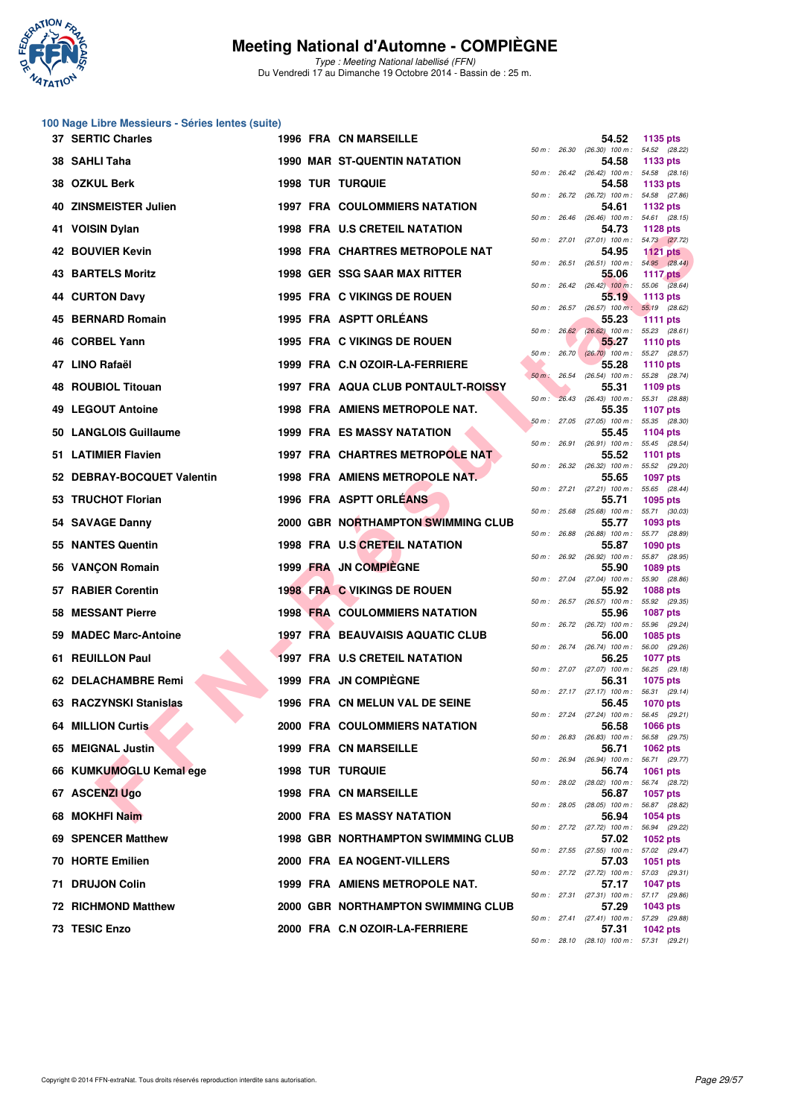

Type : Meeting National labellisé (FFN) Du Vendredi 17 au Dimanche 19 Octobre 2014 - Bassin de : 25 m.

## **100 Nage Libre Messieurs - Séries lentes (suite)**

|     | 37 SERTIC Charles          |  | <b>1996 FRA CN MARSEILLE</b>              |             | 54.52                                               | 1135 pts                         |
|-----|----------------------------|--|-------------------------------------------|-------------|-----------------------------------------------------|----------------------------------|
|     | 38 SAHLI Taha              |  | <b>1990 MAR ST-QUENTIN NATATION</b>       | 50 m: 26.30 | (26.30) 100 m : 54.52 (28.22)<br>54.58              | 1133 pts                         |
|     | 38 OZKUL Berk              |  | <b>1998 TUR TURQUIE</b>                   |             | 50 m: 26.42 (26.42) 100 m: 54.58 (28.16)<br>54.58   | 1133 pts                         |
| 40. | <b>ZINSMEISTER Julien</b>  |  | <b>1997 FRA COULOMMIERS NATATION</b>      |             | 50 m: 26.72 (26.72) 100 m: 54.58 (27.86)<br>54.61   | 1132 pts                         |
| 41. | <b>VOISIN Dylan</b>        |  | <b>1998 FRA U.S CRETEIL NATATION</b>      |             | 50 m: 26.46 (26.46) 100 m: 54.61 (28.15)<br>54.73   | <b>1128 pts</b>                  |
|     | 42 BOUVIER Kevin           |  | 1998 FRA CHARTRES METROPOLE NAT           |             | 50 m: 27.01 (27.01) 100 m: 54.73 (27.72)<br>54.95   | <b>1121 pts</b>                  |
| 43. | <b>BARTELS Moritz</b>      |  | 1998 GER SSG SAAR MAX RITTER              |             | 50 m: 26.51 (26.51) 100 m: 54.95 (28.44)<br>55.06   | 1117 pts                         |
|     | <b>44 CURTON Davy</b>      |  | 1995 FRA C VIKINGS DE ROUEN               |             | $50 m$ : $26.42$ $(26.42)$ $100 m$ :<br>55.19       | 55.06 (28.64)<br>1113 pts        |
| 45  | <b>BERNARD Romain</b>      |  | 1995 FRA ASPTT ORLÉANS                    |             | 50 m: 26.57 (26.57) 100 m: 55.19 (28.62)<br>55.23   | 1111 pts                         |
|     | 46 CORBEL Yann             |  | 1995 FRA C VIKINGS DE ROUEN               |             | 50 m : 26.62 (26.62) 100 m : 55.23 (28.61)<br>55.27 | <b>1110 pts</b>                  |
|     | 47 LINO Rafaël             |  | 1999 FRA C.N OZOIR-LA-FERRIERE            |             | 50 m: 26.70 (26.70) 100 m: 55.27 (28.57)<br>55.28   | <b>1110 pts</b>                  |
|     | <b>48 ROUBIOL Titouan</b>  |  | 1997 FRA AQUA CLUB PONTAULT-ROISSY        |             | 50 m : 26.54 (26.54) 100 m : 55.28 (28.74)<br>55.31 | 1109 pts                         |
|     | 49 LEGOUT Antoine          |  | 1998 FRA AMIENS METROPOLE NAT.            | $50 m$ :    | $26.43$ $(26.43)$ 100 m :<br>55.35                  | 55.31 (28.88)<br><b>1107 pts</b> |
|     | 50 LANGLOIS Guillaume      |  | <b>1999 FRA ES MASSY NATATION</b>         |             | 50 m: 27.05 (27.05) 100 m: 55.35 (28.30)<br>55.45   | 1104 pts                         |
|     | 51 LATIMIER Flavien        |  | <b>1997 FRA CHARTRES METROPOLE NAT</b>    |             | 50 m : 26.91 (26.91) 100 m : 55.45 (28.54)<br>55.52 | <b>1101 pts</b>                  |
|     | 52 DEBRAY-BOCQUET Valentin |  | 1998 FRA AMIENS METROPOLE NAT.            | 50 m: 26.32 | (26.32) 100 m : 55.52 (29.20)<br>55.65              | <b>1097 pts</b>                  |
|     | 53 TRUCHOT Florian         |  | 1996 FRA ASPTT ORLEANS                    |             | 50 m: 27.21 (27.21) 100 m: 55.65 (28.44)<br>55.71   | 1095 pts                         |
|     | 54 SAVAGE Danny            |  | 2000 GBR NORTHAMPTON SWIMMING CLUB        |             | 50 m: 25.68 (25.68) 100 m: 55.71 (30.03)<br>55.77   | 1093 pts                         |
|     | 55 NANTES Quentin          |  | 1998 FRA U.S CRETEIL NATATION             |             | 50 m : 26.88 (26.88) 100 m : 55.77 (28.89)<br>55.87 | <b>1090 pts</b>                  |
|     | 56 VANÇON Romain           |  | 1999 FRA JN COMPIEGNE                     |             | 50 m: 26.92 (26.92) 100 m: 55.87 (28.95)<br>55.90   | 1089 pts                         |
| 57. | <b>RABIER Corentin</b>     |  | 1998 FRA C VIKINGS DE ROUEN               |             | 50 m: 27.04 (27.04) 100 m: 55.90 (28.86)<br>55.92   | <b>1088 pts</b>                  |
|     | 58 MESSANT Pierre          |  | <b>1998 FRA COULOMMIERS NATATION</b>      |             | 50 m: 26.57 (26.57) 100 m: 55.92 (29.35)<br>55.96   | <b>1087 pts</b>                  |
|     | 59 MADEC Marc-Antoine      |  | 1997 FRA BEAUVAISIS AQUATIC CLUB          |             | 50 m : 26.72 (26.72) 100 m :<br>56.00               | 55.96 (29.24)<br><b>1085 pts</b> |
|     | 61 REUILLON Paul           |  | <b>1997 FRA U.S CRETEIL NATATION</b>      |             | 50 m : 26.74 (26.74) 100 m : 56.00 (29.26)<br>56.25 | <b>1077 pts</b>                  |
|     | 62 DELACHAMBRE Remi        |  | <b>1999 FRA JN COMPIEGNE</b>              |             | 50 m : 27.07 (27.07) 100 m :<br>56.31               | 56.25 (29.18)<br>1075 pts        |
|     | 63 RACZYNSKI Stanislas     |  | 1996 FRA CN MELUN VAL DE SEINE            |             | 50 m: 27.17 (27.17) 100 m: 56.31 (29.14)<br>56.45   | <b>1070 pts</b>                  |
|     | 64 MILLION Curtis          |  | 2000 FRA COULOMMIERS NATATION             |             | 50 m: 27.24 (27.24) 100 m: 56.45 (29.21)<br>56.58   | 1066 pts                         |
|     | 65 MEIGNAL Justin          |  | 1999 FRA CN MARSEILLE                     |             | 50 m : 26.83 (26.83) 100 m : 56.58 (29.75)<br>56.71 | <b>1062 pts</b>                  |
|     | 66 KUMKUMOGLU Kemal ege    |  | <b>1998 TUR TURQUIE</b>                   |             | 50 m: 26.94 (26.94) 100 m: 56.71 (29.77)<br>56.74   | 1061 pts                         |
|     | 67 ASCENZI Ugo             |  | 1998 FRA CN MARSEILLE                     |             | 50 m: 28.02 (28.02) 100 m: 56.74 (28.72)<br>56.87   | 1057 pts                         |
|     | 68 MOKHFI Naim             |  | <b>2000 FRA ES MASSY NATATION</b>         |             | 50 m : 28.05 (28.05) 100 m :<br>56.94               | 56.87 (28.82)<br>1054 pts        |
|     | 69 SPENCER Matthew         |  | <b>1998 GBR NORTHAMPTON SWIMMING CLUB</b> |             | 50 m: 27.72 (27.72) 100 m: 56.94 (29.22)<br>57.02   | 1052 pts                         |
|     | 70 HORTE Emilien           |  | 2000 FRA EA NOGENT-VILLERS                |             | 50 m: 27.55 (27.55) 100 m: 57.02 (29.47)<br>57.03   | 1051 pts                         |
| 71  | <b>DRUJON Colin</b>        |  | 1999 FRA AMIENS METROPOLE NAT.            |             | 50 m: 27.72 (27.72) 100 m: 57.03 (29.31)<br>57.17   | <b>1047 pts</b>                  |
|     | <b>72 RICHMOND Matthew</b> |  | 2000 GBR NORTHAMPTON SWIMMING CLUB        |             | 50 m: 27.31 (27.31) 100 m: 57.17 (29.86)<br>57.29   | 1043 pts                         |
|     | 73 TESIC Enzo              |  | 2000 FRA C.N OZOIR-LA-FERRIERE            |             | 50 m: 27.41 (27.41) 100 m: 57.29 (29.88)<br>57.31   | 1042 pts                         |
|     |                            |  |                                           |             | 50 m : 28.10 (28.10) 100 m : 57.31 (29.21)          |                                  |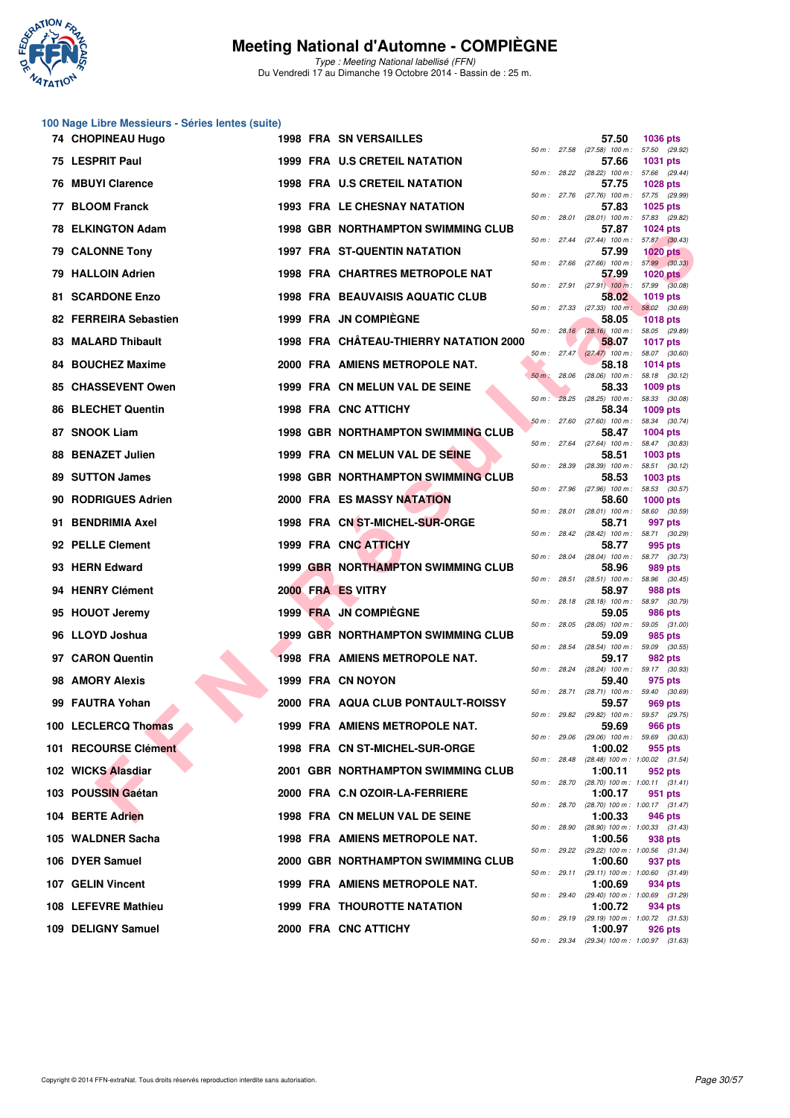

Type : Meeting National labellisé (FFN) Du Vendredi 17 au Dimanche 19 Octobre 2014 - Bassin de : 25 m.

#### **100 Nage Libre Messieurs - Séries lentes (suite)**

|     | 74 CHOPINEAU Hugo         |  | <b>1998 FRA SN VERSAILLES</b>             |              |              | 57.50                                                 | 1036 pts                         |  |
|-----|---------------------------|--|-------------------------------------------|--------------|--------------|-------------------------------------------------------|----------------------------------|--|
|     | 75 LESPRIT Paul           |  | <b>1999 FRA U.S CRETEIL NATATION</b>      |              |              | 50 m : 27.58 (27.58) 100 m :<br>57.66                 | 57.50 (29.92)<br><b>1031 pts</b> |  |
|     | 76 MBUYI Clarence         |  | 1998 FRA U.S CRETEIL NATATION             | 50 m: 28.22  |              | $(28.22)$ 100 m : 57.66 $(29.44)$<br>57.75            | <b>1028 pts</b>                  |  |
| 77  | <b>BLOOM Franck</b>       |  | <b>1993 FRA LE CHESNAY NATATION</b>       |              |              | 50 m: 27.76 (27.76) 100 m: 57.75 (29.99)<br>57.83     | 1025 pts                         |  |
| 78  | <b>ELKINGTON Adam</b>     |  | 1998 GBR NORTHAMPTON SWIMMING CLUB        | 50 m: 28.01  |              | (28.01) 100 m: 57.83 (29.82)<br>57.87                 | <b>1024 pts</b>                  |  |
|     | <b>79 CALONNE Tony</b>    |  | 1997 FRA ST-QUENTIN NATATION              |              |              | 50 m: 27.44 (27.44) 100 m: 57.87 (30.43)<br>57.99     | $1020$ pts                       |  |
|     | 79 HALLOIN Adrien         |  | <b>1998 FRA CHARTRES METROPOLE NAT</b>    |              |              | 50 m : 27.66 (27.66) 100 m :<br>57.99                 | 57.99 (30.33)<br>$1020$ pts      |  |
|     | 81 SCARDONE Enzo          |  | 1998 FRA BEAUVAISIS AQUATIC CLUB          |              |              | 50 m : 27.91 (27.91) 100 m :<br>58.02                 | 57.99 (30.08)<br><b>1019 pts</b> |  |
|     | 82 FERREIRA Sebastien     |  | 1999 FRA JN COMPIEGNE                     | 50 m: 27.33  |              | $(27.33)$ 100 m :<br>58.05                            | 58.02 (30.69)<br><b>1018 pts</b> |  |
|     | <b>83 MALARD Thibault</b> |  | 1998 FRA CHÂTEAU-THIERRY NATATION 2000    |              |              | 50 m : 28.16 (28.16) 100 m : 58.05 (29.89)<br>58,07   | <b>1017 pts</b>                  |  |
|     | 84 BOUCHEZ Maxime         |  | 2000 FRA AMIENS METROPOLE NAT.            |              |              | $50 m$ : 27.47 (27.47) 100 m :<br>58.18               | 58.07 (30.60)<br>1014 pts        |  |
|     | 85 CHASSEVENT Owen        |  | 1999 FRA CN MELUN VAL DE SEINE            | $50 m$ :     | 28.06        | $(28.06)$ 100 m :<br>58.33                            | 58.18 (30.12)<br><b>1009 pts</b> |  |
| 86  | <b>BLECHET Quentin</b>    |  | 1998 FRA CNC ATTICHY                      | $50 m$ :     |              | 28.25 (28.25) 100 m: 58.33 (30.08)<br>58.34           | 1009 pts                         |  |
|     | 87 SNOOK Liam             |  | 1998 GBR NORTHAMPTON SWIMMING CLUB        |              |              | $50 m$ : 27.60 (27.60) 100 m :<br>58.47               | 58.34 (30.74)<br><b>1004 pts</b> |  |
| 88  | <b>BENAZET Julien</b>     |  | 1999 FRA CN MELUN VAL DE SEINE            |              | 50 m : 27.64 | $(27.64)$ 100 m :<br>58.51                            | 58.47 (30.83)<br>1003 pts        |  |
|     | 89 SUTTON James           |  | <b>1998 GBR NORTHAMPTON SWIMMING CLUB</b> | 50 m : 28.39 |              | $(28.39)$ 100 m :<br>58.53                            | 58.51 (30.12)<br>1003 pts        |  |
| 90. | <b>RODRIGUES Adrien</b>   |  | <b>2000 FRA ES MASSY NATATION</b>         | 50 m: 27.96  |              | $(27.96)$ 100 m :<br>58.60                            | 58.53 (30.57)<br><b>1000 pts</b> |  |
| 91. | <b>BENDRIMIA Axel</b>     |  | 1998 FRA CN ST-MICHEL-SUR-ORGE            |              |              | 50 m : 28.01 (28.01) 100 m : 58.60 (30.59)<br>58.71   | 997 pts                          |  |
|     | 92 PELLE Clement          |  | 1999 FRA CNC ATTICHY                      |              |              | 50 m: 28.42 (28.42) 100 m: 58.71 (30.29)<br>58.77     | 995 pts                          |  |
|     | 93 HERN Edward            |  | <b>1999 GBR NORTHAMPTON SWIMMING CLUB</b> |              |              | 50 m: 28.04 (28.04) 100 m: 58.77 (30.73)<br>58.96     | <b>989 pts</b>                   |  |
|     | 94 HENRY Clément          |  | 2000 FRA ES VITRY                         | 50 m: 28.51  |              | $(28.51)$ 100 m :<br>58.97                            | 58.96 (30.45)<br>988 pts         |  |
|     | 95 HOUOT Jeremy           |  | 1999 FRA JN COMPIEGNE                     |              |              | 50 m: 28.18 (28.18) 100 m: 58.97 (30.79)<br>59.05     | 986 pts                          |  |
|     | 96 LLOYD Joshua           |  | <b>1999 GBR NORTHAMPTON SWIMMING CLUB</b> | 50 m: 28.05  |              | $(28.05)$ 100 m : 59.05 $(31.00)$<br>59.09            | 985 pts                          |  |
|     | 97 CARON Quentin          |  | <b>1998 FRA AMIENS METROPOLE NAT.</b>     | 50 m: 28.54  |              | $(28.54)$ 100 m : 59.09 $(30.55)$<br>59.17            | 982 pts                          |  |
|     | 98 AMORY Alexis           |  | 1999 FRA CN NOYON                         |              |              | 50 m: 28.24 (28.24) 100 m: 59.17 (30.93)<br>59.40     | 975 pts                          |  |
|     | 99 FAUTRA Yohan           |  | 2000 FRA AQUA CLUB PONTAULT-ROISSY        | 50 m : 28.71 |              | (28.71) 100 m :<br>59.57                              | 59.40 (30.69)<br>969 pts         |  |
|     | 100 LECLERCQ Thomas       |  | 1999 FRA AMIENS METROPOLE NAT.            |              |              | 50 m: 29.82 (29.82) 100 m: 59.57 (29.75)<br>59.69     | <b>966 pts</b>                   |  |
|     | 101 RECOURSE Clément      |  | 1998 FRA CN ST-MICHEL-SUR-ORGE            | 50 m : 29.06 |              | (29.06) 100 m : 59.69 (30.63)<br>1:00.02              | 955 pts                          |  |
|     | 102 WICKS Alasdiar        |  | 2001 GBR NORTHAMPTON SWIMMING CLUB        | 50 m: 28.48  |              | (28.48) 100 m : 1:00.02 (31.54)<br>1:00.11            | 952 pts                          |  |
|     | 103 POUSSIN Gaétan        |  | 2000 FRA C.N OZOIR-LA-FERRIERE            |              | 50 m : 28.70 | $(28.70)$ 100 m : 1:00.11 $(31.41)$<br>1:00.17        | 951 pts                          |  |
|     | 104 BERTE Adrien          |  | 1998 FRA CN MELUN VAL DE SEINE            |              | 50 m : 28.70 | (28.70) 100 m: 1:00.17 (31.47)<br>1:00.33             | 946 pts                          |  |
|     | 105 WALDNER Sacha         |  | 1998 FRA AMIENS METROPOLE NAT.            | 50 m: 28.90  |              | $(28.90)$ 100 m : 1:00.33 $(31.43)$<br>1:00.56        | 938 pts                          |  |
|     | 106 DYER Samuel           |  | 2000 GBR NORTHAMPTON SWIMMING CLUB        | 50 m: 29.22  |              | (29.22) 100 m: 1:00.56 (31.34)<br>1:00.60             | 937 pts                          |  |
|     | 107 GELIN Vincent         |  | 1999 FRA AMIENS METROPOLE NAT.            |              | 50 m : 29.11 | (29.11) 100 m: 1:00.60 (31.49)<br>1:00.69             | 934 pts                          |  |
|     | 108 LEFEVRE Mathieu       |  | <b>1999 FRA THOUROTTE NATATION</b>        | 50 m : 29.40 |              | (29.40) 100 m: 1:00.69 (31.29)<br>1:00.72             | 934 pts                          |  |
|     | 109 DELIGNY Samuel        |  | 2000 FRA CNC ATTICHY                      |              |              | 50 m: 29.19 (29.19) 100 m: 1:00.72 (31.53)<br>1:00.97 | <b>926 pts</b>                   |  |
|     |                           |  |                                           |              |              | 50 m: 29.34 (29.34) 100 m: 1:00.97 (31.63)            |                                  |  |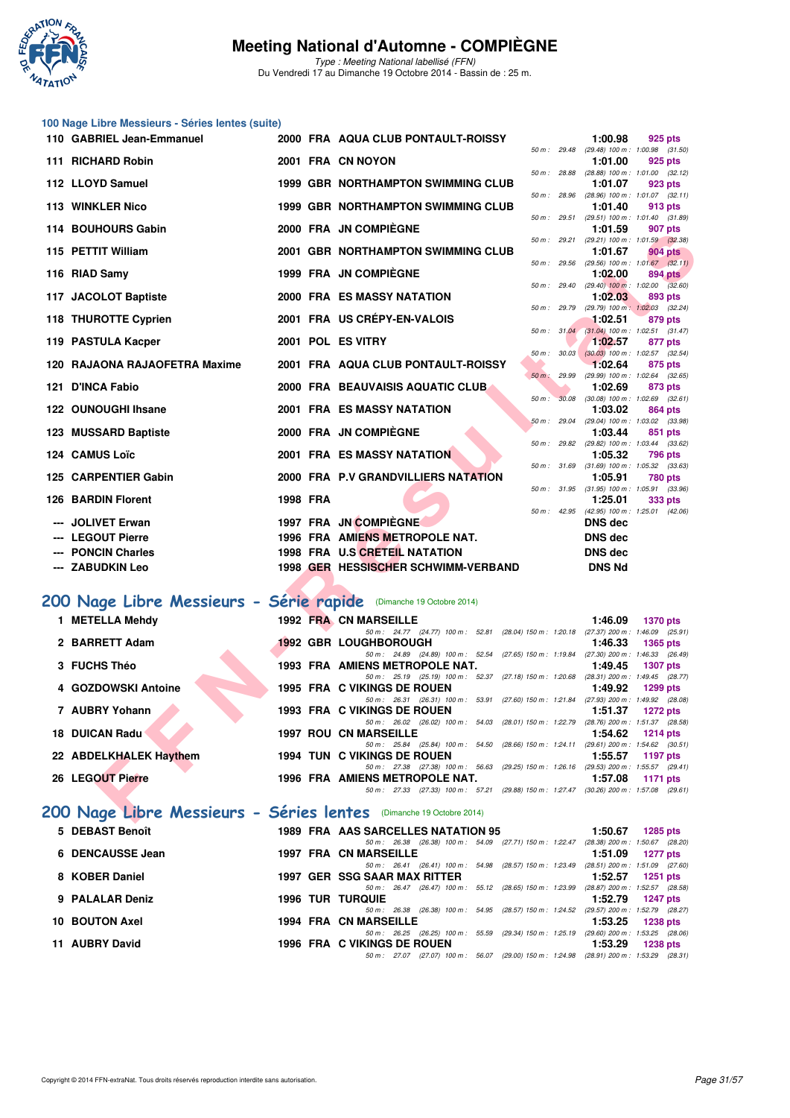

Type : Meeting National labellisé (FFN) Du Vendredi 17 au Dimanche 19 Octobre 2014 - Bassin de : 25 m.

|                        |                                                                                                                                                                                                                                                                                                                                                                                                                                                                                                               |                                                  |                                                                                                                          |                                                                                                                                                                                                                                                                                                                                                                                                                                                                                                                                                                                                                                                                                                                                                                                                                                                                                                                                                   |       |                                                                                                            | 925 pts                                                                                                                                                                                                                                                                                                                                                                                                                                                                                                                                                                                                                                                                                                                                                                                                                                                                                                                                                                                                   |
|------------------------|---------------------------------------------------------------------------------------------------------------------------------------------------------------------------------------------------------------------------------------------------------------------------------------------------------------------------------------------------------------------------------------------------------------------------------------------------------------------------------------------------------------|--------------------------------------------------|--------------------------------------------------------------------------------------------------------------------------|---------------------------------------------------------------------------------------------------------------------------------------------------------------------------------------------------------------------------------------------------------------------------------------------------------------------------------------------------------------------------------------------------------------------------------------------------------------------------------------------------------------------------------------------------------------------------------------------------------------------------------------------------------------------------------------------------------------------------------------------------------------------------------------------------------------------------------------------------------------------------------------------------------------------------------------------------|-------|------------------------------------------------------------------------------------------------------------|-----------------------------------------------------------------------------------------------------------------------------------------------------------------------------------------------------------------------------------------------------------------------------------------------------------------------------------------------------------------------------------------------------------------------------------------------------------------------------------------------------------------------------------------------------------------------------------------------------------------------------------------------------------------------------------------------------------------------------------------------------------------------------------------------------------------------------------------------------------------------------------------------------------------------------------------------------------------------------------------------------------|
|                        |                                                                                                                                                                                                                                                                                                                                                                                                                                                                                                               |                                                  |                                                                                                                          |                                                                                                                                                                                                                                                                                                                                                                                                                                                                                                                                                                                                                                                                                                                                                                                                                                                                                                                                                   |       |                                                                                                            | (29.48) 100 m: 1:00.98 (31.50)<br>925 pts                                                                                                                                                                                                                                                                                                                                                                                                                                                                                                                                                                                                                                                                                                                                                                                                                                                                                                                                                                 |
|                        |                                                                                                                                                                                                                                                                                                                                                                                                                                                                                                               |                                                  |                                                                                                                          |                                                                                                                                                                                                                                                                                                                                                                                                                                                                                                                                                                                                                                                                                                                                                                                                                                                                                                                                                   |       |                                                                                                            |                                                                                                                                                                                                                                                                                                                                                                                                                                                                                                                                                                                                                                                                                                                                                                                                                                                                                                                                                                                                           |
|                        |                                                                                                                                                                                                                                                                                                                                                                                                                                                                                                               |                                                  |                                                                                                                          |                                                                                                                                                                                                                                                                                                                                                                                                                                                                                                                                                                                                                                                                                                                                                                                                                                                                                                                                                   |       |                                                                                                            | 923 pts<br>$(28.96)$ 100 m : 1:01.07 $(32.11)$                                                                                                                                                                                                                                                                                                                                                                                                                                                                                                                                                                                                                                                                                                                                                                                                                                                                                                                                                            |
|                        |                                                                                                                                                                                                                                                                                                                                                                                                                                                                                                               |                                                  |                                                                                                                          |                                                                                                                                                                                                                                                                                                                                                                                                                                                                                                                                                                                                                                                                                                                                                                                                                                                                                                                                                   |       | 1:01.40                                                                                                    | 913 pts                                                                                                                                                                                                                                                                                                                                                                                                                                                                                                                                                                                                                                                                                                                                                                                                                                                                                                                                                                                                   |
|                        |                                                                                                                                                                                                                                                                                                                                                                                                                                                                                                               |                                                  |                                                                                                                          |                                                                                                                                                                                                                                                                                                                                                                                                                                                                                                                                                                                                                                                                                                                                                                                                                                                                                                                                                   |       | 1:01.59                                                                                                    | 907 pts                                                                                                                                                                                                                                                                                                                                                                                                                                                                                                                                                                                                                                                                                                                                                                                                                                                                                                                                                                                                   |
|                        |                                                                                                                                                                                                                                                                                                                                                                                                                                                                                                               |                                                  |                                                                                                                          |                                                                                                                                                                                                                                                                                                                                                                                                                                                                                                                                                                                                                                                                                                                                                                                                                                                                                                                                                   |       | 1:01.67                                                                                                    | 904 pts                                                                                                                                                                                                                                                                                                                                                                                                                                                                                                                                                                                                                                                                                                                                                                                                                                                                                                                                                                                                   |
|                        |                                                                                                                                                                                                                                                                                                                                                                                                                                                                                                               |                                                  |                                                                                                                          |                                                                                                                                                                                                                                                                                                                                                                                                                                                                                                                                                                                                                                                                                                                                                                                                                                                                                                                                                   |       |                                                                                                            | $(29.56)$ 100 m : 1:01.67 $(32.11)$<br>894 pts                                                                                                                                                                                                                                                                                                                                                                                                                                                                                                                                                                                                                                                                                                                                                                                                                                                                                                                                                            |
|                        |                                                                                                                                                                                                                                                                                                                                                                                                                                                                                                               |                                                  |                                                                                                                          |                                                                                                                                                                                                                                                                                                                                                                                                                                                                                                                                                                                                                                                                                                                                                                                                                                                                                                                                                   |       |                                                                                                            | $(29.40)$ 100 m : 1:02.00 $(32.60)$                                                                                                                                                                                                                                                                                                                                                                                                                                                                                                                                                                                                                                                                                                                                                                                                                                                                                                                                                                       |
|                        |                                                                                                                                                                                                                                                                                                                                                                                                                                                                                                               |                                                  |                                                                                                                          |                                                                                                                                                                                                                                                                                                                                                                                                                                                                                                                                                                                                                                                                                                                                                                                                                                                                                                                                                   |       |                                                                                                            | 893 pts<br>(29.79) 100 m: 1:02.03 (32.24)                                                                                                                                                                                                                                                                                                                                                                                                                                                                                                                                                                                                                                                                                                                                                                                                                                                                                                                                                                 |
|                        |                                                                                                                                                                                                                                                                                                                                                                                                                                                                                                               |                                                  |                                                                                                                          |                                                                                                                                                                                                                                                                                                                                                                                                                                                                                                                                                                                                                                                                                                                                                                                                                                                                                                                                                   |       | 1:02.51                                                                                                    | 879 pts                                                                                                                                                                                                                                                                                                                                                                                                                                                                                                                                                                                                                                                                                                                                                                                                                                                                                                                                                                                                   |
|                        |                                                                                                                                                                                                                                                                                                                                                                                                                                                                                                               |                                                  |                                                                                                                          |                                                                                                                                                                                                                                                                                                                                                                                                                                                                                                                                                                                                                                                                                                                                                                                                                                                                                                                                                   |       | 1:02.57                                                                                                    | 877 pts                                                                                                                                                                                                                                                                                                                                                                                                                                                                                                                                                                                                                                                                                                                                                                                                                                                                                                                                                                                                   |
|                        |                                                                                                                                                                                                                                                                                                                                                                                                                                                                                                               |                                                  |                                                                                                                          |                                                                                                                                                                                                                                                                                                                                                                                                                                                                                                                                                                                                                                                                                                                                                                                                                                                                                                                                                   |       |                                                                                                            | $(30.03)$ 100 m : 1:02.57 $(32.54)$<br>875 pts                                                                                                                                                                                                                                                                                                                                                                                                                                                                                                                                                                                                                                                                                                                                                                                                                                                                                                                                                            |
|                        |                                                                                                                                                                                                                                                                                                                                                                                                                                                                                                               |                                                  |                                                                                                                          |                                                                                                                                                                                                                                                                                                                                                                                                                                                                                                                                                                                                                                                                                                                                                                                                                                                                                                                                                   |       |                                                                                                            | $(29.99)$ 100 m : 1:02.64 $(32.65)$                                                                                                                                                                                                                                                                                                                                                                                                                                                                                                                                                                                                                                                                                                                                                                                                                                                                                                                                                                       |
|                        |                                                                                                                                                                                                                                                                                                                                                                                                                                                                                                               |                                                  |                                                                                                                          | $50 m$ :                                                                                                                                                                                                                                                                                                                                                                                                                                                                                                                                                                                                                                                                                                                                                                                                                                                                                                                                          | 30.08 |                                                                                                            | 873 pts<br>$(30.08)$ 100 m : 1:02.69 $(32.61)$                                                                                                                                                                                                                                                                                                                                                                                                                                                                                                                                                                                                                                                                                                                                                                                                                                                                                                                                                            |
|                        |                                                                                                                                                                                                                                                                                                                                                                                                                                                                                                               |                                                  |                                                                                                                          |                                                                                                                                                                                                                                                                                                                                                                                                                                                                                                                                                                                                                                                                                                                                                                                                                                                                                                                                                   |       | 1:03.02                                                                                                    | 864 pts                                                                                                                                                                                                                                                                                                                                                                                                                                                                                                                                                                                                                                                                                                                                                                                                                                                                                                                                                                                                   |
|                        |                                                                                                                                                                                                                                                                                                                                                                                                                                                                                                               |                                                  |                                                                                                                          |                                                                                                                                                                                                                                                                                                                                                                                                                                                                                                                                                                                                                                                                                                                                                                                                                                                                                                                                                   |       | 1:03.44                                                                                                    | 851 pts                                                                                                                                                                                                                                                                                                                                                                                                                                                                                                                                                                                                                                                                                                                                                                                                                                                                                                                                                                                                   |
|                        |                                                                                                                                                                                                                                                                                                                                                                                                                                                                                                               |                                                  |                                                                                                                          |                                                                                                                                                                                                                                                                                                                                                                                                                                                                                                                                                                                                                                                                                                                                                                                                                                                                                                                                                   |       |                                                                                                            | 796 pts                                                                                                                                                                                                                                                                                                                                                                                                                                                                                                                                                                                                                                                                                                                                                                                                                                                                                                                                                                                                   |
|                        |                                                                                                                                                                                                                                                                                                                                                                                                                                                                                                               |                                                  |                                                                                                                          |                                                                                                                                                                                                                                                                                                                                                                                                                                                                                                                                                                                                                                                                                                                                                                                                                                                                                                                                                   |       |                                                                                                            | $(31.69)$ 100 m : 1:05.32 $(33.63)$                                                                                                                                                                                                                                                                                                                                                                                                                                                                                                                                                                                                                                                                                                                                                                                                                                                                                                                                                                       |
|                        |                                                                                                                                                                                                                                                                                                                                                                                                                                                                                                               |                                                  |                                                                                                                          |                                                                                                                                                                                                                                                                                                                                                                                                                                                                                                                                                                                                                                                                                                                                                                                                                                                                                                                                                   |       | 1:05.91                                                                                                    | 780 pts                                                                                                                                                                                                                                                                                                                                                                                                                                                                                                                                                                                                                                                                                                                                                                                                                                                                                                                                                                                                   |
|                        |                                                                                                                                                                                                                                                                                                                                                                                                                                                                                                               |                                                  |                                                                                                                          |                                                                                                                                                                                                                                                                                                                                                                                                                                                                                                                                                                                                                                                                                                                                                                                                                                                                                                                                                   |       | 1:25.01                                                                                                    | 333 pts                                                                                                                                                                                                                                                                                                                                                                                                                                                                                                                                                                                                                                                                                                                                                                                                                                                                                                                                                                                                   |
| <b>JOLIVET Erwan</b>   |                                                                                                                                                                                                                                                                                                                                                                                                                                                                                                               |                                                  |                                                                                                                          |                                                                                                                                                                                                                                                                                                                                                                                                                                                                                                                                                                                                                                                                                                                                                                                                                                                                                                                                                   |       | <b>DNS</b> dec                                                                                             |                                                                                                                                                                                                                                                                                                                                                                                                                                                                                                                                                                                                                                                                                                                                                                                                                                                                                                                                                                                                           |
| <b>LEGOUT Pierre</b>   |                                                                                                                                                                                                                                                                                                                                                                                                                                                                                                               |                                                  |                                                                                                                          |                                                                                                                                                                                                                                                                                                                                                                                                                                                                                                                                                                                                                                                                                                                                                                                                                                                                                                                                                   |       | <b>DNS</b> dec                                                                                             |                                                                                                                                                                                                                                                                                                                                                                                                                                                                                                                                                                                                                                                                                                                                                                                                                                                                                                                                                                                                           |
| <b>PONCIN Charles</b>  |                                                                                                                                                                                                                                                                                                                                                                                                                                                                                                               |                                                  |                                                                                                                          |                                                                                                                                                                                                                                                                                                                                                                                                                                                                                                                                                                                                                                                                                                                                                                                                                                                                                                                                                   |       | <b>DNS</b> dec                                                                                             |                                                                                                                                                                                                                                                                                                                                                                                                                                                                                                                                                                                                                                                                                                                                                                                                                                                                                                                                                                                                           |
| <b>ZABUDKIN Leo</b>    |                                                                                                                                                                                                                                                                                                                                                                                                                                                                                                               |                                                  |                                                                                                                          |                                                                                                                                                                                                                                                                                                                                                                                                                                                                                                                                                                                                                                                                                                                                                                                                                                                                                                                                                   |       | <b>DNS Nd</b>                                                                                              |                                                                                                                                                                                                                                                                                                                                                                                                                                                                                                                                                                                                                                                                                                                                                                                                                                                                                                                                                                                                           |
|                        |                                                                                                                                                                                                                                                                                                                                                                                                                                                                                                               |                                                  |                                                                                                                          |                                                                                                                                                                                                                                                                                                                                                                                                                                                                                                                                                                                                                                                                                                                                                                                                                                                                                                                                                   |       |                                                                                                            |                                                                                                                                                                                                                                                                                                                                                                                                                                                                                                                                                                                                                                                                                                                                                                                                                                                                                                                                                                                                           |
|                        |                                                                                                                                                                                                                                                                                                                                                                                                                                                                                                               |                                                  |                                                                                                                          |                                                                                                                                                                                                                                                                                                                                                                                                                                                                                                                                                                                                                                                                                                                                                                                                                                                                                                                                                   |       |                                                                                                            |                                                                                                                                                                                                                                                                                                                                                                                                                                                                                                                                                                                                                                                                                                                                                                                                                                                                                                                                                                                                           |
|                        |                                                                                                                                                                                                                                                                                                                                                                                                                                                                                                               |                                                  |                                                                                                                          |                                                                                                                                                                                                                                                                                                                                                                                                                                                                                                                                                                                                                                                                                                                                                                                                                                                                                                                                                   |       | 1:46.09                                                                                                    | <b>1370 pts</b>                                                                                                                                                                                                                                                                                                                                                                                                                                                                                                                                                                                                                                                                                                                                                                                                                                                                                                                                                                                           |
|                        |                                                                                                                                                                                                                                                                                                                                                                                                                                                                                                               |                                                  |                                                                                                                          |                                                                                                                                                                                                                                                                                                                                                                                                                                                                                                                                                                                                                                                                                                                                                                                                                                                                                                                                                   |       | 1:46.33                                                                                                    | 1365 pts                                                                                                                                                                                                                                                                                                                                                                                                                                                                                                                                                                                                                                                                                                                                                                                                                                                                                                                                                                                                  |
|                        |                                                                                                                                                                                                                                                                                                                                                                                                                                                                                                               |                                                  |                                                                                                                          |                                                                                                                                                                                                                                                                                                                                                                                                                                                                                                                                                                                                                                                                                                                                                                                                                                                                                                                                                   |       |                                                                                                            |                                                                                                                                                                                                                                                                                                                                                                                                                                                                                                                                                                                                                                                                                                                                                                                                                                                                                                                                                                                                           |
|                        |                                                                                                                                                                                                                                                                                                                                                                                                                                                                                                               |                                                  |                                                                                                                          |                                                                                                                                                                                                                                                                                                                                                                                                                                                                                                                                                                                                                                                                                                                                                                                                                                                                                                                                                   |       |                                                                                                            | <b>1307 pts</b>                                                                                                                                                                                                                                                                                                                                                                                                                                                                                                                                                                                                                                                                                                                                                                                                                                                                                                                                                                                           |
|                        |                                                                                                                                                                                                                                                                                                                                                                                                                                                                                                               |                                                  |                                                                                                                          |                                                                                                                                                                                                                                                                                                                                                                                                                                                                                                                                                                                                                                                                                                                                                                                                                                                                                                                                                   |       | 1:49.92                                                                                                    | 1299 pts                                                                                                                                                                                                                                                                                                                                                                                                                                                                                                                                                                                                                                                                                                                                                                                                                                                                                                                                                                                                  |
|                        |                                                                                                                                                                                                                                                                                                                                                                                                                                                                                                               |                                                  |                                                                                                                          |                                                                                                                                                                                                                                                                                                                                                                                                                                                                                                                                                                                                                                                                                                                                                                                                                                                                                                                                                   |       |                                                                                                            | 1272 pts                                                                                                                                                                                                                                                                                                                                                                                                                                                                                                                                                                                                                                                                                                                                                                                                                                                                                                                                                                                                  |
|                        |                                                                                                                                                                                                                                                                                                                                                                                                                                                                                                               |                                                  |                                                                                                                          |                                                                                                                                                                                                                                                                                                                                                                                                                                                                                                                                                                                                                                                                                                                                                                                                                                                                                                                                                   |       |                                                                                                            |                                                                                                                                                                                                                                                                                                                                                                                                                                                                                                                                                                                                                                                                                                                                                                                                                                                                                                                                                                                                           |
|                        |                                                                                                                                                                                                                                                                                                                                                                                                                                                                                                               |                                                  | 50 m: 25.84 (25.84) 100 m: 54.50 (28.66) 150 m: 1:24.11 (29.61) 200 m: 1:54.62 (30.51)                                   |                                                                                                                                                                                                                                                                                                                                                                                                                                                                                                                                                                                                                                                                                                                                                                                                                                                                                                                                                   |       |                                                                                                            | <b>1214 pts</b>                                                                                                                                                                                                                                                                                                                                                                                                                                                                                                                                                                                                                                                                                                                                                                                                                                                                                                                                                                                           |
|                        |                                                                                                                                                                                                                                                                                                                                                                                                                                                                                                               |                                                  | 1994 TUN C VIKINGS DE ROUEN                                                                                              |                                                                                                                                                                                                                                                                                                                                                                                                                                                                                                                                                                                                                                                                                                                                                                                                                                                                                                                                                   |       | 1:55.57                                                                                                    | 1197 pts                                                                                                                                                                                                                                                                                                                                                                                                                                                                                                                                                                                                                                                                                                                                                                                                                                                                                                                                                                                                  |
| 22 ABDELKHALEK Haythem |                                                                                                                                                                                                                                                                                                                                                                                                                                                                                                               |                                                  |                                                                                                                          |                                                                                                                                                                                                                                                                                                                                                                                                                                                                                                                                                                                                                                                                                                                                                                                                                                                                                                                                                   |       |                                                                                                            |                                                                                                                                                                                                                                                                                                                                                                                                                                                                                                                                                                                                                                                                                                                                                                                                                                                                                                                                                                                                           |
| 26 LEGOUT Pierre       |                                                                                                                                                                                                                                                                                                                                                                                                                                                                                                               |                                                  | 50 m: 27.38 (27.38) 100 m: 56.63 (29.25) 150 m: 1:26.16 (29.53) 200 m: 1:55.57 (29.41)<br>1996 FRA AMIENS METROPOLE NAT. |                                                                                                                                                                                                                                                                                                                                                                                                                                                                                                                                                                                                                                                                                                                                                                                                                                                                                                                                                   |       | 1:57.08                                                                                                    | 1171 pts                                                                                                                                                                                                                                                                                                                                                                                                                                                                                                                                                                                                                                                                                                                                                                                                                                                                                                                                                                                                  |
|                        | 110 GABRIEL Jean-Emmanuel<br>111 RICHARD Robin<br>112 LLOYD Samuel<br>113 WINKLER Nico<br>114 BOUHOURS Gabin<br>115 PETTIT William<br>116 RIAD Samy<br>117 JACOLOT Baptiste<br>118 THUROTTE Cyprien<br>119 PASTULA Kacper<br>120 RAJAONA RAJAOFETRA Maxime<br>121 D'INCA Fabio<br>122 OUNOUGHI Ihsane<br>123 MUSSARD Baptiste<br>124 CAMUS Loïc<br>125 CARPENTIER Gabin<br>126 BARDIN Florent<br>1 METELLA Mehdy<br>2 BARRETT Adam<br>3 FUCHS Théo<br>4 GOZDOWSKI Antoine<br>7 AUBRY Yohann<br>18 DUICAN Radu | 100 Nage Libre Messieurs - Séries lentes (suite) | 1998 FRA                                                                                                                 | 2000 FRA AQUA CLUB PONTAULT-ROISSY<br>2001 FRA CN NOYON<br>1999 GBR NORTHAMPTON SWIMMING CLUB<br><b>1999 GBR NORTHAMPTON SWIMMING CLUB</b><br>2000 FRA JN COMPIEGNE<br>2001 GBR NORTHAMPTON SWIMMING CLUB<br>1999 FRA JN COMPIÈGNE<br><b>2000 FRA ES MASSY NATATION</b><br>2001 FRA US CRÉPY-EN-VALOIS<br>2001 POL ES VITRY<br>2001 FRA AQUA CLUB PONTAULT-ROISSY<br>2000 FRA BEAUVAISIS AQUATIC CLUB<br>2001 FRA ES MASSY NATATION<br>2000 FRA JN COMPIEGNE<br><b>2001 FRA ES MASSY NATATION</b><br>2000 FRA P.V GRANDVILLIERS NATATION<br>1997 FRA JN COMPIÈGNE<br>1996 FRA AMIENS METROPOLE NAT.<br>1998 FRA U.S CRETEIL NATATION<br>1998 GER HESSISCHER SCHWIMM-VERBAND<br>200 Nage Libre Messieurs - Série rapide (Dimanche 19 Octobre 2014)<br>1992 FRA CN MARSEILLE<br><b>1992 GBR LOUGHBOROUGH</b><br>1993 FRA AMIENS METROPOLE NAT.<br><b>1995 FRA C VIKINGS DE ROUEN</b><br>1993 FRA C VIKINGS DE ROUEN<br><b>1997 ROU CN MARSEILLE</b> |       | 50 m : 29.48<br>50 m : 28.96<br>50 m : 29.56<br>50 m: 29.40<br>50 m : 29.99<br>50 m: 29.04<br>50 m : 31.69 | 1:00.98<br>1:01.00<br>50 m: 28.88 (28.88) 100 m: 1:01.00 (32.12)<br>1:01.07<br>50 m: 29.51 (29.51) 100 m: 1:01.40 (31.89)<br>$(29.21)$ 100 m : 1:01.59 $(32.38)$<br>50 m : 29.21<br>1:02.00<br>1:02.03<br>50 m : 29.79<br>50 m: 31.04 (31.04) 100 m: 1:02.51 (31.47)<br>50 m: 30.03<br>1:02.64<br>1:02.69<br>(29.04) 100 m: 1:03.02 (33.98)<br>50 m: 29.82 (29.82) 100 m: 1:03.44 (33.62)<br>1:05.32<br>50 m: 31.95 (31.95) 100 m: 1:05.91 (33.96)<br>(42.95) 100 m: 1:25.01 (42.06)<br>$50 m$ : 42.95<br>50 m: 24.77 (24.77) 100 m: 52.81 (28.04) 150 m: 1:20.18 (27.37) 200 m: 1:46.09 (25.91)<br>50 m: 24.89 (24.89) 100 m: 52.54 (27.65) 150 m: 1:19.84 (27.30) 200 m: 1:46.33 (26.49)<br>1:49.45<br>50 m: 25.19 (25.19) 100 m: 52.37 (27.18) 150 m: 1:20.68 (28.31) 200 m: 1:49.45 (28.77)<br>50 m: 26.31 (26.31) 100 m: 53.91 (27.60) 150 m: 1:21.84 (27.93) 200 m: 1:49.92 (28.08)<br>1:51.37<br>50 m: 26.02 (26.02) 100 m: 54.03 (28.01) 150 m: 1:22.79 (28.76) 200 m: 1:51.37 (28.58)<br>1:54.62 |

### [200 Nage Libre Messieurs - Série rapide](http://www.ffnatation.fr/webffn/resultats.php?idact=nat&go=epr&idcpt=24767&idepr=53) (Dimanche 19 Octobre 2014)

| 1 METELLA Mehdy                                                     |  | 1992 FRA CN MARSEILLE                                                                                                           | 1:46.09          | 1370 pts         |
|---------------------------------------------------------------------|--|---------------------------------------------------------------------------------------------------------------------------------|------------------|------------------|
| 2 BARRETT Adam                                                      |  | 50 m: 24.77 (24.77) 100 m: 52.81 (28.04) 150 m: 1:20.18 (27.37) 200 m: 1:46.09 (25.91<br><b>1992 GBR LOUGHBOROUGH</b>           | 1:46.33          | 1365 pts         |
| 3 FUCHS Théo                                                        |  | 50 m: 24.89 (24.89) 100 m: 52.54 (27.65) 150 m: 1:19.84 (27.30) 200 m: 1:46.33 (26.49<br>1993 FRA AMIENS METROPOLE NAT. 1:49.45 |                  | 1307 pts         |
| 4 GOZDOWSKI Antoine                                                 |  | 50 m: 25.19 (25.19) 100 m: 52.37 (27.18) 150 m: 1:20.68 (28.31) 200 m: 1:49.45 (28.77<br>1995 FRA C VIKINGS DE ROUEN            | 1:49.92 1299 pts |                  |
|                                                                     |  | 50 m: 26.31 (26.31) 100 m: 53.91 (27.60) 150 m: 1:21.84 (27.93) 200 m: 1:49.92 (28.08                                           |                  |                  |
| 7 AUBRY Yohann                                                      |  | <b>1993 FRA C VIKINGS DE ROUEN</b><br>50 m: 26.02 (26.02) 100 m: 54.03 (28.01) 150 m: 1:22.79 (28.76) 200 m: 1:51.37 (28.58     | 1:51.37          | 1272 pts         |
| 18 DUICAN Radu                                                      |  | <b>1997 ROU CN MARSEILLE</b><br>50 m: 25.84 (25.84) 100 m: 54.50 (28.66) 150 m: 1:24.11 (29.61) 200 m: 1:54.62 (30.51           |                  | 1:54.62 1214 pts |
| 22 ABDELKHALEK Haythem                                              |  | <b>1994 TUN C VIKINGS DE ROUEN</b><br>50 m: 27.38 (27.38) 100 m: 56.63 (29.25) 150 m: 1:26.16 (29.53) 200 m: 1:55.57 (29.41     | 1:55.57          | 1197 pts         |
| 26 LEGOUT Pierre                                                    |  | 1996 FRA AMIENS METROPOLE NAT.                                                                                                  | 1:57.08          | 1171 pts         |
|                                                                     |  | 50 m: 27.33 (27.33) 100 m: 57.21 (29.88) 150 m: 1:27.47 (30.26) 200 m: 1:57.08 (29.61                                           |                  |                  |
| 200 Nage Libre Messieurs - Séries lentes (Dimanche 19 Octobre 2014) |  |                                                                                                                                 |                  |                  |

| 5 DEBAST Benoît  |  | 1989 FRA AAS SARCELLES NATATION 95                                                        | 1:50.67 | 1285 pts                        |
|------------------|--|-------------------------------------------------------------------------------------------|---------|---------------------------------|
|                  |  | 50 m: 26.38 (26.38) 100 m: 54.09 (27.71) 150 m: 1:22.47 (28.38) 200 m: 1:50.67 (28.20     |         |                                 |
| 6 DENCAUSSE Jean |  | <b>1997 FRA CN MARSEILLE</b>                                                              | 1:51.09 | 1277 pts                        |
|                  |  | 50 m: 26.41 (26.41) 100 m: 54.98 (28.57) 150 m: 1:23.49 (28.51) 200 m: 1:51.09 (27.60)    |         |                                 |
| 8 KOBER Daniel   |  | 1997 GER SSG SAAR MAX RITTER                                                              | 1:52.57 | 1251 pts                        |
|                  |  | 50 m: 26.47 (26.47) 100 m: 55.12 (28.65) 150 m: 1:23.99                                   |         | (28.87) 200 m : 1:52.57 (28.58) |
| 9 PALALAR Deniz  |  | <b>1996 TUR TURQUIE</b>                                                                   | 1:52.79 | 1247 pts                        |
|                  |  | 50 m : 26.38 (26.38) 100 m : 54.95 (28.57) 150 m : 1:24.52 (29.57) 200 m : 1:52.79 (28.27 |         |                                 |
| 10 BOUTON Axel   |  | 1994 FRA CN MARSEILLE                                                                     | 1:53.25 | 1238 pts                        |
|                  |  | 50 m : 26.25 (26.25) 100 m : 55.59 (29.34) 150 m : 1:25.19 (29.60) 200 m : 1:53.25 (28.06 |         |                                 |
| 11 AUBRY David   |  | 1996 FRA C VIKINGS DE ROUEN                                                               | 1:53.29 | 1238 pts                        |
|                  |  | 50 m: 27.07 (27.07) 100 m: 56.07 (29.00) 150 m: 1:24.98 (28.91) 200 m: 1:53.29 (28.31     |         |                                 |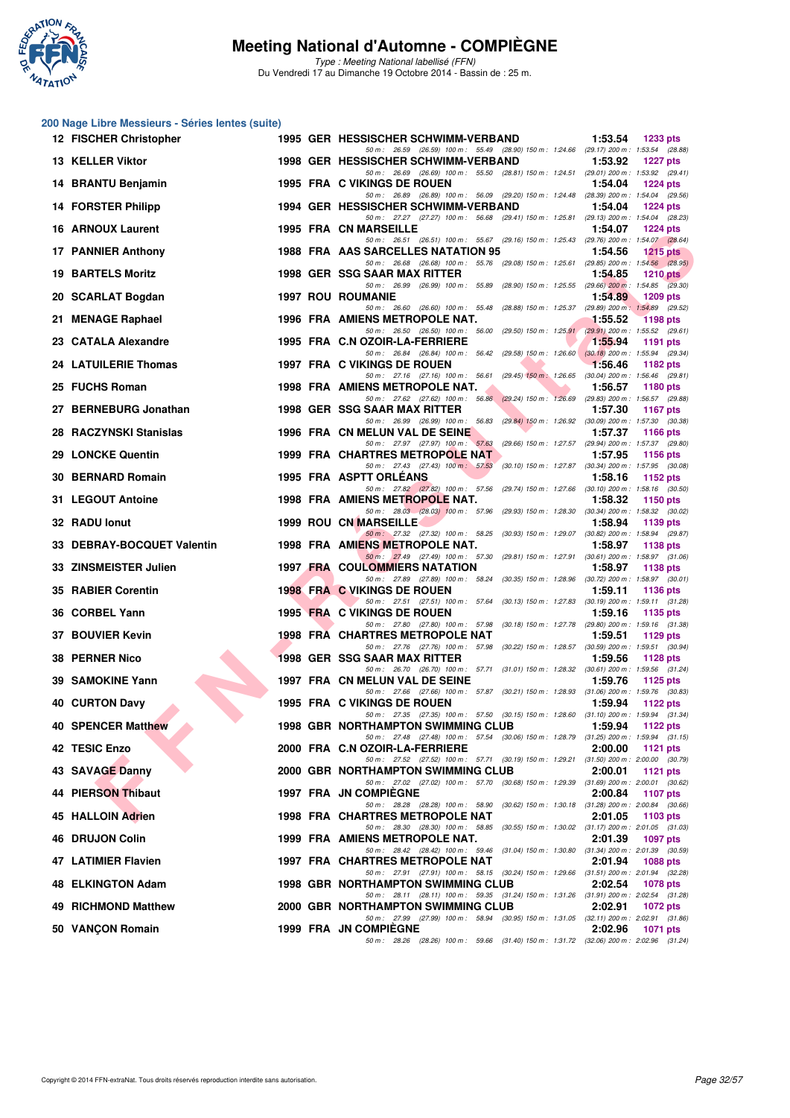

Type : Meeting National labellisé (FFN) Du Vendredi 17 au Dimanche 19 Octobre 2014 - Bassin de : 25 m.

#### **200 Nage Libre Messieurs - Séries lentes (suite)**

| 12 FISCHER Christopher     |  | 1995 GER HESSISCHER SCHWIMM-VERBAND<br>1:53.54<br>1233 pts                                                                                                   |
|----------------------------|--|--------------------------------------------------------------------------------------------------------------------------------------------------------------|
| 13 KELLER Viktor           |  | 50 m: 26.59 (26.59) 100 m: 55.49 (28.90) 150 m: 1:24.66 (29.17) 200 m: 1:53.54 (28.88)<br>1998 GER HESSISCHER SCHWIMM-VERBAND<br>1:53.92<br><b>1227 pts</b>  |
| 14 BRANTU Benjamin         |  | 50 m: 26.69 (26.69) 100 m: 55.50 (28.81) 150 m: 1:24.51 (29.01) 200 m: 1:53.92 (29.41)<br>1995 FRA C VIKINGS DE ROUEN<br>1:54.04<br>$1224$ pts               |
| 14 FORSTER Philipp         |  | 50 m: 26.89 (26.89) 100 m: 56.09 (29.20) 150 m: 1:24.48 (28.39) 200 m: 1:54.04 (29.56)<br>1994 GER HESSISCHER SCHWIMM-VERBAND<br>1:54.04<br><b>1224 pts</b>  |
| <b>16 ARNOUX Laurent</b>   |  | 50 m: 27.27 (27.27) 100 m: 56.68 (29.41) 150 m: 1:25.81 (29.13) 200 m: 1:54.04 (28.23)<br><b>1995 FRA CN MARSEILLE</b><br>1:54.07<br><b>1224 pts</b>         |
| 17 PANNIER Anthony         |  | 50 m: 26.51 (26.51) 100 m: 55.67 (29.16) 150 m: 1:25.43 (29.76) 200 m: 1:54.07 (28.64)<br>1988 FRA AAS SARCELLES NATATION 95<br>1:54.56<br>1215 $pts$        |
| <b>19 BARTELS Moritz</b>   |  | 50 m: 26.68 (26.68) 100 m: 55.76 (29.08) 150 m: 1:25.61 (29.85) 200 m: 1:54.56 (28.95)<br>1998 GER SSG SAAR MAX RITTER<br>1:54.85<br>$1210$ pts              |
| 20 SCARLAT Bogdan          |  | 50 m: 26.99 (26.99) 100 m: 55.89 (28.90) 150 m: 1:25.55 (29.66) 200 m: 1:54.85 (29.30)<br><b>1997 ROU ROUMANIE</b><br>1:54.89<br><b>1209 pts</b>             |
| 21 MENAGE Raphael          |  | 50 m: 26.60 (26.60) 100 m: 55.48 (28.88) 150 m: 1:25.37 (29.89) 200 m: 1:54.89 (29.52)<br>1996 FRA AMIENS METROPOLE NAT.<br>1:55.52<br><b>1198 pts</b>       |
| 23 CATALA Alexandre        |  | 50 m: 26.50 (26.50) 100 m: 56.00 (29.50) 150 m: 1:25.91 (29.91) 200 m: 1:55.52 (29.61)<br>1995 FRA C.N OZOIR-LA-FERRIERE<br>1:55.94<br>1191 pts              |
| 24 LATUILERIE Thomas       |  | 50 m: 26.84 (26.84) 100 m: 56.42 (29.58) 150 m: 1:26.60 (30.18) 200 m: 1:55.94 (29.34)<br>1997 FRA C VIKINGS DE ROUEN<br>1.56.46<br>1182 pts                 |
| 25 FUCHS Roman             |  | 50 m : 27.16 (27.16) 100 m : 56.61 (29.45) 150 m : 1:26.65 (30.04) 200 m : 1:56.46 (29.81)<br>1998 FRA AMIENS METROPOLE NAT.<br>1:56.57<br>1180 pts          |
| 27 BERNEBURG Jonathan      |  | 50 m: 27.62 (27.62) 100 m: 56.86 (29.24) 150 m: 1:26.69 (29.83) 200 m: 1:56.57 (29.88)<br>1998 GER SSG SAAR MAX RITTER<br>1:57.30                            |
|                            |  | 1167 pts<br>50 m: 26.99 (26.99) 100 m: 56.83 (29.84) 150 m: 1.26.92 (30.09) 200 m: 1.57.30 (30.38)                                                           |
| 28 RACZYNSKI Stanislas     |  | 1996 FRA CN MELUN VAL DE SEINE<br>1:57.37<br><b>1166 pts</b><br>50 m: 27.97 (27.97) 100 m: 57.63 (29.66) 150 m: 1:27.57 (29.94) 200 m: 1:57.37 (29.80)       |
| 29 LONCKE Quentin          |  | 1999 FRA CHARTRES METROPOLE NAT<br>1:57.95<br><b>1156 pts</b><br>50 m: 27.43 (27.43) 100 m: 57.53<br>(30.10) 150 m : 1:27.87 (30.34) 200 m : 1:57.95 (30.08) |
| 30 BERNARD Romain          |  | 1995 FRA ASPTT ORLEANS<br>1:58.16<br>1152 pts<br>50 m: 27.82 (27.82) 100 m: 57.56 (29.74) 150 m: 1:27.66 (30.10) 200 m: 1:58.16 (30.50)                      |
| 31 LEGOUT Antoine          |  | 1998 FRA AMIENS METROPOLE NAT.<br>1:58.32<br>1150 pts<br>50 m : 28.03 (28.03) 100 m : 57.96 (29.93) 150 m : 1:28.30 (30.34) 200 m : 1:58.32 (30.02)          |
| 32 RADU lonut              |  | <b>1999 ROU CN MARSEILLE</b><br>1:58.94<br>1139 pts<br>50 m: 27.32 (27.32) 100 m: 58.25 (30.93) 150 m: 1:29.07 (30.82) 200 m: 1:58.94 (29.87)                |
| 33 DEBRAY-BOCQUET Valentin |  | 1998 FRA AMIENS METROPOLE NAT.<br>1:58.97<br>1138 pts<br>50 m: 27.49 (27.49) 100 m: 57.30 (29.81) 150 m: 1:27.91 (30.61) 200 m: 1:58.97 (31.06)              |
| 33 ZINSMEISTER Julien      |  | <b>1997 FRA COULOMMIERS NATATION</b><br>1:58.97<br><b>1138 pts</b><br>50 m: 27.89 (27.89) 100 m: 58.24 (30.35) 150 m: 1:28.96 (30.72) 200 m: 1:58.97 (30.01) |
| 35 RABIER Corentin         |  | <b>1998 FRA C VIKINGS DE ROUEN</b><br>1:59.11<br><b>1136 pts</b><br>50 m: 27.51 (27.51) 100 m: 57.64 (30.13) 150 m: 1:27.83 (30.19) 200 m: 1:59.11 (31.28)   |
| 36 CORBEL Yann             |  | 1995 FRA C VIKINGS DE ROUEN<br>1:59.16<br>1135 pts<br>50 m: 27.80 (27.80) 100 m: 57.98 (30.18) 150 m: 1:27.78 (29.80) 200 m: 1:59.16 (31.38)                 |
| 37 BOUVIER Kevin           |  | <b>1998 FRA CHARTRES METROPOLE NAT</b><br>1:59.51<br>1129 pts                                                                                                |
| <b>38 PERNER Nico</b>      |  | 50 m: 27.76 (27.76) 100 m: 57.98 (30.22) 150 m: 1:28.57 (30.59) 200 m: 1:59.51 (30.94)<br><b>1998 GER SSG SAAR MAX RITTER</b><br>1:59.56<br>1128 $pts$       |
| 39 SAMOKINE Yann           |  | 50 m: 26.70 (26.70) 100 m: 57.71 (31.01) 150 m: 1:28.32 (30.61) 200 m: 1:59.56 (31.24)<br>1:59.76<br>1997 FRA CN MELUN VAL DE SEINE<br>1125 pts              |
| <b>40 CURTON Davy</b>      |  | 50 m: 27.66 (27.66) 100 m: 57.87 (30.21) 150 m: 1:28.93 (31.06) 200 m: 1:59.76 (30.83)<br>1995 FRA C VIKINGS DE ROUEN<br>1:59.94<br>1122 $pts$               |
| <b>40 SPENCER Matthew</b>  |  | 50 m: 27.35 (27.35) 100 m: 57.50 (30.15) 150 m: 1:28.60 (31.10) 200 m: 1:59.94 (31.34)<br><b>1998 GBR NORTHAMPTON SWIMMING CLUB</b><br>1:59.94<br>1122 pts   |
| 42 TESIC Enzo              |  | 50 m: 27.48 (27.48) 100 m: 57.54 (30.06) 150 m: 1:28.79 (31.25) 200 m: 1:59.94 (31.15)<br>2000 FRA C.N OZOIR-LA-FERRIERE<br>2:00.00<br>1121 pts              |
| 43 SAVAGE Danny            |  | 50 m: 27.52 (27.52) 100 m: 57.71 (30.19) 150 m: 1:29.21 (31.50) 200 m: 2:00.00 (30.79)<br>2000 GBR NORTHAMPTON SWIMMING CLUB<br>2:00.01<br><b>1121 pts</b>   |
| <b>44 PIERSON Thibaut</b>  |  | 50 m : 27.02 (27.02) 100 m : 57.70 (30.68) 150 m : 1:29.39 (31.69) 200 m : 2:00.01 (30.62)<br>1997 FRA JN COMPIEGNE<br>2:00.84<br>1107 pts                   |
| 45 HALLOIN Adrien          |  | 50 m: 28.28 (28.28) 100 m: 58.90<br>(30.62) 150 m: 1:30.18 (31.28) 200 m: 2:00.84 (30.66)<br><b>1998 FRA CHARTRES METROPOLE NAT</b><br>2:01.05<br>1103 pts   |
| 46 DRUJON Colin            |  | 50 m: 28.30 (28.30) 100 m: 58.85 (30.55) 150 m: 1:30.02 (31.17) 200 m: 2:01.05 (31.03)<br>1999 FRA AMIENS METROPOLE NAT.<br>2:01.39<br>1097 pts              |
| 47 LATIMIER Flavien        |  | 50 m : 28.42 (28.42) 100 m : 59.46 (31.04) 150 m : 1:30.80 (31.34) 200 m : 2:01.39 (30.59)<br>1997 FRA CHARTRES METROPOLE NAT<br>2:01.94<br>1088 pts         |
|                            |  | 50 m: 27.91 (27.91) 100 m: 58.15 (30.24) 150 m: 1:29.66 (31.51) 200 m: 2:01.94 (32.28)                                                                       |
| 48 ELKINGTON Adam          |  | 1998 GBR NORTHAMPTON SWIMMING CLUB<br>2:02.54<br>1078 pts<br>50 m: 28.11 (28.11) 100 m: 59.35 (31.24) 150 m: 1:31.26 (31.91) 200 m: 2:02.54 (31.28)          |
| 49 RICHMOND Matthew        |  | 2000 GBR NORTHAMPTON SWIMMING CLUB<br>2:02.91<br>1072 pts<br>50 m: 27.99 (27.99) 100 m: 58.94 (30.95) 150 m: 1:31.05 (32.11) 200 m: 2:02.91 (31.86)          |
| 50 VANÇON Romain           |  | <b>1999 FRA JN COMPIEGNE</b><br>2:02.96<br>1071 pts<br>50 m: 28.26 (28.26) 100 m: 59.66 (31.40) 150 m: 1:31.72 (32.06) 200 m: 2:02.96 (31.24)                |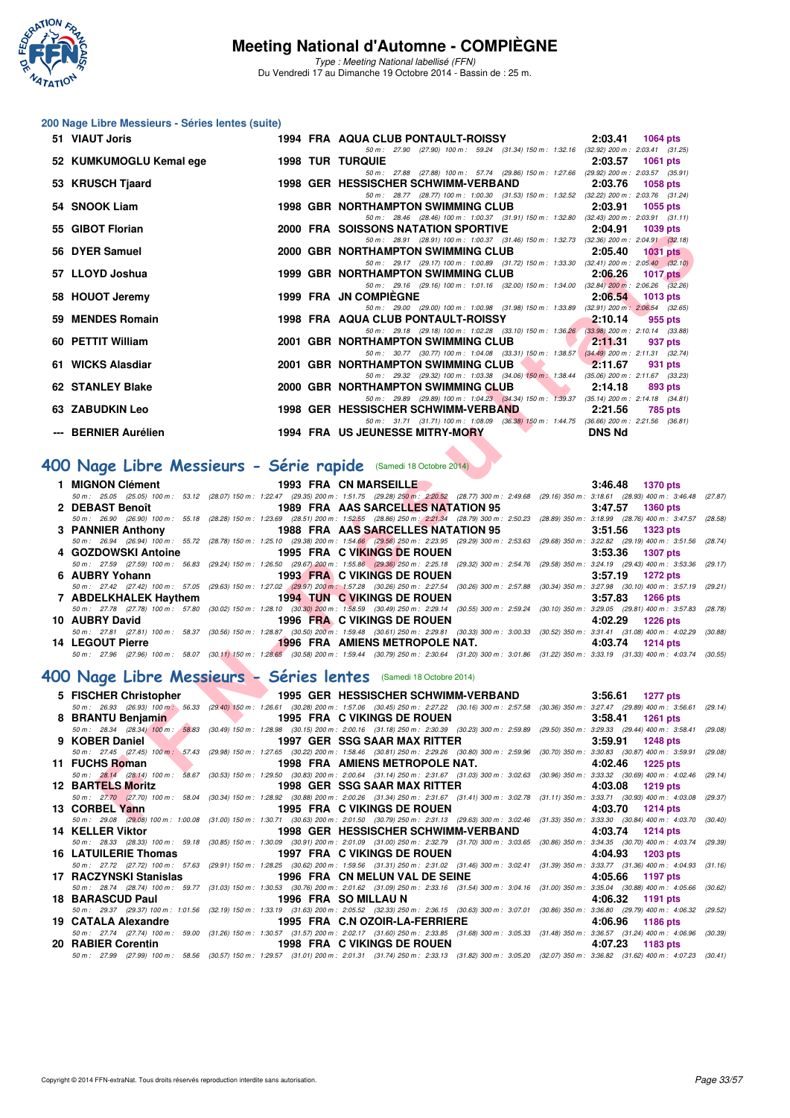

Type : Meeting National labellisé (FFN) Du Vendredi 17 au Dimanche 19 Octobre 2014 - Bassin de : 25 m.

#### **200 Nage Libre Messieurs - Séries lentes (suite)**

| 51 VIAUT Joris                                                   | 1994 FRA AQUA CLUB PONTAULT-ROISSY<br>2:03.41<br><b>1064 pts</b>                                                                                                                                                                                            |  |
|------------------------------------------------------------------|-------------------------------------------------------------------------------------------------------------------------------------------------------------------------------------------------------------------------------------------------------------|--|
| 52 KUMKUMOGLU Kemal ege                                          | 50 m: 27.90 (27.90) 100 m: 59.24 (31.34) 150 m: 1.32.16 (32.92) 200 m: 2:03.41 (31.25)<br><b>1998 TUR TURQUIE</b><br>2:03.57<br>1061 pts                                                                                                                    |  |
| 53 KRUSCH Tjaard                                                 | 50 m: 27.88 (27.88) 100 m: 57.74 (29.86) 150 m: 1:27.66 (29.92) 200 m: 2:03.57 (35.91)<br>1998 GER HESSISCHER SCHWIMM-VERBAND<br>2:03.76<br><b>1058 pts</b>                                                                                                 |  |
| 54 SNOOK Liam                                                    | 50 m: 28.77 (28.77) 100 m: 1:00.30 (31.53) 150 m: 1:32.52 (32.22) 200 m: 2:03.76 (31.24)<br><b>1998 GBR NORTHAMPTON SWIMMING CLUB</b><br>2:03.91<br>1055 pts                                                                                                |  |
| 55 GIBOT Florian                                                 | 50 m: 28.46 (28.46) 100 m: 1:00.37 (31.91) 150 m: 1:32.80 (32.43) 200 m: 2:03.91 (31.11)<br>2000 FRA SOISSONS NATATION SPORTIVE<br>2:04.91<br>1039 pts                                                                                                      |  |
| 56 DYER Samuel                                                   | 50 m: 28.91 (28.91) 100 m: 1:00.37 (31.46) 150 m: 1:32.73 (32.36) 200 m: 2:04.91 (32.18)<br>2000 GBR NORTHAMPTON SWIMMING CLUB<br>2:05.40<br><b>1031 pts</b>                                                                                                |  |
|                                                                  | 50 m: 29.17 (29.17) 100 m: 1:00.89 (31.72) 150 m: 1:33.30 (32.41) 200 m: 2:05.40 (32.10)                                                                                                                                                                    |  |
| 57 LLOYD Joshua                                                  | 1999 GBR NORTHAMPTON SWIMMING CLUB<br>2:06.26<br>1017 pts<br>50 m: 29.16 (29.16) 100 m: 1:01.16 (32.00) 150 m: 1:34.00 (32.84) 200 m: 2:06.26 (32.26)                                                                                                       |  |
| 58 HOUOT Jeremy                                                  | <b>1999 FRA JN COMPIEGNE</b><br>2:06.54<br><b>1013 pts</b><br>50 m : 29.00 (29.00) 100 m : 1:00.98 (31.98) 150 m : 1:33.89 (32.91) 200 m : 2:06.54 (32.65)                                                                                                  |  |
| 59 MENDES Romain                                                 | 1998 FRA AQUA CLUB PONTAULT-ROISSY<br>2:10.14<br>955 pts<br>50 m: 29.18 (29.18) 100 m: 1:02.28 (33.10) 150 m: 1:36.26 (33.98) 200 m: 2:10.14 (33.88)                                                                                                        |  |
| 60 PETTIT William                                                | 2001 GBR NORTHAMPTON SWIMMING CLUB<br>2:11.31<br>937 pts                                                                                                                                                                                                    |  |
| 61 WICKS Alasdiar                                                | 50 m: 30.77 (30.77) 100 m: 1:04.08 (33.31) 150 m: 1:38.57 (34.49) 200 m: 2:11.31 (32.74)<br>2001 GBR NORTHAMPTON SWIMMING CLUB<br>2:11.67<br>931 pts                                                                                                        |  |
| <b>62 STANLEY Blake</b>                                          | 50 m: 29.32 (29.32) 100 m: 1:03.38 (34.06) 150 m: 1:38.44 (35.06) 200 m: 2:11.67 (33.23)<br>2000 GBR NORTHAMPTON SWIMMING CLUB<br><b>The Second Service</b><br>2:14.18<br>893 pts                                                                           |  |
| 63 ZABUDKIN Leo                                                  | 50 m: 29.89 (29.89) 100 m: 1:04.23 (34.34) 150 m: 1:39.37 (35.14) 200 m: 2:14.18 (34.81)<br>1998 GER HESSISCHER SCHWIMM-VERBAND<br>2:21.56<br>785 pts                                                                                                       |  |
| --- BERNIER Aurélien                                             | 50 m: 31.71 (31.71) 100 m: 1:08.09 (36.38) 150 m: 1:44.75 (36.66) 200 m: 2:21.56 (36.81)<br>1994 FRA US JEUNESSE MITRY-MORY<br><b>DNS Nd</b>                                                                                                                |  |
|                                                                  |                                                                                                                                                                                                                                                             |  |
| OO Nage Libre Messieurs - Série rapide (Samedi 18 Octobre 2014)  |                                                                                                                                                                                                                                                             |  |
| 1 MIGNON Clément                                                 | 1993 FRA CN MARSEILLE<br>3:46.48<br><b>1370 pts</b>                                                                                                                                                                                                         |  |
| 2 DEBAST Benoît                                                  | 50 m: 25.05 (25.05) 100 m: 53.12 (28.07) 150 m: 1:22.47 (29.35) 200 m: 1:51.75 (29.28) 250 m: 2:20.52 (28.77) 300 m: 2:49.68 (29.16) 350 m: 3:18.61 (28.93) 400 m: 3:46.48 (2<br>1989 FRA AAS SARCELLES NATATION 95<br>3:47.57<br><b>1360 pts</b>           |  |
| 3 PANNIER Anthony                                                | 50 m : 26.90 (26.90) 100 m : 55.18 (28.28) 150 m : 1:23.69 (28.51) 200 m : 1:52.55 (28.86) 250 m : 2:21,34 (28.79) 300 m : 2:50.23<br>(28.89) 350 m: 3:18.99 (28.76) 400 m: 3:47.57 (2)<br>1988 FRA AAS SARCELLES NATATION 95<br>3:51.56<br><b>1323 pts</b> |  |
| 4 GOZDOWSKI Antoine                                              | 50 m: 26.94 (26.94) 100 m: 55.72 (28.78) 150 m: 1:25.10 (29.38) 200 m: 1:54.66 (29.56) 250 m: 2:23.95 (29.29) 300 m: 2:53.63 (29.68) 350 m: 3:22.82 (29.19) 400 m: 3:51.56 (2<br>1995 FRA C VIKINGS DE ROUEN<br>3:53.36<br><b>1307 pts</b>                  |  |
|                                                                  | 50 m: 27.59 (27.59) 100 m: 56.83 (29.24) 150 m: 1:26.50 (29.67) 200 m: 1:55.86 (29.36) 250 m: 2:25.18 (29.32) 300 m: 2:54.76 (29.58) 350 m: 3:24.19 (29.43) 400 m: 3:53.36 (29.                                                                             |  |
| 6 AUBRY Yohann                                                   | 1993 FRA C VIKINGS DE ROUEN<br>3:57.19<br><b>1272 pts</b>                                                                                                                                                                                                   |  |
| 7 ABDELKHALEK Haythem                                            | 50 m: 27.42 (27.42) 100 m: 57.05 (29.63) 150 m: 1:27.02 (29.97) 200 m: 1:57.28 (30.26) 250 m: 2:27.54 (30.26) 300 m: 2:57.88 (30.34) 350 m: 3:27.98 (30.10) 400 m: 3:57.19 (2<br><b>1994 TUN C VIKINGS DE ROUEN</b><br>3:57.83<br><b>1266 pts</b>           |  |
|                                                                  | 50 m: 27.78 (27.78) 100 m: 57.80 (30.02) 150 m: 1:28.10 (30.30) 200 m: 1:58.59 (30.49) 250 m: 2:29.14 (30.55) 300 m: 2:59.24 (30.10) 350 m: 3:29.05 (29.81) 400 m: 3:57.83 (20                                                                              |  |
| 10 AUBRY David                                                   | 1996 FRA C VIKINGS DE ROUEN<br>4:02.29<br><b>1226 pts</b><br>50 m: 27.81 (27.81) 100 m: 58.37 (30.56) 150 m: 1:28.87 (30.50) 200 m: 1:59.48 (30.61) 250 m: 2:29.81 (30.33) 300 m: 3:00.33 (30.52) 350 m: 3:31.41 (31.08) 400 m: 4:02.29 (30                 |  |
| 14 LEGOUT Pierre                                                 | <b>1996 FRA AMIENS METROPOLE NAT.</b><br>4:03.74<br><b>1214 pts</b>                                                                                                                                                                                         |  |
|                                                                  |                                                                                                                                                                                                                                                             |  |
|                                                                  | 50 m : 27.96 (27.96) 100 m : 58.07 (30.11) 150 m : 1:28.65 (30.58) 200 m : 1:59.44 (30.79) 250 m : 2:30.64 (31.20) 300 m : 3:01.86 (31.22) 350 m : 3:33.19 (31.33) 400 m : 4:03.74 (30                                                                      |  |
| OO Nage Libre Messieurs - Séries lentes (Samedi 18 Octobre 2014) |                                                                                                                                                                                                                                                             |  |
| 5 FISCHER Christopher                                            | 1995 GER HESSISCHER SCHWIMM-VERBAND<br>3:56.61<br><b>1277 pts</b>                                                                                                                                                                                           |  |
|                                                                  | 50 m : 26.93 (26.93) 100 m : 56.33 (29.40) 150 m : 1:26.61 (30.28) 200 m : 1:57.06 (30.45) 250 m : 2:27.22 (30.16) 300 m : 2:57.58 (30.36) 350 m : 3:27.47 (29.89) 400 m : 3:56.61 (2                                                                       |  |
| 8 BRANTU Benjamin                                                | 1995 FRA C VIKINGS DE ROUEN<br>3:58.41<br><b>1261 pts</b><br>50 m: 28.34 (28.34) 100 m: 58.83 (30.49) 150 m: 1:28.98 (30.15) 200 m: 2:00.16 (31.18) 250 m: 2:30.39 (30.23) 300 m: 2:59.89 (29.50) 350 m: 3:29.33 (29.44) 400 m: 3:58.41 (2                  |  |
| 9 KOBER Daniel                                                   | 1997 GER SSG SAAR MAX RITTER<br>3:59.91<br><b>1248 pts</b>                                                                                                                                                                                                  |  |
|                                                                  | 50 m : 27.45 (27.45) 100 m : 57.43 (29.98) 150 m : 1:27.65 (30.22) 200 m : 1:58.46 (30.81) 250 m : 2:29.26 (30.80) 300 m : 2:59.96 (30.70) 350 m : 3:30.83 (30.87) 400 m : 3:59.91 (2:                                                                      |  |
| 11 FUCHS Roman                                                   | 1998 FRA AMIENS METROPOLE NAT.<br>4:02.46<br><b>1225 pts</b><br>50 m: 28.14 (28.14) 100 m: 58.67 (30.53) 150 m: 1:29.50 (30.83) 200 m: 2:00.64 (31.14) 250 m: 2:31.67 (31.03) 300 m: 3:02.63 (30.96) 350 m: 3:33.32 (30.69) 400 m: 4:02.46 (2               |  |
| <b>12 BARTELS Moritz</b>                                         | 1998 GER SSG SAAR MAX RITTER<br>4:03.08<br><b>1219 pts</b><br>50 m: 27.70 (27.70) 100 m: 58.04 (30.34) 150 m: 1:28.92 (30.88) 200 m: 2:00.26 (31.34) 250 m: 2:31.67 (31.41) 300 m: 3:02.78 (31.11) 350 m: 3:33.71 (30.93) 400 m: 4:03.08 (2                 |  |
| 13 CORBEL Yann                                                   | 1995 FRA C VIKINGS DE ROUEN<br>4:03.70<br>1214 pts<br>50 m; 29.08 (29.08) 100 m; 1:00.08 (31.00) 150 m; 1:30.71 (30.63) 200 m; 2:01.50 (30.79) 250 m; 2:31.13 (29.63) 300 m; 3:02.46 (31.33) 350 m; 3:33.30 (30.84) 400 m; 4:03.70 (30                      |  |

## **[400 Nage Libre Messieurs - Série rapide](http://www.ffnatation.fr/webffn/resultats.php?idact=nat&go=epr&idcpt=24767&idepr=54)** (Samedi 18 Octobre 2014)

| 1 MIGNON Clément <b>Annual State Annual State Annual</b> | 1993 FRA CN MARSEILLE <b>CONTAINS</b>                  | $3:46.48$ 1370 pts                                                                                                                                                                         |  |
|----------------------------------------------------------|--------------------------------------------------------|--------------------------------------------------------------------------------------------------------------------------------------------------------------------------------------------|--|
|                                                          |                                                        | 50 m: 25.05 (25.05) 100 m: 53.12 (28.07) 150 m: 1:22.47 (29.35) 200 m: 1:51.75 (29.28) 250 m: 2:20.52 (28.77) 300 m: 2:49.68 (29.16) 350 m: 3:18.61 (28.93) 400 m: 3:46.48 (27.87)         |  |
| 2 DEBAST Benoît <b>Example 18</b>                        | <b>1989 FRA AAS SARCELLES NATATION 95</b>              | 3:47.57 1360 pts                                                                                                                                                                           |  |
|                                                          |                                                        | 50 m: 26.90 (26.90) 100 m: 55.18 (28.28) 150 m: 1:23.69 (28.51) 200 m: 1:52.55 (28.86) 250 m: 2:21.34 (28.79) 300 m: 2:50.23 (28.89) 350 m: 3:18.99 (28.76) 400 m: 3:47.57 (28.58)         |  |
| 3 PANNIER Anthony                                        | 1988 FRA AA <b>S SARCELLES NATATION</b> 95             | $3:51.56$ 1323 pts                                                                                                                                                                         |  |
|                                                          |                                                        | 50 m: 26.94 (26.94) 100 m: 55.72 (28.78) 150 m: 1:25.10 (29.38) 200 m: 1:54.66 (29.56) 250 m: 2:23.95 (29.29) 300 m: 2:53.63 (29.68) 350 m: 3:22.82 (29.19) 400 m: 3:51.56 (28.74)         |  |
|                                                          | 4 GOZDOWSKI Antoine <b>1995 FRA</b> C VIKINGS DE ROUEN | $3:53.36$ 1307 pts                                                                                                                                                                         |  |
|                                                          |                                                        | 50 m: 27.59 (27.59) 100 m: 56.83 (29.24) 150 m: 1:26.50 (29.67) 200 m: 1:55.86 (29.36) 250 m: 2:25.18 (29.32) 300 m: 2:54.76 (29.58) 350 m: 3:24.19 (29.43) 400 m: 3:53.36 (29.17)         |  |
|                                                          |                                                        |                                                                                                                                                                                            |  |
| 6 AUBRY Yohann                                           | 1993 FRA C VIKINGS DE ROUEN                            | $3:57.19$ 1272 pts                                                                                                                                                                         |  |
|                                                          |                                                        | 50 m : 27.42 (27.42) 100 m : 57.05 (29.63) 150 m : 1:27.02 (29.97) 200 m : 1:57.28 (30.26) 250 m : 2:27.54 (30.26) 300 m : 2:57.88 (30.34) 350 m : 3:27.98 (30.10) 400 m : 3:57.19 (29.21) |  |
|                                                          |                                                        | $3:57.83$ 1266 pts                                                                                                                                                                         |  |
|                                                          |                                                        | 50 m: 27.78 (27.78) 100 m: 57.80 (30.02) 150 m: 1:28.10 (30.30) 200 m: 1:58.59 (30.49) 250 m: 2:29.14 (30.55) 300 m: 2:59.24 (30.10) 350 m: 3:29.05 (29.81) 400 m: 3:57.83 (28.78)         |  |
| 10 AUBRY David                                           | 1996 FRANC VIKINGS DE ROUEN                            | 4:02.29 1226 pts                                                                                                                                                                           |  |
|                                                          |                                                        | 50 m: 27.81 (27.81) 100 m: 58.37 (30.56) 150 m: 1:28.87 (30.50) 200 m: 1:59.48 (30.61) 250 m: 2:29.81 (30.33) 300 m: 3:00.33 (30.52) 350 m: 3:31.41 (31.08) 400 m: 4:02.29 (30.88)         |  |
| 14 LEGOUT Pierre                                         | 1996 FRA AMIENS METROPOLE NAT.                         | 4:03.74 1214 pts                                                                                                                                                                           |  |

#### **[400 Nage Libre Messieurs - Séries lentes](http://www.ffnatation.fr/webffn/resultats.php?idact=nat&go=epr&idcpt=24767&idepr=54)** (Samedi 18 Octobre 2014)

|                                                                                                                | 5 FISCHER Christopher 1995 GER HESSISCHER SCHWIMM-VERBAND                                                                                                                                  | $3:56.61$ 1277 pts    |
|----------------------------------------------------------------------------------------------------------------|--------------------------------------------------------------------------------------------------------------------------------------------------------------------------------------------|-----------------------|
|                                                                                                                | 50 m : 26.93 (26.93) 100 m : 56.33 (29.40) 150 m : 1:26.61 (30.28) 200 m : 1:57.06 (30.45) 250 m : 2:27.22 (30.16) 300 m : 2:57.58 (30.36) 350 m : 3:27.47 (29.89) 400 m : 3:56.61 (29.14) |                       |
| 8 BRANTU Benjamin                                                                                              | 1995 FRA C VIKINGS DE ROUEN                                                                                                                                                                | $3:58.41$ 1261 pts    |
|                                                                                                                | 50 m: 28.34 (28.34) 100 m: 58.83 (30.49) 150 m: 1:28.98 (30.15) 200 m: 2:00.16 (31.18) 250 m: 2:30.39 (30.23) 300 m: 2:59.89 (29.50) 350 m: 3:29.33 (29.44) 400 m: 3:58.41 (29.08)         |                       |
| 9 KOBER Daniel                                                                                                 | 1997 GER SSG SAAR MAX RITTER                                                                                                                                                               | $3:59.91$ 1248 pts    |
|                                                                                                                | 50 m : 27.45 (27.45) 100 m : 57.43 (29.98) 150 m : 1:27.65 (30.22) 200 m : 1:58.46 (30.81) 250 m : 2:29.26 (30.80) 300 m : 2:59.96 (30.70) 350 m : 3:30.83 (30.87) 400 m : 3:59.91 (29.08) |                       |
| 11 FUCHS Roman                                                                                                 | 1998 FRA AMIENS METROPOLE NAT.                                                                                                                                                             | 4:02.46<br>1225 pts   |
|                                                                                                                | 50 m: 28.14 (28.14) 100 m: 58.67 (30.53) 150 m: 1:29.50 (30.83) 200 m: 2:00.64 (31.14) 250 m: 2:31.67 (31.03) 300 m: 3:02.63 (30.96) 350 m: 3:33.32 (30.69) 400 m: 4:02.46 (29.14)         |                       |
| <b>12 BARTELS Moritz</b>                                                                                       | 1998 GER SSG SAAR MAX RITTER                                                                                                                                                               | 4:03.08<br>1219 pts   |
|                                                                                                                | 50 m: 27.70 (27.70) 100 m: 58.04 (30.34) 150 m: 1:28.92 (30.88) 200 m: 2:00.26 (31.34) 250 m: 2:31.67 (31.41) 300 m: 3:02.78 (31.11) 350 m: 3:33.71 (30.93) 400 m: 4:03.08 (29.37)         |                       |
| 13 CORBEL Yann                                                                                                 | 1995 FRA C VIKINGS DE ROUEN                                                                                                                                                                | 4:03.70 1214 pts      |
|                                                                                                                | 50 m: 29.08 (29.08) 100 m: 1:00.08 (31.00) 150 m: 1:30.71 (30.63) 200 m: 2:01.50 (30.79) 250 m: 2:31.13 (29.63) 300 m: 3:02.46 (31.33) 350 m: 3:33.30 (30.84) 400 m: 4:03.70 (30.40)       |                       |
| 14 KELLER Viktor                                                                                               | 1998 GER HESSISCHER SCHWIMM-VERBAND                                                                                                                                                        | 4:03.74<br>$1214$ pts |
|                                                                                                                | 50 m: 28.33 (28.33) 100 m: 59.18 (30.85) 150 m: 1:30.09 (30.91) 200 m: 2:01.09 (31.00) 250 m: 2:32.79 (31.70) 300 m: 3:03.65 (30.86) 350 m: 3:34.35 (30.70) 400 m: 4:03.74 (29.39)         |                       |
|                                                                                                                |                                                                                                                                                                                            | 4:04.93<br>1203 pts   |
|                                                                                                                | 50 m: 27.72 (27.72) 100 m: 57.63 (29.91) 150 m: 1:28.25 (30.62) 200 m: 1:59.56 (31.31) 250 m: 2:31.02 (31.46) 300 m: 3:02.41 (31.39) 350 m: 3:33.77 (31.36) 400 m: 4:04.93 (31.16)         |                       |
|                                                                                                                |                                                                                                                                                                                            | 4:05.66<br>1197 pts   |
|                                                                                                                | 50 m: 28.74 (28.74) 100 m: 59.77 (31.03) 150 m: 1:30.53 (30.76) 200 m: 2:01.62 (31.09) 250 m: 2:33.16 (31.54) 300 m: 3:04.16 (31.00) 350 m: 3:35.04 (30.88) 400 m: 4:05.66 (30.62)         |                       |
| 18 BARASCUD Paul Design and the Second Second Second Second Second Second Second Second Second Second Second S | 1996 FRA SO MILLAU N                                                                                                                                                                       | 4:06.32 1191 pts      |
|                                                                                                                | 50 m: 29.37 (29.37) 100 m: 1:01.56 (32.19) 150 m: 1:33.19 (31.63) 200 m: 2:05.52 (32.33) 250 m: 2:36.15 (30.63) 300 m: 3:07.01 (30.86) 350 m: 3:36.80 (29.79) 400 m: 4:06.32 (29.52)       |                       |
| 19 CATALA Alexandre                                                                                            | 1995 FRA C.N OZOIR-LA-FERRIERE                                                                                                                                                             | 4:06.96<br>1186 pts   |
|                                                                                                                | 50 m: 27.74 (27.74) 100 m: 59.00 (31.26) 150 m: 1:30.57 (31.57) 200 m: 2:02.17 (31.60) 250 m: 2:33.85 (31.68) 300 m: 3:05.33 (31.48) 350 m: 3:36.57 (31.24) 400 m: 4:06.96 (30.39)         |                       |
| 20 RABIER Corentin                                                                                             | 1998 FRA C VIKINGS DE ROUEN                                                                                                                                                                | 4:07.23 1183 pts      |
|                                                                                                                | 50 m: 27.99 (27.99) 100 m: 58.56 (30.57) 150 m: 1:29.57 (31.01) 200 m: 2:01.31 (31.74) 250 m: 2:33.13 (31.82) 300 m: 3:05.20 (32.07) 350 m: 3:36.82 (31.62) 400 m: 4:07.23 (30.41)         |                       |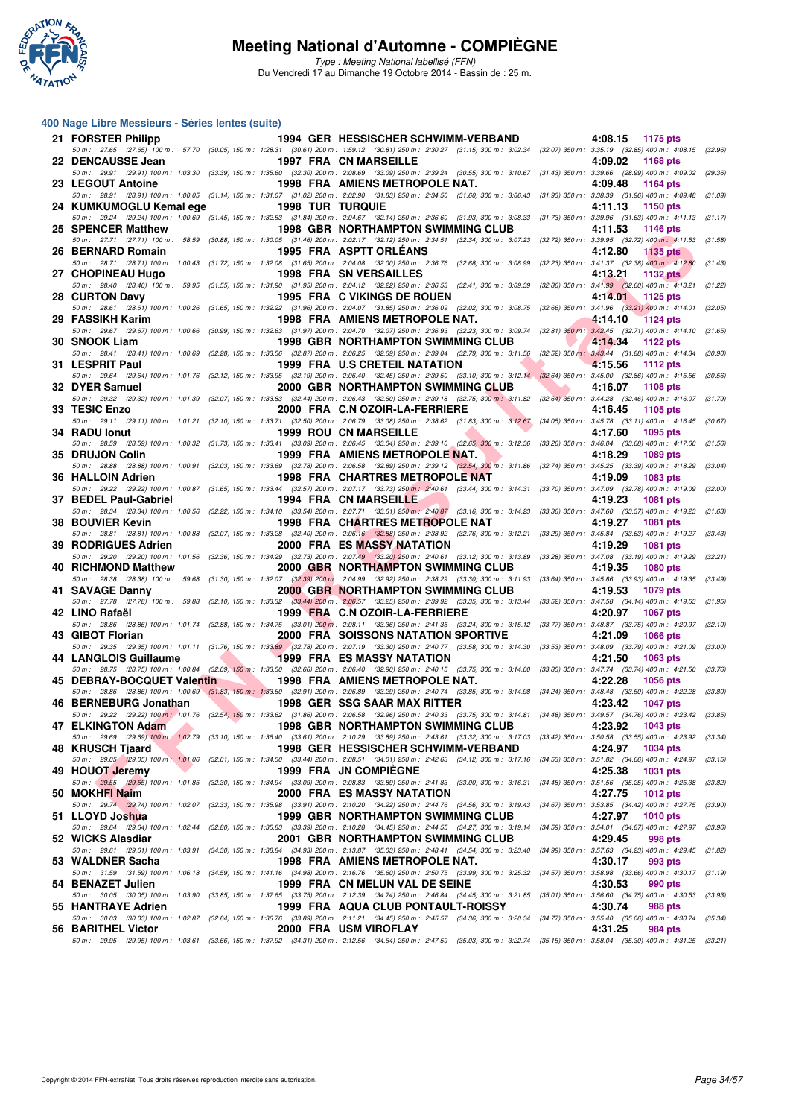

Type : Meeting National labellisé (FFN) Du Vendredi 17 au Dimanche 19 Octobre 2014 - Bassin de : 25 m.

#### **400 Nage Libre Messieurs - Séries lentes (suite)**

| 21 FORSTER Philipp                                              |                                                                                                                                                                                                                                      | 1994 GER HESSISCHER SCHWIMM-VERBAND                                                                                                                                                                                                        |                           | 4:08.15<br>1175 pts        |         |
|-----------------------------------------------------------------|--------------------------------------------------------------------------------------------------------------------------------------------------------------------------------------------------------------------------------------|--------------------------------------------------------------------------------------------------------------------------------------------------------------------------------------------------------------------------------------------|---------------------------|----------------------------|---------|
| 22 DENCAUSSE Jean                                               |                                                                                                                                                                                                                                      | 50 m: 27.65 (27.65) 100 m: 57.70 (30.05) 150 m: 1:28.31 (30.61) 200 m: 1:59.12 (30.81) 250 m: 2:30.27 (31.15) 300 m: 3:02.34 (32.07) 350 m: 3:35.19 (32.85) 400 m: 4:08.15 (32.96)<br><b>1997 FRA CN MARSEILLE</b>                         |                           | 4:09.02<br>1168 pts        |         |
|                                                                 |                                                                                                                                                                                                                                      | 50 m: 29.91 (29.91) 100 m: 1:03.30 (33.39) 150 m: 1:35.60 (32.30) 200 m: 2:08.69 (33.09) 250 m: 2:39.24 (30.55) 300 m: 3:10.67 (31.43) 350 m: 3:39.66 (28.99) 400 m: 4:09.02 (29.36)                                                       |                           |                            |         |
| 23 LEGOUT Antoine                                               |                                                                                                                                                                                                                                      | 1998 FRA AMIENS METROPOLE NAT.<br>50 m: 28.91 (28.91) 100 m: 1:00.05 (31.14) 150 m: 1:31.07 (31.02) 200 m: 2:02.90 (31.83) 250 m: 2:34.50 (31.60) 300 m: 3:06.43 (31.93) 350 m: 3:38.39 (31.96) 400 m: 4:09.48                             |                           | 4:09.48<br>1164 pts        | (31.09) |
| 24 KUMKUMOGLU Kemal ege                                         | <b>1998 TUR TURQUIE</b>                                                                                                                                                                                                              |                                                                                                                                                                                                                                            |                           | 4:11.13<br>1150 pts        |         |
| 25 SPENCER Matthew                                              |                                                                                                                                                                                                                                      | 50 m: 29.24 (29.24) 100 m: 1:00.69 (31.45) 150 m: 1:32.53 (31.84) 200 m: 2:04.67 (32.14) 250 m: 2:36.60 (31.93) 300 m: 3:08.33 (31.73) 350 m: 3:39.96 (31.63) 400 m: 4:11.13 (31.17)<br>1998 GBR NORTHAMPTON SWIMMING CLUB                 |                           | 4:11.53<br>1146 pts        |         |
|                                                                 |                                                                                                                                                                                                                                      | 50 m: 27.71 (27.71) 100 m: 58.59 (30.88) 150 m: 1:30.05 (31.46) 200 m: 2:02.17 (32.12) 250 m: 2:34.51 (32.34) 300 m: 3:07.23 (32.72) 350 m: 3:39.95 (32.72) 400 m: 4:11.53 (31.58)                                                         |                           |                            |         |
| 26 BERNARD Romain                                               |                                                                                                                                                                                                                                      | 1995 FRA ASPTT ORLEANS<br>50 m: 28.71 (28.71) 100 m: 1:00.43 (31.72) 150 m: 1:32.08 (31.65) 200 m: 2:04.08 (32.00) 250 m: 2:36.76 (32.68) 300 m: 3:08.99 (32.23) 350 m: 3:41.37 (32.38) 400 m: 4:12.80                                     |                           | 4:12.80<br><b>1135 pts</b> | (31.43) |
| 27 CHOPINEAU Hugo                                               |                                                                                                                                                                                                                                      | <b>1998 FRA SN VERSAILLES</b>                                                                                                                                                                                                              |                           | 4:13.21<br>1132 $pts$      |         |
| <b>28 CURTON Davy</b>                                           |                                                                                                                                                                                                                                      | 50 m: 28.40 (28.40) 100 m: 59.95 (31.55) 150 m: 1:31.90 (31.95) 200 m: 2:04.12 (32.22) 250 m: 2:36.53 (32.41) 300 m: 3:09.39 (32.86) 350 m: 3:41.99 (32.60) 400 m: 4:13.21 (31.22)<br>1995 FRA C VIKINGS DE ROUEN                          |                           | 4:14.01 1125 pts           |         |
| 29 FASSIKH Karim                                                |                                                                                                                                                                                                                                      | 50 m: 28.61 (28.61) 100 m: 1:00.26 (31.65) 150 m: 1:32.22 (31.96) 200 m: 2:04.07 (31.85) 250 m: 2:36.09 (32.02) 300 m: 3:08.75 (32.66) 350 m: 3:41.96 (33.21) 400 m: 4:14.01 (32.05)<br><b>1998 FRA AMIENS METROPOLE NAT.</b>              |                           | 4:14.10<br><b>1124 pts</b> |         |
|                                                                 |                                                                                                                                                                                                                                      | 50 m: 29.67 (29.67) 100 m: 1:00.66 (30.99) 150 m: 1:32.63 (31.97) 200 m: 2:04.70 (32.07) 250 m: 2:36.93 (32.23) 300 m: 3:09.74 (32.81) 350 m: 3:42.45 (32.71) 400 m: 4:14.10 (31.65)                                                       |                           |                            |         |
| 30 SNOOK Liam                                                   |                                                                                                                                                                                                                                      | <b>1998 GBR NORTHAMPTON SWIMMING CLUB</b><br>50 m : 28.41 (28.41) 100 m : 1:00.69 (32.28) 150 m : 1:33.56 (32.87) 200 m : 2:06.25 (32.69) 250 m : 2:39.04 (32.79) 300 m : 3:11.56 (32.52) 350 m : 3:43.44 (31.88) 400 m : 4:14.34 (30.90)  |                           | 4:14.34<br>1122 pts        |         |
| 31 LESPRIT Paul                                                 |                                                                                                                                                                                                                                      | 1999 FRA U.S CRETEIL NATATION                                                                                                                                                                                                              |                           | 4:15.56<br>1112 pts        |         |
| 32 DYER Samuel                                                  |                                                                                                                                                                                                                                      | 50 m: 29.64 (29.64) 100 m: 1:01.76 (32.12) 150 m: 1:33.95 (32.19) 200 m: 2:06.40 (32.45) 250 m: 2:39.50 (33.10) 300 m: 3:12.14 (32.64) 350 m: 3:45.00 (32.86) 400 m: 4:15.56 (30.56)<br>2000 GBR NORTHAMPTON SWIMMING CLUB                 | <b>The Second Service</b> | 4:16.07<br>1108 pts        |         |
|                                                                 |                                                                                                                                                                                                                                      | 50 m: 29.32 (29.32) 100 m: 1:01.39 (32.07) 150 m: 1:33.83 (32.44) 200 m: 2:06.43 (32.60) 250 m: 2:39.18 (32.75) 300 m: 3:11.82 (32.64) 350 m: 3:44.28 (32.46) 400 m: 4:16.07 (31.79)                                                       |                           |                            |         |
| 33 TESIC Enzo                                                   |                                                                                                                                                                                                                                      | 2000 FRA C.N OZOIR-LA-FERRIERE<br>50 m: 29.11 (29.11) 100 m: 1:01.21 (32.10) 150 m: 1:33.71 (32.50) 200 m: 2:06.79 (33.08) 250 m: 2:38.62 (31.83) 300 m: 3:12.67 (34.05) 350 m: 3:45.78 (33.11) 400 m: 4:16.45 (30.67)                     |                           | 4:16.45<br>1105 pts        |         |
| 34 RADU lonut                                                   |                                                                                                                                                                                                                                      | <b>1999 ROU CN MARSEILLE</b>                                                                                                                                                                                                               |                           | 4:17.60<br>1095 pts        |         |
| 35 DRUJON Colin                                                 |                                                                                                                                                                                                                                      | 50 m: 28.59 (28.59) 100 m: 1:00.32 (31.73) 150 m: 1:33.41 (33.09) 200 m: 2:06.45 (33.04) 250 m: 2:39.10 (32.65) 300 m: 3:12.36 (33.26) 350 m: 3:46.04 (33.68) 400 m: 4:17.60 (31.56)<br>1999 FRA AMIENS METROPOLE NAT.                     |                           | 4:18.29<br>1089 pts        |         |
|                                                                 |                                                                                                                                                                                                                                      | 50 m: 28.88 (28.88) 100 m: 1:00.91 (32.03) 150 m: 1:33.69 (32.78) 200 m: 2:06.58 (32.89) 250 m: 2:39.12 (32.54) 300 m: 3:11.86 (32.74) 350 m: 3:45.25 (33.39) 400 m: 4:18.29 (33.04)                                                       |                           |                            |         |
| 36 HALLOIN Adrien                                               |                                                                                                                                                                                                                                      | 1998 FRA CHARTRES METROPOLE NAT<br>50 m: 29.22 (29.22) 100 m: 1:00.87 (31.65) 150 m: 1:33.44 (32.57) 200 m: 2:07.17 (33.73) 250 m: 2:40.61 (33.44) 300 m: 3:14.31 (33.70) 350 m: 3:47.09 (32.78) 400 m: 4:19.09 (32.00)                    |                           | 4:19.09<br><b>1083 pts</b> |         |
| 37 BEDEL Paul-Gabriel                                           |                                                                                                                                                                                                                                      | <b>1994 FRA CN MARSEILLE</b>                                                                                                                                                                                                               |                           | 4:19.23<br><b>1081 pts</b> |         |
| 38 BOUVIER Kevin                                                |                                                                                                                                                                                                                                      | 50 m: 28.34 (28.34) 100 m: 1:00.56 (32.22) 150 m: 1:34.10 (33.54) 200 m: 2:07.71 (33.61) 250 m: 2:40.87 (33.16) 300 m: 3:14.23 (33.36) 350 m: 3:47.60 (33.37) 400 m: 4:19.23 (31.63)<br>1998 FRA CHARTRES METROPOLE NAT                    |                           | 4:19.27<br><b>1081 pts</b> |         |
|                                                                 |                                                                                                                                                                                                                                      | 50 m: 28.81 (28.81) 100 m: 1:00.88 (32.07) 150 m: 1:33.28 (32.40) 200 m: 2:06.16 (32.88) 250 m: 2:38.92 (32.76) 300 m: 3:12.21 (33.29) 350 m: 3:45.84 (33.63) 400 m: 4:19.27 (33.43)                                                       |                           |                            |         |
| 39 RODRIGUES Adrien                                             |                                                                                                                                                                                                                                      | <b>2000 FRA ES MASSY NATATION</b><br>50 m: 29.20 (29.20) 100 m: 1:01.56 (32.36) 150 m: 1:34.29 (32.73) 200 m: 2:07.49 (33.20) 250 m: 2:40.61 (33.12) 300 m: 3:13.89 (33.28) 350 m: 3:47.08 (33.19) 400 m: 4:19.29 (32.21)                  |                           | 4:19.29<br><b>1081 pts</b> |         |
| 40 RICHMOND Matthew                                             |                                                                                                                                                                                                                                      | 2000 GBR NORTHAMPTON SWIMMING CLUB                                                                                                                                                                                                         |                           | 4:19.35<br><b>1080 pts</b> |         |
| 41 SAVAGE Danny                                                 |                                                                                                                                                                                                                                      | 50 m: 28.38 (28.38) 100 m: 59.68 (31.30) 150 m: 1:32.07 (32.39) 200 m: 2:04.99 (32.92) 250 m: 2:38.29 (33.30) 300 m: 3:11.93 (33.64) 350 m: 3:45.86 (33.93) 400 m: 4:19.35 (33.49)<br><b>2000 GBR NORTHAMPTON SWIMMING CLUB</b>            |                           | 4:19.53<br>1079 pts        |         |
| 42 LINO Rafaël                                                  |                                                                                                                                                                                                                                      | 50 m: 27.78 (27.78) 100 m: 59.88 (32.10) 150 m: 1:33.32 (33.44) 200 m: 2:06.57 (33.25) 250 m: 2:39.92 (33.35) 300 m: 3:13.44 (33.52) 350 m: 3:47.58 (34.14) 400 m: 4:19.53 (31.95)<br>1999 FRA C.N OZOIR-LA-FERRIERE                       |                           | 4:20.97<br><b>1067 pts</b> |         |
|                                                                 |                                                                                                                                                                                                                                      | 50 m: 28.86 (28.86) 100 m: 1:01.74 (32.88) 150 m: 1:34.75 (33.01) 200 m: 2:08.11 (33.36) 250 m: 2:41.35 (33.24) 300 m: 3:15.12 (33.77) 350 m: 3:48.87 (33.75) 400 m: 4:20.97                                                               |                           |                            | (32.10) |
| 43 GIBOT Florian                                                |                                                                                                                                                                                                                                      | <b>2000 FRA SOISSONS NATATION SPORTIVE</b><br>50 m : 29.35 (29.35) 100 m : 1:01.11 (31.76) 150 m : 1:33.89 (32.78) 200 m : 2:07.19 (33.30) 250 m : 2:40.77 (33.58) 300 m : 3:14.30 (33.53) 350 m : 3:48.09 (33.79) 400 m : 4:21.09 (33.00) |                           | 4:21.09<br><b>1066 pts</b> |         |
| 44 LANGLOIS Guillaume                                           | <u>and the second second in the second second in the second second in the second second in the second second in the second second in the second second in the second second second in the second second second in the second sec</u> | <b>1999 FRA ES MASSY NATATION</b>                                                                                                                                                                                                          |                           | 4:21.50<br>1063 pts        |         |
| 45 DEBRAY-BOCQUET Valentin                                      |                                                                                                                                                                                                                                      | 50 m: 28.75 (28.75) 100 m: 1:00.84 (32.09) 150 m: 1:33.50 (32.66) 200 m: 2:06.40 (32.90) 250 m: 2:40.15 (33.75) 300 m: 3:14.00 (33.85) 350 m: 3:47.74 (33.74) 400 m: 4:21.50 (33.76)<br>1998 FRA AMIENS METROPOLE NAT.                     |                           | 4:22.28<br><b>1056 pts</b> |         |
|                                                                 |                                                                                                                                                                                                                                      | 50 m: 28.86 (28.86) 100 m: 1:00.69 (31.83) 150 m: 1:33.60 (32.91) 200 m: 2:06.89 (33.29) 250 m: 2:40.74 (33.85) 300 m: 3:14.98 (34.24) 350 m: 3:48.48 (33.50) 400 m: 4:22.28 (33.80)                                                       |                           |                            |         |
| 46 BERNEBURG Jonathan                                           |                                                                                                                                                                                                                                      | 1998 GER SSG SAAR MAX RITTER<br>50 m: 29.22 (29.22) 100 m: 1:01.76 (32.54) 150 m: 1:33.62 (31.86) 200 m: 2:06.58 (32.96) 250 m: 2:40.33 (33.75) 300 m: 3:14.81 (34.48) 350 m: 3:49.57 (34.76) 400 m: 4:23.42 (33.85)                       |                           | 4:23.42<br><b>1047 pts</b> |         |
| 47 ELKINGTON Adam<br><b>Contract Contract Contract Contract</b> |                                                                                                                                                                                                                                      | 1998 GBR NORTHAMPTON SWIMMING CLUB                                                                                                                                                                                                         |                           | 4:23.92 1043 pts           |         |
| 48 KRUSCH Tjaard                                                |                                                                                                                                                                                                                                      | 50 m : 29.69 (29.69) 100 m : 1:02.79 (33.10) 150 m : 1:36.40 (33.61) 200 m : 2:10.29 (33.89) 250 m : 2:43.61 (33.32) 300 m : 3:17.03 (33.42) 350 m : 3:50.58 (33.55) 400 m : 4:23.92 (33.34)<br>1998 GER HESSISCHER SCHWIMM-VERBAND        |                           | 4:24.97<br><b>1034 pts</b> |         |
|                                                                 |                                                                                                                                                                                                                                      | 50 m : 29.05 (29.05) 100 m : 1:01.06 (32.01) 150 m : 1:34.50 (33.44) 200 m : 2:08.51 (34.01) 250 m : 2:42.63 (34.12) 300 m : 3:17.16 (34.53) 350 m : 3:51.82 (34.66) 400 m : 4:24.97                                                       |                           |                            | (33.15) |
| 49 HOUOT Jeremy                                                 |                                                                                                                                                                                                                                      | <b>1999 FRA JN COMPIEGNE</b><br>50 m: 29.55 (29.55) 100 m: 1:01.85 (32.30) 150 m: 1:34.94 (33.09) 200 m: 2:08.83 (33.89) 250 m: 2:41.83 (33.00) 300 m: 3:16.31 (34.48) 350 m: 3:51.56 (35.25) 400 m: 4:25.38 (33.82)                       |                           | 4:25.38<br><b>1031 pts</b> |         |
| 50 MOKHFI Naim                                                  |                                                                                                                                                                                                                                      | <b>2000 FRA ES MASSY NATATION</b>                                                                                                                                                                                                          |                           | 4:27.75<br><b>1012 pts</b> |         |
| 51 LLOYD Joshua                                                 |                                                                                                                                                                                                                                      | 50 m: 29.74 (29.74) 100 m: 1:02.07 (32.33) 150 m: 1:35.98 (33.91) 200 m: 2:10.20 (34.22) 250 m: 2:44.76 (34.56) 300 m: 3:19.43 (34.67) 350 m: 3:53.85 (34.42) 400 m: 4:27.75 (33.90)<br>1999 GBR NORTHAMPTON SWIMMING CLUB                 |                           | 4:27.97<br><b>1010 pts</b> |         |
| 52 WICKS Alasdiar                                               |                                                                                                                                                                                                                                      | 50 m : 29.64 (29.64) 100 m : 1:02.44 (32.80) 150 m : 1:35.83 (33.39) 200 m : 2:10.28 (34.45) 250 m : 2:44.55 (34.27) 300 m : 3:19.14 (34.59) 350 m : 3:54.01 (34.87) 400 m : 4:27.97 (33.96)                                               |                           |                            |         |
|                                                                 |                                                                                                                                                                                                                                      | 2001 GBR NORTHAMPTON SWIMMING CLUB<br>50 m : 29.61 (29.61) 100 m : 1:03.91 (34.30) 150 m : 1:38.84 (34.93) 200 m : 2:13.87 (35.03) 250 m : 2:48.41 (34.54) 300 m : 3:23.40 (34.99) 350 m : 3:57.63 (34.23) 400 m : 4:29.45 (31.82)         |                           | 4:29.45<br>998 pts         |         |
| 53 WALDNER Sacha                                                |                                                                                                                                                                                                                                      | 1998 FRA AMIENS METROPOLE NAT.<br>50 m: 31.59 (31.59) 100 m: 1:06.18 (34.59) 150 m: 1:41.16 (34.98) 200 m: 2:16.76 (35.60) 250 m: 2:50.75 (33.99) 300 m: 3:25.32 (34.57) 350 m: 3:58.98 (33.66) 400 m: 4:30.17 (31.19)                     |                           | 4:30.17<br>993 pts         |         |
| 54 BENAZET Julien                                               |                                                                                                                                                                                                                                      | 1999 FRA CN MELUN VAL DE SEINE                                                                                                                                                                                                             |                           | 4:30.53<br>990 pts         |         |
| 55 HANTRAYE Adrien                                              |                                                                                                                                                                                                                                      | 50 m : 30.05 (30.05) 100 m : 1:03.90 (33.85) 150 m : 1:37.65 (33.75) 200 m : 2:12.39 (34.74) 250 m : 2:46.84 (34.45) 300 m : 3:21.85 (35.01) 350 m : 3:56.60 (34.75) 400 m : 4:30.53<br>1999 FRA AQUA CLUB PONTAULT-ROISSY                 |                           | 4:30.74<br>988 pts         | (33.93) |
|                                                                 |                                                                                                                                                                                                                                      | 50 m : 30.03 (30.03) 100 m : 1:02.87 (32.84) 150 m : 1:36.76 (33.89) 200 m : 2:11.21 (34.45) 250 m : 2:45.57 (34.36) 300 m : 3:20.34 (34.77) 350 m : 3:55.40 (35.06) 400 m : 4:30.74 (35.34)                                               |                           |                            |         |
| 56 BARITHEL Victor                                              |                                                                                                                                                                                                                                      | 2000 FRA USM VIROFLAY<br>50 m : 29.95 (29.95) 100 m : 1:03.61 (33.66) 150 m : 1:37.92 (34.31) 200 m : 2:12.56 (34.64) 250 m : 2:47.59 (35.03) 300 m : 3:22.74 (35.15) 350 m : 3:58.04 (35.30) 400 m : 4:31.25 (33.21)                      |                           | 4:31.25<br>984 pts         |         |
|                                                                 |                                                                                                                                                                                                                                      |                                                                                                                                                                                                                                            |                           |                            |         |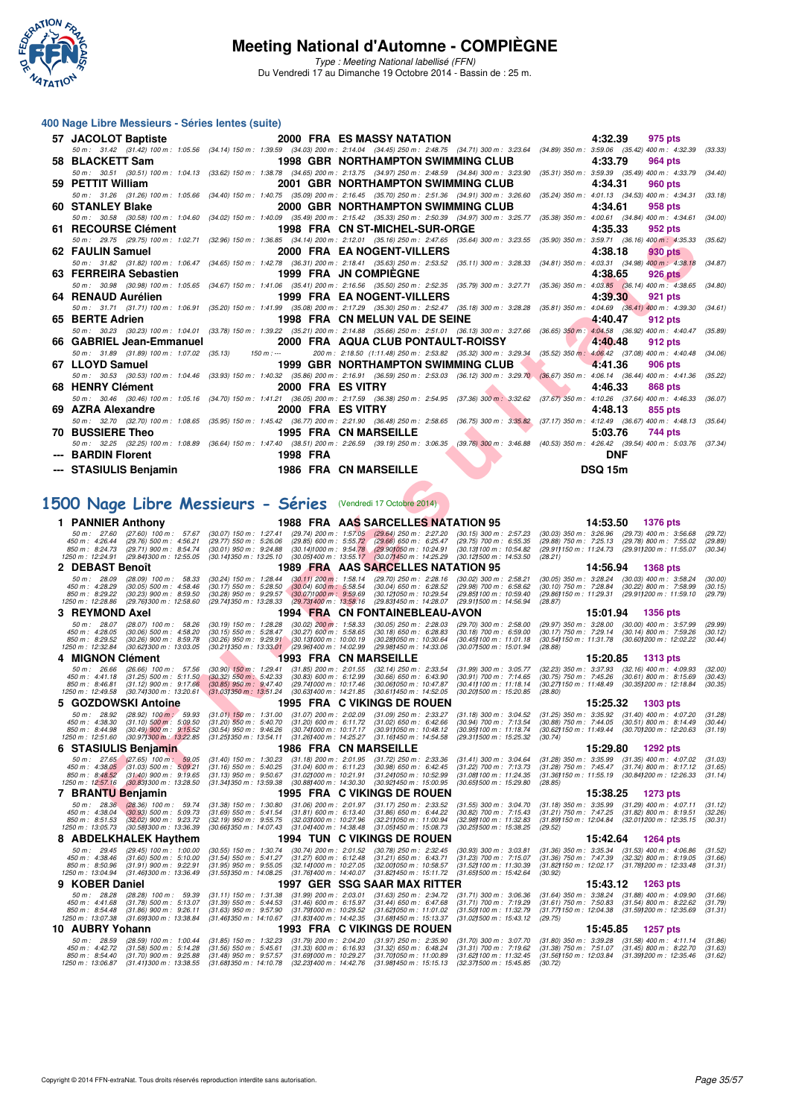

Type : Meeting National labellisé (FFN) Du Vendredi 17 au Dimanche 19 Octobre 2014 - Bassin de : 25 m.

#### **400 Nage Libre Messieurs - Séries lentes (suite)**

| 57 JACOLOT Baptiste   | <b>2000 FRA ES MASSY NATATION</b>                                                                                                                                                    | 4:32.39        | 975 pts        |
|-----------------------|--------------------------------------------------------------------------------------------------------------------------------------------------------------------------------------|----------------|----------------|
|                       | 50 m: 31.42 (31.42) 100 m: 1:05.56 (34.14) 150 m: 1:39.59 (34.03) 200 m: 2:14.04 (34.45) 250 m: 2:48.75 (34.71) 300 m: 3:23.64 (34.89) 350 m: 3:59.06 (35.42) 400 m: 4:32.39         |                | (33.33)        |
| 58 BLACKETT Sam       | 1998 GBR NORTHAMPTON SWIMMING CLUB                                                                                                                                                   | 4:33.79        | 964 pts        |
|                       | 50 m: 30.51 (30.51) 100 m: 1:04.13 (33.62) 150 m: 1:38.78 (34.65) 200 m: 2:13.75 (34.97) 250 m: 2:48.59 (34.84) 300 m: 3:23.90 (35.31) 350 m: 3:59.39 (35.49) 400 m: 4:33.79         |                | (34.40)        |
| 59 PETTIT William     | 2001 GBR NORTHAMPTON SWIMMING CLUB                                                                                                                                                   | 4:34.31        | 960 pts        |
|                       | 50 m: 31.26 (31.26) 100 m: 1:05.66 (34.40) 150 m: 1:40.75 (35.09) 200 m: 2:16.45 (35.70) 250 m: 2:51.36 (34.91) 300 m: 3:26.60 (35.24) 350 m: 4:01.13 (34.53) 400 m: 4:34.31         |                | (33, 18)       |
| 60 STANLEY Blake      | 2000 GBR NORTHAMPTON SWIMMING CLUB                                                                                                                                                   | 4:34.61        | 958 pts        |
|                       | 50 m: 30.58 (30.58) 100 m: 1:04.60 (34.02) 150 m: 1:40.09 (35.49) 200 m: 2:15.42 (35.33) 250 m: 2:50.39 (34.97) 300 m: 3:25.77 (35.38) 350 m: 4:00.61 (34.84) 400 m: 4:34.61 (34.00) |                |                |
| 61 RECOURSE Clément   | 1998 FRA CN ST-MICHEL-SUR-ORGE                                                                                                                                                       | 4:35.33        | 952 pts        |
|                       | 50 m: 29.75 (29.75) 100 m: 1:02.71 (32.96) 150 m: 1:36.85 (34.14) 200 m: 2:12.01 (35.16) 250 m: 2:47.65 (35.64) 300 m: 3:23.55 (35.90) 350 m: 3:59.71 (36.16) 400 m: 4:35.33         |                | (35.62)        |
| 62 FAULIN Samuel      | 2000 FRA EA NOGENT-VILLERS                                                                                                                                                           | 4:38.18        | 930 pts        |
|                       | 50 m: 31.82 (31.82) 100 m: 1:06.47 (34.65) 150 m: 1:42.78 (36.31) 200 m: 2:18.41 (35.63) 250 m: 2:53.52 (35.11) 300 m: 3:28.33 (34.81) 350 m: 4:03.31 (34.98) 400 m: 4:38.18         |                | (34.87)        |
| 63 FERREIRA Sebastien | 1999 FRA JN COMPIEGNE                                                                                                                                                                | 4:38.65        | 926 pts        |
|                       | 50 m: 30.98 (30.98) 100 m: 1:05.65 (34.67) 150 m: 1:41.06 (35.41) 200 m: 2:16.56 (35.50) 250 m: 2:52.35 (35.79) 300 m: 3:27.71 (35.36) 350 m: 4:03.85 (36.14) 400 m: 4:38.65 (34.80) |                |                |
| 64 RENAUD Aurélien    | <b>1999 FRA EA NOGENT-VILLERS</b>                                                                                                                                                    | 4:39.30        | 921 pts        |
|                       | 50 m: 31.71 (31.71) 100 m: 1:06.91 (35.20) 150 m: 1:41.99 (35.08) 200 m: 2:17.29 (35.30) 250 m: 2:52.47 (35.18) 300 m: 3:28.28 (35.81) 350 m: 4:04.69 (36.41) 400 m: 4:39.30         |                | (34.61)        |
| 65 BERTE Adrien       | 1998 FRA CN MELUN VAL DE SEINE                                                                                                                                                       | 4:40.47        | 912 pts        |
|                       | 50 m: 30.23 (30.23) 100 m: 1:04.01 (33.78) 150 m: 1:39.22 (35.21) 200 m: 2:14.88 (35.66) 250 m: 2:51.01 (36.13) 300 m: 3:27.66 (36.65) 350 m: 4:04.58 (36.82) 400 m: 4:40.47 (35.89) |                |                |
|                       | 66 GABRIEL Jean-Emmanuel 2000 FRA AQUA CLUB PONTAULT-ROISSY                                                                                                                          | 4:40.48        | 912 pts        |
|                       | 50 m : 31.89 (31.89) 100 m : 1:07.02 (35.13) 150 m :--- 200 m : 2:18.50 (1:11.48) 250 m : 2:53.82 (35.32) 300 m : 3:29.34 (35.52) 350 m : 4:06.42 (37.08) 400 m : 4:40.48            |                | (34.06)        |
| 67 LLOYD Samuel       | 1999 GBR NORTHAMPTON SWIMMING CLUB                                                                                                                                                   | 4:41.36        | 906 pts        |
|                       | 50 m: 30.53 (30.53) 100 m: 1:04.46 (33.93) 150 m: 1:40.32 (35.86) 200 m: 2:16.91 (36.59) 250 m: 2:53.03 (36.12) 300 m: 3:29.70 (36.67) 350 m: 4:06.14 (36.44) 400 m: 4:41.36 (35.22) |                |                |
| 68 HENRY Clément      | 2000 FRA ES VITRY                                                                                                                                                                    | 4:46.33        | <b>868 pts</b> |
|                       | 50 m: 30.46 (30.46) 100 m: 1:05.16 (34.70) 150 m: 1:41.21 (36.05) 200 m: 2:17.59 (36.38) 250 m: 2:54.95 (37.36) 300 m: 3:32.62 (37.67) 350 m: 4:10.26 (37.64) 400 m: 4:46.33         |                | (36.07)        |
| 69 AZRA Alexandre     | 2000 FRA ES VITRY                                                                                                                                                                    | 4:48.13        | 855 pts        |
|                       | 50 m: 32.70 (32.70) 100 m: 1:08.65 (35.95) 150 m: 1:45.42 (36.77) 200 m: 2:21.90 (36.48) 250 m: 2:58.65 (36.75) 300 m: 3:35.82 (37.17) 350 m: 4:12.49 (36.67) 400 m: 4:48.13 (35.64) |                |                |
| 70 BUSSIERE Theo      | <b>1995 FRA CN MARSEILLE</b>                                                                                                                                                         | 5:03.76        | 744 pts        |
|                       | 50 m: 32.25 (32.25) 100 m: 1:08.89 (36.64) 150 m: 1:47.40 (38.51) 200 m: 2:26.59 (39.19) 250 m: 3:06.35 (39.76) 300 m: 3:46.88 (40.53) 350 m: 4:26.42 (39.54) 400 m: 5:03.76 (37.34) |                |                |
| --- BARDIN Florent    | 1998 FRA                                                                                                                                                                             | <b>DNF</b>     |                |
|                       | --- STASIULIS Benjamin 1986 FRA CN MARSEILLE                                                                                                                                         | <b>DSQ 15m</b> |                |
|                       |                                                                                                                                                                                      |                |                |

## **[1500 Nage Libre Messieurs - Séries](http://www.ffnatation.fr/webffn/resultats.php?idact=nat&go=epr&idcpt=24767&idepr=56)** (Vendredi 17 Octobre 2014)

| ALVURJE VIENIEIK                                                                                                                                    |                                                                                                                               | 1990 FRA CN ST-MICHEL-SUR-URGE                                                                                                          |                                                                 | 4.99.99<br><i>อง</i> ∠ มเจ                                                                                                                                                                                 |                    |
|-----------------------------------------------------------------------------------------------------------------------------------------------------|-------------------------------------------------------------------------------------------------------------------------------|-----------------------------------------------------------------------------------------------------------------------------------------|-----------------------------------------------------------------|------------------------------------------------------------------------------------------------------------------------------------------------------------------------------------------------------------|--------------------|
| 62 FAULIN Samuel                                                                                                                                    |                                                                                                                               | 2000 FRA EA NOGENT-VILLERS                                                                                                              |                                                                 | 50 m : 29.75 (29.75) 100 m : 1:02.71 (32.96) 150 m : 1:36.85 (34.14) 200 m : 2:12.01 (35.16) 250 m : 2:47.65 (35.64) 300 m : 3:23.55 (35.90) 350 m : 3:59.71 (36.16) 400 m : 4:35.33<br>4:38.18<br>930 pts | (35.62)            |
|                                                                                                                                                     |                                                                                                                               |                                                                                                                                         |                                                                 | 50 m: 31.82 (31.82) 100 m: 1:06.47 (34.65) 150 m: 1:42.78 (36.31) 200 m: 2:18.41 (35.63) 250 m: 2:53.52 (35.11) 300 m: 3:28.33 (34.81) 350 m: 4:03.31 (34.98) 400 m: 4:38.18                               | (34.87)            |
| 63 FERREIRA Sebastien                                                                                                                               |                                                                                                                               | <b>1999 FRA JN COMPIEGNE</b>                                                                                                            |                                                                 | 4:38.65<br><b>926 pts</b>                                                                                                                                                                                  |                    |
| 64 RENAUD Aurélien                                                                                                                                  |                                                                                                                               | <b>1999 FRA EA NOGENT-VILLERS</b>                                                                                                       |                                                                 | 50 m: 30.98 (30.98) 100 m: 1:05.65 (34.67) 150 m: 1:41.06 (35.41) 200 m: 2:16.56 (35.50) 250 m: 2:52.35 (35.79) 300 m: 3:27.71 (35.36) 350 m: 4:03.85 (36.14) 400 m: 4:38.65<br>4:39.30<br>921 pts         | (34.80)            |
| 50 m : 31.71 (31.71) 100 m : 1:06.91 (35.20) 150 m : 1:41.99 (35.08) 200 m : 2:17.29 (35.30) 250 m : 2:52.47 (35.18) 300 m : 3:28.28                |                                                                                                                               |                                                                                                                                         |                                                                 | $(35.81)$ 350 m : 4:04.69 $(36.41)$ 400 m : 4:39.30                                                                                                                                                        | (34.61)            |
| 65   BERTE Adrien                                                                                                                                   |                                                                                                                               | 1998 FRA CN MELUN VAL DE SEINE                                                                                                          |                                                                 | 4:40.47<br>912 pts                                                                                                                                                                                         |                    |
| 50 m : 30.23 (30.23) 100 m : 1:04.01 (33.78) 150 m : 1:39.22 (35.21) 200 m : 2:14.88 (35.66) 250 m : 2:51.01 (36.13) 300 m : 3:27.66                |                                                                                                                               |                                                                                                                                         |                                                                 | (36.65) 350 m : 4:04.58 (36.92) 400 m : 4:40.47 (35.89)                                                                                                                                                    |                    |
| 66 GABRIEL Jean-Emmanuel<br>50 m: 31.89 (31.89) 100 m: 1:07.02 (35.13)                                                                              | $150 m : -$                                                                                                                   | 2000 FRA AQUA CLUB PONTAULT-ROISSY                                                                                                      |                                                                 | 4:40.48<br>912 pts<br>200 m: 2:18.50 (1:11.48) 250 m: 2:53.82 (35.32) 300 m: 3:29.34 (35.52) 350 m: 4:06.42 (37.08) 400 m: 4:40.48 (34.06)                                                                 |                    |
| 67 LLOYD Samuel                                                                                                                                     |                                                                                                                               | <b>1999 GBR NORTHAMPTON SWIMMING CLUB</b>                                                                                               |                                                                 | 4:41.36<br>906 pts                                                                                                                                                                                         |                    |
|                                                                                                                                                     |                                                                                                                               |                                                                                                                                         |                                                                 | 50 m : 30.53 (30.53) 100 m : 1:04.46 (33.93) 150 m : 1:40.32 (35.86) 200 m : 2:16.91 (36.59) 250 m : 2:53.03 (36.12) 300 m : 3:29.70 (36.67) 350 m : 4:06.14 (36.44) 400 m : 4:41.36 (35.22)               |                    |
| 68 HENRY Clément                                                                                                                                    | 2000 FRA ES VITRY                                                                                                             |                                                                                                                                         |                                                                 | 4:46.33<br><b>868 pts</b>                                                                                                                                                                                  |                    |
| 69 AZRA Alexandre                                                                                                                                   | 2000 FRA ES VITRY                                                                                                             |                                                                                                                                         |                                                                 | 50 m: 30.46 (30.46) 100 m: 1:05.16 (34.70) 150 m: 1:41.21 (36.05) 200 m: 2:17.59 (36.38) 250 m: 2:54.95 (37.36) 300 m: 3:32.62 (37.67) 350 m: 4:10.26 (37.64) 400 m: 4:46.33 (36.07)<br>4:48.13<br>855 pts |                    |
|                                                                                                                                                     |                                                                                                                               |                                                                                                                                         |                                                                 | 50 m : 32.70 (32.70) 100 m : 1:08.65 (35.95) 150 m : 1:45.42 (36.77) 200 m : 2:21.90 (36.48) 250 m : 2:58.65 (36.75) 300 m : 3:35.82 (37.17) 350 m : 4:12.49 (36.67) 400 m : 4:48.13 (35.64)               |                    |
| 70 BUSSIERE Theo                                                                                                                                    |                                                                                                                               | 1995 FRA CN MARSEILLE                                                                                                                   |                                                                 | 5:03.76<br>744 pts                                                                                                                                                                                         |                    |
|                                                                                                                                                     |                                                                                                                               |                                                                                                                                         |                                                                 | 50 m : 32.25 (32.25) 100 m : 1:08.89 (36.64) 150 m : 1:47.40 (38.51) 200 m : 2:26.59 (39.19) 250 m : 3:06.35 (39.76) 300 m : 3:46.88 (40.53) 350 m : 4:26.42 (39.54) 400 m : 5:03.76 (37.34)               |                    |
| --- BARDIN Florent                                                                                                                                  | 1998 FRA                                                                                                                      |                                                                                                                                         |                                                                 | <b>DNF</b>                                                                                                                                                                                                 |                    |
| --- STASIULIS Benjamin                                                                                                                              |                                                                                                                               | 1986 FRA CN MARSEILLE                                                                                                                   |                                                                 | <b>DSQ 15m</b>                                                                                                                                                                                             |                    |
|                                                                                                                                                     |                                                                                                                               |                                                                                                                                         |                                                                 |                                                                                                                                                                                                            |                    |
| 500 Nage Libre Messieurs - Séries (Vendredi 17 Octobre 2014)                                                                                        |                                                                                                                               |                                                                                                                                         |                                                                 |                                                                                                                                                                                                            |                    |
| 1 PANNIER Anthony                                                                                                                                   |                                                                                                                               | 1988 FRA AAS SARCELLES NATATION 95                                                                                                      |                                                                 | 14:53.50<br>1376 pts                                                                                                                                                                                       |                    |
| 50 m : 27.60<br>$(27.60)$ 100 m : 57.67<br>450 m: 4:26.44                                                                                           | $(30.07)$ 150 m : 1:27.41                                                                                                     | (29.74) 200 m : 1:57.05 (29.64) 250 m : 2:27.20<br>(29.85) 600 m : 5:55.72 (29.66) 650 m : 6:25.47                                      | $(30.15)$ 300 m : 2:57.23                                       | $(30.03)$ 350 m : 3:26.96 $(29.73)$ 400 m : 3:56.68<br>(29.88) 750 m : 7:25.13 (29.78) 800 m : 7:55.02                                                                                                     | (29.72)            |
| $(29.76)$ 500 m : 4:56.21<br>850 m : 8:24.73<br>$(29.71)$ 900 m : 8:54.74                                                                           | $(29.77)$ 550 m : 5:26.06<br>$(30.01)$ 950 m : 9:24.88                                                                        | $(30.14)1000 \text{ m}: 9:54.78$ $(29.90)1050 \text{ m}: 10.24.91$<br>$(30.05)400 \text{ m}: 13:55.17$ $(30.07)450 \text{ m}: 14:25.29$ | $(29.75)$ 700 m : 6:55.35<br>$(30.131100 \text{ m} : 10.54.82)$ | (29.911150 m: 11.24.73 (29.911200 m: 11.55.07)                                                                                                                                                             | (29.89)<br>(30.34) |
| 1250 m: 12:24.91<br>(29.841300 m : 12:55.05<br>2 DEBAST Benoît                                                                                      | (30.141350 m : 13:25.10                                                                                                       | 1989 FRA AAS SARCELLES NATATION 95                                                                                                      | (30.121500 m: 14:53.50                                          | (28.21)<br>14:56.94<br><b>1368 pts</b>                                                                                                                                                                     |                    |
| 50 m : 28.09<br>$(28.09)$ 100 m : 58.33                                                                                                             | $(30.24)$ 150 m : 1:28.44<br>$(30.11)$ 200 m : 1:58.14                                                                        | $(29.70)$ 250 m : 2:28.16                                                                                                               | $(30.02)$ 300 m : 2:58.21                                       | (30.05) 350 m : 3:28.24 (30.03) 400 m : 3:58.24                                                                                                                                                            | (30.00)            |
| 450 m: 4:28.29<br>$(30.05)$ 500 m : 4:58.46<br>850 m : 8:29.22<br>$(30.23)$ 900 m : 8:59.50                                                         | $(30.17)$ 550 m : 5:28.50<br>$(30.04)$ 600 m : 5:58.54<br>$(30.28)$ 950 m : 9:29.57<br>$(30.07)1000 \text{ m}$ : 9:59.69      | $(30.04)$ 650 m : 6:28.52<br>(30.12) 050 m : 10:29.54                                                                                   | (29.98) 700 m : 6:58.62<br>(29.85) 100 m : 10:59.40             | (30.10) 750 m : 7:28.84<br>(30.22) 800 m : 7:58.99<br>(29.86) 150 m : 11:29.31<br>(29.911200 m: 11:59.10)                                                                                                  | (30.15)<br>(29.79) |
| 1250 m: 12:28.86<br>(29.761300 m : 12:58.60<br>3 REYMOND Axel                                                                                       | (29.741350 m : 13:28.33<br>(29.73) 400 m : 13:58.16                                                                           | (29.83) 450 m : 14:28.07<br>1994 FRA CN FONTAINEBLEAU-AVON                                                                              | (29.911500 m: 14:56.94                                          | (28.87)<br>15:01.94<br><b>1356 pts</b>                                                                                                                                                                     |                    |
| 50 m: 28.07<br>$(28.07)$ 100 m : 58.26                                                                                                              | $(30.19)$ 150 m : 1:28.28<br>$(30.02)$ 200 m: 1:58.33                                                                         | $(30.05)$ 250 m : 2:28.03                                                                                                               | $(29.70)$ 300 m : $2:58.00$                                     | (29.97) 350 m : 3:28.00 (30.00) 400 m : 3:57.99                                                                                                                                                            | (29.99)            |
| 450 m: 4:28.05<br>$(30.06)$ 500 m : 4:58.20<br>850 m : 8:29.52<br>$(30.26)$ 900 m : 8:59.78                                                         | $(30.15)$ 550 m : 5:28.47<br>$(30.27)$ 600 m : 5:58.65<br>$(30.26)$ 950 m : 9:29.91<br>(30.13) 000 m: 10:00.19                | $(30.18)$ 650 m : 6:28.83<br>(30.281050 m: 10:30.64                                                                                     | $(30.18)$ 700 m : 6:59.00<br>(30.45) 100 m: 11:01.18            | (30.17) 750 m : 7:29.14 (30.14) 800 m : 7:59.26<br>(30.54) 150 m : 11:31.78 (30.60) 200 m : 12:02.22                                                                                                       | (30.12)<br>(30.44) |
| 1250 m: 12:32.84<br>(30.62) 300 m : 13:03.05                                                                                                        | (30.211350 m : 13:33.01 (29.961400 m : 14:02.99)                                                                              | (29.98) 450 m : 14:33.06                                                                                                                | (30.07) 500 m : 15:01.94                                        | (28.88)                                                                                                                                                                                                    |                    |
| 4 MIGNON Clément<br>50 m: 26.66<br>$(26.66)$ 100 m : 57.56                                                                                          | $(30.90)$ 150 m : 1:29.41<br>$(31.85)$ 200 m : 2:01.55                                                                        | 1993 FRA CN MARSEILLE<br>$(32.14)$ 250 m : 2:33.54                                                                                      | $(31.99)$ 300 m : 3:05.77                                       | 15:20.85<br>1313 pts<br>(32.23) 350 m : 3:37.93 (32.16) 400 m : 4:09.93 (32.00)                                                                                                                            |                    |
| 450 m : 4:41.18<br>$(31.25)$ 500 m : 5:11.50<br>$(31.12)$ 900 m : 9:17.66<br>850 m : 8:46.81                                                        | $(30.32)$ 550 m : 5:42.33<br>$(30.83)$ 600 m : 6:12.99<br>$(30.85)$ 950 m : 9:47.40                                           | $(30.66)$ 650 m : 6:43.90<br>(29.74) 000 m: 10:17.46 (30.06) 050 m: 10:47.87                                                            | $(30.91)$ 700 m : 7:14.65<br>(30.41) 100 m: 11:18.14            | (30.75) 750 m : 7:45.26 (30.61) 800 m : 8:15.69<br>(30.27) 150 m: 11:48.49 (30.35) 200 m: 12:18.84                                                                                                         | (30.43)<br>(30.35) |
| (30.74) 300 m : 13:20.61 (31.03) 350 m : 13:51.24<br>1250 m: 12:49.58                                                                               | (30.63) 400 m : 14:21.85                                                                                                      | (30.611450 m : 14:52.05                                                                                                                 | (30.201500 m: 15:20.85                                          | (28.80)                                                                                                                                                                                                    |                    |
| 5 GOZDOWSKI Antoine                                                                                                                                 |                                                                                                                               | <b>1995 FRA C VIKINGS DE ROUEN</b>                                                                                                      |                                                                 | 15:25.32<br>1303 pts                                                                                                                                                                                       |                    |
| 50 m: 28.92<br>$(28.92)$ 100 m : 59.93<br>$(31.10)$ 500 m : 5:09.50<br>450 m: 4:38.30                                                               | $(31.01)$ 150 m : 1:31.00<br>$(31.07)$ 200 m : 2:02.09<br>$(31.20)$ 550 m : 5:40.70<br>$(31.20)$ 600 m : 6:11.72              | $(31.09)$ 250 m : 2:33.27<br>$(31.02)$ 650 m : 6:42.66                                                                                  | $(31.18)$ 300 m : 3:04.52<br>$(30.94)$ 700 m : 7:13.54          | $(31.25)$ 350 m : 3:35.92 $(31.40)$ 400 m : 4:07.20<br>$(30.88)$ 750 m : 7:44.05<br>$(30.51)$ 800 m : 8:14.49                                                                                              | (31.28)<br>(30.44) |
| 850 m: 8:44.98<br>$(30.49)$ 900 m : 9:15.52<br>1250 m: 12:51.60<br>(30.97) 300 m : 13:22.85                                                         | $(30.54)$ 950 m : 9:46.26<br>(30.741000 m: 10:17.17<br>(31.25) 350 m : 13:54.11<br>(31.261400 m : 14:25.27                    | (30.911050 m: 10:48.12)<br>(31.16) 450 m : 14:54.58                                                                                     | (30.95) 100 m: 11:18.74<br>(29.311500 m: 15:25.32)              | (30.62) 150 m : 11:49.44<br>(30.70) 200 m : 12:20.63<br>(30.74)                                                                                                                                            | (31.19)            |
| 6 STASIULIS Benjamin                                                                                                                                |                                                                                                                               | 1986 FRA CN MARSEILLE                                                                                                                   |                                                                 | 15:29.80<br>1292 pts                                                                                                                                                                                       |                    |
| 50 m: 27.65 (27.65) 100 m: 59.05<br>450 m : 4:38.05<br>$(31.03)$ 500 m : 5:09.21                                                                    | $(31.18)$ 200 m : 2:01.95<br>$(31.40)$ 150 m : 1:30.23<br>$(31.04)$ 600 m : 6:11.23<br>$(31.16)$ 550 m : 5:40.25              | $(31.72)$ 250 m : 2:33.36<br>$(30.98)$ 650 m : 6:42.45                                                                                  | $(31.41)$ 300 m : 3:04.64<br>(31.22) 700 m : 7:13.73            | (31.28) 350 m : 3:35.99 (31.35) 400 m : 4:07.02 (31.03)<br>(31.28) 750 m: 7:45.47 (31.74) 800 m: 8:17.12                                                                                                   | (31.65)            |
| 850 m : 8:48.52<br>$(31.40)$ 900 m : 9:19.65<br>1250 m : 12:57.16<br>(30.83) 300 m : 13:28.50                                                       | $(31.13)$ 950 m : 9:50.67<br>$(31.02)000 \text{ m}$ : 10:21.91<br>(31.341350 m: 13:59.38<br>(30.88) 400 m : 14:30.30          | (31.24) 050 m: 10:52.99<br>(30.92) 450 m : 15:00.95                                                                                     | (31.08) 100 m: 11:24.35<br>(30.651500 m: 15:29.80               | (31.36) 150 m: 11:55.19 (30.84) 200 m: 12:26.33<br>(28.85)                                                                                                                                                 | (31.14)            |
| 7 BRANTU Benjamin                                                                                                                                   |                                                                                                                               | 1995 FRA C VIKINGS DE ROUEN                                                                                                             |                                                                 | 15:38.25<br>1273 pts                                                                                                                                                                                       |                    |
| 50 m; 28.36 (28.36) 100 m; 59.74<br>450 m : 4:38.04 (30.93) 500 m : 5:09.73 (31.69) 550 m : 5:41.54 (31.81) 600 m : 6:13.40 (31.86) 650 m : 6:44.22 | (31.38) 150 m: 1:30.80 (31.06) 200 m: 2:01.97 (31.17) 250 m: 2:33.52                                                          |                                                                                                                                         | $(31.55)$ 300 m : 3:04.70<br>$(30.82)$ 700 m : 7:15.43          | $(31.18)$ 350 m : 3:35.99 $(31.29)$ 400 m : 4:07.11 $(31.12)$<br>(31.21) 750 m: 7:47.25 (31.82) 800 m: 8:19.51 (32.26)                                                                                     |                    |
| $(32.02)$ 900 m : 9:23.72<br>850 m :   8:51.53<br>1250 m: 13:05.73  (30.58 <b>1</b> 300 m: 13:36.39                                                 | $(32.19)$ 950 m : 9:55.75<br>30.661350 m : 14:07.43 (31.041400 m : 14:38.48 (31.051450 m : 15:08.73 (30.251500 m : 15:38.25)) | (32.031000 m: 10:27.96 (32.211050 m: 11:00.94                                                                                           | (32.98) 100 m : 11:32.83                                        | (31.89) 150 m: 12:04.84 (32.01) 200 m: 12:35.15 (30.31)<br>(29.52)                                                                                                                                         |                    |
| 8 ABDELKHALEK Haythem                                                                                                                               |                                                                                                                               | <b>1994 TUN C VIKINGS DE ROUEN</b>                                                                                                      |                                                                 | 15:42.64<br><b>1264 pts</b>                                                                                                                                                                                |                    |
| 50 m: 29.45<br>$(29.45)$ 100 m : 1:00.00<br>450 m: 4:38.46<br>$(31.60)$ 500 m : 5:10.00                                                             | $(30.74)$ 200 m : 2:01.52<br>$(30.55)$ 150 m : 1:30.74<br>$(31.27)$ 600 m : 6:12.48<br>$(31.54)$ 550 m : 5:41.27              | $(30.78)$ 250 m : 2:32.45<br>$(31.21)$ 650 m : 6:43.71                                                                                  | $(30.93)$ 300 m : 3:03.81<br>$(31.23)$ 700 m : 7:15.07          | $(31.36)$ 350 m : 3:35.34 $(31.53)$ 400 m : 4:06.86<br>$(31.36)$ 750 m : 7:47.39<br>$(32.32)$ 800 m : 8:19.05                                                                                              | (31.52)            |
| 850 m: 8:50.96<br>$(31.91)$ 900 m : 9:22.91                                                                                                         | $(31.95)$ 950 m : 9:55.05<br>(32.141000 m: 10:27.05                                                                           | (32.00) 050 m : 10:58.57                                                                                                                | (31.52) 100 m : 11:30.39                                        | (31.82) 150 m : 12:02.17 (31.78) 200 m : 12:33.48                                                                                                                                                          | (31.66)<br>(31.31) |
| (31.461300 m: 13:36.49)<br>1250 m : 13:04.94<br>9 KOBER Daniel                                                                                      | (31.55) 350 m : 14:08.25<br>(31.76) 400 m : 14:40.07                                                                          | (31.82) 450 m : 15:11.72<br>1997 GER SSG SAAR MAX RITTER                                                                                | (31.651500 m: 15:42.64                                          | (30.92)<br>15:43.12<br>1263 pts                                                                                                                                                                            |                    |
| 50 m: 28.28<br>$(28.28)$ 100 m : 59.39                                                                                                              | $(31.99)$ 200 m : 2:03.01<br>$(31.11)$ 150 m : 1:31.38                                                                        | $(31.63)$ 250 m : 2:34.72                                                                                                               | $(31.71)$ 300 m : 3:06.36                                       | $(31.64)$ 350 m : 3:38.24 $(31.88)$ 400 m : 4:09.90                                                                                                                                                        | (31.66)            |
| 450 m: 4:41.68<br>$(31.78)$ 500 m : 5:13.07<br>850 m: 8:54.48<br>$(31.86)$ 900 m : 9:26.11                                                          | $(31.39)$ 550 m : 5:44.53<br>$(31.46)$ 600 m : 6:15.97<br>$(31.63)$ 950 m : 9:57.90<br>(31.791000 m: 10:29.52                 | $(31.44)$ 650 m : 6:47.68<br>(31.62)050 m : 11.01.02                                                                                    | (31.71) 700 m : 7:19.29<br>(31.50) 100 m: 11:32.79              | (31.61) 750 m : 7:50.83<br>$(31.54)$ 800 m : 8:22.62<br>(31.77) 150 m : 12:04.38 (31.59) 200 m : 12:35.69                                                                                                  | (31.79)<br>(31.31) |
| 1250 m : 13:07.38<br>$(31.691300 \text{ m} : 13.38.84)$<br>10 AUBRY Yohann                                                                          | (31.46) 350 m : 14:10.67<br>(31.83) 400 m : 14:42.35                                                                          | (31.681450 m: 15:13.37)<br>1993 FRA C VIKINGS DE ROUEN                                                                                  | (31.02) 500 m : 15:43.12                                        | (29.75)<br>15:45.85<br>1257 pts                                                                                                                                                                            |                    |
| 50 m: 28.59<br>(28.59) 100 m : 1:00.44                                                                                                              | $(31.85)$ 150 m : 1:32.23<br>$(31.79)$ 200 m : 2:04.20                                                                        | $(31.97)$ 250 m : 2:35.90                                                                                                               | $(31.70)$ 300 m : 3:07.70                                       | $(31.80)$ 350 m : 3:39.28 $(31.58)$ 400 m : 4:11.14                                                                                                                                                        | (31.86)            |
| 450 m: 4:42.72<br>$(31.58)$ 500 m : 5:14.28<br>850 m: 8:54.40<br>$(31.70)$ 900 m : 9:25.88                                                          | $(31.56)$ 550 m : 5:45.61<br>$(31.33)$ 600 m : 6:16.93<br>$(31.48)$ 950 m : 9:57.57<br>(31.69) 000 m : 10:29.27               | $(31.32)$ 650 m : 6:48.24<br>(31.701050 m: 11:00.89                                                                                     | $(31.31)$ 700 m : 7:19.62<br>(31.62) 100 m: 11:32.45            | (31.38) 750 m: 7:51.07 (31.45) 800 m: 8:22.70<br>(31.56) 150 m : 12:03.84 (31.39) 200 m : 12:35.46                                                                                                         | (31.63)<br>(31.62) |
| 1250 m: 13:06.87<br>$(31.41)300 \text{ m}$ : 13:38.55                                                                                               | (31.68)350 m : 14:10.78                                                                                                       | (32.23) 400 m: 14:42.76 (31.98) 450 m: 15:15.13                                                                                         | (32.371500 m: 15:45.85)                                         | (30.72)                                                                                                                                                                                                    |                    |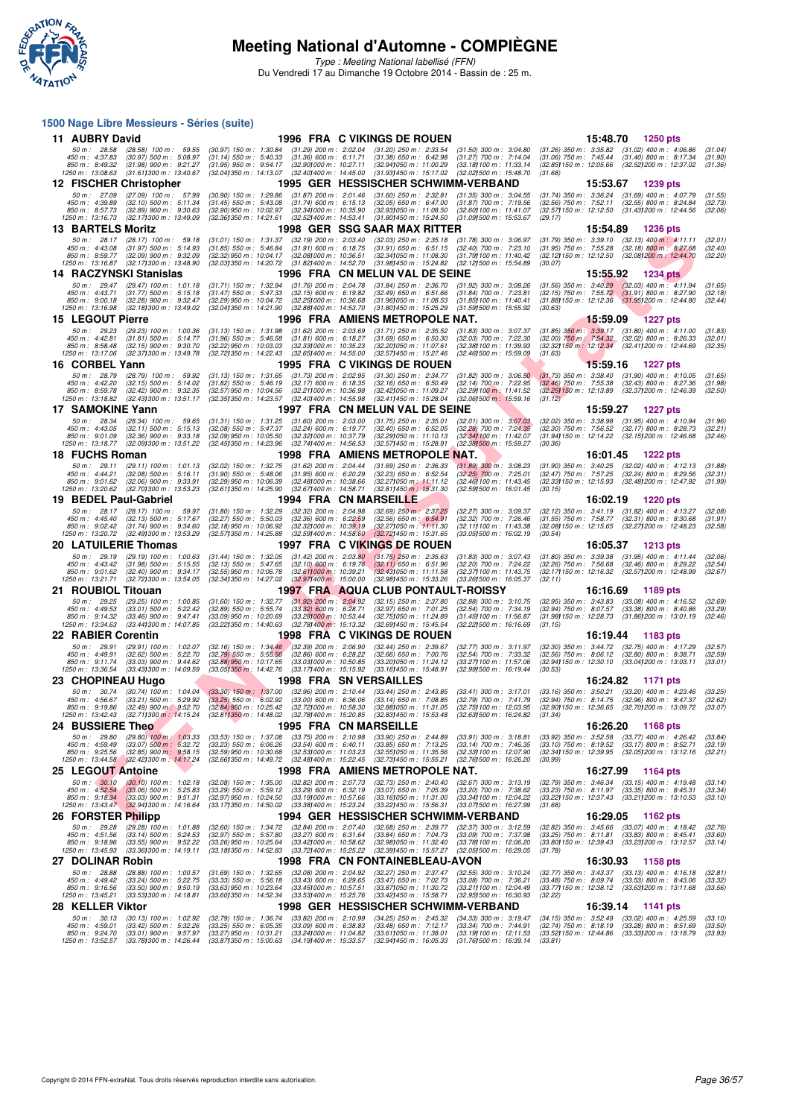

Type : Meeting National labellisé (FFN) Du Vendredi 17 au Dimanche 19 Octobre 2014 - Bassin de : 25 m.

#### **1500 Nage Libre Messieurs - Séries (suite)**

| 11 AUBRY David                                                       |                                                                                                           |                                                                                                               |                                                                                                                         | 1996 FRA C VIKINGS DE ROUEN                                                                                   |                                                                                                              |                                                                                                                        | 15:48.70<br><b>1250 pts</b>                                                        |                               |
|----------------------------------------------------------------------|-----------------------------------------------------------------------------------------------------------|---------------------------------------------------------------------------------------------------------------|-------------------------------------------------------------------------------------------------------------------------|---------------------------------------------------------------------------------------------------------------|--------------------------------------------------------------------------------------------------------------|------------------------------------------------------------------------------------------------------------------------|------------------------------------------------------------------------------------|-------------------------------|
| 50 m: 28.58<br>450 m: 4:37.83<br>850 m : 8:49.32<br>1250 m: 13:08.63 | $(28.58)$ 100 m : 59.55<br>(30.97) 500 m : 5.08.97<br>$(31.98)$ 900 m : 9:21.27<br>(31.611300 m: 13:40.67 | $(30.97)$ 150 m : 1:30.84<br>$(31.14)$ 550 m : 5:40.33<br>$(31.95)$ 950 m : 9:54.17<br>(32.041350 m: 14:13.07 | $(31.29)$ 200 m : 2:02.04<br>$(31.36)$ 600 m : 6:11.71<br>$(32.90)000 \text{ m}$ : 10:27.11<br>(32.40) 400 m : 14:45.00 | $(31.20)$ 250 m : 2:33.54<br>$(31.38)$ 650 m : 6:42.98<br>(32.941050 m: 11:00.29)<br>(31.93) 450 m : 15:17.02 | $(31.50)$ 300 m : 3:04.80<br>$(31.27)$ 700 m : 7:14.04<br>(33.18) 100 m : 11:33.14<br>(32.021500 m: 15:48.70 | $(31.26)$ 350 m : 3:35.82 $(31.02)$ 400 m : 4:06.86<br>$(31.06)$ 750 m : 7:45.44<br>(32.85)150 m : 12:05.66<br>(31.68) | $(31.40)$ 800 m : 8:17.34<br>(32.52) 200 m : 12:37.02                              | (31.04)<br>(31.90)<br>(31.36) |
|                                                                      | 12 FISCHER Christopher                                                                                    |                                                                                                               |                                                                                                                         | 1995 GER HESSISCHER SCHWIMM-VERBAND                                                                           |                                                                                                              |                                                                                                                        | 15:53.67<br>1239 pts                                                               |                               |
| 50 m: 27.09                                                          | (27.09) 100 m: 57.99                                                                                      | $(30.90)$ 150 m : 1:29.86                                                                                     | $(31.87)$ 200 m : 2:01.46                                                                                               | $(31.60)$ 250 m : 2:32.81                                                                                     | $(31.35)$ 300 m : 3:04.55                                                                                    | $(31.74)$ 350 m : 3:36.24 $(31.69)$ 400 m : 4:07.79                                                                    |                                                                                    | (31.55)                       |
| 450 m: 4:39.89<br>850 m: 8:57.73                                     | $(32.10)$ 500 m : 5:11.34<br>$(32.89)$ 900 m : 9:30.63                                                    | $(31.45)$ 550 m : 5:43.08<br>(32.90) 950 m : 10:02.97                                                         | $(31.74)$ 600 m : 6:15.13<br>(32.34) 000 m: 10:35.90                                                                    | $(32.05)$ 650 m : 6:47.00<br>(32.93) 050 m: 11:08.50                                                          | $(31.87)$ 700 m : 7:19.56<br>(32.60) 100 m: 11:41.07                                                         | $(32.56)$ 750 m : 7:52.11<br>(32.57) 150 m: 12:12.50 (31.43) 200 m: 12:44.56                                           | $(32.55)$ 800 m : 8:24.84                                                          | (32.73)<br>(32.06)            |
| 1250 m: 13:16.73<br><b>13 BARTELS Moritz</b>                         | (32.171300 m: 13:49.09)                                                                                   | (32.361350 m : 14.21.61)                                                                                      | $(32.52)$ 400 m : 14:53.41                                                                                              | (31.80) 450 m : 15:24.50<br>1998  GER  SSG SAAR MAX RITTER                                                    | (31.09) 500 m: 15:53.67                                                                                      | (29.17)                                                                                                                | <b>1236 pts</b>                                                                    |                               |
| 50 m: 28.17                                                          | $(28.17)$ 100 m : 59.18                                                                                   | $(31.01)$ 150 m : 1:31.37                                                                                     | $(32.19)$ 200 m : 2:03.40                                                                                               | (32.03) 250 m : 2:35.18                                                                                       | $(31.78)$ 300 m : 3:06.97                                                                                    | $(31.79)$ 350 m : 3:39.10                                                                                              | 15:54.89<br>$(32.13)$ 400 m : 4:11.11                                              | (32.01)                       |
| 450 m: 4:43.08<br>850 m : 8:59.77                                    | $(31.97)$ 500 m : 5:14.93<br>$(32.09)$ 900 m : 9:32.09                                                    | $(31.85)$ 550 m : 5:46.84<br>(32.32) 950 m : 10:04.17                                                         | $(31.91)$ 600 m : 6:18.75<br>(32.081000 m: 10:36.51                                                                     | $(31.91)$ 650 m : 6:51.15<br>(32.34) 050 m: 11:08.30                                                          | (32.40) 700 m : 7:23.10<br>(31.79) 100 m: 11:40.42                                                           | $(31.95)$ 750 m : 7:55.28<br>(32.12) 150 m : 12:12.50                                                                  | $(32.18)$ 800 m : 8:27.68<br>(32.08) 200 m : 12:44.70                              | (32.40)<br>(32.20)            |
| 1250 m : 13:16.87                                                    | (32.17) 300 m : 13:48.90                                                                                  | (32.03) 350 m : 14:20.72                                                                                      | $(31.82)400 \text{ m}$ : 14:52.70                                                                                       | (31.98) 450 m : 15:24.82                                                                                      | (32.12) 500 m : 15:54.89                                                                                     | (30.07)                                                                                                                |                                                                                    |                               |
| 50 m: 29.47                                                          | 14 RACZYNSKI Stanislas                                                                                    |                                                                                                               |                                                                                                                         | 1996 FRA CN MELUN VAL DE SEINE                                                                                |                                                                                                              |                                                                                                                        | 15:55.92<br><b>1234 pts</b>                                                        |                               |
| 450 m : 4:43.71                                                      | $(29.47)$ 100 m : 1:01.18<br>$(31.77)$ 500 m : 5:15.18                                                    | $(31.71)$ 150 m : 1:32.94<br>$(31.47)$ 550 m : 5:47.33                                                        | $(31.76)$ 200 m : 2:04.78<br>$(32.15)$ 600 m : 6:19.82                                                                  | $(31.84)$ 250 m : 2:36.70<br>$(32.49)$ 650 m : 6:51.66                                                        | $(31.92)$ 300 m : 3:08.26<br>$(31.84)$ 700 m : 7:23.81                                                       | $(31.56)$ 350 m : 3:40.29<br>$(32.15)$ 750 m : 7:55.72                                                                 | $(32.03)$ 400 m : 4:11.94<br>$(31.91)$ 800 m : 8:27.90                             | (31.65)<br>(32.18)            |
| 850 m : 9:00.18<br>1250 m : 13:16.98                                 | $(32.28)$ 900 m : 9:32.47<br>(32.181300 m : 13:49.02                                                      | (32.29) 950 m : 10:04.72<br>(32.04) 350 m : 14:21.90                                                          | (32.25) 000 m : 10:36.68<br>(32.88) 400 m : 14:53.70                                                                    | (31.96)050 m : 11.08.53<br>(31.80) 450 m: 15:25.29                                                            | (31.85) 100 m : 11:40.41<br>(31.59) 500 m : 15:55.92                                                         | (31.88) 150 m : 12:12.36<br>(30.63)                                                                                    | (31.951200 m: 12:44.80)                                                            | (32.44)                       |
| <b>15 LEGOUT Pierre</b>                                              |                                                                                                           |                                                                                                               |                                                                                                                         | 1996 FRA AMIENS METROPOLE NAT.                                                                                |                                                                                                              |                                                                                                                        | <b>15:59.09</b><br><b>1227 pts</b>                                                 |                               |
| 50 m : 29.23<br>450 m : 4:42.81                                      | $(29.23)$ 100 m : 1:00.36<br>$(31.81)$ 500 m : 5:14.77                                                    | $(31.13)$ 150 m : 1:31.98<br>$(31.96)$ 550 m : 5:46.58                                                        | $(31.62)$ 200 m : 2:03.69<br>$(31.81)$ 600 m : 6:18.27                                                                  | $(31.71)$ 250 m : 2:35.52<br>$(31.69)$ 650 m : 6:50.30                                                        | $(31.83)$ 300 m : 3:07.37<br>(32.03) 700 m : 7:22.30                                                         | $(31.85)$ 350 m : 3:39.17 $(31.80)$ 400 m : 4:11.00<br>(32.00) 750 m: 7:54.32 (32.02) 800 m: 8:26.33                   |                                                                                    | (31.83)<br>(32.01)            |
| 850 m: 8:58.48<br>1250 m: 13:17.06                                   | $(32.15)$ 900 m : 9:30.70<br>(32.37) 300 m : 13:49.78                                                     | (32.22) 950 m : 10:03.03<br>(32.72) 350 m : 14:22.43                                                          | (32.33) 000 m : 10:35.23<br>(32.65) 400 m : 14:55.00                                                                    | (32.201050 m: 11:07.61<br>(32.57) 450 m : 15:27.46                                                            | (32.38) 100 m : 11:39.93<br>(32.46) 500 m : 15:59.09                                                         | (32.32) 150 m : 12:12.34<br>(31.63)                                                                                    | (32.41) 200 m : 12:44.69                                                           | (32.35)                       |
| 16 CORBEL Yann                                                       |                                                                                                           |                                                                                                               |                                                                                                                         | 1995 FRA C VIKINGS DE ROUEN                                                                                   |                                                                                                              |                                                                                                                        | 15:59.16<br>1227 pts                                                               |                               |
| 50 m: 28.79                                                          | (28.79) 100 m : 59.92                                                                                     | $(31.13)$ 150 m : 1:31.65                                                                                     | $(31.73)$ 200 m : 2:02.95                                                                                               | (31.30) 250 m : 2:34.77                                                                                       | $(31.82)$ 300 m : 3:06.50                                                                                    | $(31.73)$ 350 m : 3:38.40                                                                                              | $(31.90)$ 400 m : 4:10.05                                                          | (31.65)                       |
| 450 m : 4:42.20<br>850 m: 8:59.78                                    | $(32.15)$ 500 m : 5:14.02<br>$(32.42)$ 900 m : 9:32.35                                                    | $(31.82)$ 550 m : 5:46.19<br>$(32.57)$ 950 m : 10:04.56                                                       | $(32.17)$ 600 m : 6:18.35<br>(32.211000 m: 10:36.98                                                                     | $(32.16)$ 650 m : 6:50.49<br>(32.42) 050 m: 11:09.27                                                          | (32.14) 700 m : 7:22.95<br>(32.29) 100 m : 11:41.52                                                          | $(32.46)$ 750 m : 7:55.38<br>(32.25) 150 m : 12:13.89                                                                  | $(32.43)$ 800 m : 8:27.36<br>(32.37) 200 m : 12:46.39                              | (31.98)<br>(32.50)            |
| 1250 m: 13:18.82<br>17 SAMOKINE Yann                                 | (32.43) 300 m : 13:51.17                                                                                  | (32.351350 m : 14:23.57                                                                                       | (32.401400 m : 14:55.98)                                                                                                | (32.41) 450 m : 15:28.04<br>1997 FRA CN MELUN VAL DE SEINE                                                    | $(32.06)500 \text{ m}$ : 15:59.16                                                                            | (31.12)                                                                                                                | 15:59.27<br><b>1227 pts</b>                                                        |                               |
| 50 m: 28.34                                                          | (28.34) 100 m : 59.65                                                                                     | $(31.31)$ 150 m : 1:31.25                                                                                     | $(31.60)$ 200 m : 2:03.00                                                                                               | $(31.75)$ 250 m : 2:35.01                                                                                     | $(32.01)$ 300 m : 3:07.03                                                                                    | $(32.02)$ 350 m : 3:38.98                                                                                              | $(31.95)$ 400 m : 4:10.94                                                          | (31.96)                       |
| 450 m : 4:43.05<br>850 m : 9:01.09                                   | $(32.11)$ 500 m : 5:15.13<br>$(32.36)$ 900 m : 9:33.18                                                    | (32.08) 550 m : 5:47.37<br>(32.09) 950 m : 10:05.50                                                           | $(32.24)$ 600 m : 6:19.77<br>(32.32) 000 m : 10:37.79                                                                   | $(32.40)$ 650 m : 6:52.05<br>(32.291050 m: 11:10.13                                                           | (32.28) 700 m : 7:24.35<br>(32.34) 100 m: 11:42.07                                                           | $(32.30)$ 750 m : 7:56.52<br>(31.94) 150 m : 12:14.22                                                                  | $(32.17)$ 800 m : 8:28.73<br>(32.15) 200 m : 12:46.68                              | (32.21)<br>(32.46)            |
| 1250 m: 13:18.77                                                     | (32.091300 m: 13:51.22)                                                                                   | (32.45) 350 m : 14:23.96                                                                                      | (32.741400 m: 14:56.53                                                                                                  | (32.57) 450 m : 15:28.91                                                                                      | (32.38) 500 m : 15:59.27                                                                                     | (30.36)                                                                                                                |                                                                                    |                               |
| 18 FUCHS Roman<br>50 m: 29.11                                        | $(29.11)$ 100 m : 1:01.13                                                                                 | $(32.02)$ 150 m : 1:32.75                                                                                     | $(31.62)$ 200 m : 2:04.44                                                                                               | 1998 FRA AMIENS METROPOLE NAT.<br>$(31.69)$ 250 m : 2:36.33                                                   | $(31.89)$ 300 m : 3:08.23                                                                                    | $(31.90)$ 350 m : 3:40.25                                                                                              | 16:01.45<br><b>1222 pts</b><br>(32.02) 400 m : 4:12.13                             | (31.88)                       |
| 450 m : 4:44.21                                                      | $(32.08)$ 500 m : 5:16.11                                                                                 | $(31.90)$ 550 m : 5:48.06                                                                                     | $(31.95)$ 600 m : 6:20.29                                                                                               | $(32.23)$ 650 m : 6:52.54                                                                                     | (32.25) 700 m : 7:25.01                                                                                      | $(32.47)$ 750 m : 7:57.25                                                                                              | $(32.24)$ 800 m : 8:29.56                                                          | (32.31)                       |
| 850 m: 9:01.62<br>1250 m : 13:20.62                                  | $(32.06)$ 900 m : 9:33.91<br>(32.70) 300 m : 13:53.23                                                     | (32.29) 950 m : 10:06.39<br>(32.611350 m: 14:25.90                                                            | (32.48) 000 m : 10:38.66<br>(32.671400 m: 14.58.71                                                                      | (32.27) 050 m : 11:11.12<br>$(32.81)450 \text{ m}$ : 15:31.30                                                 | (32.46) 100 m : 11:43.45<br>(32.59) 500 m : 16:01.45                                                         | $(32.33)150 \text{ m}$ : 12:15.93<br>(30.15)                                                                           | (32.48) 200 m : 12:47.92                                                           | (31.99)                       |
| 19 BEDEL Paul-Gabriel                                                |                                                                                                           |                                                                                                               | 1994 FRA CN MARSEILLE                                                                                                   |                                                                                                               |                                                                                                              |                                                                                                                        | 16:02.19<br><b>1220 pts</b>                                                        |                               |
| 50 m: 28.17<br>450 m : 4:45.40                                       | $(28.17)$ 100 m : 59.97<br>$(32.13)$ 500 m : 5:17.67                                                      | $(31.80)$ 150 m : 1:32.29<br>$(32.27)$ 550 m : 5:50.03                                                        | $(32.32)$ 200 m : 2:04.98<br>$(32.36)$ 600 m : 6:22.59                                                                  | $(32.69)$ 250 m : 2:37.25<br>$(32.56)$ 650 m : 6:54.91                                                        | (32.27) 300 m : 3:09.37<br>(32.32) 700 m : 7:26.46                                                           | (32.12) 350 m: 3:41.19 (31.82) 400 m: 4:13.27<br>$(31.55)$ 750 m : 7:58.77                                             | $(32.31)$ 800 m : 8:30.68                                                          | (32.08)<br>(31.91)            |
| 850 m : 9:02.42<br>1250 m : 13:20.72                                 | $(31.74)$ 900 m : 9:34.60<br>(32.49) 300 m : 13:53.29                                                     | (32.18) 950 m : 10:06.92<br>(32.571350 m: 14:25.88                                                            | (32.32) 000 m: 10:39.19<br>(32.59) 400 m : 14:58.60                                                                     | (32.27) 050 m: 11:11.30<br>(32.72)450 m : 15:31.65                                                            | (32.11) 100 m: 11:43.38<br>(33.05) 500 m : 16:02.19                                                          | (32.08) 150 m: 12:15.65 (32.27) 200 m: 12:48.23<br>(30.54)                                                             |                                                                                    | (32.58)                       |
|                                                                      |                                                                                                           |                                                                                                               |                                                                                                                         |                                                                                                               |                                                                                                              |                                                                                                                        |                                                                                    |                               |
| 20 LATUILERIE Thomas                                                 |                                                                                                           |                                                                                                               |                                                                                                                         | 1997 FRA C VIKINGS DE ROUEN                                                                                   |                                                                                                              |                                                                                                                        | 16:05.37<br><b>1213 pts</b>                                                        |                               |
| 50 m: 29.19                                                          | $(29.19)$ 100 m : 1:00.63                                                                                 | $(31.44)$ 150 m : 1:32.05                                                                                     | $(31.42)$ 200 m : 2:03.80                                                                                               | $(31.75)$ 250 m : 2:35.63                                                                                     | $(31.83)$ 300 m : 3:07.43                                                                                    | $(31.80)$ 350 m : 3:39.38                                                                                              | $(31.95)$ 400 m : 4:11.44                                                          | (32.06)                       |
| 450 m: 4:43.42<br>850 m : 9:01.62                                    | $(31.98)$ 500 m : 5:15.55<br>$(32.40)$ 900 m : 9:34.17                                                    | $(32.13)$ 550 m : 5:47.65<br>(32.55) 950 m : 10:06.78                                                         | $(32.10)$ 600 m : 6:19.76<br>$(32.61)000 \text{ m}$ : 10:39.21                                                          | $(32.11)$ 650 m : 6:51.96<br>$(32.43)050 \text{ m}$ : 11:11.58                                                | (32.20) 700 m : 7:24.22<br>(32.37) 100 m : 11:43.75                                                          | $(32.26)$ 750 m : 7:56.68<br>$(32.17)150 \text{ m}$ : 12:16.32                                                         | $(32.46)$ 800 m : 8:29.22<br>(32.57) 200 m : 12:48.99                              | (32.54)<br>(32.67)            |
| 1250 m : 13:21.71                                                    | (32.72) 300 m : 13:54.05                                                                                  | (32.341350 m : 14:27.02                                                                                       | (32.97) 400 m : 15:00.00                                                                                                | (32.98) 450 m : 15:33.26                                                                                      | (33.26) 500 m : 16:05.37                                                                                     | (32.11)                                                                                                                |                                                                                    |                               |
| 21 ROUBIOL Titouan<br>50 m: 29.25                                    | $(29.25)$ 100 m : 1:00.85                                                                                 | $(31.60)$ 150 m : 1:32.77                                                                                     | $(31.92)$ 200 m : 2:04.92                                                                                               | 1997 FRA AQUA CLUB PONTAULT-ROISSY<br>$(32.15)$ 250 m : 2:37.80                                               | $(32.88)$ 300 m : 3:10.75                                                                                    | $(32.95)$ 350 m : 3:43.83                                                                                              | 16:16.69<br>1189 pts<br>$(33.08)$ 400 m : 4:16.52                                  | (32.69)                       |
| 450 m : 4:49.53<br>850 m: 9:14.32                                    | $(33.01)$ 500 m : 5:22.42<br>$(33.46)$ 900 m : 9:47.41                                                    | $(32.89)$ 550 m : 5:55.74<br>(33.09) 950 m : 10:20.69                                                         | $(33.32)$ 600 m : 6:28.71<br>(33.281000 m : 10.53.44                                                                    | $(32.97)$ 650 m : 7:01.25<br>(32.75) 050 m: 11:24.89                                                          | (32.54) 700 m : 7:34.19<br>(31.45) 100 m: 11:56.87                                                           | $(32.94)$ 750 m : 8:07.57<br>(31.98) 150 m : 12:28.73 (31.86) 200 m : 13:01.19                                         | $(33.38)$ 800 m : 8:40.86                                                          | (33.29)<br>(32.46)            |
| 1250 m: 13:34.63                                                     | (33.44) 300 m : 14:07.85                                                                                  | (33.22) 350 m : 14:40.63                                                                                      | (32.78) 400 m : 15:13.32                                                                                                | (32.69) 450 m : 15:45.54                                                                                      | (32.22) 500 m : 16:16.69                                                                                     | (31.15)                                                                                                                |                                                                                    |                               |
| 22 RABIER Corentin                                                   |                                                                                                           |                                                                                                               |                                                                                                                         | 1998 FRA C VIKINGS DE ROUEN                                                                                   |                                                                                                              |                                                                                                                        | 16:19.44<br>1183 pts                                                               |                               |
| 50 m : 29.91<br>450 m : 4:49.91                                      | (29.91) 100 m: 1:02.07<br>$(32.62)$ 500 m : 5:22.70                                                       | $(32.16)$ 150 m : 1:34.46<br>$(32.79)$ 550 m : 5:55.56                                                        | $(32.39)$ 200 m : 2:06.90<br>$(32.86)$ 600 m : 6:28.22                                                                  | $(32.44)$ 250 m : 2:39.67<br>$(32.66)$ 650 m : 7:00.76                                                        | (32.77) 300 m : 3:11.97<br>(32.54) 700 m : 7:33.32                                                           | $(32.30)$ 350 m : 3:44.72<br>$(32.56)$ 750 m : 8:06.12                                                                 | $(32.75)$ 400 m : 4:17.29<br>$(32.80)$ 800 m : 8:38.71                             | (32.57)<br>(32.59)            |
| 850 m: 9:11.74<br>1250 m: 13:36.54                                   | $(33.03)$ 900 m : 9:44.62<br>(33.43) 300 m : 14:09.59                                                     | (32.88) 950 m : 10:17.65<br>(33.05) 350 m : 14:42.76                                                          | (33.03) 000 m: 10:50.85<br>(33.171400 m: 15:15.92)                                                                      | (33.20) 050 m : 11:24.12<br>(33.16)450 m : 15:48.91                                                           | (33.27) 100 m : 11:57.06<br>(32.991500 m : 16:19.44                                                          | (32.941150 m : 12:30.10<br>(30.53)                                                                                     | (33.04) 200 m : 13:03.11                                                           | (33.01)                       |
| 23 CHOPINEAU Hugo                                                    |                                                                                                           |                                                                                                               |                                                                                                                         | 1998 FRA SN VERSAILLES                                                                                        |                                                                                                              |                                                                                                                        | 16:24.82<br>1171 pts                                                               |                               |
| 50 m: 30.74<br>450 m: 4:56.67                                        | $(30.74)$ 100 m : 1:04.04<br>$(33.21)$ 500 m : 5:29.92                                                    | $(33.30)$ 150 m : 1:37.00<br>$(33.25)$ 550 m : 6:02.92                                                        | (32.96) 200 m : 2:10.44<br>$(33.00)$ 600 m : 6:36.06                                                                    | $(33.44)$ 250 m : 2:43.85<br>$(33.14)$ 650 m : 7:08.85                                                        | $(33.41)$ 300 m : 3:17.01<br>(32.79) 700 m : 7:41.79                                                         | $(33.16)$ 350 m : 3:50.21<br>$(32.94)$ 750 m : 8:14.75                                                                 | $(33.20)$ 400 m : 4:23.46<br>$(32.96)$ 800 m : 8:47.37                             | (33.25)<br>(32.62)            |
| 850 m : 9:19.86<br>1250 m: 13:42.43                                  | $(32.49)$ 900 m : 9:52.70<br>(32.711300 m : 14:15.24                                                      | (32.84) 950 m : 10:25.42<br>$(32.811350 \text{ m} : 14:48.02)$                                                | (32.721000 m : 10:58.30<br>(32.78) 400 m : 15:20.85                                                                     | (32.88) 050 m: 11:31.05<br>(32.83) 450 m : 15:53.48                                                           | (32.75) 100 m : 12:03.95<br>(32.631500 m : 16:24.82                                                          | (32.90) 150 m : 12:36.65<br>(31.34)                                                                                    | (32.701200 m: 13:09.72                                                             | (33.07)                       |
| 24 BUSSIERE Theo                                                     |                                                                                                           |                                                                                                               | <b>1995 FRA CN MARSEILLE</b>                                                                                            |                                                                                                               |                                                                                                              |                                                                                                                        | 16:26.20<br><b>1168 pts</b>                                                        |                               |
| 50 m : 29.80<br>450 m : 4:59.49                                      | $(29.80)$ 100 m : 1:03.33<br>$(33.07)$ 500 m : 5:32.72                                                    | $(33.53)$ 150 m : 1:37.08<br>$(33.23)$ 550 m : 6:06.26                                                        | $(33.75)$ 200 m : 2:10.98<br>$(33.54)$ 600 m : 6:40.11                                                                  | $(33.90)$ 250 m : 2:44.89<br>$(33.85)$ 650 m : 7:13.25                                                        | $(33.91)$ 300 m : 3:18.81<br>$(33.14)$ 700 m : 7:46.35                                                       | $(33.92)$ 350 m : 3:52.58<br>$(33.10)$ 750 m : 8:19.52                                                                 | (33.77) 400 m : 4:26.42<br>$(33.17)$ 800 m : 8:52.71                               | (33.84)<br>(33.19)            |
| 850 m : 9:25.56                                                      | $(32.85)$ 900 m : 9:58.15                                                                                 | (32.59) 950 m : 10:30.68                                                                                      | $(32.53)000 \text{ m}$ : 11:03.23                                                                                       | $(32.55)050 \text{ m}$ : 11:35.56                                                                             | (32.33) 100 m : 12:07.90                                                                                     | (32.34) 150 m : 12:39.95                                                                                               | (32.051200 m: 13:12.16)                                                            | (32.21)                       |
| 25 LEGOUT Antoine                                                    | 1250 m: 13:44.58 (32.42) 300 m: 14:17.24                                                                  | (32.661350 m : 14:49.72)                                                                                      | $(32.48)400 \text{ m}$ : 15:22.45                                                                                       | (32.73) 450 m : 15:55.21<br>1998 FRA AMIENS METROPOLE NAT.                                                    | (32.76) 500 m : 16:26.20                                                                                     | (30.99)                                                                                                                | 16:27.99<br>1164 pts                                                               |                               |
| 50 m: 30.10                                                          | $(30.10)$ 100 m : 1:02.18                                                                                 | $(32.08)$ 150 m : 1:35.00                                                                                     | $(32.82)$ 200 m : 2:07.73                                                                                               | $(32.73)$ 250 m : 2:40.40                                                                                     | (32.67) 300 m : 3:13.19                                                                                      | $(32.79)$ 350 m : 3:46.34                                                                                              | $(33.15)$ 400 m : 4:19.48                                                          | (33.14)                       |
| 450 m : 4:52.54<br>850 m : 9:18.34                                   | $(33.06)$ 500 m : 5:25.83<br>$(33.03)$ 900 m : 9:51.31                                                    | $(33.29)$ 550 m : 5:59.12<br>(32.97) 950 m : 10:24.50                                                         | $(33.29)$ 600 m : 6:32.19<br>(33.19) 000 m: 10:57.66                                                                    | $(33.07)$ 650 m : 7:05.39<br>(33.16) 050 m: 11:31.00                                                          | $(33.20)$ 700 m : 7:38.62<br>(33.34) 100 m : 12:04.22                                                        | $(33.23)$ 750 m : 8:11.97<br>(33.22) 150 m : 12:37.43                                                                  | $(33.35)$ 800 m : 8:45.31<br>$(33.21)200 \text{ m}$ : 13:10.53                     | (33.34)<br>(33.10)            |
| 1250 m: 13:43.47                                                     | $(32.94)300 \text{ m}$ : 14:16.64                                                                         | (33.17) 350 m : 14:50.02                                                                                      | (33.381400 m : 15:23.24                                                                                                 | (33.22) 450 m : 15:56.31                                                                                      | (33.07) 500 m : 16:27.99                                                                                     | (31.68)                                                                                                                |                                                                                    |                               |
| 26 FORSTER Philipp<br>50 m: 29.28                                    | (29.28) 100 m: 1:01.88                                                                                    | $(32.60)$ 150 m : 1:34.72                                                                                     | $(32.84)$ 200 m : 2:07.40                                                                                               | 1994 GER HESSISCHER SCHWIMM-VERBAND<br>$(32.68)$ 250 m : 2:39.77                                              | $(32.37)$ 300 m : 3:12.59                                                                                    | (32.82) 350 m : 3:45.66 (33.07) 400 m : 4:18.42                                                                        | 16:29.05<br>1162 pts                                                               | (32.76)                       |
| 450 m: 4:51.56<br>850 m : 9:18.96                                    | $(33.14)$ 500 m : 5:24.53<br>$(33.55)$ 900 m : 9:52.22                                                    | (32.97) 550 m : 5:57.80<br>(33.26) 950 m : 10:25.64                                                           | $(33.27)$ 600 m : 6:31.64<br>(33.42) 000 m: 10:58.62                                                                    | (33.84) 650 m : 7:04.73<br>(32.98) 050 m: 11:32.40                                                            | (33.09) 700 m : 7:37.98<br>(33.78) 100 m : 12:06.20                                                          | $(33.25)$ 750 m : 8:11.81<br>(33.80) 150 m : 12:39.43                                                                  | $(33.83)$ 800 m : 8:45.41<br>(33.23) 200 m : 13:12.57                              | (33.60)<br>(33.14)            |
| 1250 m : 13:45.93                                                    | (33.361300 m: 14:19.11                                                                                    | (33.18) 350 m : 14:52.83                                                                                      | (33.72) 400 m : 15:25.22                                                                                                | (32.39) 450 m : 15:57.27                                                                                      | $(32.05)500$ m : 16:29.05                                                                                    | (31.78)                                                                                                                |                                                                                    |                               |
| 27 DOLINAR Robin                                                     |                                                                                                           | $(31.69)$ 150 m : 1:32.65                                                                                     |                                                                                                                         | 1998 FRA CN FONTAINEBLEAU-AVON                                                                                |                                                                                                              |                                                                                                                        | 16:30.93<br>1158 pts                                                               |                               |
| 50 m: 28.88<br>450 m : 4:49.42                                       | $(28.88)$ 100 m : 1:00.57<br>$(33.24)$ 500 m : 5:22.75                                                    | $(33.33)$ 550 m : 5:56.18                                                                                     | $(32.08)$ 200 m : 2:04.92<br>$(33.43)$ 600 m : 6:29.65                                                                  | (32.27) 250 m : 2:37.47<br>$(33.47)$ 650 m : 7:02.73                                                          | $(32.55)$ 300 m : 3:10.24<br>$(33.08)$ 700 m : 7:36.21                                                       | $(32.77)$ 350 m : 3:43.37<br>$(33.48)$ 750 m : $8:09.74$                                                               | $(33.13)$ 400 m : 4:16.18<br>$(33.53)$ 800 m : 8:43.06                             | (32.81)<br>(33.32)            |
| 850 m : 9:16.56<br>1250 m : 13:45.21                                 | $(33.50)$ 900 m : 9:50.19<br>(33.531300 m : 14:18.81                                                      | (33.63) 950 m : 10:23.64<br>(33.601350 m : 14:52.34                                                           | (33.451000 m: 10:57.51<br>(33.53) 400 m : 15:25.76                                                                      | (33.87) 050 m : 11:30.72<br>(33.42) 450 m : 15:58.71                                                          | (33.21) 100 m : 12:04.49<br>(32.951500 m: 16:30.93                                                           | (33.77) 150 m : 12:38.12<br>(32.22)                                                                                    | (33.631200 m: 13:11.68                                                             | (33.56)                       |
| 28 KELLER Viktor                                                     |                                                                                                           |                                                                                                               |                                                                                                                         | 1998 GER HESSISCHER SCHWIMM-VERBAND                                                                           |                                                                                                              |                                                                                                                        | 16:39.14<br>1141 pts                                                               |                               |
| 50 m : 30.13<br>450 m : 4:59.01<br>850 m : 9:24.70                   | (30.13) 100 m : 1:02.92<br>$(33.42)$ 500 m : 5:32.26<br>$(33.01)$ 900 m : 9:57.97                         | (32.79) 150 m : 1:36.74<br>$(33.25)$ 550 m : 6:05.35<br>(33.27) 950 m : 10:31.21                              | $(33.82)$ 200 m : 2:10.99<br>$(33.09)$ 600 m : 6:38.83<br>(33.24) 000 m : 11:04.82                                      | (34.25) 250 m : 2:45.32<br>$(33.48)$ 650 m : 7:12.17<br>(33.61) 050 m : 11:38.01                              | $(34.33)$ 300 m : 3:19.47<br>$(33.34)$ 700 m : 7:44.91<br>(33.19) 100 m : 12:11.53                           | $(34.15)$ 350 m : 3:52.49<br>$(32.74)$ 750 m : 8:18.19<br>(33.52) 150 m : 12:44.86                                     | $(33.02)$ 400 m : 4:25.59<br>$(33.28)$ 800 m : 8:51.69<br>(33.33) 200 m : 13:18.79 | (33.10)<br>(33.50)<br>(33.93) |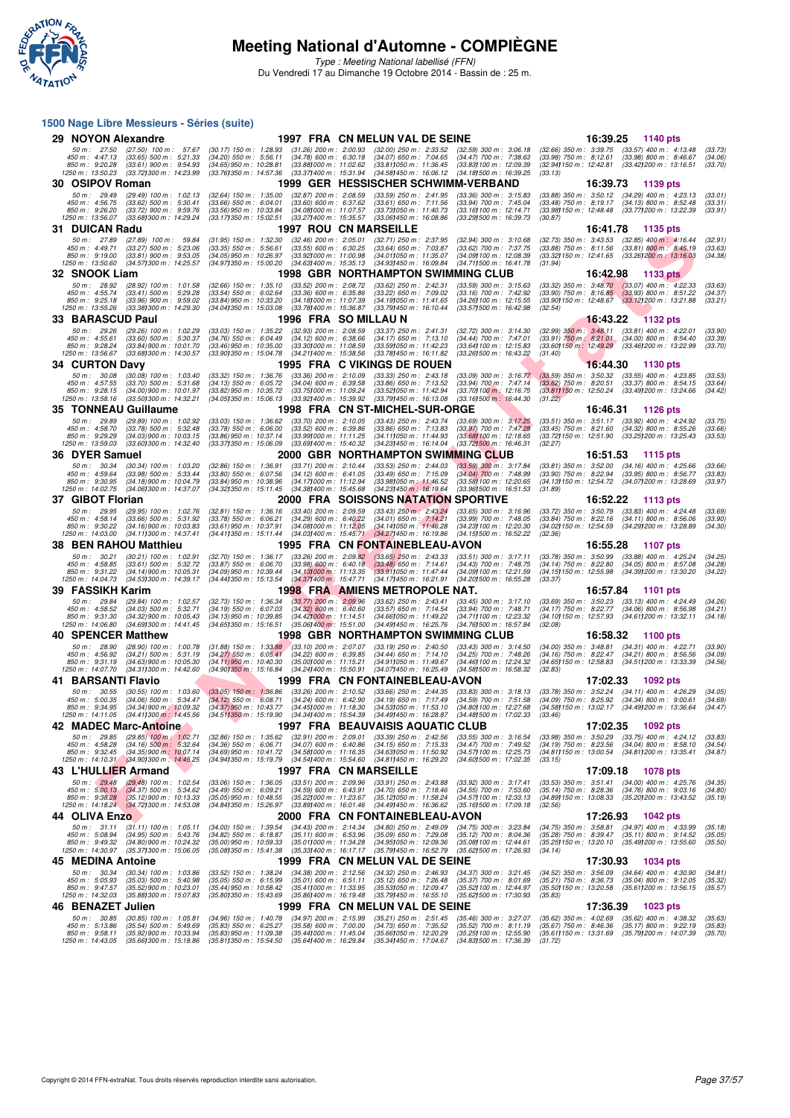

Type : Meeting National labellisé (FFN) Du Vendredi 17 au Dimanche 19 Octobre 2014 - Bassin de : 25 m.

### F F N - R É S N - H II THE R É S N - H II THE R É S N - H II THE R É S N - H II THE R É S N - H II THE R É S N - H II THE R É S N - H II THE R É S N - H II THE R É S N - H II THE R É S N - H II THE R É S N - H II THE R É S **1500 Nage Libre Messieurs - Séries (suite) 29 NOYON Alexandre 1997 FRA CN MELUN VAL DE SEINE 16:39.25 1140 pts**<br>50 m: 27.50 (27.50) 100 m: 57.67 (30.17) 150 m: 1:28.83 (31.26) 200 m: 2:00.83 (32.00) 250 m: 2:33.52 (32.59) 300 m: 3:06.18 (32.66) 350 m: 3:39.75 (3 50 m : 27.50 (27.50) 100 m : 57.67 (30.17) 150 m : 1:28.93 (31.26) 200 m : 2:00.93 (32.00) 250 m : 2:33.52 (32.59) 300 m : 3:06.18 (32.66) 350 m : 3:39.75 (33.57) 400 m : 4:13.48 (33.73)<br>450 m : 4:47.13 (33.65) 500 m : 5:2 **30 OSIPOV Roman 1999 GER HESSISCHER SCHWIMM-VERBAND** 16:39.73 1139 pts<br>50 m : 29.49 (29.49) 100 m : 1:02.13 (32.64) 150 m : 1:35.00 (32.87) 200 m : 2:05.59 (33.59) 250 m : 2:41.95 (33.36) 300 m : 3:15.83 (33.88) 350 m : 3 50 m : 29.49 (29.49) 100 m : 1:02.13 (32.64) 150 m : 1:35.00 (32.87) 200 m : 2:08.59 (33.59) 250 m : 2:11.95 (33.36) 300 m : 3:15.83 (33.88) 350 m : 3:50.12 (34.29) 400 m : 4:23.13 (33.01)<br>450 m : 4:26.20 (33.62) 500 m : 5 **31 DUICAN Radu** 1997 ROU CN MARSEILLE 16:41.78 1135 pts<br>
50 m: 27.89 (27.89) 100 m: 59.84 (31.95) 150 m: 1:32.30 (32.46) 200 m: 2:05.01 (32.71) 250 m: 2:37.95 (32.94) 300 m: 3:10.88 (32.73) 350 m: 3:43.53 (32.85) 400 m: 4 50 m : 27.89 (27.89) 100 m : 59.84 (31.95) 150 m : 1:32.30 (32.46) 200 m : 2:05.01 (32.71) 250 m : 2:37.95 (32.94) 300 m : 3:10.68 (32.73) 350 m : 3:43.53 (32.85) 400 m : 4:16.44 (32.91)<br>450 m : 4:49.71 (33.27) 500 m : 5:2 **32 SNOOK Liam 1998 GBR NORTHAMPTON SWIMMING CLUB 16:42.98 1133 pts**<br>
50 m : 28.92 (28.92) 100 m : 1:01.58 (32.66) 150 m : 1:35.10 (33.52) 200 m : 2:08.72 (33.62) 250 m : 2:42.31 (33.59) 300 m : 3:15.63 (33.32) 350 m : 3:4 50 m : 28.92 (28.92) 100 m : 1:01.58 (32.66) 150 m : 1:35.10 (33.52) 200 m : 2:08.72 (33.62) 250 m : 2:42.31 (33.59) 300 m : 3:15.63 (33.32) 350 m : 3:48.70 (33.07) 400 m : 4:22.33 (33.63)<br>450 m : 4:25.14 (33.49) 900 m : 5 **33 BARASCUD Paul 1996 FRA SO MILLAU N**<br>
50 m : 29.26 (29.26) 100 m : 1:02.29 (33.03) 150 m : 1:35.22 (32.93) 200 m : 2:08.59 (33.37) 250 m : 2:41.31 (32.72) 300 m : 3:14.30 (32.99) 350 m : 3:48.11 (33.81) 400 m : 4:22.01<br> 50 m : 29.26 (29.26) 100 m : 1:02.29 (33.03) 150 m : 1:35.22 (32.93) 200 m : 2:05.59 (33.37) 250 m : 2:41.31 (32.72) 300 m : 3:14.30 (32.99) 350 m : 3:48.11 (33.81) 400 m : 4:22.01 (33.90)<br>450 m : 4:25.51 (33.60) 500 m : 5 **34 CURTON Davy**<br> **34 CURTON Davy** 1905 FRA C VIKINGS DE ROUEN 16:44.30 1130 pts<br>
50 m : 30.08 (30.08) 100 m : 5:03.40 (33.32) 150 m : 6:36.76 (33.36) 200 m : 2:10.09 (33.33) 250 m : 2:43.18 (33.09) 300 m : 3:16.77 (33.59) 50 m : 30.08 (30.08) 100 m : 1:03 40 (33.32) 150 m : 1:36.76 (33.36) 200 m : 2:10.09 (33.33) 250 m : 2:43.18 (33.09) 300 m : 3:16.77 (33.59) 350 m : 3:50.32 (33.55) 400 m : 4:23.85 (33.53)<br>450 m : 4:27.55 (33.70) 500 m : 5 **35 TONNEAU Guillaume** 1998 FRA CN ST-MICHEL-SUR-ORGE 16:46.31 1126 pts<br>
50 m: 29.89 (29.89) 100 m: 1:02.92 (33.03) 150 m: 1:36.62 (33.70) 200 m: 2:10.05 (33.43) 250 m: 2:43.74 (33.69) 300 m: 3:17.25 (33.51) 350 m: 3:51.17 50 m : 29.89 (29.89) 100 m : 1:02.92 (33.03) 150 m : 1:36.62 (33.70) 200 m 2:10.05 (33.43) 250 m 2:13.74 (33.69) 300 m : 3:11.725 (33.51) 350 m : 3:51.17 (33.92) 400 m : 4:24.92 (33.75) 500 -850 m : 9:92.92 (34.03)900 m : 10:03.15 (33.89)50 m : 10:37.14 (33.99)000 m : 11:11.25 (34.231105 m : 13:03 (34.231105 m : 12:51.90 m : 12:51.90 (33.25)200 m : 13:25.43 (33.53)<br>1250 m : 13:59.03 (33.601300 m : 14:32.40 (3 **36 DYER Samuel 2000 GBR NORTHAMPTON SWIMMING CLUB** 16:51.53 1115 pts<br>
50 m: 30.34 (30.34) 100 m: 1:03.20 (32.86) 150 m: 1:30.91 (33.71) 200 m: 2:10.44 (33.53) 250 m: 2:44.03 (33.59) 300 m: 3:17.84 (33.81) 350 m: 3:52.00 ( 50 m : 30.34 (30.34) 100 m : 1:03.20 (32.86) 150 m : 1:36.91 (33.71) 200 m : 2:10.44 (33.53) 250 m : 2:44.03 (33.59) 300 m : 3:17.84 (33.81) 350 m : 3:52.00 (34.16) 400 m : 4:25.66 (33.66)<br>450 m : 4:39.64 (33.98) 500 m : 5 **37 GIBOT Florian** 2000 FRA SOISSONS NATATION SPORTIVE 16:52.22 1113 pts<br>
50 m : 29.95 (29.95) 100 m : 1:02.76 (32.81) 150 m : 1:03.16 (33.40) 200 m : 2:09.59 (33.43) 250 m : 2:43.24<br>
450 m : 458.14 (33.63) 400 m : 5:50.79 50 m : 29.95 (29.95) 100 m : 1:02.76 (32.81) 150 m : 1:36.16 (33.40) 200 m : 2:09.59 (33.43) 250 m : 2:43.24 (33.69) 300 m : 3:16.96 (33.72) 350 m : 3:50.79 (33.83) 400 m : 4:24.48 (33.69)<br>450 m : 4:36.14 (33.66) 500 m : 5 **38 BEN RAHOU Matthieu 1995 FRA CN FONTAINEBLEAU-AVON 16:55.28 1107 pts** 50 m : 30.21 (30.21) 100 m : 1:02.91 (32.70) 150 m : 1:36.17 (33.26) 200 m : 2:09.82 (33.65) 250 m : 2:43.33 (33.51) 300 m : 3:17.11 (33.78) 350 m : 3:50.99 (33.88) 400 m : 4:25.24 (34.25<br>150 m : 4:36.85 (33.61) 500 m : 5: **39 FASSIKH Karim 1998 FRA AMIENS METROPOLE NAT.** 16:57.84 1101 pts<br>
50 m: 29.84 (29.84) 100 m: 1:02.57 (32.73) 150 m: 1:36.34 (33.77) 200 m: 2:09.96 (33.62) 250 m: 2:43.41 (33.45) 300 m: 3:17.10 (33.69) 350 m: 3:50.23 (33 50 m : 29.84 (29.84) 100 m : 1:02.57 (32.73) 150 m : 1:36.34 (33.77) 200 m : 2:09.96 (33.62) 250 m : 2:43.41 (33.45) 300 m : 3:17.10 (33.69) 350 m : 3:50.23 (33.13) 400 m : 4:24.49 (34.26)<br>450 m : 4:35.52 (34.03) 500 m : 5 **40 SPENCER Matthew 1998 GBR NORTHAMPTON SWIMMING CLUB** 16:58.32 1100 pts<br>
50 m : 28.90 (28.90) 100 m : 1:00.78 (31.48) 150 m : 1:33.68 (33.10) 200 m : 2:07.07 (33.19) 250 m : 2:40.50 (33.43) 300 m : 3:14.50 (34.00) 350 m 50 m : 28.90 (28.90) 100 m : 1:00.78 (31.88) 150 m : 1:33.88 (33.10) 200 m : 2:07.07 (33.19) 250 m : 2:40.50 (33.43) 300 m : 3:14.50 (34.00) 350 m : 3:48.81 (34.31) 400 m : 4:22.71 (33.90)<br>450 m : 4:56.92 (34.21) 500 m : 5 **41 BARSANTI Flavio** 1999 FRA CN FONTAINEBLEAU-AVON 17:02.33 1092 pts<br>
50 m: 30.55 (30.55) 100 m: 1:03.60 (33.05) 150 m: 1:36.86 (33.26) 200 m: 2:10.52 (33.66) 250 m: 2:44.35 (33.83) 300 m: 3:18.13 (33.78) 350 m: 3:52.24 ( 50 m : 30.55 (30.55) 100 m : 1:03.60 (33.05) 150 m : 1:36.86 (33.26) 200 m : 2:10.52 (33.66) 250 m : 2:44.35 (33.83) 300 m : 3:16.13 (33.78) 350 m : 3:52.24 (34.11) 400 m : 4:26.29 (34.05)<br>450 m : 5:00.35 (34.06) 500 m : 5 **42 MADEC Marc-Antoine 1997 FRA BEAUVAISIS AQUATIC CLUB 17:02.35 1092 pts**<br>
50 m : 29.85 (29.85) 100 m : 1:02.71 (32.86) 150 m : 1:35.62 (32.91) 200 m : 2:09.01 (33.39) 250 m : 2:42.56 (33.55) 300 m : 3:16.54 (33.98) 350 50 m : 29.85 (29.85) 100 m i 1:02.71 (32.86) 150 m i 1:35.62 (32.91) 200 m i 2:09.01 (33.39) 250 m i 2:42.56 (33.55) 300 m i 3:56.54 (33.98) 350 m i 3:56.29 (33.75) 400 m i 4:24.12 (33.83) 350 m i 3:56.29 (33.75) 400 m i 4 **43 L'HULLIER Armand**<br> **43 L'HULLIER Armand** 1997 FRA CN MARSEILLE 17:09.18 1078 pts<br> **450 m** : 5:04.19 (30.437) 500 m : 5:1.41 (34.00) 400 m : 4:25.76<br>
850 m : 5:3.28 (35.12) 900 m : 5:04.33 (35.05) 950 m : 6:04.21 (34.64 50 m : 29.48 (29.48) 100 m : 1:02.54 (33.06) 150 m : 1:36.05 (33.51) 200 m : 2:43.89 (33.92) 300 m : 3:17.41 (33.53) 350 m : 3:51.41 (34.00) 400 m : 4:25.76 (34.35) 350 m : 3:51.41 (34.00) 400 m : 4:25.76 (34.35) 360 m : 5 **44 OLIVA Enzo**<br> **44 OLIVA Enzo 1042 pts**<br> **450** m: 31.11 (31.11) 100 m: 1:05.11 (34.00) 150 m: 1:39.54 (34.43) 200 m: 2:14.34 (34.80) 250 m: 2:49.09 (34.75) 300 m: 3:23.84 (34.75) 350 m: 3:58.81 (34.97) 400 m: 4:33.99<br>
45 50 m: 31.11 (31.11) 100 m: 1:05.11 (34.00) 150 m: 1:39.54 (34.43) 200 m: 2:14.34 (34.80) 250 m: 2:49.09 (34.75) 300 m: 3:23.84 (34.75) 350 m: 3:58.81 (34.97) 400 m: 4:33.99 (35.18)<br>450 m: 5:08.94 (34.85) 500 m: 5:43.2 (35. **45 MEDINA Antoine** 1999 FRA CN MELUN VAL DE SEINE 17:30.93 1034 pts<br>
50 m : 30.34 (30.34) 100 m : 1:03.86 (33.52) 150 m : 1:38.24 (34.38) 200 m : 2:12.56 (34.32) 250 m : 2:46.93 (34.37) 300 m : 3:21.45 (34.52) 350 m : 3:5 50 m : 30.34 (30.34) 100 m : 1:03.86 (33.52) 150 m : 1:38.24 (34.38) 200 m : 2:12.56 (34.32) 250 m : 2:46.93 (34.37) 300 m : 3:21.45 (34.52) 350 m : 3:56.09 (34.64) 400 m : 4:30.90 (34.81)<br>450 m : 5:05.93 (35.62) 900 m : 5 **46 BENAZET Julien 1999 FRA CN MELUN VAL DE SEINE 17:36.39 1023 pts** 50 m: 30.85 (30.85) 100 m: 1:05.81 (34.96) 150 m: 1:40.78 (34.97) 200 m: 2:15.99 (35.21) 250 m: 2:51.45 (35.40) 300 m: 3:27.07 (35.62) 350 m: 4:02.69 (35.62) 400 m: 4:38.32 (35.63)<br>450 m: 5:13.86 (35.54) 500 m: 5:49.69 (35 -850 m: 9:58.11 (35.89)900 m: 10:33.94 (35.83)950 m: 11:09.38 (35.641000 m: 11:45.04 (35.69105 m: 12:35.91 00 m: 12:35.99 (35.661150 m: 13:31.69 (35.79)200 m: 14:07.39 (35.79)200 m: 14:07.39 (35.79)200 m: 15:18.86 (35.79)<br>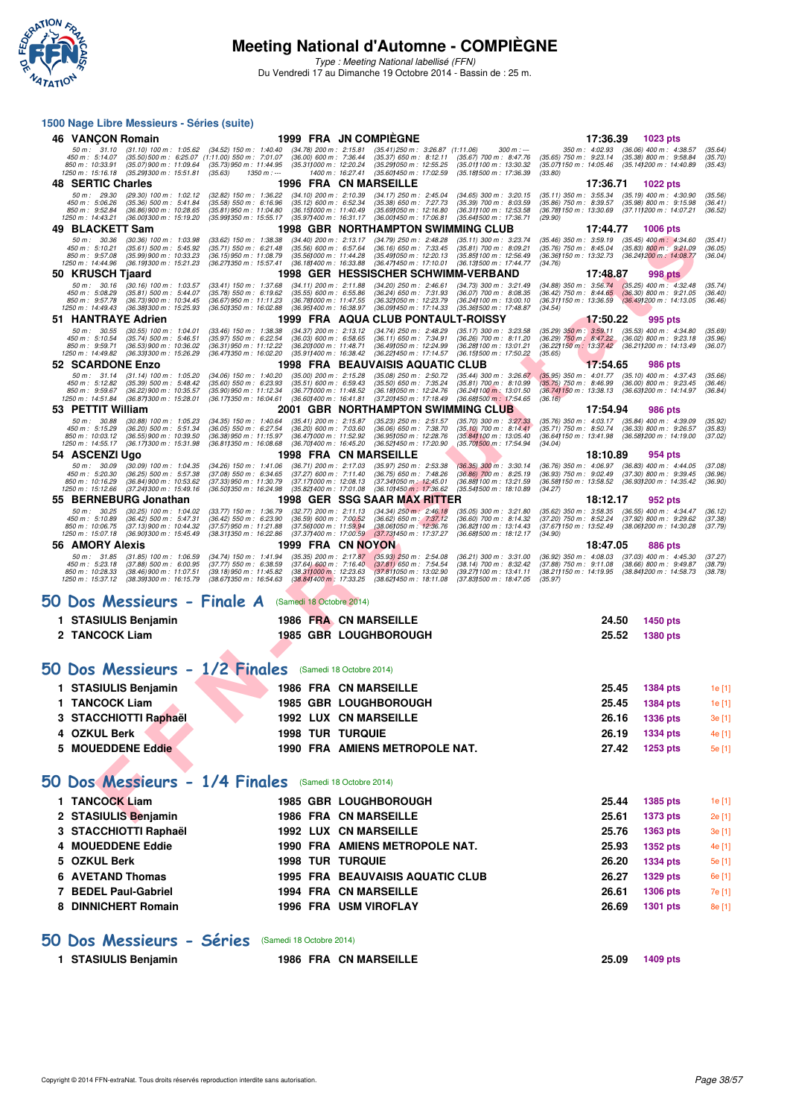

Type : Meeting National labellisé (FFN) Du Vendredi 17 au Dimanche 19 Octobre 2014 - Bassin de : 25 m.

#### **1500 Nage Libre Messieurs - Séries (suite)**

| 46 VANÇON Romain                                                                                                                                                                                                                                                                                                | <b>1999 FRA JN COMPIEGNE</b>                                                                                                                                                                                                                                                                                                                          | 17:36.39<br>1023 pts                                                                                                                                                                                                       |
|-----------------------------------------------------------------------------------------------------------------------------------------------------------------------------------------------------------------------------------------------------------------------------------------------------------------|-------------------------------------------------------------------------------------------------------------------------------------------------------------------------------------------------------------------------------------------------------------------------------------------------------------------------------------------------------|----------------------------------------------------------------------------------------------------------------------------------------------------------------------------------------------------------------------------|
| 50 m : 31.10<br>$(31.10)$ 100 m : 1:05.62<br>$(34.52)$ 150 m : 1:40.40<br>450 m : 5:14.07<br>(35.50) 500 m : 6:25.07 (1:11.00) 550 m : 7:01.07<br>850 m : 10:33.91<br>(35.07) 900 m : 11:09.64<br>(35.73) 950 m : 11:44.95<br>1250 m: 15:16.18<br>(35.29) 300 m : 15:51.81<br>(35.63)<br>$1350 m : -$           | $(34.78)$ 200 m : 2:15.81<br>$(35.41)$ 250 m : 3:26.87 $(1:11.06)$<br>$300 m : -$<br>$(36.00)$ 600 m : 7:36.44<br>$(35.37)$ 650 m : 8:12.11<br>$(35.67)$ 700 m : 8:47.76<br>(35.29) 050 m : 12:55.25<br>(35.311000 m: 12:20.24<br>(35.011100 m: 13:30.32)<br>1400 m: 16:27.41<br>(35.60) 450 m : 17:02.59<br>(35.181500 m: 17:36.39                   | $(36.06)$ 400 m : 4:38.57<br>350 m : 4:02.93<br>(35.64)<br>$(35.65)$ 750 m : 9:23.14<br>$(35.38) 800 \text{ m}$ : 9:58.84<br>(35.70)<br>(35.07) 150 m : 14:05.46<br>(35.14) 200 m : 14:40.89<br>(35.43)<br>(33.80)         |
| <b>48 SERTIC Charles</b>                                                                                                                                                                                                                                                                                        | 1996 FRA CN MARSEILLE                                                                                                                                                                                                                                                                                                                                 | 17:36.71<br>1022 pts                                                                                                                                                                                                       |
| 50 m: 29.30<br>$(29.30)$ 100 m : 1:02.12<br>$(32.82)$ 150 m : 1:36.22<br>450 m : 5:06.26<br>(35.36) 500 m : 5.41.84<br>(35.58) 550 m : 6:16.96<br>850 m: 9:52.84<br>$(36.86)$ 900 m : 10:28.65<br>$(35.81)$ 950 m : 11:04.80<br>1250 m: 14:43.21<br>(36.00) 300 m : 15:19.20<br>(35.991350 m: 15:55.17          | $(34.10)$ 200 m : 2:10.39<br>(34.17) 250 m : 2:45.04<br>(34.65) 300 m : 3:20.15<br>$(35.38)$ 650 m : 7:27.73<br>$(35.12)$ 600 m : 6:52.34<br>$(35.39)$ 700 m : 8:03.59<br>(36.15) 000 m : 11:40.49<br>$(35.69)050 \text{ m}$ : 12:16.80<br>(36.31) 100 m : 12:53.58<br>(35.97) 400 m : 16:31.17<br>(36.00) 450 m : 17:06.81<br>(35.641500 m: 17:36.71 | (35.11) 350 m : 3:55.34<br>$(35.19)$ 400 m : 4:30.90<br>(35.56)<br>$(35.86)$ 750 m : 8:39.57<br>$(35.98)$ 800 m : 9:15.98<br>(36.41)<br>(36.78) 150 m : 13:30.69<br>(37.11) 200 m : 14:07.21<br>(36.52)<br>(29.90)         |
| 49 BLACKETT Sam                                                                                                                                                                                                                                                                                                 | 1998 GBR NORTHAMPTON SWIMMING CLUB                                                                                                                                                                                                                                                                                                                    | <b>1006 pts</b><br>17:44.77                                                                                                                                                                                                |
| 50 m: 30.36<br>$(30.36)$ 100 m : 1:03.98<br>$(33.62)$ 150 m : 1:38.38<br>$(35.61)$ 500 m : 5:45.92<br>450 m: 5:10.21<br>$(35.71)$ 550 m : 6:21.48<br>850 m : 9:57.08<br>(35.99) 900 m : 10:33.23<br>$(36.15)$ 950 m : 11:08.79<br>1250 m: 14:44.96<br>(36.19) 300 m : 15:21.23<br>(36.271350 m : 15:57.41       | $(34.40)$ 200 m : 2:13.17<br>$(34.79)$ 250 m : 2:48.28<br>$(35.11)$ 300 m : 3:23.74<br>$(35.56)$ 600 m : 6:57.64<br>$(36.16)$ 650 m : 7:33.45<br>$(35.81)$ 700 m : 8:09.21<br>(35.56) 000 m: 11:44.28<br>(35.49) 050 m : 12:20.13<br>(35.85) 100 m : 12:56.49<br>(36.18) 400 m : 16:33.88<br>(36.47) 450 m : 17:10.01<br>(36.13) 500 m : 17:44.77     | $(35.46)$ 350 m : 3:59.19 $(35.45)$ 400 m : 4:34.60<br>(35.41)<br>(35.76) 750 m : 8:45.04<br>$(35.83) 800 \text{ m}$ : 9:21.09<br>(36.05)<br>(36.36) 150 m : 13:32.73<br>(36.241200 m : 14:08.77<br>(36.04)<br>(34.76)     |
| 50 KRUSCH Tjaard                                                                                                                                                                                                                                                                                                | 1998 GER HESSISCHER SCHWIMM-VERBAND                                                                                                                                                                                                                                                                                                                   | 17:48.87<br><b>998 pts</b>                                                                                                                                                                                                 |
| 50 m: 30.16<br>$(30.16)$ 100 m : 1:03.57<br>$(33.41)$ 150 m : 1:37.68<br>450 m : 5:08.29<br>$(35.81)$ 500 m : 5:44.07<br>(35.78) 550 m : 6:19.62<br>850 m: 9:57.78<br>(36.73) 900 m : 10:34.45<br>(36.67) 950 m : 11:11.23<br>(36.38) 300 m : 15:25.93<br>1250 m: 14:49.43<br>(36.501350 m: 16:02.88            | (34.11) 200 m: 2:11.88<br>(34.20) 250 m : 2:46.61<br>(34.73) 300 m : 3:21.49<br>$(35.55)$ 600 m : 6:55.86<br>$(36.24)$ 650 m : 7:31.93<br>$(36.07)$ 700 m : 8:08.35<br>(36.781000 m: 11:47.55<br>(36.32) 050 m : 12:23.79<br>(36.241100 m: 13.00.10)<br>(36.09) 450 m: 17:14.33<br>(35.36) 500 m : 17:48.87<br>(36.95) 400 m : 16:38.97               | $(34.88)$ 350 m : 3:56.74<br>$(35.25)$ 400 m : 4:32.48<br>(35.74)<br>$(36.42)$ 750 m : 8:44.65<br>$(36.30) 800$ m : 9:21.05<br>$(36.49)200$ m : 14:13.05<br>(36.40)<br>(36.31)150 m : 13.36.59<br>(36.46)<br>(34.54)       |
| 51 HANTRAYE Adrien                                                                                                                                                                                                                                                                                              | 1999 FRA AQUA CLUB PONTAULT-ROISSY                                                                                                                                                                                                                                                                                                                    | 17:50.22<br>995 pts                                                                                                                                                                                                        |
| 50 m: 30.55<br>$(30.55)$ 100 m : 1:04.01<br>$(33.46)$ 150 m : 1:38.38<br>450 m: 5:10.54<br>$(35.74)$ 500 m : 5:46.51<br>$(35.97)$ 550 m : 6:22.54<br>850 m: 9:59.71<br>$(36.53)$ 900 m : 10:36.02<br>$(36.31)$ 950 m : 11:12.22<br>1250 m: 14:49.82<br>(36.331300 m: 15:26.29)<br>(36.471350 m : 16:02.20       | $(34.37)$ 200 m : 2:13.12<br>$(34.74)$ 250 m : 2:48.29<br>$(35.17)$ 300 m : 3:23.58<br>$(36.03)$ 600 m : 6:58.65<br>$(36.11)$ 650 m : 7:34.91<br>$(36.26)$ 700 m : 8:11.20<br>(36.201000 m: 11:48.71<br>(36.49) 050 m: 12:24.99<br>(36.28) 100 m : 13:01.21<br>(35.911400 m: 16:38.42)<br>(36.22) 450 m : 17:14.57<br>(36.151500 m: 17:50.22)         | $(35.29)$ 350 m : 3:59.11<br>$(35.53)$ 400 m : 4:34.80<br>(35.69)<br>(36.29) 750 m: 8:47.22 (36.02) 800 m: 9:23.18<br>(35.96)<br>(36.22) 150 m : 13:37.42 (36.21) 200 m : 14:13.49<br>(36.07)<br>(35.65)                   |
| 52 SCARDONE Enzo<br>50 m: 31.14<br>$(31.14)$ 100 m : 1:05.20<br>$(34.06)$ 150 m : 1:40.20                                                                                                                                                                                                                       | 1998 FRA BEAUVAISIS AQUATIC CLUB<br>$(35.00)$ 200 m : 2:15.28<br>$(35.08)$ 250 m : 2:50.72<br>$(35.44)$ 300 m : 3:26.67                                                                                                                                                                                                                               | 17:54.65<br>986 pts<br>$(35.95)$ 350 m : 4:01.77<br>$(35.10)$ 400 m : 4:37.43<br>(35.66)                                                                                                                                   |
| 450 m : 5:12.82<br>$(35.39)$ 500 m : 5:48.42<br>$(35.60)$ 550 m : 6:23.93<br>850 m : 9:59.67<br>(36.22) 900 m : 10:35.57<br>(35.90) 950 m : 11:12.34<br>1250 m: 14:51.84<br>(36.87) 300 m : 15:28.01<br>(36.171350 m: 16:04.61                                                                                  | $(35.51)$ 600 m : 6:59.43<br>$(35.50)$ 650 m : 7:35.24<br>$(35.81)$ 700 m : 8:10.99<br>(36.77) 000 m : 11:48.52<br>(36.18) 050 m : 12:24.76<br>(36.24) 100 m : 13:01.50<br>(36.60) 400 m : 16:41.81<br>(37.201450 m: 17:18.49)<br>(36.68) 500 m : 17:54.65                                                                                            | $(35.75)$ 750 m : 8:46.99<br>(36.00) 800 m : 9:23.45<br>(36.46)<br>(36.74) 150 m : 13:38.13<br>(36.63) 200 m : 14:14.97<br>(36.84)<br>(36.16)                                                                              |
| 53 PETTIT William                                                                                                                                                                                                                                                                                               | 2001 GBR NORTHAMPTON SWIMMING CLUB                                                                                                                                                                                                                                                                                                                    | 17:54.94<br><b>986 pts</b>                                                                                                                                                                                                 |
| 50 m: 30.88<br>$(30.88)$ 100 m : 1:05.23<br>$(34.35)$ 150 m : 1:40.64<br>450 m: 5:15.29<br>$(36.20)$ 500 m : 5:51.34<br>$(36.05)$ 550 m : 6:27.54<br>850 m: 10:03.12<br>$(36.55)$ 900 m : 10:39.50<br>(36.38) 950 m : 11:15.97<br>1250 m: 14:55.17<br>(36.17) 300 m : 15:31.98<br>(36.811350 m: 16:08.68)       | $(35.41)$ 200 m : 2:15.87<br>$(35.23)$ 250 m : 2:51.57<br>$(35.70)$ 300 m : 3:27.33<br>$(36.20)$ 600 m : 7:03.60<br>$(36.06)$ 650 m : 7:38.70<br>$(35.10)$ 700 m : 8:14.41<br>(36.47) 000 m : 11:52.92<br>(36.95) 050 m : 12:28.76<br>(35.84) 100 m : 13:05.40<br>(36.701400 m : 16:45.20<br>(36.52) 450 m : 17:20.90<br>(35.701500 m : 17:54.94      | $(35.76)$ 350 m : 4:03.17<br>$(35.84)$ 400 m : 4:39.09<br>(35.92)<br>(35.71) 750 m : 8:50.74 (36.33) 800 m : 9:26.57<br>(35.83)<br>(36.64) 150 m : 13:41.98<br>(36.58) 200 m : 14:19.00<br>(37.02)<br>(34.04)              |
| 54 ASCENZI Ugo                                                                                                                                                                                                                                                                                                  | <b>1998 FRA CN MARSEILLE</b>                                                                                                                                                                                                                                                                                                                          | 18:10.89<br>954 pts                                                                                                                                                                                                        |
| 50 m: 30.09<br>$(30.09)$ 100 m : 1:04.35<br>$(34.26)$ 150 m : 1:41.06<br>450 m : 5:20.30<br>$(36.25)$ 500 m : 5:57.38<br>$(37.08)$ 550 m : 6:34.65<br>(36.84) 900 m : 10:53.62<br>(37.33) 950 m : 11:30.79<br>850 m : 10:16.29<br>1250 m: 15:12.66<br>(37.24) 300 m : 15:49.16<br>(36.501350 m : 16:24.98       | $(36.71)$ 200 m : 2:17.03<br>(35.97) 250 m : 2:53.38<br>$(36.35)$ 300 m : 3:30.14<br>$(37.27)$ 600 m : 7:11.40<br>$(36.75)$ 650 m : 7:48.26<br>$(36.86)$ 700 m : 8:25.19<br>(37.17) 000 m: 12:08.13<br>(37.34) 050 m : 12:45.01<br>(36.88) 100 m : 13:21.59<br>(35.82) 400 m : 17:01.08<br>(36.10) 450 m : 17:36.62<br>(35.541500 m: 18:10.89         | $(36.76)$ 350 m : 4:06.97<br>$(36.83)$ 400 m : 4:44.05<br>(37.08)<br>$(36.93)$ 750 m : 9:02.49<br>(37.30) 800 m : 9:39.45<br>(36.96)<br>(36.58) 150 m : 13:58.52<br>(36.93) 200 m : 14:35.42<br>(36.90)<br>(34.27)         |
| 55 BERNEBURG Jonathan                                                                                                                                                                                                                                                                                           | 1998 GER SSG SAAR MAX RITTER                                                                                                                                                                                                                                                                                                                          | 18:12.17<br>952 pts                                                                                                                                                                                                        |
| $50 m$ : $30.25$<br>$(30.25)$ 100 m : 1:04.02<br>$(33.77)$ 150 m : 1:36.79<br>450 m: 5:10.89<br>$(36.42)$ 500 m : 5:47.31<br>$(36.42)$ 550 m : 6:23.90<br>850 m: 10:06.75<br>$(37.13)$ 900 m : 10:44.32<br>(37.57) 950 m : 11:21.88<br>(36.90) 300 m : 15:45.49<br>(38.311350 m: 16:22.86)<br>1250 m : 15:07.18 | $(32.77)$ 200 m : 2:11.13<br>$(34.34)$ 250 m : 2:46.18<br>$(35.05)$ 300 m : 3:21.80<br>$(36.59)$ 600 m : 7:00.52<br>(36.62) 650 m : 7:37.12<br>(38.06) 050 m : 12:36.76<br>$(36.60)$ 700 m : 8:14.32<br>(37.56) 000 m: 11:59.94<br>(36.82) 100 m : 13:14.43<br>(37.37) 400 m : 17:00.59<br>(37.73) 450 m : 17:37.27<br>(36.68) 500 m : 18:12.17       | (35.62) 350 m : 3:58.35<br>$(36.55)$ 400 m : 4:34.47<br>(36.12)<br>$(37.20)$ 750 m : 8:52.24<br>$(37.92)$ 800 m : 9:29.62<br>(37.38)<br>(37.67) 150 m : 13:52.49<br>(38.06) 200 m : 14:30.28<br>(37.79)<br>(34.90)         |
| 56 AMORY Alexis                                                                                                                                                                                                                                                                                                 | <b>1999 FRA CN NOYON</b>                                                                                                                                                                                                                                                                                                                              | 18:47.05<br>886 pts                                                                                                                                                                                                        |
| 50 m: 31.85<br>$(31.85)$ 100 m : 1:06.59<br>$(34.74)$ 150 m : 1:41.94<br>$(37.77)$ 550 m : 6:38.59<br>450 m : 5:23.18<br>(37.88) 500 m : 6:00.95<br>850 m : 10:28.33<br>$(38.46)$ 900 m : 11:07.51<br>(39.18) 950 m : 11:45.82<br>1250 m: 15:37.12<br>(38.391300 m : 16:15.79)<br>(38.671350 m : 16:54.63       | $(35.35)$ 200 m : 2:17.87<br>$(35.93)$ 250 m : 2:54.08<br>$(36.21)$ 300 m : 3:31.00<br>$(37.64)$ 600 m : 7:16.40<br>$(37.81)$ 650 m : 7:54.54<br>(38.14) 700 m : 8:32.42<br>(38.311000 m: 12:23.63<br>(37.81)050 m : 13:02.90<br>(39.27) 100 m : 13:41.11<br>(38.841400 m: 17:33.25)<br>$(38.62)450 \text{ m}$ : 18:11.08<br>(37.831500 m: 18:47.05   | (36.92) 350 m : 4:08.03<br>$(37.03)$ 400 m : 4:45.30<br>(37.27)<br>$(37.88)$ 750 m : $9:11.08$<br>(38.66) 800 m : 9:49.87<br>(38.79)<br>(38.21) 150 m : 14:19.95<br>(38.84 <b>1</b> 200 m : 14:58.73<br>(38.78)<br>(35.97) |
| 50 Dos Messieurs - Finale A                                                                                                                                                                                                                                                                                     | (Samedi 18 Octobre 2014)                                                                                                                                                                                                                                                                                                                              |                                                                                                                                                                                                                            |
| 1 STASIULIS Benjamin                                                                                                                                                                                                                                                                                            | 1986 FRA CN MARSEILLE                                                                                                                                                                                                                                                                                                                                 | 24.50<br><b>1450 pts</b>                                                                                                                                                                                                   |
| 2 TANCOCK Liam                                                                                                                                                                                                                                                                                                  | <b>1985 GBR LOUGHBOROUGH</b>                                                                                                                                                                                                                                                                                                                          | 25.52<br>1380 pts                                                                                                                                                                                                          |
| 50 Dos Messieurs - 1/2 Finales (Samedi 18 Octobre 2014)                                                                                                                                                                                                                                                         |                                                                                                                                                                                                                                                                                                                                                       |                                                                                                                                                                                                                            |
| 1 STASIULIS Benjamin                                                                                                                                                                                                                                                                                            | <b>1986 FRA CN MARSEILLE</b>                                                                                                                                                                                                                                                                                                                          | 25.45<br>1384 pts<br>1e [1                                                                                                                                                                                                 |
| 1 TANCOCK Liam                                                                                                                                                                                                                                                                                                  | <b>1985 GBR LOUGHBOROUGH</b>                                                                                                                                                                                                                                                                                                                          | 25.45<br><b>1384 pts</b><br>$1e$ [1                                                                                                                                                                                        |
| 3 STACCHIOTTI Raphaël                                                                                                                                                                                                                                                                                           | <b>1992 LUX CN MARSEILLE</b>                                                                                                                                                                                                                                                                                                                          | 26.16<br><b>1336 pts</b><br>3e [1                                                                                                                                                                                          |
| 4 OZKUL Berk                                                                                                                                                                                                                                                                                                    | <b>1998 TUR TURQUIE</b>                                                                                                                                                                                                                                                                                                                               | 26.19<br><b>1334 pts</b><br>4e [1                                                                                                                                                                                          |
|                                                                                                                                                                                                                                                                                                                 |                                                                                                                                                                                                                                                                                                                                                       |                                                                                                                                                                                                                            |
| 5 MOUEDDENE Eddie                                                                                                                                                                                                                                                                                               | 1990 FRA AMIENS METROPOLE NAT.                                                                                                                                                                                                                                                                                                                        | 27.42<br>1253 pts<br>5e [1                                                                                                                                                                                                 |
| 50 Dos Messieurs - 1/4 Finales (Samedi 18 Octobre 2014)                                                                                                                                                                                                                                                         |                                                                                                                                                                                                                                                                                                                                                       |                                                                                                                                                                                                                            |
| 1 TANCOCK Liam                                                                                                                                                                                                                                                                                                  | <b>1985 GBR LOUGHBOROUGH</b>                                                                                                                                                                                                                                                                                                                          | 25.44<br>1385 pts<br>1e [1                                                                                                                                                                                                 |
| 2 STASIULIS Benjamin                                                                                                                                                                                                                                                                                            | <b>1986 FRA CN MARSEILLE</b>                                                                                                                                                                                                                                                                                                                          | 25.61<br><b>1373 pts</b><br>2e [1                                                                                                                                                                                          |
|                                                                                                                                                                                                                                                                                                                 |                                                                                                                                                                                                                                                                                                                                                       |                                                                                                                                                                                                                            |

#### **[50 Dos Messieurs - Finale A](http://www.ffnatation.fr/webffn/resultats.php?idact=nat&go=epr&idcpt=24767&idepr=61)** (Samedi 18 Octobre 2014)

| <b>1986 FRA CN MARSEILLE</b>                                                                                                                                                                                                                                                                                                                                                                  | 24.50                                                                                                   | 1450 pts        |        |
|-----------------------------------------------------------------------------------------------------------------------------------------------------------------------------------------------------------------------------------------------------------------------------------------------------------------------------------------------------------------------------------------------|---------------------------------------------------------------------------------------------------------|-----------------|--------|
| <b>1985 GBR LOUGHBOROUGH</b>                                                                                                                                                                                                                                                                                                                                                                  | 25.52                                                                                                   | <b>1380 pts</b> |        |
|                                                                                                                                                                                                                                                                                                                                                                                               |                                                                                                         |                 |        |
| (Samedi 18 Octobre 2014)                                                                                                                                                                                                                                                                                                                                                                      |                                                                                                         |                 |        |
| <b>1986 FRA CN MARSEILLE</b>                                                                                                                                                                                                                                                                                                                                                                  | 25.45                                                                                                   | 1384 pts        | 1e [1] |
| <b>1985 GBR LOUGHBOROUGH</b>                                                                                                                                                                                                                                                                                                                                                                  | 25.45                                                                                                   | <b>1384 pts</b> | 1e [1] |
| <b>1992 LUX CN MARSEILLE</b>                                                                                                                                                                                                                                                                                                                                                                  | 26.16                                                                                                   | <b>1336 pts</b> | 3e [1] |
| <b>TUR TURQUIE</b><br>1998                                                                                                                                                                                                                                                                                                                                                                    | 26.19                                                                                                   | 1334 pts        | 4e [1] |
| 1990 FRA AMIENS METROPOLE NAT.                                                                                                                                                                                                                                                                                                                                                                | 27.42                                                                                                   | $1253$ pts      | 5e [1] |
|                                                                                                                                                                                                                                                                                                                                                                                               |                                                                                                         |                 |        |
|                                                                                                                                                                                                                                                                                                                                                                                               |                                                                                                         |                 |        |
| <b>1985 GBR LOUGHBOROUGH</b>                                                                                                                                                                                                                                                                                                                                                                  | 25.44                                                                                                   | <b>1385 pts</b> | 1e [1] |
| <b>1986 FRA CN MARSEILLE</b>                                                                                                                                                                                                                                                                                                                                                                  | 25.61                                                                                                   | <b>1373 pts</b> | 2e [1] |
| <b>1992 LUX CN MARSEILLE</b>                                                                                                                                                                                                                                                                                                                                                                  | 25.76                                                                                                   | 1363 pts        | 3e [1] |
| 1990 FRA AMIENS METROPOLE NAT.                                                                                                                                                                                                                                                                                                                                                                | 25.93                                                                                                   | <b>1352 pts</b> | 4e [1] |
| <b>TUR TURQUIE</b><br>1998                                                                                                                                                                                                                                                                                                                                                                    | 26.20                                                                                                   | <b>1334 pts</b> | 5e [1] |
| <b>1995 FRA BEAUVAISIS AQUATIC CLUB</b>                                                                                                                                                                                                                                                                                                                                                       | 26.27                                                                                                   | 1329 pts        | 6e [1] |
| <b>1994 FRA CN MARSEILLE</b>                                                                                                                                                                                                                                                                                                                                                                  | 26.61                                                                                                   | 1306 pts        | 7e [1] |
| <b>1996 FRA USM VIROFLAY</b>                                                                                                                                                                                                                                                                                                                                                                  | 26.69                                                                                                   | <b>1301 pts</b> | 8e [1] |
|                                                                                                                                                                                                                                                                                                                                                                                               |                                                                                                         |                 |        |
| 1 STASIULIS Benjamin<br>2 TANCOCK Liam<br>1 STASIULIS Benjamin<br>1 TANCOCK Liam<br>3 STACCHIOTTI Raphaël<br>4 OZKUL Berk<br>5 MOUEDDENE Eddie<br>1 TANCOCK Liam<br>2 STASIULIS Benjamin<br>3 STACCHIOTTI Raphaël<br>4 MOUEDDENE Eddie<br>5 OZKUL Berk<br>6 AVETAND Thomas<br>7 BEDEL Paul-Gabriel<br>8 DINNICHERT Romain<br>$E \cap N_{\text{max}}$ is interesting the set of $\overline{N}$ | 50 Dos Messieurs - 1/2 Finales<br>50 Dos Messieurs - 1/4 Finales (Samedi 18 Octobre 2014)<br>$Cmin = 0$ |                 |        |

### **[50 Dos Messieurs - Séries](http://www.ffnatation.fr/webffn/resultats.php?idact=nat&go=epr&idcpt=24767&idepr=61)** (Samedi 18 Octobre 2014)

| 1 STASIULIS Benjamin | <b>1986 FRA CN MARSEILLE</b> |  | 25.09 1409 pts |
|----------------------|------------------------------|--|----------------|
|----------------------|------------------------------|--|----------------|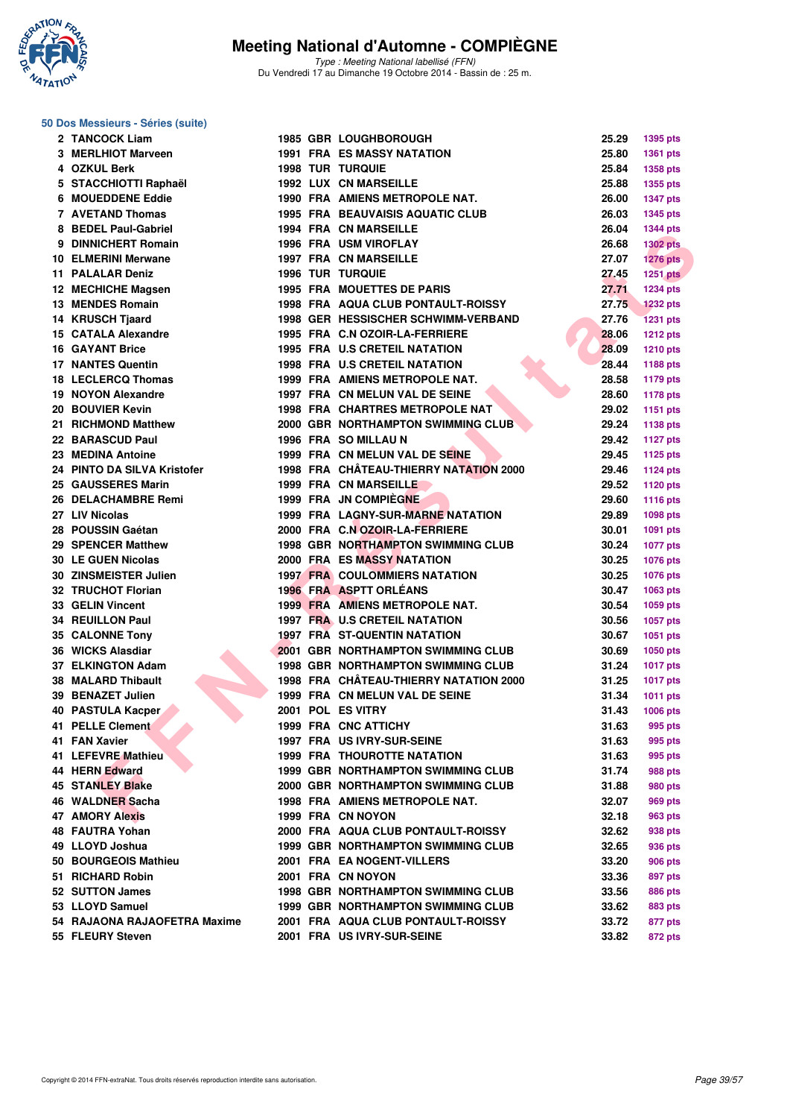

Type : Meeting National labellisé (FFN) Du Vendredi 17 au Dimanche 19 Octobre 2014 - Bassin de : 25 m.

#### **50 Dos Messieurs - Séries (suite)**

|   | 2 TANCOCK Liam               |  | <b>1985 GBR LOUGHBOROUGH</b>              | 25.29 | 1395 pts        |
|---|------------------------------|--|-------------------------------------------|-------|-----------------|
|   | 3 MERLHIOT Marveen           |  | <b>1991 FRA ES MASSY NATATION</b>         | 25.80 | 1361 pts        |
|   | 4 OZKUL Berk                 |  | <b>1998 TUR TURQUIE</b>                   | 25.84 | 1358 pts        |
|   | 5 STACCHIOTTI Raphaël        |  | 1992 LUX CN MARSEILLE                     | 25.88 | <b>1355 pts</b> |
| 6 | <b>MOUEDDENE Eddie</b>       |  | 1990 FRA AMIENS METROPOLE NAT.            | 26.00 | <b>1347 pts</b> |
|   | 7 AVETAND Thomas             |  | <b>1995 FRA BEAUVAISIS AQUATIC CLUB</b>   | 26.03 | <b>1345 pts</b> |
|   | 8 BEDEL Paul-Gabriel         |  | <b>1994 FRA CN MARSEILLE</b>              | 26.04 | <b>1344 pts</b> |
|   | 9 DINNICHERT Romain          |  | <b>1996 FRA USM VIROFLAY</b>              | 26.68 | <b>1302 pts</b> |
|   | <b>10 ELMERINI Merwane</b>   |  | <b>1997 FRA CN MARSEILLE</b>              | 27.07 | <b>1276 pts</b> |
|   | <b>11 PALALAR Deniz</b>      |  | <b>1996 TUR TURQUIE</b>                   | 27.45 | <b>1251 pts</b> |
|   | 12 MECHICHE Magsen           |  | <b>1995 FRA MOUETTES DE PARIS</b>         | 27.71 | <b>1234 pts</b> |
|   | <b>13 MENDES Romain</b>      |  | 1998 FRA AQUA CLUB PONTAULT-ROISSY        | 27.75 | <b>1232 pts</b> |
|   | <b>14 KRUSCH Tiaard</b>      |  | 1998 GER HESSISCHER SCHWIMM-VERBAND       | 27.76 | <b>1231 pts</b> |
|   | 15 CATALA Alexandre          |  | 1995 FRA C.N OZOIR-LA-FERRIERE            | 28.06 | <b>1212 pts</b> |
|   | <b>16 GAYANT Brice</b>       |  | <b>1995 FRA U.S CRETEIL NATATION</b>      | 28.09 | 1210 pts        |
|   | <b>17 NANTES Quentin</b>     |  | <b>1998 FRA U.S CRETEIL NATATION</b>      | 28.44 | 1188 pts        |
|   | 18 LECLERCQ Thomas           |  | 1999 FRA AMIENS METROPOLE NAT.            | 28.58 | <b>1179 pts</b> |
|   | 19 NOYON Alexandre           |  | 1997 FRA CN MELUN VAL DE SEINE            | 28.60 | 1178 pts        |
|   | 20 BOUVIER Kevin             |  | <b>1998 FRA CHARTRES METROPOLE NAT</b>    | 29.02 | 1151 pts        |
|   | 21 RICHMOND Matthew          |  | 2000 GBR NORTHAMPTON SWIMMING CLUB        | 29.24 |                 |
|   | 22 BARASCUD Paul             |  | 1996 FRA SO MILLAU N                      | 29.42 | 1138 pts        |
|   | 23 MEDINA Antoine            |  | 1999 FRA CN MELUN VAL DE SEINE            |       | <b>1127 pts</b> |
|   |                              |  |                                           | 29.45 | 1125 pts        |
|   | 24 PINTO DA SILVA Kristofer  |  | 1998 FRA CHÂTEAU-THIERRY NATATION 2000    | 29.46 | <b>1124 pts</b> |
|   | 25 GAUSSERES Marin           |  | 1999 FRA CN MARSEILLE                     | 29.52 | 1120 pts        |
|   | 26 DELACHAMBRE Remi          |  | 1999 FRA JN COMPIEGNE                     | 29.60 | <b>1116 pts</b> |
|   | 27 LIV Nicolas               |  | <b>1999 FRA LAGNY-SUR-MARNE NATATION</b>  | 29.89 | 1098 pts        |
|   | 28 POUSSIN Gaétan            |  | 2000 FRA C.N OZOIR-LA-FERRIERE            | 30.01 | 1091 pts        |
|   | 29 SPENCER Matthew           |  | 1998 GBR NORTHAMPTON SWIMMING CLUB        | 30.24 | <b>1077 pts</b> |
|   | <b>30 LE GUEN Nicolas</b>    |  | <b>2000 FRA ES MASSY NATATION</b>         | 30.25 | <b>1076 pts</b> |
|   | 30 ZINSMEISTER Julien        |  | <b>1997 FRA COULOMMIERS NATATION</b>      | 30.25 | 1076 pts        |
|   | 32 TRUCHOT Florian           |  | <b>1996 FRA ASPTT ORLEANS</b>             | 30.47 | 1063 pts        |
|   | 33 GELIN Vincent             |  | 1999 FRA AMIENS METROPOLE NAT.            | 30.54 | 1059 pts        |
|   | <b>34 REUILLON Paul</b>      |  | 1997 FRA U.S CRETEIL NATATION             | 30.56 | 1057 pts        |
|   | 35 CALONNE Tony              |  | <b>1997 FRA ST-QUENTIN NATATION</b>       | 30.67 | 1051 pts        |
|   | 36 WICKS Alasdiar            |  | <b>2001 GBR NORTHAMPTON SWIMMING CLUB</b> | 30.69 | 1050 pts        |
|   | 37 ELKINGTON Adam            |  | <b>1998 GBR NORTHAMPTON SWIMMING CLUB</b> | 31.24 | <b>1017 pts</b> |
|   | <b>38 MALARD Thibault</b>    |  | 1998 FRA CHÂTEAU-THIERRY NATATION 2000    | 31.25 | <b>1017 pts</b> |
|   | 39 BENAZET Julien            |  | 1999 FRA CN MELUN VAL DE SEINE            | 31.34 | 1011 pts        |
|   | <b>40 PASTULA Kacper</b>     |  | 2001 POL ES VITRY                         | 31.43 | <b>1006 pts</b> |
|   | 41 PELLE Clement             |  | 1999 FRA CNC ATTICHY                      | 31.63 | 995 pts         |
|   | 41 FAN Xavier                |  | 1997 FRA US IVRY-SUR-SEINE                | 31.63 | 995 pts         |
|   | 41 LEFEVRE Mathieu           |  | <b>1999 FRA THOUROTTE NATATION</b>        | 31.63 | 995 pts         |
|   | 44 HERN Edward               |  | <b>1999 GBR NORTHAMPTON SWIMMING CLUB</b> | 31.74 | <b>988 pts</b>  |
|   | <b>45 STANLEY Blake</b>      |  | 2000 GBR NORTHAMPTON SWIMMING CLUB        | 31.88 | 980 pts         |
|   | 46 WALDNER Sacha             |  | 1998 FRA AMIENS METROPOLE NAT.            | 32.07 | 969 pts         |
|   | <b>47 AMORY Alexis</b>       |  | 1999 FRA CN NOYON                         | 32.18 | 963 pts         |
|   | 48 FAUTRA Yohan              |  | 2000 FRA AQUA CLUB PONTAULT-ROISSY        | 32.62 | 938 pts         |
|   | 49 LLOYD Joshua              |  | <b>1999 GBR NORTHAMPTON SWIMMING CLUB</b> | 32.65 | 936 pts         |
|   | 50 BOURGEOIS Mathieu         |  | 2001 FRA EA NOGENT-VILLERS                | 33.20 | <b>906 pts</b>  |
|   | 51 RICHARD Robin             |  | 2001 FRA CN NOYON                         | 33.36 | 897 pts         |
|   | 52 SUTTON James              |  | <b>1998 GBR NORTHAMPTON SWIMMING CLUB</b> | 33.56 | 886 pts         |
|   | 53 LLOYD Samuel              |  | <b>1999 GBR NORTHAMPTON SWIMMING CLUB</b> | 33.62 | 883 pts         |
|   | 54 RAJAONA RAJAOFETRA Maxime |  | 2001 FRA AQUA CLUB PONTAULT-ROISSY        | 33.72 | 877 pts         |
|   | 55 FLEURY Steven             |  | 2001 FRA US IVRY-SUR-SEINE                | 33.82 | 872 pts         |
|   |                              |  |                                           |       |                 |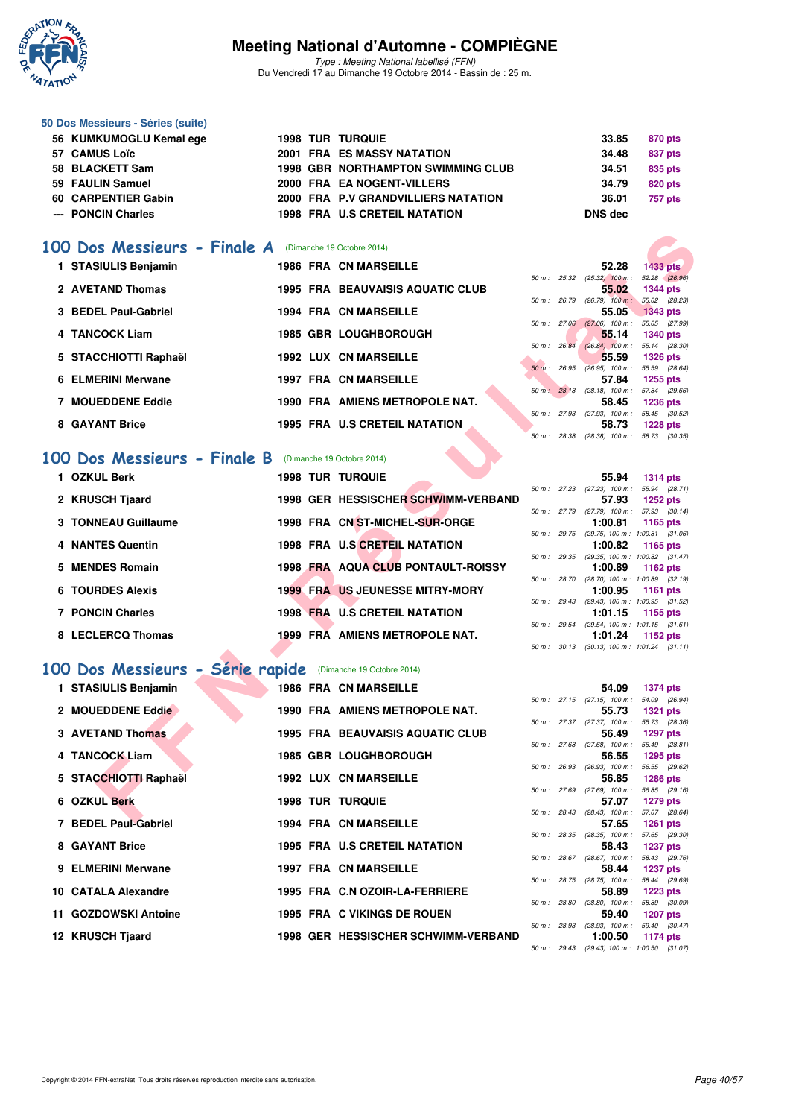

Type : Meeting National labellisé (FFN) Du Vendredi 17 au Dimanche 19 Octobre 2014 - Bassin de : 25 m.

| 50 Dos Messieurs - Séries (suite) |  |                                           |         |                |
|-----------------------------------|--|-------------------------------------------|---------|----------------|
| 56 KUMKUMOGLU Kemal ege           |  | <b>1998 TUR TURQUIE</b>                   | 33.85   | 870 pts        |
| 57 CAMUS Loïc                     |  | <b>2001 FRA ES MASSY NATATION</b>         | 34.48   | 837 pts        |
| 58 BLACKETT Sam                   |  | <b>1998 GBR NORTHAMPTON SWIMMING CLUB</b> | 34.51   | 835 pts        |
| 59 FAULIN Samuel                  |  | 2000 FRA EA NOGENT-VILLERS                | 34.79   | <b>820 pts</b> |
| 60 CARPENTIER Gabin               |  | 2000 FRA P.V GRANDVILLIERS NATATION       | 36.01   | 757 pts        |
| --- PONCIN Charles                |  | <b>1998 FRA U.S CRETEIL NATATION</b>      | DNS dec |                |

#### **[100 Dos Messieurs - Finale A](http://www.ffnatation.fr/webffn/resultats.php?idact=nat&go=epr&idcpt=24767&idepr=62)** (Dimanche 19 Octobre 2014)

| 00 Dos Messieurs - Finale A     | (Dimanche 19 Octobre 2014)                |          |                        |                                                       |                                                 |
|---------------------------------|-------------------------------------------|----------|------------------------|-------------------------------------------------------|-------------------------------------------------|
| 1 STASIULIS Benjamin            | <b>1986 FRA CN MARSEILLE</b>              |          |                        | 52.28                                                 | <b>1433 pts</b>                                 |
| 2 AVETAND Thomas                | <b>1995 FRA BEAUVAISIS AQUATIC CLUB</b>   |          | 50 m: 25.32            | $(25.32)$ 100 m :                                     | 52.28 (26.96)                                   |
|                                 |                                           |          | 50 m : 26.79           | 55.02<br>$(26.79)$ 100 m :                            | <b>1344 pts</b><br>55.02 (28.23)                |
| 3 BEDEL Paul-Gabriel            | <b>1994 FRA CN MARSEILLE</b>              |          |                        | 55.05                                                 | <b>1343 pts</b>                                 |
| 4 TANCOCK Liam                  | <b>1985 GBR LOUGHBOROUGH</b>              |          |                        | 50 m : 27.06 (27.06) 100 m :<br>55.14                 | 55.05 (27.99)<br><b>1340 pts</b>                |
|                                 |                                           |          | 50 m : 26.84           | $(26.84)$ 100 m :                                     | 55.14 (28.30)                                   |
| 5 STACCHIOTTI Raphaël           | <b>1992 LUX CN MARSEILLE</b>              |          |                        | 55.59                                                 | <b>1326 pts</b>                                 |
| <b>6 ELMERINI Merwane</b>       | <b>1997 FRA CN MARSEILLE</b>              |          |                        | 50 m : 26.95 (26.95) 100 m : 55.59 (28.64)<br>57.84   | 1255 pts                                        |
|                                 |                                           |          |                        | 50 m: 28.18 (28.18) 100 m: 57.84 (29.66)              |                                                 |
| <b>7 MOUEDDENE Eddie</b>        | 1990 FRA AMIENS METROPOLE NAT.            |          |                        | 58.45<br>50 m : 27.93 (27.93) 100 m : 58.45 (30.52)   | <b>1236 pts</b>                                 |
| 8 GAYANT Brice                  | <b>1995 FRA U.S CRETEIL NATATION</b>      |          |                        | 58.73                                                 | <b>1228 pts</b>                                 |
|                                 |                                           |          |                        | 50 m: 28.38 (28.38) 100 m: 58.73 (30.35)              |                                                 |
| Dos Messieurs - Finale B<br>00  | (Dimanche 19 Octobre 2014)                |          |                        |                                                       |                                                 |
| 1 OZKUL Berk                    |                                           |          |                        |                                                       |                                                 |
|                                 | <b>1998 TUR TURQUIE</b>                   |          |                        | 55.94<br>50 m: 27.23 (27.23) 100 m: 55.94 (28.71)     | <b>1314 pts</b>                                 |
| 2 KRUSCH Tjaard                 | 1998 GER HESSISCHER SCHWIMM-VERBAND       |          |                        | 57.93                                                 | <b>1252 pts</b>                                 |
|                                 |                                           |          |                        | 50 m: 27.79 (27.79) 100 m: 57.93 (30.14)              |                                                 |
| 3 TONNEAU Guillaume             | 1998 FRA CN ST-MICHEL-SUR-ORGE            |          | 50 m : 29.75           | 1:00.81<br>$(29.75)$ 100 m : 1:00.81 $(31.06)$        | 1165 pts                                        |
| 4 NANTES Quentin                | 1998 FRA U.S CRETEIL NATATION             |          |                        | 1:00.82                                               | 1165 pts                                        |
| 5 MENDES Romain                 | <b>1998 FRA AQUA CLUB PONTAULT-ROISSY</b> |          |                        | 50 m: 29.35 (29.35) 100 m: 1:00.82 (31.47)<br>1:00.89 |                                                 |
|                                 |                                           |          | 50 m: 28.70            |                                                       | 1162 pts<br>$(28.70)$ 100 m : 1:00.89 $(32.19)$ |
| <b>6 TOURDES Alexis</b>         | <b>1999 FRA US JEUNESSE MITRY-MORY</b>    |          |                        | 1:00.95                                               | <b>1161 pts</b>                                 |
| <b>7 PONCIN Charles</b>         | <b>1998 FRA U.S CRETEIL NATATION</b>      |          | 50 m : 29.43           | 1:01.15                                               | (29.43) 100 m: 1:00.95 (31.52)<br>1155 pts      |
|                                 |                                           |          | $50 \text{ m}$ : 29.54 |                                                       | $(29.54)$ 100 m : 1:01.15 $(31.61)$             |
| 8 LECLERCQ Thomas               | 1999 FRA AMIENS METROPOLE NAT.            |          |                        | 1:01.24                                               | 1152 pts                                        |
|                                 |                                           |          |                        | 50 m: 30.13 (30.13) 100 m: 1:01.24 (31.11)            |                                                 |
| 00 Dos Messieurs - Série rapide | (Dimanche 19 Octobre 2014)                |          |                        |                                                       |                                                 |
| 1 STASIULIS Benjamin            | <b>1986 FRA CN MARSEILLE</b>              |          |                        | 54.09                                                 | <b>1374 pts</b>                                 |
|                                 |                                           |          |                        | 50 m: 27.15 (27.15) 100 m: 54.09 (26.94)              |                                                 |
| 2 MOUEDDENE Eddie               | 1990 FRA AMIENS METROPOLE NAT.            |          |                        | 55.73                                                 | <b>1321 pts</b>                                 |
| <b>3 AVETAND Thomas</b>         | <b>1995 FRA BEAUVAISIS AQUATIC CLUB</b>   |          |                        | 50 m : 27.37 (27.37) 100 m :<br>56.49                 | 55.73 (28.36)<br><b>1297 pts</b>                |
|                                 |                                           |          |                        | 50 m : 27.68 (27.68) 100 m :                          | 56.49 (28.81)                                   |
| 4 TANCOCK Liam                  | <b>1985 GBR LOUGHBOROUGH</b>              |          |                        | 56.55                                                 | 1295 pts                                        |
| 5 STACCHIOTTI Raphaël           | <b>1992 LUX CN MARSEILLE</b>              | $50 m$ : | 26.93                  | $(26.93)$ 100 m :<br>56.85                            | 56.55 (29.62)<br><b>1286 pts</b>                |
|                                 |                                           |          | 50 m: 27.69            | $(27.69)$ 100 m : 56.85 $(29.16)$                     |                                                 |
| 6 OZKUL Berk                    | <b>1998 TUR TURQUIE</b>                   |          |                        | 57.07                                                 | 1279 pts                                        |
| 7 DENEL DAULOANGIA              | <b>1004 EDA ON MADCELLE</b>               |          |                        | 50 m: 28.43 (28.43) 100 m: 57.07 (28.64)<br>E7 CE     | $A OCA = 4$                                     |

#### **[100 Dos Messieurs - Finale B](http://www.ffnatation.fr/webffn/resultats.php?idact=nat&go=epr&idcpt=24767&idepr=62)** (Dimanche 19 Octobre 2014)

| <b>OZKUL Berk</b>       |  | <b>1998 TUR TURQUIE</b>                |              | 55.94                                      | <b>1314 pts</b> |  |
|-------------------------|--|----------------------------------------|--------------|--------------------------------------------|-----------------|--|
|                         |  |                                        | 50 m: 27.23  | $(27.23)$ 100 m :                          | 55.94 (28.71)   |  |
| 2 KRUSCH Tjaard         |  | 1998 GER HESSISCHER SCHWIMM-VERBAND    |              | 57.93                                      | $1252$ pts      |  |
|                         |  |                                        | 50 m: 27.79  | $(27.79)$ 100 m : 57.93 $(30.14)$          |                 |  |
| 3 TONNEAU Guillaume     |  | 1998 FRA CN ST-MICHEL-SUR-ORGE         |              | 1:00.81                                    | 1165 $pts$      |  |
|                         |  |                                        | 50 m : 29.75 | $(29.75)$ 100 m : 1:00.81 $(31.06)$        |                 |  |
| 4 NANTES Quentin        |  | 1998 FRA U.S CRETEIL NATATION          |              | 1:00.82                                    | 1165 pts        |  |
|                         |  |                                        | 50 m: 29.35  | $(29.35)$ 100 m : 1:00.82 $(31.47)$        |                 |  |
| 5 MENDES Romain         |  | 1998 FRA AQUA CLUB PONTAULT-ROISSY     |              | 1:00.89                                    | 1162 $pts$      |  |
|                         |  |                                        | 50 m: 28.70  | $(28.70)$ 100 m : 1:00.89 $(32.19)$        |                 |  |
| 6 TOURDES Alexis        |  | <b>1999 FRA US JEUNESSE MITRY-MORY</b> |              | 1:00.95                                    | 1161 pts        |  |
|                         |  |                                        | 50 m: 29.43  | $(29.43)$ 100 m : 1:00.95 $(31.52)$        |                 |  |
| <b>7 PONCIN Charles</b> |  | <b>1998 FRA U.S CRETEIL NATATION</b>   |              | 1:01.15                                    | 1155 pts        |  |
|                         |  |                                        | 50 m: 29.54  | $(29.54)$ 100 m : 1:01.15 $(31.61)$        |                 |  |
| 8 LECLERCQ Thomas       |  | 1999 FRA AMIENS METROPOLE NAT.         |              | 1:01.24                                    | 1152 pts        |  |
| <b>START START</b>      |  |                                        |              | 50 m: 30.13 (30.13) 100 m: 1:01.24 (31.11) |                 |  |

#### **[100 Dos Messieurs - Série rapide](http://www.ffnatation.fr/webffn/resultats.php?idact=nat&go=epr&idcpt=24767&idepr=62)** (Dimanche 19 Octobre 2014)

| 1 STASIULIS Benjamin  |  | <b>1986 FRA CN MARSEILLE</b>            |              | 54.09                                      | 1374 pts                         |  |
|-----------------------|--|-----------------------------------------|--------------|--------------------------------------------|----------------------------------|--|
|                       |  |                                         |              | 50 m : 27.15 (27.15) 100 m :               | 54.09 (26.94)                    |  |
| 2 MOUEDDENE Eddie     |  | 1990 FRA AMIENS METROPOLE NAT.          |              | 55.73                                      | <b>1321 pts</b>                  |  |
| 3 AVETAND Thomas      |  | <b>1995 FRA BEAUVAISIS AQUATIC CLUB</b> |              | 50 m : 27.37 (27.37) 100 m :<br>56.49      | 55.73 (28.36)<br>1297 pts        |  |
|                       |  |                                         |              | 50 m : 27.68 (27.68) 100 m :               | 56.49 (28.81)                    |  |
| 4 TANCOCK Liam        |  | <b>1985 GBR LOUGHBOROUGH</b>            |              | 56.55                                      | <b>1295 pts</b>                  |  |
| 5 STACCHIOTTI Raphaël |  | <b>1992 LUX CN MARSEILLE</b>            | 50 m: 26.93  | $(26.93)$ 100 m : 56.55 $(29.62)$<br>56.85 | <b>1286 pts</b>                  |  |
|                       |  |                                         |              | 50 m : 27.69 (27.69) 100 m :               | 56.85 (29.16)                    |  |
| 6 OZKUL Berk          |  | <b>1998 TUR TURQUIE</b>                 |              | 57.07                                      | <b>1279 pts</b>                  |  |
|                       |  |                                         |              | 50 m : 28.43 (28.43) 100 m :               | 57.07 (28.64)                    |  |
| 7 BEDEL Paul-Gabriel  |  | <b>1994 FRA CN MARSEILLE</b>            |              | 57.65                                      | <b>1261 pts</b>                  |  |
|                       |  |                                         |              | 50 m : 28.35 (28.35) 100 m :               | 57.65 (29.30)                    |  |
| 8 GAYANT Brice        |  | 1995 FRA U.S CRETEIL NATATION           |              | 58.43                                      | <b>1237 pts</b>                  |  |
| 9 ELMERINI Merwane    |  | <b>1997 FRA CN MARSEILLE</b>            |              | 50 m : 28.67 (28.67) 100 m :               | 58.43 (29.76)                    |  |
|                       |  |                                         |              | 58.44<br>50 m : 28.75 (28.75) 100 m :      | <b>1237 pts</b><br>58.44 (29.69) |  |
| 10 CATALA Alexandre   |  | 1995 FRA C.N OZOIR-LA-FERRIERE          |              | 58.89                                      | $1223$ pts                       |  |
|                       |  |                                         | 50 m : 28.80 | $(28.80)$ 100 m :                          | 58.89 (30.09)                    |  |
| 11 GOZDOWSKI Antoine  |  | 1995 FRA C VIKINGS DE ROUEN             |              | 59.40                                      | <b>1207 pts</b>                  |  |
|                       |  |                                         | 50 m : 28.93 | $(28.93)$ 100 m : 59.40 $(30.47)$          |                                  |  |
| 12 KRUSCH Tjaard      |  | 1998 GER HESSISCHER SCHWIMM-VERBAND     |              | 1:00.50                                    | <b>1174 pts</b>                  |  |
|                       |  |                                         |              | 50 m: 29.43 (29.43) 100 m: 1:00.50 (31.07) |                                  |  |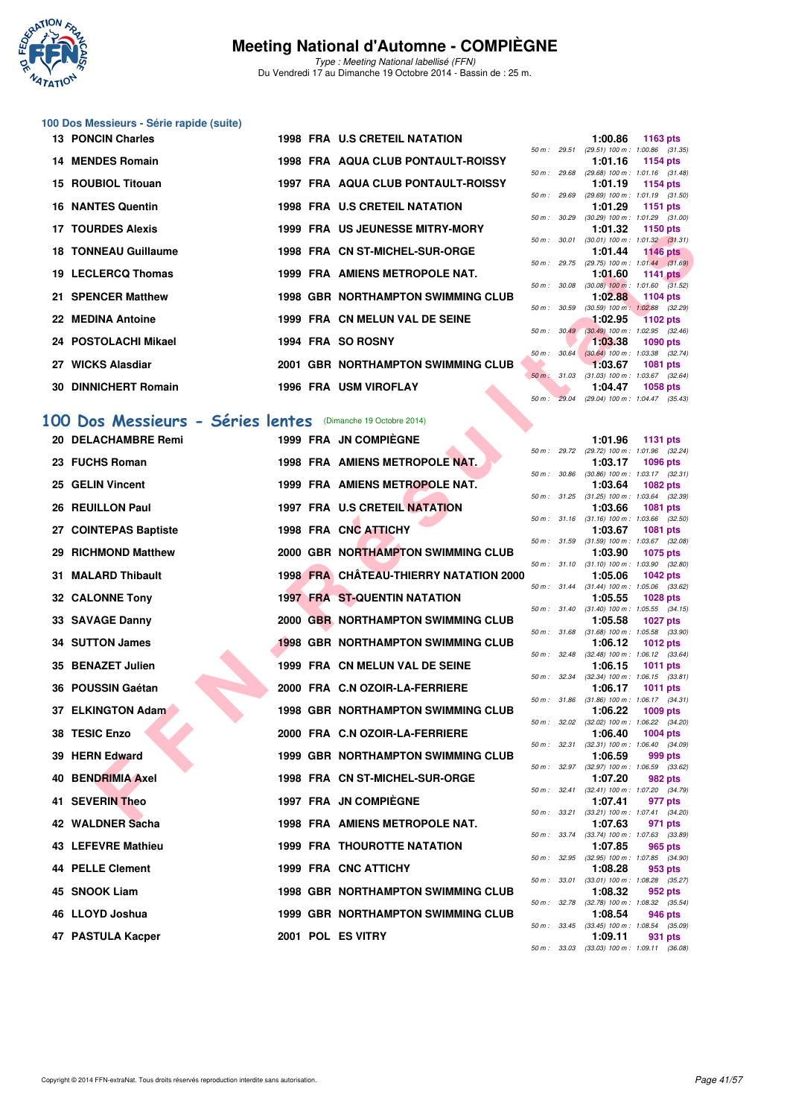

Type : Meeting National labellisé (FFN) Du Vendredi 17 au Dimanche 19 Octobre 2014 - Bassin de : 25 m.

## **100 Dos Messieurs - Série rapide (suite)**

| <b>13 PONCIN Charles</b>    |  | 1998 FRA U.S CRETEIL NATATION          |  | 1:00.86 1163 pts                                                                                                                                                                                                                                                                                                                                                                     |  |
|-----------------------------|--|----------------------------------------|--|--------------------------------------------------------------------------------------------------------------------------------------------------------------------------------------------------------------------------------------------------------------------------------------------------------------------------------------------------------------------------------------|--|
|                             |  |                                        |  | 50 m: 29.51 (29.51) 100 m: 1:00.86 (31.                                                                                                                                                                                                                                                                                                                                              |  |
| 14 MENDES Romain            |  | 1998 FRA AQUA CLUB PONTAULT-ROISSY     |  | 1:01.16 1154 pts                                                                                                                                                                                                                                                                                                                                                                     |  |
|                             |  |                                        |  | 50 m: 29.68 (29.68) 100 m: 1:01.16 (31.                                                                                                                                                                                                                                                                                                                                              |  |
| 15 ROUBIOL Titouan          |  | 1997 FRA AQUA CLUB PONTAULT-ROISSY     |  | 1:01.19 1154 pts                                                                                                                                                                                                                                                                                                                                                                     |  |
|                             |  |                                        |  | 50 m: 29.69 (29.69) 100 m: 1:01.19 (31.                                                                                                                                                                                                                                                                                                                                              |  |
| <b>16 NANTES Quentin</b>    |  | 1998 FRA U.S CRETEIL NATATION          |  | 1:01.29 1151 pts                                                                                                                                                                                                                                                                                                                                                                     |  |
|                             |  |                                        |  | 50 m: 30.29 (30.29) 100 m: 1:01.29 (31.                                                                                                                                                                                                                                                                                                                                              |  |
| 17 TOURDES Alexis           |  | <b>1999 FRA US JEUNESSE MITRY-MORY</b> |  | 1:01.32 1150 pts                                                                                                                                                                                                                                                                                                                                                                     |  |
|                             |  |                                        |  | 50 m: 30.01 (30.01) 100 m: 1:01.32 (31.                                                                                                                                                                                                                                                                                                                                              |  |
| <b>18 TONNEAU Guillaume</b> |  | 1998 FRA CN ST-MICHEL-SUR-ORGE         |  | 1:01.44 1146 pts                                                                                                                                                                                                                                                                                                                                                                     |  |
|                             |  |                                        |  | 50 m: 29.75 (29.75) 100 m: 1:01.44 (31.                                                                                                                                                                                                                                                                                                                                              |  |
| 19 LECLERCQ Thomas          |  | 1999 FRA AMIENS METROPOLE NAT.         |  | $1:01.60$ 1141 pts                                                                                                                                                                                                                                                                                                                                                                   |  |
|                             |  |                                        |  | 50 m : 30.08 (30.08) 100 m : 1:01.60 (31.                                                                                                                                                                                                                                                                                                                                            |  |
| 21 SPENCER Matthew          |  | 1998 GBR NORTHAMPTON SWIMMING CLUB     |  | 1:02.88 1104 pts                                                                                                                                                                                                                                                                                                                                                                     |  |
| 22 MEDINA Antoine           |  | 1999 FRA CN MELUN VAL DE SEINE         |  | 50 m : 30.59 (30.59) 100 m : 1:02.88 (32.                                                                                                                                                                                                                                                                                                                                            |  |
|                             |  |                                        |  | $\blacksquare$ 1:02.95 1102 pts<br>50 m : 30.49 (30.49) 100 m : 1:02.95 (32.                                                                                                                                                                                                                                                                                                         |  |
| 24 POSTOLACHI Mikael        |  | 1994 FRA SO ROSNY                      |  | $1:03.38$ 1090 pts                                                                                                                                                                                                                                                                                                                                                                   |  |
|                             |  |                                        |  | 50 m : 30.64 (30.64) 100 m : 1:03.38 (32.                                                                                                                                                                                                                                                                                                                                            |  |
| 27 WICKS Alasdiar           |  | 2001 GBR NORTHAMPTON SWIMMING CLUB     |  | $1:03.67$ 1081 pts                                                                                                                                                                                                                                                                                                                                                                   |  |
|                             |  |                                        |  | 50 m: 31.03 (31.03) 100 m: 1:03.67 (32.                                                                                                                                                                                                                                                                                                                                              |  |
| 30 DINNICHERT Romain        |  | 1996 FRA USM VIROFLAY                  |  | 1:04.47 1058 pts                                                                                                                                                                                                                                                                                                                                                                     |  |
|                             |  |                                        |  | $\overline{a}$ $\overline{a}$ $\overline{a}$ $\overline{a}$ $\overline{a}$ $\overline{a}$ $\overline{a}$ $\overline{a}$ $\overline{a}$ $\overline{a}$ $\overline{a}$ $\overline{a}$ $\overline{a}$ $\overline{a}$ $\overline{a}$ $\overline{a}$ $\overline{a}$ $\overline{a}$ $\overline{a}$ $\overline{a}$ $\overline{a}$ $\overline{a}$ $\overline{a}$ $\overline{a}$ $\overline{$ |  |

# [100 Dos Messieurs - Séries lentes](http://www.ffnatation.fr/webffn/resultats.php?idact=nat&go=epr&idcpt=24767&idepr=62) (Dimanche 19 Octobre 2014)

| <b>II IUUNULO AIGAIS</b>                                    |  | <u>US JEUNESSE MITRI-MURI</u>                 |              |              | 1.01.34                                                 | ່າ 100 ນເວ      |  |
|-------------------------------------------------------------|--|-----------------------------------------------|--------------|--------------|---------------------------------------------------------|-----------------|--|
| <b>18 TONNEAU Guillaume</b>                                 |  | 1998 FRA CN ST-MICHEL-SUR-ORGE                |              |              | 50 m: 30.01 (30.01) 100 m: 1:01.32 (31.31)<br>1:01.44   | $1146$ pts      |  |
| 19 LECLERCQ Thomas                                          |  | 1999 FRA AMIENS METROPOLE NAT.                |              |              | 50 m : 29.75 (29.75) 100 m : 1:01.44 (31.69)<br>1:01.60 | 1141 $pts$      |  |
| 21 SPENCER Matthew                                          |  | <b>1998 GBR NORTHAMPTON SWIMMING CLUB</b>     |              | 50 m : 30.08 | $(30.08)$ 100 m : 1:01.60 $(31.52)$<br>1:02.88          | 1104 $pts$      |  |
|                                                             |  |                                               | 50 m : 30.59 |              | $(30.59)$ 100 m : 1:02.88 $(32.29)$                     |                 |  |
| 22 MEDINA Antoine                                           |  | 1999 FRA CN MELUN VAL DE SEINE                |              | 50 m: 30.49  | 1:02.95<br>$(30.49)$ 100 m : 1:02.95 $(32.46)$          | <b>1102 pts</b> |  |
| 24 POSTOLACHI Mikael                                        |  | 1994 FRA SO ROSNY                             |              | 50 m: 30.64  | 1:03.38<br>$(30.64)$ 100 m : 1:03.38 $(32.74)$          | <b>1090 pts</b> |  |
| 27 WICKS Alasdiar                                           |  | 2001 GBR NORTHAMPTON SWIMMING CLUB            |              |              | 1:03.67                                                 | <b>1081 pts</b> |  |
| 30 DINNICHERT Romain                                        |  | 1996 FRA USM VIROFLAY                         |              |              | 50 m: 31.03 (31.03) 100 m: 1:03.67 (32.64)<br>1:04.47   | <b>1058 pts</b> |  |
|                                                             |  |                                               |              |              | 50 m: 29.04 (29.04) 100 m: 1:04.47 (35.43)              |                 |  |
| 00 Dos Messieurs - Séries lentes (Dimanche 19 Octobre 2014) |  |                                               |              |              |                                                         |                 |  |
| 20 DELACHAMBRE Remi                                         |  | 1999 FRA JN COMPIÈGNE                         |              |              | 1:01.96                                                 | 1131 pts        |  |
| 23 FUCHS Roman                                              |  | 1998 FRA AMIENS METROPOLE NAT.                |              |              | 50 m : 29.72 (29.72) 100 m : 1:01.96 (32.24)<br>1:03.17 | 1096 pts        |  |
| 25 GELIN Vincent                                            |  | 1999 FRA AMIENS METROPOLE NAT.                |              |              | 50 m: 30.86 (30.86) 100 m: 1:03.17 (32.31)<br>1:03.64   |                 |  |
|                                                             |  |                                               |              |              | 50 m: 31.25 (31.25) 100 m: 1:03.64 (32.39)              | 1082 pts        |  |
| 26 REUILLON Paul                                            |  | 1997 FRA U.S CRETEIL NATATION                 |              |              | 1:03.66<br>50 m: 31.16 (31.16) 100 m: 1:03.66 (32.50)   | <b>1081 pts</b> |  |
| 27 COINTEPAS Baptiste                                       |  | 1998 FRA CNC ATTICHY                          |              |              | 1:03.67                                                 | <b>1081 pts</b> |  |
| 29 RICHMOND Matthew                                         |  | 2000 GBR NORTHAMPTON SWIMMING CLUB            |              |              | 50 m: 31.59 (31.59) 100 m: 1:03.67 (32.08)<br>1:03.90   | 1075 pts        |  |
| 31 MALARD Thibault                                          |  | <b>1998 FRA CHATEAU-THIERRY NATATION 2000</b> |              |              | 50 m: 31.10 (31.10) 100 m: 1:03.90 (32.80)<br>1:05.06   | <b>1042 pts</b> |  |
|                                                             |  |                                               |              |              | 50 m: 31.44 (31.44) 100 m: 1:05.06 (33.62)              |                 |  |
| <b>32 CALONNE Tony</b>                                      |  | <b>1997 FRA ST-QUENTIN NATATION</b>           |              |              | 1:05.55<br>50 m: 31.40 (31.40) 100 m: 1:05.55 (34.15)   | <b>1028 pts</b> |  |
| 33 SAVAGE Danny                                             |  | 2000 GBR NORTHAMPTON SWIMMING CLUB            |              |              | 1:05.58<br>50 m: 31.68 (31.68) 100 m: 1:05.58 (33.90)   | <b>1027 pts</b> |  |
| <b>34 SUTTON James</b>                                      |  | <b>1998 GBR NORTHAMPTON SWIMMING CLUB</b>     |              |              | 1:06.12                                                 | <b>1012 pts</b> |  |
| 35 BENAZET Julien                                           |  | 1999 FRA CN MELUN VAL DE SEINE                |              |              | 50 m: 32.48 (32.48) 100 m: 1:06.12 (33.64)<br>1:06.15   | <b>1011 pts</b> |  |
| 36 POUSSIN Gaétan                                           |  |                                               |              | 50 m : 32.34 | $(32.34)$ 100 m : 1:06.15 $(33.81)$                     |                 |  |
|                                                             |  | 2000 FRA C.N OZOIR-LA-FERRIERE                |              |              | 1:06.17<br>50 m: 31.86 (31.86) 100 m: 1:06.17 (34.31)   | <b>1011 pts</b> |  |
| 37 ELKINGTON Adam                                           |  | <b>1998 GBR NORTHAMPTON SWIMMING CLUB</b>     |              |              | 1:06.22<br>50 m : 32.02 (32.02) 100 m : 1:06.22 (34.20) | 1009 pts        |  |
| 38 TESIC Enzo                                               |  | 2000 FRA C.N OZOIR-LA-FERRIERE                |              |              | 1:06.40                                                 | <b>1004 pts</b> |  |
| 39 HERN Edward                                              |  | 1999 GBR NORTHAMPTON SWIMMING CLUB            |              | 50 m : 32.31 | $(32.31)$ 100 m : 1:06.40 $(34.09)$<br>1:06.59          | 999 pts         |  |
| 40 BENDRIMIA Axel                                           |  | 1998 FRA CN ST-MICHEL-SUR-ORGE                |              |              | 50 m: 32.97 (32.97) 100 m: 1:06.59 (33.62)<br>1:07.20   | 982 pts         |  |
|                                                             |  |                                               |              |              | 50 m: 32.41 (32.41) 100 m: 1:07.20 (34.79)              |                 |  |
| 41 SEVERIN Theo                                             |  | 1997 FRA JN COMPIEGNE                         |              |              | 1:07.41<br>50 m: 33.21 (33.21) 100 m: 1:07.41 (34.20)   | 977 pts         |  |
| 42 WALDNER Sacha                                            |  | 1998 FRA AMIENS METROPOLE NAT.                |              |              | 1:07.63<br>50 m : 33.74 (33.74) 100 m : 1:07.63 (33.89) | 971 pts         |  |
| 43 LEFEVRE Mathieu                                          |  | <b>1999 FRA THOUROTTE NATATION</b>            |              |              | 1:07.85                                                 | 965 pts         |  |
| 44 PELLE Clement                                            |  | 1999 FRA CNC ATTICHY                          |              |              | 50 m: 32.95 (32.95) 100 m: 1:07.85 (34.90)<br>1:08.28   | 953 pts         |  |
| 45 SNOOK Liam                                               |  | <b>1998 GBR NORTHAMPTON SWIMMING CLUB</b>     |              |              | $50 m$ : $33.01$ $(33.01) 100 m$ : $1.08.28$ $(35.27)$  |                 |  |
|                                                             |  |                                               |              |              | 1:08.32<br>50 m: 32.78 (32.78) 100 m: 1:08.32 (35.54)   | 952 pts         |  |
| 46 LLOYD Joshua                                             |  | <b>1999 GBR NORTHAMPTON SWIMMING CLUB</b>     |              |              | 1:08.54<br>50 m: 33.45 (33.45) 100 m: 1:08.54 (35.09)   | 946 pts         |  |
| 47 PASTULA Kacper                                           |  | 2001 POL ES VITRY                             |              |              | 1:09.11                                                 | 931 pts         |  |

|                |       | 1:00.86           | 1163 pts            |
|----------------|-------|-------------------|---------------------|
| $50 m$ : 29.51 |       | $(29.51)$ 100 m : | 1:00.86 (31.35)     |
|                |       | 1:01.16           | 1154 pts            |
| 50 m: 29.68    |       | $(29.68) 100 m$ : | $1:01.16$ $(31.48)$ |
|                |       | 1:01.19           | 1154 pts            |
| 50 m: 29.69    |       | $(29.69)$ 100 m : | $1:01.19$ $(31.50)$ |
|                |       | 1:01.29           | 1151 pts            |
| 50 m: 30.29    |       | $(30.29)$ 100 m : | 1:01.29 (31.00)     |
|                |       | 1:01.32           | 1150 pts            |
| 50 m: 30.01    |       | $(30.01)$ 100 m : | $1:01.32$ $(31.31)$ |
|                |       | 1:01.44           | <b>1146 pts</b>     |
| 50 m: 29.75    |       | $(29.75)$ 100 m : | $1:01.44$ $(31.69)$ |
|                |       | 1:01.60           | <b>1141 pts</b>     |
| 50 m: 30.08    |       | $(30.08)$ 100 m : | $1:01.60$ $(31.52)$ |
|                |       | 1:02.88           | $1104$ pts          |
| $50 m$ :       | 30.59 | $(30.59)$ 100 m:  | 1:02.88 (32.29)     |
|                |       | 1:02.95           | $1102$ pts          |
| $50 m$ :       | 30.49 | $(30.49)$ 100 m : | 1:02.95 (32.46)     |
|                |       | 1:03.38           | 1090 pts            |
| $50 m$ :       | 30.64 | $(30.64) 100 m$ : | 1:03.38 (32.74)     |
|                |       |                   | 1:03.67 1081 pts    |
| $50 m$ :       | 31.03 | $(31.03) 100 m$ : | 1:03.67 (32.64)     |
|                |       | 1:04.47           | 1058 pts            |
| 50 m:          | 29.04 | $(29.04)$ 100 m : | $1:04.47$ $(35.43)$ |

|          |       | 1:01.96           | 1131 pts           |
|----------|-------|-------------------|--------------------|
| $50 m$ : | 29.72 | (29.72) 100 m :   | (32.24)<br>1:01.96 |
|          |       | 1:03.17           | 1096 pts           |
| $50 m$ : | 30.86 | $(30.86) 100 m$ : | (32.31)<br>1:03.17 |
|          |       | 1:03.64           | 1082 pts           |
| $50 m$ : | 31.25 | $(31.25)$ 100 m : | 1:03.64 (32.39)    |
|          |       | 1:03.66           | <b>1081 pts</b>    |
| $50 m$ : | 31.16 | $(31.16) 100 m$ : | (32.50)<br>1:03.66 |
|          |       | 1:03.67           | 1081<br>pts        |
| $50 m$ : | 31.59 | $(31.59) 100 m$ : | (32.08)<br>1:03.67 |
|          |       | 1:03.90           | 1075 pts           |
| $50 m$ : | 31.10 | $(31.10) 100 m$ : | (32.80)<br>1:03.90 |
|          |       | 1:05.06           | 1042 pts           |
| $50 m$ : | 31.44 | $(31.44) 100 m$ : | (33.62)<br>1:05.06 |
|          |       | 1:05.55           | 1028 pts           |
| $50 m$ : | 31.40 | $(31.40) 100 m$ : | 1:05.55<br>(34.15) |
|          |       | 1:05.58           | 1027 pts           |
| $50 m$ : | 31.68 | $(31.68) 100 m$ : | 1:05.58<br>(33.90) |
|          |       | 1:06.12           | <b>1012 pts</b>    |
| $50 m$ : | 32.48 | $(32.48) 100 m$ : | 1:06.12 (33.64)    |
|          |       | 1:06.15           | 1011 pts           |
| $50 m$ : | 32.34 | $(32.34) 100 m$ : | (33.81)<br>1:06.15 |
|          |       | 1:06.17           | 1011<br>pts        |
| $50 m$ : | 31.86 | $(31.86) 100 m$ : | (34.31)<br>1:06.17 |
|          |       | 1:06.22           | 1009 pts           |
| $50 m$ : | 32.02 | $(32.02)$ 100 m : | 1:06.22 (34.20)    |
|          |       | 1:06.40           | 1004 pts           |
| $50 m$ : | 32.31 | $(32.31)$ 100 m : | 1:06.40<br>(34.09) |
|          |       | 1:06.59           | 999 pts            |
| $50 m$ : | 32.97 | $(32.97) 100 m$ : | 1:06.59<br>(33.62) |
|          |       | 1:07.20           | 982 pts            |
| $50 m$ : | 32.41 | $(32.41)$ 100 m : | 1:07.20<br>(34.79) |
|          |       | 1:07.41           | 977 pts            |
| $50 m$ : | 33.21 | $(33.21)$ 100 m : | 1:07.41<br>(34.20) |
|          |       | 1:07.63           | 971<br>pts         |
| $50 m$ : | 33.74 | $(33.74) 100 m$ : | 1:07.63<br>(33.89) |
|          |       | 1:07.85           | 965 pts            |
| $50 m$ : | 32.95 | $(32.95)$ 100 m : | 1:07.85<br>(34.90) |
|          |       | 1:08.28           | 953 pts            |
| $50 m$ : | 33.01 | $(33.01)$ 100 m : | 1:08.28 (35.27)    |
|          |       | 1:08.32           | 952 pts            |
| $50 m$ : | 32.78 | $(32.78) 100 m$ : | 1:08.32<br>(35.54) |
|          |       | 1:08.54           | 946 pts            |
| $50 m$ : | 33.45 | $(33.45)$ 100 m : | 1:08.54<br>(35.09) |
|          |       | 1:09.11           | 931<br>pts         |
| $50 m$ : | 33.03 | $(33.03) 100 m$ : | 1:09.11<br>(36.08) |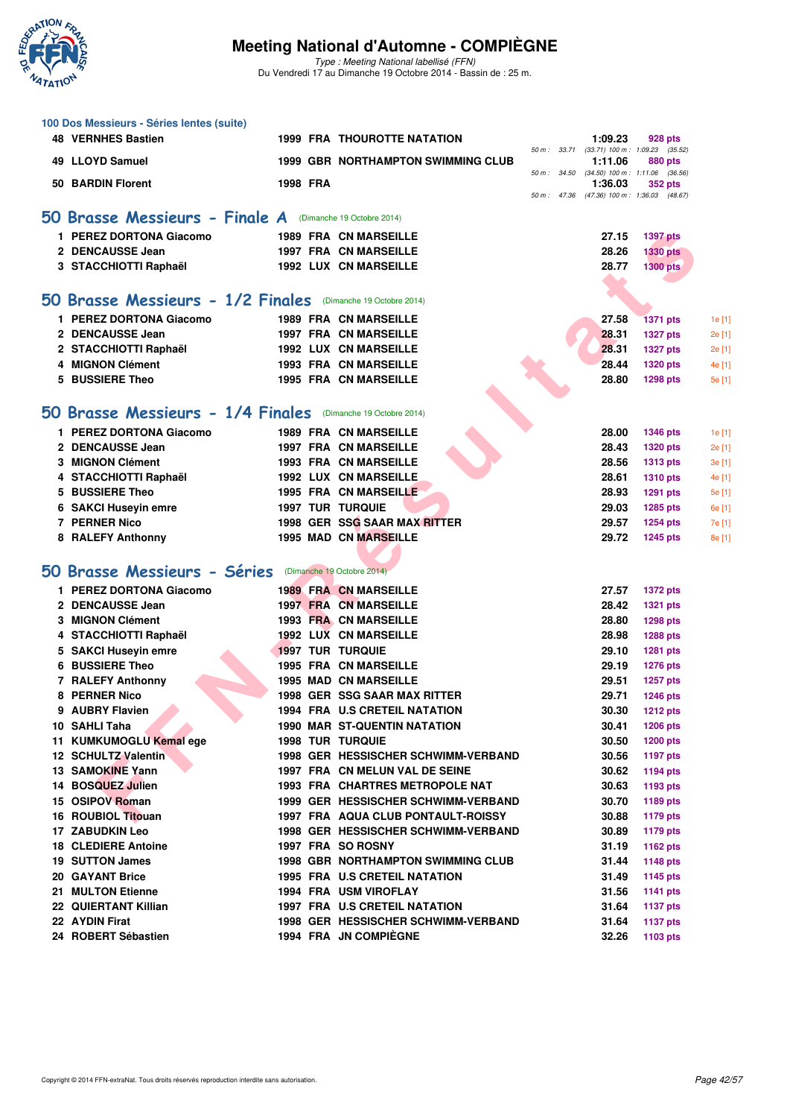

Type : Meeting National labellisé (FFN) Du Vendredi 17 au Dimanche 19 Octobre 2014 - Bassin de : 25 m.

| 100 Dos Messieurs - Séries lentes (suite)                    |          |                                                          |                                                       |                             |        |
|--------------------------------------------------------------|----------|----------------------------------------------------------|-------------------------------------------------------|-----------------------------|--------|
| <b>48 VERNHES Bastien</b>                                    |          | <b>1999 FRA THOUROTTE NATATION</b>                       | 1:09.23                                               | 928 pts                     |        |
| 49 LLOYD Samuel                                              |          | <b>1999 GBR NORTHAMPTON SWIMMING CLUB</b>                | 50 m: 33.71 (33.71) 100 m: 1:09.23 (35.52)<br>1:11.06 | 880 pts                     |        |
|                                                              |          |                                                          | 50 m: 34.50 (34.50) 100 m: 1:11.06 (36.56)            |                             |        |
| 50 BARDIN Florent                                            | 1998 FRA |                                                          | 1:36.03                                               | 352 pts                     |        |
|                                                              |          |                                                          | 50 m: 47.36 (47.36) 100 m: 1:36.03 (48.67)            |                             |        |
| 50 Brasse Messieurs - Finale A (Dimanche 19 Octobre 2014)    |          |                                                          |                                                       |                             |        |
| 1 PEREZ DORTONA Giacomo                                      |          | 1989 FRA CN MARSEILLE                                    | 27.15                                                 | <b>1397 pts</b>             |        |
| 2 DENCAUSSE Jean                                             |          | <b>1997 FRA CN MARSEILLE</b>                             | 28.26                                                 | <b>1330 pts</b>             |        |
| 3 STACCHIOTTI Raphaël                                        |          | <b>1992 LUX CN MARSEILLE</b>                             | 28.77                                                 | <b>1300 pts</b>             |        |
|                                                              |          |                                                          |                                                       |                             |        |
| 50 Brasse Messieurs - 1/2 Finales (Dimanche 19 Octobre 2014) |          |                                                          |                                                       |                             |        |
| 1 PEREZ DORTONA Giacomo                                      |          | <b>1989 FRA CN MARSEILLE</b>                             | 27.58                                                 | <b>1371 pts</b>             | 1e [1] |
| 2 DENCAUSSE Jean                                             |          | <b>1997 FRA CN MARSEILLE</b>                             | 28.31                                                 | <b>1327 pts</b>             | 2e [1] |
| 2 STACCHIOTTI Raphaël                                        |          | <b>1992 LUX CN MARSEILLE</b>                             | 28.31                                                 | <b>1327 pts</b>             | 2e [1] |
| 4 MIGNON Clément                                             |          | <b>1993 FRA CN MARSEILLE</b>                             | 28.44                                                 | <b>1320 pts</b>             | 4e [1] |
| 5 BUSSIERE Theo                                              |          | <b>1995 FRA CN MARSEILLE</b>                             | 28.80                                                 | <b>1298 pts</b>             | 5e [1] |
|                                                              |          |                                                          |                                                       |                             |        |
| 50 Brasse Messieurs - 1/4 Finales (Dimanche 19 Octobre 2014) |          |                                                          |                                                       |                             |        |
| 1 PEREZ DORTONA Giacomo                                      |          | <b>1989 FRA CN MARSEILLE</b>                             | 28.00                                                 | <b>1346 pts</b>             | 1e [1] |
| 2 DENCAUSSE Jean                                             |          | <b>1997 FRA CN MARSEILLE</b>                             | 28.43                                                 | <b>1320 pts</b>             | 2e [1] |
| 3 MIGNON Clément                                             |          | <b>1993 FRA CN MARSEILLE</b>                             | 28.56                                                 | <b>1313 pts</b>             | 3e [1] |
| 4 STACCHIOTTI Raphaël                                        |          | 1992 LUX CN MARSEILLE                                    | 28.61                                                 | <b>1310 pts</b>             | 4e [1] |
| 5 BUSSIERE Theo                                              |          | 1995 FRA CN MARSEILLE                                    | 28.93                                                 | <b>1291 pts</b>             | 5e [1] |
| 6 SAKCI Huseyin emre                                         |          | <b>1997 TUR TURQUIE</b>                                  | 29.03                                                 | 1285 pts                    | 6e [1] |
| 7 PERNER Nico                                                |          | 1998 GER SSG SAAR MAX RITTER                             | 29.57                                                 | <b>1254 pts</b>             | 7e [1] |
| 8 RALEFY Anthonny                                            |          | <b>1995 MAD CN MARSEILLE</b>                             | 29.72                                                 | <b>1245 pts</b>             | 8e [1] |
|                                                              |          |                                                          |                                                       |                             |        |
| 50 Brasse Messieurs - Séries (Dimanche 19 Octobre 2014)      |          |                                                          |                                                       |                             |        |
| 1 PEREZ DORTONA Giacomo                                      |          | <b>1989 FRA CN MARSEILLE</b>                             | 27.57                                                 | <b>1372 pts</b>             |        |
| 2 DENCAUSSE Jean                                             |          | <b>1997 FRA CN MARSEILLE</b>                             | 28.42                                                 | <b>1321 pts</b>             |        |
| 3 MIGNON Clément                                             |          | <b>1993 FRA CN MARSEILLE</b>                             | 28.80                                                 | <b>1298 pts</b>             |        |
| 4 STACCHIOTTI Raphaël                                        |          | <b>1992 LUX CN MARSEILLE</b>                             | 28.98                                                 | <b>1288 pts</b>             |        |
| 5 SAKCI Huseyin emre                                         |          | <b>1997 TUR TURQUIE</b>                                  | 29.10                                                 | <b>1281 pts</b>             |        |
| <b>BUSSIERE Theo</b>                                         |          | <b>1995 FRA CN MARSEILLE</b>                             | 29.19                                                 | <b>1276 pts</b>             |        |
| 7 RALEFY Anthonny                                            |          | <b>1995 MAD CN MARSEILLE</b>                             | 29.51                                                 | <b>1257 pts</b>             |        |
| 8 PERNER Nico                                                |          | <b>1998 GER SSG SAAR MAX RITTER</b>                      | 29.71                                                 | <b>1246 pts</b>             |        |
| 9 AUBRY Flavien                                              |          | 1994 FRA U.S CRETEIL NATATION                            | 30.30                                                 | 1212 pts                    |        |
| 10 SAHLI Taha                                                |          | <b>1990 MAR ST-QUENTIN NATATION</b>                      | 30.41                                                 | <b>1206 pts</b>             |        |
| 11 KUMKUMOGLU Kemal ege                                      |          | <b>1998 TUR TURQUIE</b>                                  | 30.50                                                 | <b>1200 pts</b>             |        |
| 12 SCHULTZ Valentin                                          |          | 1998 GER HESSISCHER SCHWIMM-VERBAND                      | 30.56                                                 | <b>1197 pts</b>             |        |
| 13 SAMOKINE Yann                                             |          | 1997 FRA CN MELUN VAL DE SEINE                           | 30.62                                                 | <b>1194 pts</b>             |        |
| 14 BOSQUEZ Julien                                            |          | 1993 FRA CHARTRES METROPOLE NAT                          | 30.63                                                 | 1193 pts                    |        |
| 15 OSIPOV Roman<br>16 ROUBIOL Titouan                        |          | 1999 GER HESSISCHER SCHWIMM-VERBAND                      | 30.70                                                 | 1189 pts                    |        |
|                                                              |          | 1997 FRA AQUA CLUB PONTAULT-ROISSY                       | 30.88                                                 | <b>1179 pts</b>             |        |
| <b>17 ZABUDKIN Leo</b><br><b>18 CLEDIERE Antoine</b>         |          | 1998 GER HESSISCHER SCHWIMM-VERBAND<br>1997 FRA SO ROSNY | 30.89<br>31.19                                        | <b>1179 pts</b><br>1162 pts |        |
| <b>19 SUTTON James</b>                                       |          | 1998 GBR NORTHAMPTON SWIMMING CLUB                       | 31.44                                                 | <b>1148 pts</b>             |        |
| 20 GAYANT Brice                                              |          | <b>1995 FRA U.S CRETEIL NATATION</b>                     | 31.49                                                 | 1145 pts                    |        |
| 21 MULTON Etienne                                            |          | 1994 FRA USM VIROFLAY                                    | 31.56                                                 | <b>1141 pts</b>             |        |
| 22 QUIERTANT Killian                                         |          | 1997 FRA U.S CRETEIL NATATION                            | 31.64                                                 | <b>1137 pts</b>             |        |
| 22 AYDIN Firat                                               |          | 1998 GER HESSISCHER SCHWIMM-VERBAND                      | 31.64                                                 | <b>1137 pts</b>             |        |
| 24 ROBERT Sébastien                                          |          | 1994 FRA JN COMPIEGNE                                    | 32.26                                                 | 1103 pts                    |        |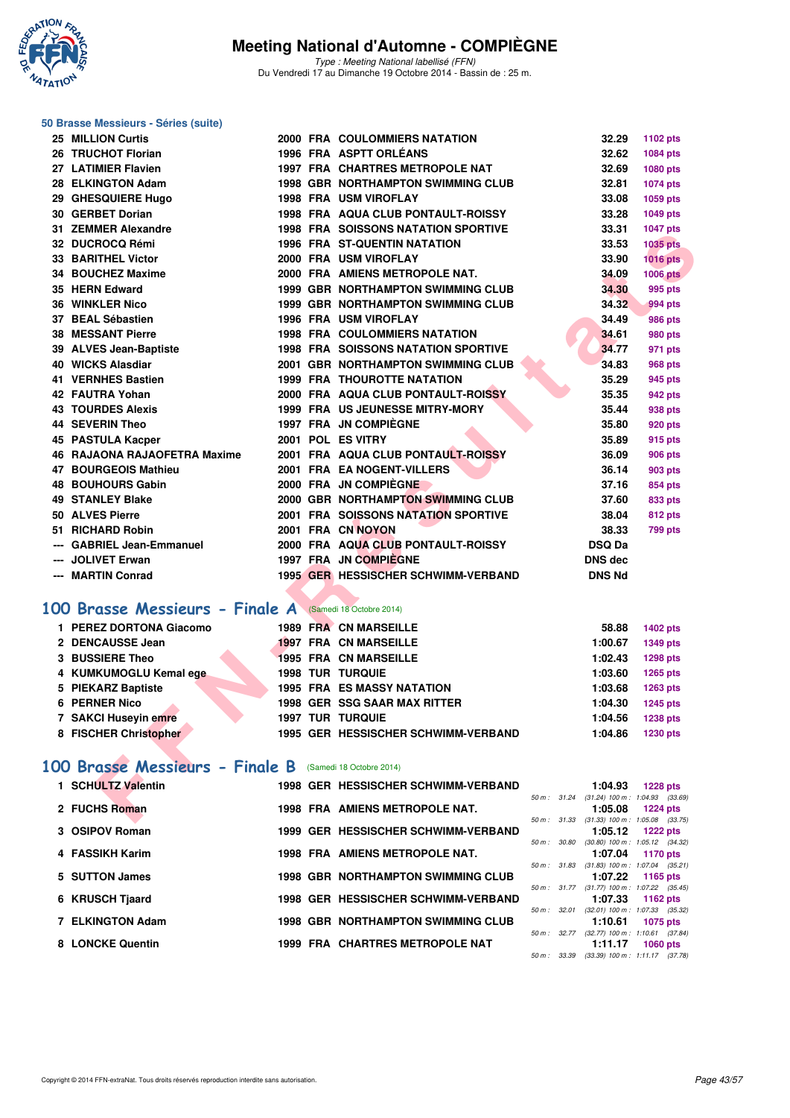

Type : Meeting National labellisé (FFN) Du Vendredi 17 au Dimanche 19 Octobre 2014 - Bassin de : 25 m.

|   | 50 Brasse Messieurs - Séries (suite)                     |  |                                            |                                                       |                 |
|---|----------------------------------------------------------|--|--------------------------------------------|-------------------------------------------------------|-----------------|
|   | 25 MILLION Curtis                                        |  | <b>2000 FRA COULOMMIERS NATATION</b>       | 32.29                                                 | 1102 pts        |
|   | 26 TRUCHOT Florian                                       |  | 1996 FRA ASPTT ORLÉANS                     | 32.62                                                 | 1084 pts        |
|   | 27 LATIMIER Flavien                                      |  | 1997 FRA CHARTRES METROPOLE NAT            | 32.69                                                 | 1080 pts        |
|   | 28 ELKINGTON Adam                                        |  | <b>1998 GBR NORTHAMPTON SWIMMING CLUB</b>  | 32.81                                                 | 1074 pts        |
|   | 29 GHESQUIERE Hugo                                       |  | <b>1998 FRA USM VIROFLAY</b>               | 33.08                                                 | 1059 pts        |
|   | 30 GERBET Dorian                                         |  | <b>1998 FRA AQUA CLUB PONTAULT-ROISSY</b>  | 33.28                                                 | 1049 pts        |
|   | 31 ZEMMER Alexandre                                      |  | <b>1998 FRA SOISSONS NATATION SPORTIVE</b> | 33.31                                                 | <b>1047 pts</b> |
|   | 32 DUCROCQ Rémi                                          |  | <b>1996 FRA ST-QUENTIN NATATION</b>        | 33.53                                                 | <b>1035 pts</b> |
|   | <b>33 BARITHEL Victor</b>                                |  | 2000 FRA USM VIROFLAY                      | 33.90                                                 | $1016$ pts      |
|   | 34 BOUCHEZ Maxime                                        |  | 2000 FRA AMIENS METROPOLE NAT.             | 34.09                                                 | <b>1006 pts</b> |
|   | 35 HERN Edward                                           |  | <b>1999 GBR NORTHAMPTON SWIMMING CLUB</b>  | 34.30                                                 | 995 pts         |
|   | <b>36 WINKLER Nico</b>                                   |  | <b>1999 GBR NORTHAMPTON SWIMMING CLUB</b>  | 34.32                                                 | 994 pts         |
|   | 37 BEAL Sébastien                                        |  | <b>1996 FRA USM VIROFLAY</b>               | 34.49                                                 | <b>986 pts</b>  |
|   | <b>38 MESSANT Pierre</b>                                 |  | <b>1998 FRA COULOMMIERS NATATION</b>       | 34.61                                                 | 980 pts         |
|   | 39 ALVES Jean-Baptiste                                   |  | <b>1998 FRA SOISSONS NATATION SPORTIVE</b> | 34.77                                                 | 971 pts         |
|   | 40 WICKS Alasdiar                                        |  | 2001 GBR NORTHAMPTON SWIMMING CLUB         | 34.83                                                 | <b>968 pts</b>  |
|   | 41 VERNHES Bastien                                       |  | <b>1999 FRA THOUROTTE NATATION</b>         | 35.29                                                 | 945 pts         |
|   | 42 FAUTRA Yohan                                          |  | 2000 FRA AQUA CLUB PONTAULT-ROISSY         | 35.35                                                 | 942 pts         |
|   | <b>43 TOURDES Alexis</b>                                 |  | <b>1999 FRA US JEUNESSE MITRY-MORY</b>     | 35.44                                                 | 938 pts         |
|   | <b>44 SEVERIN Theo</b>                                   |  | 1997 FRA JN COMPIÈGNE                      | 35.80                                                 | 920 pts         |
|   | 45 PASTULA Kacper                                        |  | 2001 POL ES VITRY                          | 35.89                                                 | 915 pts         |
|   | 46 RAJAONA RAJAOFETRA Maxime                             |  | 2001 FRA AQUA CLUB PONTAULT-ROISSY         | 36.09                                                 | <b>906 pts</b>  |
|   | <b>47 BOURGEOIS Mathieu</b>                              |  | 2001 FRA EA NOGENT-VILLERS                 | 36.14                                                 | 903 pts         |
|   | <b>48 BOUHOURS Gabin</b>                                 |  | 2000 FRA JN COMPIÈGNE                      | 37.16                                                 | 854 pts         |
|   | <b>49 STANLEY Blake</b>                                  |  | 2000 GBR NORTHAMPTON SWIMMING CLUB         | 37.60                                                 | 833 pts         |
|   | 50 ALVES Pierre                                          |  | <b>2001 FRA SOISSONS NATATION SPORTIVE</b> | 38.04                                                 | 812 pts         |
|   | 51 RICHARD Robin                                         |  | 2001 FRA CN NOYON                          | 38.33                                                 | <b>799 pts</b>  |
|   | --- GABRIEL Jean-Emmanuel                                |  | 2000 FRA AQUA CLUB PONTAULT-ROISSY         | <b>DSQ Da</b>                                         |                 |
|   | <b>JOLIVET Erwan</b>                                     |  | 1997 FRA JN COMPIÈGNE                      | <b>DNS dec</b>                                        |                 |
|   | --- MARTIN Conrad                                        |  | 1995 GER HESSISCHER SCHWIMM-VERBAND        | <b>DNS Nd</b>                                         |                 |
|   |                                                          |  |                                            |                                                       |                 |
|   | 100 Brasse Messieurs - Finale A (Samedi 18 Octobre 2014) |  |                                            |                                                       |                 |
|   | 1 PEREZ DORTONA Giacomo                                  |  | <b>1989 FRA CN MARSEILLE</b>               | 58.88                                                 | 1402 pts        |
|   | 2 DENCAUSSE Jean                                         |  | <b>1997 FRA CN MARSEILLE</b>               | 1:00.67                                               | <b>1349 pts</b> |
|   | <b>3 BUSSIERE Theo</b>                                   |  | <b>1995 FRA CN MARSEILLE</b>               | 1:02.43                                               | <b>1298 pts</b> |
| 4 | <b>KUMKUMOGLU Kemal ege</b>                              |  | <b>1998 TUR TURQUIE</b>                    | 1:03.60                                               | <b>1265 pts</b> |
|   | 5 PIEKARZ Baptiste                                       |  | <b>1995 FRA ES MASSY NATATION</b>          | 1:03.68                                               | <b>1263 pts</b> |
|   | 6 PERNER Nico                                            |  | <b>1998 GER SSG SAAR MAX RITTER</b>        | 1:04.30                                               | <b>1245 pts</b> |
|   | 7 SAKCI Huseyin emre                                     |  | <b>1997 TUR TURQUIE</b>                    | 1:04.56                                               | <b>1238 pts</b> |
|   | 8 FISCHER Christopher                                    |  | 1995 GER HESSISCHER SCHWIMM-VERBAND        | 1:04.86                                               | 1230 pts        |
|   |                                                          |  |                                            |                                                       |                 |
|   | 100 Brasse Messieurs - Finale B                          |  | (Samedi 18 Octobre 2014)                   |                                                       |                 |
|   | 1 SCHULTZ Valentin                                       |  | 1998 GER HESSISCHER SCHWIMM-VERBAND        | 1:04.93                                               | <b>1228 pts</b> |
|   | 2 FUCHS Roman                                            |  | 1998 FRA AMIENS METROPOLE NAT.             | 50 m: 31.24 (31.24) 100 m: 1:04.93 (33.69)<br>1:05.08 | <b>1224 pts</b> |
|   |                                                          |  |                                            | 50 m: 31.33 (31.33) 100 m: 1:05.08 (33.75)            |                 |

#### **1 PEREZ DORTONA Giacomo 1989 FRA CN MARSEILLE 58.88 1402 pts 2 DENCAUSSE Jean 1997 FRA CN MARSEILLE 1:00.67 1349 pts 3 BUSSIERE Theo 1995 FRA CN MARSEILLE 1:02.43 1298 pts 4 KUMKUMOGLU Kemal ege 1998 TUR TURQUIE 1:03.60 1265 pts 5 PIEKARZ Baptiste 1995 FRA ES MASSY NATATION 1:03.68 1263 pts 6 PERNER Nico 1998 GER SSG SAAR MAX RITTER 1:04.30 1245 pts 7 SAKCI Huseyin emre 1997 TUR TURQUIE 1:04.56 1238 pts 8 FISCHER Christopher 1995 GER HESSISCHER SCHWIMM-VERBAND 1:04.86 1230 pts**

#### **[100 Brasse Messieurs - Finale B](http://www.ffnatation.fr/webffn/resultats.php?idact=nat&go=epr&idcpt=24767&idepr=72)** (Samedi 18 Octobre 2014)

| 1 SCHULTZ Valentin |  | 1998 GER HESSISCHER SCHWIMM-VERBAND       |                        | 1:04.93                                        | <b>1228 pts</b> |  |
|--------------------|--|-------------------------------------------|------------------------|------------------------------------------------|-----------------|--|
|                    |  |                                           | $50 \text{ m}$ : 31.24 | $(31.24)$ 100 m : 1:04.93 $(33.69)$            |                 |  |
| 2 FUCHS Roman      |  | 1998 FRA AMIENS METROPOLE NAT.            |                        | 1:05.08                                        | <b>1224 pts</b> |  |
|                    |  |                                           | 50 m : 31.33           | $(31.33)$ 100 m : 1:05.08 $(33.75)$            |                 |  |
| 3 OSIPOV Roman     |  | 1999 GER HESSISCHER SCHWIMM-VERBAND       |                        | 1:05.12                                        | <b>1222 pts</b> |  |
|                    |  |                                           | 50 m : 30.80           | $(30.80)$ 100 m : 1:05.12 $(34.32)$            |                 |  |
| 4 FASSIKH Karim    |  | 1998 FRA AMIENS METROPOLE NAT.            |                        | 1:07.04                                        | 1170 pts        |  |
| 5 SUTTON James     |  | <b>1998 GBR NORTHAMPTON SWIMMING CLUB</b> | 50 m : 31.83           | $(31.83)$ 100 m : 1:07.04 $(35.21)$<br>1:07.22 | 1165 $pts$      |  |
|                    |  |                                           | 50 m : 31.77           | $(31.77)$ 100 m : 1:07.22 $(35.45)$            |                 |  |
| 6 KRUSCH Tjaard    |  | 1998 GER HESSISCHER SCHWIMM-VERBAND       |                        | 1:07.33                                        | 1162 $pts$      |  |
|                    |  |                                           | 50 m : 32.01           | (32.01) 100 m: 1:07.33 (35.32)                 |                 |  |
| 7 ELKINGTON Adam   |  | <b>1998 GBR NORTHAMPTON SWIMMING CLUB</b> |                        | 1:10.61                                        | <b>1075 pts</b> |  |
|                    |  |                                           | $50 \text{ m}$ : 32.77 | $(32.77)$ 100 m : 1:10.61 $(37.84)$            |                 |  |
| 8 LONCKE Quentin   |  | 1999 FRA CHARTRES METROPOLE NAT           |                        | 1:11.17                                        | $1060$ pts      |  |
|                    |  |                                           |                        | 50 m : 33.39 (33.39) 100 m : 1:11.17 (37.78)   |                 |  |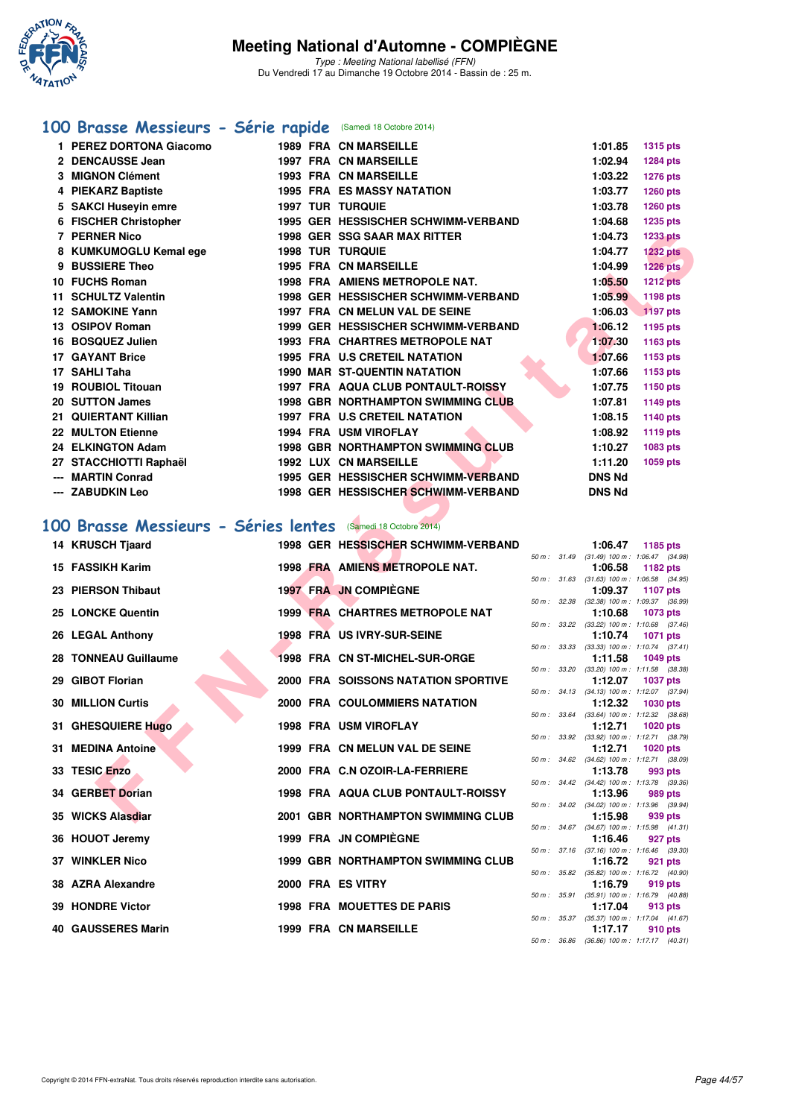

Type : Meeting National labellisé (FFN) Du Vendredi 17 au Dimanche 19 Octobre 2014 - Bassin de : 25 m.

## **[100 Brasse Messieurs - Série rapide](http://www.ffnatation.fr/webffn/resultats.php?idact=nat&go=epr&idcpt=24767&idepr=72)** (Samedi 18 Octobre 2014)

|                 | PEREZ DORTONA Giacomo      |  | <b>1989 FRA CN MARSEILLE</b>              | 1:01.85       | <b>1315 pts</b> |
|-----------------|----------------------------|--|-------------------------------------------|---------------|-----------------|
|                 | 2 DENCAUSSE Jean           |  | <b>1997 FRA CN MARSEILLE</b>              | 1:02.94       | <b>1284 pts</b> |
|                 | <b>MIGNON Clément</b>      |  | <b>1993 FRA CN MARSEILLE</b>              | 1:03.22       | <b>1276 pts</b> |
|                 | 4 PIEKARZ Baptiste         |  | <b>1995 FRA ES MASSY NATATION</b>         | 1:03.77       | <b>1260 pts</b> |
|                 | 5 SAKCI Huseyin emre       |  | <b>1997 TUR TURQUIE</b>                   | 1:03.78       | <b>1260 pts</b> |
| 6               | <b>FISCHER Christopher</b> |  | 1995 GER HESSISCHER SCHWIMM-VERBAND       | 1:04.68       | 1235 pts        |
| 7               | <b>PERNER Nico</b>         |  | <b>1998 GER SSG SAAR MAX RITTER</b>       | 1:04.73       | <b>1233 pts</b> |
|                 | 8 KUMKUMOGLU Kemal ege     |  | <b>1998 TUR TURQUIE</b>                   | 1:04.77       | <b>1232 pts</b> |
|                 | <b>BUSSIERE Theo</b>       |  | <b>1995 FRA CN MARSEILLE</b>              | 1:04.99       | $1226$ pts      |
|                 | 10 FUCHS Roman             |  | <b>1998 FRA AMIENS METROPOLE NAT.</b>     | 1:05.50       | <b>1212 pts</b> |
|                 | 11 SCHULTZ Valentin        |  | 1998 GER HESSISCHER SCHWIMM-VERBAND       | 1:05.99       | 1198 pts        |
|                 | <b>12 SAMOKINE Yann</b>    |  | 1997 FRA CN MELUN VAL DE SEINE            | 1:06.03       | 1197 pts        |
|                 | 13 OSIPOV Roman            |  | 1999 GER HESSISCHER SCHWIMM-VERBAND       | 1:06.12       | 1195 pts        |
| 16              | <b>BOSQUEZ Julien</b>      |  | <b>1993 FRA CHARTRES METROPOLE NAT</b>    | 1:07.30       | 1163 pts        |
|                 | <b>17 GAYANT Brice</b>     |  | <b>1995 FRA U.S CRETEIL NATATION</b>      | 1:07.66       | 1153 pts        |
| 17.             | <b>SAHLI Taha</b>          |  | <b>1990 MAR ST-QUENTIN NATATION</b>       | 1:07.66       | 1153 pts        |
| 19              | <b>ROUBIOL Titouan</b>     |  | <b>1997 FRA AQUA CLUB PONTAULT-ROISSY</b> | 1:07.75       | 1150 pts        |
|                 | 20 SUTTON James            |  | <b>1998 GBR NORTHAMPTON SWIMMING CLUB</b> | 1:07.81       | 1149 pts        |
| 21              | <b>QUIERTANT Killian</b>   |  | <b>1997 FRA U.S CRETEIL NATATION</b>      | 1:08.15       | <b>1140 pts</b> |
| 22 <sub>2</sub> | <b>MULTON Etienne</b>      |  | 1994 FRA USM VIROFLAY                     | 1:08.92       | <b>1119 pts</b> |
|                 | 24 ELKINGTON Adam          |  | <b>1998 GBR NORTHAMPTON SWIMMING CLUB</b> | 1:10.27       | 1083 pts        |
| 27.             | <b>STACCHIOTTI Raphaël</b> |  | <b>1992 LUX CN MARSEILLE</b>              | 1:11.20       | 1059 pts        |
|                 | <b>MARTIN Conrad</b>       |  | 1995 GER HESSISCHER SCHWIMM-VERBAND       | <b>DNS Nd</b> |                 |
|                 | --- ZABUDKIN Leo           |  | 1998 GER HESSISCHER SCHWIMM-VERBAND       | <b>DNS Nd</b> |                 |

### **[100 Brasse Messieurs - Séries lentes](http://www.ffnatation.fr/webffn/resultats.php?idact=nat&go=epr&idcpt=24767&idepr=72)** (Samedi 18 Octobre 2014)

|    | 7 PERNER Nico                                             |  | <b>1998 GER SSG SAAR MAX RITTER</b>                                        |              |              | 1:04.73                        | <b>1233 pts</b>                                               |
|----|-----------------------------------------------------------|--|----------------------------------------------------------------------------|--------------|--------------|--------------------------------|---------------------------------------------------------------|
|    | 8 KUMKUMOGLU Kemal ege                                    |  | <b>1998 TUR TURQUIE</b>                                                    |              |              | 1:04.77                        | <b>1232 pts</b>                                               |
|    | 9 BUSSIERE Theo                                           |  | <b>1995 FRA CN MARSEILLE</b>                                               |              |              | 1:04.99                        | <b>1226 pts</b>                                               |
|    | 10 FUCHS Roman                                            |  | <b>1998 FRA AMIENS METROPOLE NAT.</b>                                      |              |              | 1:05.50                        | <b>1212 pts</b>                                               |
|    | 11 SCHULTZ Valentin                                       |  | 1998 GER HESSISCHER SCHWIMM-VERBAND                                        |              |              | 1:05.99                        | <b>1198 pts</b>                                               |
|    | 12 SAMOKINE Yann                                          |  | 1997 FRA CN MELUN VAL DE SEINE                                             |              |              | 1:06.03                        | 1197 pts                                                      |
|    | 13 OSIPOV Roman                                           |  | 1999 GER HESSISCHER SCHWIMM-VERBAND                                        |              |              | 1:06.12                        | 1195 pts                                                      |
|    | 16 BOSQUEZ Julien                                         |  | <b>1993 FRA CHARTRES METROPOLE NAT</b>                                     |              |              | 1:07.30                        | 1163 pts                                                      |
|    | <b>17 GAYANT Brice</b>                                    |  | 1995 FRA U.S CRETEIL NATATION                                              |              |              | 1:07.66                        | 1153 pts                                                      |
|    | 17 SAHLI Taha                                             |  | 1990 MAR ST-QUENTIN NATATION                                               |              |              | 1:07.66                        | 1153 pts                                                      |
|    | <b>19 ROUBIOL Titouan</b>                                 |  | 1997 FRA AQUA CLUB PONTAULT-ROISSY                                         |              |              | 1:07.75                        | 1150 pts                                                      |
|    | 20 SUTTON James                                           |  | <b>1998 GBR NORTHAMPTON SWIMMING CLUB</b>                                  |              |              | 1:07.81                        | 1149 pts                                                      |
|    | 21 QUIERTANT Killian                                      |  | <b>1997 FRA U.S CRETEIL NATATION</b>                                       |              |              | 1:08.15                        | 1140 pts                                                      |
|    | <b>22 MULTON Etienne</b>                                  |  | 1994 FRA USM VIROFLAY                                                      |              |              | 1:08.92                        | <b>1119 pts</b>                                               |
|    | 24 ELKINGTON Adam                                         |  | <b>1998 GBR NORTHAMPTON SWIMMING CLUB</b>                                  |              |              | 1:10.27                        | 1083 pts                                                      |
|    | 27 STACCHIOTTI Raphaël                                    |  | <b>1992 LUX CN MARSEILLE</b>                                               |              |              | 1:11.20                        | 1059 pts                                                      |
|    | <b>MARTIN Conrad</b><br>--- ZABUDKIN Leo                  |  | 1995 GER HESSISCHER SCHWIMM-VERBAND<br>1998 GER HESSISCHER SCHWIMM-VERBAND |              |              | <b>DNS Nd</b><br><b>DNS Nd</b> |                                                               |
|    |                                                           |  |                                                                            |              |              |                                |                                                               |
|    |                                                           |  |                                                                            |              |              |                                |                                                               |
| 00 | Brasse Messieurs - Séries lentes (Samedi 18 Octobre 2014) |  |                                                                            |              |              |                                |                                                               |
|    | 14 KRUSCH Tjaard                                          |  | 1998 GER HESSISCHER SCHWIMM-VERBAND                                        |              |              | 1:06.47                        | 1185 pts                                                      |
|    | 15 FASSIKH Karim                                          |  | 1998 FRA AMIENS METROPOLE NAT.                                             |              |              | 1:06.58                        | 50 m: 31.49 (31.49) 100 m: 1:06.47 (34.98)<br>1182 pts        |
|    |                                                           |  |                                                                            | 50 m : 31.63 |              |                                | $(31.63)$ 100 m : 1:06.58 $(34.95)$                           |
|    | 23 PIERSON Thibaut                                        |  | 1997 FRA JN COMPIÈGNE                                                      |              | 50 m : 32.38 | 1:09.37                        | <b>1107 pts</b><br>$(32.38)$ 100 m : 1:09.37 $(36.99)$        |
|    | 25 LONCKE Quentin                                         |  | 1999 FRA CHARTRES METROPOLE NAT                                            |              |              | 1:10.68                        | 1073 pts                                                      |
|    |                                                           |  | 1998 FRA US IVRY-SUR-SEINE                                                 |              |              |                                | 50 m: 33.22 (33.22) 100 m: 1:10.68 (37.46)                    |
|    | 26 LEGAL Anthony                                          |  |                                                                            | 50 m : 33.33 |              | 1:10.74                        | <b>1071 pts</b><br>$(33.33)$ 100 m : 1:10.74 $(37.41)$        |
|    | <b>28 TONNEAU Guillaume</b>                               |  | 1998 FRA CN ST-MICHEL-SUR-ORGE                                             |              |              | 1:11.58                        | 1049 pts                                                      |
|    | 29 GIBOT Florian                                          |  | <b>2000 FRA SOISSONS NATATION SPORTIVE</b>                                 |              |              | 1:12.07                        | 50 m: 33.20 (33.20) 100 m: 1:11.58 (38.38)<br><b>1037 pts</b> |
|    |                                                           |  |                                                                            |              |              |                                | 50 m: 34.13 (34.13) 100 m: 1:12.07 (37.94)                    |
|    | <b>30 MILLION Curtis</b>                                  |  | <b>2000 FRA COULOMMIERS NATATION</b>                                       |              |              | 1:12.32                        | <b>1030 pts</b>                                               |
|    | 31 GHESQUIERE Hugo                                        |  | 1998 FRA USM VIROFLAY                                                      | 50 m : 33.64 |              | 1:12.71                        | $(33.64)$ 100 m : 1:12.32 $(38.68)$<br><b>1020 pts</b>        |
|    |                                                           |  |                                                                            |              |              |                                | 50 m: 33.92 (33.92) 100 m: 1:12.71 (38.79)                    |
|    | 31 MEDINA Antoine                                         |  | 1999 FRA CN MELUN VAL DE SEINE                                             |              |              | 1:12.71                        | <b>1020 pts</b>                                               |
|    | 33 TESIC Enzo                                             |  | 2000 FRA C.N OZOIR-LA-FERRIERE                                             |              |              | 1:13.78                        | 50 m: 34.62 (34.62) 100 m: 1:12.71 (38.09)<br>993 pts         |
|    |                                                           |  |                                                                            |              |              |                                | 50 m: 34.42 (34.42) 100 m: 1:13.78 (39.36)                    |
|    | 34 GERBET Dorian                                          |  | 1998 FRA AQUA CLUB PONTAULT-ROISSY                                         |              |              | 1:13.96                        | 989 pts<br>50 m: 34.02 (34.02) 100 m: 1:13.96 (39.94)         |
|    | 35 WICKS Alasdiar                                         |  | 2001 GBR NORTHAMPTON SWIMMING CLUB                                         |              |              | 1:15.98                        | 939 pts                                                       |
|    |                                                           |  |                                                                            | 50 m : 34.67 |              |                                | (34.67) 100 m : 1:15.98 (41.31)                               |
|    | 36 HOUOT Jeremy                                           |  | 1999 FRA JN COMPIÈGNE                                                      |              |              | 1:16.46                        | 927 pts<br>50 m : 37.16 (37.16) 100 m : 1:16.46 (39.30)       |
|    | <b>37 WINKLER Nico</b>                                    |  | <b>1999 GBR NORTHAMPTON SWIMMING CLUB</b>                                  |              |              | 1:16.72                        | 921 pts                                                       |
|    |                                                           |  |                                                                            |              |              |                                | 50 m : 35.82 (35.82) 100 m : 1:16.72 (40.90)                  |
|    | 38 AZRA Alexandre                                         |  | 2000 FRA ES VITRY                                                          |              |              | 1:16.79                        | 919 pts<br>50 m: 35.91 (35.91) 100 m: 1:16.79 (40.88)         |
|    | 39 HONDRE Victor                                          |  | <b>1998 FRA MOUETTES DE PARIS</b>                                          |              |              | 1:17.04                        | 913 pts                                                       |
|    | <b>40 GAUSSERES Marin</b>                                 |  | 1999 FRA CN MARSEILLE                                                      |              |              | 1:17.17                        | 50 m: 35.37 (35.37) 100 m: 1:17.04 (41.67)<br>910 pts         |
|    |                                                           |  |                                                                            |              |              |                                | 50 m: 36.86 (36.86) 100 m: 1:17.17 (40.31)                    |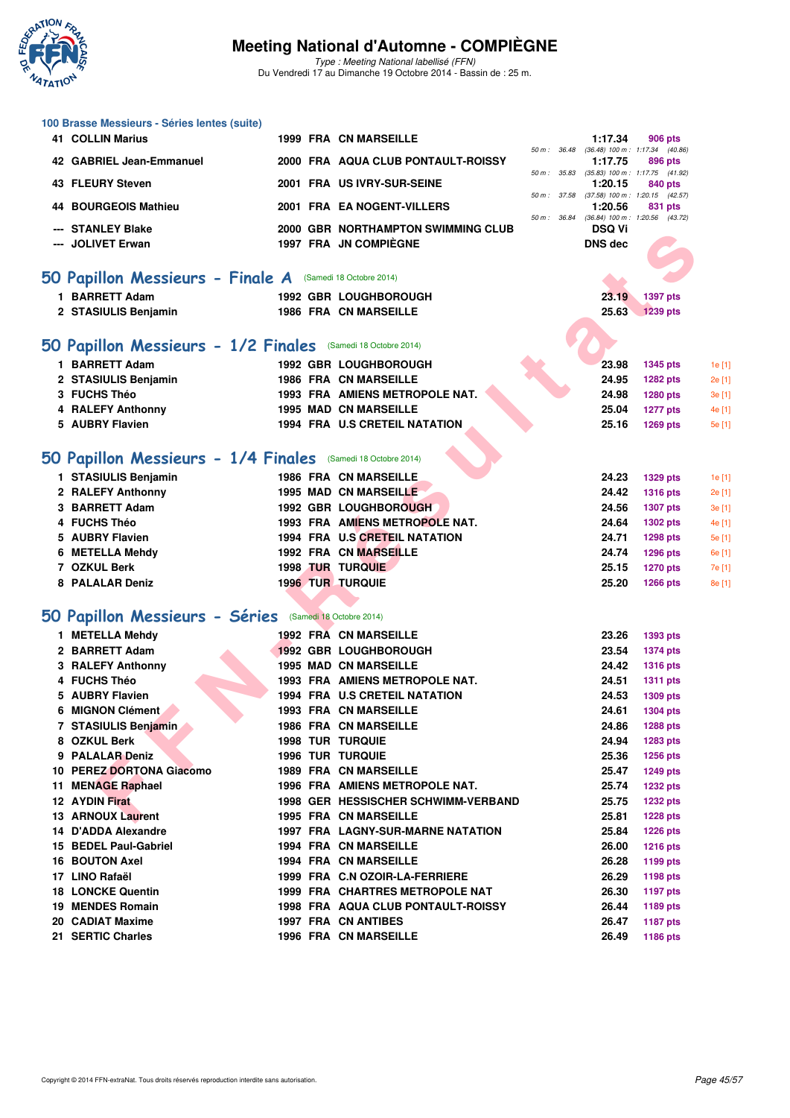

**100 Brasse Messieurs - Séries lentes (suite)**

### **Meeting National d'Automne - COMPIÈGNE**

Type : Meeting National labellisé (FFN) Du Vendredi 17 au Dimanche 19 Octobre 2014 - Bassin de : 25 m.

| <b>41 COLLIN Marius</b>                                      |  | 1999 FRA CN MARSEILLE                 |              |              | 1:17.34        | 906 pts                                        |        |
|--------------------------------------------------------------|--|---------------------------------------|--------------|--------------|----------------|------------------------------------------------|--------|
| 42 GABRIEL Jean-Emmanuel                                     |  | 2000 FRA AQUA CLUB PONTAULT-ROISSY    | 50 m : 36.48 |              | 1:17.75        | $(36.48)$ 100 m : 1:17.34 $(40.86)$<br>896 pts |        |
|                                                              |  |                                       |              |              |                | 50 m: 35.83 (35.83) 100 m: 1:17.75 (41.92)     |        |
| 43 FLEURY Steven                                             |  | 2001 FRA US IVRY-SUR-SEINE            |              |              | 1:20.15        | 840 pts                                        |        |
| 44 BOURGEOIS Mathieu                                         |  | 2001 FRA EA NOGENT-VILLERS            | 50 m : 37.58 |              | 1:20.56        | $(37.58)$ 100 m : 1:20.15 $(42.57)$<br>831 pts |        |
|                                                              |  |                                       |              | 50 m : 36.84 |                | $(36.84)$ 100 m : 1:20.56 $(43.72)$            |        |
| --- STANLEY Blake                                            |  | 2000 GBR NORTHAMPTON SWIMMING CLUB    |              |              | <b>DSQ Vi</b>  |                                                |        |
| --- JOLIVET Erwan                                            |  | 1997 FRA JN COMPIÈGNE                 |              |              | <b>DNS</b> dec |                                                |        |
|                                                              |  |                                       |              |              |                |                                                |        |
| 50 Papillon Messieurs - Finale A (Samedi 18 Octobre 2014)    |  |                                       |              |              |                |                                                |        |
| 1 BARRETT Adam                                               |  | <b>1992 GBR LOUGHBOROUGH</b>          |              |              | 23.19          | 1397 pts                                       |        |
| 2 STASIULIS Benjamin                                         |  | 1986 FRA CN MARSEILLE                 |              |              | 25.63          | <b>1239 pts</b>                                |        |
|                                                              |  |                                       |              |              |                |                                                |        |
| 50 Papillon Messieurs - 1/2 Finales (Samedi 18 Octobre 2014) |  |                                       |              |              |                |                                                |        |
|                                                              |  |                                       |              |              |                |                                                |        |
| 1 BARRETT Adam                                               |  | <b>1992 GBR LOUGHBOROUGH</b>          |              |              | 23.98          | <b>1345 pts</b>                                | 1e [1] |
| 2 STASIULIS Benjamin                                         |  | <b>1986 FRA CN MARSEILLE</b>          |              |              | 24.95          | <b>1282 pts</b>                                | 2e [1] |
| 3 FUCHS Théo                                                 |  | 1993 FRA AMIENS METROPOLE NAT.        |              |              | 24.98          | <b>1280 pts</b>                                | 3e [1] |
| 4 RALEFY Anthonny                                            |  | 1995 MAD CN MARSEILLE                 |              |              | 25.04          | <b>1277 pts</b>                                | 4e [1] |
| 5 AUBRY Flavien                                              |  | <b>1994 FRA U.S CRETEIL NATATION</b>  |              |              | 25.16          | <b>1269 pts</b>                                | 5e [1] |
|                                                              |  |                                       |              |              |                |                                                |        |
| 50 Papillon Messieurs - 1/4 Finales (Samedi 18 Octobre 2014) |  |                                       |              |              |                |                                                |        |
| 1 STASIULIS Benjamin                                         |  | <b>1986 FRA CN MARSEILLE</b>          |              |              | 24.23          | <b>1329 pts</b>                                | 1e [1] |
| 2 RALEFY Anthonny                                            |  | <b>1995 MAD CN MARSEILLE</b>          |              |              | 24.42          | <b>1316 pts</b>                                | 2e [1] |
| 3 BARRETT Adam                                               |  | <b>1992 GBR LOUGHBOROUGH</b>          |              |              | 24.56          | <b>1307 pts</b>                                | 3e [1] |
| 4 FUCHS Théo                                                 |  | 1993 FRA AMIENS METROPOLE NAT.        |              |              | 24.64          | <b>1302 pts</b>                                | 4e [1] |
| 5 AUBRY Flavien                                              |  | 1994 FRA U.S CRETEIL NATATION         |              |              | 24.71          | <b>1298 pts</b>                                | 5e [1] |
| 6 METELLA Mehdy                                              |  | 1992 FRA CN MARSEILLE                 |              |              | 24.74          | <b>1296 pts</b>                                | 6e [1] |
| 7 OZKUL Berk                                                 |  | <b>1998 TUR TURQUIE</b>               |              |              | 25.15          | 1270 pts                                       | 7e [1] |
| 8 PALALAR Deniz                                              |  | <b>1996 TUR TURQUIE</b>               |              |              | 25.20          | <b>1266 pts</b>                                | 8e [1] |
|                                                              |  |                                       |              |              |                |                                                |        |
| 50 Papillon Messieurs - Séries (Samedi 18 Octobre 2014)      |  |                                       |              |              |                |                                                |        |
| 1 METELLA Mehdy                                              |  | <b>1992 FRA CN MARSEILLE</b>          |              |              | 23.26          | <b>1393 pts</b>                                |        |
| 2 BARRETT Adam                                               |  | <b>1992 GBR LOUGHBOROUGH</b>          |              |              | 23.54          | <b>1374 pts</b>                                |        |
| 3 RALEFY Anthonny                                            |  | <b>1995 MAD CN MARSEILLE</b>          |              |              | 24.42          | <b>1316 pts</b>                                |        |
| 4 FUCHS Théo                                                 |  | <b>1993 FRA AMIENS METROPOLE NAT.</b> |              |              | 24.51          | <b>1311 pts</b>                                |        |
| 5 AUBRY Flavien                                              |  | <b>1994 FRA U.S CRETEIL NATATION</b>  |              |              | 24.53          | <b>1309 pts</b>                                |        |
| 6 MIGNON Clément                                             |  | <b>1993 FRA CN MARSEILLE</b>          |              |              | 24.61          | <b>1304 pts</b>                                |        |
| 7 STASIULIS Benjamin                                         |  | <b>1986 FRA CN MARSEILLE</b>          |              |              | 24.86          | <b>1288 pts</b>                                |        |
| 8 OZKUL Berk                                                 |  | <b>1998 TUR TURQUIE</b>               |              |              | 24.94          | 1283 pts                                       |        |
| 9 PALALAR Deniz                                              |  | <b>1996 TUR TURQUIE</b>               |              |              | 25.36          | <b>1256 pts</b>                                |        |
| 10 PEREZ DORTONA Giacomo                                     |  | <b>1989 FRA CN MARSEILLE</b>          |              |              | 25.47          | <b>1249 pts</b>                                |        |
| 11 MENAGE Raphael                                            |  | 1996 FRA AMIENS METROPOLE NAT.        |              |              | 25.74          | <b>1232 pts</b>                                |        |
| 12 AYDIN Firat                                               |  | 1998 GER HESSISCHER SCHWIMM-VERBAND   |              |              | 25.75          | <b>1232 pts</b>                                |        |
| 13 ARNOUX Laurent                                            |  | 1995 FRA CN MARSEILLE                 |              |              | 25.81          | <b>1228 pts</b>                                |        |
| 14 D'ADDA Alexandre                                          |  | 1997 FRA LAGNY-SUR-MARNE NATATION     |              |              | 25.84          | <b>1226 pts</b>                                |        |
| 15 BEDEL Paul-Gabriel                                        |  | 1994 FRA CN MARSEILLE                 |              |              | 26.00          | <b>1216 pts</b>                                |        |
| <b>16 BOUTON Axel</b>                                        |  | 1994 FRA CN MARSEILLE                 |              |              | 26.28          | 1199 pts                                       |        |
| 17 LINO Rafaël                                               |  | 1999 FRA C.N OZOIR-LA-FERRIERE        |              |              | 26.29          | <b>1198 pts</b>                                |        |
| <b>18 LONCKE Quentin</b>                                     |  | 1999 FRA CHARTRES METROPOLE NAT       |              |              | 26.30          | <b>1197 pts</b>                                |        |
| 19 MENDES Romain                                             |  | 1998 FRA AQUA CLUB PONTAULT-ROISSY    |              |              | 26.44          | 1189 pts                                       |        |
| 20 CADIAT Maxime                                             |  | 1997 FRA CN ANTIBES                   |              |              | 26.47          | <b>1187 pts</b>                                |        |
| 21 SERTIC Charles                                            |  | 1996 FRA CN MARSEILLE                 |              |              | 26.49          | <b>1186 pts</b>                                |        |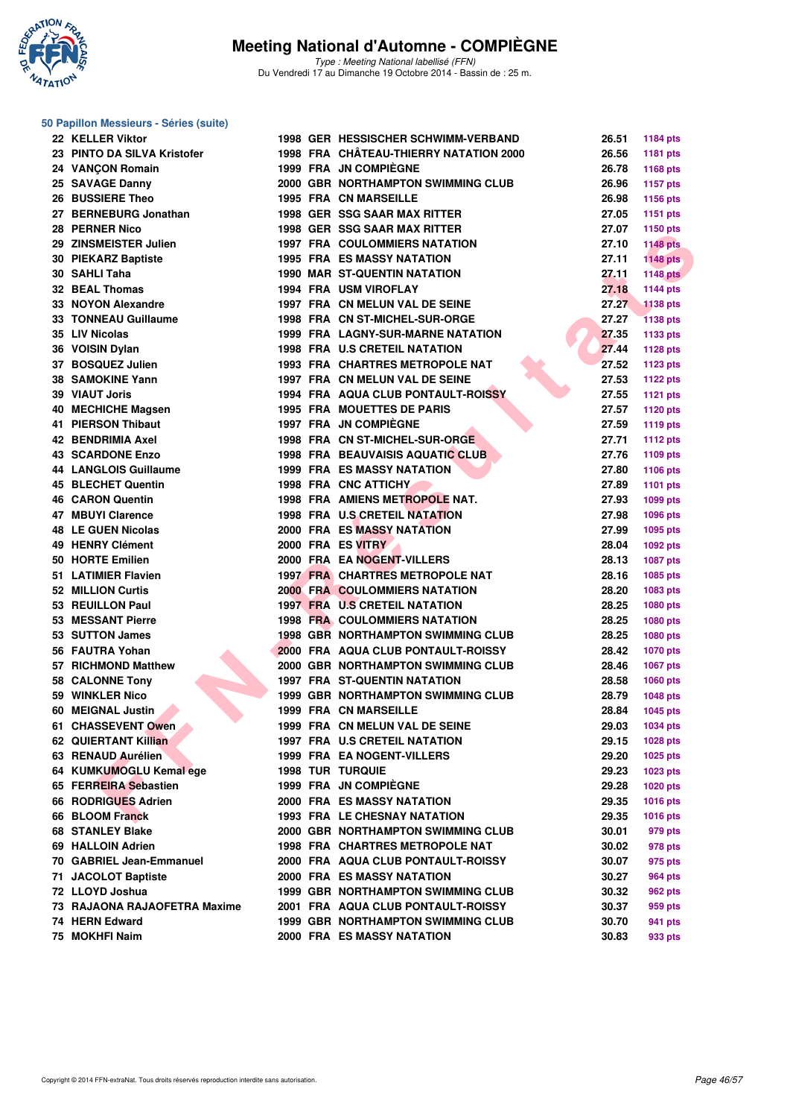

**50 Papillon Messieurs - Séries (suite)**

### **Meeting National d'Automne - COMPIÈGNE**

Type : Meeting National labellisé (FFN) Du Vendredi 17 au Dimanche 19 Octobre 2014 - Bassin de : 25 m.

| 22 KELLER Viktor             |  | 1998 GER HESSISCHER SCHWIMM-VERBAND       | 26.51 | 1184 pts        |
|------------------------------|--|-------------------------------------------|-------|-----------------|
| 23 PINTO DA SILVA Kristofer  |  | 1998 FRA CHÂTEAU-THIERRY NATATION 2000    | 26.56 | 1181 pts        |
| 24 VANCON Romain             |  | 1999 FRA JN COMPIEGNE                     | 26.78 | 1168 pts        |
| 25 SAVAGE Danny              |  | 2000 GBR NORTHAMPTON SWIMMING CLUB        | 26.96 | <b>1157 pts</b> |
| 26 BUSSIERE Theo             |  | <b>1995 FRA CN MARSEILLE</b>              | 26.98 | 1156 pts        |
| 27 BERNEBURG Jonathan        |  | <b>1998 GER SSG SAAR MAX RITTER</b>       | 27.05 | 1151 pts        |
| 28 PERNER Nico               |  | <b>1998 GER SSG SAAR MAX RITTER</b>       | 27.07 | 1150 pts        |
| 29 ZINSMEISTER Julien        |  | <b>1997 FRA COULOMMIERS NATATION</b>      | 27.10 | <b>1148 pts</b> |
| 30 PIEKARZ Baptiste          |  | <b>1995 FRA ES MASSY NATATION</b>         | 27.11 | <b>1148 pts</b> |
| 30 SAHLI Taha                |  | <b>1990 MAR ST-QUENTIN NATATION</b>       | 27.11 | <b>1148 pts</b> |
| <b>32 BEAL Thomas</b>        |  | <b>1994 FRA USM VIROFLAY</b>              | 27.18 | <b>1144 pts</b> |
| 33 NOYON Alexandre           |  | 1997 FRA CN MELUN VAL DE SEINE            | 27.27 | <b>1138 pts</b> |
| 33 TONNEAU Guillaume         |  | 1998 FRA CN ST-MICHEL-SUR-ORGE            | 27.27 | <b>1138 pts</b> |
| 35 LIV Nicolas               |  | 1999 FRA LAGNY-SUR-MARNE NATATION         | 27.35 | 1133 pts        |
| 36 VOISIN Dylan              |  | <b>1998 FRA U.S CRETEIL NATATION</b>      | 27.44 | 1128 pts        |
| 37 BOSQUEZ Julien            |  | <b>1993 FRA CHARTRES METROPOLE NAT</b>    | 27.52 | <b>1123 pts</b> |
| 38 SAMOKINE Yann             |  | 1997 FRA CN MELUN VAL DE SEINE            | 27.53 | <b>1122 pts</b> |
| 39 VIAUT Joris               |  | 1994 FRA AQUA CLUB PONTAULT-ROISSY        | 27.55 | <b>1121 pts</b> |
| 40 MECHICHE Magsen           |  | <b>1995 FRA MOUETTES DE PARIS</b>         | 27.57 | 1120 pts        |
| 41 PIERSON Thibaut           |  | 1997 FRA JN COMPIÈGNE                     | 27.59 | <b>1119 pts</b> |
| 42 BENDRIMIA Axel            |  | 1998 FRA CN ST-MICHEL-SUR-ORGE            | 27.71 | <b>1112 pts</b> |
| <b>43 SCARDONE Enzo</b>      |  | <b>1998 FRA BEAUVAISIS AQUATIC CLUB</b>   | 27.76 | 1109 pts        |
| <b>44 LANGLOIS Guillaume</b> |  | <b>1999 FRA ES MASSY NATATION</b>         | 27.80 | 1106 pts        |
| <b>45 BLECHET Quentin</b>    |  | <b>1998 FRA CNC ATTICHY</b>               | 27.89 | <b>1101 pts</b> |
| <b>46 CARON Quentin</b>      |  | 1998 FRA AMIENS METROPOLE NAT.            | 27.93 | 1099 pts        |
| 47 MBUYI Clarence            |  | 1998 FRA U.S CRETEIL NATATION             | 27.98 | 1096 pts        |
| <b>48 LE GUEN Nicolas</b>    |  | <b>2000 FRA ES MASSY NATATION</b>         | 27.99 | 1095 pts        |
| 49 HENRY Clément             |  | 2000 FRA ES VITRY                         | 28.04 | 1092 pts        |
| 50 HORTE Emilien             |  | 2000 FRA EA NOGENT-VILLERS                | 28.13 | 1087 pts        |
| 51 LATIMIER Flavien          |  | <b>1997 FRA CHARTRES METROPOLE NAT</b>    | 28.16 | 1085 pts        |
| 52 MILLION Curtis            |  | <b>2000 FRA COULOMMIERS NATATION</b>      | 28.20 | 1083 pts        |
| 53 REUILLON Paul             |  | <b>1997 FRA U.S CRETEIL NATATION</b>      | 28.25 | 1080 pts        |
| 53 MESSANT Pierre            |  | <b>1998 FRA COULOMMIERS NATATION</b>      | 28.25 | 1080 pts        |
| 53 SUTTON James              |  | <b>1998 GBR NORTHAMPTON SWIMMING CLUB</b> | 28.25 | 1080 pts        |
| 56 FAUTRA Yohan              |  | 2000 FRA AQUA CLUB PONTAULT-ROISSY        | 28.42 | <b>1070 pts</b> |
| 57 RICHMOND Matthew          |  | 2000 GBR NORTHAMPTON SWIMMING CLUB        | 28.46 | 1067 pts        |
| 58 CALONNE Tony              |  | <b>1997 FRA ST-QUENTIN NATATION</b>       | 28.58 | 1060 pts        |
| 59 WINKLER Nico              |  | <b>1999 GBR NORTHAMPTON SWIMMING CLUB</b> | 28.79 | <b>1048 pts</b> |
| 60 MEIGNAL Justin            |  | <b>1999 FRA CN MARSEILLE</b>              | 28.84 | 1045 pts        |
| 61 CHASSEVENT Owen           |  | 1999 FRA CN MELUN VAL DE SEINE            | 29.03 | 1034 pts        |
| 62 QUIERTANT Killian         |  | 1997 FRA U.S CRETEIL NATATION             | 29.15 | 1028 pts        |
| 63 RENAUD Aurélien           |  | <b>1999 FRA EA NOGENT-VILLERS</b>         | 29.20 | 1025 pts        |
| 64 KUMKUMOGLU Kemal ege      |  | <b>1998 TUR TURQUIE</b>                   | 29.23 | 1023 pts        |
| 65 FERREIRA Sebastien        |  | <b>1999 FRA JN COMPIEGNE</b>              | 29.28 | 1020 pts        |
| 66 RODRIGUES Adrien          |  | <b>2000 FRA ES MASSY NATATION</b>         | 29.35 | 1016 pts        |
| 66 BLOOM Franck              |  | <b>1993 FRA LE CHESNAY NATATION</b>       | 29.35 | 1016 pts        |
| <b>68 STANLEY Blake</b>      |  | 2000 GBR NORTHAMPTON SWIMMING CLUB        | 30.01 | 979 pts         |
| 69 HALLOIN Adrien            |  | 1998 FRA CHARTRES METROPOLE NAT           | 30.02 | 978 pts         |
| 70 GABRIEL Jean-Emmanuel     |  | 2000 FRA AQUA CLUB PONTAULT-ROISSY        | 30.07 | 975 pts         |
| 71 JACOLOT Baptiste          |  | <b>2000 FRA ES MASSY NATATION</b>         | 30.27 | <b>964 pts</b>  |
| 72 LLOYD Joshua              |  | <b>1999 GBR NORTHAMPTON SWIMMING CLUB</b> | 30.32 | 962 pts         |
| 73 RAJAONA RAJAOFETRA Maxime |  | 2001 FRA AQUA CLUB PONTAULT-ROISSY        | 30.37 | 959 pts         |
| 74 HERN Edward               |  | <b>1999 GBR NORTHAMPTON SWIMMING CLUB</b> | 30.70 | 941 pts         |
| 75 MOKHFI Naim               |  | 2000 FRA ES MASSY NATATION                | 30.83 | 933 pts         |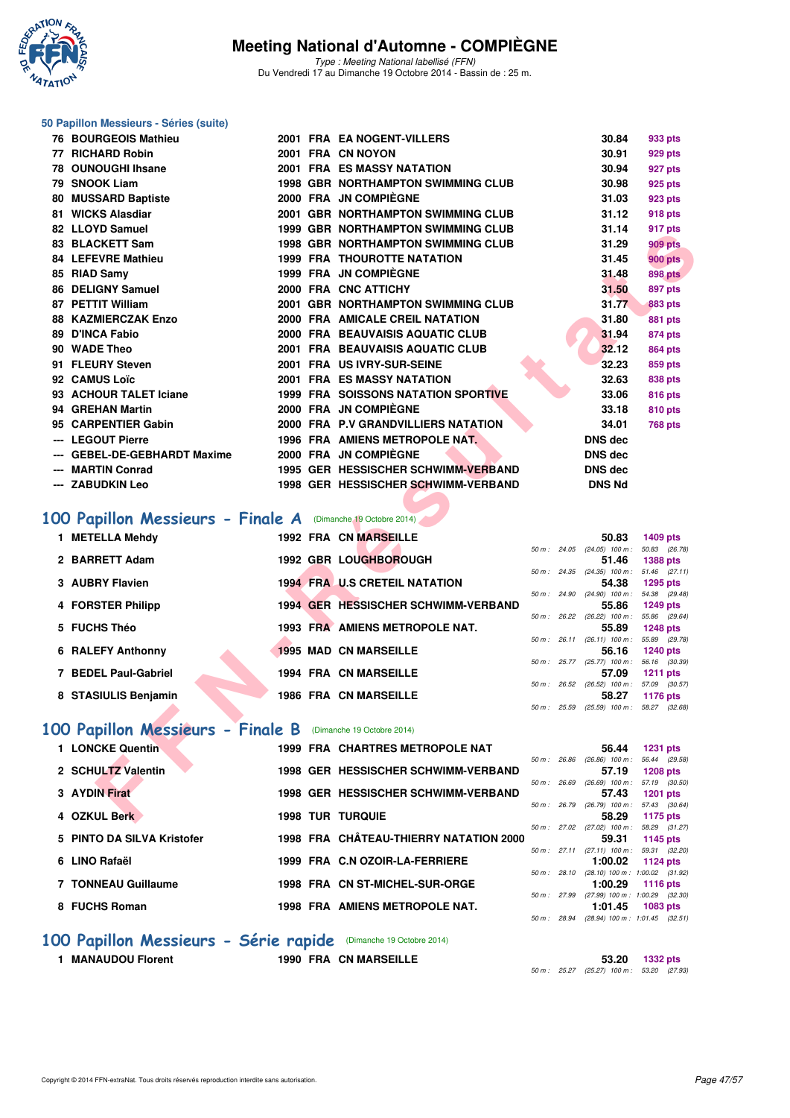

Type : Meeting National labellisé (FFN) Du Vendredi 17 au Dimanche 19 Octobre 2014 - Bassin de : 25 m.

#### **50 Papillon Messieurs - Séries (suite)**

| 76 BOURGEOIS Mathieu                                        |  | 2001 FRA EA NOGENT-VILLERS                                                      |  | 30.84                                             | 933 pts                             |
|-------------------------------------------------------------|--|---------------------------------------------------------------------------------|--|---------------------------------------------------|-------------------------------------|
| 77 RICHARD Robin                                            |  | 2001 FRA CN NOYON                                                               |  | 30.91                                             | 929 pts                             |
| 78 OUNOUGHI Ihsane                                          |  | <b>2001 FRA ES MASSY NATATION</b>                                               |  | 30.94                                             | 927 pts                             |
| 79 SNOOK Liam                                               |  | <b>1998 GBR NORTHAMPTON SWIMMING CLUB</b>                                       |  | 30.98                                             | 925 pts                             |
| 80 MUSSARD Baptiste                                         |  | 2000 FRA JN COMPIEGNE                                                           |  | 31.03                                             | <b>923 pts</b>                      |
| 81 WICKS Alasdiar                                           |  | 2001 GBR NORTHAMPTON SWIMMING CLUB                                              |  | 31.12                                             | <b>918 pts</b>                      |
| 82 LLOYD Samuel                                             |  | <b>1999 GBR NORTHAMPTON SWIMMING CLUB</b>                                       |  | 31.14                                             | 917 pts                             |
| 83 BLACKETT Sam                                             |  | <b>1998 GBR NORTHAMPTON SWIMMING CLUB</b>                                       |  | 31.29                                             | <b>909 pts</b>                      |
| <b>84 LEFEVRE Mathieu</b>                                   |  | <b>1999 FRA THOUROTTE NATATION</b>                                              |  | 31.45                                             | <b>900 pts</b>                      |
| 85 RIAD Samy                                                |  | 1999 FRA JN COMPIEGNE                                                           |  | 31.48                                             | <b>898 pts</b>                      |
| 86 DELIGNY Samuel                                           |  | 2000 FRA CNC ATTICHY                                                            |  | 31.50                                             | 897 pts                             |
| 87 PETTIT William                                           |  | 2001 GBR NORTHAMPTON SWIMMING CLUB                                              |  | 31.77                                             | <b>883 pts</b>                      |
| <b>88 KAZMIERCZAK Enzo</b>                                  |  | 2000 FRA AMICALE CREIL NATATION                                                 |  | 31.80                                             | 881 pts                             |
| 89 D'INCA Fabio                                             |  | 2000 FRA BEAUVAISIS AQUATIC CLUB                                                |  | 31.94                                             | 874 pts                             |
| 90 WADE Theo                                                |  | 2001 FRA BEAUVAISIS AQUATIC CLUB                                                |  | 32.12                                             | <b>864 pts</b>                      |
| 91 FLEURY Steven                                            |  | 2001 FRA US IVRY-SUR-SEINE                                                      |  | 32.23                                             | 859 pts                             |
| 92 CAMUS Loïc<br>93 ACHOUR TALET Iciane                     |  | <b>2001 FRA ES MASSY NATATION</b><br><b>1999 FRA SOISSONS NATATION SPORTIVE</b> |  | 32.63<br>33.06                                    | 838 pts                             |
| 94 GREHAN Martin                                            |  | 2000 FRA JN COMPIEGNE                                                           |  | 33.18                                             | <b>816 pts</b>                      |
| 95 CARPENTIER Gabin                                         |  | 2000 FRA P.V GRANDVILLIERS NATATION                                             |  | 34.01                                             | 810 pts<br><b>768 pts</b>           |
| --- LEGOUT Pierre                                           |  | 1996 FRA AMIENS METROPOLE NAT.                                                  |  | <b>DNS dec</b>                                    |                                     |
| --- GEBEL-DE-GEBHARDT Maxime                                |  | 2000 FRA JN COMPIEGNE                                                           |  | <b>DNS dec</b>                                    |                                     |
| --- MARTIN Conrad                                           |  | 1995 GER HESSISCHER SCHWIMM-VERBAND                                             |  | <b>DNS</b> dec                                    |                                     |
|                                                             |  |                                                                                 |  |                                                   |                                     |
|                                                             |  |                                                                                 |  |                                                   |                                     |
| --- ZABUDKIN Leo                                            |  | 1998 GER HESSISCHER SCHWIMM-VERBAND                                             |  | <b>DNS Nd</b>                                     |                                     |
|                                                             |  |                                                                                 |  |                                                   |                                     |
| 00 Papillon Messieurs - Finale A (Dimanche 19 Octobre 2014) |  |                                                                                 |  |                                                   |                                     |
| 1 METELLA Mehdy                                             |  | 1992 FRA CN MARSEILLE                                                           |  | 50.83                                             | 1409 pts                            |
| 2 BARRETT Adam                                              |  | 1992 GBR LOUGHBOROUGH                                                           |  | 50 m: 24.05 (24.05) 100 m: 50.83 (26.78)<br>51.46 | <b>1388 pts</b>                     |
|                                                             |  |                                                                                 |  | 50 m: 24.35 (24.35) 100 m: 51.46 (27.11)          |                                     |
| 3 AUBRY Flavien                                             |  | <b>1994 FRA U.S CRETEIL NATATION</b>                                            |  | 54.38                                             | <b>1295 pts</b>                     |
| 4 FORSTER Philipp                                           |  | 1994 GER HESSISCHER SCHWIMM-VERBAND                                             |  | 50 m: 24.90 (24.90) 100 m: 54.38 (29.48)<br>55.86 | <b>1249 pts</b>                     |
|                                                             |  |                                                                                 |  | 50 m : 26.22 (26.22) 100 m : 55.86 (29.64)        |                                     |
| 5 FUCHS Théo                                                |  | 1993 FRA AMIENS METROPOLE NAT.                                                  |  | 55.89<br>50 m: 26.11 (26.11) 100 m: 55.89 (29.78) | <b>1248 pts</b>                     |
| <b>6 RALEFY Anthonny</b>                                    |  | <b>1995 MAD CN MARSEILLE</b>                                                    |  | 56.16                                             | <b>1240 pts</b>                     |
|                                                             |  |                                                                                 |  | 50 m: 25.77 (25.77) 100 m: 56.16                  | (30.39)                             |
| 7 BEDEL Paul-Gabriel                                        |  | <b>1994 FRA CN MARSEILLE</b>                                                    |  | 57.09<br>50 m : 26.52 (26.52) 100 m :             | <b>1211 pts</b><br>57.09<br>(30.57) |
| 8 STASIULIS Benjamin                                        |  | <b>1986 FRA CN MARSEILLE</b>                                                    |  | 58.27                                             | <b>1176 pts</b>                     |
|                                                             |  |                                                                                 |  | 50 m: 25.59 (25.59) 100 m: 58.27 (32.68)          |                                     |
| 00 Papillon Messieurs - Finale B (Dimanche 19 Octobre 2014) |  |                                                                                 |  |                                                   |                                     |
| 1 LONCKE Quentin                                            |  | 1999 FRA CHARTRES METROPOLE NAT                                                 |  | 56.44                                             | <b>1231 pts</b>                     |
|                                                             |  |                                                                                 |  | 50 m : 26.86 (26.86) 100 m : 56.44 (29.58)        |                                     |
| 2 SCHULTZ Valentin                                          |  | 1998 GER HESSISCHER SCHWIMM-VERBAND                                             |  | 57.19                                             | <b>1208 pts</b>                     |
| 3 AYDIN Firat                                               |  | 1998 GER HESSISCHER SCHWIMM-VERBAND                                             |  | 50 m: 26.69 (26.69) 100 m: 57.19<br>57.43         | (30.50)<br><b>1201 pts</b>          |
| 4 OZKUL Berk                                                |  | <b>1998 TUR TURQUIE</b>                                                         |  | 50 m: 26.79 (26.79) 100 m: 57.43 (30.64)<br>58.29 | 1175 pts                            |

## **100 Papillon Messieurs - Finale A** (Dimanche 19 Octobre 2014)

| 1 METELLA Mehdy      |  | <b>1992 FRA CN MARSEILLE</b>         |             |                        | 50.83                             | 1409 pts        |
|----------------------|--|--------------------------------------|-------------|------------------------|-----------------------------------|-----------------|
|                      |  |                                      |             | 50 m : 24.05           | $(24.05)$ 100 m :                 | 50.83 (26.78)   |
| 2 BARRETT Adam       |  | <b>1992 GBR LOUGHBOROUGH</b>         |             |                        | 51.46                             | <b>1388 pts</b> |
|                      |  |                                      |             | 50 m: 24.35            | $(24.35)$ 100 m :                 | 51.46 (27.11)   |
| 3 AUBRY Flavien      |  | <b>1994 FRA U.S CRETEIL NATATION</b> |             |                        | 54.38                             | 1295 pts        |
|                      |  |                                      |             | $50 \text{ m}$ : 24.90 | $(24.90)$ 100 m :                 | 54.38 (29.48)   |
| 4 FORSTER Philipp    |  | 1994 GER HESSISCHER SCHWIMM-VERBAND  |             |                        | 55.86                             | 1249 pts        |
|                      |  |                                      | 50 m :      | 26.22                  | $(26.22)$ 100 m :                 | 55.86 (29.64)   |
| 5 FUCHS Théo         |  | 1993 FRA AMIENS METROPOLE NAT.       |             |                        | 55.89                             | <b>1248 pts</b> |
|                      |  |                                      |             | $50 m$ : 26.11         | $(26.11)$ 100 m :                 | 55.89 (29.78)   |
| 6 RALEFY Anthonny    |  | <b>1995 MAD CN MARSEILLE</b>         |             |                        | 56.16                             | <b>1240 pts</b> |
|                      |  |                                      |             | 50 m : 25.77           | $(25.77)$ 100 m :                 | 56.16 (30.39)   |
| 7 BEDEL Paul-Gabriel |  | <b>1994 FRA CN MARSEILLE</b>         |             |                        | 57.09                             | 1211 $pts$      |
|                      |  |                                      |             | 50 m: 26.52            | $(26.52)$ 100 m :                 | 57.09 (30.57)   |
| 8 STASIULIS Benjamin |  | <b>1986 FRA CN MARSEILLE</b>         |             |                        | 58.27                             | 1176 pts        |
|                      |  |                                      | 50 m: 25.59 |                        | $(25.59)$ 100 m : 58.27 $(32.68)$ |                 |

#### **[100 Papillon Messieurs - Finale B](http://www.ffnatation.fr/webffn/resultats.php?idact=nat&go=epr&idcpt=24767&idepr=82)** (Dimanche 19 Octobre 2014)

| 1 LONCKE Quentin           |  | 1999 FRA CHARTRES METROPOLE NAT        |                        |       | 56.44                               | <b>1231 pts</b> |  |
|----------------------------|--|----------------------------------------|------------------------|-------|-------------------------------------|-----------------|--|
|                            |  |                                        | $50 \text{ m}$ : 26.86 |       | $(26.86)$ 100 m :                   | 56.44 (29.58)   |  |
| 2 SCHULTZ Valentin         |  | 1998 GER HESSISCHER SCHWIMM-VERBAND    |                        |       | 57.19                               | <b>1208 pts</b> |  |
|                            |  |                                        | 50 m :                 | 26.69 | $(26.69)$ 100 m :                   | 57.19 (30.50)   |  |
| 3 AYDIN Firat              |  | 1998 GER HESSISCHER SCHWIMM-VERBAND    |                        |       | 57.43                               | <b>1201 pts</b> |  |
|                            |  |                                        | 50 m : 26.79           |       | $(26.79)$ 100 m :                   | 57.43 (30.64)   |  |
| 4 OZKUL Berk               |  | <b>1998 TUR TURQUIE</b>                |                        |       | 58.29                               | 1175 pts        |  |
|                            |  |                                        | 50 m : 27.02           |       | $(27.02)$ 100 m :                   | 58.29 (31.27)   |  |
| 5 PINTO DA SILVA Kristofer |  | 1998 FRA CHÂTEAU-THIERRY NATATION 2000 |                        |       | 59.31                               | 1145 $pts$      |  |
|                            |  |                                        | $50 \text{ m}$ : 27.11 |       | $(27.11)$ 100 m :                   | 59.31 (32.20)   |  |
| 6 LINO Rafaël              |  | 1999 FRA C.N OZOIR-LA-FERRIERE         |                        |       | 1:00.02                             | 1124 $pts$      |  |
|                            |  |                                        | 50 m: 28.10            |       | $(28.10)$ 100 m : 1:00.02 $(31.92)$ |                 |  |
| 7 TONNEAU Guillaume        |  | 1998 FRA CN ST-MICHEL-SUR-ORGE         |                        |       | 1:00.29                             | 1116 pts        |  |
|                            |  |                                        | 50 m: 27.99            |       | $(27.99)$ 100 m : 1:00.29 $(32.30)$ |                 |  |
| 8 FUCHS Roman              |  | <b>1998 FRA AMIENS METROPOLE NAT.</b>  |                        |       | 1:01.45                             | <b>1083 pts</b> |  |
|                            |  |                                        | 50 m: 28.94            |       | $(28.94)$ 100 m : 1:01.45 $(32.51)$ |                 |  |

# **[100 Papillon Messieurs - Série rapide](http://www.ffnatation.fr/webffn/resultats.php?idact=nat&go=epr&idcpt=24767&idepr=82)** (Dimanche 19 Octobre 2014)

**1990 FRA CN MARSEILLE** 53.20 **1332 pts** 50 m : 25.27 (25.27) 100 m : 53.20 (27.93)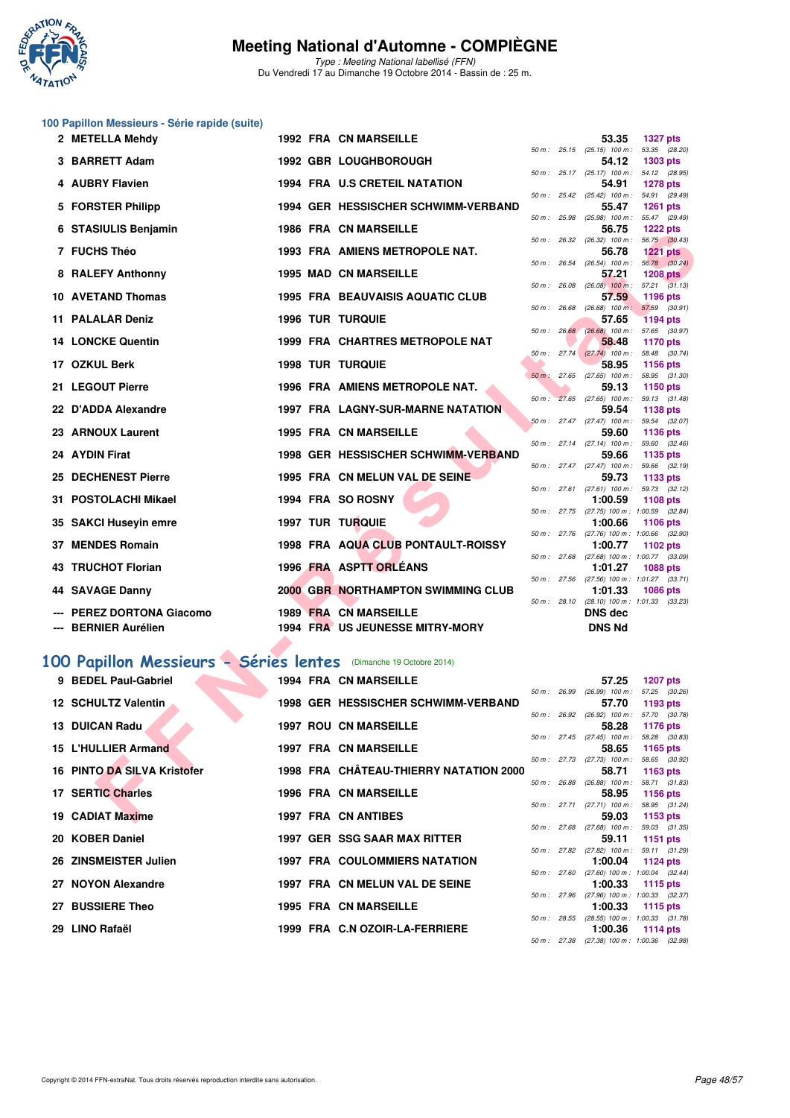

Type : Meeting National labellisé (FFN) Du Vendredi 17 au Dimanche 19 Octobre 2014 - Bassin de : 25 m.

#### **100 Papillon Messieurs - Série rapide (suite)**

| 2 METELLA Mehdy                                                  |  | 1992 FRA CN MARSEILLE                     |              |             | 53.35                                                 | <b>1327 pts</b>                      |         |
|------------------------------------------------------------------|--|-------------------------------------------|--------------|-------------|-------------------------------------------------------|--------------------------------------|---------|
| 3 BARRETT Adam                                                   |  | 1992 GBR LOUGHBOROUGH                     |              |             | 50 m : 25.15 (25.15) 100 m :<br>54.12                 | 53.35 (28.20)<br>1303 pts            |         |
| 4 AUBRY Flavien                                                  |  | <b>1994 FRA U.S CRETEIL NATATION</b>      |              |             | $50 m$ : $25.17$ $(25.17)$ $100 m$ :<br>54.91         | 54.12 (28.95)<br><b>1278 pts</b>     |         |
|                                                                  |  |                                           |              |             | 50 m: 25.42 (25.42) 100 m: 54.91 (29.49)              |                                      |         |
| 5 FORSTER Philipp                                                |  | 1994 GER HESSISCHER SCHWIMM-VERBAND       |              |             | 55.47<br>50 m : 25.98 (25.98) 100 m : 55.47 (29.49)   | <b>1261 pts</b>                      |         |
| 6 STASIULIS Benjamin                                             |  | <b>1986 FRA CN MARSEILLE</b>              |              |             | 56.75                                                 | <b>1222 pts</b>                      |         |
| 7 FUCHS Théo                                                     |  | <b>1993 FRA AMIENS METROPOLE NAT.</b>     |              |             | 50 m : 26.32 (26.32) 100 m : 56.75 (30.43)<br>56.78   | <b>1221 pts</b>                      |         |
|                                                                  |  |                                           | $50 m$ :     |             | 26.54 (26.54) 100 m :                                 | 56.78 (30.24)                        |         |
| 8 RALEFY Anthonny                                                |  | <b>1995 MAD CN MARSEILLE</b>              | 50 m: 26.08  |             | 57.21<br>$(26.08)$ 100 m :                            | <b>1208 pts</b><br>$57.21$ $(31.13)$ |         |
| 10 AVETAND Thomas                                                |  | <b>1995 FRA BEAUVAISIS AQUATIC CLUB</b>   | $50 m$ :     |             | 57.59<br>26.68 (26.68) 100 m:                         | 1196 pts                             |         |
| 11 PALALAR Deniz                                                 |  | <b>1996 TUR TURQUIE</b>                   |              |             | 57.65                                                 | 57.59 (30.91)<br><b>1194 pts</b>     |         |
| <b>14 LONCKE Quentin</b>                                         |  | <b>1999 FRA CHARTRES METROPOLE NAT</b>    |              |             | 50 m: 26.68 (26.68) 100 m: 57.65 (30.97)<br>58.48     | 1170 pts                             |         |
|                                                                  |  |                                           | $50 m$ :     |             | $27.74$ $(27.74)$ 100 m :                             | 58.48 (30.74)                        |         |
| 17 OZKUL Berk                                                    |  | <b>1998 TUR TURQUIE</b>                   | $50 m$ :     |             | 58.95<br>27.65 (27.65) 100 m :                        | 1156 pts<br>58.95 (31.30)            |         |
| 21 LEGOUT Pierre                                                 |  | 1996 FRA AMIENS METROPOLE NAT.            |              |             | 59.13                                                 | 1150 pts                             |         |
| 22 D'ADDA Alexandre                                              |  | <b>1997 FRA LAGNY-SUR-MARNE NATATION</b>  | $50 m$ :     |             | 27.65 (27.65) 100 m :<br>59.54                        | 59.13 (31.48)<br>1138 pts            |         |
|                                                                  |  |                                           |              |             | $50 m$ : 27.47 (27.47) 100 m :                        | 59.54 (32.07)                        |         |
| 23 ARNOUX Laurent                                                |  | <b>1995 FRA CN MARSEILLE</b>              |              |             | 59.60<br>$50 m$ : 27.14 (27.14) 100 m :               | 1136 pts<br>59.60 (32.46)            |         |
| 24 AYDIN Firat                                                   |  | 1998 GER HESSISCHER SCHWIMM-VERBAND       |              |             | 59.66                                                 | 1135 pts                             |         |
| 25 DECHENEST Pierre                                              |  | 1995 FRA CN MELUN VAL DE SEINE            |              |             | $50 m$ : 27.47 (27.47) 100 m :<br>59.73               | 59.66 (32.19)<br>1133 pts            |         |
|                                                                  |  |                                           |              |             | 50 m: 27.61 (27.61) 100 m: 59.73 (32.12)              |                                      |         |
| 31 POSTOLACHI Mikael                                             |  | 1994 FRA SO ROSNY                         | 50 m: 27.75  |             | 1:00.59<br>(27.75) 100 m : 1:00.59                    | <b>1108 pts</b>                      | (32.84) |
| 35 SAKCI Huseyin emre                                            |  | 1997 TUR TURQUIE                          |              |             | 1:00.66                                               | 1106 pts                             |         |
| <b>37 MENDES Romain</b>                                          |  | 1998 FRA AQUA CLUB PONTAULT-ROISSY        |              |             | 50 m: 27.76 (27.76) 100 m: 1:00.66 (32.90)<br>1:00.77 | 1102 pts                             |         |
|                                                                  |  |                                           | 50 m : 27.68 |             | $(27.68)$ 100 m : 1:00.77                             |                                      | (33.09) |
| 43 TRUCHOT Florian                                               |  | 1996 FRA ASPTT ORLEANS                    |              |             | 1:01.27<br>50 m: 27.56 (27.56) 100 m: 1:01.27 (33.71) | <b>1088 pts</b>                      |         |
| 44 SAVAGE Danny                                                  |  | <b>2000 GBR NORTHAMPTON SWIMMING CLUB</b> |              |             | 1:01.33                                               | 1086 pts                             |         |
| --- PEREZ DORTONA Giacomo                                        |  | 1989 FRA CN MARSEILLE                     |              | 50 m: 28.10 | $(28.10)$ 100 m : 1:01.33 $(33.23)$<br><b>DNS dec</b> |                                      |         |
| --- BERNIER Aurélien                                             |  | 1994 FRA US JEUNESSE MITRY-MORY           |              |             | <b>DNS Nd</b>                                         |                                      |         |
|                                                                  |  |                                           |              |             |                                                       |                                      |         |
| 00 Papillon Messieurs - Séries lentes (Dimanche 19 Octobre 2014) |  |                                           |              |             |                                                       |                                      |         |
| 9 BEDEL Paul-Gabriel                                             |  | <b>1994 FRA CN MARSEILLE</b>              |              |             | 57.25                                                 | <b>1207 pts</b>                      |         |
|                                                                  |  |                                           |              |             | 50 m : 26.99 (26.99) 100 m : 57.25 (30.26)            |                                      |         |
| 12 SCHULTZ Valentin                                              |  | 1998 GER HESSISCHER SCHWIMM-VERBAND       |              |             | 57.70<br>50 m : 26.92 (26.92) 100 m :                 | 1193 pts<br>57.70 (30.78)            |         |
| 13 DUICAN Radu                                                   |  | <b>1997 ROU CN MARSEILLE</b>              |              |             | 58.28                                                 | 1176 pts                             |         |
| <b>15 L'HULLIER Armand</b>                                       |  | <b>1997 FRA CN MARSEILLE</b>              |              |             | 50 m: 27.45 (27.45) 100 m: 58.28 (30.83)<br>58.65     | 1165 pts                             |         |
|                                                                  |  |                                           |              |             | 50 m : 27.73 (27.73) 100 m :                          | 58.65 (30.92)                        |         |
| <b>16 PINTO DA SILVA Kristofer</b>                               |  | 1998 FRA CHÂTEAU-THIERRY NATATION 2000    |              |             | 58.71<br>50 m : 26.88 (26.88) 100 m :                 | 1163 pts<br>58.71 (31.83)            |         |
| 17 SERTIC Charles                                                |  | <b>1996 FRA CN MARSEILLE</b>              |              |             | 58.95                                                 | <b>1156 pts</b>                      |         |
| 19 CADIAT Maxime                                                 |  | <b>1997 FRA CN ANTIBES</b>                |              |             | 50 m : 27.71 (27.71) 100 m :<br>59.03                 | 58.95 (31.24)<br>1153 pts            |         |
|                                                                  |  |                                           |              |             |                                                       |                                      |         |

#### **[100 Papillon Messieurs - Séries lentes](http://www.ffnatation.fr/webffn/resultats.php?idact=nat&go=epr&idcpt=24767&idepr=82)** (Dimanche 19 Octobre 2014)

| 9 BEDEL Paul-Gabriel        |  | <b>1994 FRA CN MARSEILLE</b>           |              | 57.25                                                   | 1207 pts |  |
|-----------------------------|--|----------------------------------------|--------------|---------------------------------------------------------|----------|--|
|                             |  |                                        |              | 50 m : 26.99 (26.99) 100 m : 57.25 (30.                 |          |  |
| <b>12 SCHULTZ Valentin</b>  |  | 1998 GER HESSISCHER SCHWIMM-VERBAND    |              | 57.70                                                   | 1193 pts |  |
|                             |  |                                        |              | 50 m: 26.92 (26.92) 100 m: 57.70 (30.                   |          |  |
| 13 DUICAN Radu              |  | <b>1997 ROU CN MARSEILLE</b>           |              | 58.28                                                   | 1176 pts |  |
| 15 L'HULLIER Armand         |  | <b>1997 FRA CN MARSEILLE</b>           |              | 50 m: 27.45 (27.45) 100 m: 58.28 (30.                   |          |  |
|                             |  |                                        |              | 58.65 1165 pts<br>50 m: 27.73 (27.73) 100 m: 58.65 (30. |          |  |
| 16 PINTO DA SILVA Kristofer |  | 1998 FRA CHÂTEAU-THIERRY NATATION 2000 |              | 58.71                                                   | 1163 pts |  |
|                             |  |                                        |              | 50 m: 26.88 (26.88) 100 m: 58.71 (31.                   |          |  |
| 17 SERTIC Charles           |  | <b>1996 FRA CN MARSEILLE</b>           |              | 58.95 1156 pts                                          |          |  |
|                             |  |                                        |              | 50 m: 27.71 (27.71) 100 m: 58.95 (31.                   |          |  |
| 19 CADIAT Maxime            |  | 1997 FRA CN ANTIBES                    |              | 59.03                                                   | 1153 pts |  |
|                             |  |                                        |              | 50 m: 27.68 (27.68) 100 m: 59.03 (31.                   |          |  |
| 20 KOBER Daniel             |  | 1997 GER SSG SAAR MAX RITTER           |              | 59.11                                                   | 1151 pts |  |
|                             |  |                                        |              | 50 m: 27.82 (27.82) 100 m: 59.11 (31.                   |          |  |
| 26 ZINSMEISTER Julien       |  | <b>1997 FRA COULOMMIERS NATATION</b>   |              | 1:00.04 1124 pts                                        |          |  |
|                             |  |                                        |              | 50 m: 27.60 (27.60) 100 m: 1:00.04 (32.                 |          |  |
| 27 NOYON Alexandre          |  | 1997 FRA CN MELUN VAL DE SEINE         |              | 1:00.33 1115 pts                                        |          |  |
|                             |  |                                        |              | 50 m: 27.96 (27.96) 100 m: 1:00.33 (32.                 |          |  |
| 27 BUSSIERE Theo            |  | <b>1995 FRA CN MARSEILLE</b>           |              | 1:00.33 1115 pts                                        |          |  |
| 29 LINO Rafaël              |  | 1999 FRA C.N OZOIR-LA-FERRIERE         | 50 m : 28.55 | $(28.55)$ 100 m : 1:00.33 (31.<br>$1:00.36$ 1114 pts    |          |  |
|                             |  |                                        |              |                                                         |          |  |

| 50 m: 28.10    |       | $(28.10)$ 100 m : 1:01.33 $(33.23)$<br><b>DNS</b> dec<br><b>DNS Nd</b> |                     |  |
|----------------|-------|------------------------------------------------------------------------|---------------------|--|
|                |       | 57.25                                                                  | <b>1207 pts</b>     |  |
| 50 m: 26.99    |       | $(26.99)$ 100 m :                                                      | 57.25 (30.26)       |  |
|                |       |                                                                        | 57.70 1193 pts      |  |
| $50 m$ :       | 26.92 | $(26.92)$ 100 m :                                                      | 57.70 (30.78)       |  |
|                |       | 58.28                                                                  | 1176 pts            |  |
| $50 m$ :       | 27.45 | $(27.45)$ 100 m :                                                      | 58.28 (30.83)       |  |
|                |       | 58.65                                                                  | 1165 $pts$          |  |
| $50 m$ :       | 27.73 | $(27.73)$ 100 m :                                                      | 58.65 (30.92)       |  |
|                |       | 58.71                                                                  | 1163 pts            |  |
| $50 m$ :       | 26.88 | $(26.88)$ 100 m :                                                      | 58.71 (31.83)       |  |
|                |       | 58.95                                                                  | 1156 pts            |  |
| $50 m$ :       | 27.71 | $(27.71)$ 100 m : 58.95 $(31.24)$                                      |                     |  |
|                |       | 59.03                                                                  | 1153 pts            |  |
| $50 m$ :       | 27.68 | $(27.68)$ 100 m :                                                      | 59.03 (31.35)       |  |
|                |       | 59.11                                                                  | 1151 pts            |  |
| 50 m :         | 27.82 | $(27.82)$ 100 m : 59.11 $(31.29)$                                      |                     |  |
|                |       | 1:00.04 1124 pts                                                       |                     |  |
| 50 m: 27.60    |       | $(27.60)$ 100 m :                                                      | $1:00.04$ $(32.44)$ |  |
|                |       | 1:00.33                                                                | 1115 pts            |  |
| 50 m : 27.96   |       | $(27.96)$ 100 m : 1:00.33 $(32.37)$                                    |                     |  |
|                |       | $1:00.33$ 1115 pts                                                     |                     |  |
| $50 m$ : 28.55 |       | $(28.55)$ 100 m : 1:00.33 $(31.78)$                                    |                     |  |
|                |       | 1:00.36 1114 pts                                                       |                     |  |
| 50 m: 27.38    |       | $(27.38)$ 100 m :                                                      | 1:00.36 (32.98)     |  |

**2 METELLA Mehdy 1992 FRA CN MARSEILLE 53.35 1327 pts**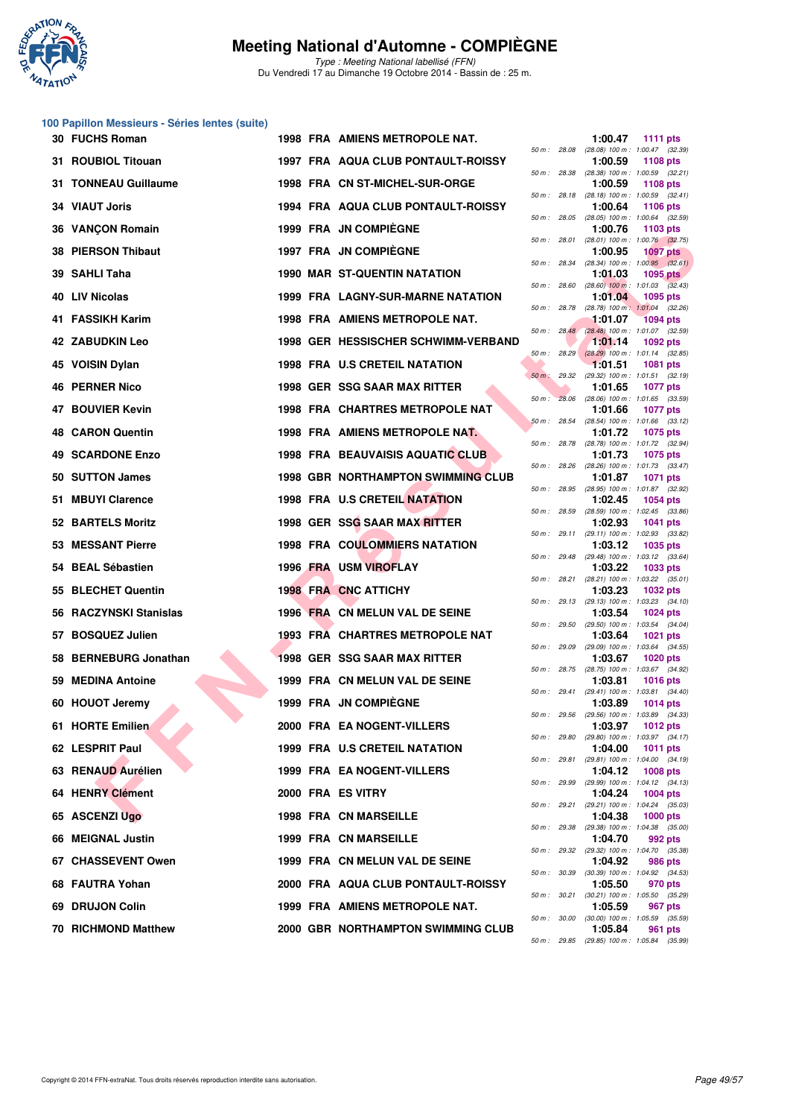

Type : Meeting National labellisé (FFN) Du Vendredi 17 au Dimanche 19 Octobre 2014 - Bassin de : 25 m.

# **100 Papillon Messieurs - Séries lentes (suite)**

| 30 FUCHS Roman             |  | 1998 FRA AMIENS METROPOLE NAT.            |                |              | 1:00.47                                                 | <b>1111 pts</b> |  |
|----------------------------|--|-------------------------------------------|----------------|--------------|---------------------------------------------------------|-----------------|--|
| 31 ROUBIOL Titouan         |  | 1997 FRA AQUA CLUB PONTAULT-ROISSY        |                | 50 m : 28.08 | (28.08) 100 m: 1:00.47 (32.39)<br>1:00.59               | 1108 pts        |  |
| 31 TONNEAU Guillaume       |  | 1998 FRA CN ST-MICHEL-SUR-ORGE            |                | 50 m : 28.38 | $(28.38)$ 100 m : 1:00.59 $(32.21)$<br>1:00.59          | 1108 pts        |  |
| <b>34 VIAUT Joris</b>      |  | 1994 FRA AQUA CLUB PONTAULT-ROISSY        |                | 50 m : 28.18 | $(28.18)$ 100 m : 1:00.59 $(32.41)$<br>1:00.64          | 1106 pts        |  |
| 36 VANÇON Romain           |  | 1999 FRA JN COMPIEGNE                     |                | 50 m : 28.05 | $(28.05)$ 100 m : 1:00.64 $(32.59)$<br>1:00.76          | 1103 pts        |  |
| 38 PIERSON Thibaut         |  | 1997 FRA JN COMPIEGNE                     | 50 m: 28.01    |              | $(28.01)$ 100 m : 1:00.76 $(32.75)$<br>1:00.95          | <b>1097 pts</b> |  |
| 39 SAHLI Taha              |  | <b>1990 MAR ST-QUENTIN NATATION</b>       | 50 m : 28.34   |              | $(28.34)$ 100 m : 1:00.95 $(32.61)$<br>1:01.03          | 1095 pts        |  |
| 40 LIV Nicolas             |  | 1999 FRA LAGNY-SUR-MARNE NATATION         |                | 50 m : 28.60 | $(28.60)$ 100 m : 1:01.03 $(32.43)$<br>1:01.04          | 1095 pts        |  |
| 41 FASSIKH Karim           |  | 1998 FRA AMIENS METROPOLE NAT.            | 50 m : 28.78   |              | $(28.78)$ 100 m : 1:01.04 $(32.26)$<br>1:01.07          | <b>1094 pts</b> |  |
| 42 ZABUDKIN Leo            |  | 1998 GER HESSISCHER SCHWIMM-VERBAND       |                |              | 50 m : 28.48 (28.48) 100 m : 1:01.07 (32.59)<br>1:01.14 | 1092 pts        |  |
| 45 VOISIN Dylan            |  | 1998 FRA U.S CRETEIL NATATION             |                | 50 m: 28.29  | $(28.29)$ 100 m : 1:01.14 $(32.85)$<br>1:01.51          | <b>1081 pts</b> |  |
| 46 PERNER Nico             |  | 1998 GER SSG SAAR MAX RITTER              | $50 m$ : 29.32 |              | (29.32) 100 m: 1:01.51 (32.19)<br>1:01.65               | <b>1077 pts</b> |  |
| <b>47 BOUVIER Kevin</b>    |  | <b>1998 FRA CHARTRES METROPOLE NAT</b>    | $50 m$ :       | 28.06        | $(28.06)$ 100 m : 1:01.65 $(33.59)$                     | <b>1077 pts</b> |  |
|                            |  |                                           | 50 m: 28.54    |              | 1:01.66<br>(28.54) 100 m: 1:01.66 (33.12)               |                 |  |
| <b>48 CARON Quentin</b>    |  | <b>1998 FRA AMIENS METROPOLE NAT.</b>     |                |              | 1:01.72<br>50 m: 28.78 (28.78) 100 m: 1:01.72 (32.94)   | 1075 pts        |  |
| 49 SCARDONE Enzo           |  | <b>1998 FRA BEAUVAISIS AQUATIC CLUB</b>   | 50 m : 28.26   |              | 1:01.73<br>$(28.26)$ 100 m : 1:01.73 $(33.47)$          | <b>1075 pts</b> |  |
| 50 SUTTON James            |  | <b>1998 GBR NORTHAMPTON SWIMMING CLUB</b> |                |              | 1:01.87<br>50 m : 28.95 (28.95) 100 m : 1:01.87 (32.92) | <b>1071 pts</b> |  |
| 51 MBUYI Clarence          |  | 1998 FRA U.S CRETEIL NATATION             | 50 m : 28.59   |              | 1:02.45<br>$(28.59)$ 100 m : 1:02.45 $(33.86)$          | <b>1054 pts</b> |  |
| 52 BARTELS Moritz          |  | 1998 GER SSG SAAR MAX RITTER              |                | 50 m : 29.11 | 1:02.93<br>(29.11) 100 m: 1:02.93 (33.82)               | <b>1041 pts</b> |  |
| <b>53 MESSANT Pierre</b>   |  | <b>1998 FRA COULOMMIERS NATATION</b>      |                |              | 1:03.12<br>50 m: 29.48 (29.48) 100 m: 1:03.12 (33.64)   | 1035 pts        |  |
| 54 BEAL Sébastien          |  | 1996 FRA USM VIROFLAY                     |                | 50 m : 28.21 | 1:03.22<br>$(28.21)$ 100 m : 1:03.22 $(35.01)$          | 1033 pts        |  |
| 55 BLECHET Quentin         |  | <b>1998 FRA CNC ATTICHY</b>               |                |              | 1:03.23                                                 | <b>1032 pts</b> |  |
| 56 RACZYNSKI Stanislas     |  | 1996 FRA CN MELUN VAL DE SEINE            |                |              | 50 m: 29.13 (29.13) 100 m: 1:03.23 (34.10)<br>1:03.54   | <b>1024 pts</b> |  |
| 57 BOSQUEZ Julien          |  | 1993 FRA CHARTRES METROPOLE NAT           | 50 m : 29.50   |              | (29.50) 100 m: 1:03.54 (34.04)<br>1:03.64               | <b>1021 pts</b> |  |
| 58 BERNEBURG Jonathan      |  | <b>1998 GER SSG SAAR MAX RITTER</b>       |                | 50 m : 29.09 | (29.09) 100 m: 1:03.64 (34.55)<br>1:03.67               | <b>1020 pts</b> |  |
| 59 MEDINA Antoine          |  | 1999 FRA CN MELUN VAL DE SEINE            | 50 m : 28.75   |              | (28.75) 100 m : 1:03.67 (34.92)<br>1:03.81              | <b>1016 pts</b> |  |
| 60 HOUOT Jeremy            |  | <b>1999 FRA JN COMPIEGNE</b>              |                | 50 m : 29.41 | (29.41) 100 m: 1:03.81 (34.40)<br>1:03.89               | <b>1014 pts</b> |  |
| 61 HORTE Emilien           |  | 2000 FRA EA NOGENT-VILLERS                | 50 m : 29.56   |              | $(29.56)$ 100 m : 1:03.89 $(34.33)$<br>1:03.97 1012 pts |                 |  |
| 62 LESPRIT Paul            |  | 1999 FRA U.S CRETEIL NATATION             |                |              | 50 m : 29.80 (29.80) 100 m : 1:03.97 (34.17)<br>1:04.00 | <b>1011 pts</b> |  |
| 63 RENAUD Aurélien         |  | 1999 FRA EA NOGENT-VILLERS                |                |              | 50 m: 29.81 (29.81) 100 m: 1:04.00 (34.19)<br>1:04.12   | <b>1008 pts</b> |  |
| 64 HENRY Clément           |  | 2000 FRA ES VITRY                         |                | 50 m : 29.99 | (29.99) 100 m : 1:04.12 (34.13)<br>1:04.24              | 1004 pts        |  |
| 65 ASCENZI Ugo             |  | <b>1998 FRA CN MARSEILLE</b>              |                | 50 m : 29.21 | (29.21) 100 m: 1:04.24 (35.03)<br>1:04.38               | <b>1000 pts</b> |  |
| 66 MEIGNAL Justin          |  | 1999 FRA CN MARSEILLE                     |                | 50 m : 29.38 | (29.38) 100 m : 1:04.38 (35.00)<br>1:04.70              | 992 pts         |  |
| 67 CHASSEVENT Owen         |  | 1999 FRA CN MELUN VAL DE SEINE            |                |              | 50 m : 29.32 (29.32) 100 m : 1:04.70 (35.38)<br>1:04.92 | 986 pts         |  |
| 68 FAUTRA Yohan            |  |                                           |                |              | 50 m : 30.39 (30.39) 100 m : 1:04.92 (34.53)            |                 |  |
|                            |  | 2000 FRA AQUA CLUB PONTAULT-ROISSY        |                |              | 1:05.50<br>50 m: 30.21 (30.21) 100 m: 1:05.50 (35.29)   | 970 pts         |  |
| 69 DRUJON Colin            |  | 1999 FRA AMIENS METROPOLE NAT.            |                |              | 1:05.59<br>50 m : 30.00 (30.00) 100 m : 1:05.59 (35.59) | 967 pts         |  |
| <b>70 RICHMOND Matthew</b> |  | 2000 GBR NORTHAMPTON SWIMMING CLUB        |                |              | 1:05.84                                                 | 961 pts         |  |

|          |       | 1:00.47                      | <b>1111 pts</b>                       |
|----------|-------|------------------------------|---------------------------------------|
| $50 m$ : | 28.08 | $(28.08) 100 m$ :<br>1:00.59 | 1:00.47 (32.39)<br>1108 pts           |
| $50 m$ : | 28.38 | $(28.38) 100 m$ :            | 1:00.59<br>(32.21)                    |
|          |       | 1:00.59                      | 1108 pts                              |
| $50 m$ : | 28.18 | $(28.18) 100 m$ :<br>1:00.64 | (32.41)<br>1:00.59<br><b>1106 pts</b> |
| $50 m$ : | 28.05 | $(28.05)$ 100 m :            | 1:00.64<br>(32.59)                    |
|          |       | 1:00.76                      | 1103 pts                              |
| $50 m$ : | 28.01 | $(28.01)$ 100 m :<br>1:00.95 | 1:00.76 (32.75)<br><b>1097 pts</b>    |
| $50 m$ : | 28.34 | $(28.34) 100 m$ :            | 1:00.95 (32.61)                       |
|          |       | 1:01.03                      | <b>1095 pts</b>                       |
| $50 m$ : | 28.60 | $(28.60)$ 100 m :<br>1:01.04 | 1:01.03<br>(32.43)<br>1095 pts        |
| $50 m$ : | 28.78 | $(28.78) 100 m$ :            | 1:01.04<br>(32.26)                    |
|          |       | 1:01.07                      | <b>1094 pts</b>                       |
| 50 m :   | 28.48 | $(28.48) 100 m$ :<br>1:01.14 | 1:01.07 (32.59)<br>1092 pts           |
| $50 m$ : | 28.29 | $(28.29)$ 100 m :            | 1:01.14<br>(32.85)                    |
|          |       | 1:01.51                      | 1081 pts                              |
| $50 m$ : | 29.32 | (29.32) 100 m :<br>1:01.65   | 1:01.51<br>(32.19)<br><b>1077 pts</b> |
| $50 m$ : | 28.06 | $(28.06)$ 100 m :            | 1:01.65<br>(33.59)                    |
|          |       | 1:01.66                      | <b>1077 pts</b>                       |
| $50 m$ : | 28.54 | $(28.54)$ 100 m :<br>1:01.72 | 1:01.66<br>(33.12)<br><b>1075 pts</b> |
| $50 m$ : | 28.78 | (28.78) 100 m :              | 1:01.72<br>(32.94)                    |
|          |       | 1:01.73                      | 1075 pts                              |
| $50 m$ : | 28.26 | $(28.26)$ 100 m :<br>1:01.87 | (33.47)<br>1:01.73<br>1071 pts        |
| $50 m$ : | 28.95 | (28.95) 100 m :              | 1:01.87 (32.92)                       |
|          |       | 1:02.45                      | 1054 pts                              |
| $50 m$ : | 28.59 | (28.59) 100 m :<br>1:02.93   | 1:02.45<br>(33.86)<br>1041 pts        |
| 50 m :   | 29.11 | $(29.11)$ 100 m :            | 1:02.93<br>(33.82)                    |
|          |       | 1:03.12                      | 1035 pts                              |
| $50 m$ : | 29.48 | (29.48) 100 m :<br>1:03.22   | 1:03.12<br>(33.64)<br>1033 pts        |
| $50 m$ : | 28.21 | $(28.21)$ 100 m :            | 1:03.22<br>(35.01)                    |
|          |       | 1:03.23                      | 1032 pts                              |
| $50 m$ : | 29.13 | $(29.13) 100 m$ :<br>1:03.54 | 1:03.23<br>(34.10)<br>1024 pts        |
| $50 m$ : | 29.50 | (29.50) 100 m :              | 1:03.54<br>(34.04)                    |
|          |       | 1:03.64                      | 1021 pts                              |
| $50 m$ : | 29.09 | (29.09) 100 m :<br>1:03.67   | (34.55)<br>1:03.64<br>1020 pts        |
| $50 m$ : | 28.75 | $(28.75)$ 100 m :            | 1:03.67<br>(34.92)                    |
|          |       | 1:03.81                      | <b>1016 pts</b>                       |
| $50 m$ : | 29.41 | $(29.41)$ 100 m :<br>1:03.89 | 1:03.81<br>(34.40)<br>1014 pts        |
| 50 m :   | 29.56 | $(29.56)$ 100 m :            | 1:03.89<br>(34.33)                    |
|          |       | 1:03.97                      | 1012 pts                              |
| 50 m :   | 29.80 | $(29.80)$ 100 m :<br>1:04.00 | 1:03.97<br>(34.17)<br>1011<br>pts     |
| $50 m$ : | 29.81 | $(29.81)$ 100 m :            | 1:04.00<br>(34.19)                    |
|          |       | 1:04.12                      | 1008 pts                              |
| $50 m$ : | 29.99 | (29.99) 100 m :<br>1:04.24   | 1:04.12<br>(34.13)<br>1004 pts        |
| 50 m :   | 29.21 | $(29.21)$ 100 m :            | 1:04.24<br>(35.03)                    |
|          |       | 1:04.38                      | 1000 pts                              |
| $50 m$ : | 29.38 | $(29.38) 100 m$ :<br>1:04.70 | 1:04.38<br>(35.00)<br>992 pts         |
| $50 m$ : | 29.32 | (29.32) 100 m :              | 1:04.70<br>(35.38)                    |
| $50 m$ : | 30.39 | 1:04.92<br>$(30.39)$ 100 m : | 986 pts<br>1:04.92<br>(34.53)         |
|          |       | 1:05.50                      | 970 pts                               |
| $50 m$ : | 30.21 | $(30.21)$ 100 m :            | 1:05.50<br>(35.29)                    |
| $50 m$ : | 30.00 | 1:05.59<br>$(30.00)$ 100 m : | 967<br>pts<br>1:05.59<br>(35.59)      |
|          |       | 1:05.84                      | 961 pts                               |
| 50 m :   | 29.85 |                              | (29.85) 100 m: 1:05.84 (35.99)        |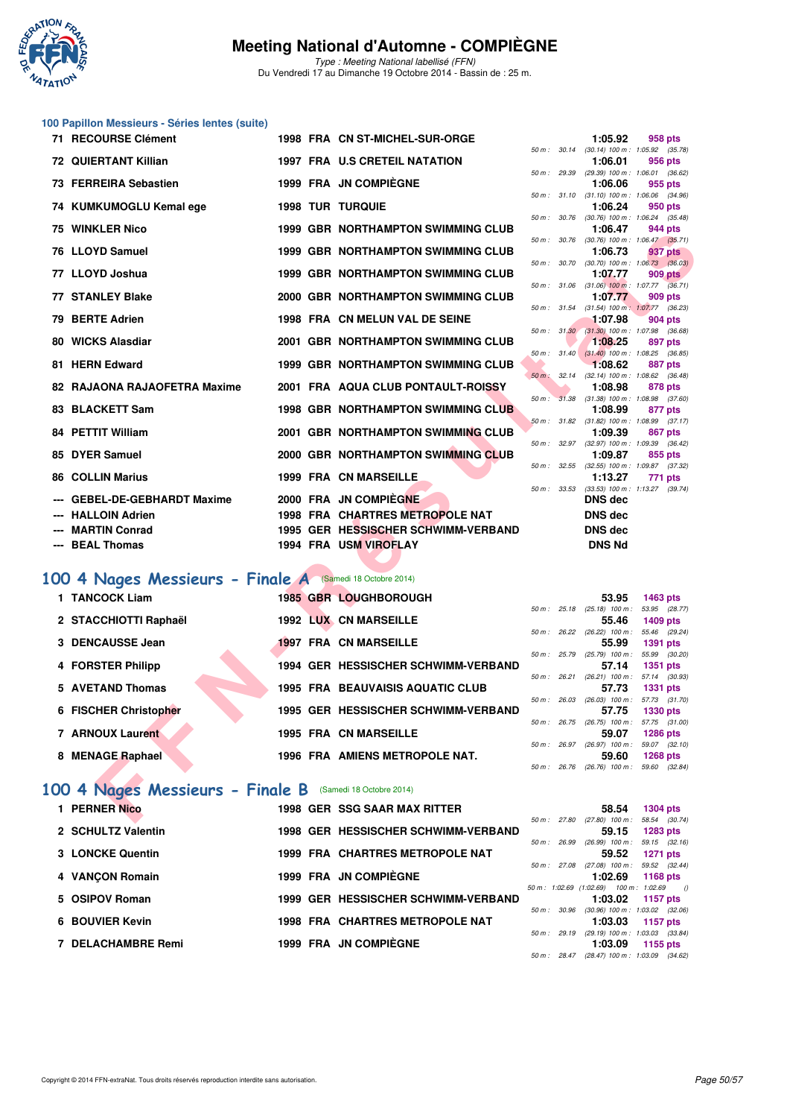

Type : Meeting National labellisé (FFN) Du Vendredi 17 au Dimanche 19 Octobre 2014 - Bassin de : 25 m.

## **100 Papillon Messieurs - Séries lentes (suite)**

| 71 RECOURSE Clément                                      |  | 1998 FRA CN ST-MICHEL-SUR-ORGE                               |              |              | 1:05.92                                                 | <b>958 pts</b>                   |         |
|----------------------------------------------------------|--|--------------------------------------------------------------|--------------|--------------|---------------------------------------------------------|----------------------------------|---------|
| <b>72 QUIERTANT Killian</b>                              |  | <b>1997 FRA U.S CRETEIL NATATION</b>                         |              |              | 50 m: 30.14 (30.14) 100 m: 1:05.92 (35.78)<br>1:06.01   | 956 pts                          |         |
| 73 FERREIRA Sebastien                                    |  | 1999 FRA JN COMPIEGNE                                        |              | 50 m : 29.39 | (29.39) 100 m: 1:06.01 (36.62)<br>1:06.06               | 955 pts                          |         |
| 74 KUMKUMOGLU Kemal ege                                  |  | <b>1998 TUR TURQUIE</b>                                      |              |              | 50 m: 31.10 (31.10) 100 m: 1:06.06 (34.96)<br>1:06.24   | 950 pts                          |         |
|                                                          |  |                                                              |              |              | 50 m: 30.76 (30.76) 100 m: 1:06.24 (35.48)              |                                  |         |
| <b>75 WINKLER Nico</b>                                   |  | <b>1999 GBR NORTHAMPTON SWIMMING CLUB</b>                    | 50 m: 30.76  |              | 1:06.47<br>$(30.76)$ 100 m : 1:06.47 $(35.71)$          | 944 pts                          |         |
| 76 LLOYD Samuel                                          |  | <b>1999 GBR NORTHAMPTON SWIMMING CLUB</b>                    |              |              | 1:06.73<br>50 m : 30.70 (30.70) 100 m : 1:06.73 (36.03) | 937 pts                          |         |
| 77 LLOYD Joshua                                          |  | <b>1999 GBR NORTHAMPTON SWIMMING CLUB</b>                    |              |              | 1:07.77                                                 | <b>909 pts</b>                   |         |
| <b>77 STANLEY Blake</b>                                  |  | 2000 GBR NORTHAMPTON SWIMMING CLUB                           | 50 m: 31.06  |              | $(31.06)$ 100 m : 1:07.77 $(36.71)$<br>1:07.77          | 909 pts                          |         |
| 79 BERTE Adrien                                          |  | 1998 FRA CN MELUN VAL DE SEINE                               |              |              | 50 m: 31.54 (31.54) 100 m: 1:07.77 (36.23)<br>1:07.98   | 904 pts                          |         |
| 80 WICKS Alasdiar                                        |  | 2001 GBR NORTHAMPTON SWIMMING CLUB                           |              | 50 m: 31.30  | $(31.30)$ 100 m : 1:07.98 $(36.68)$                     |                                  |         |
|                                                          |  |                                                              |              |              | 1:08.25<br>50 m : 31.40 (31.40) 100 m : 1:08.25 (36.85) | 897 pts                          |         |
| 81 HERN Edward                                           |  | <b>1999 GBR NORTHAMPTON SWIMMING CLUB</b>                    | 50 m : 32.14 |              | 1:08.62<br>(32.14) 100 m: 1:08.62 (36.48)               | <b>887 pts</b>                   |         |
| 82 RAJAONA RAJAOFETRA Maxime                             |  | 2001 FRA AQUA CLUB PONTAULT-ROISSY                           |              |              | 1:08.98                                                 | 878 pts                          |         |
| 83 BLACKETT Sam                                          |  | <b>1998 GBR NORTHAMPTON SWIMMING CLUB</b>                    | 50 m : 31.38 |              | $(31.38)$ 100 m : 1:08.98 $(37.60)$<br>1:08.99          | 877 pts                          |         |
| 84 PETTIT William                                        |  | 2001 GBR NORTHAMPTON SWIMMING CLUB                           |              |              | 50 m: 31.82 (31.82) 100 m: 1:08.99 (37.17)<br>1:09.39   | 867 pts                          |         |
| 85 DYER Samuel                                           |  | 2000 GBR NORTHAMPTON SWIMMING CLUB                           | 50 m: 32.97  |              | (32.97) 100 m: 1:09.39 (36.42)                          |                                  |         |
|                                                          |  |                                                              | 50 m: 32.55  |              | 1:09.87<br>(32.55) 100 m : 1:09.87 (37.32)              | 855 pts                          |         |
| <b>86 COLLIN Marius</b>                                  |  | <b>1999 FRA CN MARSEILLE</b>                                 | 50 m: 33.53  |              | 1:13.27<br>$(33.53)$ 100 m : 1:13.27 $(39.74)$          | 771 pts                          |         |
| <b>GEBEL-DE-GEBHARDT Maxime</b>                          |  | 2000 FRA JN COMPIEGNE                                        |              |              | DNS dec                                                 |                                  |         |
| <b>HALLOIN Adrien</b>                                    |  | 1998 FRA CHARTRES METROPOLE NAT                              |              |              | <b>DNS dec</b>                                          |                                  |         |
| <b>MARTIN Conrad</b><br>--- BEAL Thomas                  |  | 1995 GER HESSISCHER SCHWIMM-VERBAND<br>1994 FRA USM VIROFLAY |              |              | DNS dec<br><b>DNS Nd</b>                                |                                  |         |
|                                                          |  |                                                              |              |              |                                                         |                                  |         |
| 00 4 Nages Messieurs - Finale A (Samedi 18 Octobre 2014) |  |                                                              |              |              |                                                         |                                  |         |
| 1 TANCOCK Liam                                           |  | 1985 GBR LOUGHBOROUGH                                        |              |              | 53.95                                                   | 1463 pts                         |         |
| 2 STACCHIOTTI Raphaël                                    |  | <b>1992 LUX CN MARSEILLE</b>                                 |              |              | 50 m: 25.18 (25.18) 100 m: 53.95 (28.77)<br>55.46       | 1409 pts                         |         |
|                                                          |  |                                                              |              |              | 50 m: 26.22 (26.22) 100 m: 55.46 (29.24)                |                                  |         |
| 3 DENCAUSSE Jean                                         |  | <b>1997 FRA CN MARSEILLE</b>                                 |              |              | 55.99<br>50 m: 25.79 (25.79) 100 m: 55.99 (30.20)       | <b>1391 pts</b>                  |         |
| 4 FORSTER Philipp                                        |  | 1994 GER HESSISCHER SCHWIMM-VERBAND                          |              |              | 57.14<br>50 m : 26.21 (26.21) 100 m :                   | <b>1351 pts</b><br>57.14 (30.93) |         |
| 5 AVETAND Thomas                                         |  | <b>1995 FRA BEAUVAISIS AQUATIC CLUB</b>                      |              |              | 57.73                                                   | <b>1331 pts</b>                  |         |
| 6 FISCHER Christopher                                    |  | 1995 GER HESSISCHER SCHWIMM-VERBAND                          |              |              | 50 m : 26.03 (26.03) 100 m : 57.73 (31.70)<br>57.75     | <b>1330 pts</b>                  |         |
| 7 ARNOUX Laurent                                         |  | <b>1995 FRA CN MARSEILLE</b>                                 |              |              | 50 m: 26.75 (26.75) 100 m: 57.75 (31.00)<br>59.07       | <b>1286 pts</b>                  |         |
|                                                          |  |                                                              |              |              | 50 m : 26.97 (26.97) 100 m : 59.07                      |                                  | (32.10) |
| 8 MENAGE Raphael                                         |  | 1996 FRA AMIENS METROPOLE NAT.                               |              |              | 59.60<br>50 m : 26.76 (26.76) 100 m : 59.60 (32.84)     | 1268 pts                         |         |
| 00 4 Nages Messieurs - Finale B (Samedi 18 Octobre 2014) |  |                                                              |              |              |                                                         |                                  |         |
| 1 PERNER Nico                                            |  | <b>1998 GER SSG SAAR MAX RITTER</b>                          |              |              | 58.54                                                   | <b>1304 pts</b>                  |         |
|                                                          |  |                                                              |              |              | 50 m : 27.80 (27.80) 100 m : 58.54 (30.74)              |                                  |         |

#### **[100 4 Nages Messieurs - Finale A](http://www.ffnatation.fr/webffn/resultats.php?idact=nat&go=epr&idcpt=24767&idepr=90)** (Samedi 18 Octobre 2014)

| 1 TANCOCK Liam          | <b>1985 GBR LOUGHBOROUGH</b>            |                        |       | 53.95                             | 1463 pts                         |
|-------------------------|-----------------------------------------|------------------------|-------|-----------------------------------|----------------------------------|
|                         |                                         | $50 \text{ m}$ : 25.18 |       | $(25.18)$ 100 m :                 | 53.95 (28.77)                    |
| 2 STACCHIOTTI Raphaël   | <b>1992 LUX CN MARSEILLE</b>            |                        |       | 55.46                             | 1409 pts                         |
|                         |                                         | 50 m: 26.22            |       | $(26.22)$ 100 m :                 | 55.46 (29.24)                    |
| 3 DENCAUSSE Jean        | <b>1997 FRA CN MARSEILLE</b>            |                        |       | 55.99                             | 1391 pts                         |
| 4 FORSTER Philipp       | 1994 GER HESSISCHER SCHWIMM-VERBAND     | $50 \text{ m}$ : 25.79 |       | $(25.79)$ 100 m :<br>57.14        | 55.99 (30.20)<br><b>1351 pts</b> |
|                         |                                         | $50 m$ : 26.21         |       | $(26.21)$ 100 m :                 | 57.14 (30.93)                    |
| 5 AVETAND Thomas        | <b>1995 FRA BEAUVAISIS AQUATIC CLUB</b> |                        |       | 57.73                             | <b>1331 pts</b>                  |
|                         |                                         | 50 m: 26.03            |       | $(26.03)$ 100 m :                 | 57.73 (31.70)                    |
| 6 FISCHER Christopher   | 1995 GER HESSISCHER SCHWIMM-VERBAND     |                        |       | 57.75                             | <b>1330 pts</b>                  |
| <b>7 ARNOUX Laurent</b> | <b>1995 FRA CN MARSEILLE</b>            | 50 m :                 | 26.75 | $(26.75)$ 100 m :                 | 57.75 (31.00)                    |
|                         |                                         | 50 m: 26.97            |       | 59.07<br>$(26.97)$ 100 m :        | <b>1286 pts</b><br>59.07 (32.10) |
| 8 MENAGE Raphael        | <b>1996 FRA AMIENS METROPOLE NAT.</b>   |                        |       | 59.60                             | <b>1268 pts</b>                  |
|                         |                                         | 50 m: 26.76            |       | $(26.76)$ 100 m : 59.60 $(32.84)$ |                                  |
|                         |                                         |                        |       |                                   |                                  |

#### **[100 4 Nages Messieurs - Finale B](http://www.ffnatation.fr/webffn/resultats.php?idact=nat&go=epr&idcpt=24767&idepr=90)** (Samedi 18 Octobre 2014)

| 1 PERNER Nico      |  | <b>1998 GER SSG SAAR MAX RITTER</b>    |              | 58.54                                      | <b>1304 pts</b> |  |
|--------------------|--|----------------------------------------|--------------|--------------------------------------------|-----------------|--|
|                    |  |                                        | 50 m : 27.80 | $(27.80)$ 100 m :                          | 58.54 (30.74)   |  |
| 2 SCHULTZ Valentin |  | 1998 GER HESSISCHER SCHWIMM-VERBAND    |              | 59.15                                      | <b>1283 pts</b> |  |
|                    |  |                                        | 50 m : 26.99 | $(26.99)$ 100 m :                          | 59.15 (32.16)   |  |
| 3 LONCKE Quentin   |  | 1999 FRA CHARTRES METROPOLE NAT        |              | 59.52                                      | 1271 pts        |  |
|                    |  |                                        | 50 m : 27.08 | $(27.08)$ 100 m : 59.52 $(32.44)$          |                 |  |
| 4 VANCON Romain    |  | 1999 FRA JN COMPIÈGNE                  |              | 1:02.69                                    | 1168 pts        |  |
|                    |  |                                        |              | 50 m: 1:02.69 (1:02.69) 100 m: 1:02.69 ()  |                 |  |
| 5 OSIPOV Roman     |  | 1999 GER HESSISCHER SCHWIMM-VERBAND    |              | 1:03.02                                    | 1157 pts        |  |
|                    |  |                                        | 50 m: 30.96  | $(30.96)$ 100 m : 1:03.02 $(32.06)$        |                 |  |
| 6 BOUVIER Kevin    |  | <b>1998 FRA CHARTRES METROPOLE NAT</b> |              | 1:03.03                                    | 1157 pts        |  |
|                    |  |                                        | 50 m: 29.19  | $(29.19)$ 100 m : 1:03.03 $(33.84)$        |                 |  |
| 7 DELACHAMBRE Remi |  | 1999 FRA JN COMPIÈGNE                  |              | 1:03.09                                    | 1155 pts        |  |
|                    |  |                                        |              | 50 m: 28.47 (28.47) 100 m: 1:03.09 (34.62) |                 |  |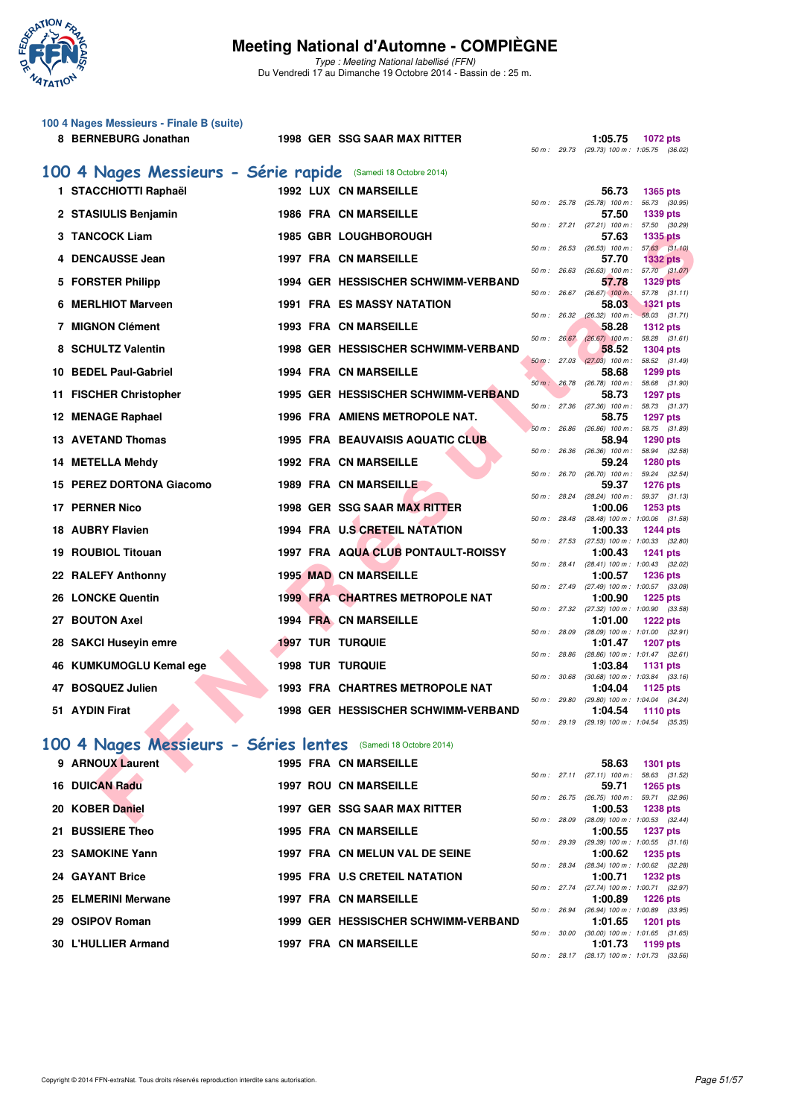

Type : Meeting National labellisé (FFN) Du Vendredi 17 au Dimanche 19 Octobre 2014 - Bassin de : 25 m.

| 100 4 Nages Messieurs - Finale B (suite)<br>8 BERNEBURG Jonathan                   | 1998 GER SSG SAAR MAX RITTER            | 50 m : 29.73 | 1:05.75<br>1072 pts<br>(29.73) 100 m : 1:05.75 (36.02)                   |
|------------------------------------------------------------------------------------|-----------------------------------------|--------------|--------------------------------------------------------------------------|
| 100 4 Nages Messieurs - Série rapide (Samedi 18 Octobre 2014)                      |                                         |              |                                                                          |
| 1 STACCHIOTTI Raphaël                                                              | <b>1992 LUX CN MARSEILLE</b>            |              | 56.73<br><b>1365 pts</b>                                                 |
| 2 STASIULIS Benjamin                                                               | <b>1986 FRA CN MARSEILLE</b>            | 50 m: 25.78  | (25.78) 100 m : 56.73 (30.95)<br>57.50<br><b>1339 pts</b>                |
| 3 TANCOCK Liam                                                                     | <b>1985 GBR LOUGHBOROUGH</b>            | 50 m: 27.21  | $(27.21)$ 100 m :<br>57.50 (30.29)<br>57.63<br><b>1335 pts</b>           |
| 4 DENCAUSSE Jean                                                                   | <b>1997 FRA CN MARSEILLE</b>            | 50 m: 26.53  | $(26.53)$ 100 m : 57.63 $(31.10)$<br>57.70<br><b>1332 pts</b>            |
|                                                                                    |                                         | 50 m: 26.63  | $(26.63)$ 100 m :<br>57.70 (31.07)                                       |
| 5 FORSTER Philipp                                                                  | 1994 GER HESSISCHER SCHWIMM-VERBAND     | 50 m: 26.67  | 57.78<br><b>1329 pts</b><br>$(26.67)$ 100 m:<br>57.78 (31.11)            |
| <b>MERLHIOT Marveen</b><br>6                                                       | <b>1991 FRA ES MASSY NATATION</b>       | 50 m: 26.32  | 58.03<br><b>1321 pts</b><br>$(26.32)$ 100 m :<br>58.03 (31.71)           |
| <b>7 MIGNON Clément</b>                                                            | <b>1993 FRA CN MARSEILLE</b>            | 50 m : 26.67 | 58.28<br><b>1312 pts</b><br>$(26.67)$ 100 m :<br>58.28 (31.61)           |
| <b>SCHULTZ Valentin</b><br>8                                                       | 1998 GER HESSISCHER SCHWIMM-VERBAND     | 50 m: 27.03  | 58.52<br><b>1304 pts</b><br>$(27.03)$ 100 m :<br>58.52 (31.49)           |
| 10 BEDEL Paul-Gabriel                                                              | <b>1994 FRA CN MARSEILLE</b>            | 50 m: 26.78  | 58.68<br>1299 pts<br>$(26.78)$ 100 m : 58.68 $(31.90)$                   |
| 11 FISCHER Christopher                                                             | 1995 GER HESSISCHER SCHWIMM-VERBAND     |              | 58.73<br><b>1297 pts</b><br>50 m: 27.36 (27.36) 100 m: 58.73 (31.37)     |
| 12 MENAGE Raphael                                                                  | 1996 FRA AMIENS METROPOLE NAT.          |              | 58.75<br><b>1297 pts</b>                                                 |
| <b>13 AVETAND Thomas</b>                                                           | <b>1995 FRA BEAUVAISIS AQUATIC CLUB</b> | 50 m: 26.86  | $(26.86)$ 100 m :<br>58.75 (31.89)<br>58.94<br>1290 pts                  |
| 14 METELLA Mehdy                                                                   | <b>1992 FRA CN MARSEILLE</b>            | 50 m: 26.36  | $(26.36)$ 100 m :<br>58.94 (32.58)<br>59.24<br><b>1280 pts</b>           |
| 15 PEREZ DORTONA Giacomo                                                           | <b>1989 FRA CN MARSEILLE</b>            | 50 m: 26.70  | $(26.70)$ 100 m :<br>59.24 (32.54)<br>59.37<br><b>1276 pts</b>           |
| <b>PERNER Nico</b><br>17                                                           | 1998 GER SSG SAAR MAX RITTER            | 50 m: 28.24  | $(28.24)$ 100 m :<br>59.37 (31.13)<br>1:00.06<br>1253 pts                |
| <b>18 AUBRY Flavien</b>                                                            | <b>1994 FRA U.S CRETEIL NATATION</b>    |              | 50 m : 28.48 (28.48) 100 m : 1:00.06 (31.58)<br>1:00.33<br>1244 pts      |
| <b>ROUBIOL Titouan</b><br>19                                                       | 1997 FRA AQUA CLUB PONTAULT-ROISSY      | 50 m : 27.53 | $(27.53)$ 100 m : 1:00.33 $(32.80)$<br>1:00.43                           |
|                                                                                    |                                         |              | 1241 pts<br>50 m: 28.41 (28.41) 100 m: 1:00.43 (32.02)                   |
| 22 RALEFY Anthonny                                                                 | <b>1995 MAD CN MARSEILLE</b>            | 50 m : 27.49 | 1:00.57<br><b>1236 pts</b><br>(27.49) 100 m: 1:00.57 (33.08)             |
| 26 LONCKE Quentin                                                                  | <b>1999 FRA CHARTRES METROPOLE NAT</b>  | 50 m : 27.32 | 1:00.90<br><b>1225 pts</b><br>$(27.32)$ 100 m : 1:00.90 $(33.58)$        |
| 27 BOUTON Axel                                                                     | <b>1994 FRA CN MARSEILLE</b>            | 50 m : 28.09 | 1:01.00<br><b>1222 pts</b><br>$(28.09)$ 100 m : 1:01.00 $(32.91)$        |
| <b>SAKCI Huseyin emre</b><br>28                                                    | <b>1997 TUR TURQUIE</b>                 | 50 m : 28.86 | 1:01.47<br><b>1207 pts</b><br>$(28.86)$ 100 m : 1:01.47 $(32.61)$        |
| 46 KUMKUMOGLU Kemal ege                                                            | <b>1998 TUR TURQUIE</b>                 | 50 m : 30.68 | 1:03.84<br>1131 pts<br>$(30.68)$ 100 m : 1:03.84 $(33.16)$               |
| 47 BOSQUEZ Julien                                                                  | <b>1993 FRA CHARTRES METROPOLE NAT</b>  | 50 m : 29.80 | 1:04.04<br>1125 pts<br>(29.80) 100 m : 1:04.04 (34.24)                   |
| 51 AYDIN Firat                                                                     | 1998 GER HESSISCHER SCHWIMM-VERBAND     |              | 1:04.54<br>1110 pts                                                      |
|                                                                                    |                                         |              | 50 m : 29.19 (29.19) 100 m : 1:04.54 (35.35)                             |
| 100 4 Nages Messieurs - Séries lentes (Samedi 18 Octobre 2014)<br>9 ARNOUX Laurent | <b>1995 FRA CN MARSEILLE</b>            |              | 58.63                                                                    |
|                                                                                    |                                         |              | <b>1301 pts</b><br>50 m: 27.11 (27.11) 100 m: 58.63 (31.52)              |
| <b>16 DUICAN Radu</b>                                                              | <b>1997 ROU CN MARSEILLE</b>            |              | 59.71<br>1265 pts<br>50 m: 26.75 (26.75) 100 m: 59.71 (32.96)            |
| 20 KOBER Daniel                                                                    | <b>1997 GER SSG SAAR MAX RITTER</b>     | 50 m : 28.09 | 1:00.53<br><b>1238 pts</b><br>(28.09) 100 m : 1:00.53 (32.44)            |
| 21 BUSSIERE Theo                                                                   | <b>1995 FRA CN MARSEILLE</b>            |              | 1:00.55<br><b>1237 pts</b><br>50 m: 29.39 (29.39) 100 m: 1:00.55 (31.16) |
| 23 SAMOKINE Yann                                                                   | 1997 FRA CN MELUN VAL DE SEINE          | 50 m : 28.34 | 1:00.62<br><b>1235 pts</b><br>(28.34) 100 m : 1:00.62 (32.28)            |
| 24 GAYANT Brice                                                                    | <b>1995 FRA U.S CRETEIL NATATION</b>    | 50 m : 27.74 | 1:00.71<br>1232 pts<br>(27.74) 100 m: 1:00.71 (32.97)                    |
| 25 ELMERINI Merwane                                                                | 1997 FRA CN MARSEILLE                   |              | 1:00.89<br><b>1226 pts</b>                                               |
| 29 OSIPOV Roman                                                                    | 1999 GER HESSISCHER SCHWIMM-VERBAND     | 50 m : 26.94 | $(26.94)$ 100 m : 1:00.89 $(33.95)$<br>1:01.65<br>1201 pts               |
| <b>30 L'HULLIER Armand</b>                                                         | 1997 FRA CN MARSEILLE                   |              | 50 m: 30.00 (30.00) 100 m: 1:01.65 (31.65)<br>1:01.73<br>1199 pts        |
|                                                                                    |                                         |              | 50 m: 28.17 (28.17) 100 m: 1:01.73 (33.56)                               |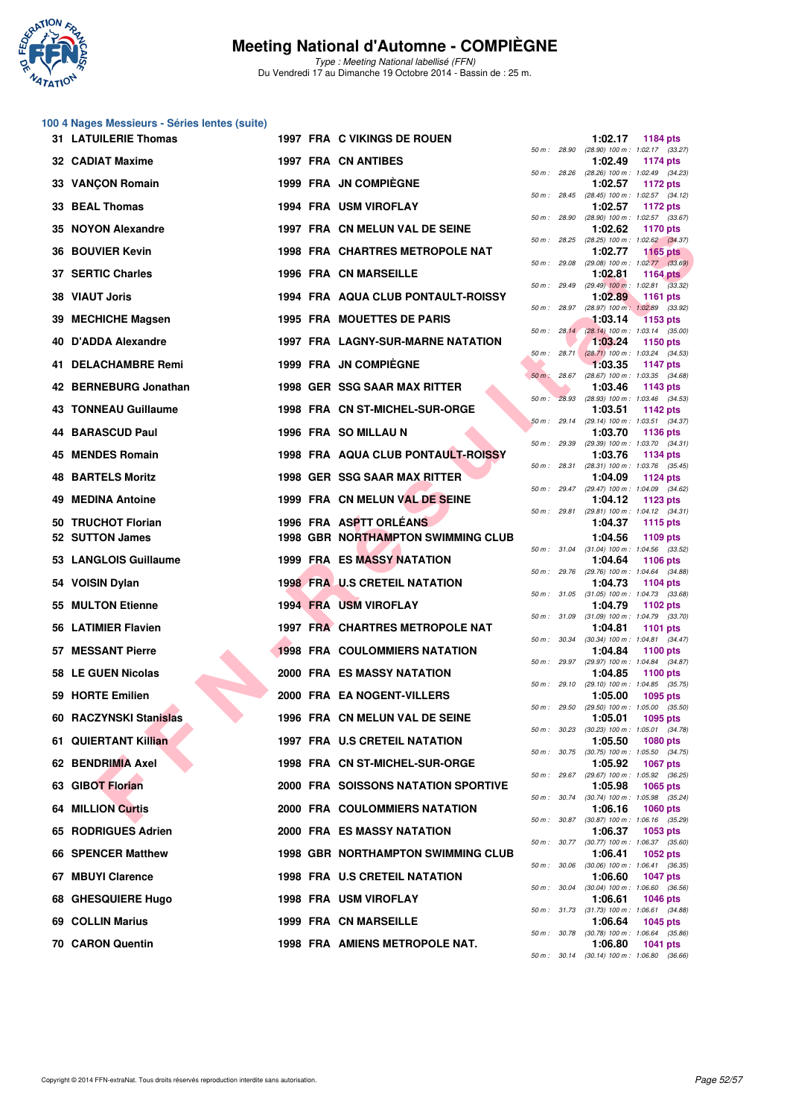

Type : Meeting National labellisé (FFN) Du Vendredi 17 au Dimanche 19 Octobre 2014 - Bassin de : 25 m.

#### **100 4 Nages Messieurs - Séries lentes (suite)**

|    | <b>31 LATUILERIE Thomas</b> |  | 1997 FRA C VIKINGS DE ROUEN                |             |              | 1:02.17 | <b>1184 pts</b>                                                 |
|----|-----------------------------|--|--------------------------------------------|-------------|--------------|---------|-----------------------------------------------------------------|
|    | 32 CADIAT Maxime            |  | <b>1997 FRA CN ANTIBES</b>                 | 50 m: 28.90 |              | 1:02.49 | (28.90) 100 m : 1:02.17 (33.27)<br><b>1174 pts</b>              |
|    | 33 VANÇON Romain            |  | 1999 FRA JN COMPIEGNE                      |             | 50 m : 28.26 | 1:02.57 | (28.26) 100 m : 1:02.49 (34.23)<br>1172 pts                     |
|    | 33 BEAL Thomas              |  | 1994 FRA USM VIROFLAY                      |             |              | 1:02.57 | 50 m: 28.45 (28.45) 100 m: 1:02.57 (34.12)<br>1172 pts          |
|    | 35 NOYON Alexandre          |  | 1997 FRA CN MELUN VAL DE SEINE             |             | 50 m : 28.90 | 1:02.62 | (28.90) 100 m: 1:02.57 (33.67)<br>1170 pts                      |
|    |                             |  |                                            |             |              |         | 50 m : 28.25 (28.25) 100 m : 1:02.62 (34.37)                    |
|    | <b>36 BOUVIER Kevin</b>     |  | 1998 FRA CHARTRES METROPOLE NAT            |             | 50 m : 29.08 | 1:02.77 | 1165 $pts$<br>$(29.08)$ 100 m : 1:02.77 $(33.69)$               |
|    | 37 SERTIC Charles           |  | <b>1996 FRA CN MARSEILLE</b>               |             |              | 1:02.81 | <b>1164 pts</b><br>50 m : 29.49 (29.49) 100 m : 1:02.81 (33.32) |
|    | 38 VIAUT Joris              |  | 1994 FRA AQUA CLUB PONTAULT-ROISSY         |             | 50 m : 28.97 | 1:02.89 | 1161 pts<br>(28.97) 100 m: 1:02.89 (33.92)                      |
|    | 39 MECHICHE Magsen          |  | 1995 FRA MOUETTES DE PARIS                 |             | 50 m: 28.14  | 1:03.14 | <b>1153 pts</b><br>$(28.14)$ 100 m : 1:03.14 (35.00)            |
|    | 40 D'ADDA Alexandre         |  | <b>1997 FRA LAGNY-SUR-MARNE NATATION</b>   |             |              | 1:03.24 | 1150 pts                                                        |
|    | 41 DELACHAMBRE Remi         |  | <b>1999 FRA JN COMPIEGNE</b>               |             |              | 1:03.35 | 50 m : 28.71 (28.71) 100 m : 1:03.24 (34.53)<br><b>1147 pts</b> |
|    | 42 BERNEBURG Jonathan       |  | 1998 GER SSG SAAR MAX RITTER               | $50 m$ :    | 28.67        | 1:03.46 | $(28.67)$ 100 m : 1:03.35 $(34.68)$<br>1143 pts                 |
|    | 43 TONNEAU Guillaume        |  | 1998 FRA CN ST-MICHEL-SUR-ORGE             |             |              | 1:03.51 | 50 m : 28.93 (28.93) 100 m : 1:03.46 (34.53)<br><b>1142 pts</b> |
|    | <b>44 BARASCUD Paul</b>     |  | 1996 FRA SO MILLAU N                       |             | 50 m: 29.14  | 1:03.70 | (29.14) 100 m: 1:03.51 (34.37)<br>1136 pts                      |
|    | 45 MENDES Romain            |  | 1998 FRA AQUA CLUB PONTAULT-ROISSY         |             | 50 m : 29.39 | 1:03.76 | (29.39) 100 m: 1:03.70 (34.31)                                  |
|    |                             |  |                                            |             | 50 m : 28.31 |         | 1134 pts<br>$(28.31)$ 100 m : 1:03.76 $(35.45)$                 |
|    | <b>48 BARTELS Moritz</b>    |  | 1998 GER SSG SAAR MAX RITTER               |             |              | 1:04.09 | 1124 pts<br>50 m: 29.47 (29.47) 100 m: 1:04.09 (34.62)          |
| 49 | <b>MEDINA Antoine</b>       |  | 1999 FRA CN MELUN VAL DE SEINE             |             |              | 1:04.12 | 1123 pts<br>50 m: 29.81 (29.81) 100 m: 1:04.12 (34.31)          |
|    | 50 TRUCHOT Florian          |  | 1996 FRA ASPTT ORLÉANS                     |             |              | 1:04.37 | 1115 pts                                                        |
|    | 52 SUTTON James             |  | <b>1998 GBR NORTHAMPTON SWIMMING CLUB</b>  |             |              | 1:04.56 | 1109 pts<br>50 m: 31.04 (31.04) 100 m: 1:04.56 (33.52)          |
|    | 53 LANGLOIS Guillaume       |  | <b>1999 FRA ES MASSY NATATION</b>          |             |              | 1:04.64 | 1106 pts<br>50 m : 29.76 (29.76) 100 m : 1:04.64 (34.88)        |
|    | 54 VOISIN Dylan             |  | <b>1998 FRA U.S CRETEIL NATATION</b>       |             |              | 1:04.73 | 1104 pts<br>50 m: 31.05 (31.05) 100 m: 1:04.73 (33.68)          |
|    | 55 MULTON Etienne           |  | <b>1994 FRA USM VIROFLAY</b>               |             |              | 1:04.79 | 1102 pts<br>50 m: 31.09 (31.09) 100 m: 1:04.79 (33.70)          |
|    | 56 LATIMIER Flavien         |  | 1997 FRA CHARTRES METROPOLE NAT            |             |              | 1:04.81 | <b>1101 pts</b>                                                 |
|    | 57 MESSANT Pierre           |  | <b>1998 FRA COULOMMIERS NATATION</b>       |             |              | 1:04.84 | 50 m: 30.34 (30.34) 100 m: 1:04.81 (34.47)<br>1100 pts          |
|    | 58 LE GUEN Nicolas          |  | <b>2000 FRA ES MASSY NATATION</b>          |             |              | 1:04.85 | 50 m: 29.97 (29.97) 100 m: 1:04.84 (34.87)<br>1100 pts          |
|    | 59 HORTE Emilien            |  | 2000 FRA EA NOGENT-VILLERS                 |             |              | 1:05.00 | 50 m: 29.10 (29.10) 100 m: 1:04.85 (35.75)<br>1095 pts          |
|    | 60 RACZYNSKI Stanislas      |  | 1996 FRA CN MELUN VAL DE SEINE             |             |              | 1:05.01 | 50 m : 29.50 (29.50) 100 m : 1:05.00 (35.50)<br>1095 pts        |
|    | 61 QUIERTANT Killian        |  | <b>1997 FRA U.S CRETEIL NATATION</b>       |             |              | 1:05.50 | 50 m: 30.23 (30.23) 100 m: 1:05.01 (34.78)<br><b>1080 pts</b>   |
|    |                             |  |                                            |             |              |         | 50 m: 30.75 (30.75) 100 m: 1:05.50 (34.75)                      |
|    | 62 BENDRIMIA Axel           |  | 1998 FRA CN ST-MICHEL-SUR-ORGE             |             |              | 1:05.92 | <b>1067 pts</b><br>50 m : 29.67 (29.67) 100 m : 1:05.92 (36.25) |
|    | 63 GIBOT Florian            |  | <b>2000 FRA SOISSONS NATATION SPORTIVE</b> |             |              | 1:05.98 | 1065 pts<br>50 m : 30.74 (30.74) 100 m : 1:05.98 (35.24)        |
|    | <b>64 MILLION Curtis</b>    |  | <b>2000 FRA COULOMMIERS NATATION</b>       |             |              | 1:06.16 | <b>1060 pts</b><br>50 m : 30.87 (30.87) 100 m : 1:06.16 (35.29) |
|    | 65 RODRIGUES Adrien         |  | <b>2000 FRA ES MASSY NATATION</b>          |             |              | 1:06.37 | 1053 pts<br>50 m : 30.77 (30.77) 100 m : 1:06.37 (35.60)        |
|    | 66 SPENCER Matthew          |  | <b>1998 GBR NORTHAMPTON SWIMMING CLUB</b>  |             |              | 1:06.41 | <b>1052 pts</b>                                                 |
|    | 67 MBUYI Clarence           |  | 1998 FRA U.S CRETEIL NATATION              |             |              | 1:06.60 | 50 m : 30.06 (30.06) 100 m : 1:06.41 (36.35)<br><b>1047 pts</b> |
|    | 68 GHESQUIERE Hugo          |  | <b>1998 FRA USM VIROFLAY</b>               |             |              | 1:06.61 | 50 m : 30.04 (30.04) 100 m : 1:06.60 (36.56)<br>1046 pts        |
|    | 69 COLLIN Marius            |  | 1999 FRA CN MARSEILLE                      |             |              | 1:06.64 | 50 m: 31.73 (31.73) 100 m: 1:06.61 (34.88)<br>1045 pts          |
|    | 70 CARON Quentin            |  | 1998 FRA AMIENS METROPOLE NAT.             |             |              | 1:06.80 | 50 m : 30.78 (30.78) 100 m : 1:06.64 (35.86)<br><b>1041 pts</b> |
|    |                             |  |                                            |             |              |         |                                                                 |

|             |       | 1:02.17                      | <b>1184 pts</b>                                    |
|-------------|-------|------------------------------|----------------------------------------------------|
| 50 m: 28.90 |       | $(28.90)$ 100 m :            | 1:02.17<br>(33.27)                                 |
|             |       | 1:02.49                      | 1174 pts                                           |
| $50 m$ :    | 28.26 | $(28.26)$ 100 m :            | 1:02.49<br>(34.23)                                 |
|             |       | 1:02.57                      | <b>1172 pts</b>                                    |
| $50 m$ :    | 28.45 | $(28.45)$ 100 m :            | 1:02.57 (34.12)                                    |
|             |       | 1:02.57                      | 1172 pts                                           |
| $50 m$ :    | 28.90 | $(28.90)$ 100 m :            | 1:02.57 (33.67)                                    |
| $50 m$ :    | 28.25 | 1:02.62<br>$(28.25)$ 100 m : | 1170 pts<br>1:02.62<br>(34.37)                     |
|             |       | 1:02.77                      | <b>1165 pts</b>                                    |
| $50 m$ :    | 29.08 | $(29.08) 100 m$ :            | 1:02.77 (33.69)                                    |
|             |       | 1:02.81                      | <b>1164 pts</b>                                    |
| $50 m$ :    | 29.49 | $(29.49)$ 100 m :            | 1:02.81<br>(33.32)                                 |
|             |       | 1:02.89                      | 1161 pts                                           |
| $50 m$ :    | 28.97 | $(28.97)$ 100 m :            | 1:02.89 (33.92)                                    |
|             |       | 1:03.14                      | <b>1153 pts</b>                                    |
| $50 m$ :    | 28.14 | $(28.14) 100 m$ :<br>1:03.24 | 1:03.14<br>(35.00)                                 |
| $50 m$ :    | 28.71 | $(28.71)$ 100 m :            | 1150 pts<br>1:03.24<br>(34.53)                     |
|             |       | 1:03.35                      | 1147 pts                                           |
| $50 m$ :    | 28.67 | (28.67) 100 m :              | 1:03.35<br>(34.68)                                 |
|             |       | 1:03.46                      | 1143 pts                                           |
| $50 m$ :    | 28.93 | $(28.93) 100 m$ :            | 1:03.46<br>(34.53)                                 |
|             |       | 1:03.51                      | <b>1142 pts</b>                                    |
| $50 m$ :    | 29.14 | $(29.14) 100 m$ :            | 1:03.51<br>(34.37)                                 |
|             | 29.39 | 1:03.70                      | 1136 pts                                           |
| $50 m$ :    |       | (29.39) 100 m :<br>1:03.76   | 1:03.70<br>(34.31)<br>1134 pts                     |
| $50 m$ :    | 28.31 | $(28.31)$ 100 m :            | 1:03.76 (35.45)                                    |
|             |       | 1:04.09                      | <b>1124 pts</b>                                    |
| $50 m$ :    | 29.47 | $(29.47) 100 m$ :            | 1:04.09<br>(34.62)                                 |
|             |       | 1:04.12                      | <b>1123 pts</b>                                    |
| $50 m$ :    | 29.81 | $(29.81)$ 100 m :            | $1:04.12$ $(34.31)$                                |
|             |       | 1:04.37                      | 1115 pts                                           |
|             |       | 1:04.56                      | 1109 pts                                           |
| $50 m$ :    | 31.04 | $(31.04) 100 m$ :            | 1:04.56<br>(33.52)                                 |
|             |       | 1:04.64                      | 1106 pts                                           |
| $50 m$ :    | 29.76 | (29.76) 100 m :<br>1:04.73   | 1:04.64<br>(34.88)<br>1104 pts                     |
| $50 m$ :    | 31.05 | $(31.05) 100 m$ :            | 1:04.73<br>(33.68)                                 |
|             |       | 1:04.79                      | 1102 pts                                           |
| $50 m$ :    | 31.09 | $(31.09) 100 m$ :            | 1:04.79<br>(33.70)                                 |
|             |       | 1:04.81                      | 1101 pts                                           |
| $50 m$ :    | 30.34 | $(30.34) 100 m$ :            | $1:04.81$ $(34.47)$                                |
|             | 29.97 | 1:04.84                      | 1100 pts<br>1:04.84                                |
| $50 m$ :    |       | (29.97) 100 m :<br>1:04.85   | (34.87)<br>1100 pts                                |
| $50 m$ :    | 29.10 | $(29.10)$ 100 m :            | 1:04.85<br>(35.75)                                 |
|             |       | 1:05.00                      | 1095 pts                                           |
| $50 m$ :    | 29.50 | $(29.50)$ 100 m :            | 1:05.00<br>(35.50)                                 |
|             |       | 1:05.01                      | 1095 pts                                           |
| $50 m$ :    | 30.23 | $(30.23)$ 100 m :            | 1:05.01<br>(34.78)                                 |
| $50 m$ :    | 30.75 | 1:05.50<br>$(30.75)$ 100 m : | 1080 pts<br>(34.75)<br>1:05.50                     |
|             |       | 1:05.92                      | 1067 pts                                           |
| $50 m$ :    | 29.67 | (29.67) 100 m :              | 1:05.92<br>(36.25)                                 |
|             |       | 1:05.98                      | 1065 pts                                           |
| $50 m$ :    | 30.74 | $(30.74) 100 m$ :            | (35.24)<br>1:05.98                                 |
|             |       | 1:06.16                      | 1060 pts                                           |
| $50 m$ :    | 30.87 | $(30.87) 100 m$ :            | 1:06.16<br>(35.29)                                 |
| $50 m$ :    | 30.77 | 1:06.37<br>$(30.77)$ 100 m : | 1053 pts<br>1:06.37<br>(35.60)                     |
|             |       | 1:06.41                      | 1052 pts                                           |
| $50 m$ :    | 30.06 | $(30.06)$ 100 m :            | 1:06.41<br>(36.35)                                 |
|             |       | 1:06.60                      | <b>1047 pts</b>                                    |
| $50 m$ :    | 30.04 | (30.04) 100 m :              | 1:06.60<br>(36.56)                                 |
|             |       | 1:06.61                      | 1046 pts                                           |
| $50 m$ :    | 31.73 | $(31.73) 100 m$ :            | 1:06.61<br>(34.88)                                 |
|             | 30.78 | 1:06.64                      | 1045 pts                                           |
| $50 m$ :    |       | (30.78) 100 m :              | 1:06.64<br>(35.86)                                 |
|             |       |                              |                                                    |
| $50 m$ :    | 30.14 | 1:06.80                      | 1041<br>pts<br>$(30.14)$ 100 m : 1:06.80 $(36.66)$ |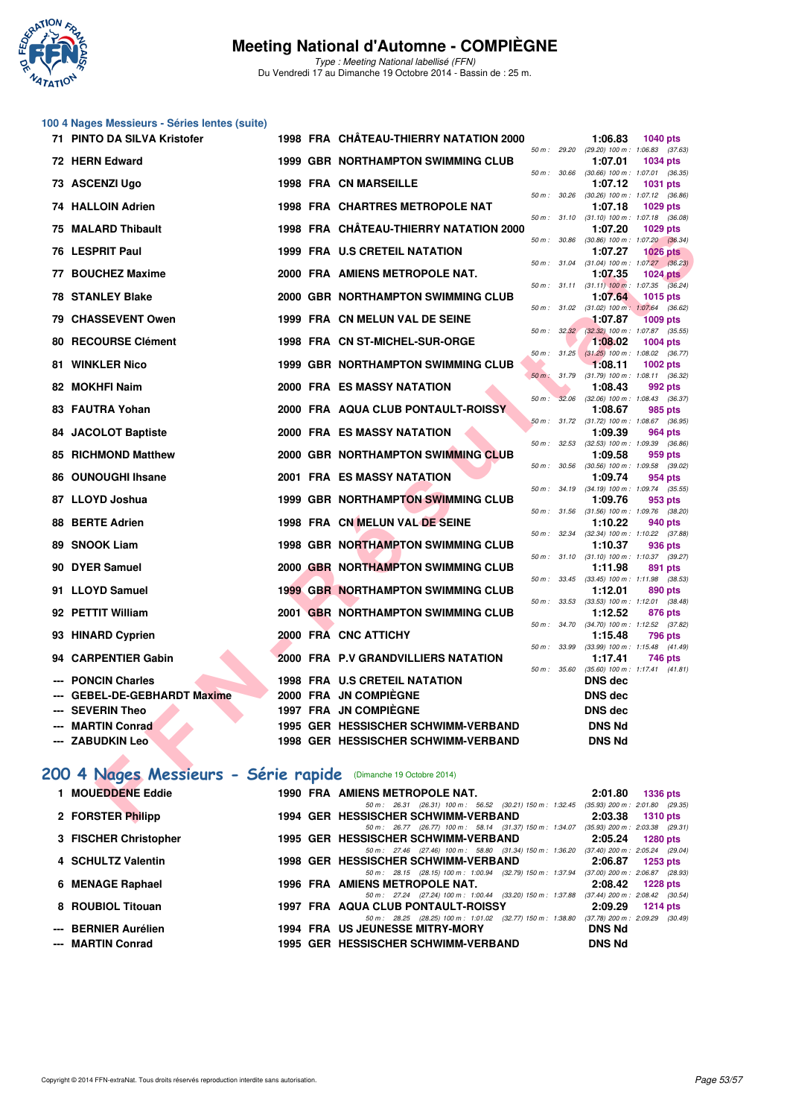

Type : Meeting National labellisé (FFN) Du Vendredi 17 au Dimanche 19 Octobre 2014 - Bassin de : 25 m.

## **100 4 Nages Messieurs - Séries lentes (suite)**

| 71 PINTO DA SILVA Kristofer                                     |  |  | 1998 FRA CHÂTEAU-THIERRY NATATION 2000                                                                                   |              |       | 1:06.83                                                 | <b>1040 pts</b> |  |
|-----------------------------------------------------------------|--|--|--------------------------------------------------------------------------------------------------------------------------|--------------|-------|---------------------------------------------------------|-----------------|--|
| 72 HERN Edward                                                  |  |  | <b>1999 GBR NORTHAMPTON SWIMMING CLUB</b>                                                                                |              |       | 50 m: 29.20 (29.20) 100 m: 1:06.83 (37.63)<br>1:07.01   | <b>1034 pts</b> |  |
| 73 ASCENZI Ugo                                                  |  |  | <b>1998 FRA CN MARSEILLE</b>                                                                                             | 50 m : 30.66 |       | $(30.66)$ 100 m : 1:07.01 $(36.35)$<br>1:07.12          | 1031 pts        |  |
| 74 HALLOIN Adrien                                               |  |  | <b>1998 FRA CHARTRES METROPOLE NAT</b>                                                                                   |              |       | 50 m : 30.26 (30.26) 100 m : 1:07.12 (36.86)<br>1:07.18 | 1029 pts        |  |
|                                                                 |  |  |                                                                                                                          |              |       | 50 m: 31.10 (31.10) 100 m: 1:07.18 (36.08)              |                 |  |
| 75 MALARD Thibault                                              |  |  | 1998 FRA CHÂTEAU-THIERRY NATATION 2000                                                                                   | 50 m : 30.86 |       | 1:07.20<br>(30.86) 100 m: 1:07.20 (36.34)               | <b>1029 pts</b> |  |
| 76 LESPRIT Paul                                                 |  |  | 1999 FRA U.S CRETEIL NATATION                                                                                            |              |       | 1:07.27                                                 | $1026$ pts      |  |
| 77 BOUCHEZ Maxime                                               |  |  | 2000 FRA AMIENS METROPOLE NAT.                                                                                           |              |       | 50 m: 31.04 (31.04) 100 m: 1:07.27 (36.23)<br>1:07.35   | 1024 $pts$      |  |
| <b>78 STANLEY Blake</b>                                         |  |  | 2000 GBR NORTHAMPTON SWIMMING CLUB                                                                                       | 50 m: 31.11  |       | $(31.11)$ 100 m : 1:07.35 $(36.24)$<br>1:07.64          | 1015 pts        |  |
| 79 CHASSEVENT Owen                                              |  |  | 1999 FRA CN MELUN VAL DE SEINE                                                                                           |              |       | 50 m: 31.02 (31.02) 100 m: 1:07.64 (36.62)<br>1:07.87   | <b>1009 pts</b> |  |
|                                                                 |  |  |                                                                                                                          | 50 m: 32.32  |       | $(32.32)$ 100 m : 1:07.87 $(35.55)$                     |                 |  |
| <b>80 RECOURSE Clément</b>                                      |  |  | 1998 FRA CN ST-MICHEL-SUR-ORGE                                                                                           |              |       | 1:08.02<br>50 m: 31.25 (31.25) 100 m: 1:08.02 (36.77)   | <b>1004 pts</b> |  |
| 81 WINKLER Nico                                                 |  |  | <b>1999 GBR NORTHAMPTON SWIMMING CLUB</b>                                                                                |              |       | 1:08.11                                                 | 1002 pts        |  |
| 82 MOKHFI Naim                                                  |  |  | 2000 FRA ES MASSY NATATION                                                                                               | 50 m: 31.79  |       | $(31.79)$ 100 m : 1:08.11 $(36.32)$<br>1:08.43          | 992 pts         |  |
|                                                                 |  |  |                                                                                                                          | $50 m$ :     | 32.06 | $(32.06)$ 100 m : 1:08.43 $(36.37)$                     |                 |  |
| 83 FAUTRA Yohan                                                 |  |  | 2000 FRA AQUA CLUB PONTAULT-ROISSY                                                                                       |              |       | 1:08.67<br>50 m: 31.72 (31.72) 100 m: 1:08.67 (36.95)   | 985 pts         |  |
| 84 JACOLOT Baptiste                                             |  |  | 2000 FRA ES MASSY NATATION                                                                                               |              |       | 1:09.39                                                 | 964 pts         |  |
| <b>85 RICHMOND Matthew</b>                                      |  |  | 2000 GBR NORTHAMPTON SWIMMING CLUB                                                                                       | 50 m: 32.53  |       | $(32.53)$ 100 m : 1:09.39 $(36.86)$<br>1:09.58          | 959 pts         |  |
|                                                                 |  |  |                                                                                                                          | 50 m : 30.56 |       | $(30.56)$ 100 m : 1:09.58 $(39.02)$                     |                 |  |
| 86 OUNOUGHI Ihsane                                              |  |  | <b>2001 FRA ES MASSY NATATION</b>                                                                                        | 50 m: 34.19  |       | 1:09.74<br>(34.19) 100 m: 1:09.74 (35.55)               | 954 pts         |  |
| 87 LLOYD Joshua                                                 |  |  | <b>1999 GBR NORTHAMPTON SWIMMING CLUB</b>                                                                                |              |       | 1:09.76                                                 | 953 pts         |  |
| 88 BERTE Adrien                                                 |  |  | 1998 FRA CN MELUN VAL DE SEINE                                                                                           |              |       | 50 m: 31.56 (31.56) 100 m: 1:09.76 (38.20)<br>1:10.22   | 940 pts         |  |
|                                                                 |  |  |                                                                                                                          | 50 m: 32.34  |       | (32.34) 100 m: 1:10.22 (37.88)                          |                 |  |
| 89 SNOOK Liam                                                   |  |  | <b>1998 GBR NORTHAMPTON SWIMMING CLUB</b>                                                                                | 50 m: 31.10  |       | 1:10.37<br>$(31.10)$ 100 m : 1:10.37 $(39.27)$          | 936 pts         |  |
| 90 DYER Samuel                                                  |  |  | 2000 GBR NORTHAMPTON SWIMMING CLUB                                                                                       |              |       | 1:11.98                                                 | 891 pts         |  |
| 91 LLOYD Samuel                                                 |  |  | <b>1999 GBR NORTHAMPTON SWIMMING CLUB</b>                                                                                |              |       | 50 m: 33.45 (33.45) 100 m: 1:11.98 (38.53)<br>1:12.01   | 890 pts         |  |
|                                                                 |  |  |                                                                                                                          | 50 m: 33.53  |       | $(33.53)$ 100 m : 1:12.01 $(38.48)$                     |                 |  |
| 92 PETTIT William                                               |  |  | 2001 GBR NORTHAMPTON SWIMMING CLUB                                                                                       |              |       | 1:12.52<br>50 m: 34.70 (34.70) 100 m: 1:12.52 (37.82)   | 876 pts         |  |
| 93 HINARD Cyprien                                               |  |  | 2000 FRA CNC ATTICHY                                                                                                     |              |       | 1:15.48                                                 | 796 pts         |  |
| 94 CARPENTIER Gabin                                             |  |  | 2000 FRA P.V GRANDVILLIERS NATATION                                                                                      | 50 m: 33.99  |       | $(33.99)$ 100 m : 1:15.48 $(41.49)$<br>1:17.41          | 746 pts         |  |
|                                                                 |  |  |                                                                                                                          | 50 m : 35.60 |       | $(35.60)$ 100 m : 1:17.41 $(41.81)$                     |                 |  |
| --- PONCIN Charles                                              |  |  | <b>1998 FRA U.S CRETEIL NATATION</b>                                                                                     |              |       | <b>DNS dec</b>                                          |                 |  |
| <b>GEBEL-DE-GEBHARDT Maxime</b><br>--- SEVERIN Theo             |  |  | 2000 FRA JN COMPIEGNE<br>1997 FRA JN COMPIEGNE                                                                           |              |       | DNS dec                                                 |                 |  |
| --- MARTIN Conrad                                               |  |  | 1995 GER HESSISCHER SCHWIMM-VERBAND                                                                                      |              |       | DNS dec<br><b>DNS Nd</b>                                |                 |  |
| --- ZABUDKIN Leo                                                |  |  | 1998 GER HESSISCHER SCHWIMM-VERBAND                                                                                      |              |       | <b>DNS Nd</b>                                           |                 |  |
|                                                                 |  |  |                                                                                                                          |              |       |                                                         |                 |  |
| 200 4 Nages Messieurs - Série rapide (Dimanche 19 Octobre 2014) |  |  |                                                                                                                          |              |       |                                                         |                 |  |
| 1 MOUEDDENE Eddie                                               |  |  |                                                                                                                          |              |       |                                                         |                 |  |
|                                                                 |  |  | 1990 FRA AMIENS METROPOLE NAT.<br>50 m: 26.31 (26.31) 100 m: 56.52 (30.21) 150 m: 1:32.45 (35.93) 200 m: 2:01.80 (29.35) |              |       | 2:01.80                                                 | <b>1336 pts</b> |  |
| 2 FORSTER Philipp                                               |  |  | 1994 GER HESSISCHER SCHWIMM-VERBAND                                                                                      |              |       | 2:03.38                                                 | <b>1310 pts</b> |  |

## **[200 4 Nages Messieurs - Série rapide](http://www.ffnatation.fr/webffn/resultats.php?idact=nat&go=epr&idcpt=24767&idepr=91)** (Dimanche 19 Octobre 2014)

| <b>MOUEDDENE Eddie</b> |  | 1990 FRA AMIENS METROPOLE NAT.                                                                  | 2:01.80       | <b>1336 pts</b>                                        |
|------------------------|--|-------------------------------------------------------------------------------------------------|---------------|--------------------------------------------------------|
| 2 FORSTER Philipp      |  | 50 m: 26.31 (26.31) 100 m: 56.52 (30.21) 150 m: 1:32.45<br>1994 GER HESSISCHER SCHWIMM-VERBAND  | 2:03.38       | $(35.93)$ 200 m : 2:01.80 $(29.35)$<br><b>1310 pts</b> |
| 3 FISCHER Christopher  |  | 50 m: 26.77 (26.77) 100 m: 58.14 (31.37) 150 m: 1:34.07<br>1995 GER HESSISCHER SCHWIMM-VERBAND  | 2:05.24       | $(35.93)$ 200 m : 2:03.38 (29.31)<br>1280 pts          |
| 4 SCHULTZ Valentin     |  | 50 m: 27.46 (27.46) 100 m: 58.80 (31.34) 150 m: 1:36.20<br>1998 GER HESSISCHER SCHWIMM-VERBAND  | 2:06.87       | $(37.40)$ 200 m : 2:05.24 $(29.04)$<br>1253 pts        |
| 6 MENAGE Raphael       |  | 50 m: 28.15 (28.15) 100 m: 1:00.94 (32.79) 150 m: 1:37.94<br>1996 FRA AMIENS METROPOLE NAT.     | 2:08.42       | $(37.00)$ 200 m : 2:06.87 $(28.93)$<br><b>1228 pts</b> |
| 8 ROUBIOL Titouan      |  | 50 m: 27.24 (27.24) 100 m: 1:00.44 (33.20) 150 m: 1:37.88<br>1997 FRA AQUA CLUB PONTAULT-ROISSY | 2:09.29       | $(37.44)$ 200 m : 2:08.42 $(30.54)$<br>$1214$ pts      |
| --- BERNIER Aurélien   |  | 50 m: 28.25 (28.25) 100 m: 1:01.02 (32.77) 150 m: 1:38.80<br>1994 FRA US JEUNESSE MITRY-MORY    | <b>DNS Nd</b> | $(37.78)$ 200 m : 2:09.29 $(30.49)$                    |
| --- MARTIN Conrad      |  | 1995 GER HESSISCHER SCHWIMM-VERBAND                                                             | <b>DNS Nd</b> |                                                        |
|                        |  |                                                                                                 |               |                                                        |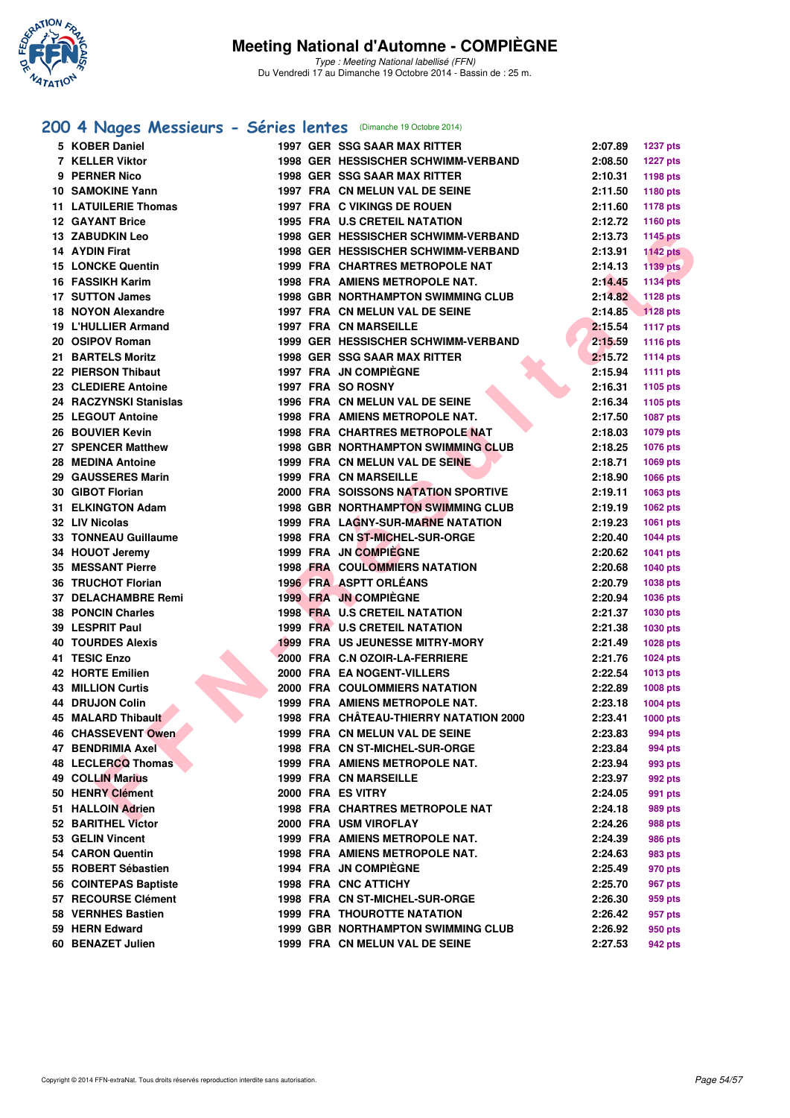

Type : Meeting National labellisé (FFN) Du Vendredi 17 au Dimanche 19 Octobre 2014 - Bassin de : 25 m.

### **[200 4 Nages Messieurs - Séries lentes](http://www.ffnatation.fr/webffn/resultats.php?idact=nat&go=epr&idcpt=24767&idepr=91)** (Dimanche 19 Octobre 2014)

| 5 KOBER Daniel              |  | 1997 GER SSG SAAR MAX RITTER              | 2:07.89 | 1237 pts        |
|-----------------------------|--|-------------------------------------------|---------|-----------------|
| 7 KELLER Viktor             |  | 1998 GER HESSISCHER SCHWIMM-VERBAND       | 2:08.50 | <b>1227 pts</b> |
| 9 PERNER Nico               |  | <b>1998 GER SSG SAAR MAX RITTER</b>       | 2:10.31 | 1198 pts        |
| <b>10 SAMOKINE Yann</b>     |  | 1997 FRA CN MELUN VAL DE SEINE            | 2:11.50 | 1180 pts        |
| <b>11 LATUILERIE Thomas</b> |  | 1997 FRA C VIKINGS DE ROUEN               | 2:11.60 | 1178 pts        |
| <b>12 GAYANT Brice</b>      |  | 1995 FRA U.S CRETEIL NATATION             | 2:12.72 | 1160 pts        |
| 13 ZABUDKIN Leo             |  | 1998 GER HESSISCHER SCHWIMM-VERBAND       | 2:13.73 | <b>1145 pts</b> |
| 14 AYDIN Firat              |  | 1998 GER HESSISCHER SCHWIMM-VERBAND       | 2:13.91 | <b>1142 pts</b> |
| <b>15 LONCKE Quentin</b>    |  | 1999 FRA CHARTRES METROPOLE NAT           | 2:14.13 | <b>1139 pts</b> |
| 16 FASSIKH Karim            |  | 1998 FRA AMIENS METROPOLE NAT.            | 2:14.45 | <b>1134 pts</b> |
| 17 SUTTON James             |  | <b>1998 GBR NORTHAMPTON SWIMMING CLUB</b> | 2:14.82 | 1128 pts        |
| 18 NOYON Alexandre          |  | 1997 FRA CN MELUN VAL DE SEINE            | 2:14.85 | 1128 pts        |
| 19 L'HULLIER Armand         |  | <b>1997 FRA CN MARSEILLE</b>              | 2:15.54 | 1117 pts        |
| 20 OSIPOV Roman             |  | 1999 GER HESSISCHER SCHWIMM-VERBAND       | 2:15.59 | <b>1116 pts</b> |
| 21 BARTELS Moritz           |  | <b>1998 GER SSG SAAR MAX RITTER</b>       | 2:15.72 | <b>1114 pts</b> |
| 22 PIERSON Thibaut          |  | <b>1997 FRA JN COMPIEGNE</b>              | 2:15.94 | <b>1111 pts</b> |
| 23 CLEDIERE Antoine         |  | 1997 FRA SO ROSNY                         | 2:16.31 | 1105 pts        |
| 24 RACZYNSKI Stanislas      |  | 1996 FRA CN MELUN VAL DE SEINE            | 2:16.34 | 1105 pts        |
| 25 LEGOUT Antoine           |  | 1998 FRA AMIENS METROPOLE NAT.            | 2:17.50 | 1087 pts        |
| 26 BOUVIER Kevin            |  | 1998 FRA CHARTRES METROPOLE NAT           | 2:18.03 | <b>1079 pts</b> |
| 27 SPENCER Matthew          |  | <b>1998 GBR NORTHAMPTON SWIMMING CLUB</b> | 2:18.25 | 1076 pts        |
| 28 MEDINA Antoine           |  | 1999 FRA CN MELUN VAL DE SEINE            | 2:18.71 | 1069 pts        |
| 29 GAUSSERES Marin          |  | <b>1999 FRA CN MARSEILLE</b>              | 2:18.90 | 1066 pts        |
| 30 GIBOT Florian            |  | 2000 FRA SOISSONS NATATION SPORTIVE       | 2:19.11 | 1063 pts        |
| 31 ELKINGTON Adam           |  | <b>1998 GBR NORTHAMPTON SWIMMING CLUB</b> | 2:19.19 | 1062 pts        |
| 32 LIV Nicolas              |  | 1999 FRA LAGNY-SUR-MARNE NATATION         | 2:19.23 | 1061 pts        |
| <b>33 TONNEAU Guillaume</b> |  | 1998 FRA CN ST-MICHEL-SUR-ORGE            | 2:20.40 | <b>1044 pts</b> |
| 34 HOUOT Jeremy             |  | 1999 FRA JN COMPIEGNE                     | 2:20.62 | 1041 pts        |
| <b>35 MESSANT Pierre</b>    |  | <b>1998 FRA COULOMMIERS NATATION</b>      | 2:20.68 | <b>1040 pts</b> |
| <b>36 TRUCHOT Florian</b>   |  | 1996 FRA ASPTT ORLEANS                    | 2:20.79 | 1038 pts        |
| 37 DELACHAMBRE Remi         |  | 1999 FRA JN COMPIEGNE                     | 2:20.94 | 1036 pts        |
| <b>38 PONCIN Charles</b>    |  | 1998 FRA U.S CRETEIL NATATION             | 2:21.37 | 1030 pts        |
| 39 LESPRIT Paul             |  | 1999 FRA U.S CRETEIL NATATION             | 2:21.38 | <b>1030 pts</b> |
| <b>40 TOURDES Alexis</b>    |  | <b>1999 FRA US JEUNESSE MITRY-MORY</b>    | 2:21.49 | 1028 pts        |
| 41 TESIC Enzo               |  | 2000 FRA C.N OZOIR-LA-FERRIERE            | 2:21.76 | <b>1024 pts</b> |
| <b>42 HORTE Emilien</b>     |  | 2000 FRA EA NOGENT-VILLERS                | 2:22.54 | <b>1013 pts</b> |
| <b>43 MILLION Curtis</b>    |  | <b>2000 FRA COULOMMIERS NATATION</b>      | 2:22.89 | <b>1008 pts</b> |
| 44 DRUJON Colin             |  | 1999 FRA AMIENS METROPOLE NAT.            | 2:23.18 | $1004$ pts      |
| 45 MALARD Thibault          |  | 1998 FRA CHÂTEAU-THIERRY NATATION 2000    | 2:23.41 | <b>1000 pts</b> |
| 46 CHASSEVENT Owen          |  | 1999 FRA CN MELUN VAL DE SEINE            | 2:23.83 | 994 pts         |
| 47 BENDRIMIA Axel           |  | 1998 FRA CN ST-MICHEL-SUR-ORGE            | 2:23.84 | 994 pts         |
| 48 LECLERCQ Thomas          |  | 1999 FRA AMIENS METROPOLE NAT.            | 2:23.94 | 993 pts         |
| <b>49 COLLIN Marius</b>     |  | <b>1999 FRA CN MARSEILLE</b>              | 2:23.97 | 992 pts         |
| 50 HENRY Clément            |  | 2000 FRA ES VITRY                         | 2:24.05 | 991 pts         |
| 51 HALLOIN Adrien           |  | <b>1998 FRA CHARTRES METROPOLE NAT</b>    | 2:24.18 | 989 pts         |
| 52 BARITHEL Victor          |  | 2000 FRA USM VIROFLAY                     | 2:24.26 | 988 pts         |
| 53 GELIN Vincent            |  | 1999 FRA AMIENS METROPOLE NAT.            | 2:24.39 | 986 pts         |
| 54 CARON Quentin            |  | 1998 FRA AMIENS METROPOLE NAT.            | 2:24.63 | 983 pts         |
| 55 ROBERT Sébastien         |  | <b>1994 FRA JN COMPIEGNE</b>              | 2:25.49 | 970 pts         |
| 56 COINTEPAS Baptiste       |  | 1998 FRA CNC ATTICHY                      | 2:25.70 | 967 pts         |
| 57 RECOURSE Clément         |  | 1998 FRA CN ST-MICHEL-SUR-ORGE            | 2:26.30 | 959 pts         |
| 58 VERNHES Bastien          |  | <b>1999 FRA THOUROTTE NATATION</b>        | 2:26.42 | 957 pts         |
| 59 HERN Edward              |  | <b>1999 GBR NORTHAMPTON SWIMMING CLUB</b> | 2:26.92 | 950 pts         |
| 60 BENAZET Julien           |  | 1999 FRA CN MELUN VAL DE SEINE            | 2:27.53 | 942 pts         |
|                             |  |                                           |         |                 |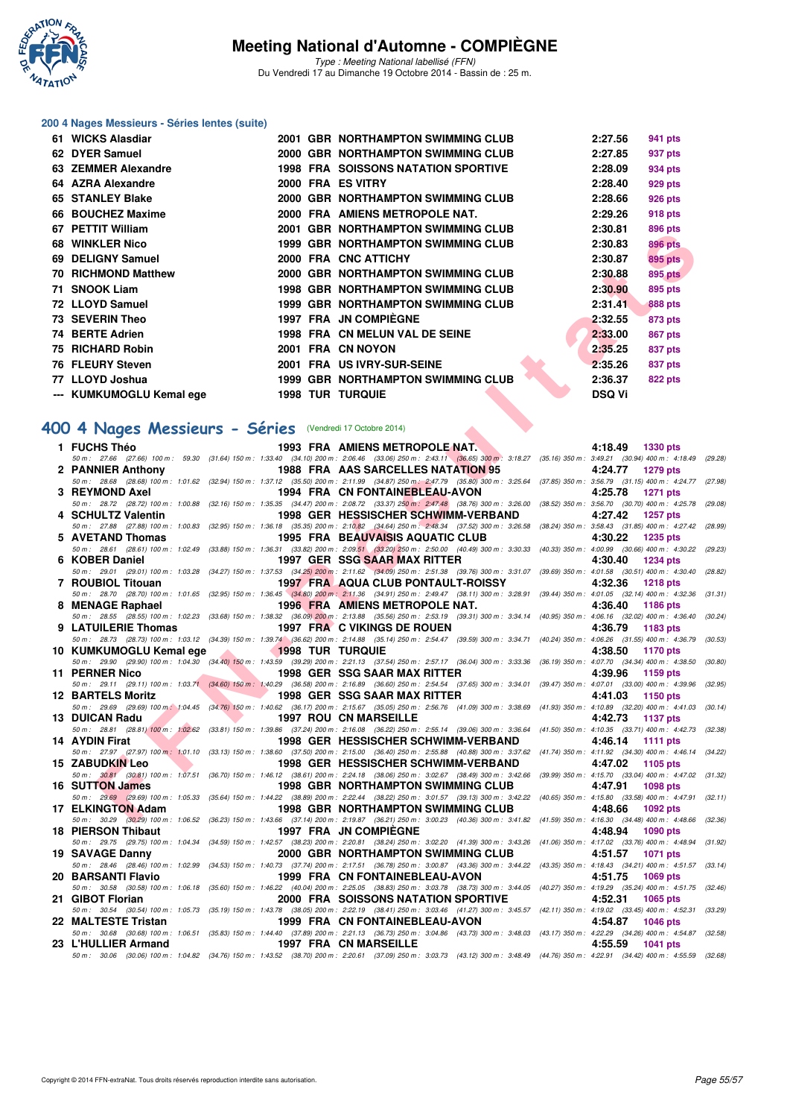

Type : Meeting National labellisé (FFN) Du Vendredi 17 au Dimanche 19 Octobre 2014 - Bassin de : 25 m.

#### **200 4 Nages Messieurs - Séries lentes (suite)**

| 61 | <b>WICKS Alasdiar</b>      |      | 2001 GBR NORTHAMPTON SWIMMING CLUB         | 2:27.56       | 941 pts        |
|----|----------------------------|------|--------------------------------------------|---------------|----------------|
|    | 62 DYER Samuel             |      | 2000 GBR NORTHAMPTON SWIMMING CLUB         | 2:27.85       | 937 pts        |
|    | 63 ZEMMER Alexandre        |      | <b>1998 FRA SOISSONS NATATION SPORTIVE</b> | 2:28.09       | 934 pts        |
|    | 64 AZRA Alexandre          |      | 2000 FRA ES VITRY                          | 2:28.40       | 929 pts        |
|    | 65 STANLEY Blake           |      | 2000 GBR NORTHAMPTON SWIMMING CLUB         | 2:28.66       | 926 pts        |
|    | 66 BOUCHEZ Maxime          | 2000 | FRA AMIENS METROPOLE NAT.                  | 2:29.26       | 918 pts        |
|    | 67 PETTIT William          | 2001 | <b>GBR NORTHAMPTON SWIMMING CLUB</b>       | 2:30.81       | 896 pts        |
|    | 68 WINKLER Nico            |      | <b>1999 GBR NORTHAMPTON SWIMMING CLUB</b>  | 2:30.83       | <b>896 pts</b> |
|    | 69 DELIGNY Samuel          |      | 2000 FRA CNC ATTICHY                       | 2:30.87       | <b>895 pts</b> |
|    | <b>70 RICHMOND Matthew</b> |      | 2000 GBR NORTHAMPTON SWIMMING CLUB         | 2:30.88       | <b>895 pts</b> |
|    | 71 SNOOK Liam              |      | <b>1998 GBR NORTHAMPTON SWIMMING CLUB</b>  | 2:30.90       | 895 pts        |
|    | 72 LLOYD Samuel            |      | <b>1999 GBR NORTHAMPTON SWIMMING CLUB</b>  | 2:31.41       | <b>888 pts</b> |
|    | 73 SEVERIN Theo            | 1997 | <b>FRA JN COMPIEGNE</b>                    | 2:32.55       | 873 pts        |
|    | 74 BERTE Adrien            | 1998 | <b>FRA CN MELUN VAL DE SEINE</b>           | 2:33.00       | 867 pts        |
|    | 75 RICHARD Robin           | 2001 | <b>FRA CN NOYON</b>                        | 2:35.25       | 837 pts        |
|    | 76 FLEURY Steven           | 2001 | <b>FRA US IVRY-SUR-SEINE</b>               | 2:35.26       | 837 pts        |
|    | 77 LLOYD Joshua            |      | <b>1999 GBR NORTHAMPTON SWIMMING CLUB</b>  | 2:36.37       | <b>822 pts</b> |
|    | --- KUMKUMOGLU Kemal ege   |      | <b>1998 TUR TURQUIE</b>                    | <b>DSQ Vi</b> |                |

#### **[400 4 Nages Messieurs - Séries](http://www.ffnatation.fr/webffn/resultats.php?idact=nat&go=epr&idcpt=24767&idepr=92)** (Vendredi 17 Octobre 2014)

| VI FEIIII WIIIIAIII                                      |                               | 2001 GDR NORTHAMFTON SWIMMING CLOD                                                                                                                                                                                             | 2.JU.OT<br>ດລດ hrs         |         |
|----------------------------------------------------------|-------------------------------|--------------------------------------------------------------------------------------------------------------------------------------------------------------------------------------------------------------------------------|----------------------------|---------|
| 68 WINKLER Nico                                          |                               | 1999 GBR NORTHAMPTON SWIMMING CLUB                                                                                                                                                                                             | 2:30.83<br><b>896 pts</b>  |         |
| 69 DELIGNY Samuel                                        |                               | 2000 FRA CNC ATTICHY                                                                                                                                                                                                           | 2:30.87<br><b>895 pts</b>  |         |
| 70 RICHMOND Matthew                                      |                               | 2000 GBR NORTHAMPTON SWIMMING CLUB                                                                                                                                                                                             | 2:30.88<br>895 pts         |         |
| 71 SNOOK Liam                                            |                               | 1998 GBR NORTHAMPTON SWIMMING CLUB                                                                                                                                                                                             | 895 pts<br>2:30.90         |         |
| 72 LLOYD Samuel                                          |                               | 1999 GBR NORTHAMPTON SWIMMING CLUB                                                                                                                                                                                             | 2:31.41<br><b>888 pts</b>  |         |
|                                                          |                               | 1997 FRA JN COMPIÈGNE                                                                                                                                                                                                          |                            |         |
| 73   SEVERIN Theo                                        |                               |                                                                                                                                                                                                                                | 2:32.55<br>873 pts         |         |
| 74 BERTE Adrien                                          |                               | 1998 FRA CN MELUN VAL DE SEINE                                                                                                                                                                                                 | 2:33.00<br>867 pts         |         |
| 75 RICHARD Robin                                         |                               | 2001 FRA CN NOYON                                                                                                                                                                                                              | 2:35.25<br>837 pts         |         |
| 76 FLEURY Steven                                         |                               | 2001 FRA US IVRY-SUR-SEINE                                                                                                                                                                                                     | 2:35.26<br>837 pts         |         |
| 77   LLOYD Joshua                                        |                               | <b>1999 GBR NORTHAMPTON SWIMMING CLUB</b>                                                                                                                                                                                      | 2:36.37<br><b>822 pts</b>  |         |
| --- KUMKUMOGLU Kemal ege 1998 TUR TURQUIE                |                               |                                                                                                                                                                                                                                | <b>DSQ Vi</b>              |         |
|                                                          |                               |                                                                                                                                                                                                                                |                            |         |
| 00 4 Nages Messieurs - Séries (Vendredi 17 Octobre 2014) |                               |                                                                                                                                                                                                                                |                            |         |
|                                                          |                               |                                                                                                                                                                                                                                |                            |         |
| 1 FUCHS Théo                                             |                               | 1993 FRA AMIENS METROPOLE NAT.<br>50 m: 27.66 (27.66) 100 m: 59.30 (31.64) 150 m: 1:33.40 (34.10) 200 m: 2:06.46 (33.06) 250 m: 2:43.11 (36.65) 300 m: 3:18.27 (35.16) 350 m: 3:49.21 (30.94) 400 m: 4:18.49 (29.28)           | 4:18.49 1330 pts           |         |
| 2 PANNIER Anthony                                        |                               | 1988 FRA AAS SARCELLES NATATION 95                                                                                                                                                                                             | 4:24.77<br>1279 pts        |         |
|                                                          |                               | 50 m: 28.68 (28.68) 100 m: 1:01.62 (32.94) 150 m: 1:37.12 (35.50) 200 m: 2:11.99 (34.87) 250 m: 2:47.79 (35.80) 300 m: 3:25.64 (37.85) 350 m: 3:56.79 (31.15) 400 m: 4:24.77 (27.98)                                           |                            |         |
| 3 REYMOND Axel                                           |                               | <b>1994 FRA CN FONTAINEBLEAU-AVON</b>                                                                                                                                                                                          | 4:25.78<br>1271 pts        |         |
|                                                          |                               | 50 m: 28.72 (28.72) 100 m: 1:00.88 (32.16) 150 m: 1:35.35 (34.47) 200 m: 2:08.72 (33.37) 250 m: 2:47.48 (38.76) 300 m: 3:26.00 (38.52) 350 m: 3:56.70 (30.70) 400 m: 4:25.78 (29.08)<br>1998 GER HESSISCHER SCHWIMM-VERBAND    | 1257 pts                   |         |
| 4 SCHULTZ Valentin                                       |                               | 50 m: 27.88 (27.88) 100 m: 1:00.83 (32.95) 150 m: 1:36.18 (35.35) 200 m: 2:10.82 (34.64) 250 m: 2:48.34 (37.52) 300 m: 3:26.58 (38.24) 350 m: 3:58.43 (31.85) 400 m: 4:27.42 (28.99)                                           | 4:27.42                    |         |
| 5 AVETAND Thomas                                         |                               | 1995 FRA BEAUVAISIS AQUATIC CLUB                                                                                                                                                                                               | 4:30.22<br>1235 pts        |         |
|                                                          |                               | 50 m: 28.61 (28.61) 100 m: 1:02.49 (33.88) 150 m: 1:36.31 (33.82) 200 m: 2:09.51 (33.20) 250 m: 2:50.00 (40.49) 300 m: 3:30.33 (40.33) 350 m: 4:00.99 (30.66) 400 m: 4:30.22 (29.23)                                           |                            |         |
| 6 KOBER Daniel                                           |                               | 1997 GER SSG SAAR MAX RITTER<br>50 m: 29.01 (29.01) 100 m: 1:03.28 (34.27) 150 m: 1:37.53 (34.25) 200 m: 2:11.62 (34.09) 250 m: 2:51.38 (39.76) 300 m: 3:31.07 (39.69) 350 m: 4:01.58 (30.51) 400 m: 4:30.40 (28.82)           | 4:30.40<br>1234 pts        |         |
| 7 ROUBIOL Titouan                                        |                               | 1997 FRA AQUA CLUB PONTAULT-ROISSY                                                                                                                                                                                             | 4:32.36<br><b>1218 pts</b> |         |
|                                                          |                               | 50 m: 28.70 (28.70) 100 m: 1:01.65 (32.95) 150 m: 1:36.45 (34.80) 200 m: 2:11.36 (34.91) 250 m: 2:49.47 (38.11) 300 m: 3:28.91 (39.44) 350 m: 4:01.05 (32.14) 400 m: 4:32.36 (31.31)                                           |                            |         |
| 8 MENAGE Raphael                                         |                               | 1996 FRA AMIENS METROPOLE NAT.                                                                                                                                                                                                 | 4:36.40<br>1186 pts        |         |
|                                                          |                               | 50 m: 28.55 (28.55) 100 m: 1:02.23 (33.68) 150 m: 1:38.32 (36.09) 200 m: 2:13.88 (35.56) 250 m: 2:53.19 (39.31) 300 m: 3:34.14 (40.95) 350 m: 4:06.16 (32.02) 400 m: 4:36.40 (30.24)                                           |                            |         |
| 9 LATUILERIE Thomas 1997 FRA C VIKINGS DE ROUEN          |                               | 50 m : 28.73 (28.73) 100 m : 1:03.12 (34.39) 150 m : 1:39.74 (36.62) 200 m : 2:14.88 (35.14) 250 m : 2:54.47 (39.59) 300 m : 3:34.71 (40.24) 350 m : 4:06.26 (31.55) 400 m : 4:36.79 (30.53)                                   | 4:36.79<br>1183 pts        |         |
| 10 KUMKUMOGLU Kemal ege 1998 TUR TURQUIE                 |                               |                                                                                                                                                                                                                                | 4:38.50<br>1170 pts        |         |
|                                                          |                               | 50 m : 29.90 (29.90) 100 m : 1:04.30 (34.40) 150 m : 1:43.59 (39.29) 200 m : 2:21.13 (37.54) 250 m : 2:57.17 (36.04) 300 m : 3:33.36 (36.19) 350 m : 4:07.70 (34.34) 400 m : 4:38.50 (30.80)                                   |                            |         |
| 11 PERNER Nico                                           | <b>The Contract of Street</b> | 1998 GER SSG SAAR MAX RITTER                                                                                                                                                                                                   | 4:39.96<br>1159 pts        |         |
| 12 BARTELS Moritz                                        | <b>CONTRACTOR</b>             | 50 m: 29.11 (29.11) 100 m: 1:03.71 (34.60) 150 m: 1:40.29 (36.58) 200 m: 2:16.89 (36.60) 250 m: 2:54.54 (37.65) 300 m: 3:34.01 (39.47) 350 m: 4:07.01 (33.00) 400 m: 4:39.96 (32.95)<br>1998 GER SSG SAAR MAX RITTER           | 4:41.03<br>1150 pts        |         |
|                                                          |                               | 50 m: 29.69 (29.69) 100 m: 1:04.45 (34.76) 150 m: 1:40.62 (36.17) 200 m: 2:15.67 (35.05) 250 m: 2:56.76 (41.09) 300 m: 3:38.69 (41.93) 350 m: 4:10.89 (32.20) 400 m: 4:41.03                                                   |                            | (30.14) |
| 13 DUICAN Radu                                           |                               | <b>1997 ROU CN MARSEILLE</b>                                                                                                                                                                                                   | 4:42.73<br>1137 pts        |         |
|                                                          |                               | 50 m: 28.81 (28.81) 100 m: 1:02.62 (33.81) 150 m: 1:39.86 (37.24) 200 m: 2:16.08 (36.22) 250 m: 2:55.14 (39.06) 300 m: 3:36.64 (41.50) 350 m: 4:10.35 (33.71) 400 m: 4:42.73 (32.38)<br>1998 GER HESSISCHER SCHWIMM-VERBAND    |                            |         |
| 14 AYDIN Firat                                           |                               | 50 m: 27.97 (27.97) 100 m: 1:01.10 (33.13) 150 m: 1:38.60 (37.50) 200 m: 2:15.00 (36.40) 250 m: 2:55.88 (40.88) 300 m: 3:37.62 (41.74) 350 m: 4:11.92 (34.30) 400 m: 4:46.14 (34.22)                                           | 4:46.14 1111 pts           |         |
| 15   ZABUDKIN Leo                                        |                               | 1998 GER HESSISCHER SCHWIMM-VERBAND                                                                                                                                                                                            | 4:47.02 1105 pts           |         |
|                                                          |                               | 50 m: 30.81 (30.81) 100 m: 1:07.51 (36.70) 150 m: 1:46.12 (38.61) 200 m: 2:24.18 (38.06) 250 m: 3:02.67 (38.49) 300 m: 3:42.66 (39.99) 350 m: 4:15.70 (33.04) 400 m: 4:47.02 (31.32)                                           |                            |         |
| 16 SUTTON James                                          |                               | 1998 GBR NORTHAMPTON SWIMMING CLUB<br>50 m: 29.69 (29.69) 100 m: 1:05.33 (35.64) 150 m: 1:44.22 (38.89) 200 m: 2:22.44 (38.22) 250 m: 3:01.57 (39.13) 300 m: 3:42.22 (40.65) 350 m: 4:15.80 (33.58) 400 m: 4:47.91 (32.11)     | 4:47.91 1098 pts           |         |
| 17 ELKINGTON Adam                                        |                               | 1998 GBR NORTHAMPTON SWIMMING CLUB                                                                                                                                                                                             | 4:48.66<br>1092 pts        |         |
|                                                          |                               | 50 m: 30.29 (30.29) 100 m: 1:06.52 (36.23) 150 m: 1:43.66 (37.14) 200 m: 2:19.87 (36.21) 250 m: 3:00.23 (40.36) 300 m: 3:41.82 (41.59) 350 m: 4:16.30 (34.48) 400 m: 4:48.66 (32.36)                                           |                            |         |
| <b>18 PIERSON Thibaut</b>                                |                               | 1997 FRA JN COMPIEGNE                                                                                                                                                                                                          | 4:48.94 1090 pts           |         |
|                                                          |                               | 50 m: 29.75 (29.75) 100 m: 1:04.34 (34.59) 150 m: 1:42.57 (38.23) 200 m: 2:20.81 (38.24) 250 m: 3:02.20 (41.39) 300 m: 3:43.26 (41.06) 350 m: 4:17.02 (33.76) 400 m: 4:48.94 (31.92)                                           |                            |         |
| 19 SAVAGE Dannv                                          |                               | 2000 GBR NORTHAMPTON SWIMMING CLUB<br>50 m: 28.46 (28.46) 100 m: 1:02.99 (34.53) 150 m: 1:40.73 (37.74) 200 m: 2:17.51 (36.78) 250 m: 3:00.87 (43.36) 300 m: 3:44.22 (43.35) 350 m: 4:18.43 (34.21) 400 m: 4:51.57 (33.14)     | 4:51.57<br><b>1071 pts</b> |         |
| 20 BARSANTI Flavio                                       |                               | 1999 FRA CN FONTAINEBLEAU-AVON                                                                                                                                                                                                 | 4:51.75<br>1069 pts        |         |
|                                                          |                               | 50 m: 30.58 (30.58) 100 m: 1:06.18 (35.60) 150 m: 1:46.22 (40.04) 200 m: 2:25.05 (38.83) 250 m: 3:03.78 (38.73) 300 m: 3:44.05 (40.27) 350 m: 4:19.29 (35.24) 400 m: 4:51.75 (32.46)                                           |                            |         |
| 21 GIBOT Florian                                         |                               | <b>2000 FRA SOISSONS NATATION SPORTIVE</b>                                                                                                                                                                                     | 4:52.31<br><b>1065 pts</b> |         |
| 22 MALTESTE Tristan                                      |                               | 50 m : 30.54 (30.54) 100 m : 1:05.73 (35.19) 150 m : 1:43.78 (38.05) 200 m : 2:22.19 (38.41) 250 m : 3:03.46 (41.27) 300 m : 3:45.57 (42.11) 350 m : 4:19.02 (33.45) 400 m : 4:52.31 (33.29)<br>1999 FRA CN FONTAINEBLEAU-AVON | 4:54.87<br><b>1046 pts</b> |         |
|                                                          |                               | 50 m : 30.68 (30.68) 100 m : 1:06.51 (35.83) 150 m : 1:44.40 (37.89) 200 m : 2:21.13 (36.73) 250 m : 3:04.86 (43.73) 300 m : 3:48.03 (43.17) 350 m : 4:22.29 (34.26) 400 m : 4:54.87 (32.58)                                   |                            |         |
| 23 L'HULLIER Armand                                      |                               | <b>1997 FRA CN MARSEILLE</b>                                                                                                                                                                                                   | 4:55.59<br>1041 pts        |         |
|                                                          |                               | 50 m: 30.06 (30.06) 100 m: 1:04.82 (34.76) 150 m: 1:43.52 (38.70) 200 m: 2:20.61 (37.09) 250 m: 3:03.73 (43.12) 300 m: 3:48.49 (44.76) 350 m: 4:22.91 (34.42) 400 m: 4:55.59 (32.68)                                           |                            |         |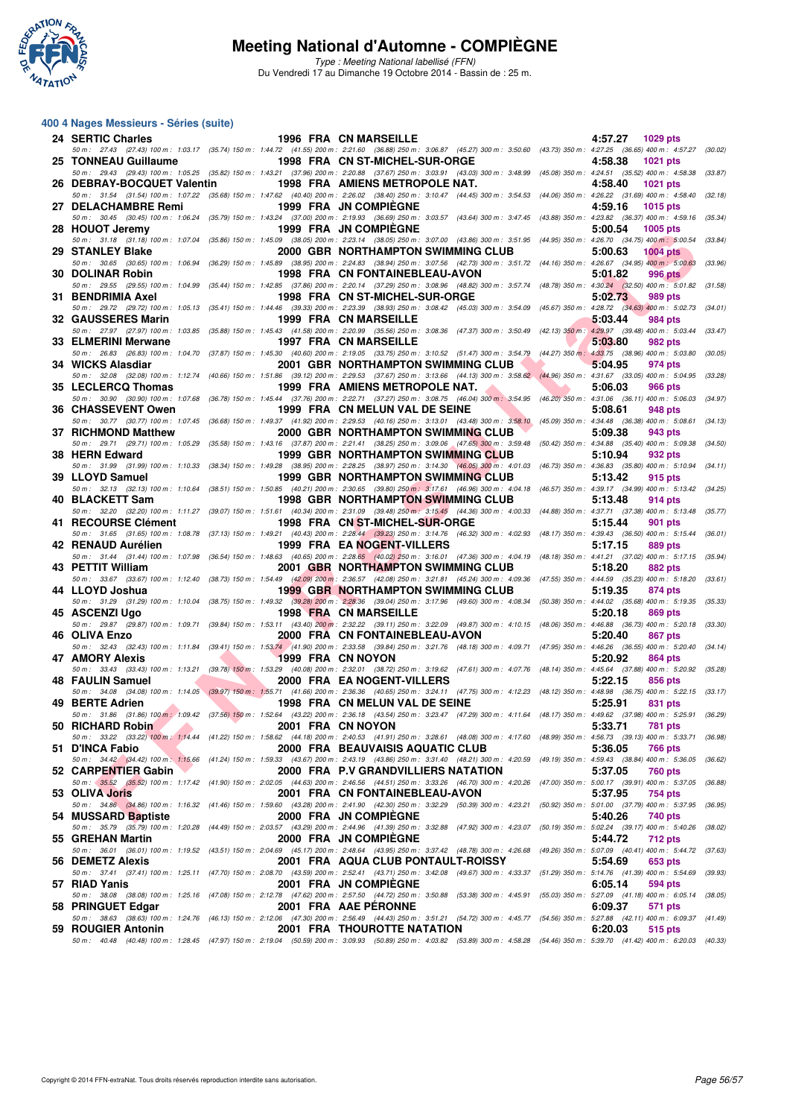

Type : Meeting National labellisé (FFN) Du Vendredi 17 au Dimanche 19 Octobre 2014 - Bassin de : 25 m.

#### **400 4 Nages Messieurs - Séries (suite)**

| 24 SERTIC Charles                                              |  | 1996 FRA CN MARSEILLE                                                                                                                                                                                                             | 4:57.27<br>1029 pts        |         |
|----------------------------------------------------------------|--|-----------------------------------------------------------------------------------------------------------------------------------------------------------------------------------------------------------------------------------|----------------------------|---------|
| 25 TONNEAU Guillaume                                           |  | 50 m: 27.43 (27.43) 100 m: 1:03.17 (35.74) 150 m: 1:44.72 (41.55) 200 m: 2:21.60 (36.88) 250 m: 3:06.87 (45.27) 300 m: 3:50.60 (43.73) 350 m: 4:27.25 (36.65) 400 m: 4:57.27 (30.02)<br>1998 FRA CN ST-MICHEL-SUR-ORGE            | 4:58.38<br>1021 pts        |         |
| 26 DEBRAY-BOCQUET Valentin                                     |  | 50 m: 29.43 (29.43) 100 m: 1:05.25 (35.82) 150 m: 1:43.21 (37.96) 200 m: 2:20.88 (37.67) 250 m: 3:03.91 (43.03) 300 m: 3:48.99 (45.08) 350 m: 4:24.51 (35.52) 400 m: 4:58.38 (33.87)<br>1998 FRA AMIENS METROPOLE NAT.            | 4:58.40<br>1021 pts        |         |
| 27 DELACHAMBRE Remi                                            |  | 50 m : 31.54 (31.54) 100 m : 1:07.22 (35.68) 150 m : 1:47.62 (40.40) 200 m : 2:26.02 (38.40) 250 m : 3:10.47 (44.45) 300 m : 3:54.53 (44.06) 350 m : 4:26.22 (31.69) 400 m : 4:58.40<br><b>1999 FRA JN COMPIEGNE</b>              | 4:59.16<br>1015 pts        | (32.18) |
|                                                                |  | 50 m: 30.45 (30.45) 100 m: 1:06.24 (35.79) 150 m: 1:43.24 (37.00) 200 m: 2:19.93 (36.69) 250 m: 3:03.57 (43.64) 300 m: 3:47.45 (43.88) 350 m: 4:23.82 (36.37) 400 m: 4:59.16 (35.34)                                              |                            |         |
| 28 HOUOT Jeremy                                                |  | 1999 FRA JN COMPIEGNE<br>50 m: 31.18 (31.18) 100 m: 1:07.04 (35.86) 150 m: 1:45.09 (38.05) 200 m: 2:23.14 (38.05) 250 m: 3:07.00 (43.86) 300 m: 3:51.95 (44.95) 350 m: 4:26.70 (34.75) 400 m: 5:00.54                             | 5:00.54<br><b>1005 pts</b> | (33.84) |
| 29 STANLEY Blake                                               |  | 2000 GBR NORTHAMPTON SWIMMING CLUB<br>50 m: 30.65 (30.65) 100 m: 1:06.94 (36.29) 150 m: 1:45.89 (38.95) 200 m: 2:24.83 (38.94) 250 m: 3:07.56 (42.73) 300 m: 3:51.72 (44.16) 350 m: 4:26.67 (34.95) 400 m: 5:00.63                | 5:00.63<br><b>1004 pts</b> | (33.96) |
| 30 DOLINAR Robin                                               |  | 1998 FRA CN FONTAINEBLEAU-AVON<br>50 m: 29.55 (29.55) 100 m: 1:04.99 (35.44) 150 m: 1:42.85 (37.86) 200 m: 2:20.14 (37.29) 250 m: 3:08.96 (48.82) 300 m: 3:57.74 (48.78) 350 m: 4:30.24 (32.50) 400 m: 5:01.82 (31.58)            | 5:01.82<br><b>996 pts</b>  |         |
| 31 BENDRIMIA Axel                                              |  | 1998 FRA CN ST-MICHEL-SUR-ORGE                                                                                                                                                                                                    | 5:02.73<br>989 pts         |         |
| 32 GAUSSERES Marin                                             |  | 50 m: 29.72 (29.72) 100 m: 1:05.13 (35.41) 150 m: 1:44.46 (39.33) 200 m: 2:23.39 (38.93) 250 m: 3:08.42 (45.03) 300 m: 3:54.09 (45.67) 350 m: 4:28.72 (34.63) 400 m: 5:02.73 (34.01)<br>1999 FRA CN MARSEILLE                     | 5:03.44<br>984 pts         |         |
| 33 ELMERINI Merwane                                            |  | 50 m: 27.97 (27.97) 100 m: 1:03.85 (35.88) 150 m: 1:45.43 (41.58) 200 m: 2:20.99 (35.56) 250 m: 3:08.36 (47.37) 300 m: 3:50.49 (42.13) 350 m: 4:29.97 (39.48) 400 m: 5:03.44<br>1997 FRA CN MARSEILLE                             | 5:03.80<br>982 pts         | (33.47) |
| 34 WICKS Alasdiar                                              |  | 50 m: 26.83 (26.83) 100 m: 1:04.70 (37.87) 150 m: 1:45.30 (40.60) 200 m: 2:19.05 (33.75) 250 m: 3:10.52 (51.47) 300 m: 3:54.79 (44.27) 350 m: 4:33.75 (38.96) 400 m: 5:03.80<br>2001 GBR NORTHAMPTON SWIMMING CLUB                | 5:04.95<br>974 pts         | (30.05) |
|                                                                |  | 50 m: 32.08 (32.08) 100 m: 1:12.74 (40.66) 150 m: 1:51.86 (39.12) 200 m: 2:29.53 (37.67) 250 m: 3:13.66 (44.13) 300 m: 3:58.62 (44.96) 350 m: 4:31.67 (33.05) 400 m: 5:04.95 (33.28)                                              |                            |         |
| 35 LECLERCQ Thomas                                             |  | 1999 FRA AMIENS METROPOLE NAT.<br>50 m : 30.90 (30.90) 100 m : 1:07.68 (36.78) 150 m : 1:45.44 (37.76) 200 m : 2:22.71 (37.27) 250 m : 3:08.75 (46.04) 300 m : 3:54.95 (46.20) 350 m : 4:31.06 (36.11) 400 m : 5:06.03 (34.97)    | 5:06.03<br>966 pts         |         |
| 36 CHASSEVENT Owen                                             |  | 1999 FRA CN MELUN VAL DE SEINE<br>50 m: 30.77 (30.77) 100 m: 1:07.45 (36.68) 150 m: 1:49.37 (41.92) 200 m: 2:29.53 (40.16) 250 m: 3:13.01 (43.48) 300 m: 3:58.10 (45.09) 350 m: 4:34.48 (36.38) 400 m: 5:08.61 (34.13)            | 5:08.61<br>948 pts         |         |
| 37 RICHMOND Matthew                                            |  | 2000 GBR NORTHAMPTON SWIMMING CLUB                                                                                                                                                                                                | 5:09.38<br>943 pts         |         |
| 38 HERN Edward                                                 |  | 50 m: 29.71 (29.71) 100 m: 1:05.29 (35.58) 150 m: 1:43.16 (37.87) 200 m: 2:21.41 (38.25) 250 m: 3:09.06 (47.65) 300 m: 3:59.48 (50.42) 350 m: 4:34.88 (35.40) 400 m: 5:09.38 (34.50)<br>1999 GBR NORTHAMPTON SWIMMING CLUB        | 5:10.94<br>932 pts         |         |
| 39 LLOYD Samuel                                                |  | 50 m : 31.99 (31.99) 100 m : 1:10.33 (38.34) 150 m : 1:49.28 (38.95) 200 m : 2:28.25 (38.97) 250 m : 3:14.30 (46.05) 300 m : 4:01.03 (46.73) 350 m : 4:36.83 (35.80) 400 m : 5:10.94<br><b>1999 GBR NORTHAMPTON SWIMMING CLUB</b> | 5:13.42<br>915 pts         | (34.11) |
| 40 BLACKETT Sam                                                |  | 50 m: 32.13 (32.13) 100 m: 1:10.64 (38.51) 150 m: 1:50.85 (40.21) 200 m: 2:30.65 (39.80) 250 m; 3:17.61 (46.96) 300 m: 4:04.18 (46.57) 350 m: 4:39.17 (34.99) 400 m: 5:13.42 (34.25)<br><b>1998 GBR NORTHAMPTON SWIMMING CLUB</b> | 5:13.48<br>914 pts         |         |
|                                                                |  | 50 m: 32.20 (32.20) 100 m: 1:11.27 (39.07) 150 m: 1:51.61 (40.34) 200 m: 2:31.09 (39.48) 250 m: 3:15.45 (44.36) 300 m: 4:00.33 (44.88) 350 m: 4:37.71 (37.38) 400 m: 5:13.48 (35.77)                                              |                            |         |
| 41 RECOURSE Clément                                            |  | 1998 FRA CN ST-MICHEL-SUR-ORGE<br>50 m: 31.65 (31.65) 100 m: 1:08.78 (37.13) 150 m: 1:49.21 (40.43) 200 m: 2:28.44 (39.23) 250 m: 3:14.76 (46.32) 300 m: 4:02.93 (48.17) 350 m: 4:39.43 (36.50) 400 m: 5:15.44 (36.01)            | 5:15.44<br>901 pts         |         |
| 42 RENAUD Aurélien                                             |  | 1999 FRA EA NOGENT-VILLERS<br>50 m: 31.44 (31.44) 100 m: 1:07.98 (36.54) 150 m: 1:48.63 (40.65) 200 m: 2:28.65 (40.02) 250 m: 3:16.01 (47.36) 300 m: 4:04.19 (48.18) 350 m: 4:41.21 (37.02) 400 m: 5:17.15 (35.94)                | 5:17.15<br>889 pts         |         |
| 43 PETTIT William                                              |  | 2001 GBR NORTHAMPTON SWIMMING CLUB<br>50 m: 33.67 (33.67) 100 m: 1:12.40 (38.73) 150 m: 1:54.49 (42.09) 200 m: 2:36.57 (42.08) 250 m: 3:21.81 (45.24) 300 m: 4:09.36 (47.55) 350 m: 4:44.59 (35.23) 400 m: 5:18.20 (33.61)        | 5:18.20<br>882 pts         |         |
| 44 LLOYD Joshua                                                |  | <b>1999 GBR NORTHAMPTON SWIMMING CLUB</b><br>50 m: 31.29 (31.29) 100 m: 1:10.04 (38.75) 150 m: 1:49.32 (39.28) 200 m: 2:28.36 (39.04) 250 m: 3:17.96 (49.60) 300 m: 4:08.34 (50.38) 350 m: 4:44.02 (35.68) 400 m: 5:19.35 (35.33) | 5:19.35<br>874 pts         |         |
| 45 ASCENZI Ugo                                                 |  | 1998 FRA CN MARSEILLE                                                                                                                                                                                                             | 5:20.18<br>869 pts         |         |
| 46 OLIVA Enzo                                                  |  | 50 m: 29.87 (29.87) 100 m: 1:09.71 (39.84) 150 m: 1:53.11 (43.40) 200 m: 2:32.22 (39.11) 250 m: 3:22.09 (49.87) 300 m: 4:10.15 (48.06) 350 m: 4:46.88 (36.73) 400 m: 5:20.18<br>2000 FRA CN FONTAINEBLEAU-AVON                    | 5:20.40<br>867 pts         | (33.30) |
| 47 AMORY Alexis                                                |  | 50 m : 32.43 (32.43) 100 m : 1:11.84 (39.41) 150 m : 1:53.74 (41.90) 200 m : 2:33.58 (39.84) 250 m : 3:21.76 (48.18) 300 m : 4:09.71 (47.95) 350 m : 4:46.26 (36.55) 400 m : 5:20.40 (34.14)<br>1999 FRA CN NOYON                 | 5:20.92<br>864 pts         |         |
| 48 FAULIN Samuel                                               |  | 50 m: 33.43 (33.43) 100 m: 1:13.21 (39.78) 150 m: 1:53.29 (40.08) 200 m: 2:32.01 (38.72) 250 m: 3:19.62 (47.61) 300 m: 4:07.76 (48.14) 350 m: 4:45.64 (37.88) 400 m: 5:20.92 (35.28)<br>2000 FRA EA NOGENT-VILLERS                | 5:22.15<br>856 pts         |         |
|                                                                |  | 50 m: 34.08 (34.08) 100 m: 1:14.05 (39.97) 150 m: 1:55.71 (41.66) 200 m: 2:36.36 (40.65) 250 m: 3:24.11 (47.75) 300 m: 4:12.23 (48.12) 350 m: 4:48.98 (36.75) 400 m: 5:22.15 (33.17)                                              |                            |         |
| 49 BERTE Adrien                                                |  | 1998 FRA CN MELUN VAL DE SEINE<br>50 m : 31.86 (31.86) 100 m : 1:09.42 (37.56) 150 m : 1:52.64 (43.22) 200 m : 2:36.18 (43.54) 250 m : 3:23.47 (47.29) 300 m : 4:11.64 (48.17) 350 m : 4:49.62 (37.98) 400 m : 5:25.91 (36.29)    | 5:25.91<br>831 pts         |         |
| 50 RICHARD Robin<br><b>Contract Contract Contract Contract</b> |  | 2001 FRA CN NOYON<br>50 m : 33.22 (33.22) 100 m : 1:14.44 (41.22) 150 m : 1:58.62 (44.18) 200 m : 2:40.53 (41.91) 250 m : 328.61 (48.08) 300 m : 4:17.60 (48.99) 350 m : 4:56.73 (39.13) 400 m : 5:33.71 (36.98)                  | 5:33.71<br>781 pts         |         |
| 51 D'INCA Fabio                                                |  | 2000 FRA BEAUVAISIS AQUATIC CLUB<br>50 m: 34.42 (34.42) 100 m: 1:15,66 (41.24) 150 m: 1:59.33 (43.67) 200 m: 2:43.19 (43.86) 250 m: 3:31.40 (48.21) 300 m: 4:20.59 (49.19) 350 m: 4:59.43 (38.84) 400 m: 5:36.05 (36.62)          | 5:36.05<br>766 pts         |         |
| 52 CARPENTIER Gabin                                            |  | 2000 FRA P.V GRANDVILLIERS NATATION                                                                                                                                                                                               | 5:37.05<br><b>760 pts</b>  |         |
| 53 OLIVA Joris                                                 |  | 50 m: 35.52 (35.52) 100 m: 1:17.42 (41.90) 150 m: 2:02.05 (44.63) 200 m: 2:46.56 (44.51) 250 m: 3:33.26 (46.70) 300 m: 4:20.26 (47.00) 350 m: 5:00.17 (39.91) 400 m: 5:37.05 (36.88)<br>2001 FRA CN FONTAINEBLEAU-AVON            | 5:37.95<br>754 pts         |         |
| 54 MUSSARD Baptiste                                            |  | 50 m : 34.86 (34.86) 100 m : 1:16.32 (41.46) 150 m : 1:59.60 (43.28) 200 m : 2:41.90 (42.30) 250 m : 332.29 (50.39) 300 m : 4:23.21 (50.92) 350 m : 5:01.00 (37.79) 400 m : 5:37.95 (36.95)<br>2000 FRA JN COMPIEGNE              | 5:40.26<br>740 pts         |         |
|                                                                |  | 50 m : 35.79 (35.79) 100 m : 1:20.28 (44.49) 150 m : 2:03.57 (43.29) 200 m : 2:44.96 (41.39) 250 m : 3:32.88 (47.92) 300 m : 4:23.07 (50.19) 350 m : 5:02.24 (39.17) 400 m : 5:40.26 (38.02)                                      |                            |         |
| 55 GREHAN Martin                                               |  | 2000 FRA JN COMPIEGNE<br>50 m: 36.01 (36.01) 100 m: 1:19.52 (43.51) 150 m: 2:04.69 (45.17) 200 m: 2:48.64 (43.95) 250 m: 3:37.42 (48.78) 300 m: 4:26.68 (49.26) 350 m: 5:07.09 (40.41) 400 m: 5:44.72 (37.63)                     | 5:44.72<br>712 pts         |         |
| 56 DEMETZ Alexis                                               |  | 2001 FRA AQUA CLUB PONTAULT-ROISSY<br>50 m : 37.41 (37.41) 100 m : 1:25.11 (47.70) 150 m : 2:08.70 (43.59) 200 m : 2:52.41 (43.71) 250 m : 342.08 (49.67) 300 m : 4:33.37 (51.29) 350 m : 5:14.76 (41.39) 400 m : 5:54.69 (39.93) | 5:54.69<br>653 pts         |         |
| 57 RIAD Yanis                                                  |  | 2001 FRA JN COMPIEGNE<br>50 m : 38.08 (38.08) 100 m : 1:25.16 (47.08) 150 m : 2:12.78 (47.62) 200 m : 2:57.50 (44.72) 250 m : 350.88 (53.38) 300 m : 4:45.91 (55.03) 350 m : 5:27.09 (41.18) 400 m : 6:05.14 (38.05)              | 6:05.14<br>594 pts         |         |
| 58 PRINGUET Edgar                                              |  | 2001 FRA AAE PERONNE                                                                                                                                                                                                              | 6:09.37<br>571 pts         |         |
| 59 ROUGIER Antonin                                             |  | 50 m: 38.63 (38.63) 100 m: 1:24.76 (46.13) 150 m: 2:12.06 (47.30) 200 m: 2:56.49 (44.43) 250 m: 3:51.21 (54.72) 300 m: 4:45.77 (54.56) 350 m: 5:27.88 (42.11) 400 m: 6:09.37 (41.49)<br>2001 FRA THOUROTTE NATATION               | 6:20.03<br>515 pts         |         |
|                                                                |  | 50 m : 40.48 (40.48) 100 m : 1:28.45 (47.97) 150 m : 2:19.04 (50.59) 200 m : 3:09.93 (50.89) 250 m : 4:03.82 (53.89) 300 m : 4:58.28 (54.46) 350 m : 5:39.70 (41.42) 400 m : 6:20.03 (40.33)                                      |                            |         |